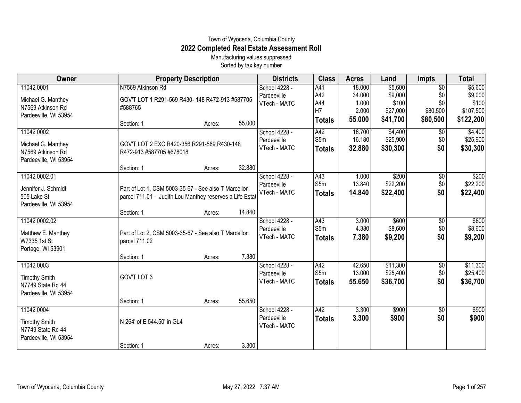## Town of Wyocena, Columbia County **2022 Completed Real Estate Assessment Roll**

Manufacturing values suppressed Sorted by tax key number

| Owner                 | <b>Property Description</b>                              |        |        | <b>Districts</b> | <b>Class</b>  | <b>Acres</b> | Land     | <b>Impts</b>    | <b>Total</b> |
|-----------------------|----------------------------------------------------------|--------|--------|------------------|---------------|--------------|----------|-----------------|--------------|
| 11042 0001            | N7569 Atkinson Rd                                        |        |        | School 4228 -    | A41           | 18.000       | \$5,600  | $\overline{50}$ | \$5,600      |
| Michael G. Manthey    | GOV'T LOT 1 R291-569 R430-148 R472-913 #587705           |        |        | Pardeeville      | A42           | 34.000       | \$9,000  | \$0             | \$9,000      |
| N7569 Atkinson Rd     | #588765                                                  |        |        | VTech - MATC     | A44           | 1.000        | \$100    | \$0             | \$100        |
| Pardeeville, WI 53954 |                                                          |        |        |                  | H7            | 2.000        | \$27,000 | \$80,500        | \$107,500    |
|                       | Section: 1                                               | Acres: | 55.000 |                  | <b>Totals</b> | 55.000       | \$41,700 | \$80,500        | \$122,200    |
| 11042 0002            |                                                          |        |        | School 4228 -    | A42           | 16.700       | \$4,400  | $\sqrt{$0}$     | \$4,400      |
| Michael G. Manthey    | GOV'T LOT 2 EXC R420-356 R291-569 R430-148               |        |        | Pardeeville      | S5m           | 16.180       | \$25,900 | \$0             | \$25,900     |
| N7569 Atkinson Rd     | R472-913 #587705 #678018                                 |        |        | VTech - MATC     | <b>Totals</b> | 32.880       | \$30,300 | \$0             | \$30,300     |
| Pardeeville, WI 53954 |                                                          |        |        |                  |               |              |          |                 |              |
|                       | Section: 1                                               | Acres: | 32.880 |                  |               |              |          |                 |              |
| 11042 0002.01         |                                                          |        |        | School 4228 -    | A43           | 1.000        | \$200    | \$0             | \$200        |
| Jennifer J. Schmidt   | Part of Lot 1, CSM 5003-35-67 - See also T Marcellon     |        |        | Pardeeville      | S5m           | 13.840       | \$22,200 | \$0             | \$22,200     |
| 505 Lake St           | parcel 711.01 - Judith Lou Manthey reserves a Life Estat |        |        | VTech - MATC     | <b>Totals</b> | 14.840       | \$22,400 | \$0             | \$22,400     |
| Pardeeville, WI 53954 |                                                          |        |        |                  |               |              |          |                 |              |
|                       | Section: 1                                               | Acres: | 14.840 |                  |               |              |          |                 |              |
| 11042 0002.02         |                                                          |        |        | School 4228 -    | A43           | 3.000        | \$600    | \$0             | \$600        |
| Matthew E. Manthey    | Part of Lot 2, CSM 5003-35-67 - See also T Marcellon     |        |        | Pardeeville      | S5m           | 4.380        | \$8,600  | \$0             | \$8,600      |
| W7335 1st St          | parcel 711.02                                            |        |        | VTech - MATC     | <b>Totals</b> | 7.380        | \$9,200  | \$0             | \$9,200      |
| Portage, WI 53901     |                                                          |        |        |                  |               |              |          |                 |              |
|                       | Section: 1                                               | Acres: | 7.380  |                  |               |              |          |                 |              |
| 11042 0003            |                                                          |        |        | School 4228 -    | A42           | 42.650       | \$11,300 | \$0             | \$11,300     |
| <b>Timothy Smith</b>  | GOV'T LOT 3                                              |        |        | Pardeeville      | S5m           | 13.000       | \$25,400 | \$0             | \$25,400     |
| N7749 State Rd 44     |                                                          |        |        | VTech - MATC     | <b>Totals</b> | 55.650       | \$36,700 | \$0             | \$36,700     |
| Pardeeville, WI 53954 |                                                          |        |        |                  |               |              |          |                 |              |
|                       | Section: 1                                               | Acres: | 55.650 |                  |               |              |          |                 |              |
| 11042 0004            |                                                          |        |        | School 4228 -    | A42           | 3.300        | \$900    | \$0             | \$900        |
| <b>Timothy Smith</b>  | N 264' of E 544.50' in GL4                               |        |        | Pardeeville      | <b>Totals</b> | 3.300        | \$900    | \$0             | \$900        |
| N7749 State Rd 44     |                                                          |        |        | VTech - MATC     |               |              |          |                 |              |
| Pardeeville, WI 53954 |                                                          |        |        |                  |               |              |          |                 |              |
|                       | Section: 1                                               | Acres: | 3.300  |                  |               |              |          |                 |              |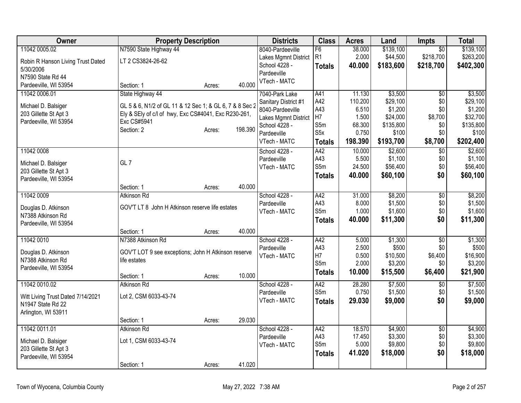| Owner                             | <b>Property Description</b>                             |        |         | <b>Districts</b>     | <b>Class</b>     | <b>Acres</b> | Land      | <b>Impts</b>    | <b>Total</b> |
|-----------------------------------|---------------------------------------------------------|--------|---------|----------------------|------------------|--------------|-----------|-----------------|--------------|
| 11042 0005.02                     | N7590 State Highway 44                                  |        |         | 8040-Pardeeville     | F6               | 38.000       | \$139,100 | $\overline{50}$ | \$139,100    |
| Robin R Hanson Living Trust Dated | LT 2 CS3824-26-62                                       |        |         | Lakes Mgmnt District | R <sub>1</sub>   | 2.000        | \$44,500  | \$218,700       | \$263,200    |
| 5/30/2006                         |                                                         |        |         | School 4228 -        | <b>Totals</b>    | 40.000       | \$183,600 | \$218,700       | \$402,300    |
| N7590 State Rd 44                 |                                                         |        |         | Pardeeville          |                  |              |           |                 |              |
| Pardeeville, WI 53954             | Section: 1                                              | Acres: | 40.000  | VTech - MATC         |                  |              |           |                 |              |
| 11042 0006.01                     | State Highway 44                                        |        |         | 7040-Park Lake       | A41              | 11.130       | \$3,500   | $\overline{60}$ | \$3,500      |
| Michael D. Balsiger               | GL 5 & 6, N1/2 of GL 11 & 12 Sec 1; & GL 6, 7 & 8 Sec 2 |        |         | Sanitary District #1 | A42              | 110.200      | \$29,100  | \$0             | \$29,100     |
| 203 Gillette St Apt 3             | Ely & SEly of c/l of hwy, Exc CS#4041, Exc R230-261,    |        |         | 8040-Pardeeville     | A43              | 6.510        | \$1,200   | \$0             | \$1,200      |
| Pardeeville, WI 53954             | Exc CS#5941                                             |        |         | Lakes Mgmnt District | H7               | 1.500        | \$24,000  | \$8,700         | \$32,700     |
|                                   | Section: 2                                              | Acres: | 198.390 | School 4228 -        | S5m              | 68.300       | \$135,800 | \$0             | \$135,800    |
|                                   |                                                         |        |         | Pardeeville          | S <sub>5</sub> x | 0.750        | \$100     | \$0             | \$100        |
|                                   |                                                         |        |         | VTech - MATC         | <b>Totals</b>    | 198.390      | \$193,700 | \$8,700         | \$202,400    |
| 11042 0008                        |                                                         |        |         | School 4228 -        | A42              | 10.000       | \$2,600   | \$0             | \$2,600      |
| Michael D. Balsiger               | GL <sub>7</sub>                                         |        |         | Pardeeville          | A43              | 5.500        | \$1,100   | \$0             | \$1,100      |
| 203 Gillette St Apt 3             |                                                         |        |         | VTech - MATC         | S5m              | 24.500       | \$56,400  | \$0             | \$56,400     |
| Pardeeville, WI 53954             |                                                         |        |         |                      | <b>Totals</b>    | 40.000       | \$60,100  | \$0             | \$60,100     |
|                                   | Section: 1                                              | Acres: | 40.000  |                      |                  |              |           |                 |              |
| 11042 0009                        | Atkinson Rd                                             |        |         | School 4228 -        | A42              | 31.000       | \$8,200   | \$0             | \$8,200      |
|                                   |                                                         |        |         | Pardeeville          | A43              | 8.000        | \$1,500   | \$0             | \$1,500      |
| Douglas D. Atkinson               | GOV'T LT 8 John H Atkinson reserve life estates         |        |         | VTech - MATC         | S5m              | 1.000        | \$1,600   | \$0             | \$1,600      |
| N7388 Atkinson Rd                 |                                                         |        |         |                      | <b>Totals</b>    | 40.000       | \$11,300  | \$0             | \$11,300     |
| Pardeeville, WI 53954             | Section: 1                                              | Acres: | 40.000  |                      |                  |              |           |                 |              |
| 11042 0010                        | N7388 Atkinson Rd                                       |        |         | School 4228 -        | A42              | 5.000        | \$1,300   | $\overline{50}$ | \$1,300      |
|                                   |                                                         |        |         | Pardeeville          | A43              | 2.500        | \$500     | \$0             | \$500        |
| Douglas D. Atkinson               | GOV'T LOT 9 see exceptions; John H Atkinson reserve     |        |         | VTech - MATC         | H7               | 0.500        | \$10,500  | \$6,400         | \$16,900     |
| N7388 Atkinson Rd                 | life estates                                            |        |         |                      | S5m              | 2.000        | \$3,200   | \$0             | \$3,200      |
| Pardeeville, WI 53954             |                                                         |        |         |                      | <b>Totals</b>    | 10.000       | \$15,500  | \$6,400         | \$21,900     |
|                                   | Section: 1                                              | Acres: | 10.000  |                      |                  |              |           |                 |              |
| 11042 0010.02                     | Atkinson Rd                                             |        |         | School 4228 -        | A42              | 28.280       | \$7,500   | $\overline{50}$ | \$7,500      |
| Witt Living Trust Dated 7/14/2021 | Lot 2, CSM 6033-43-74                                   |        |         | Pardeeville          | S5m              | 0.750        | \$1,500   | \$0             | \$1,500      |
| N1947 State Rd 22                 |                                                         |        |         | VTech - MATC         | <b>Totals</b>    | 29.030       | \$9,000   | \$0             | \$9,000      |
| Arlington, WI 53911               |                                                         |        |         |                      |                  |              |           |                 |              |
|                                   | Section: 1                                              | Acres: | 29.030  |                      |                  |              |           |                 |              |
| 11042 0011.01                     | <b>Atkinson Rd</b>                                      |        |         | School 4228 -        | A42              | 18.570       | \$4,900   | $\overline{50}$ | \$4,900      |
|                                   |                                                         |        |         | Pardeeville          | A43              | 17.450       | \$3,300   | \$0             | \$3,300      |
| Michael D. Balsiger               | Lot 1, CSM 6033-43-74                                   |        |         | VTech - MATC         | S5m              | 5.000        | \$9,800   | \$0             | \$9,800      |
| 203 Gillette St Apt 3             |                                                         |        |         |                      | <b>Totals</b>    | 41.020       | \$18,000  | \$0             | \$18,000     |
| Pardeeville, WI 53954             | Section: 1                                              | Acres: | 41.020  |                      |                  |              |           |                 |              |
|                                   |                                                         |        |         |                      |                  |              |           |                 |              |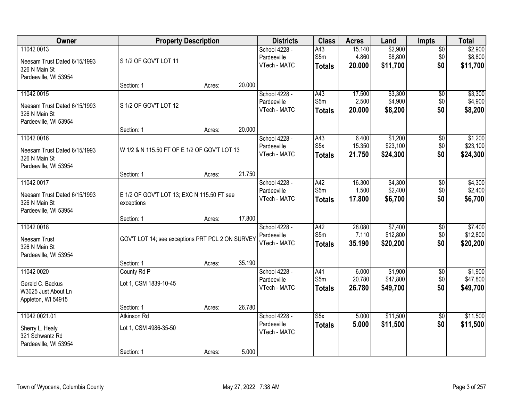| Owner                                                                                |                                                          | <b>Property Description</b> |        | <b>Districts</b>                             | <b>Class</b>                             | <b>Acres</b>              | Land                            | <b>Impts</b>                  | <b>Total</b>                    |
|--------------------------------------------------------------------------------------|----------------------------------------------------------|-----------------------------|--------|----------------------------------------------|------------------------------------------|---------------------------|---------------------------------|-------------------------------|---------------------------------|
| 11042 0013<br>Neesam Trust Dated 6/15/1993<br>326 N Main St<br>Pardeeville, WI 53954 | S 1/2 OF GOV'T LOT 11                                    |                             |        | School 4228 -<br>Pardeeville<br>VTech - MATC | A43<br>S5m<br><b>Totals</b>              | 15.140<br>4.860<br>20.000 | \$2,900<br>\$8,800<br>\$11,700  | $\overline{50}$<br>\$0<br>\$0 | \$2,900<br>\$8,800<br>\$11,700  |
|                                                                                      | Section: 1                                               | Acres:                      | 20.000 |                                              |                                          |                           |                                 |                               |                                 |
| 11042 0015<br>Neesam Trust Dated 6/15/1993<br>326 N Main St<br>Pardeeville, WI 53954 | S 1/2 OF GOV'T LOT 12                                    |                             |        | School 4228 -<br>Pardeeville<br>VTech - MATC | A43<br>S5m<br><b>Totals</b>              | 17.500<br>2.500<br>20.000 | \$3,300<br>\$4,900<br>\$8,200   | $\overline{50}$<br>\$0<br>\$0 | \$3,300<br>\$4,900<br>\$8,200   |
|                                                                                      | Section: 1                                               | Acres:                      | 20.000 |                                              |                                          |                           |                                 |                               |                                 |
| 11042 0016<br>Neesam Trust Dated 6/15/1993<br>326 N Main St<br>Pardeeville, WI 53954 | W 1/2 & N 115.50 FT OF E 1/2 OF GOV'T LOT 13             |                             |        | School 4228 -<br>Pardeeville<br>VTech - MATC | A43<br>S <sub>5</sub> x<br><b>Totals</b> | 6.400<br>15.350<br>21.750 | \$1,200<br>\$23,100<br>\$24,300 | \$0<br>\$0<br>\$0             | \$1,200<br>\$23,100<br>\$24,300 |
|                                                                                      | Section: 1                                               | Acres:                      | 21.750 |                                              |                                          |                           |                                 |                               |                                 |
| 11042 0017<br>Neesam Trust Dated 6/15/1993<br>326 N Main St<br>Pardeeville, WI 53954 | E 1/2 OF GOV'T LOT 13; EXC N 115.50 FT see<br>exceptions |                             |        | School 4228 -<br>Pardeeville<br>VTech - MATC | A42<br>S5m<br><b>Totals</b>              | 16.300<br>1.500<br>17.800 | \$4,300<br>\$2,400<br>\$6,700   | \$0<br>\$0<br>\$0             | \$4,300<br>\$2,400<br>\$6,700   |
|                                                                                      | Section: 1                                               | Acres:                      | 17.800 |                                              |                                          |                           |                                 |                               |                                 |
| 11042 0018<br>Neesam Trust<br>326 N Main St<br>Pardeeville, WI 53954                 | GOV'T LOT 14; see exceptions PRT PCL 2 ON SURVEY         |                             |        | School 4228 -<br>Pardeeville<br>VTech - MATC | A42<br>S5m<br><b>Totals</b>              | 28.080<br>7.110<br>35.190 | \$7,400<br>\$12,800<br>\$20,200 | $\overline{50}$<br>\$0<br>\$0 | \$7,400<br>\$12,800<br>\$20,200 |
|                                                                                      | Section: 1                                               | Acres:                      | 35.190 |                                              |                                          |                           |                                 |                               |                                 |
| 11042 0020<br>Gerald C. Backus<br>W3025 Just About Ln<br>Appleton, WI 54915          | County Rd P<br>Lot 1, CSM 1839-10-45                     |                             |        | School 4228 -<br>Pardeeville<br>VTech - MATC | A41<br>S5m<br><b>Totals</b>              | 6.000<br>20.780<br>26.780 | \$1,900<br>\$47,800<br>\$49,700 | $\overline{50}$<br>\$0<br>\$0 | \$1,900<br>\$47,800<br>\$49,700 |
|                                                                                      | Section: 1                                               | Acres:                      | 26.780 |                                              |                                          |                           |                                 |                               |                                 |
| 11042 0021.01<br>Sherry L. Healy<br>321 Schwantz Rd<br>Pardeeville, WI 53954         | Atkinson Rd<br>Lot 1, CSM 4986-35-50<br>Section: 1       | Acres:                      | 5.000  | School 4228 -<br>Pardeeville<br>VTech - MATC | S5x<br><b>Totals</b>                     | 5.000<br>5.000            | \$11,500<br>\$11,500            | $\overline{50}$<br>\$0        | \$11,500<br>\$11,500            |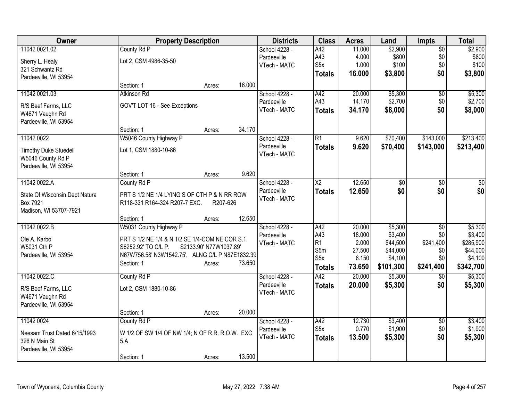| Owner                          | <b>Property Description</b>                                            |                        |        | <b>Districts</b> | <b>Class</b>           | <b>Acres</b> | Land            | <b>Impts</b>    | <b>Total</b>     |
|--------------------------------|------------------------------------------------------------------------|------------------------|--------|------------------|------------------------|--------------|-----------------|-----------------|------------------|
| 11042 0021.02                  | County Rd P                                                            |                        |        | School 4228 -    | A42                    | 11.000       | \$2,900         | $\overline{50}$ | \$2,900          |
| Sherry L. Healy                | Lot 2, CSM 4986-35-50                                                  |                        |        | Pardeeville      | A43                    | 4.000        | \$800           | \$0             | \$800            |
| 321 Schwantz Rd                |                                                                        |                        |        | VTech - MATC     | S <sub>5</sub> x       | 1.000        | \$100           | \$0             | \$100            |
| Pardeeville, WI 53954          |                                                                        |                        |        |                  | <b>Totals</b>          | 16.000       | \$3,800         | \$0             | \$3,800          |
|                                | Section: 1                                                             | Acres:                 | 16.000 |                  |                        |              |                 |                 |                  |
| 11042 0021.03                  | Atkinson Rd                                                            |                        |        | School 4228 -    | A42                    | 20.000       | \$5,300         | \$0             | \$5,300          |
| R/S Beef Farms, LLC            | GOV'T LOT 16 - See Exceptions                                          |                        |        | Pardeeville      | A43                    | 14.170       | \$2,700         | \$0             | \$2,700          |
| W4671 Vaughn Rd                |                                                                        |                        |        | VTech - MATC     | <b>Totals</b>          | 34.170       | \$8,000         | \$0             | \$8,000          |
| Pardeeville, WI 53954          |                                                                        |                        |        |                  |                        |              |                 |                 |                  |
|                                | Section: 1                                                             | Acres:                 | 34.170 |                  |                        |              |                 |                 |                  |
| 11042 0022                     | W5046 County Highway P                                                 |                        |        | School 4228 -    | R1                     | 9.620        | \$70,400        | \$143,000       | \$213,400        |
| <b>Timothy Duke Stuedell</b>   | Lot 1, CSM 1880-10-86                                                  |                        |        | Pardeeville      | <b>Totals</b>          | 9.620        | \$70,400        | \$143,000       | \$213,400        |
| W5046 County Rd P              |                                                                        |                        |        | VTech - MATC     |                        |              |                 |                 |                  |
| Pardeeville, WI 53954          |                                                                        |                        |        |                  |                        |              |                 |                 |                  |
|                                | Section: 1                                                             | Acres:                 | 9.620  |                  |                        |              |                 |                 |                  |
| 11042 0022.A                   | County Rd P                                                            |                        |        | School 4228 -    | $\overline{\text{X2}}$ | 12.650       | $\overline{30}$ | $\sqrt{6}$      | $\overline{\$0}$ |
| State Of Wisconsin Dept Natura | PRT S 1/2 NE 1/4 LYING S OF CTH P & N RR ROW                           |                        |        | Pardeeville      | <b>Totals</b>          | 12.650       | \$0             | \$0             | \$0              |
| Box 7921                       | R118-331 R164-324 R207-7 EXC.                                          | R207-626               |        | VTech - MATC     |                        |              |                 |                 |                  |
| Madison, WI 53707-7921         |                                                                        |                        |        |                  |                        |              |                 |                 |                  |
|                                | Section: 1                                                             | Acres:                 | 12.650 |                  |                        |              |                 |                 |                  |
| 11042 0022.B                   | W5031 County Highway P                                                 |                        |        | School 4228 -    | A42                    | 20.000       | \$5,300         | $\overline{50}$ | \$5,300          |
|                                |                                                                        |                        |        | Pardeeville      | A43                    | 18.000       | \$3,400         | \$0             | \$3,400          |
| Ole A. Karbo<br>W5031 Cth P    | PRT S 1/2 NE 1/4 & N 1/2 SE 1/4-COM NE COR S.1.<br>S6252.92' TO C/L P. | S2133.90' N77W1037.89' |        | VTech - MATC     | R <sub>1</sub>         | 2.000        | \$44,500        | \$241,400       | \$285,900        |
| Pardeeville, WI 53954          | N67W756.58' N3W1542.75', ALNG C/L P N87E1832.39                        |                        |        |                  | S5m                    | 27.500       | \$44,000        | \$0             | \$44,000         |
|                                | Section: 1                                                             | Acres:                 | 73.650 |                  | S <sub>5</sub> x       | 6.150        | \$4,100         | \$0             | \$4,100          |
|                                |                                                                        |                        |        |                  | <b>Totals</b>          | 73.650       | \$101,300       | \$241,400       | \$342,700        |
| 11042 0022.C                   | County Rd P                                                            |                        |        | School 4228 -    | A42                    | 20.000       | \$5,300         | \$0             | \$5,300          |
| R/S Beef Farms, LLC            | Lot 2, CSM 1880-10-86                                                  |                        |        | Pardeeville      | <b>Totals</b>          | 20.000       | \$5,300         | \$0             | \$5,300          |
| W4671 Vaughn Rd                |                                                                        |                        |        | VTech - MATC     |                        |              |                 |                 |                  |
| Pardeeville, WI 53954          |                                                                        |                        |        |                  |                        |              |                 |                 |                  |
|                                | Section: 1                                                             | Acres:                 | 20.000 |                  |                        |              |                 |                 |                  |
| 11042 0024                     | County Rd P                                                            |                        |        | School 4228 -    | A42                    | 12.730       | \$3,400         | \$0             | \$3,400          |
| Neesam Trust Dated 6/15/1993   | W 1/2 OF SW 1/4 OF NW 1/4; N OF R.R. R.O.W. EXC                        |                        |        | Pardeeville      | S <sub>5x</sub>        | 0.770        | \$1,900         | \$0             | \$1,900          |
| 326 N Main St                  | 5.A                                                                    |                        |        | VTech - MATC     | <b>Totals</b>          | 13.500       | \$5,300         | \$0             | \$5,300          |
| Pardeeville, WI 53954          |                                                                        |                        |        |                  |                        |              |                 |                 |                  |
|                                | Section: 1                                                             | Acres:                 | 13.500 |                  |                        |              |                 |                 |                  |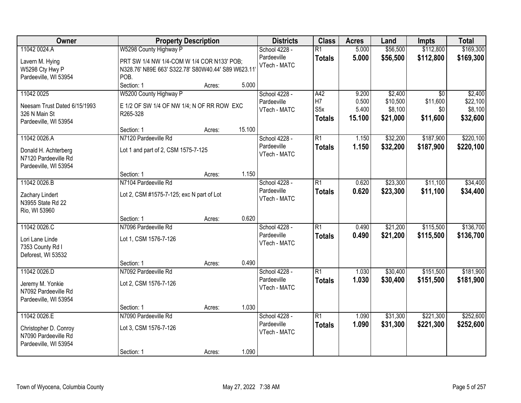| Owner                                         |                                                    | <b>Property Description</b> |        | <b>Districts</b> | <b>Class</b>     | <b>Acres</b> | Land     | <b>Impts</b>    | <b>Total</b> |
|-----------------------------------------------|----------------------------------------------------|-----------------------------|--------|------------------|------------------|--------------|----------|-----------------|--------------|
| 11042 0024.A                                  | W5298 County Highway P                             |                             |        | School 4228 -    | $\overline{R1}$  | 5.000        | \$56,500 | \$112,800       | \$169,300    |
| Lavern M. Hying                               | PRT SW 1/4 NW 1/4-COM W 1/4 COR N133' POB;         |                             |        | Pardeeville      | <b>Totals</b>    | 5.000        | \$56,500 | \$112,800       | \$169,300    |
| W5298 Cty Hwy P                               | N328.76' N89E 663' S322.78' S80W40.44' S89 W623.11 |                             |        | VTech - MATC     |                  |              |          |                 |              |
| Pardeeville, WI 53954                         | POB.                                               |                             |        |                  |                  |              |          |                 |              |
|                                               | Section: 1                                         | Acres:                      | 5.000  |                  |                  |              |          |                 |              |
| 11042 0025                                    | W5200 County Highway P                             |                             |        | School 4228 -    | A42              | 9.200        | \$2,400  | $\overline{50}$ | \$2,400      |
| Neesam Trust Dated 6/15/1993                  | E 1/2 OF SW 1/4 OF NW 1/4; N OF RR ROW EXC         |                             |        | Pardeeville      | H7               | 0.500        | \$10,500 | \$11,600        | \$22,100     |
| 326 N Main St                                 | R265-328                                           |                             |        | VTech - MATC     | S <sub>5</sub> x | 5.400        | \$8,100  | \$0             | \$8,100      |
| Pardeeville, WI 53954                         |                                                    |                             |        |                  | <b>Totals</b>    | 15.100       | \$21,000 | \$11,600        | \$32,600     |
|                                               | Section: 1                                         | Acres:                      | 15.100 |                  |                  |              |          |                 |              |
| 11042 0026.A                                  | N7120 Pardeeville Rd                               |                             |        | School 4228 -    | $\overline{R1}$  | 1.150        | \$32,200 | \$187,900       | \$220,100    |
|                                               | Lot 1 and part of 2, CSM 1575-7-125                |                             |        | Pardeeville      | <b>Totals</b>    | 1.150        | \$32,200 | \$187,900       | \$220,100    |
| Donald H. Achterberg<br>N7120 Pardeeville Rd  |                                                    |                             |        | VTech - MATC     |                  |              |          |                 |              |
| Pardeeville, WI 53954                         |                                                    |                             |        |                  |                  |              |          |                 |              |
|                                               | Section: 1                                         | Acres:                      | 1.150  |                  |                  |              |          |                 |              |
| 11042 0026.B                                  | N7104 Pardeeville Rd                               |                             |        | School 4228 -    | $\overline{R1}$  | 0.620        | \$23,300 | \$11,100        | \$34,400     |
|                                               |                                                    |                             |        | Pardeeville      | <b>Totals</b>    | 0.620        | \$23,300 | \$11,100        | \$34,400     |
| Zachary Lindert<br>N3955 State Rd 22          | Lot 2, CSM #1575-7-125; exc N part of Lot          |                             |        | VTech - MATC     |                  |              |          |                 |              |
| Rio, WI 53960                                 |                                                    |                             |        |                  |                  |              |          |                 |              |
|                                               | Section: 1                                         | Acres:                      | 0.620  |                  |                  |              |          |                 |              |
| 11042 0026.C                                  | N7096 Pardeeville Rd                               |                             |        | School 4228 -    | $\overline{R1}$  | 0.490        | \$21,200 | \$115,500       | \$136,700    |
|                                               |                                                    |                             |        | Pardeeville      | <b>Totals</b>    | 0.490        | \$21,200 | \$115,500       | \$136,700    |
| Lori Lane Linde                               | Lot 1, CSM 1576-7-126                              |                             |        | VTech - MATC     |                  |              |          |                 |              |
| 7353 County Rd I<br>Deforest, WI 53532        |                                                    |                             |        |                  |                  |              |          |                 |              |
|                                               | Section: 1                                         | Acres:                      | 0.490  |                  |                  |              |          |                 |              |
| 11042 0026.D                                  | N7092 Pardeeville Rd                               |                             |        | School 4228 -    | $\overline{R1}$  | 1.030        | \$30,400 | \$151,500       | \$181,900    |
|                                               |                                                    |                             |        | Pardeeville      | <b>Totals</b>    | 1.030        | \$30,400 | \$151,500       | \$181,900    |
| Jeremy M. Yonkie                              | Lot 2, CSM 1576-7-126                              |                             |        | VTech - MATC     |                  |              |          |                 |              |
| N7092 Pardeeville Rd<br>Pardeeville, WI 53954 |                                                    |                             |        |                  |                  |              |          |                 |              |
|                                               | Section: 1                                         | Acres:                      | 1.030  |                  |                  |              |          |                 |              |
| 11042 0026.E                                  | N7090 Pardeeville Rd                               |                             |        | School 4228 -    | $\overline{R1}$  | 1.090        | \$31,300 | \$221,300       | \$252,600    |
|                                               |                                                    |                             |        | Pardeeville      | <b>Totals</b>    | 1.090        | \$31,300 | \$221,300       | \$252,600    |
| Christopher D. Conroy                         | Lot 3, CSM 1576-7-126                              |                             |        | VTech - MATC     |                  |              |          |                 |              |
| N7090 Pardeeville Rd                          |                                                    |                             |        |                  |                  |              |          |                 |              |
| Pardeeville, WI 53954                         | Section: 1                                         |                             | 1.090  |                  |                  |              |          |                 |              |
|                                               |                                                    | Acres:                      |        |                  |                  |              |          |                 |              |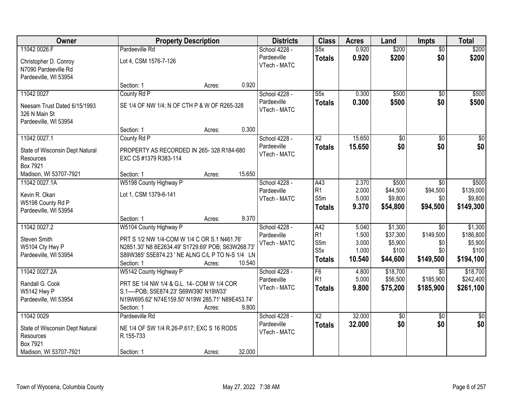| Owner                                                                  | <b>Property Description</b>                                       |        |        | <b>Districts</b>            | <b>Class</b>            | <b>Acres</b> | Land            | <b>Impts</b>    | <b>Total</b>    |
|------------------------------------------------------------------------|-------------------------------------------------------------------|--------|--------|-----------------------------|-------------------------|--------------|-----------------|-----------------|-----------------|
| 11042 0026.F                                                           | Pardeeville Rd                                                    |        |        | School 4228 -               | S5x                     | 0.920        | \$200           | $\overline{50}$ | \$200           |
| Christopher D. Conroy<br>N7090 Pardeeville Rd<br>Pardeeville, WI 53954 | Lot 4, CSM 1576-7-126                                             |        |        | Pardeeville<br>VTech - MATC | <b>Totals</b>           | 0.920        | \$200           | \$0             | \$200           |
|                                                                        | Section: 1                                                        | Acres: | 0.920  |                             |                         |              |                 |                 |                 |
| 11042 0027                                                             | County Rd P                                                       |        |        | School 4228 -               | $\overline{\text{S5x}}$ | 0.300        | \$500           | $\overline{50}$ | \$500           |
| Neesam Trust Dated 6/15/1993<br>326 N Main St<br>Pardeeville, WI 53954 | SE 1/4 OF NW 1/4; N OF CTH P & W OF R265-328                      |        |        | Pardeeville<br>VTech - MATC | <b>Totals</b>           | 0.300        | \$500           | \$0             | \$500           |
|                                                                        | Section: 1                                                        | Acres: | 0.300  |                             |                         |              |                 |                 |                 |
| 11042 0027.1                                                           | County Rd P                                                       |        |        | School 4228 -               | $\overline{\text{X2}}$  | 15.650       | $\overline{50}$ | $\overline{50}$ | $\overline{50}$ |
| State of Wisconsin Dept Natural<br>Resources<br>Box 7921               | PROPERTY AS RECORDED IN 265-328 R184-680<br>EXC CS #1379 R383-114 |        |        | Pardeeville<br>VTech - MATC | <b>Totals</b>           | 15.650       | \$0             | \$0             | \$0             |
| Madison, WI 53707-7921                                                 | Section: 1                                                        | Acres: | 15.650 |                             |                         |              |                 |                 |                 |
| 11042 0027.1A                                                          | W5198 County Highway P                                            |        |        | School 4228 -               | A43                     | 2.370        | \$500           | $\sqrt{6}$      | \$500           |
| Kevin R. Okan                                                          | Lot 1, CSM 1379-6-141                                             |        |        | Pardeeville                 | R <sub>1</sub>          | 2.000        | \$44,500        | \$94,500        | \$139,000       |
| W5198 County Rd P                                                      |                                                                   |        |        | VTech - MATC                | S5m                     | 5.000        | \$9,800         | \$0             | \$9,800         |
| Pardeeville, WI 53954                                                  |                                                                   |        |        |                             | <b>Totals</b>           | 9.370        | \$54,800        | \$94,500        | \$149,300       |
|                                                                        | Section: 1                                                        | Acres: | 9.370  |                             |                         |              |                 |                 |                 |
| 11042 0027.2                                                           | W5104 County Highway P                                            |        |        | School 4228 -               | A42                     | 5.040        | \$1,300         | $\overline{30}$ | \$1,300         |
| Steven Smith                                                           | PRT S 1/2 NW 1/4-COM W 1/4 C OR S.1 N461.76'                      |        |        | Pardeeville                 | R <sub>1</sub>          | 1.500        | \$37,300        | \$149,500       | \$186,800       |
| W5104 Cty Hwy P                                                        | N2851.30' N8 8E2634.49' S1729.69' POB; S63W268.73                 |        |        | VTech - MATC                | S5m                     | 3.000        | \$5,900         | \$0             | \$5,900         |
| Pardeeville, WI 53954                                                  | S89W385' S5E874.23 ' NE ALNG C/L P TO N-S 1/4 LN                  |        |        |                             | S <sub>5</sub> x        | 1.000        | \$100           | \$0             | \$100           |
|                                                                        | Section: 1                                                        | Acres: | 10.540 |                             | <b>Totals</b>           | 10.540       | \$44,600        | \$149,500       | \$194,100       |
| 11042 0027.2A                                                          | W5142 County Highway P                                            |        |        | School 4228 -               | F6                      | 4.800        | \$18,700        | $\overline{50}$ | \$18,700        |
| Randall G. Cook                                                        | PRT SE 1/4 NW 1/4 & G.L. 14- COM W 1/4 COR                        |        |        | Pardeeville                 | R <sub>1</sub>          | 5.000        | \$56,500        | \$185,900       | \$242,400       |
| W5142 Hwy P                                                            | S.1---- POB; S5E874.23' S69W390' N19W33'                          |        |        | VTech - MATC                | <b>Totals</b>           | 9.800        | \$75,200        | \$185,900       | \$261,100       |
| Pardeeville, WI 53954                                                  | N19W695.62' N74E159.50' N19W 285.71' N89E453.74'                  |        |        |                             |                         |              |                 |                 |                 |
|                                                                        | Section: 1                                                        | Acres: | 9.800  |                             |                         |              |                 |                 |                 |
| 11042 0029                                                             | Pardeeville Rd                                                    |        |        | School 4228 -               | $\overline{X2}$         | 32.000       | $\sqrt{6}$      | $\overline{50}$ | $\overline{30}$ |
| State of Wisconsin Dept Natural                                        | NE 1/4 OF SW 1/4 R.26-P.617; EXC S 16 RODS                        |        |        | Pardeeville                 | <b>Totals</b>           | 32.000       | \$0             | \$0             | \$0             |
| Resources                                                              | R.155-733                                                         |        |        | VTech - MATC                |                         |              |                 |                 |                 |
| Box 7921                                                               |                                                                   |        |        |                             |                         |              |                 |                 |                 |
| Madison, WI 53707-7921                                                 | Section: 1                                                        | Acres: | 32.000 |                             |                         |              |                 |                 |                 |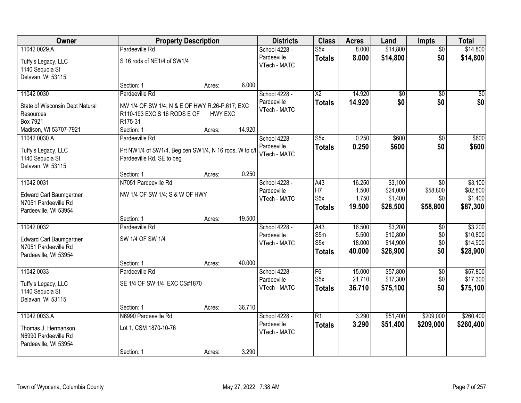| Owner                                         |                                                        | <b>Property Description</b> |        | <b>Districts</b>             | <b>Class</b>         | <b>Acres</b>   | Land                 | <b>Impts</b>           | <b>Total</b>         |
|-----------------------------------------------|--------------------------------------------------------|-----------------------------|--------|------------------------------|----------------------|----------------|----------------------|------------------------|----------------------|
| 11042 0029.A                                  | Pardeeville Rd                                         |                             |        | School 4228 -<br>Pardeeville | S5x<br><b>Totals</b> | 8.000<br>8.000 | \$14,800<br>\$14,800 | $\overline{50}$<br>\$0 | \$14,800<br>\$14,800 |
| Tuffy's Legacy, LLC<br>1140 Sequoia St        | S 16 rods of NE1/4 of SW1/4                            |                             |        | VTech - MATC                 |                      |                |                      |                        |                      |
| Delavan, WI 53115                             |                                                        |                             |        |                              |                      |                |                      |                        |                      |
|                                               | Section: 1                                             | Acres:                      | 8.000  |                              |                      |                |                      |                        |                      |
| 11042 0030                                    | Pardeeville Rd                                         |                             |        | School 4228 -                | $\overline{X2}$      | 14.920         | $\overline{50}$      | $\overline{50}$        | $\sqrt{50}$          |
| State of Wisconsin Dept Natural               | NW 1/4 OF SW 1/4; N & E OF HWY R.26-P.617; EXC         |                             |        | Pardeeville<br>VTech - MATC  | <b>Totals</b>        | 14.920         | \$0                  | \$0                    | \$0                  |
| Resources                                     | R110-193 EXC S 16 RODS E OF                            | <b>HWY EXC</b>              |        |                              |                      |                |                      |                        |                      |
| Box 7921                                      | R175-31                                                |                             |        |                              |                      |                |                      |                        |                      |
| Madison, WI 53707-7921                        | Section: 1                                             | Acres:                      | 14.920 |                              |                      |                |                      |                        |                      |
| 11042 0030.A                                  | Pardeeville Rd                                         |                             |        | School 4228 -<br>Pardeeville | S5x                  | 0.250          | \$600                | \$0                    | \$600                |
| Tuffy's Legacy, LLC                           | Prt NW1/4 of SW1/4, Beg cen SW1/4, N 16 rods, W to c/l |                             |        | VTech - MATC                 | <b>Totals</b>        | 0.250          | \$600                | \$0                    | \$600                |
| 1140 Sequoia St                               | Pardeeville Rd, SE to beg                              |                             |        |                              |                      |                |                      |                        |                      |
| Delavan, WI 53115                             |                                                        |                             | 0.250  |                              |                      |                |                      |                        |                      |
| 11042 0031                                    | Section: 1<br>N7051 Pardeeville Rd                     | Acres:                      |        | School 4228 -                | A43                  | 16.250         | \$3,100              | \$0                    | \$3,100              |
|                                               |                                                        |                             |        | Pardeeville                  | H7                   | 1.500          | \$24,000             | \$58,800               | \$82,800             |
| Edward Carl Baumgartner                       | NW 1/4 OF SW 1/4; S & W OF HWY                         |                             |        | VTech - MATC                 | S <sub>5</sub> x     | 1.750          | \$1,400              | \$0                    | \$1,400              |
| N7051 Pardeeville Rd                          |                                                        |                             |        |                              | <b>Totals</b>        | 19.500         | \$28,500             | \$58,800               | \$87,300             |
| Pardeeville, WI 53954                         | Section: 1                                             | Acres:                      | 19.500 |                              |                      |                |                      |                        |                      |
| 11042 0032                                    | Pardeeville Rd                                         |                             |        | School 4228 -                | A43                  | 16.500         | \$3,200              | \$0                    | \$3,200              |
|                                               |                                                        |                             |        | Pardeeville                  | S5m                  | 5.500          | \$10,800             | \$0                    | \$10,800             |
| <b>Edward Carl Baumgartner</b>                | SW 1/4 OF SW 1/4                                       |                             |        | VTech - MATC                 | S5x                  | 18.000         | \$14,900             | \$0                    | \$14,900             |
| N7051 Pardeeville Rd<br>Pardeeville, WI 53954 |                                                        |                             |        |                              | <b>Totals</b>        | 40.000         | \$28,900             | \$0                    | \$28,900             |
|                                               | Section: 1                                             | Acres:                      | 40.000 |                              |                      |                |                      |                        |                      |
| 11042 0033                                    | Pardeeville Rd                                         |                             |        | School 4228 -                | F <sub>6</sub>       | 15.000         | \$57,800             | \$0                    | \$57,800             |
| Tuffy's Legacy, LLC                           | SE 1/4 OF SW 1/4 EXC CS#1870                           |                             |        | Pardeeville                  | S <sub>5x</sub>      | 21.710         | \$17,300             | \$0                    | \$17,300             |
| 1140 Sequoia St                               |                                                        |                             |        | VTech - MATC                 | <b>Totals</b>        | 36.710         | \$75,100             | \$0                    | \$75,100             |
| Delavan, WI 53115                             |                                                        |                             |        |                              |                      |                |                      |                        |                      |
|                                               | Section: 1                                             | Acres:                      | 36.710 |                              |                      |                |                      |                        |                      |
| 11042 0033.A                                  | N6990 Pardeeville Rd                                   |                             |        | School 4228 -                | R1                   | 3.290          | \$51,400             | \$209,000              | \$260,400            |
| Thomas J. Hermanson                           | Lot 1, CSM 1870-10-76                                  |                             |        | Pardeeville                  | <b>Totals</b>        | 3.290          | \$51,400             | \$209,000              | \$260,400            |
| N6990 Pardeeville Rd                          |                                                        |                             |        | VTech - MATC                 |                      |                |                      |                        |                      |
| Pardeeville, WI 53954                         |                                                        |                             |        |                              |                      |                |                      |                        |                      |
|                                               | Section: 1                                             | Acres:                      | 3.290  |                              |                      |                |                      |                        |                      |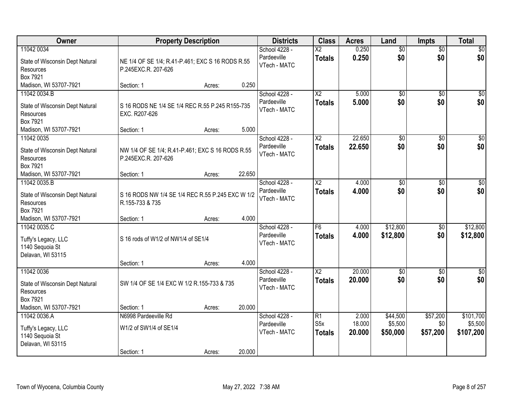| Owner                                                                       | <b>Property Description</b>                                             |        |        | <b>Districts</b>                             | <b>Class</b>                            | <b>Acres</b>              | Land                            | <b>Impts</b>                | <b>Total</b>                      |
|-----------------------------------------------------------------------------|-------------------------------------------------------------------------|--------|--------|----------------------------------------------|-----------------------------------------|---------------------------|---------------------------------|-----------------------------|-----------------------------------|
| 11042 0034<br>State of Wisconsin Dept Natural<br>Resources<br>Box 7921      | NE 1/4 OF SE 1/4; R.41-P.461; EXC S 16 RODS R.55<br>P.245EXC.R. 207-626 |        |        | School 4228 -<br>Pardeeville<br>VTech - MATC | $\overline{X2}$<br><b>Totals</b>        | 0.250<br>0.250            | $\overline{60}$<br>\$0          | $\overline{60}$<br>\$0      | \$0<br>\$0                        |
| Madison, WI 53707-7921                                                      | Section: 1                                                              | Acres: | 0.250  |                                              |                                         |                           |                                 |                             |                                   |
| 11042 0034.B<br>State of Wisconsin Dept Natural<br>Resources<br>Box 7921    | S 16 RODS NE 1/4 SE 1/4 REC R.55 P.245 R155-735<br>EXC. R207-626        |        |        | School 4228 -<br>Pardeeville<br>VTech - MATC | $\overline{\text{X2}}$<br><b>Totals</b> | 5.000<br>5.000            | $\overline{50}$<br>\$0          | $\overline{50}$<br>\$0      | \$0<br>\$0                        |
| Madison, WI 53707-7921<br>11042 0035                                        | Section: 1                                                              | Acres: | 5.000  | School 4228 -                                | $\overline{\text{X2}}$                  | 22.650                    | $\overline{50}$                 | \$0                         | $\overline{\$0}$                  |
| State of Wisconsin Dept Natural<br>Resources<br>Box 7921                    | NW 1/4 OF SE 1/4; R.41-P.461; EXC S 16 RODS R.55<br>P.245EXC.R. 207-626 |        |        | Pardeeville<br>VTech - MATC                  | <b>Totals</b>                           | 22.650                    | \$0                             | \$0                         | \$0                               |
| Madison, WI 53707-7921                                                      | Section: 1                                                              | Acres: | 22.650 |                                              |                                         |                           |                                 |                             |                                   |
| 11042 0035.B<br>State of Wisconsin Dept Natural<br>Resources<br>Box 7921    | S 16 RODS NW 1/4 SE 1/4 REC R.55 P.245 EXC W 1/2<br>R.155-733 & 735     |        |        | School 4228 -<br>Pardeeville<br>VTech - MATC | $\overline{\text{X2}}$<br><b>Totals</b> | 4.000<br>4.000            | \$0<br>\$0                      | $\sqrt[6]{3}$<br>\$0        | $\sqrt{50}$<br>\$0                |
| Madison, WI 53707-7921                                                      | Section: 1                                                              | Acres: | 4.000  |                                              |                                         |                           |                                 |                             |                                   |
| 11042 0035.C<br>Tuffy's Legacy, LLC<br>1140 Sequoia St<br>Delavan, WI 53115 | S 16 rods of W1/2 of NW1/4 of SE1/4<br>Section: 1                       | Acres: | 4.000  | School 4228 -<br>Pardeeville<br>VTech - MATC | F6<br><b>Totals</b>                     | 4.000<br>4.000            | \$12,800<br>\$12,800            | $\overline{50}$<br>\$0      | \$12,800<br>\$12,800              |
| 11042 0036                                                                  |                                                                         |        |        | School 4228 -                                | $\overline{X2}$                         | 20.000                    | $\sqrt{6}$                      | \$0                         | $\sqrt{30}$                       |
| State of Wisconsin Dept Natural<br>Resources<br>Box 7921                    | SW 1/4 OF SE 1/4 EXC W 1/2 R.155-733 & 735                              |        |        | Pardeeville<br>VTech - MATC                  | <b>Totals</b>                           | 20.000                    | \$0                             | \$0                         | \$0                               |
| Madison, WI 53707-7921                                                      | Section: 1                                                              | Acres: | 20.000 |                                              |                                         |                           |                                 |                             |                                   |
| 11042 0036.A<br>Tuffy's Legacy, LLC<br>1140 Sequoia St<br>Delavan, WI 53115 | N6998 Pardeeville Rd<br>W1/2 of SW1/4 of SE1/4<br>Section: 1            | Acres: | 20.000 | School 4228 -<br>Pardeeville<br>VTech - MATC | R1<br>S <sub>5</sub> x<br><b>Totals</b> | 2.000<br>18.000<br>20.000 | \$44,500<br>\$5,500<br>\$50,000 | \$57,200<br>\$0<br>\$57,200 | \$101,700<br>\$5,500<br>\$107,200 |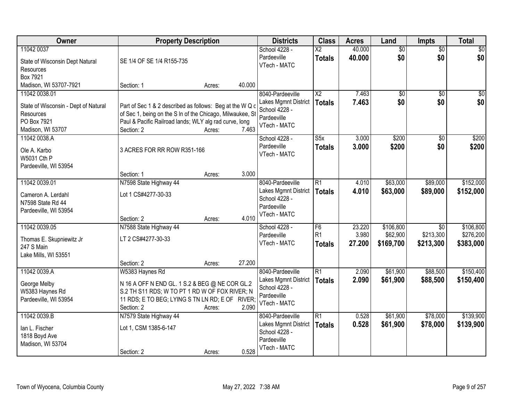| Owner                                                                                                  | <b>Property Description</b>                                                                                                                                                                        |                                     | <b>Districts</b>                                                                         | <b>Class</b>                          | <b>Acres</b>              | Land                               | <b>Impts</b>                  | <b>Total</b>                        |
|--------------------------------------------------------------------------------------------------------|----------------------------------------------------------------------------------------------------------------------------------------------------------------------------------------------------|-------------------------------------|------------------------------------------------------------------------------------------|---------------------------------------|---------------------------|------------------------------------|-------------------------------|-------------------------------------|
| 11042 0037<br>State of Wisconsin Dept Natural<br>Resources                                             | SE 1/4 OF SE 1/4 R155-735                                                                                                                                                                          |                                     | School 4228 -<br>Pardeeville<br>VTech - MATC                                             | $\overline{X2}$<br><b>Totals</b>      | 40.000<br>40.000          | $\overline{50}$<br>\$0             | $\overline{50}$<br>\$0        | $\sqrt{50}$<br>\$0                  |
| Box 7921<br>Madison, WI 53707-7921                                                                     | Section: 1                                                                                                                                                                                         | 40.000<br>Acres:                    |                                                                                          |                                       |                           |                                    |                               |                                     |
| 11042 0038.01<br>State of Wisconsin - Dept of Natural<br>Resources<br>PO Box 7921<br>Madison, WI 53707 | Part of Sec 1 & 2 described as follows: Beg at the W Q c<br>of Sec 1, being on the S In of the Chicago, Milwaukee, St<br>Paul & Pacific Railroad lands; WLY alg rad curve, long<br>Section: 2      | 7.463<br>Acres:                     | 8040-Pardeeville<br>Lakes Mgmnt District<br>School 4228 -<br>Pardeeville<br>VTech - MATC | $\overline{X2}$<br><b>Totals</b>      | 7.463<br>7.463            | \$0<br>\$0                         | $\overline{50}$<br>\$0        | $\sqrt{50}$<br>\$0                  |
| 11042 0038.A<br>Ole A. Karbo<br>W5031 Cth P<br>Pardeeville, WI 53954                                   | 3 ACRES FOR RR ROW R351-166                                                                                                                                                                        |                                     | School 4228 -<br>Pardeeville<br>VTech - MATC                                             | S5x<br><b>Totals</b>                  | 3.000<br>3.000            | \$200<br>\$200                     | \$0<br>\$0                    | \$200<br>\$200                      |
|                                                                                                        | Section: 1                                                                                                                                                                                         | 3.000<br>Acres:                     |                                                                                          |                                       |                           |                                    |                               |                                     |
| 11042 0039.01<br>Cameron A. Lerdahl<br>N7598 State Rd 44<br>Pardeeville, WI 53954                      | N7598 State Highway 44<br>Lot 1 CS#4277-30-33<br>Section: 2                                                                                                                                        | 4.010                               | 8040-Pardeeville<br>Lakes Mgmnt District<br>School 4228 -<br>Pardeeville<br>VTech - MATC | $\overline{R1}$<br><b>Totals</b>      | 4.010<br>4.010            | \$63,000<br>\$63,000               | \$89,000<br>\$89,000          | \$152,000<br>\$152,000              |
| 11042 0039.05<br>Thomas E. Skupniewitz Jr<br>247 S Main<br>Lake Mills, WI 53551                        | N7588 State Highway 44<br>LT 2 CS#4277-30-33                                                                                                                                                       | Acres:                              | School 4228 -<br>Pardeeville<br>VTech - MATC                                             | F6<br>R <sub>1</sub><br><b>Totals</b> | 23.220<br>3.980<br>27.200 | \$106,800<br>\$62,900<br>\$169,700 | \$0<br>\$213,300<br>\$213,300 | \$106,800<br>\$276,200<br>\$383,000 |
| 11042 0039.A<br>George Melby<br>W5383 Haynes Rd<br>Pardeeville, WI 53954                               | Section: 2<br>W5383 Haynes Rd<br>N 16 A OFF N END GL. 1 S.2 & BEG @ NE COR GL.2<br>S.2 TH S11 RDS; W TO PT 1 RD W OF FOX RIVER; N<br>11 RDS; E TO BEG; LYING S TN LN RD; E OF RIVER;<br>Section: 2 | 27.200<br>Acres:<br>2.090<br>Acres: | 8040-Pardeeville<br>Lakes Mgmnt District<br>School 4228 -<br>Pardeeville<br>VTech - MATC | $\overline{R1}$<br><b>Totals</b>      | 2.090<br>2.090            | \$61,900<br>\$61,900               | \$88,500<br>\$88,500          | \$150,400<br>\$150,400              |
| 11042 0039.B<br>lan L. Fischer<br>1818 Boyd Ave<br>Madison, WI 53704                                   | N7579 State Highway 44<br>Lot 1, CSM 1385-6-147<br>Section: 2                                                                                                                                      | 0.528<br>Acres:                     | 8040-Pardeeville<br>Lakes Mgmnt District<br>School 4228 -<br>Pardeeville<br>VTech - MATC | R <sub>1</sub><br><b>Totals</b>       | 0.528<br>0.528            | \$61,900<br>\$61,900               | \$78,000<br>\$78,000          | \$139,900<br>\$139,900              |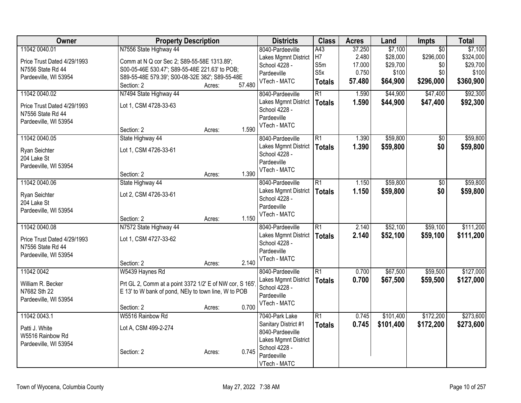| Owner                       | <b>Property Description</b>                             |        | <b>Districts</b>       | <b>Class</b>     | <b>Acres</b> | Land      | Impts           | <b>Total</b> |
|-----------------------------|---------------------------------------------------------|--------|------------------------|------------------|--------------|-----------|-----------------|--------------|
| 11042 0040.01               | N7556 State Highway 44                                  |        | 8040-Pardeeville       | A43              | 37.250       | \$7,100   | $\overline{30}$ | \$7,100      |
| Price Trust Dated 4/29/1993 | Comm at N Q cor Sec 2; S89-55-58E 1313.89';             |        | Lakes Mgmnt District   | H <sub>7</sub>   | 2.480        | \$28,000  | \$296,000       | \$324,000    |
| N7556 State Rd 44           | S00-05-46E 530.47'; S89-55-48E 221.63' to POB;          |        | School 4228 -          | S5m              | 17.000       | \$29,700  | \$0             | \$29,700     |
| Pardeeville, WI 53954       | S89-55-48E 579.39'; S00-08-32E 382'; S89-55-48E         |        | Pardeeville            | S <sub>5</sub> x | 0.750        | \$100     | \$0             | \$100        |
|                             | Section: 2                                              | Acres: | VTech - MATC<br>57.480 | <b>Totals</b>    | 57.480       | \$64,900  | \$296,000       | \$360,900    |
| 11042 0040.02               | N7494 State Highway 44                                  |        | 8040-Pardeeville       | $\overline{R1}$  | 1.590        | \$44,900  | \$47,400        | \$92,300     |
| Price Trust Dated 4/29/1993 | Lot 1, CSM 4728-33-63                                   |        | Lakes Mgmnt District   | <b>Totals</b>    | 1.590        | \$44,900  | \$47,400        | \$92,300     |
| N7556 State Rd 44           |                                                         |        | School 4228 -          |                  |              |           |                 |              |
| Pardeeville, WI 53954       |                                                         |        | Pardeeville            |                  |              |           |                 |              |
|                             | Section: 2                                              | Acres: | VTech - MATC<br>1.590  |                  |              |           |                 |              |
| 11042 0040.05               | State Highway 44                                        |        | 8040-Pardeeville       | $\overline{R1}$  | 1.390        | \$59,800  | \$0             | \$59,800     |
| Ryan Seichter               | Lot 1, CSM 4726-33-61                                   |        | Lakes Mgmnt District   | <b>Totals</b>    | 1.390        | \$59,800  | \$0             | \$59,800     |
| 204 Lake St                 |                                                         |        | School 4228 -          |                  |              |           |                 |              |
| Pardeeville, WI 53954       |                                                         |        | Pardeeville            |                  |              |           |                 |              |
|                             | Section: 2                                              | Acres: | VTech - MATC<br>1.390  |                  |              |           |                 |              |
| 11042 0040.06               | State Highway 44                                        |        | 8040-Pardeeville       | R1               | 1.150        | \$59,800  | \$0             | \$59,800     |
| Ryan Seichter               | Lot 2, CSM 4726-33-61                                   |        | Lakes Mgmnt District   | <b>Totals</b>    | 1.150        | \$59,800  | \$0             | \$59,800     |
| 204 Lake St                 |                                                         |        | School 4228 -          |                  |              |           |                 |              |
| Pardeeville, WI 53954       |                                                         |        | Pardeeville            |                  |              |           |                 |              |
|                             | Section: 2                                              | Acres: | VTech - MATC<br>1.150  |                  |              |           |                 |              |
| 11042 0040.08               | N7572 State Highway 44                                  |        | 8040-Pardeeville       | R <sub>1</sub>   | 2.140        | \$52,100  | \$59,100        | \$111,200    |
| Price Trust Dated 4/29/1993 | Lot 1, CSM 4727-33-62                                   |        | Lakes Mgmnt District   | <b>Totals</b>    | 2.140        | \$52,100  | \$59,100        | \$111,200    |
| N7556 State Rd 44           |                                                         |        | School 4228 -          |                  |              |           |                 |              |
| Pardeeville, WI 53954       |                                                         |        | Pardeeville            |                  |              |           |                 |              |
|                             | Section: 2                                              | Acres: | VTech - MATC<br>2.140  |                  |              |           |                 |              |
| 11042 0042                  | W5439 Haynes Rd                                         |        | 8040-Pardeeville       | R1               | 0.700        | \$67,500  | \$59,500        | \$127,000    |
| William R. Becker           | Prt GL 2, Comm at a point 3372 1/2' E of NW cor, S 165' |        | Lakes Mgmnt District   | <b>Totals</b>    | 0.700        | \$67,500  | \$59,500        | \$127,000    |
| N7682 Sth 22                | E 13' to W bank of pond, NEly to town line, W to POB    |        | School 4228 -          |                  |              |           |                 |              |
| Pardeeville, WI 53954       |                                                         |        | Pardeeville            |                  |              |           |                 |              |
|                             | Section: 2                                              | Acres: | VTech - MATC<br>0.700  |                  |              |           |                 |              |
| 11042 0043.1                | W5516 Rainbow Rd                                        |        | 7040-Park Lake         | $\overline{R1}$  | 0.745        | \$101,400 | \$172,200       | \$273,600    |
| Patti J. White              | Lot A, CSM 499-2-274                                    |        | Sanitary District #1   | <b>Totals</b>    | 0.745        | \$101,400 | \$172,200       | \$273,600    |
| W5516 Rainbow Rd            |                                                         |        | 8040-Pardeeville       |                  |              |           |                 |              |
| Pardeeville, WI 53954       |                                                         |        | Lakes Mgmnt District   |                  |              |           |                 |              |
|                             | Section: 2                                              | Acres: | School 4228 -<br>0.745 |                  |              |           |                 |              |
|                             |                                                         |        | Pardeeville            |                  |              |           |                 |              |
|                             |                                                         |        | VTech - MATC           |                  |              |           |                 |              |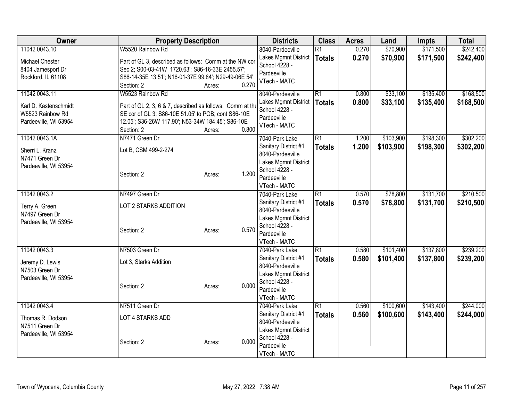| Owner                 | <b>Property Description</b>                               |                 | <b>Districts</b>               | <b>Class</b>    | <b>Acres</b> | Land      | <b>Impts</b> | <b>Total</b> |
|-----------------------|-----------------------------------------------------------|-----------------|--------------------------------|-----------------|--------------|-----------|--------------|--------------|
| 11042 0043.10         | W5520 Rainbow Rd                                          |                 | 8040-Pardeeville               | R <sub>1</sub>  | 0.270        | \$70,900  | \$171,500    | \$242,400    |
| Michael Chester       | Part of GL 3, described as follows: Comm at the NW cor    |                 | Lakes Mgmnt District           | <b>Totals</b>   | 0.270        | \$70,900  | \$171,500    | \$242,400    |
| 8404 Jamesport Dr     | Sec 2; S00-03-41W 1720.63'; S86-16-33E 2455.57';          |                 | School 4228 -                  |                 |              |           |              |              |
| Rockford, IL 61108    | S86-14-35E 13.51'; N16-01-37E 99.84'; N29-49-06E 54'      |                 | Pardeeville                    |                 |              |           |              |              |
|                       | Section: 2                                                | 0.270<br>Acres: | VTech - MATC                   |                 |              |           |              |              |
| 11042 0043.11         | W5523 Rainbow Rd                                          |                 | 8040-Pardeeville               | $\overline{R1}$ | 0.800        | \$33,100  | \$135,400    | \$168,500    |
| Karl D. Kastenschmidt | Part of GL 2, 3, 6 & 7, described as follows: Comm at the |                 | Lakes Mgmnt District           | Totals          | 0.800        | \$33,100  | \$135,400    | \$168,500    |
| W5523 Rainbow Rd      | SE cor of GL 3; S86-10E 51.05' to POB; cont S86-10E       |                 | School 4228 -                  |                 |              |           |              |              |
| Pardeeville, WI 53954 | 12.05'; S36-26W 117.90'; N53-34W 184.45'; S86-10E         |                 | Pardeeville                    |                 |              |           |              |              |
|                       | Section: 2                                                | 0.800<br>Acres: | VTech - MATC                   |                 |              |           |              |              |
| 11042 0043.1A         | N7471 Green Dr                                            |                 | 7040-Park Lake                 | $\overline{R1}$ | 1.200        | \$103,900 | \$198,300    | \$302,200    |
| Sherri L. Kranz       | Lot B, CSM 499-2-274                                      |                 | Sanitary District #1           | <b>Totals</b>   | 1.200        | \$103,900 | \$198,300    | \$302,200    |
| N7471 Green Dr        |                                                           |                 | 8040-Pardeeville               |                 |              |           |              |              |
| Pardeeville, WI 53954 |                                                           |                 | Lakes Mgmnt District           |                 |              |           |              |              |
|                       | Section: 2                                                | 1.200<br>Acres: | School 4228 -                  |                 |              |           |              |              |
|                       |                                                           |                 | Pardeeville                    |                 |              |           |              |              |
| 11042 0043.2          | N7497 Green Dr                                            |                 | VTech - MATC<br>7040-Park Lake | $\overline{R1}$ | 0.570        | \$78,800  | \$131,700    | \$210,500    |
|                       |                                                           |                 | Sanitary District #1           |                 | 0.570        | \$78,800  | \$131,700    | \$210,500    |
| Terry A. Green        | LOT 2 STARKS ADDITION                                     |                 | 8040-Pardeeville               | <b>Totals</b>   |              |           |              |              |
| N7497 Green Dr        |                                                           |                 | Lakes Mgmnt District           |                 |              |           |              |              |
| Pardeeville, WI 53954 |                                                           |                 | School 4228 -                  |                 |              |           |              |              |
|                       | Section: 2                                                | 0.570<br>Acres: | Pardeeville                    |                 |              |           |              |              |
|                       |                                                           |                 | VTech - MATC                   |                 |              |           |              |              |
| 11042 0043.3          | N7503 Green Dr                                            |                 | 7040-Park Lake                 | $\overline{R1}$ | 0.580        | \$101,400 | \$137,800    | \$239,200    |
| Jeremy D. Lewis       | Lot 3, Starks Addition                                    |                 | Sanitary District #1           | <b>Totals</b>   | 0.580        | \$101,400 | \$137,800    | \$239,200    |
| N7503 Green Dr        |                                                           |                 | 8040-Pardeeville               |                 |              |           |              |              |
| Pardeeville, WI 53954 |                                                           |                 | Lakes Mgmnt District           |                 |              |           |              |              |
|                       | Section: 2                                                | 0.000<br>Acres: | School 4228 -                  |                 |              |           |              |              |
|                       |                                                           |                 | Pardeeville<br>VTech - MATC    |                 |              |           |              |              |
| 11042 0043.4          | N7511 Green Dr                                            |                 | 7040-Park Lake                 | $\overline{R1}$ | 0.560        | \$100,600 | \$143,400    | \$244,000    |
|                       |                                                           |                 | Sanitary District #1           | <b>Totals</b>   | 0.560        | \$100,600 | \$143,400    | \$244,000    |
| Thomas R. Dodson      | LOT 4 STARKS ADD                                          |                 | 8040-Pardeeville               |                 |              |           |              |              |
| N7511 Green Dr        |                                                           |                 | Lakes Mgmnt District           |                 |              |           |              |              |
| Pardeeville, WI 53954 |                                                           | 0.000           | School 4228 -                  |                 |              |           |              |              |
|                       | Section: 2                                                | Acres:          | Pardeeville                    |                 |              |           |              |              |
|                       |                                                           |                 | VTech - MATC                   |                 |              |           |              |              |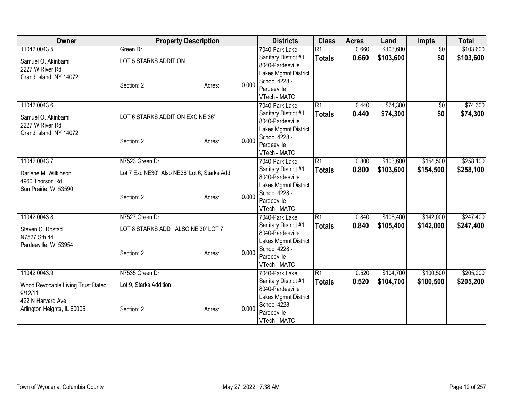| Owner                             | <b>Property Description</b>                   |        |       | <b>Districts</b>                         | <b>Class</b>    | <b>Acres</b> | Land      | <b>Impts</b>    | <b>Total</b> |
|-----------------------------------|-----------------------------------------------|--------|-------|------------------------------------------|-----------------|--------------|-----------|-----------------|--------------|
| 11042 0043.5                      | Green Dr                                      |        |       | 7040-Park Lake                           | $\overline{R1}$ | 0.660        | \$103,600 | $\overline{50}$ | \$103,600    |
| Samuel O. Akinbami                | LOT 5 STARKS ADDITION                         |        |       | Sanitary District #1                     | <b>Totals</b>   | 0.660        | \$103,600 | \$0             | \$103,600    |
| 2227 W River Rd                   |                                               |        |       | 8040-Pardeeville                         |                 |              |           |                 |              |
| Grand Island, NY 14072            |                                               |        |       | Lakes Mgmnt District                     |                 |              |           |                 |              |
|                                   | Section: 2                                    | Acres: | 0.000 | School 4228 -                            |                 |              |           |                 |              |
|                                   |                                               |        |       | Pardeeville                              |                 |              |           |                 |              |
|                                   |                                               |        |       | VTech - MATC                             |                 |              |           |                 |              |
| 11042 0043.6                      |                                               |        |       | 7040-Park Lake                           | $\overline{R1}$ | 0.440        | \$74,300  | \$0             | \$74,300     |
| Samuel O. Akinbami                | LOT 6 STARKS ADDITION EXC NE 36'              |        |       | Sanitary District #1<br>8040-Pardeeville | <b>Totals</b>   | 0.440        | \$74,300  | \$0             | \$74,300     |
| 2227 W River Rd                   |                                               |        |       | Lakes Mgmnt District                     |                 |              |           |                 |              |
| Grand Island, NY 14072            |                                               |        |       | School 4228 -                            |                 |              |           |                 |              |
|                                   | Section: 2                                    | Acres: | 0.000 | Pardeeville                              |                 |              |           |                 |              |
|                                   |                                               |        |       | VTech - MATC                             |                 |              |           |                 |              |
| 11042 0043.7                      | N7523 Green Dr                                |        |       | 7040-Park Lake                           | $\overline{R1}$ | 0.800        | \$103,600 | \$154,500       | \$258,100    |
|                                   |                                               |        |       | Sanitary District #1                     | <b>Totals</b>   | 0.800        | \$103,600 | \$154,500       | \$258,100    |
| Darlene M. Wilkinson              | Lot 7 Exc NE30', Also NE36' Lot 6, Starks Add |        |       | 8040-Pardeeville                         |                 |              |           |                 |              |
| 4960 Thorson Rd                   |                                               |        |       | Lakes Mgmnt District                     |                 |              |           |                 |              |
| Sun Prairie, WI 53590             |                                               |        |       | School 4228 -                            |                 |              |           |                 |              |
|                                   | Section: 2                                    | Acres: | 0.000 | Pardeeville                              |                 |              |           |                 |              |
|                                   |                                               |        |       | VTech - MATC                             |                 |              |           |                 |              |
| 11042 0043.8                      | N7527 Green Dr                                |        |       | 7040-Park Lake                           | $\overline{R1}$ | 0.840        | \$105,400 | \$142,000       | \$247,400    |
| Steven C. Rostad                  | LOT 8 STARKS ADD ALSO NE 30' LOT 7            |        |       | Sanitary District #1                     | <b>Totals</b>   | 0.840        | \$105,400 | \$142,000       | \$247,400    |
| N7527 Sth 44                      |                                               |        |       | 8040-Pardeeville                         |                 |              |           |                 |              |
| Pardeeville, WI 53954             |                                               |        |       | Lakes Mgmnt District                     |                 |              |           |                 |              |
|                                   | Section: 2                                    | Acres: | 0.000 | School 4228 -                            |                 |              |           |                 |              |
|                                   |                                               |        |       | Pardeeville                              |                 |              |           |                 |              |
|                                   |                                               |        |       | VTech - MATC                             |                 |              |           |                 |              |
| 11042 0043.9                      | N7535 Green Dr                                |        |       | 7040-Park Lake                           | $\overline{R1}$ | 0.520        | \$104,700 | \$100,500       | \$205,200    |
| Wood Revocable Living Trust Dated | Lot 9, Starks Addition                        |        |       | Sanitary District #1<br>8040-Pardeeville | <b>Totals</b>   | 0.520        | \$104,700 | \$100,500       | \$205,200    |
| 9/12/11                           |                                               |        |       |                                          |                 |              |           |                 |              |
| 422 N Harvard Ave                 |                                               |        |       | Lakes Mgmnt District<br>School 4228 -    |                 |              |           |                 |              |
| Arlington Heights, IL 60005       | Section: 2                                    | Acres: | 0.000 | Pardeeville                              |                 |              |           |                 |              |
|                                   |                                               |        |       | VTech - MATC                             |                 |              |           |                 |              |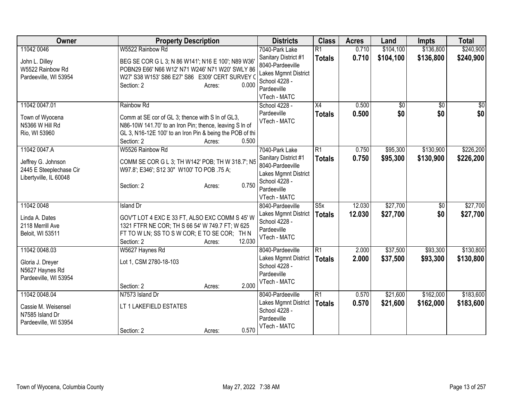| Owner                                                                                   | <b>Property Description</b>                                                                                                                                                                                            | <b>Districts</b>                                                                                                                   | <b>Class</b>                             | <b>Acres</b>     | Land                   | <b>Impts</b>           | <b>Total</b>           |
|-----------------------------------------------------------------------------------------|------------------------------------------------------------------------------------------------------------------------------------------------------------------------------------------------------------------------|------------------------------------------------------------------------------------------------------------------------------------|------------------------------------------|------------------|------------------------|------------------------|------------------------|
| 11042 0046<br>John L. Dilley<br>W5522 Rainbow Rd<br>Pardeeville, WI 53954               | W5522 Rainbow Rd<br>BEG SE COR G L 3; N 86 W141'; N16 E 100'; N89 W36'<br>POBN29 E66' N66 W12' N71 W246' N71 W20' SWLY 86<br>W27' S38 W153' S86 E27' S86 E309' CERT SURVEY (<br>Section: 2<br>0.000<br>Acres:          | 7040-Park Lake<br>Sanitary District #1<br>8040-Pardeeville<br>Lakes Mgmnt District<br>School 4228 -<br>Pardeeville                 | $\overline{R1}$<br><b>Totals</b>         | 0.710<br>0.710   | \$104,100<br>\$104,100 | \$136,800<br>\$136,800 | \$240,900<br>\$240,900 |
| 11042 0047.01<br>Town of Wyocena<br>N5366 W Hill Rd<br>Rio, WI 53960                    | Rainbow Rd<br>Comm at SE cor of GL 3; thence with S In of GL3,<br>N86-10W 141.70' to an Iron Pin; thence, leaving S In of<br>GL 3, N16-12E 100' to an Iron Pin & being the POB of thi<br>Section: 2<br>0.500<br>Acres: | VTech - MATC<br>School 4228 -<br>Pardeeville<br>VTech - MATC                                                                       | X4<br><b>Totals</b>                      | 0.500<br>0.500   | $\sqrt{6}$<br>\$0      | $\overline{50}$<br>\$0 | \$0<br>\$0             |
| 11042 0047.A<br>Jeffrey G. Johnson<br>2445 E Steeplechase Cir<br>Libertyville, IL 60048 | W5526 Rainbow Rd<br>COMM SE COR G L 3; TH W142' POB; TH W 318.7'; N5<br>W97.8'; E346'; S12 30" W100' TO POB .75 A;<br>0.750<br>Section: 2<br>Acres:                                                                    | 7040-Park Lake<br>Sanitary District #1<br>8040-Pardeeville<br>Lakes Mgmnt District<br>School 4228 -<br>Pardeeville<br>VTech - MATC | $\overline{R1}$<br><b>Totals</b>         | 0.750<br>0.750   | \$95,300<br>\$95,300   | \$130,900<br>\$130,900 | \$226,200<br>\$226,200 |
| 11042 0048<br>Linda A. Dates<br>2118 Merrill Ave<br>Beloit, WI 53511                    | <b>Island Dr</b><br>GOV'T LOT 4 EXC E 33 FT, ALSO EXC COMM S 45' W<br>1321 FTFR NE COR; TH S 66 54' W 749.7 FT; W 625<br>FT TO W LN; SS TO S W COR; E TO SE COR; TH N<br>12.030<br>Section: 2<br>Acres:                | 8040-Pardeeville<br>Lakes Mgmnt District<br>School 4228 -<br>Pardeeville<br>VTech - MATC                                           | $\overline{\text{S5x}}$<br><b>Totals</b> | 12.030<br>12.030 | \$27,700<br>\$27,700   | $\overline{50}$<br>\$0 | \$27,700<br>\$27,700   |
| 11042 0048.03<br>Gloria J. Dreyer<br>N5627 Haynes Rd<br>Pardeeville, WI 53954           | W5627 Haynes Rd<br>Lot 1, CSM 2780-18-103<br>2.000<br>Section: 2<br>Acres:                                                                                                                                             | 8040-Pardeeville<br>Lakes Mgmnt District<br>School 4228 -<br>Pardeeville<br>VTech - MATC                                           | $\overline{R1}$<br><b>Totals</b>         | 2.000<br>2.000   | \$37,500<br>\$37,500   | \$93,300<br>\$93,300   | \$130,800<br>\$130,800 |
| 11042 0048.04<br>Cassie M. Weisensel<br>N7585 Island Dr<br>Pardeeville, WI 53954        | N7573 Island Dr<br>LT 1 LAKEFIELD ESTATES<br>0.570<br>Section: 2<br>Acres:                                                                                                                                             | 8040-Pardeeville<br>Lakes Mgmnt District<br>School 4228 -<br>Pardeeville<br>VTech - MATC                                           | $\overline{R1}$<br><b>Totals</b>         | 0.570<br>0.570   | \$21,600<br>\$21,600   | \$162,000<br>\$162,000 | \$183,600<br>\$183,600 |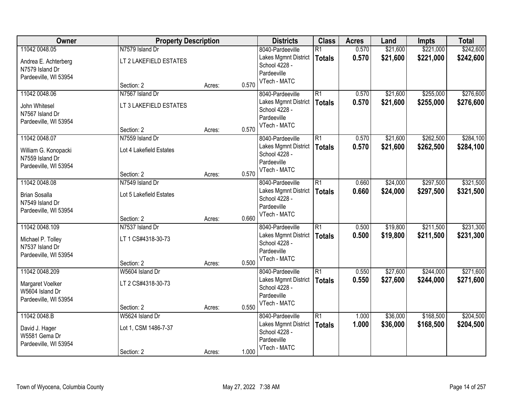| Owner                 | <b>Property Description</b> |        |       | <b>Districts</b>             | <b>Class</b>    | <b>Acres</b> | Land     | <b>Impts</b> | <b>Total</b> |
|-----------------------|-----------------------------|--------|-------|------------------------------|-----------------|--------------|----------|--------------|--------------|
| 11042 0048.05         | N7579 Island Dr             |        |       | 8040-Pardeeville             | $\overline{R1}$ | 0.570        | \$21,600 | \$221,000    | \$242,600    |
| Andrea E. Achterberg  | LT 2 LAKEFIELD ESTATES      |        |       | Lakes Mgmnt District         | <b>Totals</b>   | 0.570        | \$21,600 | \$221,000    | \$242,600    |
| N7579 Island Dr       |                             |        |       | School 4228 -                |                 |              |          |              |              |
| Pardeeville, WI 53954 |                             |        |       | Pardeeville<br>VTech - MATC  |                 |              |          |              |              |
|                       | Section: 2                  | Acres: | 0.570 |                              |                 |              |          |              |              |
| 11042 0048.06         | N7567 Island Dr             |        |       | 8040-Pardeeville             | $\overline{R1}$ | 0.570        | \$21,600 | \$255,000    | \$276,600    |
| John Whitesel         | LT 3 LAKEFIELD ESTATES      |        |       | Lakes Mgmnt District         | <b>Totals</b>   | 0.570        | \$21,600 | \$255,000    | \$276,600    |
| N7567 Island Dr       |                             |        |       | School 4228 -<br>Pardeeville |                 |              |          |              |              |
| Pardeeville, WI 53954 |                             |        |       | VTech - MATC                 |                 |              |          |              |              |
|                       | Section: 2                  | Acres: | 0.570 |                              |                 |              |          |              |              |
| 11042 0048.07         | N7559 Island Dr             |        |       | 8040-Pardeeville             | $\overline{R1}$ | 0.570        | \$21,600 | \$262,500    | \$284,100    |
| William G. Konopacki  | Lot 4 Lakefield Estates     |        |       | Lakes Mgmnt District         | <b>Totals</b>   | 0.570        | \$21,600 | \$262,500    | \$284,100    |
| N7559 Island Dr       |                             |        |       | School 4228 -<br>Pardeeville |                 |              |          |              |              |
| Pardeeville, WI 53954 |                             |        |       | VTech - MATC                 |                 |              |          |              |              |
|                       | Section: 2                  | Acres: | 0.570 |                              |                 |              |          |              |              |
| 11042 0048.08         | N7549 Island Dr             |        |       | 8040-Pardeeville             | $\overline{R1}$ | 0.660        | \$24,000 | \$297,500    | \$321,500    |
| <b>Brian Sosalla</b>  | Lot 5 Lakefield Estates     |        |       | Lakes Mgmnt District         | <b>Totals</b>   | 0.660        | \$24,000 | \$297,500    | \$321,500    |
| N7549 Island Dr       |                             |        |       | School 4228 -<br>Pardeeville |                 |              |          |              |              |
| Pardeeville, WI 53954 |                             |        |       | VTech - MATC                 |                 |              |          |              |              |
|                       | Section: 2                  | Acres: | 0.660 |                              |                 |              |          |              |              |
| 11042 0048.109        | N7537 Island Dr             |        |       | 8040-Pardeeville             | $\overline{R1}$ | 0.500        | \$19,800 | \$211,500    | \$231,300    |
| Michael P. Tolley     | LT 1 CS#4318-30-73          |        |       | Lakes Mgmnt District         | <b>Totals</b>   | 0.500        | \$19,800 | \$211,500    | \$231,300    |
| N7537 Island Dr       |                             |        |       | School 4228 -<br>Pardeeville |                 |              |          |              |              |
| Pardeeville, WI 53954 |                             |        |       | VTech - MATC                 |                 |              |          |              |              |
|                       | Section: 2                  | Acres: | 0.500 |                              |                 |              |          |              |              |
| 11042 0048.209        | W5604 Island Dr             |        |       | 8040-Pardeeville             | $\overline{R1}$ | 0.550        | \$27,600 | \$244,000    | \$271,600    |
| Margaret Voelker      | LT 2 CS#4318-30-73          |        |       | Lakes Mgmnt District         | <b>Totals</b>   | 0.550        | \$27,600 | \$244,000    | \$271,600    |
| W5604 Island Dr       |                             |        |       | School 4228 -<br>Pardeeville |                 |              |          |              |              |
| Pardeeville, WI 53954 |                             |        |       | VTech - MATC                 |                 |              |          |              |              |
|                       | Section: 2                  | Acres: | 0.550 |                              |                 |              |          |              |              |
| 11042 0048.B          | W5624 Island Dr             |        |       | 8040-Pardeeville             | $\overline{R1}$ | 1.000        | \$36,000 | \$168,500    | \$204,500    |
| David J. Hager        | Lot 1, CSM 1486-7-37        |        |       | Lakes Mgmnt District         | <b>Totals</b>   | 1.000        | \$36,000 | \$168,500    | \$204,500    |
| W5581 Gema Dr         |                             |        |       | School 4228 -<br>Pardeeville |                 |              |          |              |              |
| Pardeeville, WI 53954 |                             |        |       | VTech - MATC                 |                 |              |          |              |              |
|                       | Section: 2                  | Acres: | 1.000 |                              |                 |              |          |              |              |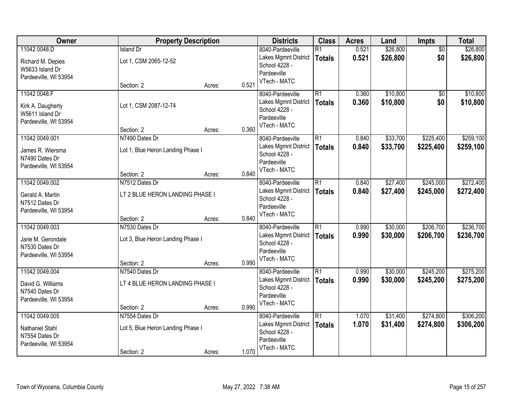| Owner                  | <b>Property Description</b>       |        |       | <b>Districts</b>            | <b>Class</b>    | <b>Acres</b> | Land     | <b>Impts</b>    | <b>Total</b> |
|------------------------|-----------------------------------|--------|-------|-----------------------------|-----------------|--------------|----------|-----------------|--------------|
| 11042 0048.D           | <b>Island Dr</b>                  |        |       | 8040-Pardeeville            | $\overline{R1}$ | 0.521        | \$26,800 | $\overline{50}$ | \$26,800     |
| Richard M. Depies      | Lot 1, CSM 2065-12-52             |        |       | Lakes Mgmnt District        | <b>Totals</b>   | 0.521        | \$26,800 | \$0             | \$26,800     |
| W5633 Island Dr        |                                   |        |       | School 4228 -               |                 |              |          |                 |              |
| Pardeeville, WI 53954  |                                   |        |       | Pardeeville                 |                 |              |          |                 |              |
|                        | Section: 2                        | Acres: | 0.521 | VTech - MATC                |                 |              |          |                 |              |
| 11042 0048.F           |                                   |        |       | 8040-Pardeeville            | $\overline{R1}$ | 0.360        | \$10,800 | \$0             | \$10,800     |
| Kirk A. Daugherty      | Lot 1, CSM 2087-12-74             |        |       | Lakes Mgmnt District        | <b>Totals</b>   | 0.360        | \$10,800 | \$0             | \$10,800     |
| W5611 Island Dr        |                                   |        |       | School 4228 -               |                 |              |          |                 |              |
| Pardeeville, WI 53954  |                                   |        |       | Pardeeville<br>VTech - MATC |                 |              |          |                 |              |
|                        | Section: 2                        | Acres: | 0.360 |                             |                 |              |          |                 |              |
| 11042 0049.001         | N7490 Dates Dr                    |        |       | 8040-Pardeeville            | $\overline{R1}$ | 0.840        | \$33,700 | \$225,400       | \$259,100    |
| James R. Wiersma       | Lot 1, Blue Heron Landing Phase I |        |       | Lakes Mgmnt District        | <b>Totals</b>   | 0.840        | \$33,700 | \$225,400       | \$259,100    |
| N7490 Dates Dr         |                                   |        |       | School 4228 -               |                 |              |          |                 |              |
| Pardeeville, WI 53954  |                                   |        |       | Pardeeville<br>VTech - MATC |                 |              |          |                 |              |
|                        | Section: 2                        | Acres: | 0.840 |                             |                 |              |          |                 |              |
| 11042 0049.002         | N7512 Dates Dr                    |        |       | 8040-Pardeeville            | $\overline{R1}$ | 0.840        | \$27,400 | \$245,000       | \$272,400    |
| Gerald A. Martin       | LT 2 BLUE HERON LANDING PHASE I   |        |       | Lakes Mgmnt District        | <b>Totals</b>   | 0.840        | \$27,400 | \$245,000       | \$272,400    |
| N7512 Dates Dr         |                                   |        |       | School 4228 -               |                 |              |          |                 |              |
| Pardeeville, WI 53954  |                                   |        |       | Pardeeville<br>VTech - MATC |                 |              |          |                 |              |
|                        | Section: 2                        | Acres: | 0.840 |                             |                 |              |          |                 |              |
| 11042 0049.003         | N7530 Dates Dr                    |        |       | 8040-Pardeeville            | $\overline{R1}$ | 0.990        | \$30,000 | \$206,700       | \$236,700    |
| Jane M. Gerondale      | Lot 3, Blue Heron Landing Phase I |        |       | Lakes Mgmnt District        | <b>Totals</b>   | 0.990        | \$30,000 | \$206,700       | \$236,700    |
| N7530 Dates Dr         |                                   |        |       | School 4228 -               |                 |              |          |                 |              |
| Pardeeville, WI 53954  |                                   |        |       | Pardeeville<br>VTech - MATC |                 |              |          |                 |              |
|                        | Section: 2                        | Acres: | 0.990 |                             |                 |              |          |                 |              |
| 11042 0049.004         | N7540 Dates Dr                    |        |       | 8040-Pardeeville            | $\overline{R1}$ | 0.990        | \$30,000 | \$245,200       | \$275,200    |
| David G. Williams      | LT 4 BLUE HERON LANDING PHASE I   |        |       | Lakes Mgmnt District        | <b>Totals</b>   | 0.990        | \$30,000 | \$245,200       | \$275,200    |
| N7540 Dates Dr         |                                   |        |       | School 4228 -               |                 |              |          |                 |              |
| Pardeeville, WI 53954  |                                   |        |       | Pardeeville<br>VTech - MATC |                 |              |          |                 |              |
|                        | Section: 2                        | Acres: | 0.990 |                             |                 |              |          |                 |              |
| 11042 0049.005         | N7554 Dates Dr                    |        |       | 8040-Pardeeville            | $\overline{R1}$ | 1.070        | \$31,400 | \$274,800       | \$306,200    |
| <b>Nathaniel Stahl</b> | Lot 5, Blue Heron Landing Phase I |        |       | Lakes Mgmnt District        | <b>Totals</b>   | 1.070        | \$31,400 | \$274,800       | \$306,200    |
| N7554 Dates Dr         |                                   |        |       | School 4228 -               |                 |              |          |                 |              |
| Pardeeville, WI 53954  |                                   |        |       | Pardeeville<br>VTech - MATC |                 |              |          |                 |              |
|                        | Section: 2                        | Acres: | 1.070 |                             |                 |              |          |                 |              |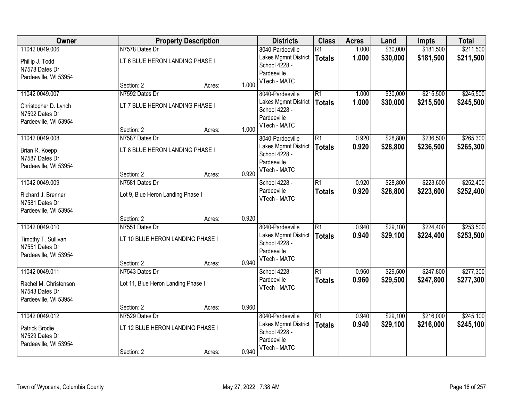| Owner                 |                                    | <b>Property Description</b> |       | <b>Districts</b>            | <b>Class</b>    | <b>Acres</b> | Land     | <b>Impts</b> | <b>Total</b> |
|-----------------------|------------------------------------|-----------------------------|-------|-----------------------------|-----------------|--------------|----------|--------------|--------------|
| 11042 0049.006        | N7578 Dates Dr                     |                             |       | 8040-Pardeeville            | $\overline{R1}$ | 1.000        | \$30,000 | \$181,500    | \$211,500    |
| Phillip J. Todd       | LT 6 BLUE HERON LANDING PHASE I    |                             |       | Lakes Mgmnt District        | <b>Totals</b>   | 1.000        | \$30,000 | \$181,500    | \$211,500    |
| N7578 Dates Dr        |                                    |                             |       | School 4228 -               |                 |              |          |              |              |
| Pardeeville, WI 53954 |                                    |                             |       | Pardeeville                 |                 |              |          |              |              |
|                       | Section: 2                         | Acres:                      | 1.000 | VTech - MATC                |                 |              |          |              |              |
| 11042 0049.007        | N7592 Dates Dr                     |                             |       | 8040-Pardeeville            | $\overline{R1}$ | 1.000        | \$30,000 | \$215,500    | \$245,500    |
| Christopher D. Lynch  | LT 7 BLUE HERON LANDING PHASE I    |                             |       | Lakes Mgmnt District        | <b>Totals</b>   | 1.000        | \$30,000 | \$215,500    | \$245,500    |
| N7592 Dates Dr        |                                    |                             |       | School 4228 -               |                 |              |          |              |              |
| Pardeeville, WI 53954 |                                    |                             |       | Pardeeville<br>VTech - MATC |                 |              |          |              |              |
|                       | Section: 2                         | Acres:                      | 1.000 |                             |                 |              |          |              |              |
| 11042 0049.008        | N7587 Dates Dr                     |                             |       | 8040-Pardeeville            | $\overline{R1}$ | 0.920        | \$28,800 | \$236,500    | \$265,300    |
| Brian R. Koepp        | LT 8 BLUE HERON LANDING PHASE I    |                             |       | Lakes Mgmnt District        | <b>Totals</b>   | 0.920        | \$28,800 | \$236,500    | \$265,300    |
| N7587 Dates Dr        |                                    |                             |       | School 4228 -               |                 |              |          |              |              |
| Pardeeville, WI 53954 |                                    |                             |       | Pardeeville<br>VTech - MATC |                 |              |          |              |              |
|                       | Section: 2                         | Acres:                      | 0.920 |                             |                 |              |          |              |              |
| 11042 0049.009        | N7581 Dates Dr                     |                             |       | School 4228 -               | $\overline{R1}$ | 0.920        | \$28,800 | \$223,600    | \$252,400    |
| Richard J. Brenner    | Lot 9, Blue Heron Landing Phase I  |                             |       | Pardeeville                 | <b>Totals</b>   | 0.920        | \$28,800 | \$223,600    | \$252,400    |
| N7581 Dates Dr        |                                    |                             |       | VTech - MATC                |                 |              |          |              |              |
| Pardeeville, WI 53954 |                                    |                             |       |                             |                 |              |          |              |              |
|                       | Section: 2                         | Acres:                      | 0.920 |                             |                 |              |          |              |              |
| 11042 0049.010        | N7551 Dates Dr                     |                             |       | 8040-Pardeeville            | $\overline{R1}$ | 0.940        | \$29,100 | \$224,400    | \$253,500    |
| Timothy T. Sullivan   | LT 10 BLUE HERON LANDING PHASE I   |                             |       | Lakes Mgmnt District        | <b>Totals</b>   | 0.940        | \$29,100 | \$224,400    | \$253,500    |
| N7551 Dates Dr        |                                    |                             |       | School 4228 -               |                 |              |          |              |              |
| Pardeeville, WI 53954 |                                    |                             |       | Pardeeville<br>VTech - MATC |                 |              |          |              |              |
|                       | Section: 2                         | Acres:                      | 0.940 |                             |                 |              |          |              |              |
| 11042 0049.011        | N7543 Dates Dr                     |                             |       | School 4228 -               | $\overline{R1}$ | 0.960        | \$29,500 | \$247,800    | \$277,300    |
| Rachel M. Christenson | Lot 11, Blue Heron Landing Phase I |                             |       | Pardeeville                 | <b>Totals</b>   | 0.960        | \$29,500 | \$247,800    | \$277,300    |
| N7543 Dates Dr        |                                    |                             |       | VTech - MATC                |                 |              |          |              |              |
| Pardeeville, WI 53954 |                                    |                             |       |                             |                 |              |          |              |              |
|                       | Section: 2                         | Acres:                      | 0.960 |                             |                 |              |          |              |              |
| 11042 0049.012        | N7529 Dates Dr                     |                             |       | 8040-Pardeeville            | $\overline{R1}$ | 0.940        | \$29,100 | \$216,000    | \$245,100    |
| Patrick Brodie        | LT 12 BLUE HERON LANDING PHASE I   |                             |       | Lakes Mgmnt District        | <b>Totals</b>   | 0.940        | \$29,100 | \$216,000    | \$245,100    |
| N7529 Dates Dr        |                                    |                             |       | School 4228 -               |                 |              |          |              |              |
| Pardeeville, WI 53954 |                                    |                             |       | Pardeeville<br>VTech - MATC |                 |              |          |              |              |
|                       | Section: 2                         | Acres:                      | 0.940 |                             |                 |              |          |              |              |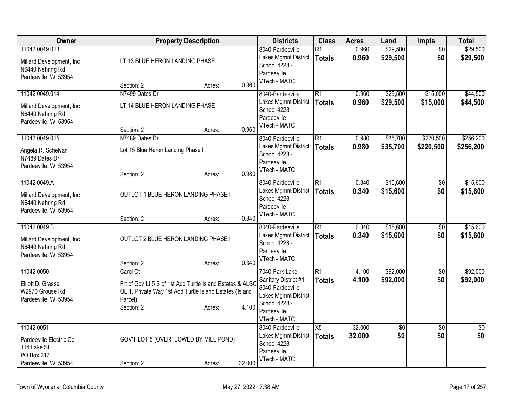| Owner                                                                                       | <b>Property Description</b>                                                                                                                                                  | <b>Districts</b>                                                                                                                   | <b>Class</b>                     | <b>Acres</b>     | Land                 | Impts                  | <b>Total</b>           |
|---------------------------------------------------------------------------------------------|------------------------------------------------------------------------------------------------------------------------------------------------------------------------------|------------------------------------------------------------------------------------------------------------------------------------|----------------------------------|------------------|----------------------|------------------------|------------------------|
| 11042 0049.013<br>Millard Development, Inc<br>N6440 Nehring Rd<br>Pardeeville, WI 53954     | LT 13 BLUE HERON LANDING PHASE I                                                                                                                                             | 8040-Pardeeville<br>Lakes Mgmnt District<br>School 4228 -<br>Pardeeville<br>VTech - MATC                                           | $\overline{R1}$<br><b>Totals</b> | 0.960<br>0.960   | \$29,500<br>\$29,500 | $\overline{50}$<br>\$0 | \$29,500<br>\$29,500   |
|                                                                                             | 0.960<br>Section: 2<br>Acres:                                                                                                                                                |                                                                                                                                    |                                  |                  |                      |                        |                        |
| 11042 0049.014<br>Millard Development, Inc<br>N6440 Nehring Rd<br>Pardeeville, WI 53954     | N7499 Dates Dr<br>LT 14 BLUE HERON LANDING PHASE I<br>0.960<br>Section: 2<br>Acres:                                                                                          | 8040-Pardeeville<br>Lakes Mgmnt District<br>School 4228 -<br>Pardeeville<br>VTech - MATC                                           | $\overline{R1}$<br><b>Totals</b> | 0.960<br>0.960   | \$29,500<br>\$29,500 | \$15,000<br>\$15,000   | \$44,500<br>\$44,500   |
| 11042 0049.015<br>Angela R. Schelvan<br>N7489 Dates Dr<br>Pardeeville, WI 53954             | N7489 Dates Dr<br>Lot 15 Blue Heron Landing Phase I<br>0.980<br>Section: 2<br>Acres:                                                                                         | 8040-Pardeeville<br>Lakes Mgmnt District<br>School 4228 -<br>Pardeeville<br>VTech - MATC                                           | $\overline{R1}$<br><b>Totals</b> | 0.980<br>0.980   | \$35,700<br>\$35,700 | \$220,500<br>\$220,500 | \$256,200<br>\$256,200 |
| 11042 0049.A<br>Millard Development, Inc<br>N6440 Nehring Rd<br>Pardeeville, WI 53954       | OUTLOT 1 BLUE HERON LANDING PHASE I<br>0.340<br>Section: 2<br>Acres:                                                                                                         | 8040-Pardeeville<br>Lakes Mgmnt District<br>School 4228 -<br>Pardeeville<br>VTech - MATC                                           | $\overline{R1}$<br><b>Totals</b> | 0.340<br>0.340   | \$15,600<br>\$15,600 | $\overline{50}$<br>\$0 | \$15,600<br>\$15,600   |
| 11042 0049.B<br>Millard Development, Inc<br>N6440 Nehring Rd<br>Pardeeville, WI 53954       | OUTLOT 2 BLUE HERON LANDING PHASE I<br>0.340<br>Section: 2<br>Acres:                                                                                                         | 8040-Pardeeville<br>Lakes Mgmnt District<br>School 4228 -<br>Pardeeville<br>VTech - MATC                                           | $\overline{R1}$<br><b>Totals</b> | 0.340<br>0.340   | \$15,600<br>\$15,600 | \$0<br>\$0             | \$15,600<br>\$15,600   |
| 11042 0050<br>Elliott D. Grasse<br>W2970 Grouse Rd<br>Pardeeville, WI 53954                 | Carol Ct<br>Prt of Gov Lt 5 S of 1st Add Turtle Island Estates & ALSO<br>OL 1, Private Way 1st Add Turtle Island Estates (Island<br>Parcel)<br>4.100<br>Section: 2<br>Acres: | 7040-Park Lake<br>Sanitary District #1<br>8040-Pardeeville<br>Lakes Mgmnt District<br>School 4228 -<br>Pardeeville<br>VTech - MATC | $\overline{R1}$<br><b>Totals</b> | 4.100<br>4.100   | \$92,000<br>\$92,000 | $\overline{50}$<br>\$0 | \$92,000<br>\$92,000   |
| 11042 0051<br>Pardeeville Electric Co<br>114 Lake St<br>PO Box 217<br>Pardeeville, WI 53954 | GOV'T LOT 5 (OVERFLOWED BY MILL POND)<br>32.000<br>Section: 2<br>Acres:                                                                                                      | 8040-Pardeeville<br>Lakes Mgmnt District<br>School 4228 -<br>Pardeeville<br>VTech - MATC                                           | X5<br><b>Totals</b>              | 32.000<br>32.000 | \$0<br>\$0           | $\overline{50}$<br>\$0 | $\overline{50}$<br>\$0 |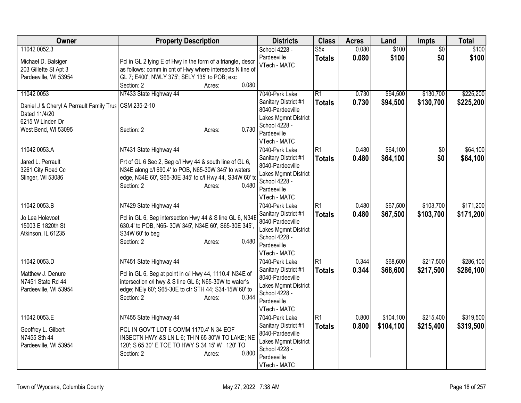| Owner                                                                                                                             | <b>Property Description</b>                                                                                                                                                                                                            | <b>Districts</b>                                                                                                                   | <b>Class</b>                     | <b>Acres</b>   | Land                   | Impts                  | <b>Total</b>           |
|-----------------------------------------------------------------------------------------------------------------------------------|----------------------------------------------------------------------------------------------------------------------------------------------------------------------------------------------------------------------------------------|------------------------------------------------------------------------------------------------------------------------------------|----------------------------------|----------------|------------------------|------------------------|------------------------|
| 11042 0052.3<br>Michael D. Balsiger<br>203 Gillette St Apt 3<br>Pardeeville, WI 53954                                             | Pcl in GL 2 lying E of Hwy in the form of a triangle, descr<br>as follows: comm in cnt of Hwy where intersects N line of<br>GL 7; E400'; NWLY 375'; SELY 135' to POB; exc<br>0.080<br>Section: 2<br>Acres:                             | School 4228 -<br>Pardeeville<br>VTech - MATC                                                                                       | S5x<br><b>Totals</b>             | 0.080<br>0.080 | \$100<br>\$100         | \$0<br>\$0             | \$100<br>\$100         |
| 11042 0053<br>Daniel J & Cheryl A Perrault Family Trus   CSM 235-2-10<br>Dated 11/4/20<br>6215 W Linden Dr<br>West Bend, WI 53095 | N7433 State Highway 44<br>0.730<br>Section: 2<br>Acres:                                                                                                                                                                                | 7040-Park Lake<br>Sanitary District #1<br>8040-Pardeeville<br>Lakes Mgmnt District<br>School 4228 -<br>Pardeeville<br>VTech - MATC | $\overline{R1}$<br><b>Totals</b> | 0.730<br>0.730 | \$94,500<br>\$94,500   | \$130,700<br>\$130,700 | \$225,200<br>\$225,200 |
| 11042 0053.A<br>Jared L. Perrault<br>3261 City Road Cc<br>Slinger, WI 53086                                                       | N7431 State Highway 44<br>Prt of GL 6 Sec 2, Beg c/l Hwy 44 & south line of GL 6,<br>N34E along c/l 690.4' to POB, N65-30W 345' to waters<br>edge, N34E 60', S65-30E 345' to c/l Hwy 44, S34W 60' to<br>0.480<br>Section: 2<br>Acres:  | 7040-Park Lake<br>Sanitary District #1<br>8040-Pardeeville<br>Lakes Mgmnt District<br>School 4228 -<br>Pardeeville<br>VTech - MATC | $\overline{R1}$<br><b>Totals</b> | 0.480<br>0.480 | \$64,100<br>\$64,100   | $\overline{50}$<br>\$0 | \$64,100<br>\$64,100   |
| 11042 0053.B<br>Jo Lea Holevoet<br>15003 E 1820th St<br>Atkinson, IL 61235                                                        | N7429 State Highway 44<br>Pcl in GL 6, Beg intersection Hwy 44 & S line GL 6, N34E<br>630.4' to POB, N65-30W 345', N34E 60', S65-30E 345',<br>S34W 60' to beg<br>0.480<br>Section: 2<br>Acres:                                         | 7040-Park Lake<br>Sanitary District #1<br>8040-Pardeeville<br>Lakes Mgmnt District<br>School 4228 -<br>Pardeeville<br>VTech - MATC | $\overline{R1}$<br><b>Totals</b> | 0.480<br>0.480 | \$67,500<br>\$67,500   | \$103,700<br>\$103,700 | \$171,200<br>\$171,200 |
| 11042 0053.D<br>Matthew J. Denure<br>N7451 State Rd 44<br>Pardeeville, WI 53954                                                   | N7451 State Highway 44<br>Pcl in GL 6, Beg at point in c/l Hwy 44, 1110.4' N34E of<br>intersection c/l hwy & S line GL 6; N65-30W to water's<br>edge; NEIy 60'; S65-30E to ctr STH 44; S34-15W 60' to<br>0.344<br>Section: 2<br>Acres: | 7040-Park Lake<br>Sanitary District #1<br>8040-Pardeeville<br>Lakes Mgmnt District<br>School 4228 -<br>Pardeeville<br>VTech - MATC | $\overline{R1}$<br><b>Totals</b> | 0.344<br>0.344 | \$68,600<br>\$68,600   | \$217,500<br>\$217,500 | \$286,100<br>\$286,100 |
| 11042 0053.E<br>Geoffrey L. Gilbert<br>N7455 Sth 44<br>Pardeeville, WI 53954                                                      | N7455 State Highway 44<br>PCL IN GOV'T LOT 6 COMM 1170.4' N 34 EOF<br>INSECTN HWY &S LN L 6; TH N 65 30'W TO LAKE; NE<br>120'; S 65 30" E TOE TO HWY S 34 15' W 120' TO<br>0.800<br>Section: 2<br>Acres:                               | 7040-Park Lake<br>Sanitary District #1<br>8040-Pardeeville<br>Lakes Mgmnt District<br>School 4228 -<br>Pardeeville<br>VTech - MATC | $\overline{R1}$<br><b>Totals</b> | 0.800<br>0.800 | \$104,100<br>\$104,100 | \$215,400<br>\$215,400 | \$319,500<br>\$319,500 |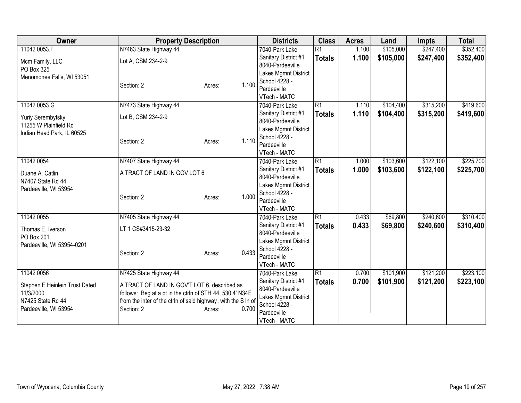| <b>Owner</b>                   | <b>Property Description</b>                                   |                 | <b>Districts</b>                         | <b>Class</b>    | <b>Acres</b> | Land      | <b>Impts</b> | <b>Total</b> |
|--------------------------------|---------------------------------------------------------------|-----------------|------------------------------------------|-----------------|--------------|-----------|--------------|--------------|
| 11042 0053.F                   | N7463 State Highway 44                                        |                 | 7040-Park Lake                           | $\overline{R1}$ | 1.100        | \$105,000 | \$247,400    | \$352,400    |
| Mcm Family, LLC                | Lot A, CSM 234-2-9                                            |                 | Sanitary District #1                     | <b>Totals</b>   | 1.100        | \$105,000 | \$247,400    | \$352,400    |
| PO Box 325                     |                                                               |                 | 8040-Pardeeville                         |                 |              |           |              |              |
| Menomonee Falls, WI 53051      |                                                               |                 | Lakes Mgmnt District                     |                 |              |           |              |              |
|                                | Section: 2                                                    | 1.100<br>Acres: | School 4228 -                            |                 |              |           |              |              |
|                                |                                                               |                 | Pardeeville                              |                 |              |           |              |              |
|                                |                                                               |                 | VTech - MATC                             |                 |              |           |              |              |
| 11042 0053.G                   | N7473 State Highway 44                                        |                 | 7040-Park Lake                           | $\overline{R1}$ | 1.110        | \$104,400 | \$315,200    | \$419,600    |
| Yuriy Serembytsky              | Lot B, CSM 234-2-9                                            |                 | Sanitary District #1                     | <b>Totals</b>   | 1.110        | \$104,400 | \$315,200    | \$419,600    |
| 11255 W Plainfield Rd          |                                                               |                 | 8040-Pardeeville                         |                 |              |           |              |              |
| Indian Head Park, IL 60525     |                                                               |                 | Lakes Mgmnt District<br>School 4228 -    |                 |              |           |              |              |
|                                | Section: 2                                                    | 1.110<br>Acres: | Pardeeville                              |                 |              |           |              |              |
|                                |                                                               |                 | VTech - MATC                             |                 |              |           |              |              |
| 11042 0054                     | N7407 State Highway 44                                        |                 | 7040-Park Lake                           | $\overline{R1}$ | 1.000        | \$103,600 | \$122,100    | \$225,700    |
|                                |                                                               |                 | Sanitary District #1                     | <b>Totals</b>   | 1.000        | \$103,600 | \$122,100    | \$225,700    |
| Duane A. Catlin                | A TRACT OF LAND IN GOV LOT 6                                  |                 | 8040-Pardeeville                         |                 |              |           |              |              |
| N7407 State Rd 44              |                                                               |                 | Lakes Mgmnt District                     |                 |              |           |              |              |
| Pardeeville, WI 53954          |                                                               |                 | School 4228 -                            |                 |              |           |              |              |
|                                | Section: 2                                                    | 1.000<br>Acres: | Pardeeville                              |                 |              |           |              |              |
|                                |                                                               |                 | VTech - MATC                             |                 |              |           |              |              |
| 11042 0055                     | N7405 State Highway 44                                        |                 | 7040-Park Lake                           | R1              | 0.433        | \$69,800  | \$240,600    | \$310,400    |
| Thomas E. Iverson              | LT 1 CS#3415-23-32                                            |                 | Sanitary District #1                     | <b>Totals</b>   | 0.433        | \$69,800  | \$240,600    | \$310,400    |
| PO Box 201                     |                                                               |                 | 8040-Pardeeville                         |                 |              |           |              |              |
| Pardeeville, WI 53954-0201     |                                                               |                 | Lakes Mgmnt District                     |                 |              |           |              |              |
|                                | Section: 2                                                    | 0.433<br>Acres: | School 4228 -                            |                 |              |           |              |              |
|                                |                                                               |                 | Pardeeville                              |                 |              |           |              |              |
|                                |                                                               |                 | VTech - MATC                             |                 |              |           |              |              |
| 11042 0056                     | N7425 State Highway 44                                        |                 | 7040-Park Lake                           | $\overline{R1}$ | 0.700        | \$101,900 | \$121,200    | \$223,100    |
| Stephen E Heinlein Trust Dated | A TRACT OF LAND IN GOV'T LOT 6, described as                  |                 | Sanitary District #1<br>8040-Pardeeville | <b>Totals</b>   | 0.700        | \$101,900 | \$121,200    | \$223,100    |
| 11/3/2000                      | follows: Beg at a pt in the ctrln of STH 44, 530.4' N34E      |                 | Lakes Mgmnt District                     |                 |              |           |              |              |
| N7425 State Rd 44              | from the inter of the ctrln of said highway, with the S In of |                 | School 4228 -                            |                 |              |           |              |              |
| Pardeeville, WI 53954          | Section: 2                                                    | 0.700<br>Acres: | Pardeeville                              |                 |              |           |              |              |
|                                |                                                               |                 | VTech - MATC                             |                 |              |           |              |              |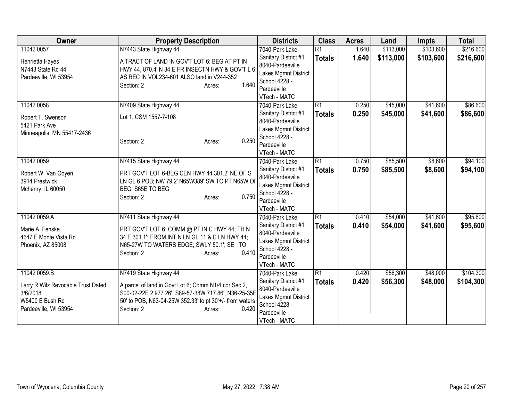| Owner                                                                                      | <b>Property Description</b>                                                                                                                                                                              | <b>Districts</b>                                                                                                 | <b>Class</b>    | <b>Acres</b> | Land      | <b>Impts</b> | <b>Total</b> |
|--------------------------------------------------------------------------------------------|----------------------------------------------------------------------------------------------------------------------------------------------------------------------------------------------------------|------------------------------------------------------------------------------------------------------------------|-----------------|--------------|-----------|--------------|--------------|
| 11042 0057                                                                                 | N7443 State Highway 44                                                                                                                                                                                   | 7040-Park Lake                                                                                                   | $\overline{R1}$ | 1.640        | \$113,000 | \$103,600    | \$216,600    |
| Henrietta Hayes<br>N7443 State Rd 44<br>Pardeeville, WI 53954                              | A TRACT OF LAND IN GOV'T LOT 6: BEG AT PT IN<br>HWY 44, 870.4' N 34 E FR INSECTN HWY & GOV'T L 6<br>AS REC IN VOL234-601 ALSO land in V244-352<br>1.640<br>Section: 2<br>Acres:                          | Sanitary District #1<br>8040-Pardeeville<br>Lakes Mgmnt District<br>School 4228 -<br>Pardeeville<br>VTech - MATC | <b>Totals</b>   | 1.640        | \$113,000 | \$103,600    | \$216,600    |
| 11042 0058                                                                                 | N7409 State Highway 44                                                                                                                                                                                   | 7040-Park Lake                                                                                                   | $\overline{R1}$ | 0.250        | \$45,000  | \$41,600     | \$86,600     |
| Robert T. Swenson<br>5421 Park Ave<br>Minneapolis, MN 55417-2436                           | Lot 1, CSM 1557-7-108<br>0.250<br>Section: 2<br>Acres:                                                                                                                                                   | Sanitary District #1<br>8040-Pardeeville<br>Lakes Mgmnt District<br>School 4228 -<br>Pardeeville<br>VTech - MATC | <b>Totals</b>   | 0.250        | \$45,000  | \$41,600     | \$86,600     |
| 11042 0059                                                                                 | N7415 State Highway 44                                                                                                                                                                                   | 7040-Park Lake                                                                                                   | $\overline{R1}$ | 0.750        | \$85,500  | \$8,600      | \$94,100     |
| Robert W. Van Ooyen<br>3914 Prestwick<br>Mchenry, IL 60050                                 | PRT GOV'T LOT 6-BEG CEN HWY 44 301.2' NE OF S<br>LN GL 6 POB; NW 79.2' N65W389' SW TO PT N65W OF<br>BEG. S65E TO BEG<br>0.750<br>Section: 2<br>Acres:                                                    | Sanitary District #1<br>8040-Pardeeville<br>Lakes Mgmnt District<br>School 4228 -<br>Pardeeville<br>VTech - MATC | <b>Totals</b>   | 0.750        | \$85,500  | \$8,600      | \$94,100     |
| 11042 0059.A                                                                               | N7411 State Highway 44                                                                                                                                                                                   | 7040-Park Lake                                                                                                   | R1              | 0.410        | \$54,000  | \$41,600     | \$95,600     |
| Marie A. Fenske<br>4647 E Monte Vista Rd<br>Phoenix, AZ 85008                              | PRT GOV'T LOT 6; COMM @ PT IN C HWY 44; TH N<br>34 E 301.1'; FROM INT N LN GL 11 & C LN HWY 44;<br>N65-27W TO WATERS EDGE; SWLY 50.1'; SE TO<br>0.410<br>Section: 2<br>Acres:                            | Sanitary District #1<br>8040-Pardeeville<br>Lakes Mgmnt District<br>School 4228 -<br>Pardeeville<br>VTech - MATC | <b>Totals</b>   | 0.410        | \$54,000  | \$41,600     | \$95,600     |
| 11042 0059.B                                                                               | N7419 State Highway 44                                                                                                                                                                                   | 7040-Park Lake                                                                                                   | $\overline{R1}$ | 0.420        | \$56,300  | \$48,000     | \$104,300    |
| Larry R Wilz Revocable Trust Dated<br>3/6/2018<br>W5400 E Bush Rd<br>Pardeeville, WI 53954 | A parcel of land in Govt Lot 6; Comm N1/4 cor Sec 2,<br>S00-02-22E 2,977.26', S89-57-38W 717.86', N36-25-35E<br>50' to POB, N63-04-25W 352.33' to pt 30'+/- from waters<br>Section: 2<br>0.420<br>Acres: | Sanitary District #1<br>8040-Pardeeville<br>Lakes Mgmnt District<br>School 4228 -<br>Pardeeville<br>VTech - MATC | <b>Totals</b>   | 0.420        | \$56,300  | \$48,000     | \$104,300    |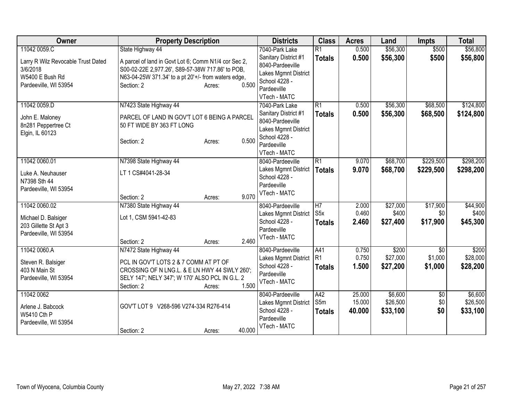| Owner                                              | <b>Property Description</b>                                                          | <b>Districts</b>                         | <b>Class</b>                     | <b>Acres</b>   | Land                 | <b>Impts</b>    | <b>Total</b>         |
|----------------------------------------------------|--------------------------------------------------------------------------------------|------------------------------------------|----------------------------------|----------------|----------------------|-----------------|----------------------|
| 11042 0059.C<br>Larry R Wilz Revocable Trust Dated | State Highway 44<br>A parcel of land in Govt Lot 6; Comm N1/4 cor Sec 2,             | 7040-Park Lake<br>Sanitary District #1   | $\overline{R1}$<br><b>Totals</b> | 0.500<br>0.500 | \$56,300<br>\$56,300 | \$500<br>\$500  | \$56,800<br>\$56,800 |
| 3/6/2018                                           | S00-02-22E 2,977.26', S89-57-38W 717.86' to POB,                                     | 8040-Pardeeville<br>Lakes Mgmnt District |                                  |                |                      |                 |                      |
| W5400 E Bush Rd<br>Pardeeville, WI 53954           | N63-04-25W 371.34' to a pt 20'+/- from waters edge,<br>0.500<br>Section: 2<br>Acres: | School 4228 -                            |                                  |                |                      |                 |                      |
|                                                    |                                                                                      | Pardeeville<br>VTech - MATC              |                                  |                |                      |                 |                      |
| 11042 0059.D                                       | N7423 State Highway 44                                                               | 7040-Park Lake                           | $\overline{R1}$                  | 0.500          | \$56,300             | \$68,500        | \$124,800            |
| John E. Maloney                                    | PARCEL OF LAND IN GOV'T LOT 6 BEING A PARCEL                                         | Sanitary District #1<br>8040-Pardeeville | <b>Totals</b>                    | 0.500          | \$56,300             | \$68,500        | \$124,800            |
| 8n281 Peppertree Ct                                | 50 FT WIDE BY 363 FT LONG                                                            | Lakes Mgmnt District                     |                                  |                |                      |                 |                      |
| Elgin, IL 60123                                    | 0.500<br>Section: 2<br>Acres:                                                        | School 4228 -                            |                                  |                |                      |                 |                      |
|                                                    |                                                                                      | Pardeeville<br>VTech - MATC              |                                  |                |                      |                 |                      |
| 11042 0060.01                                      | N7398 State Highway 44                                                               | 8040-Pardeeville                         | $\overline{R1}$                  | 9.070          | \$68,700             | \$229,500       | \$298,200            |
| Luke A. Neuhauser                                  | LT 1 CS#4041-28-34                                                                   | Lakes Mgmnt District<br>School 4228 -    | <b>Totals</b>                    | 9.070          | \$68,700             | \$229,500       | \$298,200            |
| N7398 Sth 44                                       |                                                                                      | Pardeeville                              |                                  |                |                      |                 |                      |
| Pardeeville, WI 53954                              | 9.070<br>Section: 2<br>Acres:                                                        | VTech - MATC                             |                                  |                |                      |                 |                      |
| 11042 0060.02                                      | N7380 State Highway 44                                                               | 8040-Pardeeville                         | $\overline{H7}$                  | 2.000          | \$27,000             | \$17,900        | \$44,900             |
| Michael D. Balsiger                                | Lot 1, CSM 5941-42-83                                                                | Lakes Mgmnt District<br>School 4228 -    | S <sub>5</sub> x                 | 0.460<br>2.460 | \$400                | \$0<br>\$17,900 | \$400                |
| 203 Gillette St Apt 3                              |                                                                                      | Pardeeville                              | <b>Totals</b>                    |                | \$27,400             |                 | \$45,300             |
| Pardeeville, WI 53954                              | 2.460<br>Section: 2<br>Acres:                                                        | VTech - MATC                             |                                  |                |                      |                 |                      |
| 11042 0060.A                                       | N7472 State Highway 44                                                               | 8040-Pardeeville                         | A41                              | 0.750          | \$200                | $\overline{50}$ | \$200                |
| Steven R. Balsiger                                 | PCL IN GOV'T LOTS 2 & 7 COMM AT PT OF                                                | Lakes Mgmnt District                     | R1                               | 0.750          | \$27,000             | \$1,000         | \$28,000             |
| 403 N Main St                                      | CROSSING OF N LNG.L. & E LN HWY 44 SWLY 260';                                        | School 4228 -<br>Pardeeville             | <b>Totals</b>                    | 1.500          | \$27,200             | \$1,000         | \$28,200             |
| Pardeeville, WI 53954                              | SELY 147'; NELY 347'; W 170' ALSO PCL IN G.L. 2<br>1.500<br>Section: 2<br>Acres:     | VTech - MATC                             |                                  |                |                      |                 |                      |
| 11042 0062                                         |                                                                                      | 8040-Pardeeville                         | A42                              | 25.000         | \$6,600              | $\overline{60}$ | \$6,600              |
| Arlene J. Babcock                                  | GOV'T LOT 9 V268-596 V274-334 R276-414                                               | Lakes Mgmnt District                     | S5m                              | 15.000         | \$26,500             | \$0             | \$26,500             |
| W5410 Cth P                                        |                                                                                      | School 4228 -                            | <b>Totals</b>                    | 40.000         | \$33,100             | \$0             | \$33,100             |
| Pardeeville, WI 53954                              |                                                                                      | Pardeeville<br>VTech - MATC              |                                  |                |                      |                 |                      |
|                                                    | 40.000<br>Section: 2<br>Acres:                                                       |                                          |                                  |                |                      |                 |                      |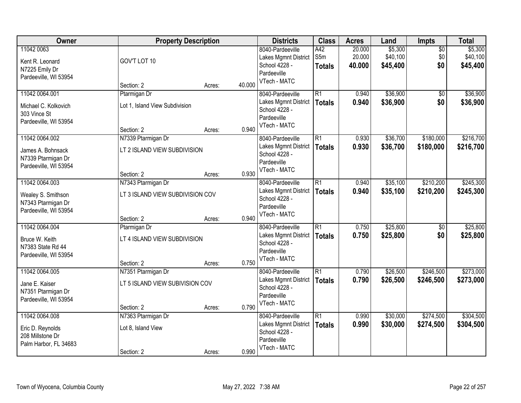| Owner                                                                               |                                                                      | <b>Property Description</b> |        | <b>Districts</b>                                                                         | <b>Class</b>                     | <b>Acres</b>               | Land                            | Impts                         | <b>Total</b>                    |
|-------------------------------------------------------------------------------------|----------------------------------------------------------------------|-----------------------------|--------|------------------------------------------------------------------------------------------|----------------------------------|----------------------------|---------------------------------|-------------------------------|---------------------------------|
| 11042 0063<br>Kent R. Leonard<br>N7225 Emily Dr                                     | GOV'T LOT 10                                                         |                             |        | 8040-Pardeeville<br>Lakes Mgmnt District<br>School 4228 -<br>Pardeeville                 | A42<br>S5m<br><b>Totals</b>      | 20.000<br>20.000<br>40.000 | \$5,300<br>\$40,100<br>\$45,400 | $\overline{50}$<br>\$0<br>\$0 | \$5,300<br>\$40,100<br>\$45,400 |
| Pardeeville, WI 53954                                                               | Section: 2                                                           | Acres:                      | 40.000 | VTech - MATC                                                                             |                                  |                            |                                 |                               |                                 |
| 11042 0064.001<br>Michael C. Kolkovich<br>303 Vince St<br>Pardeeville, WI 53954     | Ptarmigan Dr<br>Lot 1, Island View Subdivision<br>Section: 2         | Acres:                      | 0.940  | 8040-Pardeeville<br>Lakes Mgmnt District<br>School 4228 -<br>Pardeeville<br>VTech - MATC | $\overline{R1}$<br><b>Totals</b> | 0.940<br>0.940             | \$36,900<br>\$36,900            | $\overline{50}$<br>\$0        | \$36,900<br>\$36,900            |
| 11042 0064.002<br>James A. Bohnsack<br>N7339 Ptarmigan Dr<br>Pardeeville, WI 53954  | N7339 Ptarmigan Dr<br>LT 2 ISLAND VIEW SUBDIVISION<br>Section: 2     | Acres:                      | 0.930  | 8040-Pardeeville<br>Lakes Mgmnt District<br>School 4228 -<br>Pardeeville<br>VTech - MATC | $\overline{R1}$<br><b>Totals</b> | 0.930<br>0.930             | \$36,700<br>\$36,700            | \$180,000<br>\$180,000        | \$216,700<br>\$216,700          |
| 11042 0064.003<br>Wealey S. Smithson<br>N7343 Ptarmigan Dr<br>Pardeeville, WI 53954 | N7343 Ptarmigan Dr<br>LT 3 ISLAND VIEW SUBDIVISION COV<br>Section: 2 |                             | 0.940  | 8040-Pardeeville<br>Lakes Mgmnt District<br>School 4228 -<br>Pardeeville<br>VTech - MATC | $\overline{R1}$<br><b>Totals</b> | 0.940<br>0.940             | \$35,100<br>\$35,100            | \$210,200<br>\$210,200        | \$245,300<br>\$245,300          |
| 11042 0064.004<br>Bruce W. Keith<br>N7383 State Rd 44<br>Pardeeville, WI 53954      | Ptarmigan Dr<br>LT 4 ISLAND VIEW SUBDIVISION<br>Section: 2           | Acres:<br>Acres:            | 0.750  | 8040-Pardeeville<br>Lakes Mgmnt District<br>School 4228 -<br>Pardeeville<br>VTech - MATC | $\overline{R1}$<br><b>Totals</b> | 0.750<br>0.750             | \$25,800<br>\$25,800            | $\overline{50}$<br>\$0        | \$25,800<br>\$25,800            |
| 11042 0064.005<br>Jane E. Kaiser<br>N7351 Ptarmigan Dr<br>Pardeeville, WI 53954     | N7351 Ptarmigan Dr<br>LT 5 ISLAND VIEW SUBIVISION COV<br>Section: 2  | Acres:                      | 0.790  | 8040-Pardeeville<br>Lakes Mgmnt District<br>School 4228 -<br>Pardeeville<br>VTech - MATC | $\overline{R1}$<br><b>Totals</b> | 0.790<br>0.790             | \$26,500<br>\$26,500            | \$246,500<br>\$246,500        | \$273,000<br>\$273,000          |
| 11042 0064.008<br>Eric D. Reynolds<br>208 Millstone Dr<br>Palm Harbor, FL 34683     | N7363 Ptarmigan Dr<br>Lot 8, Island View<br>Section: 2               | Acres:                      | 0.990  | 8040-Pardeeville<br>Lakes Mgmnt District<br>School 4228 -<br>Pardeeville<br>VTech - MATC | $\overline{R1}$<br><b>Totals</b> | 0.990<br>0.990             | \$30,000<br>\$30,000            | \$274,500<br>\$274,500        | \$304,500<br>\$304,500          |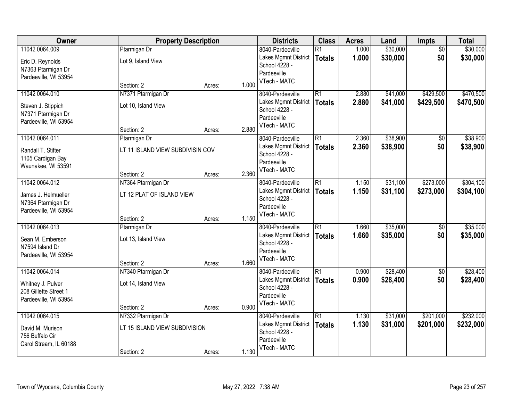| Owner                  | <b>Property Description</b>      |        |       | <b>Districts</b>            | <b>Class</b>    | <b>Acres</b> | Land     | <b>Impts</b>    | <b>Total</b> |
|------------------------|----------------------------------|--------|-------|-----------------------------|-----------------|--------------|----------|-----------------|--------------|
| 11042 0064.009         | Ptarmigan Dr                     |        |       | 8040-Pardeeville            | $\overline{R1}$ | 1.000        | \$30,000 | $\overline{50}$ | \$30,000     |
| Eric D. Reynolds       | Lot 9, Island View               |        |       | Lakes Mgmnt District        | <b>Totals</b>   | 1.000        | \$30,000 | \$0             | \$30,000     |
| N7363 Ptarmigan Dr     |                                  |        |       | School 4228 -               |                 |              |          |                 |              |
| Pardeeville, WI 53954  |                                  |        |       | Pardeeville                 |                 |              |          |                 |              |
|                        | Section: 2                       | Acres: | 1.000 | VTech - MATC                |                 |              |          |                 |              |
| 11042 0064.010         | N7371 Ptarmigan Dr               |        |       | 8040-Pardeeville            | $\overline{R1}$ | 2.880        | \$41,000 | \$429,500       | \$470,500    |
| Steven J. Stippich     | Lot 10, Island View              |        |       | Lakes Mgmnt District        | <b>Totals</b>   | 2.880        | \$41,000 | \$429,500       | \$470,500    |
| N7371 Ptarmigan Dr     |                                  |        |       | School 4228 -               |                 |              |          |                 |              |
| Pardeeville, WI 53954  |                                  |        |       | Pardeeville<br>VTech - MATC |                 |              |          |                 |              |
|                        | Section: 2                       | Acres: | 2.880 |                             |                 |              |          |                 |              |
| 11042 0064.011         | Ptarmigan Dr                     |        |       | 8040-Pardeeville            | $\overline{R1}$ | 2.360        | \$38,900 | \$0             | \$38,900     |
| Randall T. Stifter     | LT 11 ISLAND VIEW SUBDIVISIN COV |        |       | Lakes Mgmnt District        | <b>Totals</b>   | 2.360        | \$38,900 | \$0             | \$38,900     |
| 1105 Cardigan Bay      |                                  |        |       | School 4228 -               |                 |              |          |                 |              |
| Waunakee, WI 53591     |                                  |        |       | Pardeeville<br>VTech - MATC |                 |              |          |                 |              |
|                        | Section: 2                       | Acres: | 2.360 |                             |                 |              |          |                 |              |
| 11042 0064.012         | N7364 Ptarmigan Dr               |        |       | 8040-Pardeeville            | $\overline{R1}$ | 1.150        | \$31,100 | \$273,000       | \$304,100    |
| James J. Helmueller    | LT 12 PLAT OF ISLAND VIEW        |        |       | Lakes Mgmnt District        | <b>Totals</b>   | 1.150        | \$31,100 | \$273,000       | \$304,100    |
| N7364 Ptarmigan Dr     |                                  |        |       | School 4228 -               |                 |              |          |                 |              |
| Pardeeville, WI 53954  |                                  |        |       | Pardeeville<br>VTech - MATC |                 |              |          |                 |              |
|                        | Section: 2                       | Acres: | 1.150 |                             |                 |              |          |                 |              |
| 11042 0064.013         | Ptarmigan Dr                     |        |       | 8040-Pardeeville            | $\overline{R1}$ | 1.660        | \$35,000 | $\overline{50}$ | \$35,000     |
| Sean M. Emberson       | Lot 13, Island View              |        |       | Lakes Mgmnt District        | <b>Totals</b>   | 1.660        | \$35,000 | \$0             | \$35,000     |
| N7594 Island Dr        |                                  |        |       | School 4228 -               |                 |              |          |                 |              |
| Pardeeville, WI 53954  |                                  |        |       | Pardeeville                 |                 |              |          |                 |              |
|                        | Section: 2                       | Acres: | 1.660 | VTech - MATC                |                 |              |          |                 |              |
| 11042 0064.014         | N7340 Ptarmigan Dr               |        |       | 8040-Pardeeville            | $\overline{R1}$ | 0.900        | \$28,400 | $\overline{50}$ | \$28,400     |
| Whitney J. Pulver      | Lot 14, Island View              |        |       | Lakes Mgmnt District        | <b>Totals</b>   | 0.900        | \$28,400 | \$0             | \$28,400     |
| 208 Gillette Street 1  |                                  |        |       | School 4228 -               |                 |              |          |                 |              |
| Pardeeville, WI 53954  |                                  |        |       | Pardeeville<br>VTech - MATC |                 |              |          |                 |              |
|                        | Section: 2                       | Acres: | 0.900 |                             |                 |              |          |                 |              |
| 11042 0064.015         | N7332 Ptarmigan Dr               |        |       | 8040-Pardeeville            | $\overline{R1}$ | 1.130        | \$31,000 | \$201,000       | \$232,000    |
| David M. Murison       | LT 15 ISLAND VIEW SUBDIVISION    |        |       | Lakes Mgmnt District        | <b>Totals</b>   | 1.130        | \$31,000 | \$201,000       | \$232,000    |
| 756 Buffalo Cir        |                                  |        |       | School 4228 -               |                 |              |          |                 |              |
| Carol Stream, IL 60188 |                                  |        |       | Pardeeville<br>VTech - MATC |                 |              |          |                 |              |
|                        | Section: 2                       | Acres: | 1.130 |                             |                 |              |          |                 |              |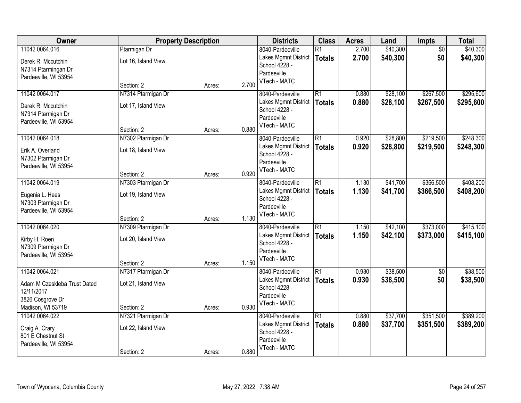| Owner                        |                     | <b>Property Description</b> |       | <b>Districts</b>            | <b>Class</b>    | <b>Acres</b> | Land     | <b>Impts</b>    | <b>Total</b> |
|------------------------------|---------------------|-----------------------------|-------|-----------------------------|-----------------|--------------|----------|-----------------|--------------|
| 11042 0064.016               | Ptarmigan Dr        |                             |       | 8040-Pardeeville            | $\overline{R1}$ | 2.700        | \$40,300 | $\overline{50}$ | \$40,300     |
| Derek R. Mccutchin           | Lot 16, Island View |                             |       | Lakes Mgmnt District        | <b>Totals</b>   | 2.700        | \$40,300 | \$0             | \$40,300     |
| N7314 Ptarmingan Dr          |                     |                             |       | School 4228 -               |                 |              |          |                 |              |
| Pardeeville, WI 53954        |                     |                             |       | Pardeeville                 |                 |              |          |                 |              |
|                              | Section: 2          | Acres:                      | 2.700 | VTech - MATC                |                 |              |          |                 |              |
| 11042 0064.017               | N7314 Ptarmigan Dr  |                             |       | 8040-Pardeeville            | $\overline{R1}$ | 0.880        | \$28,100 | \$267,500       | \$295,600    |
| Derek R. Mccutchin           | Lot 17, Island View |                             |       | Lakes Mgmnt District        | <b>Totals</b>   | 0.880        | \$28,100 | \$267,500       | \$295,600    |
| N7314 Ptarmigan Dr           |                     |                             |       | School 4228 -               |                 |              |          |                 |              |
| Pardeeville, WI 53954        |                     |                             |       | Pardeeville<br>VTech - MATC |                 |              |          |                 |              |
|                              | Section: 2          | Acres:                      | 0.880 |                             |                 |              |          |                 |              |
| 11042 0064.018               | N7302 Ptarmigan Dr  |                             |       | 8040-Pardeeville            | $\overline{R1}$ | 0.920        | \$28,800 | \$219,500       | \$248,300    |
| Erik A. Overland             | Lot 18, Island View |                             |       | Lakes Mgmnt District        | <b>Totals</b>   | 0.920        | \$28,800 | \$219,500       | \$248,300    |
| N7302 Ptarmigan Dr           |                     |                             |       | School 4228 -               |                 |              |          |                 |              |
| Pardeeville, WI 53954        |                     |                             |       | Pardeeville<br>VTech - MATC |                 |              |          |                 |              |
|                              | Section: 2          | Acres:                      | 0.920 |                             |                 |              |          |                 |              |
| 11042 0064.019               | N7303 Ptarmigan Dr  |                             |       | 8040-Pardeeville            | $\overline{R1}$ | 1.130        | \$41,700 | \$366,500       | \$408,200    |
| Eugenia L. Hees              | Lot 19, Island View |                             |       | Lakes Mgmnt District        | <b>Totals</b>   | 1.130        | \$41,700 | \$366,500       | \$408,200    |
| N7303 Ptarmigan Dr           |                     |                             |       | School 4228 -               |                 |              |          |                 |              |
| Pardeeville, WI 53954        |                     |                             |       | Pardeeville<br>VTech - MATC |                 |              |          |                 |              |
|                              | Section: 2          | Acres:                      | 1.130 |                             |                 |              |          |                 |              |
| 11042 0064.020               | N7309 Ptarmigan Dr  |                             |       | 8040-Pardeeville            | $\overline{R1}$ | 1.150        | \$42,100 | \$373,000       | \$415,100    |
| Kirby H. Roen                | Lot 20, Island View |                             |       | Lakes Mgmnt District        | <b>Totals</b>   | 1.150        | \$42,100 | \$373,000       | \$415,100    |
| N7309 Ptarmigan Dr           |                     |                             |       | School 4228 -               |                 |              |          |                 |              |
| Pardeeville, WI 53954        |                     |                             |       | Pardeeville                 |                 |              |          |                 |              |
|                              | Section: 2          | Acres:                      | 1.150 | VTech - MATC                |                 |              |          |                 |              |
| 11042 0064.021               | N7317 Ptarmigan Dr  |                             |       | 8040-Pardeeville            | $\overline{R1}$ | 0.930        | \$38,500 | $\overline{50}$ | \$38,500     |
| Adam M Czeskleba Trust Dated | Lot 21, Island View |                             |       | Lakes Mgmnt District        | <b>Totals</b>   | 0.930        | \$38,500 | \$0             | \$38,500     |
| 12/11/2017                   |                     |                             |       | School 4228 -               |                 |              |          |                 |              |
| 3826 Cosgrove Dr             |                     |                             |       | Pardeeville<br>VTech - MATC |                 |              |          |                 |              |
| Madison, WI 53719            | Section: 2          | Acres:                      | 0.930 |                             |                 |              |          |                 |              |
| 11042 0064.022               | N7321 Ptarmigan Dr  |                             |       | 8040-Pardeeville            | $\overline{R1}$ | 0.880        | \$37,700 | \$351,500       | \$389,200    |
| Craig A. Crary               | Lot 22, Island View |                             |       | Lakes Mgmnt District        | <b>Totals</b>   | 0.880        | \$37,700 | \$351,500       | \$389,200    |
| 801 E Chestnut St            |                     |                             |       | School 4228 -               |                 |              |          |                 |              |
| Pardeeville, WI 53954        |                     |                             |       | Pardeeville                 |                 |              |          |                 |              |
|                              | Section: 2          | Acres:                      | 0.880 | VTech - MATC                |                 |              |          |                 |              |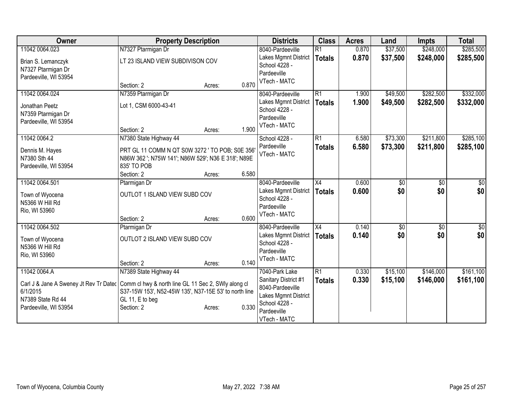| Owner                                                                                      | <b>Property Description</b>                           |        |       | <b>Districts</b>     | <b>Class</b>    | <b>Acres</b> | Land            | <b>Impts</b> | <b>Total</b>    |
|--------------------------------------------------------------------------------------------|-------------------------------------------------------|--------|-------|----------------------|-----------------|--------------|-----------------|--------------|-----------------|
| 11042 0064.023                                                                             | N7327 Ptarmigan Dr                                    |        |       | 8040-Pardeeville     | $\overline{R1}$ | 0.870        | \$37,500        | \$248,000    | \$285,500       |
| Brian S. Lemanczyk                                                                         | LT 23 ISLAND VIEW SUBDIVISON COV                      |        |       | Lakes Mgmnt District | <b>Totals</b>   | 0.870        | \$37,500        | \$248,000    | \$285,500       |
| N7327 Ptarmigan Dr                                                                         |                                                       |        |       | School 4228 -        |                 |              |                 |              |                 |
| Pardeeville, WI 53954                                                                      |                                                       |        |       | Pardeeville          |                 |              |                 |              |                 |
|                                                                                            | Section: 2                                            | Acres: | 0.870 | VTech - MATC         |                 |              |                 |              |                 |
| 11042 0064.024                                                                             | N7359 Ptarmigan Dr                                    |        |       | 8040-Pardeeville     | R1              | 1.900        | \$49,500        | \$282,500    | \$332,000       |
| Jonathan Peetz                                                                             | Lot 1, CSM 6000-43-41                                 |        |       | Lakes Mgmnt District | <b>Totals</b>   | 1.900        | \$49,500        | \$282,500    | \$332,000       |
| N7359 Ptarmigan Dr                                                                         |                                                       |        |       | School 4228 -        |                 |              |                 |              |                 |
| Pardeeville, WI 53954                                                                      |                                                       |        |       | Pardeeville          |                 |              |                 |              |                 |
|                                                                                            | Section: 2                                            | Acres: | 1.900 | VTech - MATC         |                 |              |                 |              |                 |
| 11042 0064.2                                                                               | N7380 State Highway 44                                |        |       | School 4228 -        | $\overline{R1}$ | 6.580        | \$73,300        | \$211,800    | \$285,100       |
| Dennis M. Hayes                                                                            | PRT GL 11 COMM N QT S0W 3272 ' TO POB; S0E 356'       |        |       | Pardeeville          | <b>Totals</b>   | 6.580        | \$73,300        | \$211,800    | \$285,100       |
| N7380 Sth 44                                                                               | N86W 362 '; N75W 141'; N86W 529'; N36 E 318'; N89E    |        |       | VTech - MATC         |                 |              |                 |              |                 |
| Pardeeville, WI 53954                                                                      | 835' TO POB                                           |        |       |                      |                 |              |                 |              |                 |
|                                                                                            | Section: 2                                            | Acres: | 6.580 |                      |                 |              |                 |              |                 |
| 11042 0064.501                                                                             | Ptarmigan Dr                                          |        |       | 8040-Pardeeville     | X4              | 0.600        | \$0             | \$0          | \$0             |
|                                                                                            |                                                       |        |       | Lakes Mgmnt District | <b>Totals</b>   | 0.600        | \$0             | \$0          | \$0             |
| Town of Wyocena                                                                            | OUTLOT 1 ISLAND VIEW SUBD COV                         |        |       | School 4228 -        |                 |              |                 |              |                 |
| N5366 W Hill Rd                                                                            |                                                       |        |       | Pardeeville          |                 |              |                 |              |                 |
| Rio, WI 53960                                                                              | Section: 2                                            | Acres: | 0.600 | VTech - MATC         |                 |              |                 |              |                 |
| 11042 0064.502                                                                             | Ptarmigan Dr                                          |        |       | 8040-Pardeeville     | $\overline{X4}$ | 0.140        | $\overline{60}$ | \$0          | $\overline{30}$ |
|                                                                                            |                                                       |        |       | Lakes Mgmnt District |                 | 0.140        | \$0             | \$0          | \$0             |
| Town of Wyocena                                                                            | OUTLOT 2 ISLAND VIEW SUBD COV                         |        |       | School 4228 -        | <b>Totals</b>   |              |                 |              |                 |
| N5366 W Hill Rd                                                                            |                                                       |        |       | Pardeeville          |                 |              |                 |              |                 |
| Rio, WI 53960                                                                              |                                                       |        |       | VTech - MATC         |                 |              |                 |              |                 |
|                                                                                            | Section: 2                                            | Acres: | 0.140 |                      |                 |              |                 |              |                 |
| 11042 0064.A                                                                               | N7389 State Highway 44                                |        |       | 7040-Park Lake       | R1              | 0.330        | \$15,100        | \$146,000    | \$161,100       |
| Carl J & Jane A Sweney Jt Rev Tr Datec Comm cl hwy & north line GL 11 Sec 2, SWIy along cl |                                                       |        |       | Sanitary District #1 | <b>Totals</b>   | 0.330        | \$15,100        | \$146,000    | \$161,100       |
| 6/1/2015                                                                                   | S37-15W 153', N52-45W 135', N37-15E 53' to north line |        |       | 8040-Pardeeville     |                 |              |                 |              |                 |
| N7389 State Rd 44                                                                          | GL 11, E to beg                                       |        |       | Lakes Mgmnt District |                 |              |                 |              |                 |
| Pardeeville, WI 53954                                                                      | Section: 2                                            | Acres: | 0.330 | School 4228 -        |                 |              |                 |              |                 |
|                                                                                            |                                                       |        |       | Pardeeville          |                 |              |                 |              |                 |
|                                                                                            |                                                       |        |       | VTech - MATC         |                 |              |                 |              |                 |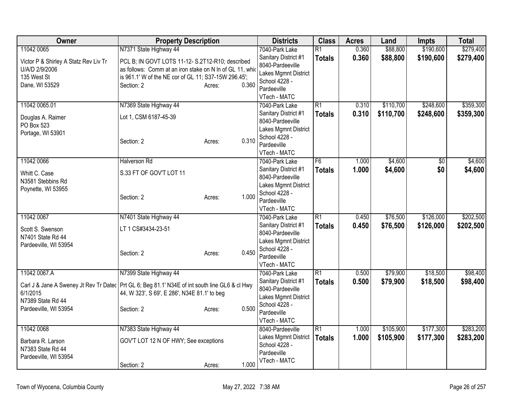| Owner                                                                                                  | <b>Property Description</b>                                                                                                                                                                                                      | <b>Districts</b>                                                                                                                   | <b>Class</b>                     | <b>Acres</b>   | Land                   | <b>Impts</b>           | <b>Total</b>           |
|--------------------------------------------------------------------------------------------------------|----------------------------------------------------------------------------------------------------------------------------------------------------------------------------------------------------------------------------------|------------------------------------------------------------------------------------------------------------------------------------|----------------------------------|----------------|------------------------|------------------------|------------------------|
| 11042 0065<br>Victor P & Shirley A Statz Rev Liv Tr<br>U/A/D 2/9/2006<br>135 West St<br>Dane, WI 53529 | N7371 State Highway 44<br>PCL B; IN GOVT LOTS 11-12- S.2T12-R10; described<br>as follows: Comm at an iron stake on N In of GL 11, which<br>is 961.1' W of the NE cor of GL 11; S37-15W 296.45';<br>0.360<br>Section: 2<br>Acres: | 7040-Park Lake<br>Sanitary District #1<br>8040-Pardeeville<br>Lakes Mgmnt District<br>School 4228 -<br>Pardeeville<br>VTech - MATC | $\overline{R1}$<br><b>Totals</b> | 0.360<br>0.360 | \$88,800<br>\$88,800   | \$190,600<br>\$190,600 | \$279,400<br>\$279,400 |
| 11042 0065.01<br>Douglas A. Raimer<br>PO Box 523<br>Portage, WI 53901                                  | N7369 State Highway 44<br>Lot 1, CSM 6187-45-39<br>0.310<br>Section: 2<br>Acres:                                                                                                                                                 | 7040-Park Lake<br>Sanitary District #1<br>8040-Pardeeville<br>Lakes Mgmnt District<br>School 4228 -<br>Pardeeville<br>VTech - MATC | $\overline{R1}$<br><b>Totals</b> | 0.310<br>0.310 | \$110,700<br>\$110,700 | \$248,600<br>\$248,600 | \$359,300<br>\$359,300 |
| 11042 0066<br>Whitt C. Case<br>N3581 Stebbins Rd<br>Poynette, WI 53955                                 | <b>Halverson Rd</b><br>S.33 FT OF GOV'T LOT 11<br>1.000<br>Section: 2<br>Acres:                                                                                                                                                  | 7040-Park Lake<br>Sanitary District #1<br>8040-Pardeeville<br>Lakes Mgmnt District<br>School 4228 -<br>Pardeeville<br>VTech - MATC | F6<br><b>Totals</b>              | 1.000<br>1.000 | \$4,600<br>\$4,600     | \$0<br>\$0             | \$4,600<br>\$4,600     |
| 11042 0067<br>Scott S. Swenson<br>N7401 State Rd 44<br>Pardeeville, WI 53954                           | N7401 State Highway 44<br>LT 1 CS#3434-23-51<br>0.450<br>Section: 2<br>Acres:                                                                                                                                                    | 7040-Park Lake<br>Sanitary District #1<br>8040-Pardeeville<br>Lakes Mgmnt District<br>School 4228 -<br>Pardeeville<br>VTech - MATC | $\overline{R1}$<br><b>Totals</b> | 0.450<br>0.450 | \$76,500<br>\$76,500   | \$126,000<br>\$126,000 | \$202,500<br>\$202,500 |
| 11042 0067.A<br>6/1/2015<br>N7389 State Rd 44<br>Pardeeville, WI 53954                                 | N7399 State Highway 44<br>Carl J & Jane A Sweney Jt Rev Tr Datec   Prt GL 6; Beg 81.1' N34E of int south line GL6 & cl Hwy<br>44, W 323', S 69', E 286', N34E 81.1' to beg<br>0.500<br>Section: 2<br>Acres:                      | 7040-Park Lake<br>Sanitary District #1<br>8040-Pardeeville<br>Lakes Mgmnt District<br>School 4228 -<br>Pardeeville<br>VTech - MATC | $\overline{R1}$<br><b>Totals</b> | 0.500<br>0.500 | \$79,900<br>\$79,900   | \$18,500<br>\$18,500   | \$98,400<br>\$98,400   |
| 11042 0068<br>Barbara R. Larson<br>N7383 State Rd 44<br>Pardeeville, WI 53954                          | N7383 State Highway 44<br>GOV'T LOT 12 N OF HWY; See exceptions<br>1.000<br>Section: 2<br>Acres:                                                                                                                                 | 8040-Pardeeville<br>Lakes Mgmnt District<br>School 4228 -<br>Pardeeville<br>VTech - MATC                                           | $\overline{R1}$<br><b>Totals</b> | 1.000<br>1.000 | \$105,900<br>\$105,900 | \$177,300<br>\$177,300 | \$283,200<br>\$283,200 |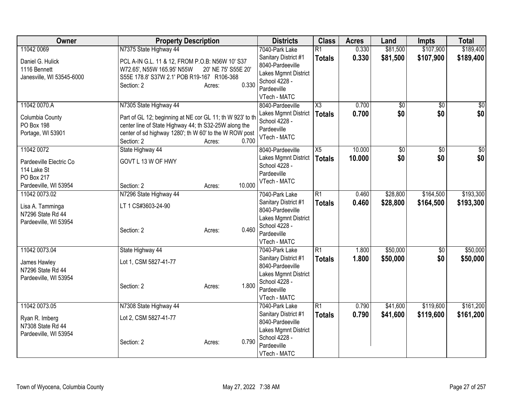| Owner                                                                         | <b>Property Description</b>                                                                                                                                                                |                                        | <b>Districts</b>                                                                                                 | <b>Class</b>    | <b>Acres</b> | Land            | <b>Impts</b>    | <b>Total</b>  |
|-------------------------------------------------------------------------------|--------------------------------------------------------------------------------------------------------------------------------------------------------------------------------------------|----------------------------------------|------------------------------------------------------------------------------------------------------------------|-----------------|--------------|-----------------|-----------------|---------------|
| 11042 0069                                                                    | N7375 State Highway 44                                                                                                                                                                     |                                        | 7040-Park Lake                                                                                                   | $\overline{R1}$ | 0.330        | \$81,500        | \$107,900       | \$189,400     |
| Daniel G. Hulick<br>1116 Bennett<br>Janesville, WI 53545-6000                 | PCL A-IN G.L. 11 & 12, FROM P.O.B: N56W 10' S37<br>W72.65', N55W 165.95' N55W<br>S55E 178.8' S37W 2.1' POB R19-167 R106-368<br>Section: 2                                                  | 20' NE 75' S55E 20'<br>0.330<br>Acres: | Sanitary District #1<br>8040-Pardeeville<br>Lakes Mgmnt District<br>School 4228 -<br>Pardeeville<br>VTech - MATC | <b>Totals</b>   | 0.330        | \$81,500        | \$107,900       | \$189,400     |
| 11042 0070.A                                                                  | N7305 State Highway 44                                                                                                                                                                     |                                        | 8040-Pardeeville                                                                                                 | X3              | 0.700        | $\sqrt{6}$      | $\sqrt{6}$      | $\frac{1}{6}$ |
| Columbia County<br>PO Box 198<br>Portage, WI 53901                            | Part of GL 12; beginning at NE cor GL 11; th W 923' to th<br>center line of State Highway 44; th S32-25W along the<br>center of sd highway 1280'; th W 60' to the W ROW post<br>Section: 2 | 0.700<br>Acres:                        | Lakes Mgmnt District<br>School 4228 -<br>Pardeeville<br>VTech - MATC                                             | <b>Totals</b>   | 0.700        | \$0             | \$0             | \$0           |
| 11042 0072                                                                    | State Highway 44                                                                                                                                                                           |                                        | 8040-Pardeeville                                                                                                 | $\overline{X5}$ | 10.000       | $\overline{60}$ | $\overline{50}$ | \$0           |
| Pardeeville Electric Co<br>114 Lake St<br>PO Box 217<br>Pardeeville, WI 53954 | GOVT L 13 W OF HWY<br>Section: 2                                                                                                                                                           | 10.000<br>Acres:                       | Lakes Mgmnt District<br>School 4228 -<br>Pardeeville<br>VTech - MATC                                             | <b>Totals</b>   | 10.000       | \$0             | \$0             | \$0           |
| 11042 0073.02                                                                 | N7296 State Highway 44                                                                                                                                                                     |                                        | 7040-Park Lake                                                                                                   | $\overline{R1}$ | 0.460        | \$28,800        | \$164,500       | \$193,300     |
| Lisa A. Tamminga<br>N7296 State Rd 44<br>Pardeeville, WI 53954                | LT 1 CS#3603-24-90<br>Section: 2                                                                                                                                                           | 0.460<br>Acres:                        | Sanitary District #1<br>8040-Pardeeville<br>Lakes Mgmnt District<br>School 4228 -<br>Pardeeville<br>VTech - MATC | <b>Totals</b>   | 0.460        | \$28,800        | \$164,500       | \$193,300     |
| 11042 0073.04                                                                 | State Highway 44                                                                                                                                                                           |                                        | 7040-Park Lake                                                                                                   | $\overline{R1}$ | 1.800        | \$50,000        | $\sqrt{6}$      | \$50,000      |
| James Hawley<br>N7296 State Rd 44<br>Pardeeville, WI 53954                    | Lot 1, CSM 5827-41-77<br>Section: 2                                                                                                                                                        | 1.800<br>Acres:                        | Sanitary District #1<br>8040-Pardeeville<br>Lakes Mgmnt District<br>School 4228 -<br>Pardeeville<br>VTech - MATC | <b>Totals</b>   | 1.800        | \$50,000        | \$0             | \$50,000      |
| 11042 0073.05                                                                 | N7308 State Highway 44                                                                                                                                                                     |                                        | 7040-Park Lake                                                                                                   | $\overline{R1}$ | 0.790        | \$41,600        | \$119,600       | \$161,200     |
| Ryan R. Imberg<br>N7308 State Rd 44<br>Pardeeville, WI 53954                  | Lot 2, CSM 5827-41-77<br>Section: 2                                                                                                                                                        | 0.790<br>Acres:                        | Sanitary District #1<br>8040-Pardeeville<br>Lakes Mgmnt District<br>School 4228 -<br>Pardeeville<br>VTech - MATC | <b>Totals</b>   | 0.790        | \$41,600        | \$119,600       | \$161,200     |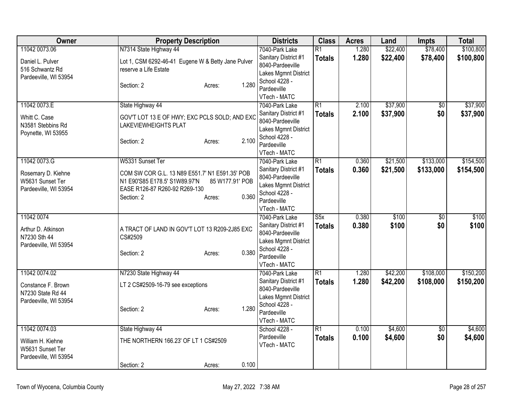| <b>Owner</b>                                                                      | <b>Property Description</b>                                                                                                                                                              | <b>Districts</b>                                                                                                                   | <b>Class</b>                     | <b>Acres</b>   | Land                 | <b>Impts</b>           | <b>Total</b>           |
|-----------------------------------------------------------------------------------|------------------------------------------------------------------------------------------------------------------------------------------------------------------------------------------|------------------------------------------------------------------------------------------------------------------------------------|----------------------------------|----------------|----------------------|------------------------|------------------------|
| 11042 0073.06<br>Daniel L. Pulver<br>516 Schwantz Rd<br>Pardeeville, WI 53954     | N7314 State Highway 44<br>Lot 1, CSM 6292-46-41 Eugene W & Betty Jane Pulver<br>reserve a Life Estate<br>1.280<br>Section: 2<br>Acres:                                                   | 7040-Park Lake<br>Sanitary District #1<br>8040-Pardeeville<br>Lakes Mgmnt District<br>School 4228 -<br>Pardeeville<br>VTech - MATC | $\overline{R1}$<br><b>Totals</b> | 1.280<br>1.280 | \$22,400<br>\$22,400 | \$78,400<br>\$78,400   | \$100,800<br>\$100,800 |
| 11042 0073.E<br>Whitt C. Case<br>N3581 Stebbins Rd<br>Poynette, WI 53955          | State Highway 44<br>GOV'T LOT 13 E OF HWY; EXC PCLS SOLD; AND EXC<br><b>LAKEVIEWHEIGHTS PLAT</b><br>2.100<br>Section: 2<br>Acres:                                                        | 7040-Park Lake<br>Sanitary District #1<br>8040-Pardeeville<br>Lakes Mgmnt District<br>School 4228 -<br>Pardeeville<br>VTech - MATC | $\overline{R1}$<br><b>Totals</b> | 2.100<br>2.100 | \$37,900<br>\$37,900 | $\overline{50}$<br>\$0 | \$37,900<br>\$37,900   |
| 11042 0073.G<br>Rosemary D. Kiehne<br>W5631 Sunset Ter<br>Pardeeville, WI 53954   | W5331 Sunset Ter<br>COM SW COR G.L. 13 N89 E551.7' N1 E591.35' POB<br>N1 E90'S85 E178.5' S1W89.97'N<br>85 W177.91' POB<br>EASE R126-87 R260-92 R269-130<br>0.360<br>Section: 2<br>Acres: | 7040-Park Lake<br>Sanitary District #1<br>8040-Pardeeville<br>Lakes Mgmnt District<br>School 4228 -<br>Pardeeville<br>VTech - MATC | $\overline{R1}$<br><b>Totals</b> | 0.360<br>0.360 | \$21,500<br>\$21,500 | \$133,000<br>\$133,000 | \$154,500<br>\$154,500 |
| 11042 0074<br>Arthur D. Atkinson<br>N7230 Sth 44<br>Pardeeville, WI 53954         | A TRACT OF LAND IN GOV'T LOT 13 R209-2J85 EXC<br>CS#2509<br>0.380<br>Section: 2<br>Acres:                                                                                                | 7040-Park Lake<br>Sanitary District #1<br>8040-Pardeeville<br>Lakes Mgmnt District<br>School 4228 -<br>Pardeeville<br>VTech - MATC | S5x<br><b>Totals</b>             | 0.380<br>0.380 | \$100<br>\$100       | $\overline{50}$<br>\$0 | \$100<br>\$100         |
| 11042 0074.02<br>Constance F. Brown<br>N7230 State Rd 44<br>Pardeeville, WI 53954 | N7230 State Highway 44<br>LT 2 CS#2509-16-79 see exceptions<br>1.280<br>Section: 2<br>Acres:                                                                                             | 7040-Park Lake<br>Sanitary District #1<br>8040-Pardeeville<br>Lakes Mgmnt District<br>School 4228 -<br>Pardeeville<br>VTech - MATC | $\overline{R1}$<br><b>Totals</b> | 1.280<br>1.280 | \$42,200<br>\$42,200 | \$108,000<br>\$108,000 | \$150,200<br>\$150,200 |
| 11042 0074.03<br>William H. Kiehne<br>W5631 Sunset Ter<br>Pardeeville, WI 53954   | State Highway 44<br>THE NORTHERN 166.23' OF LT 1 CS#2509<br>0.100<br>Section: 2<br>Acres:                                                                                                | School 4228 -<br>Pardeeville<br>VTech - MATC                                                                                       | $\overline{R1}$<br><b>Totals</b> | 0.100<br>0.100 | \$4,600<br>\$4,600   | \$0<br>\$0             | \$4,600<br>\$4,600     |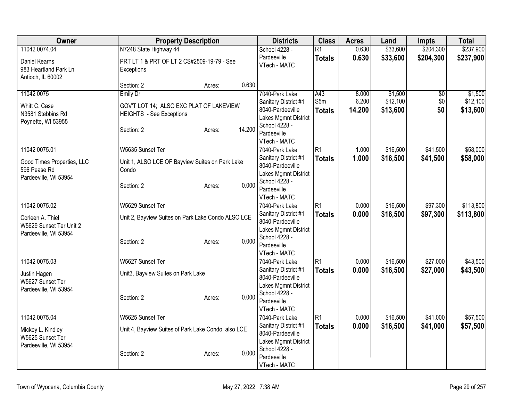| Owner                                      | <b>Property Description</b>                         | <b>Districts</b>                         | <b>Class</b>    | <b>Acres</b> | Land     | <b>Impts</b> | <b>Total</b> |
|--------------------------------------------|-----------------------------------------------------|------------------------------------------|-----------------|--------------|----------|--------------|--------------|
| 11042 0074.04                              | N7248 State Highway 44                              | School 4228 -                            | $\overline{R1}$ | 0.630        | \$33,600 | \$204,300    | \$237,900    |
| Daniel Kearns                              | PRT LT 1 & PRT OF LT 2 CS#2509-19-79 - See          | Pardeeville<br>VTech - MATC              | <b>Totals</b>   | 0.630        | \$33,600 | \$204,300    | \$237,900    |
| 983 Heartland Park Ln<br>Antioch, IL 60002 | Exceptions                                          |                                          |                 |              |          |              |              |
|                                            | 0.630<br>Section: 2<br>Acres:                       |                                          |                 |              |          |              |              |
| 11042 0075                                 | <b>Emily Dr</b>                                     | 7040-Park Lake                           | A43             | 8.000        | \$1,500  | \$0          | \$1,500      |
| Whitt C. Case                              | GOV'T LOT 14; ALSO EXC PLAT OF LAKEVIEW             | Sanitary District #1                     | S5m             | 6.200        | \$12,100 | \$0          | \$12,100     |
| N3581 Stebbins Rd                          | <b>HEIGHTS</b> - See Exceptions                     | 8040-Pardeeville                         | <b>Totals</b>   | 14.200       | \$13,600 | \$0          | \$13,600     |
| Poynette, WI 53955                         |                                                     | Lakes Mgmnt District                     |                 |              |          |              |              |
|                                            | 14.200<br>Section: 2<br>Acres:                      | School 4228 -                            |                 |              |          |              |              |
|                                            |                                                     | Pardeeville                              |                 |              |          |              |              |
|                                            |                                                     | VTech - MATC                             |                 |              |          |              |              |
| 11042 0075.01                              | W5635 Sunset Ter                                    | 7040-Park Lake                           | $\overline{R1}$ | 1.000        | \$16,500 | \$41,500     | \$58,000     |
| Good Times Properties, LLC                 | Unit 1, ALSO LCE OF Bayview Suites on Park Lake     | Sanitary District #1                     | <b>Totals</b>   | 1.000        | \$16,500 | \$41,500     | \$58,000     |
| 596 Pease Rd                               | Condo                                               | 8040-Pardeeville                         |                 |              |          |              |              |
| Pardeeville, WI 53954                      |                                                     | Lakes Mgmnt District                     |                 |              |          |              |              |
|                                            | 0.000<br>Section: 2<br>Acres:                       | School 4228 -                            |                 |              |          |              |              |
|                                            |                                                     | Pardeeville                              |                 |              |          |              |              |
| 11042 0075.02                              | W5629 Sunset Ter                                    | VTech - MATC                             |                 |              |          |              | \$113,800    |
|                                            |                                                     | 7040-Park Lake                           | $\overline{R1}$ | 0.000        | \$16,500 | \$97,300     |              |
| Corleen A. Thiel                           | Unit 2, Bayview Suites on Park Lake Condo ALSO LCE  | Sanitary District #1<br>8040-Pardeeville | <b>Totals</b>   | 0.000        | \$16,500 | \$97,300     | \$113,800    |
| W5629 Sunset Ter Unit 2                    |                                                     | Lakes Mgmnt District                     |                 |              |          |              |              |
| Pardeeville, WI 53954                      |                                                     | School 4228 -                            |                 |              |          |              |              |
|                                            | 0.000<br>Section: 2<br>Acres:                       | Pardeeville                              |                 |              |          |              |              |
|                                            |                                                     | VTech - MATC                             |                 |              |          |              |              |
| 11042 0075.03                              | W5627 Sunset Ter                                    | 7040-Park Lake                           | $\overline{R1}$ | 0.000        | \$16,500 | \$27,000     | \$43,500     |
|                                            |                                                     | Sanitary District #1                     | <b>Totals</b>   | 0.000        | \$16,500 | \$27,000     | \$43,500     |
| Justin Hagen                               | Unit3, Bayview Suites on Park Lake                  | 8040-Pardeeville                         |                 |              |          |              |              |
| W5627 Sunset Ter                           |                                                     | Lakes Mgmnt District                     |                 |              |          |              |              |
| Pardeeville, WI 53954                      | 0.000                                               | School 4228 -                            |                 |              |          |              |              |
|                                            | Section: 2<br>Acres:                                | Pardeeville                              |                 |              |          |              |              |
|                                            |                                                     | VTech - MATC                             |                 |              |          |              |              |
| 11042 0075.04                              | W5625 Sunset Ter                                    | 7040-Park Lake                           | $\overline{R1}$ | 0.000        | \$16,500 | \$41,000     | \$57,500     |
| Mickey L. Kindley                          | Unit 4, Bayview Suites of Park Lake Condo, also LCE | Sanitary District #1                     | <b>Totals</b>   | 0.000        | \$16,500 | \$41,000     | \$57,500     |
| W5625 Sunset Ter                           |                                                     | 8040-Pardeeville                         |                 |              |          |              |              |
| Pardeeville, WI 53954                      |                                                     | Lakes Mgmnt District                     |                 |              |          |              |              |
|                                            | 0.000<br>Section: 2<br>Acres:                       | School 4228 -                            |                 |              |          |              |              |
|                                            |                                                     | Pardeeville                              |                 |              |          |              |              |
|                                            |                                                     | VTech - MATC                             |                 |              |          |              |              |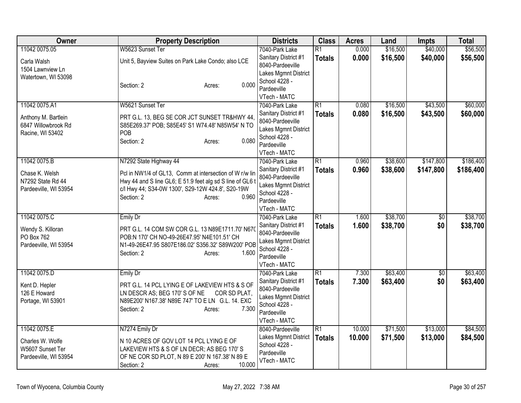| Owner                                                                           | <b>Property Description</b>                                                                                                                                                                                                          | <b>Districts</b>                                                                                                                   | <b>Class</b>                     | <b>Acres</b>     | Land                 | <b>Impts</b>           | <b>Total</b>           |
|---------------------------------------------------------------------------------|--------------------------------------------------------------------------------------------------------------------------------------------------------------------------------------------------------------------------------------|------------------------------------------------------------------------------------------------------------------------------------|----------------------------------|------------------|----------------------|------------------------|------------------------|
| 11042 0075.05<br>Carla Walsh<br>1504 Lawnview Ln<br>Watertown, WI 53098         | W5623 Sunset Ter<br>Unit 5, Bayview Suites on Park Lake Condo; also LCE<br>0.000<br>Section: 2<br>Acres:                                                                                                                             | 7040-Park Lake<br>Sanitary District #1<br>8040-Pardeeville<br>Lakes Mgmnt District<br>School 4228 -<br>Pardeeville<br>VTech - MATC | $\overline{R1}$<br><b>Totals</b> | 0.000<br>0.000   | \$16,500<br>\$16,500 | \$40,000<br>\$40,000   | \$56,500<br>\$56,500   |
| 11042 0075.A1<br>Anthony M. Bartlein<br>6847 Willowbrook Rd<br>Racine, WI 53402 | W5621 Sunset Ter<br>PRT G.L. 13, BEG SE COR JCT SUNSET TR&HWY 44,<br>S85E269.37' POB; S85E45' S1 W74.48' N85W54' N TO<br>POB<br>0.080<br>Section: 2<br>Acres:                                                                        | 7040-Park Lake<br>Sanitary District #1<br>8040-Pardeeville<br>Lakes Mgmnt District<br>School 4228 -<br>Pardeeville<br>VTech - MATC | $\overline{R1}$<br><b>Totals</b> | 0.080<br>0.080   | \$16,500<br>\$16,500 | \$43,500<br>\$43,500   | \$60,000<br>\$60,000   |
| 11042 0075.B<br>Chase K. Welsh<br>N7292 State Rd 44<br>Pardeeville, WI 53954    | N7292 State Highway 44<br>Pcl in NW1/4 of GL13, Comm at intersection of W r/w lin<br>Hwy 44 and S line GL6; E 51.9 feet alg sd S line of GL6 f<br>c/l Hwy 44; S34-0W 1300', S29-12W 424.8', S20-19W<br>0.960<br>Section: 2<br>Acres: | 7040-Park Lake<br>Sanitary District #1<br>8040-Pardeeville<br>Lakes Mgmnt District<br>School 4228 -<br>Pardeeville<br>VTech - MATC | $\overline{R1}$<br><b>Totals</b> | 0.960<br>0.960   | \$38,600<br>\$38,600 | \$147,800<br>\$147,800 | \$186,400<br>\$186,400 |
| 11042 0075.C<br>Wendy S. Killoran<br>PO Box 762<br>Pardeeville, WI 53954        | <b>Emily Dr</b><br>PRT G.L. 14 COM SW COR G.L. 13 N89E1711.70' N67<br>POB:N 170' CH NO-49-26E47.95' N4E101.51' CH<br>N1-49-26E47.95 S807E186.02' S356.32' S89W200' POB<br>1.600<br>Section: 2<br>Acres:                              | 7040-Park Lake<br>Sanitary District #1<br>8040-Pardeeville<br>Lakes Mgmnt District<br>School 4228 -<br>Pardeeville<br>VTech - MATC | $\overline{R1}$<br><b>Totals</b> | 1.600<br>1.600   | \$38,700<br>\$38,700 | $\overline{50}$<br>\$0 | \$38,700<br>\$38,700   |
| 11042 0075.D<br>Kent D. Hepler<br>126 E Howard<br>Portage, WI 53901             | <b>Emily Dr</b><br>PRT G.L. 14 PCL LYING E OF LAKEVIEW HTS & S OF<br>LN DESCR AS; BEG 170' S OF NE<br>COR SD PLAT,<br>N89E200' N167.38' N89E 747' TO E LN G.L. 14. EXC<br>7.300<br>Section: 2<br>Acres:                              | 7040-Park Lake<br>Sanitary District #1<br>8040-Pardeeville<br>Lakes Mgmnt District<br>School 4228 -<br>Pardeeville<br>VTech - MATC | $\overline{R1}$<br><b>Totals</b> | 7.300<br>7.300   | \$63,400<br>\$63,400 | $\sqrt{6}$<br>\$0      | \$63,400<br>\$63,400   |
| 11042 0075.E<br>Charles W. Wolfe<br>W5607 Sunset Ter<br>Pardeeville, WI 53954   | N7274 Emily Dr<br>N 10 ACRES OF GOV LOT 14 PCL LYING E OF<br>LAKEVIEW HTS & S OF LN DECR; AS BEG 170'S<br>OF NE COR SD PLOT, N 89 E 200' N 167.38' N 89 E<br>10.000<br>Section: 2<br>Acres:                                          | 8040-Pardeeville<br>Lakes Mgmnt District<br>School 4228 -<br>Pardeeville<br>VTech - MATC                                           | $\overline{R1}$<br><b>Totals</b> | 10.000<br>10.000 | \$71,500<br>\$71,500 | \$13,000<br>\$13,000   | \$84,500<br>\$84,500   |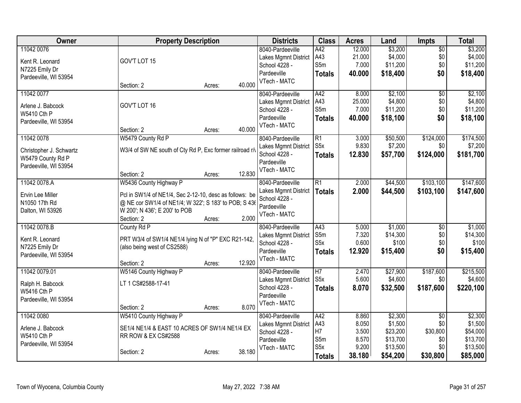| <b>Owner</b>            | <b>Property Description</b>                                                                                      |        | <b>Districts</b>             | <b>Class</b>                        | <b>Acres</b> | Land     | Impts           | <b>Total</b> |
|-------------------------|------------------------------------------------------------------------------------------------------------------|--------|------------------------------|-------------------------------------|--------------|----------|-----------------|--------------|
| 11042 0076              |                                                                                                                  |        | 8040-Pardeeville             | A42                                 | 12.000       | \$3,200  | $\overline{50}$ | \$3,200      |
| Kent R. Leonard         | GOV'T LOT 15                                                                                                     |        | Lakes Mgmnt District         | A43                                 | 21.000       | \$4,000  | \$0             | \$4,000      |
| N7225 Emily Dr          |                                                                                                                  |        | School 4228 -                | S5m                                 | 7.000        | \$11,200 | \$0             | \$11,200     |
| Pardeeville, WI 53954   |                                                                                                                  |        | Pardeeville                  | <b>Totals</b>                       | 40.000       | \$18,400 | \$0             | \$18,400     |
|                         | Section: 2<br>Acres:                                                                                             | 40.000 | VTech - MATC                 |                                     |              |          |                 |              |
| 11042 0077              |                                                                                                                  |        | 8040-Pardeeville             | A42                                 | 8.000        | \$2,100  | \$0             | \$2,100      |
| Arlene J. Babcock       | GOV'T LOT 16                                                                                                     |        | Lakes Mgmnt District         | A43                                 | 25.000       | \$4,800  | \$0             | \$4,800      |
| W5410 Cth P             |                                                                                                                  |        | School 4228 -                | S5m                                 | 7.000        | \$11,200 | \$0             | \$11,200     |
| Pardeeville, WI 53954   |                                                                                                                  |        | Pardeeville                  | <b>Totals</b>                       | 40.000       | \$18,100 | \$0             | \$18,100     |
|                         | Section: 2<br>Acres:                                                                                             | 40.000 | VTech - MATC                 |                                     |              |          |                 |              |
| 11042 0078              | W5479 County Rd P                                                                                                |        | 8040-Pardeeville             | $\overline{R1}$                     | 3.000        | \$50,500 | \$124,000       | \$174,500    |
| Christopher J. Schwartz | W3/4 of SW NE south of Cty Rd P, Exc former railroad r/                                                          |        | Lakes Mgmnt District         | S <sub>5</sub> x                    | 9.830        | \$7,200  | \$0             | \$7,200      |
| W5479 County Rd P       |                                                                                                                  |        | School 4228 -                | <b>Totals</b>                       | 12.830       | \$57,700 | \$124,000       | \$181,700    |
| Pardeeville, WI 53954   |                                                                                                                  |        | Pardeeville                  |                                     |              |          |                 |              |
|                         | Section: 2<br>Acres:                                                                                             | 12.830 | VTech - MATC                 |                                     |              |          |                 |              |
| 11042 0078.A            | W5436 County Highway P                                                                                           |        | 8040-Pardeeville             | $\overline{R1}$                     | 2.000        | \$44,500 | \$103,100       | \$147,600    |
| Ervin Lee Miller        |                                                                                                                  |        | Lakes Mgmnt District         | <b>Totals</b>                       | 2.000        | \$44,500 | \$103,100       | \$147,600    |
| N1050 17th Rd           | Pcl in SW1/4 of NE1/4, Sec 2-12-10, desc as follows: be<br>@ NE cor SW1/4 of NE1/4; W 322'; S 183' to POB; S 436 |        | School 4228 -                |                                     |              |          |                 |              |
| Dalton, WI 53926        | W 200'; N 436'; E 200' to POB                                                                                    |        | Pardeeville                  |                                     |              |          |                 |              |
|                         | Section: 2<br>Acres:                                                                                             | 2.000  | VTech - MATC                 |                                     |              |          |                 |              |
| 11042 0078.B            | County Rd P                                                                                                      |        | 8040-Pardeeville             | A43                                 | 5.000        | \$1,000  | \$0             | \$1,000      |
|                         |                                                                                                                  |        | Lakes Mgmnt District         | S5m                                 | 7.320        | \$14,300 | \$0             | \$14,300     |
| Kent R. Leonard         | PRT W3/4 of SW1/4 NE1/4 lying N of "P" EXC R21-142,                                                              |        | School 4228 -                | S5x                                 | 0.600        | \$100    | \$0             | \$100        |
| N7225 Emily Dr          | (also being west of CS2588)                                                                                      |        | Pardeeville                  | <b>Totals</b>                       | 12.920       | \$15,400 | \$0             | \$15,400     |
| Pardeeville, WI 53954   |                                                                                                                  |        | VTech - MATC                 |                                     |              |          |                 |              |
|                         | Section: 2<br>Acres:                                                                                             | 12.920 |                              |                                     |              |          |                 |              |
| 11042 0079.01           | W5146 County Highway P                                                                                           |        | 8040-Pardeeville             | $\overline{H7}$<br>S <sub>5</sub> x | 2.470        | \$27,900 | \$187,600       | \$215,500    |
| Ralph H. Babcock        | LT 1 CS#2588-17-41                                                                                               |        | Lakes Mgmnt District         |                                     | 5.600        | \$4,600  | \$0             | \$4,600      |
| W5416 Cth P             |                                                                                                                  |        | School 4228 -<br>Pardeeville | <b>Totals</b>                       | 8.070        | \$32,500 | \$187,600       | \$220,100    |
| Pardeeville, WI 53954   |                                                                                                                  |        | VTech - MATC                 |                                     |              |          |                 |              |
|                         | Section: 2<br>Acres:                                                                                             | 8.070  |                              |                                     |              |          |                 |              |
| 11042 0080              | W5410 County Highway P                                                                                           |        | 8040-Pardeeville             | A42                                 | 8.860        | \$2,300  | $\overline{50}$ | \$2,300      |
| Arlene J. Babcock       | SE1/4 NE1/4 & EAST 10 ACRES OF SW1/4 NE1/4 EX                                                                    |        | Lakes Mgmnt District         | A43                                 | 8.050        | \$1,500  | \$0             | \$1,500      |
| W5410 Cth P             | RR ROW & EX CS#2588                                                                                              |        | School 4228 -                | H7                                  | 3.500        | \$23,200 | \$30,800        | \$54,000     |
| Pardeeville, WI 53954   |                                                                                                                  |        | Pardeeville                  | S5m                                 | 8.570        | \$13,700 | \$0             | \$13,700     |
|                         | Section: 2<br>Acres:                                                                                             | 38.180 | VTech - MATC                 | S <sub>5</sub> x                    | 9.200        | \$13,500 | \$0             | \$13,500     |
|                         |                                                                                                                  |        |                              | <b>Totals</b>                       | 38.180       | \$54,200 | \$30,800        | \$85,000     |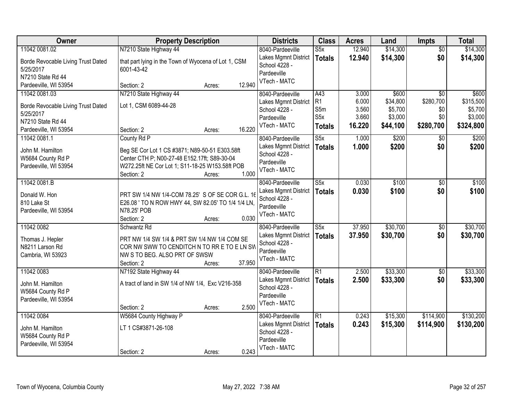| Owner                              | <b>Property Description</b>                          |        |        | <b>Districts</b>            | <b>Class</b>            | <b>Acres</b>   | Land               | Impts           | <b>Total</b>       |
|------------------------------------|------------------------------------------------------|--------|--------|-----------------------------|-------------------------|----------------|--------------------|-----------------|--------------------|
| 11042 0081.02                      | N7210 State Highway 44                               |        |        | 8040-Pardeeville            | $\overline{\text{S5x}}$ | 12.940         | \$14,300           | $\overline{50}$ | \$14,300           |
| Borde Revocable Living Trust Dated | that part lying in the Town of Wyocena of Lot 1, CSM |        |        | Lakes Mgmnt District        | <b>Totals</b>           | 12.940         | \$14,300           | \$0             | \$14,300           |
| 5/25/2017                          | 6001-43-42                                           |        |        | School 4228 -               |                         |                |                    |                 |                    |
| N7210 State Rd 44                  |                                                      |        |        | Pardeeville<br>VTech - MATC |                         |                |                    |                 |                    |
| Pardeeville, WI 53954              | Section: 2                                           | Acres: | 12.940 |                             |                         |                |                    |                 |                    |
| 11042 0081.03                      | N7210 State Highway 44                               |        |        | 8040-Pardeeville            | A43                     | 3.000          | \$600              | $\overline{30}$ | \$600              |
| Borde Revocable Living Trust Dated | Lot 1, CSM 6089-44-28                                |        |        | Lakes Mgmnt District        | R1                      | 6.000          | \$34,800           | \$280,700       | \$315,500          |
| 5/25/2017                          |                                                      |        |        | School 4228 -               | S5m<br>S <sub>5</sub> x | 3.560<br>3.660 | \$5,700<br>\$3,000 | \$0<br>\$0      | \$5,700<br>\$3,000 |
| N7210 State Rd 44                  |                                                      |        |        | Pardeeville<br>VTech - MATC |                         | 16.220         | \$44,100           | \$280,700       | \$324,800          |
| Pardeeville, WI 53954              | Section: 2                                           | Acres: | 16.220 |                             | <b>Totals</b>           |                |                    |                 |                    |
| 11042 0081.1                       | County Rd P                                          |        |        | 8040-Pardeeville            | S5x                     | 1.000          | \$200              | $\overline{50}$ | \$200              |
| John M. Hamilton                   | Beg SE Cor Lot 1 CS #3871; N89-50-51 E303.58ft       |        |        | Lakes Mgmnt District        | <b>Totals</b>           | 1.000          | \$200              | \$0             | \$200              |
| W5684 County Rd P                  | Center CTH P; N00-27-48 E152.17ft; S89-30-04         |        |        | School 4228 -               |                         |                |                    |                 |                    |
| Pardeeville, WI 53954              | W272.25ft NE Cor Lot 1; S11-18-25 W153.58ft POB      |        |        | Pardeeville<br>VTech - MATC |                         |                |                    |                 |                    |
|                                    | Section: 2                                           | Acres: | 1.000  |                             |                         |                |                    |                 |                    |
| 11042 0081.B                       |                                                      |        |        | 8040-Pardeeville            | $\overline{\text{S5x}}$ | 0.030          | \$100              | \$0             | \$100              |
| Donald W. Hon                      | PRT SW 1/4 NW 1/4-COM 78.25' S OF SE COR G.L. 16     |        |        | Lakes Mgmnt District        | <b>Totals</b>           | 0.030          | \$100              | \$0             | \$100              |
| 810 Lake St                        | E26.08 ' TO N ROW HWY 44, SW 82.05' TO 1/4 1/4 LN,   |        |        | School 4228 -               |                         |                |                    |                 |                    |
| Pardeeville, WI 53954              | N78.25' POB                                          |        |        | Pardeeville<br>VTech - MATC |                         |                |                    |                 |                    |
|                                    | Section: 2                                           | Acres: | 0.030  |                             |                         |                |                    |                 |                    |
| 11042 0082                         | Schwantz Rd                                          |        |        | 8040-Pardeeville            | $\overline{\text{S5x}}$ | 37.950         | \$30,700           | $\overline{50}$ | \$30,700           |
| Thomas J. Hepler                   | PRT NW 1/4 SW 1/4 & PRT SW 1/4 NW 1/4 COM SE         |        |        | Lakes Mgmnt District        | <b>Totals</b>           | 37.950         | \$30,700           | \$0             | \$30,700           |
| N8211 Larson Rd                    | COR NW SWW TO CENDITCH N TO RR E TO E LN SW          |        |        | School 4228 -               |                         |                |                    |                 |                    |
| Cambria, WI 53923                  | NW S TO BEG. ALSO PRT OF SWSW                        |        |        | Pardeeville                 |                         |                |                    |                 |                    |
|                                    | Section: 2                                           | Acres: | 37.950 | VTech - MATC                |                         |                |                    |                 |                    |
| 11042 0083                         | N7192 State Highway 44                               |        |        | 8040-Pardeeville            | $\overline{R1}$         | 2.500          | \$33,300           | $\overline{60}$ | \$33,300           |
| John M. Hamilton                   | A tract of land in SW 1/4 of NW 1/4, Exc V216-358    |        |        | Lakes Mgmnt District        | <b>Totals</b>           | 2.500          | \$33,300           | \$0             | \$33,300           |
| W5684 County Rd P                  |                                                      |        |        | School 4228 -               |                         |                |                    |                 |                    |
| Pardeeville, WI 53954              |                                                      |        |        | Pardeeville                 |                         |                |                    |                 |                    |
|                                    | Section: 2                                           | Acres: | 2.500  | VTech - MATC                |                         |                |                    |                 |                    |
| 11042 0084                         | W5684 County Highway P                               |        |        | 8040-Pardeeville            | $\overline{R1}$         | 0.243          | \$15,300           | \$114,900       | \$130,200          |
| John M. Hamilton                   | LT 1 CS#3871-26-108                                  |        |        | Lakes Mgmnt District        | <b>Totals</b>           | 0.243          | \$15,300           | \$114,900       | \$130,200          |
| W5684 County Rd P                  |                                                      |        |        | School 4228 -               |                         |                |                    |                 |                    |
| Pardeeville, WI 53954              |                                                      |        |        | Pardeeville                 |                         |                |                    |                 |                    |
|                                    | Section: 2                                           | Acres: | 0.243  | VTech - MATC                |                         |                |                    |                 |                    |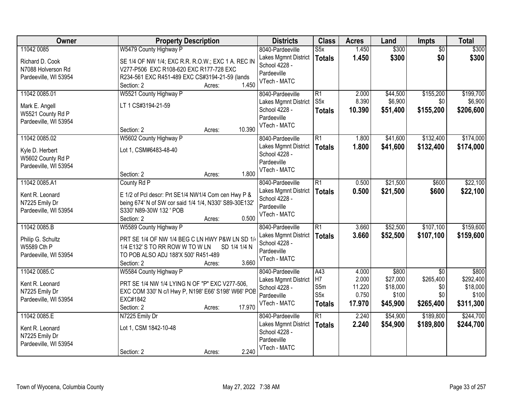| Owner                                | <b>Property Description</b>                                                                        | <b>Districts</b>     | <b>Class</b>     | <b>Acres</b> | Land     | Impts           | <b>Total</b> |
|--------------------------------------|----------------------------------------------------------------------------------------------------|----------------------|------------------|--------------|----------|-----------------|--------------|
| 11042 0085                           | W5479 County Highway P                                                                             | 8040-Pardeeville     | S5x              | 1.450        | \$300    | $\overline{50}$ | \$300        |
| Richard D. Cook                      | SE 1/4 OF NW 1/4; EXC R.R. R.O.W.; EXC 1 A. REC IN                                                 | Lakes Mgmnt District | <b>Totals</b>    | 1.450        | \$300    | \$0             | \$300        |
| N7088 Holverson Rd                   | V277-P506 EXC R108-620 EXC R177-728 EXC                                                            | School 4228 -        |                  |              |          |                 |              |
| Pardeeville, WI 53954                | R234-561 EXC R451-489 EXC CS#3194-21-59 (lands                                                     | Pardeeville          |                  |              |          |                 |              |
|                                      | 1.450<br>Section: 2<br>Acres:                                                                      | VTech - MATC         |                  |              |          |                 |              |
| 11042 0085.01                        | W5521 County Highway P                                                                             | 8040-Pardeeville     | $\overline{R1}$  | 2.000        | \$44,500 | \$155,200       | \$199,700    |
| Mark E. Angell                       | LT 1 CS#3194-21-59                                                                                 | Lakes Mgmnt District | S <sub>5</sub> x | 8.390        | \$6,900  | \$0             | \$6,900      |
| W5521 County Rd P                    |                                                                                                    | School 4228 -        | <b>Totals</b>    | 10.390       | \$51,400 | \$155,200       | \$206,600    |
| Pardeeville, WI 53954                |                                                                                                    | Pardeeville          |                  |              |          |                 |              |
|                                      | 10.390<br>Section: 2<br>Acres:                                                                     | VTech - MATC         |                  |              |          |                 |              |
| 11042 0085.02                        | W5602 County Highway P                                                                             | 8040-Pardeeville     | $\overline{R1}$  | 1.800        | \$41,600 | \$132,400       | \$174,000    |
| Kyle D. Herbert                      | Lot 1, CSM#6483-48-40                                                                              | Lakes Mgmnt District | <b>Totals</b>    | 1.800        | \$41,600 | \$132,400       | \$174,000    |
| W5602 County Rd P                    |                                                                                                    | School 4228 -        |                  |              |          |                 |              |
| Pardeeville, WI 53954                |                                                                                                    | Pardeeville          |                  |              |          |                 |              |
|                                      | 1.800<br>Section: 2<br>Acres:                                                                      | VTech - MATC         |                  |              |          |                 |              |
| 11042 0085.A1                        | County Rd P                                                                                        | 8040-Pardeeville     | $\overline{R1}$  | 0.500        | \$21,500 | \$600           | \$22,100     |
| Kent R. Leonard                      | E 1/2 of Pcl descr: Prt SE1/4 NW1/4 Com cen Hwy P &                                                | Lakes Mgmnt District | <b>Totals</b>    | 0.500        | \$21,500 | \$600           | \$22,100     |
| N7225 Emily Dr                       | being 674' N of SW cor said 1/4 1/4, N330' S89-30E132'                                             | School 4228 -        |                  |              |          |                 |              |
| Pardeeville, WI 53954                | S330' N89-30W 132 ' POB                                                                            | Pardeeville          |                  |              |          |                 |              |
|                                      | 0.500<br>Section: 2<br>Acres:                                                                      | VTech - MATC         |                  |              |          |                 |              |
| 11042 0085.B                         | W5589 County Highway P                                                                             | 8040-Pardeeville     | $\overline{R1}$  | 3.660        | \$52,500 | \$107,100       | \$159,600    |
|                                      |                                                                                                    | Lakes Mgmnt District | <b>Totals</b>    | 3.660        | \$52,500 | \$107,100       | \$159,600    |
| Philip G. Schultz                    | PRT SE 1/4 OF NW 1/4 BEG C LN HWY P&W LN SD 1/4<br>1/4 E132' S TO RR ROW W TO W LN<br>SD 1/4 1/4 N | School 4228 -        |                  |              |          |                 |              |
| W5589 Cth P<br>Pardeeville, WI 53954 | TO POB ALSO ADJ 188'X 500' R451-489                                                                | Pardeeville          |                  |              |          |                 |              |
|                                      | 3.660<br>Section: 2<br>Acres:                                                                      | VTech - MATC         |                  |              |          |                 |              |
| 11042 0085.C                         | W5584 County Highway P                                                                             | 8040-Pardeeville     | A43              | 4.000        | \$800    | $\overline{50}$ | \$800        |
|                                      |                                                                                                    | Lakes Mgmnt District | H7               | 2.000        | \$27,000 | \$265,400       | \$292,400    |
| Kent R. Leonard                      | PRT SE 1/4 NW 1/4 LYING N OF "P" EXC V277-506,                                                     | School 4228 -        | S5m              | 11.220       | \$18,000 | \$0             | \$18,000     |
| N7225 Emily Dr                       | EXC COM 330' N c/l Hwy P, N198' E66' S198' W66' POB<br>EXC#1842                                    | Pardeeville          | S <sub>5</sub> x | 0.750        | \$100    | \$0             | \$100        |
| Pardeeville, WI 53954                | 17.970<br>Section: 2<br>Acres:                                                                     | VTech - MATC         | <b>Totals</b>    | 17.970       | \$45,900 | \$265,400       | \$311,300    |
| 11042 0085.E                         | N7225 Emily Dr                                                                                     | 8040-Pardeeville     | $\overline{R1}$  | 2.240        | \$54,900 | \$189,800       | \$244,700    |
|                                      |                                                                                                    | Lakes Mgmnt District | <b>Totals</b>    | 2.240        | \$54,900 | \$189,800       | \$244,700    |
| Kent R. Leonard                      | Lot 1, CSM 1842-10-48                                                                              | School 4228 -        |                  |              |          |                 |              |
| N7225 Emily Dr                       |                                                                                                    | Pardeeville          |                  |              |          |                 |              |
| Pardeeville, WI 53954                |                                                                                                    | VTech - MATC         |                  |              |          |                 |              |
|                                      | 2.240<br>Section: 2<br>Acres:                                                                      |                      |                  |              |          |                 |              |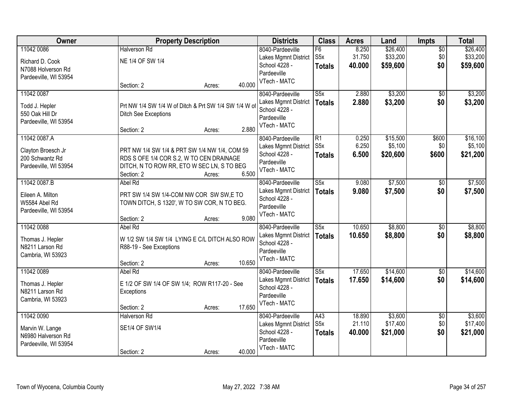| Owner                 | <b>Property Description</b>                           |                  | <b>Districts</b>     | <b>Class</b>            | <b>Acres</b> | Land     | Impts           | <b>Total</b> |
|-----------------------|-------------------------------------------------------|------------------|----------------------|-------------------------|--------------|----------|-----------------|--------------|
| 11042 0086            | <b>Halverson Rd</b>                                   |                  | 8040-Pardeeville     | F6                      | 8.250        | \$26,400 | $\overline{50}$ | \$26,400     |
| Richard D. Cook       | NE 1/4 OF SW 1/4                                      |                  | Lakes Mgmnt District | S <sub>5</sub> x        | 31.750       | \$33,200 | \$0             | \$33,200     |
| N7088 Holverson Rd    |                                                       |                  | School 4228 -        | <b>Totals</b>           | 40.000       | \$59,600 | \$0             | \$59,600     |
| Pardeeville, WI 53954 |                                                       |                  | Pardeeville          |                         |              |          |                 |              |
|                       | Section: 2                                            | 40.000<br>Acres: | VTech - MATC         |                         |              |          |                 |              |
| 11042 0087            |                                                       |                  | 8040-Pardeeville     | S5x                     | 2.880        | \$3,200  | \$0             | \$3,200      |
| Todd J. Hepler        | Prt NW 1/4 SW 1/4 W of Ditch & Prt SW 1/4 SW 1/4 W of |                  | Lakes Mgmnt District | <b>Totals</b>           | 2.880        | \$3,200  | \$0             | \$3,200      |
| 550 Oak Hill Dr       | <b>Ditch See Exceptions</b>                           |                  | School 4228 -        |                         |              |          |                 |              |
| Pardeeville, WI 53954 |                                                       |                  | Pardeeville          |                         |              |          |                 |              |
|                       | Section: 2                                            | 2.880<br>Acres:  | VTech - MATC         |                         |              |          |                 |              |
| 11042 0087.A          |                                                       |                  | 8040-Pardeeville     | $\overline{R1}$         | 0.250        | \$15,500 | \$600           | \$16,100     |
| Clayton Broesch Jr    | PRT NW 1/4 SW 1/4 & PRT SW 1/4 NW 1/4, COM 59         |                  | Lakes Mgmnt District | S <sub>5</sub> x        | 6.250        | \$5,100  | \$0             | \$5,100      |
| 200 Schwantz Rd       | RDS S OFE 1/4 COR S.2, W TO CEN DRAINAGE              |                  | School 4228 -        | <b>Totals</b>           | 6.500        | \$20,600 | \$600           | \$21,200     |
| Pardeeville, WI 53954 | DITCH, N TO ROW RR, ETO W SEC LN, S TO BEG            |                  | Pardeeville          |                         |              |          |                 |              |
|                       | Section: 2                                            | 6.500<br>Acres:  | VTech - MATC         |                         |              |          |                 |              |
| 11042 0087.B          | Abel Rd                                               |                  | 8040-Pardeeville     | $\overline{\text{S5x}}$ | 9.080        | \$7,500  | $\sqrt[6]{3}$   | \$7,500      |
| Eileen A. Milton      | PRT SW 1/4 SW 1/4-COM NW COR SW SW,E TO               |                  | Lakes Mgmnt District | <b>Totals</b>           | 9.080        | \$7,500  | \$0             | \$7,500      |
| W5584 Abel Rd         | TOWN DITCH, S 1320', W TO SW COR, N TO BEG.           |                  | School 4228 -        |                         |              |          |                 |              |
| Pardeeville, WI 53954 |                                                       |                  | Pardeeville          |                         |              |          |                 |              |
|                       | Section: 2                                            | 9.080<br>Acres:  | VTech - MATC         |                         |              |          |                 |              |
| 11042 0088            | Abel Rd                                               |                  | 8040-Pardeeville     | $\overline{\text{S5x}}$ | 10.650       | \$8,800  | $\overline{50}$ | \$8,800      |
| Thomas J. Hepler      | W 1/2 SW 1/4 SW 1/4 LYING E C/L DITCH ALSO ROW        |                  | Lakes Mgmnt District | <b>Totals</b>           | 10.650       | \$8,800  | \$0             | \$8,800      |
| N8211 Larson Rd       | R88-19 - See Exceptions                               |                  | School 4228 -        |                         |              |          |                 |              |
| Cambria, WI 53923     |                                                       |                  | Pardeeville          |                         |              |          |                 |              |
|                       | Section: 2                                            | 10.650<br>Acres: | VTech - MATC         |                         |              |          |                 |              |
| 11042 0089            | Abel Rd                                               |                  | 8040-Pardeeville     | $\overline{\text{S5x}}$ | 17.650       | \$14,600 | $\sqrt{6}$      | \$14,600     |
| Thomas J. Hepler      | E 1/2 OF SW 1/4 OF SW 1/4; ROW R117-20 - See          |                  | Lakes Mgmnt District | <b>Totals</b>           | 17.650       | \$14,600 | \$0             | \$14,600     |
| N8211 Larson Rd       | Exceptions                                            |                  | School 4228 -        |                         |              |          |                 |              |
| Cambria, WI 53923     |                                                       |                  | Pardeeville          |                         |              |          |                 |              |
|                       | Section: 2                                            | 17.650<br>Acres: | VTech - MATC         |                         |              |          |                 |              |
| 11042 0090            | <b>Halverson Rd</b>                                   |                  | 8040-Pardeeville     | A43                     | 18.890       | \$3,600  | $\overline{50}$ | \$3,600      |
| Marvin W. Lange       | SE1/4 OF SW1/4                                        |                  | Lakes Mgmnt District | S <sub>5</sub> x        | 21.110       | \$17,400 | \$0             | \$17,400     |
| N6980 Halverson Rd    |                                                       |                  | School 4228 -        | <b>Totals</b>           | 40.000       | \$21,000 | \$0             | \$21,000     |
| Pardeeville, WI 53954 |                                                       |                  | Pardeeville          |                         |              |          |                 |              |
|                       | Section: 2                                            | 40.000<br>Acres: | VTech - MATC         |                         |              |          |                 |              |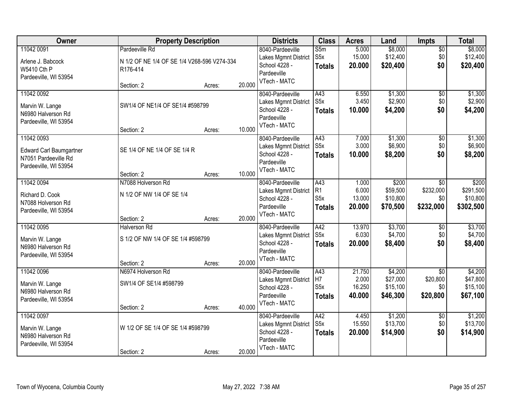| Owner                          | <b>Property Description</b>                 |        |        | <b>Districts</b>                         | <b>Class</b>           | <b>Acres</b>    | Land                 | <b>Impts</b>                | <b>Total</b>          |
|--------------------------------|---------------------------------------------|--------|--------|------------------------------------------|------------------------|-----------------|----------------------|-----------------------------|-----------------------|
| 11042 0091                     | Pardeeville Rd                              |        |        | 8040-Pardeeville                         | S5m                    | 5.000           | \$8,000              | $\overline{50}$             | \$8,000               |
| Arlene J. Babcock              | N 1/2 OF NE 1/4 OF SE 1/4 V268-596 V274-334 |        |        | Lakes Mgmnt District                     | S <sub>5</sub> x       | 15.000          | \$12,400             | \$0                         | \$12,400              |
| W5410 Cth P                    | R176-414                                    |        |        | School 4228 -                            | <b>Totals</b>          | 20.000          | \$20,400             | \$0                         | \$20,400              |
| Pardeeville, WI 53954          |                                             |        |        | Pardeeville<br>VTech - MATC              |                        |                 |                      |                             |                       |
|                                | Section: 2                                  | Acres: | 20.000 |                                          |                        |                 |                      |                             |                       |
| 11042 0092                     |                                             |        |        | 8040-Pardeeville                         | A43                    | 6.550           | \$1,300              | \$0                         | \$1,300               |
| Marvin W. Lange                | SW1/4 OF NE1/4 OF SE1/4 #598799             |        |        | Lakes Mgmnt District                     | S <sub>5</sub> x       | 3.450           | \$2,900              | \$0                         | \$2,900               |
| N6980 Halverson Rd             |                                             |        |        | School 4228 -<br>Pardeeville             | <b>Totals</b>          | 10.000          | \$4,200              | \$0                         | \$4,200               |
| Pardeeville, WI 53954          |                                             |        |        | VTech - MATC                             |                        |                 |                      |                             |                       |
|                                | Section: 2                                  | Acres: | 10.000 |                                          |                        |                 |                      |                             |                       |
| 11042 0093                     |                                             |        |        | 8040-Pardeeville                         | A43                    | 7.000           | \$1,300              | \$0                         | \$1,300               |
| <b>Edward Carl Baumgartner</b> | SE 1/4 OF NE 1/4 OF SE 1/4 R                |        |        | Lakes Mgmnt District                     | S <sub>5</sub> x       | 3.000           | \$6,900              | \$0                         | \$6,900               |
| N7051 Pardeeville Rd           |                                             |        |        | School 4228 -<br>Pardeeville             | <b>Totals</b>          | 10.000          | \$8,200              | \$0                         | \$8,200               |
| Pardeeville, WI 53954          |                                             |        |        | VTech - MATC                             |                        |                 |                      |                             |                       |
|                                | Section: 2                                  | Acres: | 10.000 |                                          |                        |                 |                      |                             |                       |
| 11042 0094                     | N7088 Holverson Rd                          |        |        | 8040-Pardeeville                         | A43<br>R1              | 1.000<br>6.000  | \$200                | \$0                         | \$200                 |
| Richard D. Cook                | N 1/2 OF NW 1/4 OF SE 1/4                   |        |        | Lakes Mgmnt District<br>School 4228 -    | S <sub>5</sub> x       | 13.000          | \$59,500<br>\$10,800 | \$232,000<br>\$0            | \$291,500<br>\$10,800 |
| N7088 Holverson Rd             |                                             |        |        | Pardeeville                              | <b>Totals</b>          | 20.000          | \$70,500             | \$232,000                   | \$302,500             |
| Pardeeville, WI 53954          |                                             |        |        | VTech - MATC                             |                        |                 |                      |                             |                       |
|                                | Section: 2                                  | Acres: | 20.000 |                                          |                        |                 |                      |                             |                       |
| 11042 0095                     | <b>Halverson Rd</b>                         |        |        | 8040-Pardeeville                         | A42<br>S5x             | 13.970<br>6.030 | \$3,700<br>\$4,700   | \$0<br>\$0                  | \$3,700<br>\$4,700    |
| Marvin W. Lange                | S 1/2 OF NW 1/4 OF SE 1/4 #598799           |        |        | Lakes Mgmnt District<br>School 4228 -    | <b>Totals</b>          | 20.000          | \$8,400              | \$0                         | \$8,400               |
| N6980 Halverson Rd             |                                             |        |        | Pardeeville                              |                        |                 |                      |                             |                       |
| Pardeeville, WI 53954          |                                             |        |        | VTech - MATC                             |                        |                 |                      |                             |                       |
| 11042 0096                     | Section: 2                                  | Acres: | 20.000 |                                          |                        |                 |                      |                             |                       |
|                                | N6974 Holverson Rd                          |        |        | 8040-Pardeeville<br>Lakes Mgmnt District | $\overline{A43}$<br>H7 | 21.750<br>2.000 | \$4,200<br>\$27,000  | $\overline{50}$<br>\$20,800 | \$4,200<br>\$47,800   |
| Marvin W. Lange                | SW1/4 OF SE1/4 #598799                      |        |        | School 4228 -                            | S5x                    | 16.250          | \$15,100             | \$0                         | \$15,100              |
| N6980 Halverson Rd             |                                             |        |        | Pardeeville                              | <b>Totals</b>          | 40.000          | \$46,300             | \$20,800                    | \$67,100              |
| Pardeeville, WI 53954          |                                             |        |        | VTech - MATC                             |                        |                 |                      |                             |                       |
| 11042 0097                     | Section: 2                                  | Acres: | 40.000 | 8040-Pardeeville                         | A42                    | 4.450           | \$1,200              | $\overline{30}$             | \$1,200               |
|                                |                                             |        |        | Lakes Mgmnt District                     | S <sub>5</sub> x       | 15.550          | \$13,700             | \$0                         | \$13,700              |
| Marvin W. Lange                | W 1/2 OF SE 1/4 OF SE 1/4 #598799           |        |        | School 4228 -                            | <b>Totals</b>          | 20.000          | \$14,900             | \$0                         | \$14,900              |
| N6980 Halverson Rd             |                                             |        |        | Pardeeville                              |                        |                 |                      |                             |                       |
| Pardeeville, WI 53954          | Section: 2                                  | Acres: | 20.000 | VTech - MATC                             |                        |                 |                      |                             |                       |
|                                |                                             |        |        |                                          |                        |                 |                      |                             |                       |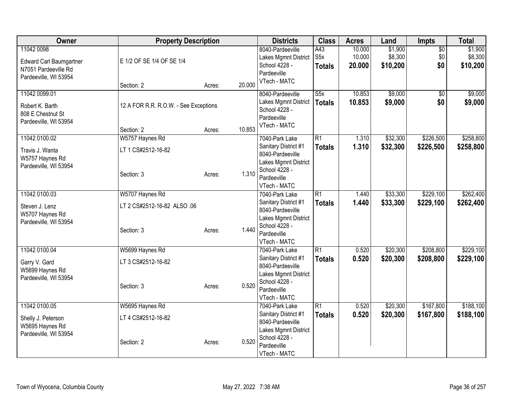| <b>Owner</b>                                                                                  | <b>Property Description</b>                         |        |        | <b>Districts</b>                                                                                                 | <b>Class</b>                             | <b>Acres</b>               | Land                           | Impts                         | <b>Total</b>                   |
|-----------------------------------------------------------------------------------------------|-----------------------------------------------------|--------|--------|------------------------------------------------------------------------------------------------------------------|------------------------------------------|----------------------------|--------------------------------|-------------------------------|--------------------------------|
| 11042 0098<br><b>Edward Carl Baumgartner</b><br>N7051 Pardeeville Rd<br>Pardeeville, WI 53954 | E 1/2 OF SE 1/4 OF SE 1/4                           |        |        | 8040-Pardeeville<br>Lakes Mgmnt District<br>School 4228 -<br>Pardeeville                                         | A43<br>S <sub>5</sub> x<br><b>Totals</b> | 10.000<br>10.000<br>20.000 | \$1,900<br>\$8,300<br>\$10,200 | $\overline{60}$<br>\$0<br>\$0 | \$1,900<br>\$8,300<br>\$10,200 |
|                                                                                               | Section: 2                                          | Acres: | 20.000 | VTech - MATC                                                                                                     |                                          |                            |                                |                               |                                |
| 11042 0099.01<br>Robert K. Barth<br>808 E Chestnut St<br>Pardeeville, WI 53954                | 12 A FOR R.R. R.O.W. - See Exceptions<br>Section: 2 | Acres: | 10.853 | 8040-Pardeeville<br>Lakes Mgmnt District<br>School 4228 -<br>Pardeeville<br>VTech - MATC                         | $\overline{\text{S5x}}$<br><b>Totals</b> | 10.853<br>10.853           | \$9,000<br>\$9,000             | \$0<br>\$0                    | \$9,000<br>\$9,000             |
| 11042 0100.02                                                                                 | W5757 Haynes Rd                                     |        |        | 7040-Park Lake                                                                                                   | $\overline{R1}$                          | 1.310                      | \$32,300                       | \$226,500                     | \$258,800                      |
| Travis J. Wanta<br>W5757 Haynes Rd<br>Pardeeville, WI 53954                                   | LT 1 CS#2512-16-82<br>Section: 3                    | Acres: | 1.310  | Sanitary District #1<br>8040-Pardeeville<br>Lakes Mgmnt District<br>School 4228 -<br>Pardeeville<br>VTech - MATC | <b>Totals</b>                            | 1.310                      | \$32,300                       | \$226,500                     | \$258,800                      |
| 11042 0100.03                                                                                 | W5707 Haynes Rd                                     |        |        | 7040-Park Lake                                                                                                   | $\overline{R1}$                          | 1.440                      | \$33,300                       | \$229,100                     | \$262,400                      |
| Steven J. Lenz<br>W5707 Haynes Rd<br>Pardeeville, WI 53954                                    | LT 2 CS#2512-16-82 ALSO .06<br>Section: 3           | Acres: | 1.440  | Sanitary District #1<br>8040-Pardeeville<br>Lakes Mgmnt District<br>School 4228 -<br>Pardeeville<br>VTech - MATC | <b>Totals</b>                            | 1.440                      | \$33,300                       | \$229,100                     | \$262,400                      |
| 11042 0100.04                                                                                 | W5699 Haynes Rd                                     |        |        | 7040-Park Lake                                                                                                   | $\overline{R1}$                          | 0.520                      | \$20,300                       | \$208,800                     | \$229,100                      |
| Garry V. Gard<br>W5699 Haynes Rd<br>Pardeeville, WI 53954                                     | LT 3 CS#2512-16-82<br>Section: 3                    | Acres: | 0.520  | Sanitary District #1<br>8040-Pardeeville<br>Lakes Mgmnt District<br>School 4228 -<br>Pardeeville<br>VTech - MATC | <b>Totals</b>                            | 0.520                      | \$20,300                       | \$208,800                     | \$229,100                      |
| 11042 0100.05                                                                                 | W5695 Haynes Rd                                     |        |        | 7040-Park Lake                                                                                                   | $\overline{R1}$                          | 0.520                      | \$20,300                       | \$167,800                     | \$188,100                      |
| Shelly J. Peterson<br>W5695 Haynes Rd<br>Pardeeville, WI 53954                                | LT 4 CS#2512-16-82<br>Section: 2                    | Acres: | 0.520  | Sanitary District #1<br>8040-Pardeeville<br>Lakes Mgmnt District<br>School 4228 -<br>Pardeeville<br>VTech - MATC | <b>Totals</b>                            | 0.520                      | \$20,300                       | \$167,800                     | \$188,100                      |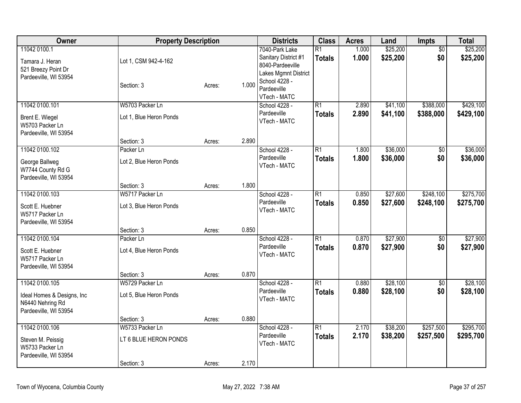| Owner                                                                                      | <b>Property Description</b>                                          |                  |                | <b>Districts</b>                                                                                                                   | <b>Class</b>                     | <b>Acres</b>   | Land                 | <b>Impts</b>           | <b>Total</b>           |
|--------------------------------------------------------------------------------------------|----------------------------------------------------------------------|------------------|----------------|------------------------------------------------------------------------------------------------------------------------------------|----------------------------------|----------------|----------------------|------------------------|------------------------|
| 11042 0100.1<br>Tamara J. Heran<br>521 Breezy Point Dr<br>Pardeeville, WI 53954            | Lot 1, CSM 942-4-162<br>Section: 3                                   | Acres:           | 1.000          | 7040-Park Lake<br>Sanitary District #1<br>8040-Pardeeville<br>Lakes Mgmnt District<br>School 4228 -<br>Pardeeville<br>VTech - MATC | $\overline{R1}$<br><b>Totals</b> | 1.000<br>1.000 | \$25,200<br>\$25,200 | $\overline{50}$<br>\$0 | \$25,200<br>\$25,200   |
| 11042 0100.101<br>Brent E. Wiegel<br>W5703 Packer Ln<br>Pardeeville, WI 53954              | W5703 Packer Ln<br>Lot 1, Blue Heron Ponds                           |                  |                | School 4228 -<br>Pardeeville<br>VTech - MATC                                                                                       | $\overline{R1}$<br><b>Totals</b> | 2.890<br>2.890 | \$41,100<br>\$41,100 | \$388,000<br>\$388,000 | \$429,100<br>\$429,100 |
| 11042 0100.102<br>George Ballweg<br>W7744 County Rd G<br>Pardeeville, WI 53954             | Section: 3<br>Packer Ln<br>Lot 2, Blue Heron Ponds                   | Acres:           | 2.890          | School 4228 -<br>Pardeeville<br>VTech - MATC                                                                                       | $\overline{R1}$<br><b>Totals</b> | 1.800<br>1.800 | \$36,000<br>\$36,000 | $\overline{50}$<br>\$0 | \$36,000<br>\$36,000   |
| 11042 0100.103<br>Scott E. Huebner<br>W5717 Packer Ln<br>Pardeeville, WI 53954             | Section: 3<br>W5717 Packer Ln<br>Lot 3, Blue Heron Ponds             | Acres:           | 1.800          | School 4228 -<br>Pardeeville<br>VTech - MATC                                                                                       | $\overline{R1}$<br><b>Totals</b> | 0.850<br>0.850 | \$27,600<br>\$27,600 | \$248,100<br>\$248,100 | \$275,700<br>\$275,700 |
| 11042 0100.104<br>Scott E. Huebner<br>W5717 Packer Ln<br>Pardeeville, WI 53954             | Section: 3<br>Packer Ln<br>Lot 4, Blue Heron Ponds                   | Acres:           | 0.850          | School 4228 -<br>Pardeeville<br>VTech - MATC                                                                                       | $\overline{R1}$<br><b>Totals</b> | 0.870<br>0.870 | \$27,900<br>\$27,900 | $\overline{50}$<br>\$0 | \$27,900<br>\$27,900   |
| 11042 0100.105<br>Ideal Homes & Designs, Inc.<br>N6440 Nehring Rd<br>Pardeeville, WI 53954 | Section: 3<br>W5729 Packer Ln<br>Lot 5, Blue Heron Ponds             | Acres:           | 0.870          | School 4228 -<br>Pardeeville<br>VTech - MATC                                                                                       | $\overline{R1}$<br><b>Totals</b> | 0.880<br>0.880 | \$28,100<br>\$28,100 | $\overline{50}$<br>\$0 | \$28,100<br>\$28,100   |
| 11042 0100.106<br>Steven M. Peissig<br>W5733 Packer Ln<br>Pardeeville, WI 53954            | Section: 3<br>W5733 Packer Ln<br>LT 6 BLUE HERON PONDS<br>Section: 3 | Acres:<br>Acres: | 0.880<br>2.170 | School 4228 -<br>Pardeeville<br>VTech - MATC                                                                                       | $\overline{R1}$<br><b>Totals</b> | 2.170<br>2.170 | \$38,200<br>\$38,200 | \$257,500<br>\$257,500 | \$295,700<br>\$295,700 |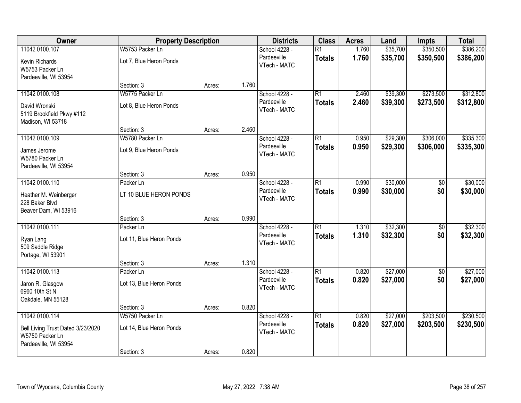| Owner                             | <b>Property Description</b> |        |       | <b>Districts</b>            | <b>Class</b>    | <b>Acres</b> | Land     | <b>Impts</b>    | <b>Total</b> |
|-----------------------------------|-----------------------------|--------|-------|-----------------------------|-----------------|--------------|----------|-----------------|--------------|
| 11042 0100.107                    | W5753 Packer Ln             |        |       | School 4228 -               | $\overline{R1}$ | 1.760        | \$35,700 | \$350,500       | \$386,200    |
| Kevin Richards<br>W5753 Packer Ln | Lot 7, Blue Heron Ponds     |        |       | Pardeeville<br>VTech - MATC | <b>Totals</b>   | 1.760        | \$35,700 | \$350,500       | \$386,200    |
| Pardeeville, WI 53954             |                             |        |       |                             |                 |              |          |                 |              |
|                                   | Section: 3                  | Acres: | 1.760 |                             |                 |              |          |                 |              |
| 11042 0100.108                    | W5775 Packer Ln             |        |       | School 4228 -               | $\overline{R1}$ | 2.460        | \$39,300 | \$273,500       | \$312,800    |
| David Wronski                     | Lot 8, Blue Heron Ponds     |        |       | Pardeeville                 | <b>Totals</b>   | 2.460        | \$39,300 | \$273,500       | \$312,800    |
| 5119 Brookfield Pkwy #112         |                             |        |       | VTech - MATC                |                 |              |          |                 |              |
| Madison, WI 53718                 |                             |        |       |                             |                 |              |          |                 |              |
|                                   | Section: 3                  | Acres: | 2.460 |                             |                 |              |          |                 |              |
| 11042 0100.109                    | W5780 Packer Ln             |        |       | School 4228 -               | $\overline{R1}$ | 0.950        | \$29,300 | \$306,000       | \$335,300    |
| James Jerome                      | Lot 9, Blue Heron Ponds     |        |       | Pardeeville                 | <b>Totals</b>   | 0.950        | \$29,300 | \$306,000       | \$335,300    |
| W5780 Packer Ln                   |                             |        |       | VTech - MATC                |                 |              |          |                 |              |
| Pardeeville, WI 53954             |                             |        |       |                             |                 |              |          |                 |              |
|                                   | Section: 3                  | Acres: | 0.950 |                             |                 |              |          |                 |              |
| 11042 0100.110                    | Packer Ln                   |        |       | School 4228 -               | $\overline{R1}$ | 0.990        | \$30,000 | \$0             | \$30,000     |
| Heather M. Weinberger             | LT 10 BLUE HERON PONDS      |        |       | Pardeeville                 | <b>Totals</b>   | 0.990        | \$30,000 | \$0             | \$30,000     |
| 228 Baker Blvd                    |                             |        |       | VTech - MATC                |                 |              |          |                 |              |
| Beaver Dam, WI 53916              |                             |        |       |                             |                 |              |          |                 |              |
|                                   | Section: 3                  | Acres: | 0.990 |                             |                 |              |          |                 |              |
| 11042 0100.111                    | Packer Ln                   |        |       | School 4228 -               | $\overline{R1}$ | 1.310        | \$32,300 | $\overline{50}$ | \$32,300     |
| Ryan Lang                         | Lot 11, Blue Heron Ponds    |        |       | Pardeeville                 | <b>Totals</b>   | 1.310        | \$32,300 | \$0             | \$32,300     |
| 509 Saddle Ridge                  |                             |        |       | VTech - MATC                |                 |              |          |                 |              |
| Portage, WI 53901                 |                             |        |       |                             |                 |              |          |                 |              |
|                                   | Section: 3                  | Acres: | 1.310 |                             |                 |              |          |                 |              |
| 11042 0100.113                    | Packer Ln                   |        |       | School 4228 -               | $\overline{R1}$ | 0.820        | \$27,000 | $\overline{60}$ | \$27,000     |
| Jaron R. Glasgow                  | Lot 13, Blue Heron Ponds    |        |       | Pardeeville                 | <b>Totals</b>   | 0.820        | \$27,000 | \$0             | \$27,000     |
| 6960 10th St N                    |                             |        |       | VTech - MATC                |                 |              |          |                 |              |
| Oakdale, MN 55128                 |                             |        |       |                             |                 |              |          |                 |              |
|                                   | Section: 3                  | Acres: | 0.820 |                             |                 |              |          |                 |              |
| 11042 0100.114                    | W5750 Packer Ln             |        |       | School 4228 -               | $\overline{R1}$ | 0.820        | \$27,000 | \$203,500       | \$230,500    |
| Bell Living Trust Dated 3/23/2020 | Lot 14, Blue Heron Ponds    |        |       | Pardeeville                 | <b>Totals</b>   | 0.820        | \$27,000 | \$203,500       | \$230,500    |
| W5750 Packer Ln                   |                             |        |       | VTech - MATC                |                 |              |          |                 |              |
| Pardeeville, WI 53954             |                             |        |       |                             |                 |              |          |                 |              |
|                                   | Section: 3                  | Acres: | 0.820 |                             |                 |              |          |                 |              |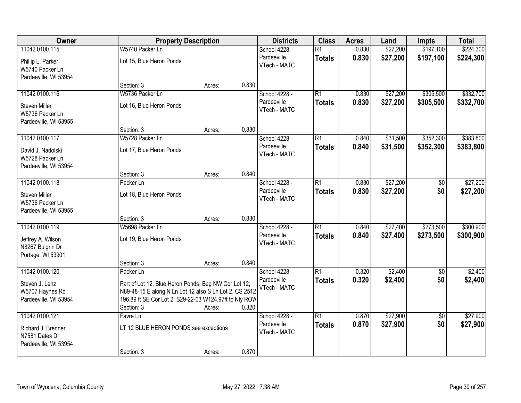| <b>Owner</b>                                                                    | <b>Property Description</b>                                                                                                                                                                         |        |       | <b>Districts</b>                             | <b>Class</b>                     | <b>Acres</b>   | Land                 | <b>Impts</b>           | <b>Total</b>           |
|---------------------------------------------------------------------------------|-----------------------------------------------------------------------------------------------------------------------------------------------------------------------------------------------------|--------|-------|----------------------------------------------|----------------------------------|----------------|----------------------|------------------------|------------------------|
| 11042 0100.115<br>Phillip L. Parker<br>W5740 Packer Ln                          | W5740 Packer Ln<br>Lot 15, Blue Heron Ponds                                                                                                                                                         |        |       | School 4228 -<br>Pardeeville<br>VTech - MATC | $\overline{R1}$<br><b>Totals</b> | 0.830<br>0.830 | \$27,200<br>\$27,200 | \$197,100<br>\$197,100 | \$224,300<br>\$224,300 |
| Pardeeville, WI 53954                                                           | Section: 3                                                                                                                                                                                          | Acres: | 0.830 |                                              |                                  |                |                      |                        |                        |
| 11042 0100.116<br>Steven Miller<br>W5736 Packer Ln<br>Pardeeville, WI 53955     | W5736 Packer Ln<br>Lot 16, Blue Heron Ponds                                                                                                                                                         |        |       | School 4228 -<br>Pardeeville<br>VTech - MATC | $\overline{R1}$<br><b>Totals</b> | 0.830<br>0.830 | \$27,200<br>\$27,200 | \$305,500<br>\$305,500 | \$332,700<br>\$332,700 |
| 11042 0100.117                                                                  | Section: 3<br>W5728 Packer Ln                                                                                                                                                                       | Acres: | 0.830 | School 4228 -                                | $\overline{R1}$                  | 0.840          | \$31,500             | \$352,300              | \$383,800              |
| David J. Nadolski<br>W5728 Packer Ln<br>Pardeeville, WI 53954                   | Lot 17, Blue Heron Ponds                                                                                                                                                                            |        |       | Pardeeville<br>VTech - MATC                  | <b>Totals</b>                    | 0.840          | \$31,500             | \$352,300              | \$383,800              |
|                                                                                 | Section: 3                                                                                                                                                                                          | Acres: | 0.840 |                                              |                                  |                |                      |                        |                        |
| 11042 0100.118<br>Steven Miller<br>W5736 Packer Ln<br>Pardeeville, WI 53955     | Packer Ln<br>Lot 18, Blue Heron Ponds                                                                                                                                                               |        |       | School 4228 -<br>Pardeeville<br>VTech - MATC | $\overline{R1}$<br><b>Totals</b> | 0.830<br>0.830 | \$27,200<br>\$27,200 | \$0<br>\$0             | \$27,200<br>\$27,200   |
|                                                                                 | Section: 3                                                                                                                                                                                          | Acres: | 0.830 |                                              |                                  |                |                      |                        |                        |
| 11042 0100.119<br>Jeffrey A. Wilson<br>N8267 Bulgrin Dr<br>Portage, WI 53901    | W5698 Packer Ln<br>Lot 19, Blue Heron Ponds                                                                                                                                                         |        |       | School 4228 -<br>Pardeeville<br>VTech - MATC | $\overline{R1}$<br><b>Totals</b> | 0.840<br>0.840 | \$27,400<br>\$27,400 | \$273,500<br>\$273,500 | \$300,900<br>\$300,900 |
| 11042 0100.120                                                                  | Section: 3                                                                                                                                                                                          | Acres: | 0.840 | School 4228 -                                | $\overline{R1}$                  | 0.320          | \$2,400              |                        | \$2,400                |
| Steven J. Lenz<br>W5707 Haynes Rd<br>Pardeeville, WI 53954                      | Packer Ln<br>Part of Lot 12, Blue Heron Ponds; Beg NW Cor Lot 12,<br>N89-48-15 E along N Ln Lot 12 also S Ln Lot 2, CS 2512<br>196.89 ft SE Cor Lot 2; S29-22-03 W124.97ft to Nly ROW<br>Section: 3 | Acres: | 0.320 | Pardeeville<br>VTech - MATC                  | <b>Totals</b>                    | 0.320          | \$2,400              | \$0<br>\$0             | \$2,400                |
| 11042 0100.121<br>Richard J. Brenner<br>N7581 Dates Dr<br>Pardeeville, WI 53954 | Favre Ln<br>LT 12 BLUE HERON PONDS see exceptions<br>Section: 3                                                                                                                                     | Acres: | 0.870 | School 4228 -<br>Pardeeville<br>VTech - MATC | $\overline{R1}$<br><b>Totals</b> | 0.870<br>0.870 | \$27,900<br>\$27,900 | $\overline{50}$<br>\$0 | \$27,900<br>\$27,900   |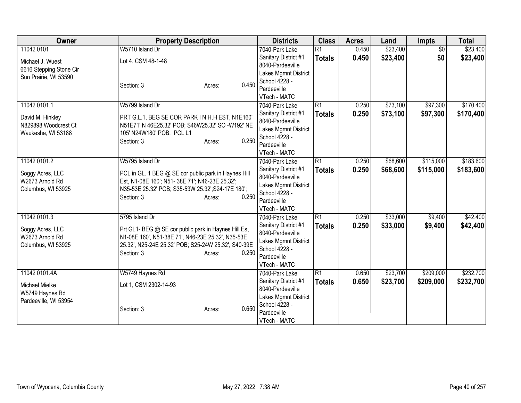| Owner                   | <b>Property Description</b>                          | <b>Districts</b>               | <b>Class</b>    | <b>Acres</b> | Land     | Impts           | <b>Total</b> |
|-------------------------|------------------------------------------------------|--------------------------------|-----------------|--------------|----------|-----------------|--------------|
| 11042 0101              | W5710 Island Dr                                      | 7040-Park Lake                 | $\overline{R1}$ | 0.450        | \$23,400 | $\overline{50}$ | \$23,400     |
| Michael J. Wuest        | Lot 4, CSM 48-1-48                                   | Sanitary District #1           | <b>Totals</b>   | 0.450        | \$23,400 | \$0             | \$23,400     |
| 6616 Stepping Stone Cir |                                                      | 8040-Pardeeville               |                 |              |          |                 |              |
| Sun Prairie, WI 53590   |                                                      | Lakes Mgmnt District           |                 |              |          |                 |              |
|                         | 0.450<br>Section: 3<br>Acres:                        | School 4228 -                  |                 |              |          |                 |              |
|                         |                                                      | Pardeeville                    |                 |              |          |                 |              |
|                         |                                                      | VTech - MATC                   |                 |              |          |                 |              |
| 11042 0101.1            | W5799 Island Dr                                      | 7040-Park Lake                 | $\overline{R1}$ | 0.250        | \$73,100 | \$97,300        | \$170,400    |
| David M. Hinkley        | PRT G.L.1, BEG SE COR PARK IN H.H EST, N1E160'       | Sanitary District #1           | <b>Totals</b>   | 0.250        | \$73,100 | \$97,300        | \$170,400    |
| N829898 Woodcrest Ct    | N51E71' N 46E25.32' POB; S46W25.32' SO -W192' NE     | 8040-Pardeeville               |                 |              |          |                 |              |
| Waukesha, WI 53188      | 105' N24W180' POB. PCL L1                            | Lakes Mgmnt District           |                 |              |          |                 |              |
|                         | 0.250<br>Section: 3<br>Acres:                        | School 4228 -                  |                 |              |          |                 |              |
|                         |                                                      | Pardeeville                    |                 |              |          |                 |              |
| 11042 0101.2            | W5795 Island Dr                                      | VTech - MATC<br>7040-Park Lake | $\overline{R1}$ | 0.250        | \$68,600 | \$115,000       | \$183,600    |
|                         |                                                      | Sanitary District #1           |                 | 0.250        |          |                 | \$183,600    |
| Soggy Acres, LLC        | PCL in GL. 1 BEG @ SE cor public park in Haynes Hill | 8040-Pardeeville               | <b>Totals</b>   |              | \$68,600 | \$115,000       |              |
| W2673 Arnold Rd         | Est, N1-08E 160'; N51- 38E 71'; N46-23E 25.32';      | Lakes Mgmnt District           |                 |              |          |                 |              |
| Columbus, WI 53925      | N35-53E 25.32' POB; S35-53W 25.32'; S24-17E 180';    | School 4228 -                  |                 |              |          |                 |              |
|                         | 0.250<br>Section: 3<br>Acres:                        | Pardeeville                    |                 |              |          |                 |              |
|                         |                                                      | VTech - MATC                   |                 |              |          |                 |              |
| 11042 0101.3            | 5795 Island Dr                                       | 7040-Park Lake                 | R1              | 0.250        | \$33,000 | \$9,400         | \$42,400     |
| Soggy Acres, LLC        | Prt GL1- BEG @ SE cor public park in Haynes Hill Es, | Sanitary District #1           | <b>Totals</b>   | 0.250        | \$33,000 | \$9,400         | \$42,400     |
| W2673 Arnold Rd         | N1-08E 160', N51-38E 71', N46-23E 25.32', N35-53E    | 8040-Pardeeville               |                 |              |          |                 |              |
| Columbus, WI 53925      | 25.32', N25-24E 25.32' POB; S25-24W 25.32', S40-39E  | Lakes Mgmnt District           |                 |              |          |                 |              |
|                         | 0.250<br>Section: 3<br>Acres:                        | School 4228 -                  |                 |              |          |                 |              |
|                         |                                                      | Pardeeville                    |                 |              |          |                 |              |
|                         |                                                      | VTech - MATC                   |                 |              |          |                 |              |
| 11042 0101.4A           | W5749 Haynes Rd                                      | 7040-Park Lake                 | $\overline{R1}$ | 0.650        | \$23,700 | \$209,000       | \$232,700    |
| Michael Mielke          | Lot 1, CSM 2302-14-93                                | Sanitary District #1           | <b>Totals</b>   | 0.650        | \$23,700 | \$209,000       | \$232,700    |
| W5749 Haynes Rd         |                                                      | 8040-Pardeeville               |                 |              |          |                 |              |
| Pardeeville, WI 53954   |                                                      | Lakes Mgmnt District           |                 |              |          |                 |              |
|                         | 0.650<br>Section: 3<br>Acres:                        | School 4228 -                  |                 |              |          |                 |              |
|                         |                                                      | Pardeeville                    |                 |              |          |                 |              |
|                         |                                                      | VTech - MATC                   |                 |              |          |                 |              |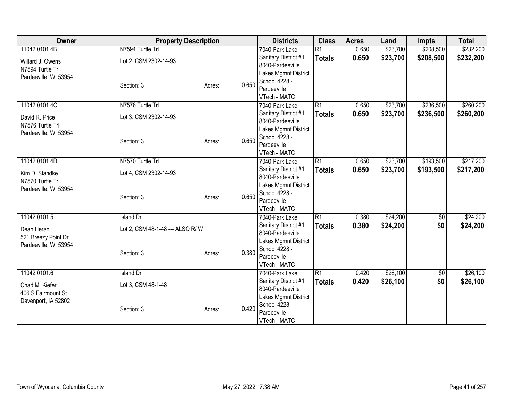| Owner                 | <b>Property Description</b>     |        |       | <b>Districts</b>                         | <b>Class</b>    | <b>Acres</b> | Land     | <b>Impts</b> | <b>Total</b> |
|-----------------------|---------------------------------|--------|-------|------------------------------------------|-----------------|--------------|----------|--------------|--------------|
| 11042 0101.4B         | N7594 Turtle Trl                |        |       | 7040-Park Lake                           | $\overline{R1}$ | 0.650        | \$23,700 | \$208,500    | \$232,200    |
| Willard J. Owens      | Lot 2, CSM 2302-14-93           |        |       | Sanitary District #1                     | <b>Totals</b>   | 0.650        | \$23,700 | \$208,500    | \$232,200    |
| N7594 Turtle Tr       |                                 |        |       | 8040-Pardeeville                         |                 |              |          |              |              |
| Pardeeville, WI 53954 |                                 |        |       | Lakes Mgmnt District                     |                 |              |          |              |              |
|                       | Section: 3                      | Acres: | 0.650 | School 4228 -                            |                 |              |          |              |              |
|                       |                                 |        |       | Pardeeville                              |                 |              |          |              |              |
|                       |                                 |        |       | VTech - MATC                             |                 |              |          |              |              |
| 11042 0101.4C         | N7576 Turtle Trl                |        |       | 7040-Park Lake                           | $\overline{R1}$ | 0.650        | \$23,700 | \$236,500    | \$260,200    |
| David R. Price        | Lot 3, CSM 2302-14-93           |        |       | Sanitary District #1<br>8040-Pardeeville | <b>Totals</b>   | 0.650        | \$23,700 | \$236,500    | \$260,200    |
| N7576 Turtle Trl      |                                 |        |       | Lakes Mgmnt District                     |                 |              |          |              |              |
| Pardeeville, WI 53954 |                                 |        |       | School 4228 -                            |                 |              |          |              |              |
|                       | Section: 3                      | Acres: | 0.650 | Pardeeville                              |                 |              |          |              |              |
|                       |                                 |        |       | VTech - MATC                             |                 |              |          |              |              |
| 11042 0101.4D         | N7570 Turtle Trl                |        |       | 7040-Park Lake                           | R1              | 0.650        | \$23,700 | \$193,500    | \$217,200    |
|                       |                                 |        |       | Sanitary District #1                     | <b>Totals</b>   | 0.650        | \$23,700 | \$193,500    | \$217,200    |
| Kim D. Standke        | Lot 4, CSM 2302-14-93           |        |       | 8040-Pardeeville                         |                 |              |          |              |              |
| N7570 Turtle Tr       |                                 |        |       | Lakes Mgmnt District                     |                 |              |          |              |              |
| Pardeeville, WI 53954 |                                 |        | 0.650 | School 4228 -                            |                 |              |          |              |              |
|                       | Section: 3                      | Acres: |       | Pardeeville                              |                 |              |          |              |              |
|                       |                                 |        |       | VTech - MATC                             |                 |              |          |              |              |
| 11042 0101.5          | Island Dr                       |        |       | 7040-Park Lake                           | R1              | 0.380        | \$24,200 | \$0          | \$24,200     |
| Dean Heran            | Lot 2, CSM 48-1-48 --- ALSO R/W |        |       | Sanitary District #1                     | <b>Totals</b>   | 0.380        | \$24,200 | \$0          | \$24,200     |
| 521 Breezy Point Dr   |                                 |        |       | 8040-Pardeeville                         |                 |              |          |              |              |
| Pardeeville, WI 53954 |                                 |        |       | Lakes Mgmnt District                     |                 |              |          |              |              |
|                       | Section: 3                      | Acres: | 0.380 | School 4228 -                            |                 |              |          |              |              |
|                       |                                 |        |       | Pardeeville                              |                 |              |          |              |              |
|                       |                                 |        |       | VTech - MATC                             |                 |              |          |              |              |
| 11042 0101.6          | <b>Island Dr</b>                |        |       | 7040-Park Lake                           | $\overline{R1}$ | 0.420        | \$26,100 | $\sqrt{6}$   | \$26,100     |
| Chad M. Kiefer        | Lot 3, CSM 48-1-48              |        |       | Sanitary District #1<br>8040-Pardeeville | <b>Totals</b>   | 0.420        | \$26,100 | \$0          | \$26,100     |
| 406 S Fairmount St    |                                 |        |       | Lakes Mgmnt District                     |                 |              |          |              |              |
| Davenport, IA 52802   |                                 |        |       | School 4228 -                            |                 |              |          |              |              |
|                       | Section: 3                      | Acres: | 0.420 | Pardeeville                              |                 |              |          |              |              |
|                       |                                 |        |       | VTech - MATC                             |                 |              |          |              |              |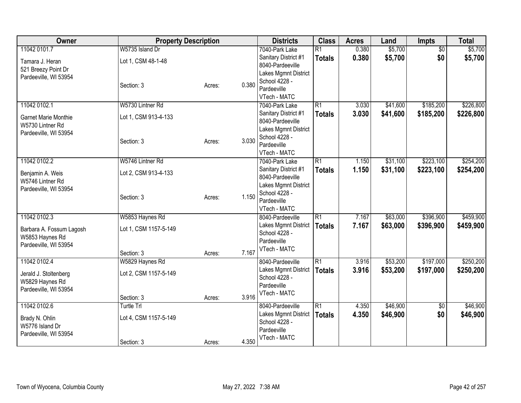| Owner                       | <b>Property Description</b> |        |       | <b>Districts</b>                      | <b>Class</b>    | <b>Acres</b> | Land     | <b>Impts</b>    | <b>Total</b> |
|-----------------------------|-----------------------------|--------|-------|---------------------------------------|-----------------|--------------|----------|-----------------|--------------|
| 11042 0101.7                | W5735 Island Dr             |        |       | 7040-Park Lake                        | $\overline{R1}$ | 0.380        | \$5,700  | $\overline{50}$ | \$5,700      |
| Tamara J. Heran             | Lot 1, CSM 48-1-48          |        |       | Sanitary District #1                  | <b>Totals</b>   | 0.380        | \$5,700  | \$0             | \$5,700      |
| 521 Breezy Point Dr         |                             |        |       | 8040-Pardeeville                      |                 |              |          |                 |              |
| Pardeeville, WI 53954       |                             |        |       | Lakes Mgmnt District                  |                 |              |          |                 |              |
|                             | Section: 3                  | Acres: | 0.380 | School 4228 -                         |                 |              |          |                 |              |
|                             |                             |        |       | Pardeeville                           |                 |              |          |                 |              |
| 11042 0102.1                | W5730 Lintner Rd            |        |       | VTech - MATC<br>7040-Park Lake        | R1              | 3.030        | \$41,600 | \$185,200       | \$226,800    |
|                             |                             |        |       | Sanitary District #1                  |                 | 3.030        | \$41,600 | \$185,200       | \$226,800    |
| <b>Garnet Marie Monthie</b> | Lot 1, CSM 913-4-133        |        |       | 8040-Pardeeville                      | <b>Totals</b>   |              |          |                 |              |
| W5730 Lintner Rd            |                             |        |       | Lakes Mgmnt District                  |                 |              |          |                 |              |
| Pardeeville, WI 53954       |                             |        |       | School 4228 -                         |                 |              |          |                 |              |
|                             | Section: 3                  | Acres: | 3.030 | Pardeeville                           |                 |              |          |                 |              |
|                             |                             |        |       | VTech - MATC                          |                 |              |          |                 |              |
| 11042 0102.2                | W5746 Lintner Rd            |        |       | 7040-Park Lake                        | $\overline{R1}$ | 1.150        | \$31,100 | \$223,100       | \$254,200    |
| Benjamin A. Weis            | Lot 2, CSM 913-4-133        |        |       | Sanitary District #1                  | <b>Totals</b>   | 1.150        | \$31,100 | \$223,100       | \$254,200    |
| W5746 Lintner Rd            |                             |        |       | 8040-Pardeeville                      |                 |              |          |                 |              |
| Pardeeville, WI 53954       |                             |        |       | Lakes Mgmnt District                  |                 |              |          |                 |              |
|                             | Section: 3                  | Acres: | 1.150 | School 4228 -                         |                 |              |          |                 |              |
|                             |                             |        |       | Pardeeville                           |                 |              |          |                 |              |
|                             |                             |        |       | VTech - MATC                          |                 |              |          |                 |              |
| 11042 0102.3                | W5853 Haynes Rd             |        |       | 8040-Pardeeville                      | $\overline{R1}$ | 7.167        | \$63,000 | \$396,900       | \$459,900    |
| Barbara A. Fossum Lagosh    | Lot 1, CSM 1157-5-149       |        |       | Lakes Mgmnt District<br>School 4228 - | <b>Totals</b>   | 7.167        | \$63,000 | \$396,900       | \$459,900    |
| W5853 Haynes Rd             |                             |        |       | Pardeeville                           |                 |              |          |                 |              |
| Pardeeville, WI 53954       |                             |        |       | VTech - MATC                          |                 |              |          |                 |              |
|                             | Section: 3                  | Acres: | 7.167 |                                       |                 |              |          |                 |              |
| 11042 0102.4                | W5829 Haynes Rd             |        |       | 8040-Pardeeville                      | $\overline{R1}$ | 3.916        | \$53,200 | \$197,000       | \$250,200    |
| Jerald J. Stoltenberg       | Lot 2, CSM 1157-5-149       |        |       | Lakes Mgmnt District                  | <b>Totals</b>   | 3.916        | \$53,200 | \$197,000       | \$250,200    |
| W5829 Haynes Rd             |                             |        |       | School 4228 -                         |                 |              |          |                 |              |
| Pardeeville, WI 53954       |                             |        |       | Pardeeville                           |                 |              |          |                 |              |
|                             | Section: 3                  | Acres: | 3.916 | VTech - MATC                          |                 |              |          |                 |              |
| 11042 0102.6                | Turtle Trl                  |        |       | 8040-Pardeeville                      | R1              | 4.350        | \$46,900 | $\overline{50}$ | \$46,900     |
| Brady N. Ohlin              | Lot 4, CSM 1157-5-149       |        |       | Lakes Mgmnt District                  | <b>Totals</b>   | 4.350        | \$46,900 | \$0             | \$46,900     |
| W5776 Island Dr             |                             |        |       | School 4228 -                         |                 |              |          |                 |              |
| Pardeeville, WI 53954       |                             |        |       | Pardeeville                           |                 |              |          |                 |              |
|                             | Section: 3                  | Acres: | 4.350 | VTech - MATC                          |                 |              |          |                 |              |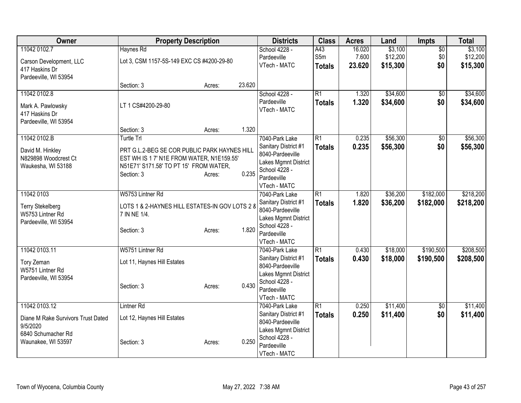| Owner                                                                                                       | <b>Property Description</b>                                                                                                                                            |        |        | <b>Districts</b>                                                                                                                   | <b>Class</b>                     | <b>Acres</b>              | Land                            | Impts                         | <b>Total</b>                    |
|-------------------------------------------------------------------------------------------------------------|------------------------------------------------------------------------------------------------------------------------------------------------------------------------|--------|--------|------------------------------------------------------------------------------------------------------------------------------------|----------------------------------|---------------------------|---------------------------------|-------------------------------|---------------------------------|
| 11042 0102.7<br>Carson Development, LLC                                                                     | Haynes Rd<br>Lot 3, CSM 1157-5S-149 EXC CS #4200-29-80                                                                                                                 |        |        | School 4228 -<br>Pardeeville<br>VTech - MATC                                                                                       | A43<br>S5m<br><b>Totals</b>      | 16.020<br>7.600<br>23.620 | \$3,100<br>\$12,200<br>\$15,300 | $\overline{50}$<br>\$0<br>\$0 | \$3,100<br>\$12,200<br>\$15,300 |
| 417 Haskins Dr<br>Pardeeville, WI 53954                                                                     | Section: 3                                                                                                                                                             | Acres: | 23.620 |                                                                                                                                    |                                  |                           |                                 |                               |                                 |
| 11042 0102.8<br>Mark A. Pawlowsky<br>417 Haskins Dr<br>Pardeeville, WI 53954                                | LT 1 CS#4200-29-80                                                                                                                                                     |        |        | School 4228 -<br>Pardeeville<br>VTech - MATC                                                                                       | $\overline{R1}$<br><b>Totals</b> | 1.320<br>1.320            | \$34,600<br>\$34,600            | \$0<br>\$0                    | \$34,600<br>\$34,600            |
|                                                                                                             | Section: 3                                                                                                                                                             | Acres: | 1.320  |                                                                                                                                    |                                  |                           |                                 |                               |                                 |
| 11042 0102.B<br>David M. Hinkley<br>N829898 Woodcrest Ct<br>Waukesha, WI 53188                              | <b>Turtle Trl</b><br>PRT G.L.2-BEG SE COR PUBLIC PARK HAYNES HILL<br>EST WH IS 1 7' N1E FROM WATER, N1E159.55'<br>N51E71' S171.58' TO PT 15' FROM WATER,<br>Section: 3 | Acres: | 0.235  | 7040-Park Lake<br>Sanitary District #1<br>8040-Pardeeville<br>Lakes Mgmnt District<br>School 4228 -<br>Pardeeville<br>VTech - MATC | $\overline{R1}$<br><b>Totals</b> | 0.235<br>0.235            | \$56,300<br>\$56,300            | $\sqrt{$0}$<br>\$0            | \$56,300<br>\$56,300            |
| 11042 0103<br><b>Terry Stekelberg</b><br>W5753 Lintner Rd<br>Pardeeville, WI 53954                          | W5753 Lintner Rd<br>LOTS 1 & 2-HAYNES HILL ESTATES-IN GOV LOTS 2 &<br>7 IN NE 1/4.<br>Section: 3                                                                       | Acres: | 1.820  | 7040-Park Lake<br>Sanitary District #1<br>8040-Pardeeville<br>Lakes Mgmnt District<br>School 4228 -<br>Pardeeville<br>VTech - MATC | $\overline{R1}$<br><b>Totals</b> | 1.820<br>1.820            | \$36,200<br>\$36,200            | \$182,000<br>\$182,000        | \$218,200<br>\$218,200          |
| 11042 0103.11<br>Tory Zeman<br>W5751 Lintner Rd<br>Pardeeville, WI 53954                                    | W5751 Lintner Rd<br>Lot 11, Haynes Hill Estates<br>Section: 3                                                                                                          | Acres: | 0.430  | 7040-Park Lake<br>Sanitary District #1<br>8040-Pardeeville<br>Lakes Mgmnt District<br>School 4228 -<br>Pardeeville<br>VTech - MATC | $\overline{R1}$<br><b>Totals</b> | 0.430<br>0.430            | \$18,000<br>\$18,000            | \$190,500<br>\$190,500        | \$208,500<br>\$208,500          |
| 11042 0103.12<br>Diane M Rake Survivors Trust Dated<br>9/5/2020<br>6840 Schumacher Rd<br>Waunakee, WI 53597 | <b>Lintner Rd</b><br>Lot 12, Haynes Hill Estates<br>Section: 3                                                                                                         | Acres: | 0.250  | 7040-Park Lake<br>Sanitary District #1<br>8040-Pardeeville<br>Lakes Mgmnt District<br>School 4228 -<br>Pardeeville<br>VTech - MATC | $\overline{R1}$<br><b>Totals</b> | 0.250<br>0.250            | \$11,400<br>\$11,400            | $\overline{50}$<br>\$0        | \$11,400<br>\$11,400            |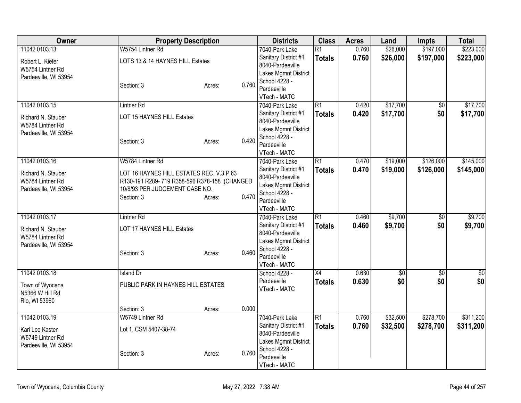| Owner                                                           | <b>Property Description</b>                                                                                                              |                 | <b>Districts</b>                                                                                                 | <b>Class</b>                     | <b>Acres</b>   | Land                 | <b>Impts</b>           | <b>Total</b>           |
|-----------------------------------------------------------------|------------------------------------------------------------------------------------------------------------------------------------------|-----------------|------------------------------------------------------------------------------------------------------------------|----------------------------------|----------------|----------------------|------------------------|------------------------|
| 11042 0103.13<br>Robert L. Kiefer<br>W5754 Lintner Rd           | W5754 Lintner Rd<br>LOTS 13 & 14 HAYNES HILL Estates                                                                                     |                 | 7040-Park Lake<br>Sanitary District #1<br>8040-Pardeeville<br>Lakes Mgmnt District                               | $\overline{R1}$<br><b>Totals</b> | 0.760<br>0.760 | \$26,000<br>\$26,000 | \$197,000<br>\$197,000 | \$223,000<br>\$223,000 |
| Pardeeville, WI 53954                                           | Section: 3                                                                                                                               | 0.760<br>Acres: | School 4228 -<br>Pardeeville<br>VTech - MATC                                                                     |                                  |                |                      |                        |                        |
| 11042 0103.15                                                   | <b>Lintner Rd</b>                                                                                                                        |                 | 7040-Park Lake                                                                                                   | $\overline{R1}$                  | 0.420          | \$17,700             | $\overline{50}$        | \$17,700               |
| Richard N. Stauber<br>W5784 Lintner Rd                          | LOT 15 HAYNES HILL Estates                                                                                                               |                 | Sanitary District #1<br>8040-Pardeeville<br>Lakes Mgmnt District                                                 | <b>Totals</b>                    | 0.420          | \$17,700             | \$0                    | \$17,700               |
| Pardeeville, WI 53954                                           | Section: 3                                                                                                                               | 0.420<br>Acres: | School 4228 -<br>Pardeeville<br>VTech - MATC                                                                     |                                  |                |                      |                        |                        |
| 11042 0103.16                                                   | W5784 Lintner Rd                                                                                                                         |                 | 7040-Park Lake                                                                                                   | R1                               | 0.470          | \$19,000             | \$126,000              | \$145,000              |
| Richard N. Stauber<br>W5784 Lintner Rd<br>Pardeeville, WI 53954 | LOT 16 HAYNES HILL ESTATES REC. V.3 P.63<br>R130-191 R289-719 R358-596 R378-158 (CHANGED<br>10/8/93 PER JUDGEMENT CASE NO.<br>Section: 3 | 0.470<br>Acres: | Sanitary District #1<br>8040-Pardeeville<br>Lakes Mgmnt District<br>School 4228 -<br>Pardeeville<br>VTech - MATC | <b>Totals</b>                    | 0.470          | \$19,000             | \$126,000              | \$145,000              |
| 11042 0103.17                                                   | Lintner <sub>Rd</sub>                                                                                                                    |                 | 7040-Park Lake                                                                                                   | $\overline{R1}$                  | 0.460          | \$9,700              | $\overline{50}$        | \$9,700                |
| Richard N. Stauber<br>W5784 Lintner Rd<br>Pardeeville, WI 53954 | LOT 17 HAYNES HILL Estates<br>Section: 3                                                                                                 | 0.460<br>Acres: | Sanitary District #1<br>8040-Pardeeville<br>Lakes Mgmnt District<br>School 4228 -<br>Pardeeville                 | <b>Totals</b>                    | 0.460          | \$9,700              | \$0                    | \$9,700                |
|                                                                 |                                                                                                                                          |                 | VTech - MATC                                                                                                     |                                  |                |                      |                        |                        |
| 11042 0103.18                                                   | <b>Island Dr</b>                                                                                                                         |                 | School 4228 -                                                                                                    | X4                               | 0.630          | $\sqrt{$0}$          | $\overline{50}$        | $\frac{6}{3}$          |
| Town of Wyocena<br>N5366 W Hill Rd<br>Rio, WI 53960             | PUBLIC PARK IN HAYNES HILL ESTATES                                                                                                       |                 | Pardeeville<br>VTech - MATC                                                                                      | <b>Totals</b>                    | 0.630          | \$0                  | \$0                    | \$0                    |
|                                                                 | Section: 3                                                                                                                               | 0.000<br>Acres: |                                                                                                                  |                                  |                |                      |                        |                        |
| 11042 0103.19                                                   | W5749 Lintner Rd                                                                                                                         |                 | 7040-Park Lake                                                                                                   | R1                               | 0.760          | \$32,500             | \$278,700              | \$311,200              |
| Kari Lee Kasten<br>W5749 Lintner Rd<br>Pardeeville, WI 53954    | Lot 1, CSM 5407-38-74                                                                                                                    |                 | Sanitary District #1<br>8040-Pardeeville<br>Lakes Mgmnt District                                                 | <b>Totals</b>                    | 0.760          | \$32,500             | \$278,700              | \$311,200              |
|                                                                 | Section: 3                                                                                                                               | 0.760<br>Acres: | School 4228 -<br>Pardeeville<br>VTech - MATC                                                                     |                                  |                |                      |                        |                        |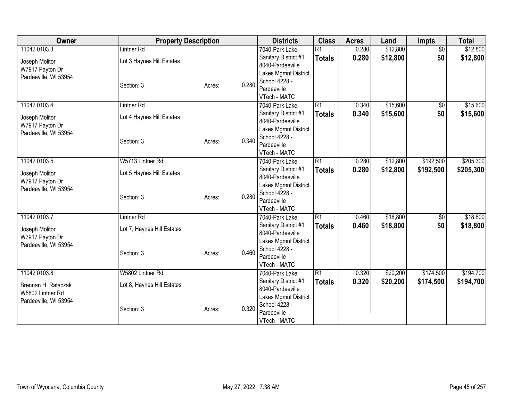| 11042 0103.3<br>Lintner <sub>Rd</sub><br>\$12,800<br>$\overline{50}$<br>7040-Park Lake<br>$\overline{R1}$<br>0.280<br>\$0<br>0.280<br>\$12,800<br>\$12,800<br>Sanitary District #1<br><b>Totals</b><br>Lot 3 Haynes Hill Estates<br>Joseph Molitor<br>8040-Pardeeville<br>W7917 Payton Dr<br>Lakes Mgmnt District<br>Pardeeville, WI 53954<br>School 4228 -<br>0.280<br>Section: 3<br>Acres:<br>Pardeeville<br>VTech - MATC<br>\$15,600<br>11042 0103.4<br>$\overline{R1}$<br><b>Lintner Rd</b><br>0.340<br>$\sqrt{6}$<br>7040-Park Lake<br>\$0<br>0.340<br>\$15,600<br>Sanitary District #1<br><b>Totals</b><br>Lot 4 Haynes Hill Estates<br>Joseph Molitor<br>8040-Pardeeville<br>W7917 Payton Dr<br>Lakes Mgmnt District<br>Pardeeville, WI 53954<br>School 4228 -<br>0.340<br>Section: 3<br>Acres:<br>Pardeeville<br>VTech - MATC<br>W5713 Lintner Rd<br>R1<br>\$12,800<br>\$192,500<br>11042 0103.5<br>0.280<br>7040-Park Lake<br>Sanitary District #1<br>0.280<br>\$12,800<br>\$192,500<br><b>Totals</b><br>Lot 5 Haynes Hill Estates<br>Joseph Molitor<br>8040-Pardeeville<br>W7917 Payton Dr<br>Lakes Mgmnt District<br>Pardeeville, WI 53954<br>School 4228 -<br>0.280<br>Section: 3<br>Acres:<br>Pardeeville<br>VTech - MATC<br>R1<br>\$18,800<br>11042 0103.7<br>Lintner <sub>Rd</sub><br>0.460<br>\$0<br>7040-Park Lake<br>\$18,800<br>0.460<br>\$0<br>Sanitary District #1<br><b>Totals</b><br>Lot 7, Haynes Hill Estates<br>Joseph Molitor<br>8040-Pardeeville<br>W7917 Payton Dr<br>Lakes Mgmnt District<br>Pardeeville, WI 53954<br>School 4228 -<br>0.460<br>Section: 3<br>Acres:<br>Pardeeville<br>VTech - MATC<br>W5802 Lintner Rd<br>$\overline{R1}$<br>\$20,200<br>\$174,500<br>11042 0103.8<br>0.320<br>7040-Park Lake<br>0.320<br>\$20,200<br>Sanitary District #1<br>\$174,500<br><b>Totals</b><br>Brennan H. Rataczak<br>Lot 8, Haynes Hill Estates<br>8040-Pardeeville<br>W5802 Lintner Rd<br>Lakes Mgmnt District | Owner | <b>Property Description</b> |  | <b>Districts</b> | <b>Class</b> | <b>Acres</b> | Land | Impts | <b>Total</b> |
|----------------------------------------------------------------------------------------------------------------------------------------------------------------------------------------------------------------------------------------------------------------------------------------------------------------------------------------------------------------------------------------------------------------------------------------------------------------------------------------------------------------------------------------------------------------------------------------------------------------------------------------------------------------------------------------------------------------------------------------------------------------------------------------------------------------------------------------------------------------------------------------------------------------------------------------------------------------------------------------------------------------------------------------------------------------------------------------------------------------------------------------------------------------------------------------------------------------------------------------------------------------------------------------------------------------------------------------------------------------------------------------------------------------------------------------------------------------------------------------------------------------------------------------------------------------------------------------------------------------------------------------------------------------------------------------------------------------------------------------------------------------------------------------------------------------------------------------------------------------------------------------------------------------------------------------------|-------|-----------------------------|--|------------------|--------------|--------------|------|-------|--------------|
|                                                                                                                                                                                                                                                                                                                                                                                                                                                                                                                                                                                                                                                                                                                                                                                                                                                                                                                                                                                                                                                                                                                                                                                                                                                                                                                                                                                                                                                                                                                                                                                                                                                                                                                                                                                                                                                                                                                                              |       |                             |  |                  |              |              |      |       | \$12,800     |
|                                                                                                                                                                                                                                                                                                                                                                                                                                                                                                                                                                                                                                                                                                                                                                                                                                                                                                                                                                                                                                                                                                                                                                                                                                                                                                                                                                                                                                                                                                                                                                                                                                                                                                                                                                                                                                                                                                                                              |       |                             |  |                  |              |              |      |       |              |
| \$15,600<br>\$15,600<br>\$205,300<br>\$205,300<br>\$18,800<br>\$18,800<br>\$194,700<br>\$194,700                                                                                                                                                                                                                                                                                                                                                                                                                                                                                                                                                                                                                                                                                                                                                                                                                                                                                                                                                                                                                                                                                                                                                                                                                                                                                                                                                                                                                                                                                                                                                                                                                                                                                                                                                                                                                                             |       |                             |  |                  |              |              |      |       |              |
|                                                                                                                                                                                                                                                                                                                                                                                                                                                                                                                                                                                                                                                                                                                                                                                                                                                                                                                                                                                                                                                                                                                                                                                                                                                                                                                                                                                                                                                                                                                                                                                                                                                                                                                                                                                                                                                                                                                                              |       |                             |  |                  |              |              |      |       |              |
|                                                                                                                                                                                                                                                                                                                                                                                                                                                                                                                                                                                                                                                                                                                                                                                                                                                                                                                                                                                                                                                                                                                                                                                                                                                                                                                                                                                                                                                                                                                                                                                                                                                                                                                                                                                                                                                                                                                                              |       |                             |  |                  |              |              |      |       |              |
|                                                                                                                                                                                                                                                                                                                                                                                                                                                                                                                                                                                                                                                                                                                                                                                                                                                                                                                                                                                                                                                                                                                                                                                                                                                                                                                                                                                                                                                                                                                                                                                                                                                                                                                                                                                                                                                                                                                                              |       |                             |  |                  |              |              |      |       |              |
|                                                                                                                                                                                                                                                                                                                                                                                                                                                                                                                                                                                                                                                                                                                                                                                                                                                                                                                                                                                                                                                                                                                                                                                                                                                                                                                                                                                                                                                                                                                                                                                                                                                                                                                                                                                                                                                                                                                                              |       |                             |  |                  |              |              |      |       |              |
|                                                                                                                                                                                                                                                                                                                                                                                                                                                                                                                                                                                                                                                                                                                                                                                                                                                                                                                                                                                                                                                                                                                                                                                                                                                                                                                                                                                                                                                                                                                                                                                                                                                                                                                                                                                                                                                                                                                                              |       |                             |  |                  |              |              |      |       |              |
|                                                                                                                                                                                                                                                                                                                                                                                                                                                                                                                                                                                                                                                                                                                                                                                                                                                                                                                                                                                                                                                                                                                                                                                                                                                                                                                                                                                                                                                                                                                                                                                                                                                                                                                                                                                                                                                                                                                                              |       |                             |  |                  |              |              |      |       |              |
|                                                                                                                                                                                                                                                                                                                                                                                                                                                                                                                                                                                                                                                                                                                                                                                                                                                                                                                                                                                                                                                                                                                                                                                                                                                                                                                                                                                                                                                                                                                                                                                                                                                                                                                                                                                                                                                                                                                                              |       |                             |  |                  |              |              |      |       |              |
|                                                                                                                                                                                                                                                                                                                                                                                                                                                                                                                                                                                                                                                                                                                                                                                                                                                                                                                                                                                                                                                                                                                                                                                                                                                                                                                                                                                                                                                                                                                                                                                                                                                                                                                                                                                                                                                                                                                                              |       |                             |  |                  |              |              |      |       |              |
|                                                                                                                                                                                                                                                                                                                                                                                                                                                                                                                                                                                                                                                                                                                                                                                                                                                                                                                                                                                                                                                                                                                                                                                                                                                                                                                                                                                                                                                                                                                                                                                                                                                                                                                                                                                                                                                                                                                                              |       |                             |  |                  |              |              |      |       |              |
|                                                                                                                                                                                                                                                                                                                                                                                                                                                                                                                                                                                                                                                                                                                                                                                                                                                                                                                                                                                                                                                                                                                                                                                                                                                                                                                                                                                                                                                                                                                                                                                                                                                                                                                                                                                                                                                                                                                                              |       |                             |  |                  |              |              |      |       |              |
|                                                                                                                                                                                                                                                                                                                                                                                                                                                                                                                                                                                                                                                                                                                                                                                                                                                                                                                                                                                                                                                                                                                                                                                                                                                                                                                                                                                                                                                                                                                                                                                                                                                                                                                                                                                                                                                                                                                                              |       |                             |  |                  |              |              |      |       |              |
|                                                                                                                                                                                                                                                                                                                                                                                                                                                                                                                                                                                                                                                                                                                                                                                                                                                                                                                                                                                                                                                                                                                                                                                                                                                                                                                                                                                                                                                                                                                                                                                                                                                                                                                                                                                                                                                                                                                                              |       |                             |  |                  |              |              |      |       |              |
|                                                                                                                                                                                                                                                                                                                                                                                                                                                                                                                                                                                                                                                                                                                                                                                                                                                                                                                                                                                                                                                                                                                                                                                                                                                                                                                                                                                                                                                                                                                                                                                                                                                                                                                                                                                                                                                                                                                                              |       |                             |  |                  |              |              |      |       |              |
|                                                                                                                                                                                                                                                                                                                                                                                                                                                                                                                                                                                                                                                                                                                                                                                                                                                                                                                                                                                                                                                                                                                                                                                                                                                                                                                                                                                                                                                                                                                                                                                                                                                                                                                                                                                                                                                                                                                                              |       |                             |  |                  |              |              |      |       |              |
|                                                                                                                                                                                                                                                                                                                                                                                                                                                                                                                                                                                                                                                                                                                                                                                                                                                                                                                                                                                                                                                                                                                                                                                                                                                                                                                                                                                                                                                                                                                                                                                                                                                                                                                                                                                                                                                                                                                                              |       |                             |  |                  |              |              |      |       |              |
|                                                                                                                                                                                                                                                                                                                                                                                                                                                                                                                                                                                                                                                                                                                                                                                                                                                                                                                                                                                                                                                                                                                                                                                                                                                                                                                                                                                                                                                                                                                                                                                                                                                                                                                                                                                                                                                                                                                                              |       |                             |  |                  |              |              |      |       |              |
|                                                                                                                                                                                                                                                                                                                                                                                                                                                                                                                                                                                                                                                                                                                                                                                                                                                                                                                                                                                                                                                                                                                                                                                                                                                                                                                                                                                                                                                                                                                                                                                                                                                                                                                                                                                                                                                                                                                                              |       |                             |  |                  |              |              |      |       |              |
|                                                                                                                                                                                                                                                                                                                                                                                                                                                                                                                                                                                                                                                                                                                                                                                                                                                                                                                                                                                                                                                                                                                                                                                                                                                                                                                                                                                                                                                                                                                                                                                                                                                                                                                                                                                                                                                                                                                                              |       |                             |  |                  |              |              |      |       |              |
|                                                                                                                                                                                                                                                                                                                                                                                                                                                                                                                                                                                                                                                                                                                                                                                                                                                                                                                                                                                                                                                                                                                                                                                                                                                                                                                                                                                                                                                                                                                                                                                                                                                                                                                                                                                                                                                                                                                                              |       |                             |  |                  |              |              |      |       |              |
|                                                                                                                                                                                                                                                                                                                                                                                                                                                                                                                                                                                                                                                                                                                                                                                                                                                                                                                                                                                                                                                                                                                                                                                                                                                                                                                                                                                                                                                                                                                                                                                                                                                                                                                                                                                                                                                                                                                                              |       |                             |  |                  |              |              |      |       |              |
|                                                                                                                                                                                                                                                                                                                                                                                                                                                                                                                                                                                                                                                                                                                                                                                                                                                                                                                                                                                                                                                                                                                                                                                                                                                                                                                                                                                                                                                                                                                                                                                                                                                                                                                                                                                                                                                                                                                                              |       |                             |  |                  |              |              |      |       |              |
|                                                                                                                                                                                                                                                                                                                                                                                                                                                                                                                                                                                                                                                                                                                                                                                                                                                                                                                                                                                                                                                                                                                                                                                                                                                                                                                                                                                                                                                                                                                                                                                                                                                                                                                                                                                                                                                                                                                                              |       |                             |  |                  |              |              |      |       |              |
|                                                                                                                                                                                                                                                                                                                                                                                                                                                                                                                                                                                                                                                                                                                                                                                                                                                                                                                                                                                                                                                                                                                                                                                                                                                                                                                                                                                                                                                                                                                                                                                                                                                                                                                                                                                                                                                                                                                                              |       |                             |  |                  |              |              |      |       |              |
|                                                                                                                                                                                                                                                                                                                                                                                                                                                                                                                                                                                                                                                                                                                                                                                                                                                                                                                                                                                                                                                                                                                                                                                                                                                                                                                                                                                                                                                                                                                                                                                                                                                                                                                                                                                                                                                                                                                                              |       |                             |  |                  |              |              |      |       |              |
|                                                                                                                                                                                                                                                                                                                                                                                                                                                                                                                                                                                                                                                                                                                                                                                                                                                                                                                                                                                                                                                                                                                                                                                                                                                                                                                                                                                                                                                                                                                                                                                                                                                                                                                                                                                                                                                                                                                                              |       |                             |  |                  |              |              |      |       |              |
|                                                                                                                                                                                                                                                                                                                                                                                                                                                                                                                                                                                                                                                                                                                                                                                                                                                                                                                                                                                                                                                                                                                                                                                                                                                                                                                                                                                                                                                                                                                                                                                                                                                                                                                                                                                                                                                                                                                                              |       |                             |  |                  |              |              |      |       |              |
|                                                                                                                                                                                                                                                                                                                                                                                                                                                                                                                                                                                                                                                                                                                                                                                                                                                                                                                                                                                                                                                                                                                                                                                                                                                                                                                                                                                                                                                                                                                                                                                                                                                                                                                                                                                                                                                                                                                                              |       |                             |  |                  |              |              |      |       |              |
| Pardeeville, WI 53954<br>School 4228 -                                                                                                                                                                                                                                                                                                                                                                                                                                                                                                                                                                                                                                                                                                                                                                                                                                                                                                                                                                                                                                                                                                                                                                                                                                                                                                                                                                                                                                                                                                                                                                                                                                                                                                                                                                                                                                                                                                       |       |                             |  |                  |              |              |      |       |              |
| 0.320<br>Section: 3<br>Acres:<br>Pardeeville                                                                                                                                                                                                                                                                                                                                                                                                                                                                                                                                                                                                                                                                                                                                                                                                                                                                                                                                                                                                                                                                                                                                                                                                                                                                                                                                                                                                                                                                                                                                                                                                                                                                                                                                                                                                                                                                                                 |       |                             |  |                  |              |              |      |       |              |
| VTech - MATC                                                                                                                                                                                                                                                                                                                                                                                                                                                                                                                                                                                                                                                                                                                                                                                                                                                                                                                                                                                                                                                                                                                                                                                                                                                                                                                                                                                                                                                                                                                                                                                                                                                                                                                                                                                                                                                                                                                                 |       |                             |  |                  |              |              |      |       |              |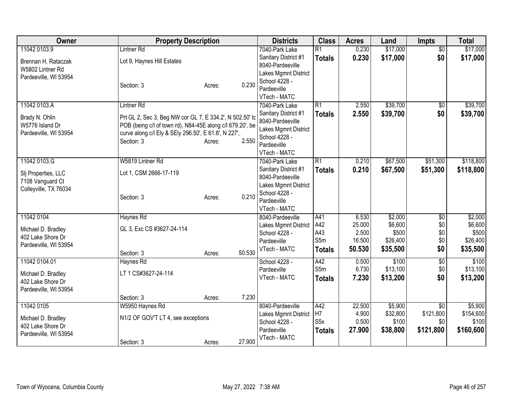| Owner                 | <b>Property Description</b>                               |                  | <b>Districts</b>                      | <b>Class</b>     | <b>Acres</b>    | Land               | <b>Impts</b>    | <b>Total</b>       |
|-----------------------|-----------------------------------------------------------|------------------|---------------------------------------|------------------|-----------------|--------------------|-----------------|--------------------|
| 11042 0103.9          | <b>Lintner Rd</b>                                         |                  | 7040-Park Lake                        | $\overline{R1}$  | 0.230           | \$17,000           | $\overline{50}$ | \$17,000           |
| Brennan H. Rataczak   | Lot 9, Haynes Hill Estates                                |                  | Sanitary District #1                  | <b>Totals</b>    | 0.230           | \$17,000           | \$0             | \$17,000           |
| W5802 Lintner Rd      |                                                           |                  | 8040-Pardeeville                      |                  |                 |                    |                 |                    |
| Pardeeville, WI 53954 |                                                           |                  | Lakes Mgmnt District                  |                  |                 |                    |                 |                    |
|                       | Section: 3                                                | 0.230<br>Acres:  | School 4228 -                         |                  |                 |                    |                 |                    |
|                       |                                                           |                  | Pardeeville<br>VTech - MATC           |                  |                 |                    |                 |                    |
| 11042 0103.A          | <b>Lintner Rd</b>                                         |                  | 7040-Park Lake                        | $\overline{R1}$  | 2.550           | \$39,700           | $\sqrt{6}$      | \$39,700           |
|                       |                                                           |                  | Sanitary District #1                  | Totals           | 2.550           | \$39,700           | \$0             | \$39,700           |
| Brady N. Ohlin        | Prt GL 2, Sec 3, Beg NW cor GL 7, E 334.2', N 502.50' to  |                  | 8040-Pardeeville                      |                  |                 |                    |                 |                    |
| W5776 Island Dr       | POB (being c/l of town rd), N84-45E along c/l 679.20', be |                  | Lakes Mgmnt District                  |                  |                 |                    |                 |                    |
| Pardeeville, WI 53954 | curve along c/l Ely & SEly 296.50', E 61.8', N 227',      |                  | School 4228 -                         |                  |                 |                    |                 |                    |
|                       | Section: 3                                                | 2.550<br>Acres:  | Pardeeville                           |                  |                 |                    |                 |                    |
|                       |                                                           |                  | VTech - MATC                          |                  |                 |                    |                 |                    |
| 11042 0103.G          | W5819 Lintner Rd                                          |                  | 7040-Park Lake                        | R1               | 0.210           | \$67,500           | \$51,300        | \$118,800          |
| Slj Properties, LLC   | Lot 1, CSM 2666-17-119                                    |                  | Sanitary District #1                  | <b>Totals</b>    | 0.210           | \$67,500           | \$51,300        | \$118,800          |
| 7108 Vanguard Ct      |                                                           |                  | 8040-Pardeeville                      |                  |                 |                    |                 |                    |
| Colleyville, TX 76034 |                                                           |                  | Lakes Mgmnt District                  |                  |                 |                    |                 |                    |
|                       | Section: 3                                                | 0.210<br>Acres:  | School 4228 -                         |                  |                 |                    |                 |                    |
|                       |                                                           |                  | Pardeeville                           |                  |                 |                    |                 |                    |
|                       |                                                           |                  | VTech - MATC                          |                  |                 |                    |                 |                    |
| 11042 0104            | Haynes Rd                                                 |                  | 8040-Pardeeville                      | A41<br>A42       | 6.530<br>25.000 | \$2,000<br>\$6,600 | $\overline{50}$ | \$2,000<br>\$6,600 |
| Michael D. Bradley    | GL 3, Exc CS #3627-24-114                                 |                  | Lakes Mgmnt District<br>School 4228 - | A43              | 2.500           | \$500              | \$0<br>\$0      | \$500              |
| 402 Lake Shore Dr     |                                                           |                  | Pardeeville                           | S5m              | 16.500          | \$26,400           | \$0             | \$26,400           |
| Pardeeville, WI 53954 |                                                           |                  | VTech - MATC                          | <b>Totals</b>    | 50.530          | \$35,500           | \$0             | \$35,500           |
|                       | Section: 3                                                | 50.530<br>Acres: |                                       |                  |                 |                    |                 |                    |
| 11042 0104.01         | Haynes Rd                                                 |                  | School 4228 -                         | A42              | 0.500           | \$100              | \$0             | \$100              |
| Michael D. Bradley    | LT 1 CS#3627-24-114                                       |                  | Pardeeville                           | S5m              | 6.730           | \$13,100           | \$0             | \$13,100           |
| 402 Lake Shore Dr     |                                                           |                  | VTech - MATC                          | <b>Totals</b>    | 7.230           | \$13,200           | \$0             | \$13,200           |
| Pardeeville, WI 53954 |                                                           |                  |                                       |                  |                 |                    |                 |                    |
|                       | Section: 3                                                | 7.230<br>Acres:  |                                       |                  |                 |                    |                 |                    |
| 11042 0105            | W5950 Haynes Rd                                           |                  | 8040-Pardeeville                      | A42              | 22.500          | \$5,900            | $\overline{60}$ | \$5,900            |
| Michael D. Bradley    | N1/2 OF GOV'T LT 4, see exceptions                        |                  | Lakes Mgmnt District                  | H <sub>7</sub>   | 4.900           | \$32,800           | \$121,800       | \$154,600          |
| 402 Lake Shore Dr     |                                                           |                  | School 4228 -                         | S <sub>5</sub> x | 0.500           | \$100              | \$0             | \$100              |
| Pardeeville, WI 53954 |                                                           |                  | Pardeeville                           | <b>Totals</b>    | 27.900          | \$38,800           | \$121,800       | \$160,600          |
|                       | Section: 3                                                | 27.900<br>Acres: | VTech - MATC                          |                  |                 |                    |                 |                    |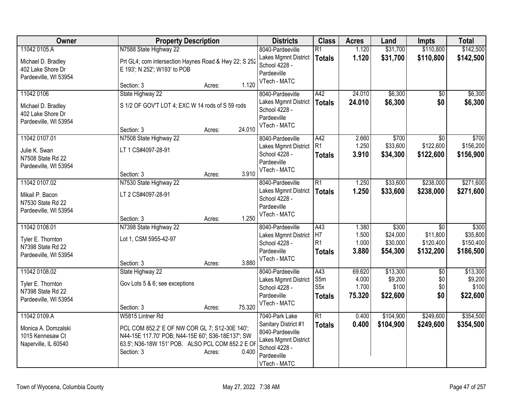| Owner                 | <b>Property Description</b>                           |                  | <b>Districts</b>             | <b>Class</b>     | <b>Acres</b> | Land      | <b>Impts</b>    | <b>Total</b> |
|-----------------------|-------------------------------------------------------|------------------|------------------------------|------------------|--------------|-----------|-----------------|--------------|
| 11042 0105.A          | N7588 State Highway 22                                |                  | 8040-Pardeeville             | $\overline{R1}$  | 1.120        | \$31,700  | \$110,800       | \$142,500    |
| Michael D. Bradley    | Prt GL4; com intersection Haynes Road & Hwy 22; S 252 |                  | Lakes Mgmnt District         | <b>Totals</b>    | 1.120        | \$31,700  | \$110,800       | \$142,500    |
| 402 Lake Shore Dr     | E 193'; N 252'; W193' to POB                          |                  | School 4228 -                |                  |              |           |                 |              |
| Pardeeville, WI 53954 |                                                       |                  | Pardeeville                  |                  |              |           |                 |              |
|                       | Section: 3                                            | 1.120<br>Acres:  | VTech - MATC                 |                  |              |           |                 |              |
| 11042 0106            | State Highway 22                                      |                  | 8040-Pardeeville             | A42              | 24.010       | \$6,300   | \$0             | \$6,300      |
| Michael D. Bradley    | S 1/2 OF GOV'T LOT 4; EXC W 14 rods of S 59 rods      |                  | Lakes Mgmnt District         | <b>Totals</b>    | 24.010       | \$6,300   | \$0             | \$6,300      |
| 402 Lake Shore Dr     |                                                       |                  | School 4228 -                |                  |              |           |                 |              |
| Pardeeville, WI 53954 |                                                       |                  | Pardeeville                  |                  |              |           |                 |              |
|                       | Section: 3                                            | 24.010<br>Acres: | VTech - MATC                 |                  |              |           |                 |              |
| 11042 0107.01         | N7508 State Highway 22                                |                  | 8040-Pardeeville             | A42              | 2.660        | \$700     | \$0             | \$700        |
| Julie K. Swan         | LT 1 CS#4097-28-91                                    |                  | Lakes Mgmnt District         | R1               | 1.250        | \$33,600  | \$122,600       | \$156,200    |
| N7508 State Rd 22     |                                                       |                  | School 4228 -                | <b>Totals</b>    | 3.910        | \$34,300  | \$122,600       | \$156,900    |
| Pardeeville, WI 53954 |                                                       |                  | Pardeeville                  |                  |              |           |                 |              |
|                       | Section: 3                                            | 3.910<br>Acres:  | VTech - MATC                 |                  |              |           |                 |              |
| 11042 0107.02         | N7530 State Highway 22                                |                  | 8040-Pardeeville             | $\overline{R1}$  | 1.250        | \$33,600  | \$238,000       | \$271,600    |
| Mikail P. Bacon       | LT 2 CS#4097-28-91                                    |                  | Lakes Mgmnt District         | <b>Totals</b>    | 1.250        | \$33,600  | \$238,000       | \$271,600    |
| N7530 State Rd 22     |                                                       |                  | School 4228 -                |                  |              |           |                 |              |
| Pardeeville, WI 53954 |                                                       |                  | Pardeeville                  |                  |              |           |                 |              |
|                       | Section: 3                                            | 1.250<br>Acres:  | VTech - MATC                 |                  |              |           |                 |              |
| 11042 0108.01         | N7398 State Highway 22                                |                  | 8040-Pardeeville             | $\overline{A43}$ | 1.380        | \$300     | $\overline{50}$ | \$300        |
| Tyler E. Thornton     | Lot 1, CSM 5955-42-97                                 |                  | Lakes Mgmnt District         | H7               | 1.500        | \$24,000  | \$11,800        | \$35,800     |
| N7398 State Rd 22     |                                                       |                  | School 4228 -                | R1               | 1.000        | \$30,000  | \$120,400       | \$150,400    |
| Pardeeville, WI 53954 |                                                       |                  | Pardeeville                  | <b>Totals</b>    | 3.880        | \$54,300  | \$132,200       | \$186,500    |
|                       | Section: 3                                            | 3.880<br>Acres:  | VTech - MATC                 |                  |              |           |                 |              |
| 11042 0108.02         | State Highway 22                                      |                  | 8040-Pardeeville             | A43              | 69.620       | \$13,300  | $\sqrt{6}$      | \$13,300     |
| Tyler E. Thornton     | Gov Lots 5 & 6; see exceptions                        |                  | Lakes Mgmnt District         | S5m              | 4.000        | \$9,200   | \$0             | \$9,200      |
| N7398 State Rd 22     |                                                       |                  | School 4228 -                | S5x              | 1.700        | \$100     | \$0             | \$100        |
| Pardeeville, WI 53954 |                                                       |                  | Pardeeville                  | <b>Totals</b>    | 75.320       | \$22,600  | \$0             | \$22,600     |
|                       | Section: 3                                            | 75.320<br>Acres: | VTech - MATC                 |                  |              |           |                 |              |
| 11042 0109.A          | W5815 Lintner Rd                                      |                  | 7040-Park Lake               | $\overline{R1}$  | 0.400        | \$104,900 | \$249,600       | \$354,500    |
| Monica A. Domzalski   | PCL COM 852.2' E OF NW COR GL 7; S12-30E 140';        |                  | Sanitary District #1         | <b>Totals</b>    | 0.400        | \$104,900 | \$249,600       | \$354,500    |
| 1015 Kennesaw Ct      | N44-15E 117.70' POB; N44-15E 60'; S36-18E137'; SW     |                  | 8040-Pardeeville             |                  |              |           |                 |              |
| Naperville, IL 60540  | 63.5'; N36-18W 151' POB. ALSO PCL COM 852.2 E OF      |                  | Lakes Mgmnt District         |                  |              |           |                 |              |
|                       | Section: 3                                            | 0.400<br>Acres:  | School 4228 -<br>Pardeeville |                  |              |           |                 |              |
|                       |                                                       |                  | VTech - MATC                 |                  |              |           |                 |              |
|                       |                                                       |                  |                              |                  |              |           |                 |              |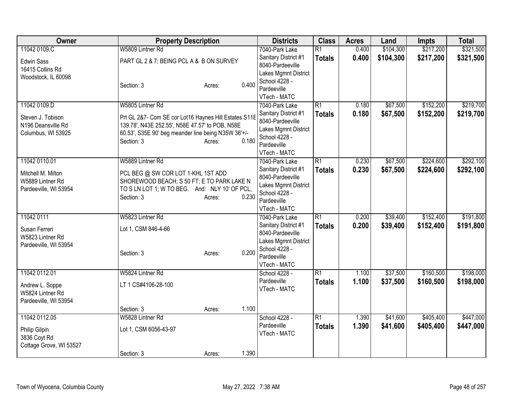| Owner                         | <b>Property Description</b>                           |                 | <b>Districts</b>                      | <b>Class</b>    | <b>Acres</b> | Land      | <b>Impts</b> | <b>Total</b> |
|-------------------------------|-------------------------------------------------------|-----------------|---------------------------------------|-----------------|--------------|-----------|--------------|--------------|
| 11042 0109.C                  | W5809 Lintner Rd                                      |                 | 7040-Park Lake                        | $\overline{R1}$ | 0.400        | \$104,300 | \$217,200    | \$321,500    |
| <b>Edwin Sass</b>             | PART GL 2 & 7; BEING PCL A & B ON SURVEY              |                 | Sanitary District #1                  | <b>Totals</b>   | 0.400        | \$104,300 | \$217,200    | \$321,500    |
| 16415 Collins Rd              |                                                       |                 | 8040-Pardeeville                      |                 |              |           |              |              |
| Woodstock, IL 60098           |                                                       |                 | Lakes Mgmnt District                  |                 |              |           |              |              |
|                               | Section: 3                                            | 0.400<br>Acres: | School 4228 -                         |                 |              |           |              |              |
|                               |                                                       |                 | Pardeeville                           |                 |              |           |              |              |
|                               |                                                       |                 | VTech - MATC                          |                 |              |           |              |              |
| 11042 0109.D                  | W5805 Lintner Rd                                      |                 | 7040-Park Lake                        | $\overline{R1}$ | 0.180        | \$67,500  | \$152,200    | \$219,700    |
| Steven J. Tobison             | Prt GL 2&7- Com SE cor Lot16 Haynes Hill Estates S11E |                 | Sanitary District #1                  | <b>Totals</b>   | 0.180        | \$67,500  | \$152,200    | \$219,700    |
| N196 Deansville Rd            | 139.78', N43E 252.55', N58E 47.57' to POB, N58E       |                 | 8040-Pardeeville                      |                 |              |           |              |              |
| Columbus, WI 53925            | 60.53', S35E 90' beg meander line being N35W 36'+/-   |                 | Lakes Mgmnt District<br>School 4228 - |                 |              |           |              |              |
|                               | Section: 3                                            | 0.180<br>Acres: | Pardeeville                           |                 |              |           |              |              |
|                               |                                                       |                 | VTech - MATC                          |                 |              |           |              |              |
| 11042 0110.01                 | W5889 Lintner Rd                                      |                 | 7040-Park Lake                        | $\overline{R1}$ | 0.230        | \$67,500  | \$224,600    | \$292,100    |
|                               |                                                       |                 | Sanitary District #1                  | <b>Totals</b>   | 0.230        | \$67,500  | \$224,600    | \$292,100    |
| Mitchell M. Milton            | PCL BEG @ SW COR LOT 1-KHL 1ST ADD                    |                 | 8040-Pardeeville                      |                 |              |           |              |              |
| W5889 Lintner Rd              | SHOREWOOD BEACH; S 50 FT; E TO PARK LAKE N            |                 | Lakes Mgmnt District                  |                 |              |           |              |              |
| Pardeeville, WI 53954         | TO S LN LOT 1; W TO BEG. And: NLY 10' OF PCL,         |                 | School 4228 -                         |                 |              |           |              |              |
|                               | Section: 3                                            | 0.230<br>Acres: | Pardeeville                           |                 |              |           |              |              |
|                               |                                                       |                 | VTech - MATC                          |                 |              |           |              |              |
| 11042 0111                    | W5823 Lintner Rd                                      |                 | 7040-Park Lake                        | $\overline{R1}$ | 0.200        | \$39,400  | \$152,400    | \$191,800    |
| Susan Ferreri                 | Lot 1, CSM 846-4-66                                   |                 | Sanitary District #1                  | <b>Totals</b>   | 0.200        | \$39,400  | \$152,400    | \$191,800    |
| W5823 Lintner Rd              |                                                       |                 | 8040-Pardeeville                      |                 |              |           |              |              |
| Pardeeville, WI 53954         |                                                       |                 | Lakes Mgmnt District                  |                 |              |           |              |              |
|                               | Section: 3                                            | 0.200<br>Acres: | School 4228 -                         |                 |              |           |              |              |
|                               |                                                       |                 | Pardeeville                           |                 |              |           |              |              |
|                               |                                                       |                 | VTech - MATC                          |                 |              |           |              |              |
| 11042 0112.01                 | W5824 Lintner Rd                                      |                 | School 4228 -                         | $\overline{R1}$ | 1.100        | \$37,500  | \$160,500    | \$198,000    |
| Andrew L. Soppe               | LT 1 CS#4106-28-100                                   |                 | Pardeeville                           | <b>Totals</b>   | 1.100        | \$37,500  | \$160,500    | \$198,000    |
| W5824 Lintner Rd              |                                                       |                 | VTech - MATC                          |                 |              |           |              |              |
| Pardeeville, WI 53954         |                                                       |                 |                                       |                 |              |           |              |              |
|                               | Section: 3                                            | 1.100<br>Acres: |                                       |                 |              |           |              |              |
| 11042 0112.05                 | W5828 Lintner Rd                                      |                 | School 4228 -                         | $\overline{R1}$ | 1.390        | \$41,600  | \$405,400    | \$447,000    |
|                               |                                                       |                 | Pardeeville                           | <b>Totals</b>   | 1.390        | \$41,600  | \$405,400    | \$447,000    |
| Philip Gilpin<br>3836 Coyt Rd | Lot 1, CSM 6056-43-97                                 |                 | VTech - MATC                          |                 |              |           |              |              |
| Cottage Grove, WI 53527       |                                                       |                 |                                       |                 |              |           |              |              |
|                               | Section: 3                                            | 1.390<br>Acres: |                                       |                 |              |           |              |              |
|                               |                                                       |                 |                                       |                 |              |           |              |              |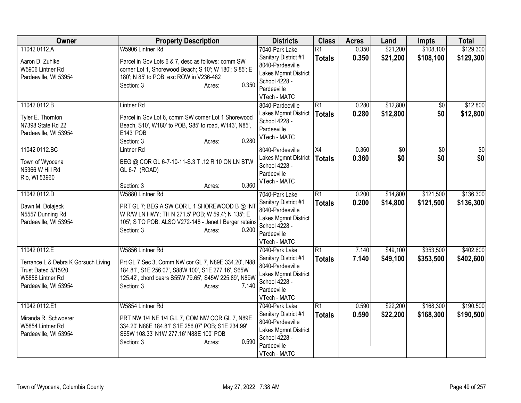| Owner                                                                                                   | <b>Property Description</b>                                                                                                                                                                        | <b>Districts</b>                                                                                                 | <b>Class</b>    | <b>Acres</b> | Land        | <b>Impts</b>    | <b>Total</b>    |
|---------------------------------------------------------------------------------------------------------|----------------------------------------------------------------------------------------------------------------------------------------------------------------------------------------------------|------------------------------------------------------------------------------------------------------------------|-----------------|--------------|-------------|-----------------|-----------------|
| 11042 0112.A                                                                                            | W5906 Lintner Rd                                                                                                                                                                                   | 7040-Park Lake                                                                                                   | $\overline{R1}$ | 0.350        | \$21,200    | \$108,100       | \$129,300       |
| Aaron D. Zuhlke<br>W5906 Lintner Rd<br>Pardeeville, WI 53954                                            | Parcel in Gov Lots 6 & 7, desc as follows: comm SW<br>corner Lot 1, Shorewood Beach; S 10'; W 180'; S 85'; E<br>180'; N 85' to POB; exc ROW in V236-482<br>0.350<br>Section: 3<br>Acres:           | Sanitary District #1<br>8040-Pardeeville<br>Lakes Mgmnt District<br>School 4228 -<br>Pardeeville<br>VTech - MATC | <b>Totals</b>   | 0.350        | \$21,200    | \$108,100       | \$129,300       |
| 11042 0112.B                                                                                            | Lintner <sub>Rd</sub>                                                                                                                                                                              | 8040-Pardeeville                                                                                                 | $\overline{R1}$ | 0.280        | \$12,800    | $\sqrt{6}$      | \$12,800        |
| Tyler E. Thornton<br>N7398 State Rd 22<br>Pardeeville, WI 53954                                         | Parcel in Gov Lot 6, comm SW corner Lot 1 Shorewood<br>Beach, S10', W180' to POB, S85' to road, W143', N85',<br><b>E143' POB</b><br>0.280<br>Section: 3<br>Acres:                                  | Lakes Mgmnt District<br>School 4228 -<br>Pardeeville<br>VTech - MATC                                             | <b>Totals</b>   | 0.280        | \$12,800    | \$0             | \$12,800        |
| 11042 0112.BC                                                                                           | Lintner <sub>Rd</sub>                                                                                                                                                                              | 8040-Pardeeville                                                                                                 | X4              | 0.360        | $\sqrt{$0}$ | $\overline{50}$ | $\overline{50}$ |
| Town of Wyocena<br>N5366 W Hill Rd<br>Rio, WI 53960                                                     | BEG @ COR GL 6-7-10-11-S.3 T .12 R.10 ON LN BTW<br>GL 6-7 (ROAD)<br>0.360<br>Section: 3<br>Acres:                                                                                                  | Lakes Mgmnt District<br>School 4228 -<br>Pardeeville<br>VTech - MATC                                             | Totals          | 0.360        | \$0         | \$0             | \$0             |
| 11042 0112.D                                                                                            | W5880 Lintner Rd                                                                                                                                                                                   | 7040-Park Lake                                                                                                   | $\overline{R1}$ | 0.200        | \$14,800    | \$121,500       | \$136,300       |
| Dawn M. Dolajeck<br>N5557 Dunning Rd<br>Pardeeville, WI 53954                                           | PRT GL 7; BEG A SW COR L 1 SHOREWOOD B @ INT<br>W R/W LN HWY; TH N 271.5' POB; W 59.4'; N 135'; E<br>105'; S TO POB. ALSO V272-148 - Janet I Berger retains<br>Section: 3<br>0.200<br>Acres:       | Sanitary District #1<br>8040-Pardeeville<br>Lakes Mgmnt District<br>School 4228 -<br>Pardeeville<br>VTech - MATC | <b>Totals</b>   | 0.200        | \$14,800    | \$121,500       | \$136,300       |
| 11042 0112.E                                                                                            | W5856 Lintner Rd                                                                                                                                                                                   | 7040-Park Lake                                                                                                   | $\overline{R1}$ | 7.140        | \$49,100    | \$353,500       | \$402,600       |
| Terrance L & Debra K Gorsuch Living<br>Trust Dated 5/15/20<br>W5856 Lintner Rd<br>Pardeeville, WI 53954 | Prt GL 7 Sec 3, Comm NW cor GL 7, N89E 334.20', N88<br>184.81', S1E 256.07', S88W 100', S1E 277.16', S65W<br>125.42', chord bears S55W 79.65', S45W 225.89', N89W<br>Section: 3<br>7.140<br>Acres: | Sanitary District #1<br>8040-Pardeeville<br>Lakes Mgmnt District<br>School 4228 -<br>Pardeeville<br>VTech - MATC | <b>Totals</b>   | 7.140        | \$49,100    | \$353,500       | \$402,600       |
| 11042 0112.E1                                                                                           | W5854 Lintner Rd                                                                                                                                                                                   | 7040-Park Lake                                                                                                   | $\overline{R1}$ | 0.590        | \$22,200    | \$168,300       | \$190,500       |
| Miranda R. Schwoerer<br>W5854 Lintner Rd<br>Pardeeville, WI 53954                                       | PRT NW 1/4 NE 1/4 G.L.7, COM NW COR GL 7, N89E<br>334.20' N88E 184.81' S1E 256.07' POB; S1E 234.99'<br>S65W 108.33' N1W 277.16' N88E 100' POB<br>0.590<br>Section: 3<br>Acres:                     | Sanitary District #1<br>8040-Pardeeville<br>Lakes Mgmnt District<br>School 4228 -<br>Pardeeville<br>VTech - MATC | <b>Totals</b>   | 0.590        | \$22,200    | \$168,300       | \$190,500       |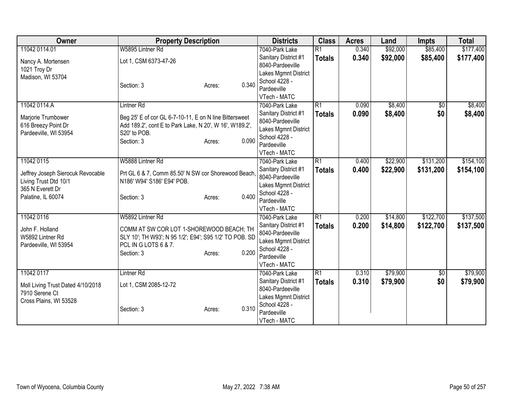| Owner                             | <b>Property Description</b>                             |                 | <b>Districts</b>               | <b>Class</b>    | <b>Acres</b> | Land     | <b>Impts</b> | <b>Total</b> |
|-----------------------------------|---------------------------------------------------------|-----------------|--------------------------------|-----------------|--------------|----------|--------------|--------------|
| 11042 0114.01                     | W5895 Lintner Rd                                        |                 | 7040-Park Lake                 | $\overline{R1}$ | 0.340        | \$92,000 | \$85,400     | \$177,400    |
| Nancy A. Mortensen                | Lot 1, CSM 6373-47-26                                   |                 | Sanitary District #1           | <b>Totals</b>   | 0.340        | \$92,000 | \$85,400     | \$177,400    |
| 1021 Troy Dr                      |                                                         |                 | 8040-Pardeeville               |                 |              |          |              |              |
| Madison, WI 53704                 |                                                         |                 | Lakes Mgmnt District           |                 |              |          |              |              |
|                                   | Section: 3                                              | 0.340<br>Acres: | School 4228 -                  |                 |              |          |              |              |
|                                   |                                                         |                 | Pardeeville                    |                 |              |          |              |              |
|                                   |                                                         |                 | VTech - MATC                   |                 |              |          |              |              |
| 11042 0114.A                      | Lintner <sub>Rd</sub>                                   |                 | 7040-Park Lake                 | R1              | 0.090        | \$8,400  | \$0          | \$8,400      |
| Marjorie Trumbower                | Beg 25' E of cor GL 6-7-10-11, E on N line Bittersweet  |                 | Sanitary District #1           | <b>Totals</b>   | 0.090        | \$8,400  | \$0          | \$8,400      |
| 616 Breezy Point Dr               | Add 189.2', cont E to Park Lake, N 20', W 16', W189.2', |                 | 8040-Pardeeville               |                 |              |          |              |              |
| Pardeeville, WI 53954             | S20' to POB.                                            |                 | Lakes Mgmnt District           |                 |              |          |              |              |
|                                   | Section: 3                                              | 0.090<br>Acres: | School 4228 -                  |                 |              |          |              |              |
|                                   |                                                         |                 | Pardeeville                    |                 |              |          |              |              |
| 11042 0115                        | W5888 Lintner Rd                                        |                 | VTech - MATC<br>7040-Park Lake | $\overline{R1}$ | 0.400        | \$22,900 | \$131,200    | \$154,100    |
|                                   |                                                         |                 | Sanitary District #1           |                 |              |          |              |              |
| Jeffrey Joseph Sierocuk Revocable | Prt GL 6 & 7, Comm 85.50' N SW cor Shorewood Beach      |                 | 8040-Pardeeville               | <b>Totals</b>   | 0.400        | \$22,900 | \$131,200    | \$154,100    |
| Living Trust Dtd 10/1             | N186' W94' S186' E94' POB.                              |                 | Lakes Mgmnt District           |                 |              |          |              |              |
| 365 N Everett Dr                  |                                                         |                 | School 4228 -                  |                 |              |          |              |              |
| Palatine, IL 60074                | Section: 3                                              | 0.400<br>Acres: | Pardeeville                    |                 |              |          |              |              |
|                                   |                                                         |                 | VTech - MATC                   |                 |              |          |              |              |
| 11042 0116                        | W5892 Lintner Rd                                        |                 | 7040-Park Lake                 | R1              | 0.200        | \$14,800 | \$122,700    | \$137,500    |
|                                   |                                                         |                 | Sanitary District #1           | <b>Totals</b>   | 0.200        | \$14,800 | \$122,700    | \$137,500    |
| John F. Holland                   | COMM AT SW COR LOT 1-SHOREWOOD BEACH; TH                |                 | 8040-Pardeeville               |                 |              |          |              |              |
| W5892 Lintner Rd                  | SLY 10'; TH W93'; N 95 1/2'; E94'; S95 1/2' TO POB. SD  |                 | Lakes Mgmnt District           |                 |              |          |              |              |
| Pardeeville, WI 53954             | PCL IN G LOTS 6 & 7.                                    |                 | School 4228 -                  |                 |              |          |              |              |
|                                   | Section: 3                                              | 0.200<br>Acres: | Pardeeville                    |                 |              |          |              |              |
|                                   |                                                         |                 | VTech - MATC                   |                 |              |          |              |              |
| 11042 0117                        | Lintner <sub>Rd</sub>                                   |                 | 7040-Park Lake                 | $\overline{R1}$ | 0.310        | \$79,900 | $\sqrt{6}$   | \$79,900     |
| Moll Living Trust Dated 4/10/2018 | Lot 1, CSM 2085-12-72                                   |                 | Sanitary District #1           | <b>Totals</b>   | 0.310        | \$79,900 | \$0          | \$79,900     |
| 7910 Serene Ct                    |                                                         |                 | 8040-Pardeeville               |                 |              |          |              |              |
| Cross Plains, WI 53528            |                                                         |                 | Lakes Mgmnt District           |                 |              |          |              |              |
|                                   | Section: 3                                              | 0.310<br>Acres: | School 4228 -                  |                 |              |          |              |              |
|                                   |                                                         |                 | Pardeeville                    |                 |              |          |              |              |
|                                   |                                                         |                 | VTech - MATC                   |                 |              |          |              |              |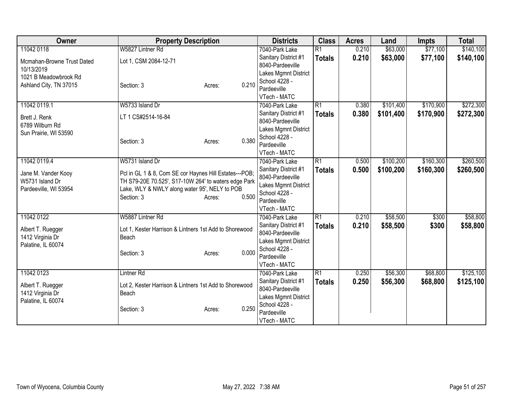| <b>Owner</b>               | <b>Property Description</b>                            |                 | <b>Districts</b>     | <b>Class</b>    | <b>Acres</b> | Land      | <b>Impts</b> | <b>Total</b> |
|----------------------------|--------------------------------------------------------|-----------------|----------------------|-----------------|--------------|-----------|--------------|--------------|
| 11042 0118                 | W5827 Lintner Rd                                       |                 | 7040-Park Lake       | $\overline{R1}$ | 0.210        | \$63,000  | \$77,100     | \$140,100    |
| Mcmahan-Browne Trust Dated | Lot 1, CSM 2084-12-71                                  |                 | Sanitary District #1 | <b>Totals</b>   | 0.210        | \$63,000  | \$77,100     | \$140,100    |
| 10/13/2019                 |                                                        |                 | 8040-Pardeeville     |                 |              |           |              |              |
| 1021 B Meadowbrook Rd      |                                                        |                 | Lakes Mgmnt District |                 |              |           |              |              |
| Ashland City, TN 37015     | Section: 3                                             | 0.210<br>Acres: | School 4228 -        |                 |              |           |              |              |
|                            |                                                        |                 | Pardeeville          |                 |              |           |              |              |
|                            |                                                        |                 | VTech - MATC         |                 |              |           |              |              |
| 11042 0119.1               | W5733 Island Dr                                        |                 | 7040-Park Lake       | $\overline{R1}$ | 0.380        | \$101,400 | \$170,900    | \$272,300    |
| Brett J. Renk              | LT 1 CS#2514-16-84                                     |                 | Sanitary District #1 | <b>Totals</b>   | 0.380        | \$101,400 | \$170,900    | \$272,300    |
| 6789 Wilburn Rd            |                                                        |                 | 8040-Pardeeville     |                 |              |           |              |              |
| Sun Prairie, WI 53590      |                                                        |                 | Lakes Mgmnt District |                 |              |           |              |              |
|                            | Section: 3                                             | 0.380<br>Acres: | School 4228 -        |                 |              |           |              |              |
|                            |                                                        |                 | Pardeeville          |                 |              |           |              |              |
|                            |                                                        |                 | VTech - MATC         |                 |              |           |              |              |
| 11042 0119.4               | W5731 Island Dr                                        |                 | 7040-Park Lake       | $\overline{R1}$ | 0.500        | \$100,200 | \$160,300    | \$260,500    |
| Jane M. Vander Kooy        | Pcl in GL 1 & 8, Com SE cor Haynes Hill Estates---POB; |                 | Sanitary District #1 | <b>Totals</b>   | 0.500        | \$100,200 | \$160,300    | \$260,500    |
| W5731 Island Dr            | TH S79-20E 70.525', S17-10W 264' to waters edge Park   |                 | 8040-Pardeeville     |                 |              |           |              |              |
| Pardeeville, WI 53954      | Lake, WLY & NWLY along water 95', NELY to POB          |                 | Lakes Mgmnt District |                 |              |           |              |              |
|                            | Section: 3                                             | 0.500<br>Acres: | School 4228 -        |                 |              |           |              |              |
|                            |                                                        |                 | Pardeeville          |                 |              |           |              |              |
|                            |                                                        |                 | VTech - MATC         |                 |              |           |              |              |
| 11042 0122                 | W5887 Lintner Rd                                       |                 | 7040-Park Lake       | R1              | 0.210        | \$58,500  | \$300        | \$58,800     |
| Albert T. Ruegger          | Lot 1, Kester Harrison & Lintners 1st Add to Shorewood |                 | Sanitary District #1 | <b>Totals</b>   | 0.210        | \$58,500  | \$300        | \$58,800     |
| 1412 Virginia Dr           | Beach                                                  |                 | 8040-Pardeeville     |                 |              |           |              |              |
| Palatine, IL 60074         |                                                        |                 | Lakes Mgmnt District |                 |              |           |              |              |
|                            | Section: 3                                             | 0.000<br>Acres: | School 4228 -        |                 |              |           |              |              |
|                            |                                                        |                 | Pardeeville          |                 |              |           |              |              |
|                            |                                                        |                 | VTech - MATC         |                 |              |           |              |              |
| 11042 0123                 | <b>Lintner Rd</b>                                      |                 | 7040-Park Lake       | $\overline{R1}$ | 0.250        | \$56,300  | \$68,800     | \$125,100    |
| Albert T. Ruegger          | Lot 2, Kester Harrison & Lintners 1st Add to Shorewood |                 | Sanitary District #1 | <b>Totals</b>   | 0.250        | \$56,300  | \$68,800     | \$125,100    |
| 1412 Virginia Dr           | Beach                                                  |                 | 8040-Pardeeville     |                 |              |           |              |              |
| Palatine, IL 60074         |                                                        |                 | Lakes Mgmnt District |                 |              |           |              |              |
|                            | Section: 3                                             | 0.250<br>Acres: | School 4228 -        |                 |              |           |              |              |
|                            |                                                        |                 | Pardeeville          |                 |              |           |              |              |
|                            |                                                        |                 | VTech - MATC         |                 |              |           |              |              |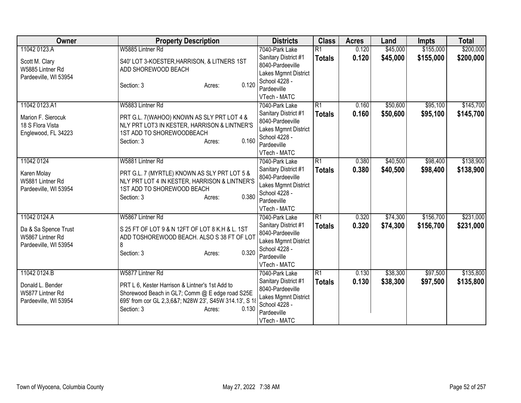| Owner                                                             | <b>Property Description</b>                                                                                                                                                                   | <b>Districts</b>                                                                                                 | <b>Class</b>    | <b>Acres</b> | Land     | <b>Impts</b> | <b>Total</b> |
|-------------------------------------------------------------------|-----------------------------------------------------------------------------------------------------------------------------------------------------------------------------------------------|------------------------------------------------------------------------------------------------------------------|-----------------|--------------|----------|--------------|--------------|
| 11042 0123.A                                                      | W5885 Lintner Rd                                                                                                                                                                              | 7040-Park Lake                                                                                                   | $\overline{R1}$ | 0.120        | \$45,000 | \$155,000    | \$200,000    |
| Scott M. Clary<br>W5885 Lintner Rd<br>Pardeeville, WI 53954       | S40' LOT 3-KOESTER, HARRISON, & LITNERS 1ST<br>ADD SHOREWOOD BEACH                                                                                                                            | Sanitary District #1<br>8040-Pardeeville<br>Lakes Mgmnt District<br>School 4228 -                                | <b>Totals</b>   | 0.120        | \$45,000 | \$155,000    | \$200,000    |
|                                                                   | 0.120<br>Section: 3<br>Acres:                                                                                                                                                                 | Pardeeville<br>VTech - MATC                                                                                      |                 |              |          |              |              |
| 11042 0123.A1                                                     | W5883 Lintner Rd                                                                                                                                                                              | 7040-Park Lake                                                                                                   | $\overline{R1}$ | 0.160        | \$50,600 | \$95,100     | \$145,700    |
| Marion F. Sierocuk<br>18 S Flora Vista<br>Englewood, FL 34223     | PRT G.L. 7(WAHOO) KNOWN AS SLY PRT LOT 4 &<br>NLY PRT LOT3 IN KESTER, HARRISON & LINTNER'S<br>1ST ADD TO SHOREWOODBEACH<br>0.160<br>Section: 3<br>Acres:                                      | Sanitary District #1<br>8040-Pardeeville<br>Lakes Mgmnt District<br>School 4228 -<br>Pardeeville<br>VTech - MATC | <b>Totals</b>   | 0.160        | \$50,600 | \$95,100     | \$145,700    |
| 11042 0124                                                        | W5881 Lintner Rd                                                                                                                                                                              | 7040-Park Lake                                                                                                   | $\overline{R1}$ | 0.380        | \$40,500 | \$98,400     | \$138,900    |
| Karen Molay<br>W5881 Lintner Rd<br>Pardeeville, WI 53954          | PRT G.L. 7 (MYRTLE) KNOWN AS SLY PRT LOT 5 &<br>NLY PRT LOT 4 IN KESTER, HARRISON & LINTNER'S<br>1ST ADD TO SHOREWOOD BEACH<br>0.380<br>Section: 3<br>Acres:                                  | Sanitary District #1<br>8040-Pardeeville<br>Lakes Mgmnt District<br>School 4228 -<br>Pardeeville<br>VTech - MATC | <b>Totals</b>   | 0.380        | \$40,500 | \$98,400     | \$138,900    |
| 11042 0124.A                                                      | W5867 Lintner Rd                                                                                                                                                                              | 7040-Park Lake                                                                                                   | R1              | 0.320        | \$74,300 | \$156,700    | \$231,000    |
| Da & Sa Spence Trust<br>W5867 Lintner Rd<br>Pardeeville, WI 53954 | S 25 FT OF LOT 9 & N 12FT OF LOT 8 K.H & L. 1ST<br>ADD TOSHOREWOOD BEACH. ALSO S 38 FT OF LOT<br>8<br>0.320<br>Section: 3<br>Acres:                                                           | Sanitary District #1<br>8040-Pardeeville<br>Lakes Mgmnt District<br>School 4228 -<br>Pardeeville<br>VTech - MATC | <b>Totals</b>   | 0.320        | \$74,300 | \$156,700    | \$231,000    |
| 11042 0124.B                                                      | W5877 Lintner Rd                                                                                                                                                                              | 7040-Park Lake                                                                                                   | R1              | 0.130        | \$38,300 | \$97,500     | \$135,800    |
| Donald L. Bender<br>W5877 Lintner Rd<br>Pardeeville, WI 53954     | PRT L 6, Kester Harrison & Lintner's 1st Add to<br>Shorewood Beach in GL7; Comm @ E edge road S25E<br>695' from cor GL 2,3,6&7; N28W 23', S45W 314.13', S 18<br>0.130<br>Section: 3<br>Acres: | Sanitary District #1<br>8040-Pardeeville<br>Lakes Mgmnt District<br>School 4228 -<br>Pardeeville<br>VTech - MATC | <b>Totals</b>   | 0.130        | \$38,300 | \$97,500     | \$135,800    |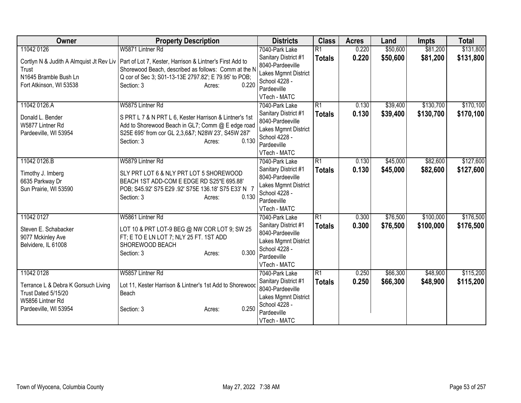| Owner                                             | <b>Property Description</b>                                                                                      |       | <b>Districts</b>                                                 | <b>Class</b>    | <b>Acres</b> | Land     | <b>Impts</b> | <b>Total</b> |
|---------------------------------------------------|------------------------------------------------------------------------------------------------------------------|-------|------------------------------------------------------------------|-----------------|--------------|----------|--------------|--------------|
| 11042 0126                                        | W5871 Lintner Rd                                                                                                 |       | 7040-Park Lake                                                   | $\overline{R1}$ | 0.220        | \$50,600 | \$81,200     | \$131,800    |
| Cortlyn N & Judith A Almquist Jt Rev Liv<br>Trust | Part of Lot 7, Kester, Harrison & Lintner's First Add to<br>Shorewood Beach, described as follows: Comm at the N |       | Sanitary District #1<br>8040-Pardeeville<br>Lakes Mgmnt District | <b>Totals</b>   | 0.220        | \$50,600 | \$81,200     | \$131,800    |
| N1645 Bramble Bush Ln<br>Fort Atkinson, WI 53538  | Q cor of Sec 3; S01-13-13E 2797.82'; E 79.95' to POB;<br>Section: 3<br>Acres:                                    | 0.220 | School 4228 -<br>Pardeeville<br>VTech - MATC                     |                 |              |          |              |              |
| 11042 0126.A                                      | W5875 Lintner Rd                                                                                                 |       | 7040-Park Lake                                                   | $\overline{R1}$ | 0.130        | \$39,400 | \$130,700    | \$170,100    |
| Donald L. Bender<br>W5877 Lintner Rd              | S PRT L 7 & N PRT L 6, Kester Harrison & Lintner's 1st<br>Add to Shorewood Beach in GL7; Comm @ E edge road      |       | Sanitary District #1<br>8040-Pardeeville                         | <b>Totals</b>   | 0.130        | \$39,400 | \$130,700    | \$170,100    |
| Pardeeville, WI 53954                             | S25E 695' from cor GL 2,3,6&7; N28W 23', S45W 287'                                                               |       | Lakes Mgmnt District<br>School 4228 -                            |                 |              |          |              |              |
|                                                   | Section: 3<br>Acres:                                                                                             | 0.130 | Pardeeville                                                      |                 |              |          |              |              |
|                                                   |                                                                                                                  |       | VTech - MATC                                                     |                 |              |          |              |              |
| 11042 0126.B                                      | W5879 Lintner Rd                                                                                                 |       | 7040-Park Lake                                                   | R1              | 0.130        | \$45,000 | \$82,600     | \$127,600    |
| Timothy J. Imberg                                 | SLY PRT LOT 6 & NLY PRT LOT 5 SHOREWOOD                                                                          |       | Sanitary District #1<br>8040-Pardeeville                         | <b>Totals</b>   | 0.130        | \$45,000 | \$82,600     | \$127,600    |
| 6635 Parkway Dr                                   | BEACH 1ST ADD-COM E EDGE RD S25*E 695.88'                                                                        |       |                                                                  |                 |              |          |              |              |
| Sun Prairie, WI 53590                             | POB; S45.92' S75 E29 .92' S75E 136.18' S75 E33' N 7                                                              |       | Lakes Mgmnt District<br>School 4228 -                            |                 |              |          |              |              |
|                                                   | Section: 3<br>Acres:                                                                                             | 0.130 | Pardeeville                                                      |                 |              |          |              |              |
|                                                   |                                                                                                                  |       | VTech - MATC                                                     |                 |              |          |              |              |
| 11042 0127                                        | W5861 Lintner Rd                                                                                                 |       | 7040-Park Lake                                                   | $\overline{R1}$ | 0.300        | \$76,500 | \$100,000    | \$176,500    |
| Steven E. Schabacker                              | LOT 10 & PRT LOT-9 BEG @ NW COR LOT 9; SW 25                                                                     |       | Sanitary District #1                                             | <b>Totals</b>   | 0.300        | \$76,500 | \$100,000    | \$176,500    |
| 9077 Mckinley Ave                                 | FT; E TO E LN LOT 7; NLY 25 FT. 1ST ADD                                                                          |       | 8040-Pardeeville                                                 |                 |              |          |              |              |
| Belvidere, IL 61008                               | SHOREWOOD BEACH                                                                                                  |       | Lakes Mgmnt District<br>School 4228 -                            |                 |              |          |              |              |
|                                                   | Section: 3<br>Acres:                                                                                             | 0.300 | Pardeeville                                                      |                 |              |          |              |              |
|                                                   |                                                                                                                  |       | VTech - MATC                                                     |                 |              |          |              |              |
| 11042 0128                                        | W5857 Lintner Rd                                                                                                 |       | 7040-Park Lake                                                   | $\overline{R1}$ | 0.250        | \$66,300 | \$48,900     | \$115,200    |
| Terrance L & Debra K Gorsuch Living               | Lot 11, Kester Harrison & Lintner's 1st Add to Shorewood                                                         |       | Sanitary District #1                                             | <b>Totals</b>   | 0.250        | \$66,300 | \$48,900     | \$115,200    |
| Trust Dated 5/15/20                               | Beach                                                                                                            |       | 8040-Pardeeville                                                 |                 |              |          |              |              |
| W5856 Lintner Rd                                  |                                                                                                                  |       | Lakes Mgmnt District                                             |                 |              |          |              |              |
| Pardeeville, WI 53954                             | Section: 3<br>Acres:                                                                                             | 0.250 | School 4228 -<br>Pardeeville                                     |                 |              |          |              |              |
|                                                   |                                                                                                                  |       | VTech - MATC                                                     |                 |              |          |              |              |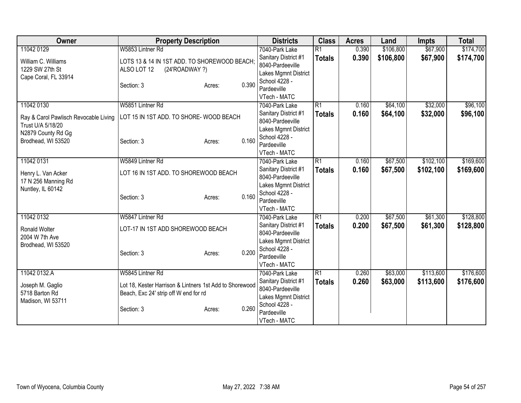| Owner                                 | <b>Property Description</b>                             |       | <b>Districts</b>                         | <b>Class</b>    | <b>Acres</b> | Land      | <b>Impts</b> | <b>Total</b> |
|---------------------------------------|---------------------------------------------------------|-------|------------------------------------------|-----------------|--------------|-----------|--------------|--------------|
| 11042 0129                            | W5853 Lintner Rd                                        |       | 7040-Park Lake                           | $\overline{R1}$ | 0.390        | \$106,800 | \$67,900     | \$174,700    |
| William C. Williams                   | LOTS 13 & 14 IN 1ST ADD. TO SHOREWOOD BEACH;            |       | Sanitary District #1                     | <b>Totals</b>   | 0.390        | \$106,800 | \$67,900     | \$174,700    |
| 1229 SW 27th St                       | ALSO LOT 12<br>(24'ROADWAY ?)                           |       | 8040-Pardeeville                         |                 |              |           |              |              |
| Cape Coral, FL 33914                  |                                                         |       | Lakes Mgmnt District                     |                 |              |           |              |              |
|                                       | Section: 3<br>Acres:                                    | 0.390 | School 4228 -                            |                 |              |           |              |              |
|                                       |                                                         |       | Pardeeville                              |                 |              |           |              |              |
|                                       |                                                         |       | VTech - MATC                             |                 |              |           |              |              |
| 11042 0130                            | W5851 Lintner Rd                                        |       | 7040-Park Lake                           | $\overline{R1}$ | 0.160        | \$64,100  | \$32,000     | \$96,100     |
| Ray & Carol Pawlisch Revocable Living | LOT 15 IN 1ST ADD. TO SHORE- WOOD BEACH                 |       | Sanitary District #1                     | <b>Totals</b>   | 0.160        | \$64,100  | \$32,000     | \$96,100     |
| Trust U/A 5/18/20                     |                                                         |       | 8040-Pardeeville                         |                 |              |           |              |              |
| N2879 County Rd Gg                    |                                                         |       | Lakes Mgmnt District                     |                 |              |           |              |              |
| Brodhead, WI 53520                    | Section: 3<br>Acres:                                    | 0.160 | School 4228 -                            |                 |              |           |              |              |
|                                       |                                                         |       | Pardeeville                              |                 |              |           |              |              |
|                                       |                                                         |       | VTech - MATC                             | $\overline{R1}$ |              |           |              |              |
| 11042 0131                            | W5849 Lintner Rd                                        |       | 7040-Park Lake                           |                 | 0.160        | \$67,500  | \$102,100    | \$169,600    |
| Henry L. Van Acker                    | LOT 16 IN 1ST ADD. TO SHOREWOOD BEACH                   |       | Sanitary District #1<br>8040-Pardeeville | <b>Totals</b>   | 0.160        | \$67,500  | \$102,100    | \$169,600    |
| 17 N 256 Manning Rd                   |                                                         |       | Lakes Mgmnt District                     |                 |              |           |              |              |
| Nuntley, IL 60142                     |                                                         |       | School 4228 -                            |                 |              |           |              |              |
|                                       | Section: 3<br>Acres:                                    | 0.160 | Pardeeville                              |                 |              |           |              |              |
|                                       |                                                         |       | VTech - MATC                             |                 |              |           |              |              |
| 11042 0132                            | W5847 Lintner Rd                                        |       | 7040-Park Lake                           | $\overline{R1}$ | 0.200        | \$67,500  | \$61,300     | \$128,800    |
|                                       |                                                         |       | Sanitary District #1                     | <b>Totals</b>   | 0.200        | \$67,500  | \$61,300     | \$128,800    |
| Ronald Wolter                         | LOT-17 IN 1ST ADD SHOREWOOD BEACH                       |       | 8040-Pardeeville                         |                 |              |           |              |              |
| 2004 W 7th Ave                        |                                                         |       | Lakes Mgmnt District                     |                 |              |           |              |              |
| Brodhead, WI 53520                    |                                                         |       | School 4228 -                            |                 |              |           |              |              |
|                                       | Section: 3<br>Acres:                                    | 0.200 | Pardeeville                              |                 |              |           |              |              |
|                                       |                                                         |       | VTech - MATC                             |                 |              |           |              |              |
| 11042 0132.A                          | W5845 Lintner Rd                                        |       | 7040-Park Lake                           | $\overline{R1}$ | 0.260        | \$63,000  | \$113,600    | \$176,600    |
| Joseph M. Gaglio                      | Lot 18, Kester Harrison & Lintners 1st Add to Shorewood |       | Sanitary District #1                     | <b>Totals</b>   | 0.260        | \$63,000  | \$113,600    | \$176,600    |
| 5718 Barton Rd                        | Beach, Exc 24' strip off W end for rd                   |       | 8040-Pardeeville                         |                 |              |           |              |              |
| Madison, WI 53711                     |                                                         |       | Lakes Mgmnt District                     |                 |              |           |              |              |
|                                       | Section: 3<br>Acres:                                    | 0.260 | School 4228 -                            |                 |              |           |              |              |
|                                       |                                                         |       | Pardeeville                              |                 |              |           |              |              |
|                                       |                                                         |       | VTech - MATC                             |                 |              |           |              |              |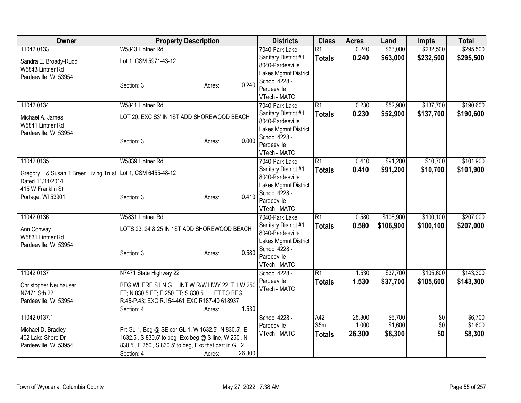| Owner                                  | <b>Property Description</b>                            | <b>Districts</b>                      | <b>Class</b>    | <b>Acres</b> | Land      | <b>Impts</b>    | <b>Total</b> |
|----------------------------------------|--------------------------------------------------------|---------------------------------------|-----------------|--------------|-----------|-----------------|--------------|
| 11042 0133                             | W5843 Lintner Rd                                       | 7040-Park Lake                        | $\overline{R1}$ | 0.240        | \$63,000  | \$232,500       | \$295,500    |
| Sandra E. Broady-Rudd                  | Lot 1, CSM 5971-43-12                                  | Sanitary District #1                  | <b>Totals</b>   | 0.240        | \$63,000  | \$232,500       | \$295,500    |
| W5843 Lintner Rd                       |                                                        | 8040-Pardeeville                      |                 |              |           |                 |              |
| Pardeeville, WI 53954                  |                                                        | Lakes Mgmnt District                  |                 |              |           |                 |              |
|                                        | 0.240<br>Section: 3<br>Acres:                          | School 4228 -                         |                 |              |           |                 |              |
|                                        |                                                        | Pardeeville                           |                 |              |           |                 |              |
|                                        |                                                        | VTech - MATC                          |                 |              |           |                 |              |
| 11042 0134                             | W5841 Lintner Rd                                       | 7040-Park Lake                        | $\overline{R1}$ | 0.230        | \$52,900  | \$137,700       | \$190,600    |
| Michael A. James                       | LOT 20, EXC S3' IN 1ST ADD SHOREWOOD BEACH             | Sanitary District #1                  | <b>Totals</b>   | 0.230        | \$52,900  | \$137,700       | \$190,600    |
| W5841 Lintner Rd                       |                                                        | 8040-Pardeeville                      |                 |              |           |                 |              |
| Pardeeville, WI 53954                  |                                                        | Lakes Mgmnt District<br>School 4228 - |                 |              |           |                 |              |
|                                        | 0.000<br>Section: 3<br>Acres:                          | Pardeeville                           |                 |              |           |                 |              |
|                                        |                                                        | VTech - MATC                          |                 |              |           |                 |              |
| 11042 0135                             | W5839 Lintner Rd                                       | 7040-Park Lake                        | R1              | 0.410        | \$91,200  | \$10,700        | \$101,900    |
|                                        |                                                        | Sanitary District #1                  | <b>Totals</b>   | 0.410        | \$91,200  | \$10,700        | \$101,900    |
| Gregory L & Susan T Breen Living Trust | Lot 1, CSM 6455-48-12                                  | 8040-Pardeeville                      |                 |              |           |                 |              |
| Dated 11/11/2014                       |                                                        | Lakes Mgmnt District                  |                 |              |           |                 |              |
| 415 W Franklin St                      |                                                        | School 4228 -                         |                 |              |           |                 |              |
| Portage, WI 53901                      | 0.410<br>Section: 3<br>Acres:                          | Pardeeville                           |                 |              |           |                 |              |
|                                        |                                                        | VTech - MATC                          |                 |              |           |                 |              |
| 11042 0136                             | W5831 Lintner Rd                                       | 7040-Park Lake                        | $\overline{R1}$ | 0.580        | \$106,900 | \$100,100       | \$207,000    |
| Ann Conway                             | LOTS 23, 24 & 25 IN 1ST ADD SHOREWOOD BEACH            | Sanitary District #1                  | <b>Totals</b>   | 0.580        | \$106,900 | \$100,100       | \$207,000    |
| W5831 Lintner Rd                       |                                                        | 8040-Pardeeville                      |                 |              |           |                 |              |
| Pardeeville, WI 53954                  |                                                        | Lakes Mgmnt District                  |                 |              |           |                 |              |
|                                        | 0.580<br>Section: 3<br>Acres:                          | School 4228 -                         |                 |              |           |                 |              |
|                                        |                                                        | Pardeeville                           |                 |              |           |                 |              |
|                                        |                                                        | VTech - MATC                          |                 |              |           |                 |              |
| 11042 0137                             | N7471 State Highway 22                                 | School 4228 -                         | $\overline{R1}$ | 1.530        | \$37,700  | \$105,600       | \$143,300    |
| <b>Christopher Neuhauser</b>           | BEG WHERE S LN G.L. INT W R/W HWY 22; TH W 250         | Pardeeville                           | <b>Totals</b>   | 1.530        | \$37,700  | \$105,600       | \$143,300    |
| N7471 Sth 22                           | FT; N 830.5 FT; E 250 FT; S 830.5<br>FT TO BEG         | VTech - MATC                          |                 |              |           |                 |              |
| Pardeeville, WI 53954                  | R.45-P.43; EXC R.154-461 EXC R187-40 618937            |                                       |                 |              |           |                 |              |
|                                        | 1.530<br>Section: 4<br>Acres:                          |                                       |                 |              |           |                 |              |
| 11042 0137.1                           |                                                        | School 4228 -                         | A42             | 25.300       | \$6,700   | $\overline{50}$ | \$6,700      |
| Michael D. Bradley                     | Prt GL 1, Beg @ SE cor GL 1, W 1632.5', N 830.5', E    | Pardeeville                           | S5m             | 1.000        | \$1,600   | \$0             | \$1,600      |
| 402 Lake Shore Dr                      | 1632.5', S 830.5' to beg, Exc beg @ S line, W 250', N  | VTech - MATC                          | <b>Totals</b>   | 26.300       | \$8,300   | \$0             | \$8,300      |
| Pardeeville, WI 53954                  | 830.5', E 250', S 830.5' to beg, Exc that part in GL 2 |                                       |                 |              |           |                 |              |
|                                        | 26.300<br>Section: 4<br>Acres:                         |                                       |                 |              |           |                 |              |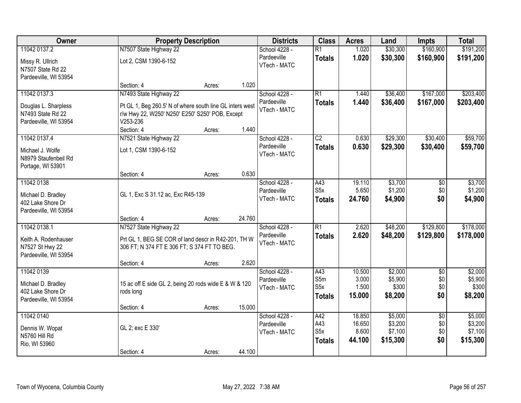| Owner                                                                          |                                                                                                                              | <b>Property Description</b> |        | <b>Districts</b>                             | <b>Class</b>                                    | <b>Acres</b>                        | Land                                      | <b>Impts</b>                         | <b>Total</b>                              |
|--------------------------------------------------------------------------------|------------------------------------------------------------------------------------------------------------------------------|-----------------------------|--------|----------------------------------------------|-------------------------------------------------|-------------------------------------|-------------------------------------------|--------------------------------------|-------------------------------------------|
| 11042 0137.2                                                                   | N7507 State Highway 22                                                                                                       |                             |        | School 4228 -                                | $\overline{R1}$                                 | 1.020                               | \$30,300                                  | \$160,900                            | \$191,200                                 |
| Missy R. Ullrich<br>N7507 State Rd 22                                          | Lot 2, CSM 1390-6-152                                                                                                        |                             |        | Pardeeville<br>VTech - MATC                  | <b>Totals</b>                                   | 1.020                               | \$30,300                                  | \$160,900                            | \$191,200                                 |
| Pardeeville, WI 53954                                                          | Section: 4                                                                                                                   | Acres:                      | 1.020  |                                              |                                                 |                                     |                                           |                                      |                                           |
| 11042 0137.3                                                                   | N7493 State Highway 22                                                                                                       |                             |        | School 4228 -                                | $\overline{R1}$                                 | 1.440                               | \$36,400                                  | \$167,000                            | \$203,400                                 |
| Douglas L. Sharpless<br>N7493 State Rd 22<br>Pardeeville, WI 53954             | Pt GL 1, Beg 260.5' N of where south line GL inters west<br>r/w Hwy 22, W250' N250' E250' S250' POB, Except<br>V253-236      |                             |        | Pardeeville<br>VTech - MATC                  | <b>Totals</b>                                   | 1.440                               | \$36,400                                  | \$167,000                            | \$203,400                                 |
|                                                                                | Section: 4                                                                                                                   | Acres:                      | 1.440  |                                              |                                                 |                                     |                                           |                                      |                                           |
| 11042 0137.4                                                                   | N7521 State Highway 22                                                                                                       |                             |        | School 4228 -                                | $\overline{C2}$                                 | 0.630                               | \$29,300                                  | \$30,400                             | \$59,700                                  |
| Michael J. Wolfe<br>N8979 Staufenbeil Rd<br>Portage, WI 53901                  | Lot 1, CSM 1390-6-152                                                                                                        |                             |        | Pardeeville<br>VTech - MATC                  | <b>Totals</b>                                   | 0.630                               | \$29,300                                  | \$30,400                             | \$59,700                                  |
|                                                                                | Section: 4                                                                                                                   | Acres:                      | 0.630  |                                              |                                                 |                                     |                                           |                                      |                                           |
| 11042 0138<br>Michael D. Bradley<br>402 Lake Shore Dr<br>Pardeeville, WI 53954 | GL 1, Exc S 31.12 ac, Exc R45-139                                                                                            |                             |        | School 4228 -<br>Pardeeville<br>VTech - MATC | A43<br>S <sub>5</sub> x<br><b>Totals</b>        | 19.110<br>5.650<br>24.760           | \$3,700<br>\$1,200<br>\$4,900             | $\frac{1}{20}$<br>\$0<br>\$0         | \$3,700<br>\$1,200<br>\$4,900             |
|                                                                                | Section: 4                                                                                                                   | Acres:                      | 24.760 |                                              |                                                 |                                     |                                           |                                      |                                           |
| 11042 0138.1<br>Keith A. Rodenhauser<br>N7527 St Hwy 22                        | N7527 State Highway 22<br>Prt GL 1, BEG SE COR of land descr in R42-201, TH W<br>306 FT; N 374 FT E 306 FT; S 374 FT TO BEG. |                             |        | School 4228 -<br>Pardeeville<br>VTech - MATC | $\overline{R1}$<br><b>Totals</b>                | 2.620<br>2.620                      | \$48,200<br>\$48,200                      | \$129,800<br>\$129,800               | \$178,000<br>\$178,000                    |
| Pardeeville, WI 53954                                                          |                                                                                                                              |                             |        |                                              |                                                 |                                     |                                           |                                      |                                           |
| 11042 0139                                                                     | Section: 4                                                                                                                   | Acres:                      | 2.620  | School 4228 -                                | A43                                             | 10.500                              | \$2,000                                   | $\overline{60}$                      | \$2,000                                   |
| Michael D. Bradley<br>402 Lake Shore Dr<br>Pardeeville, WI 53954               | 15 ac off E side GL 2, being 20 rods wide E & W & 120<br>rods long                                                           |                             |        | Pardeeville<br>VTech - MATC                  | S5m<br>S <sub>5</sub> x<br><b>Totals</b>        | 3.000<br>1.500<br>15.000            | \$5,900<br>\$300<br>\$8,200               | \$0<br>\$0<br>\$0                    | \$5,900<br>\$300<br>\$8,200               |
|                                                                                | Section: 4                                                                                                                   | Acres:                      | 15.000 |                                              |                                                 |                                     |                                           |                                      |                                           |
| 11042 0140<br>Dennis W. Wopat<br>N5760 Hill Rd<br>Rio, WI 53960                | GL 2; exc E 330'                                                                                                             |                             |        | School 4228 -<br>Pardeeville<br>VTech - MATC | A42<br>A43<br>S <sub>5</sub> x<br><b>Totals</b> | 18.850<br>16.650<br>8.600<br>44.100 | \$5,000<br>\$3,200<br>\$7,100<br>\$15,300 | $\overline{50}$<br>\$0<br>\$0<br>\$0 | \$5,000<br>\$3,200<br>\$7,100<br>\$15,300 |
|                                                                                | Section: 4                                                                                                                   | Acres:                      | 44.100 |                                              |                                                 |                                     |                                           |                                      |                                           |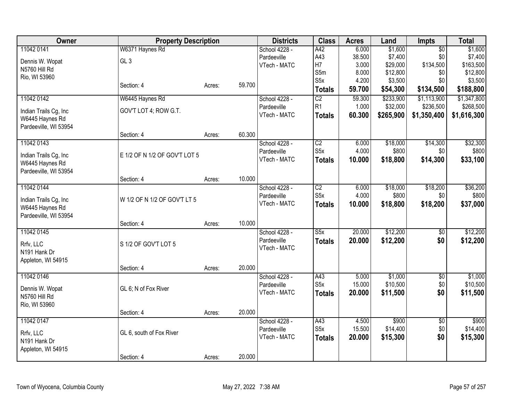| Owner                                    | <b>Property Description</b>   |        |        | <b>Districts</b>            | <b>Class</b>            | <b>Acres</b>    | Land                | <b>Impts</b>    | <b>Total</b>        |
|------------------------------------------|-------------------------------|--------|--------|-----------------------------|-------------------------|-----------------|---------------------|-----------------|---------------------|
| 11042 0141                               | W6371 Haynes Rd               |        |        | School 4228 -               | A42                     | 6.000           | \$1,600             | $\overline{50}$ | \$1,600             |
| Dennis W. Wopat                          | GL <sub>3</sub>               |        |        | Pardeeville                 | A43                     | 38.500          | \$7,400             | \$0             | \$7,400             |
| N5760 Hill Rd                            |                               |        |        | VTech - MATC                | H7                      | 3.000           | \$29,000            | \$134,500       | \$163,500           |
| Rio, WI 53960                            |                               |        |        |                             | S5m                     | 8.000           | \$12,800            | \$0             | \$12,800            |
|                                          | Section: 4                    | Acres: | 59.700 |                             | S <sub>5</sub> x        | 4.200           | \$3,500             | \$0             | \$3,500             |
|                                          |                               |        |        |                             | <b>Totals</b>           | 59.700          | \$54,300            | \$134,500       | \$188,800           |
| 11042 0142                               | W6445 Haynes Rd               |        |        | School 4228 -               | $\overline{C2}$         | 59.300          | \$233,900           | \$1,113,900     | \$1,347,800         |
| Indian Trails Cg, Inc.                   | GOV'T LOT 4; ROW G.T.         |        |        | Pardeeville                 | R <sub>1</sub>          | 1.000           | \$32,000            | \$236,500       | \$268,500           |
| W6445 Haynes Rd                          |                               |        |        | VTech - MATC                | <b>Totals</b>           | 60.300          | \$265,900           | \$1,350,400     | \$1,616,300         |
| Pardeeville, WI 53954                    |                               |        |        |                             |                         |                 |                     |                 |                     |
|                                          | Section: 4                    | Acres: | 60.300 |                             |                         |                 |                     |                 |                     |
| 11042 0143                               |                               |        |        | School 4228 -               | $\overline{C2}$         | 6.000           | \$18,000            | \$14,300        | \$32,300            |
| Indian Trails Cg, Inc                    | E 1/2 OF N 1/2 OF GOV'T LOT 5 |        |        | Pardeeville                 | S <sub>5</sub> x        | 4.000           | \$800               | \$0             | \$800               |
| W6445 Haynes Rd                          |                               |        |        | VTech - MATC                | <b>Totals</b>           | 10.000          | \$18,800            | \$14,300        | \$33,100            |
| Pardeeville, WI 53954                    |                               |        |        |                             |                         |                 |                     |                 |                     |
|                                          | Section: 4                    | Acres: | 10.000 |                             |                         |                 |                     |                 |                     |
| 11042 0144                               |                               |        |        | School 4228 -               | $\overline{C2}$         | 6.000           | \$18,000            | \$18,200        | \$36,200            |
|                                          |                               |        |        | Pardeeville                 | S <sub>5</sub> x        | 4.000           | \$800               | \$0             | \$800               |
| Indian Trails Cg, Inc                    | W 1/2 OF N 1/2 OF GOV'T LT 5  |        |        | VTech - MATC                | <b>Totals</b>           | 10.000          | \$18,800            | \$18,200        | \$37,000            |
| W6445 Haynes Rd<br>Pardeeville, WI 53954 |                               |        |        |                             |                         |                 |                     |                 |                     |
|                                          | Section: 4                    | Acres: | 10.000 |                             |                         |                 |                     |                 |                     |
| 11042 0145                               |                               |        |        | School 4228 -               | S5x                     | 20.000          | \$12,200            | \$0             | \$12,200            |
|                                          |                               |        |        | Pardeeville                 | <b>Totals</b>           | 20.000          | \$12,200            | \$0             | \$12,200            |
| Rrfv, LLC                                | S 1/2 OF GOV'T LOT 5          |        |        | VTech - MATC                |                         |                 |                     |                 |                     |
| N191 Hank Dr                             |                               |        |        |                             |                         |                 |                     |                 |                     |
| Appleton, WI 54915                       |                               |        |        |                             |                         |                 |                     |                 |                     |
|                                          | Section: 4                    | Acres: | 20.000 |                             |                         |                 |                     |                 |                     |
| 11042 0146                               |                               |        |        | School 4228 -               | A43<br>S <sub>5</sub> x | 5.000<br>15.000 | \$1,000<br>\$10,500 | \$0<br>\$0      | \$1,000<br>\$10,500 |
| Dennis W. Wopat                          | GL 6; N of Fox River          |        |        | Pardeeville<br>VTech - MATC |                         | 20.000          | \$11,500            | \$0             | \$11,500            |
| N5760 Hill Rd                            |                               |        |        |                             | <b>Totals</b>           |                 |                     |                 |                     |
| Rio, WI 53960                            |                               |        |        |                             |                         |                 |                     |                 |                     |
|                                          | Section: 4                    | Acres: | 20.000 |                             |                         |                 |                     |                 |                     |
| 11042 0147                               |                               |        |        | School 4228 -               | A43                     | 4.500           | \$900               | $\overline{50}$ | \$900               |
| Rrfv, LLC                                | GL 6, south of Fox River      |        |        | Pardeeville                 | S <sub>5</sub> x        | 15.500          | \$14,400            | \$0             | \$14,400            |
| N191 Hank Dr                             |                               |        |        | VTech - MATC                | <b>Totals</b>           | 20.000          | \$15,300            | \$0             | \$15,300            |
| Appleton, WI 54915                       |                               |        |        |                             |                         |                 |                     |                 |                     |
|                                          | Section: 4                    | Acres: | 20.000 |                             |                         |                 |                     |                 |                     |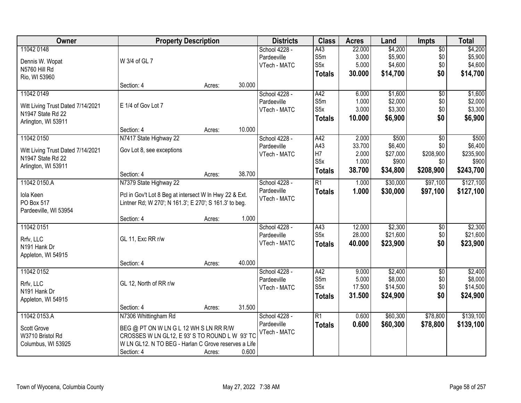| Owner                             | <b>Property Description</b>                            |        |        | <b>Districts</b> | <b>Class</b>     | <b>Acres</b> | Land     | <b>Impts</b>    | <b>Total</b> |
|-----------------------------------|--------------------------------------------------------|--------|--------|------------------|------------------|--------------|----------|-----------------|--------------|
| 11042 0148                        |                                                        |        |        | School 4228 -    | A43              | 22.000       | \$4,200  | $\overline{$0}$ | \$4,200      |
| Dennis W. Wopat                   | W 3/4 of GL 7                                          |        |        | Pardeeville      | S5m              | 3.000        | \$5,900  | \$0             | \$5,900      |
| N5760 Hill Rd                     |                                                        |        |        | VTech - MATC     | S <sub>5</sub> x | 5.000        | \$4,600  | \$0             | \$4,600      |
| Rio, WI 53960                     |                                                        |        |        |                  | <b>Totals</b>    | 30.000       | \$14,700 | \$0             | \$14,700     |
|                                   | Section: 4                                             | Acres: | 30.000 |                  |                  |              |          |                 |              |
| 11042 0149                        |                                                        |        |        | School 4228 -    | A42              | 6.000        | \$1,600  | $\overline{50}$ | \$1,600      |
|                                   |                                                        |        |        | Pardeeville      | S5m              | 1.000        | \$2,000  | \$0             | \$2,000      |
| Witt Living Trust Dated 7/14/2021 | E 1/4 of Gov Lot 7                                     |        |        | VTech - MATC     | S5x              | 3.000        | \$3,300  | \$0             | \$3,300      |
| N1947 State Rd 22                 |                                                        |        |        |                  | <b>Totals</b>    | 10.000       | \$6,900  | \$0             | \$6,900      |
| Arlington, WI 53911               |                                                        |        |        |                  |                  |              |          |                 |              |
|                                   | Section: 4                                             | Acres: | 10.000 |                  |                  |              |          |                 |              |
| 11042 0150                        | N7417 State Highway 22                                 |        |        | School 4228 -    | A42              | 2.000        | \$500    | $\overline{50}$ | \$500        |
| Witt Living Trust Dated 7/14/2021 | Gov Lot 8, see exceptions                              |        |        | Pardeeville      | A43              | 33.700       | \$6,400  | \$0             | \$6,400      |
| N1947 State Rd 22                 |                                                        |        |        | VTech - MATC     | H <sub>7</sub>   | 2.000        | \$27,000 | \$208,900       | \$235,900    |
| Arlington, WI 53911               |                                                        |        |        |                  | S5x              | 1.000        | \$900    | \$0             | \$900        |
|                                   | Section: 4                                             | Acres: | 38.700 |                  | <b>Totals</b>    | 38.700       | \$34,800 | \$208,900       | \$243,700    |
| 11042 0150.A                      | N7379 State Highway 22                                 |        |        | School 4228 -    | $\overline{R1}$  | 1.000        | \$30,000 | \$97,100        | \$127,100    |
|                                   |                                                        |        |        | Pardeeville      | <b>Totals</b>    | 1.000        | \$30,000 | \$97,100        | \$127,100    |
| Iola Keen                         | Pcl in Gov't Lot 8 Beg at intersect W In Hwy 22 & Ext. |        |        | VTech - MATC     |                  |              |          |                 |              |
| PO Box 517                        | Lintner Rd; W 270'; N 161.3'; E 270'; S 161.3' to beg. |        |        |                  |                  |              |          |                 |              |
| Pardeeville, WI 53954             | Section: 4                                             | Acres: | 1.000  |                  |                  |              |          |                 |              |
| 11042 0151                        |                                                        |        |        | School 4228 -    | A43              | 12.000       | \$2,300  | \$0             | \$2,300      |
|                                   |                                                        |        |        | Pardeeville      | S5x              | 28.000       | \$21,600 | \$0             | \$21,600     |
| Rrfv, LLC                         | GL 11, Exc RR r/w                                      |        |        | VTech - MATC     |                  | 40.000       | \$23,900 | \$0             | \$23,900     |
| N191 Hank Dr                      |                                                        |        |        |                  | <b>Totals</b>    |              |          |                 |              |
| Appleton, WI 54915                |                                                        |        |        |                  |                  |              |          |                 |              |
|                                   | Section: 4                                             | Acres: | 40.000 |                  |                  |              |          |                 |              |
| 11042 0152                        |                                                        |        |        | School 4228 -    | A42              | 9.000        | \$2,400  | $\overline{50}$ | \$2,400      |
| Rrfv, LLC                         | GL 12, North of RR r/w                                 |        |        | Pardeeville      | S5m              | 5.000        | \$8,000  | \$0             | \$8,000      |
| N191 Hank Dr                      |                                                        |        |        | VTech - MATC     | S <sub>5x</sub>  | 17.500       | \$14,500 | \$0             | \$14,500     |
| Appleton, WI 54915                |                                                        |        |        |                  | <b>Totals</b>    | 31.500       | \$24,900 | \$0             | \$24,900     |
|                                   | Section: 4                                             | Acres: | 31.500 |                  |                  |              |          |                 |              |
| 11042 0153.A                      | N7306 Whittingham Rd                                   |        |        | School 4228 -    | R1               | 0.600        | \$60,300 | \$78,800        | \$139,100    |
|                                   |                                                        |        |        | Pardeeville      | <b>Totals</b>    | 0.600        | \$60,300 | \$78,800        | \$139,100    |
| Scott Grove                       | BEG @ PT ON W LN G L 12 WH S LN RR R/W                 |        |        | VTech - MATC     |                  |              |          |                 |              |
| W3710 Bristol Rd                  | CROSSES W LN GL12, E 93' S TO ROUND L W 93' TO         |        |        |                  |                  |              |          |                 |              |
| Columbus, WI 53925                | W LN GL12. N TO BEG - Harlan C Grove reserves a Life   |        |        |                  |                  |              |          |                 |              |
|                                   | Section: 4                                             | Acres: | 0.600  |                  |                  |              |          |                 |              |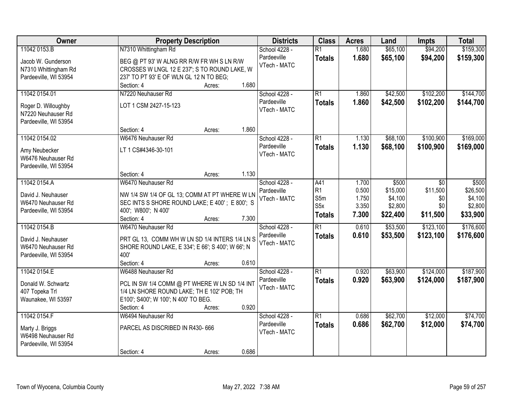| Owner                                                              | <b>Property Description</b>                                                               |        |       | <b>Districts</b>             | <b>Class</b>                     | <b>Acres</b>   | Land                 | <b>Impts</b>         | <b>Total</b>           |
|--------------------------------------------------------------------|-------------------------------------------------------------------------------------------|--------|-------|------------------------------|----------------------------------|----------------|----------------------|----------------------|------------------------|
| 11042 0153.B                                                       | N7310 Whittingham Rd                                                                      |        |       | School 4228 -<br>Pardeeville | $\overline{R1}$<br><b>Totals</b> | 1.680<br>1.680 | \$65,100<br>\$65,100 | \$94,200<br>\$94,200 | \$159,300<br>\$159,300 |
| Jacob W. Gunderson<br>N7310 Whittingham Rd                         | BEG @ PT 93' W ALNG RR R/W FR WH S LN R/W<br>CROSSES W LNGL 12 E 237'; S TO ROUND LAKE, W |        |       | VTech - MATC                 |                                  |                |                      |                      |                        |
| Pardeeville, WI 53954                                              | 237' TO PT 93' E OF WLN GL 12 N TO BEG;<br>Section: 4                                     | Acres: | 1.680 |                              |                                  |                |                      |                      |                        |
| 11042 0154.01                                                      | N7220 Neuhauser Rd                                                                        |        |       | School 4228 -                | $\overline{R1}$                  | 1.860          | \$42,500             | \$102,200            | \$144,700              |
| Roger D. Willoughby<br>N7220 Neuhauser Rd<br>Pardeeville, WI 53954 | LOT 1 CSM 2427-15-123                                                                     |        |       | Pardeeville<br>VTech - MATC  | <b>Totals</b>                    | 1.860          | \$42,500             | \$102,200            | \$144,700              |
|                                                                    | Section: 4                                                                                | Acres: | 1.860 |                              |                                  |                |                      |                      |                        |
| 11042 0154.02                                                      | W6476 Neuhauser Rd                                                                        |        |       | School 4228 -                | $\overline{R1}$                  | 1.130          | \$68,100             | \$100,900            | \$169,000              |
| Amy Neubecker<br>W6476 Neuhauser Rd<br>Pardeeville, WI 53954       | LT 1 CS#4346-30-101                                                                       |        |       | Pardeeville<br>VTech - MATC  | <b>Totals</b>                    | 1.130          | \$68,100             | \$100,900            | \$169,000              |
|                                                                    | Section: 4                                                                                | Acres: | 1.130 |                              |                                  |                |                      |                      |                        |
| 11042 0154.A                                                       | W6470 Neuhauser Rd                                                                        |        |       | School 4228 -                | A41                              | 1.700          | \$500                | \$0                  | \$500                  |
| David J. Neuhauser                                                 | NW 1/4 SW 1/4 OF GL 13; COMM AT PT WHERE W LN                                             |        |       | Pardeeville<br>VTech - MATC  | R <sub>1</sub><br>S5m            | 0.500<br>1.750 | \$15,000<br>\$4,100  | \$11,500<br>\$0      | \$26,500<br>\$4,100    |
| W6470 Neuhauser Rd                                                 | SEC INTS S SHORE ROUND LAKE; E 400'; E 800'; S                                            |        |       |                              | S <sub>5</sub> x                 | 3.350          | \$2,800              | \$0                  | \$2,800                |
| Pardeeville, WI 53954                                              | 400'; W800'; N 400'<br>Section: 4                                                         | Acres: | 7.300 |                              | <b>Totals</b>                    | 7.300          | \$22,400             | \$11,500             | \$33,900               |
| 11042 0154.B                                                       | W6470 Neuhauser Rd                                                                        |        |       | School 4228 -                | $\overline{R1}$                  | 0.610          | \$53,500             | \$123,100            | \$176,600              |
| David J. Neuhauser                                                 | PRT GL 13, COMM WH W LN SD 1/4 INTERS 1/4 LN S                                            |        |       | Pardeeville                  | <b>Totals</b>                    | 0.610          | \$53,500             | \$123,100            | \$176,600              |
| W6470 Neuhauser Rd                                                 | SHORE ROUND LAKE, E 334'; E 66'; S 400'; W 66'; N                                         |        |       | VTech - MATC                 |                                  |                |                      |                      |                        |
| Pardeeville, WI 53954                                              | 400'                                                                                      |        |       |                              |                                  |                |                      |                      |                        |
|                                                                    | Section: 4                                                                                | Acres: | 0.610 |                              |                                  |                |                      |                      |                        |
| 11042 0154.E                                                       | W6488 Neuhauser Rd                                                                        |        |       | School 4228 -                | $\overline{R1}$                  | 0.920          | \$63,900             | \$124,000            | \$187,900              |
| Donald W. Schwartz                                                 | PCL IN SW 1/4 COMM @ PT WHERE W LN SD 1/4 INT                                             |        |       | Pardeeville<br>VTech - MATC  | <b>Totals</b>                    | 0.920          | \$63,900             | \$124,000            | \$187,900              |
| 407 Topeka Trl                                                     | 1/4 LN SHORE ROUND LAKE; TH E 102' POB; TH                                                |        |       |                              |                                  |                |                      |                      |                        |
| Waunakee, WI 53597                                                 | E100'; S400'; W 100'; N 400' TO BEG.<br>Section: 4                                        | Acres: | 0.920 |                              |                                  |                |                      |                      |                        |
| 11042 0154.F                                                       | W6494 Neuhauser Rd                                                                        |        |       | School 4228 -                | $\overline{R1}$                  | 0.686          | \$62,700             | \$12,000             | \$74,700               |
| Marty J. Briggs<br>W6498 Neuhauser Rd<br>Pardeeville, WI 53954     | PARCEL AS DISCRIBED IN R430-666                                                           |        |       | Pardeeville<br>VTech - MATC  | <b>Totals</b>                    | 0.686          | \$62,700             | \$12,000             | \$74,700               |
|                                                                    | Section: 4                                                                                | Acres: | 0.686 |                              |                                  |                |                      |                      |                        |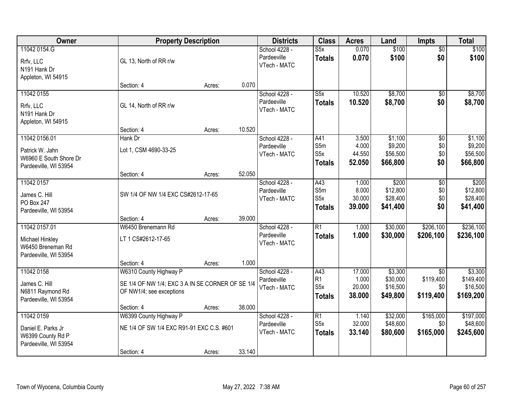| Owner                                                                               | <b>Property Description</b>                                                       |        |        | <b>Districts</b>                             | <b>Class</b>                                         | <b>Acres</b>                       | Land                                       | <b>Impts</b>                  | <b>Total</b>                               |
|-------------------------------------------------------------------------------------|-----------------------------------------------------------------------------------|--------|--------|----------------------------------------------|------------------------------------------------------|------------------------------------|--------------------------------------------|-------------------------------|--------------------------------------------|
| 11042 0154.G<br>Rrfv, LLC<br>N191 Hank Dr<br>Appleton, WI 54915                     | GL 13, North of RR r/w                                                            |        |        | School 4228 -<br>Pardeeville<br>VTech - MATC | S5x<br><b>Totals</b>                                 | 0.070<br>0.070                     | \$100<br>\$100                             | $\overline{60}$<br>\$0        | \$100<br>\$100                             |
|                                                                                     | Section: 4                                                                        | Acres: | 0.070  |                                              |                                                      |                                    |                                            |                               |                                            |
| 11042 0155<br>Rrfv, LLC<br>N191 Hank Dr<br>Appleton, WI 54915                       | GL 14, North of RR r/w                                                            |        |        | School 4228 -<br>Pardeeville<br>VTech - MATC | $\overline{\text{S5x}}$<br><b>Totals</b>             | 10.520<br>10.520                   | \$8,700<br>\$8,700                         | $\overline{50}$<br>\$0        | \$8,700<br>\$8,700                         |
|                                                                                     | Section: 4                                                                        | Acres: | 10.520 |                                              |                                                      |                                    |                                            |                               |                                            |
| 11042 0156.01<br>Patrick W. Jahn<br>W6960 E South Shore Dr<br>Pardeeville, WI 53954 | Hank Dr<br>Lot 1, CSM 4690-33-25                                                  |        |        | School 4228 -<br>Pardeeville<br>VTech - MATC | A41<br>S5m<br>S <sub>5</sub> x<br><b>Totals</b>      | 3.500<br>4.000<br>44.550<br>52.050 | \$1,100<br>\$9,200<br>\$56,500<br>\$66,800 | \$0<br>\$0<br>\$0<br>\$0      | \$1,100<br>\$9,200<br>\$56,500<br>\$66,800 |
|                                                                                     | Section: 4                                                                        | Acres: | 52.050 |                                              |                                                      |                                    |                                            |                               |                                            |
| 11042 0157<br>James C. Hill<br>PO Box 247<br>Pardeeville, WI 53954                  | SW 1/4 OF NW 1/4 EXC CS#2612-17-65                                                |        |        | School 4228 -<br>Pardeeville<br>VTech - MATC | A43<br>S5m<br>S <sub>5</sub> x<br><b>Totals</b>      | 1.000<br>8.000<br>30.000<br>39.000 | \$200<br>\$12,800<br>\$28,400<br>\$41,400  | \$0<br>\$0<br>\$0<br>\$0      | \$200<br>\$12,800<br>\$28,400<br>\$41,400  |
|                                                                                     | Section: 4                                                                        | Acres: | 39.000 |                                              |                                                      |                                    |                                            |                               |                                            |
| 11042 0157.01<br>Michael Hinkley<br>W6450 Breneman Rd<br>Pardeeville, WI 53954      | W6450 Brenemann Rd<br>LT 1 CS#2612-17-65<br>Section: 4                            | Acres: | 1.000  | School 4228 -<br>Pardeeville<br>VTech - MATC | $\overline{R1}$<br><b>Totals</b>                     | 1.000<br>1.000                     | \$30,000<br>\$30,000                       | \$206,100<br>\$206,100        | \$236,100<br>\$236,100                     |
| 11042 0158                                                                          | W6310 County Highway P                                                            |        |        | School 4228 -                                | A43                                                  | 17.000                             | \$3,300                                    | $\overline{50}$               | \$3,300                                    |
| James C. Hill<br>N6811 Raymond Rd<br>Pardeeville, WI 53954                          | SE 1/4 OF NW 1/4; EXC 3 A IN SE CORNER OF SE 1/4<br>OF NW1/4; see exceptions      |        |        | Pardeeville<br>VTech - MATC                  | R1<br>S5x<br><b>Totals</b>                           | 1.000<br>20.000<br>38.000          | \$30,000<br>\$16,500<br>\$49,800           | \$119,400<br>\$0<br>\$119,400 | \$149,400<br>\$16,500<br>\$169,200         |
|                                                                                     | Section: 4                                                                        | Acres: | 38.000 |                                              |                                                      |                                    |                                            |                               |                                            |
| 11042 0159<br>Daniel E. Parks Jr<br>W6399 County Rd P<br>Pardeeville, WI 53954      | W6399 County Highway P<br>NE 1/4 OF SW 1/4 EXC R91-91 EXC C.S. #601<br>Section: 4 | Acres: | 33.140 | School 4228 -<br>Pardeeville<br>VTech - MATC | $\overline{R1}$<br>S <sub>5</sub> x<br><b>Totals</b> | 1.140<br>32.000<br>33.140          | \$32,000<br>\$48,600<br>\$80,600           | \$165,000<br>\$0<br>\$165,000 | \$197,000<br>\$48,600<br>\$245,600         |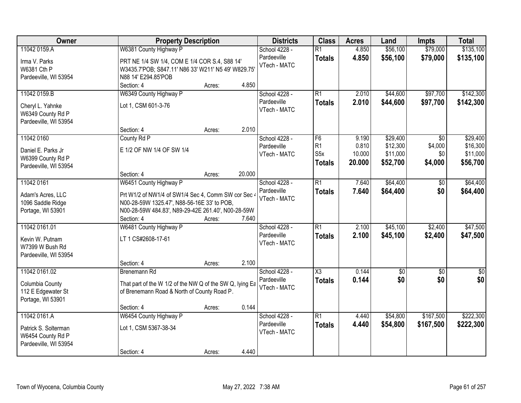| Owner                                                              |                                                                                                                                                          | <b>Property Description</b>                                                                                                                         |        |                             | <b>Class</b>                     | <b>Acres</b>   | Land                 | <b>Impts</b>         | <b>Total</b>           |
|--------------------------------------------------------------------|----------------------------------------------------------------------------------------------------------------------------------------------------------|-----------------------------------------------------------------------------------------------------------------------------------------------------|--------|-----------------------------|----------------------------------|----------------|----------------------|----------------------|------------------------|
| 11042 0159.A<br>Irma V. Parks<br>W6381 Cth P                       | W6381 County Highway P                                                                                                                                   | School 4228 -<br>Pardeeville<br>PRT NE 1/4 SW 1/4, COM E 1/4 COR S.4, S88 14'<br>VTech - MATC<br>W3435.7'POB; S847.11' N86 33' W211' N5 49' W829.75 |        |                             | $\overline{R1}$<br><b>Totals</b> | 4.850<br>4.850 | \$56,100<br>\$56,100 | \$79,000<br>\$79,000 | \$135,100<br>\$135,100 |
| Pardeeville, WI 53954                                              | N88 14' E294.85'POB<br>Section: 4                                                                                                                        | Acres:                                                                                                                                              | 4.850  |                             |                                  |                |                      |                      |                        |
| 11042 0159.B                                                       | W6349 County Highway P                                                                                                                                   |                                                                                                                                                     |        | School 4228 -               | $\overline{R1}$                  | 2.010          | \$44,600             | \$97,700             | \$142,300              |
| Cheryl L. Yahnke<br>W6349 County Rd P<br>Pardeeville, WI 53954     | Lot 1, CSM 601-3-76                                                                                                                                      |                                                                                                                                                     |        | Pardeeville<br>VTech - MATC | <b>Totals</b>                    | 2.010          | \$44,600             | \$97,700             | \$142,300              |
|                                                                    | Section: 4                                                                                                                                               | Acres:                                                                                                                                              | 2.010  |                             |                                  |                |                      |                      |                        |
| 11042 0160                                                         | County Rd P                                                                                                                                              |                                                                                                                                                     |        | School 4228 -               | F6                               | 9.190          | \$29,400             | \$0                  | \$29,400               |
| Daniel E. Parks Jr                                                 | E 1/2 OF NW 1/4 OF SW 1/4                                                                                                                                |                                                                                                                                                     |        | Pardeeville                 | R1                               | 0.810          | \$12,300             | \$4,000              | \$16,300               |
| W6399 County Rd P                                                  |                                                                                                                                                          |                                                                                                                                                     |        | VTech - MATC                | S <sub>5</sub> x                 | 10.000         | \$11,000             | \$0                  | \$11,000               |
| Pardeeville, WI 53954                                              |                                                                                                                                                          |                                                                                                                                                     |        |                             | <b>Totals</b>                    | 20.000         | \$52,700             | \$4,000              | \$56,700               |
|                                                                    | Section: 4                                                                                                                                               | Acres:                                                                                                                                              | 20.000 |                             |                                  |                |                      |                      |                        |
| 11042 0161                                                         | W6451 County Highway P                                                                                                                                   |                                                                                                                                                     |        | School 4228 -               | $\overline{R1}$                  | 7.640          | \$64,400             | $\overline{50}$      | \$64,400               |
| Adam's Acres, LLC<br>1096 Saddle Ridge<br>Portage, WI 53901        | Prt W1/2 of NW1/4 of SW1/4 Sec 4, Comm SW cor Sec 4<br>N00-28-59W 1325.47', N88-56-16E 33' to POB,<br>N00-28-59W 484.83', N89-29-42E 261.40', N00-28-59W |                                                                                                                                                     |        | Pardeeville<br>VTech - MATC | <b>Totals</b>                    | 7.640          | \$64,400             | \$0                  | \$64,400               |
|                                                                    | Section: 4                                                                                                                                               | Acres:                                                                                                                                              | 7.640  |                             |                                  |                |                      |                      |                        |
| 11042 0161.01                                                      | W6481 County Highway P                                                                                                                                   |                                                                                                                                                     |        | School 4228 -               | $\overline{R1}$                  | 2.100          | \$45,100             | \$2,400              | \$47,500               |
| Kevin W. Putnam<br>W7399 W Bush Rd<br>Pardeeville, WI 53954        | LT 1 CS#2608-17-61                                                                                                                                       |                                                                                                                                                     |        | Pardeeville<br>VTech - MATC | <b>Totals</b>                    | 2.100          | \$45,100             | \$2,400              | \$47,500               |
|                                                                    | Section: 4                                                                                                                                               | Acres:                                                                                                                                              | 2.100  |                             |                                  |                |                      |                      |                        |
| 11042 0161.02                                                      | <b>Brenemann Rd</b>                                                                                                                                      |                                                                                                                                                     |        | School 4228 -               | $\overline{\text{X3}}$           | 0.144          | \$0                  | $\sqrt{6}$           | $\overline{50}$        |
| Columbia County<br>112 E Edgewater St<br>Portage, WI 53901         | That part of the W 1/2 of the NW Q of the SW Q, lying Ea<br>of Brenemann Road & North of County Road P.                                                  |                                                                                                                                                     |        | Pardeeville<br>VTech - MATC | <b>Totals</b>                    | 0.144          | \$0                  | \$0                  | \$0                    |
|                                                                    | Section: 4                                                                                                                                               | Acres:                                                                                                                                              | 0.144  |                             |                                  |                |                      |                      |                        |
| 11042 0161.A                                                       | W6454 County Highway P                                                                                                                                   |                                                                                                                                                     |        | School 4228 -               | $\overline{R1}$                  | 4.440          | \$54,800             | \$167,500            | \$222,300              |
| Patrick S. Solterman<br>W6454 County Rd P<br>Pardeeville, WI 53954 | Lot 1, CSM 5367-38-34                                                                                                                                    |                                                                                                                                                     |        | Pardeeville<br>VTech - MATC | <b>Totals</b>                    | 4.440          | \$54,800             | \$167,500            | \$222,300              |
|                                                                    | Section: 4                                                                                                                                               | Acres:                                                                                                                                              | 4.440  |                             |                                  |                |                      |                      |                        |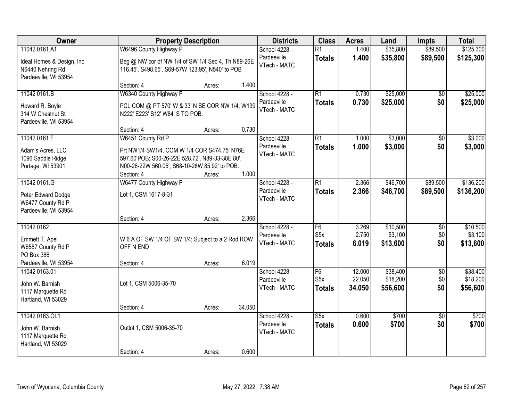| Owner                                                                        | <b>Property Description</b>                                                                                                                                    |        |        | <b>Districts</b>                             | <b>Class</b>                            | <b>Acres</b>            | Land                            | <b>Impts</b>                  | <b>Total</b>                    |
|------------------------------------------------------------------------------|----------------------------------------------------------------------------------------------------------------------------------------------------------------|--------|--------|----------------------------------------------|-----------------------------------------|-------------------------|---------------------------------|-------------------------------|---------------------------------|
| 11042 0161.A1                                                                | W6496 County Highway P                                                                                                                                         |        |        | School 4228 -                                | $\overline{R1}$                         | 1.400                   | \$35,800                        | \$89,500                      | \$125,300                       |
| Ideal Homes & Design, Inc<br>N6440 Nehring Rd<br>Pardeeville, WI 53954       | Beg @ NW cor of NW 1/4 of SW 1/4 Sec 4, Th N89-26E<br>116.45', S498.65', S69-57W 123.95', N540' to POB                                                         |        |        | Pardeeville<br>VTech - MATC                  | <b>Totals</b>                           | 1.400                   | \$35,800                        | \$89,500                      | \$125,300                       |
|                                                                              | Section: 4                                                                                                                                                     | Acres: | 1.400  |                                              |                                         |                         |                                 |                               |                                 |
| 11042 0161.B                                                                 | W6340 County Highway P                                                                                                                                         |        |        | School 4228 -                                | $\overline{R1}$                         | 0.730                   | \$25,000                        | \$0                           | \$25,000                        |
| Howard R. Boyle<br>314 W Chestnut St<br>Pardeeville, WI 53954                | PCL COM @ PT 570' W & 33' N SE COR NW 1/4; W139<br>N222' E223' S12' W84' S TO POB.                                                                             |        |        | Pardeeville<br>VTech - MATC                  | <b>Totals</b>                           | 0.730                   | \$25,000                        | \$0                           | \$25,000                        |
|                                                                              | Section: 4                                                                                                                                                     | Acres: | 0.730  |                                              |                                         |                         |                                 |                               |                                 |
| 11042 0161.F                                                                 | W6451 County Rd P                                                                                                                                              |        |        | School 4228 -                                | $\overline{R1}$                         | 1.000                   | \$3,000                         | \$0                           | \$3,000                         |
| Adam's Acres, LLC<br>1096 Saddle Ridge<br>Portage, WI 53901                  | Prt NW1/4 SW1/4, COM W 1/4 COR S474.75' N76E<br>597.60'POB; S00-26-22E 528.72', N89-33-38E 80',<br>N00-26-22W 560.05', S68-10-26W 85.92' to POB.<br>Section: 4 | Acres: | 1.000  | Pardeeville<br>VTech - MATC                  | <b>Totals</b>                           | 1.000                   | \$3,000                         | \$0                           | \$3,000                         |
| 11042 0161.G                                                                 | W6477 County Highway P                                                                                                                                         |        |        | School 4228 -                                | $\overline{R1}$                         | 2.366                   | \$46,700                        | \$89,500                      | \$136,200                       |
| Peter Edward Dodge<br>W6477 County Rd P<br>Pardeeville, WI 53954             | Lot 1, CSM 1617-8-31                                                                                                                                           |        |        | Pardeeville<br>VTech - MATC                  | <b>Totals</b>                           | 2.366                   | \$46,700                        | \$89,500                      | \$136,200                       |
|                                                                              | Section: 4                                                                                                                                                     | Acres: | 2.366  |                                              |                                         |                         |                                 |                               |                                 |
| 11042 0162<br>Emmett T. Apel<br>W6587 County Rd P<br>PO Box 386              | W 6 A OF SW 1/4 OF SW 1/4; Subject to a 2 Rod ROW<br>OFF N END                                                                                                 |        |        | School 4228 -<br>Pardeeville<br>VTech - MATC | F6<br>S <sub>5</sub> x<br><b>Totals</b> | 3.269<br>2.750<br>6.019 | \$10,500<br>\$3,100<br>\$13,600 | \$0<br>\$0<br>\$0             | \$10,500<br>\$3,100<br>\$13,600 |
| Pardeeville, WI 53954<br>11042 0163.01                                       | Section: 4                                                                                                                                                     | Acres: | 6.019  | School 4228 -                                | F6                                      | 12.000                  | \$38,400                        |                               | \$38,400                        |
| John W. Barnish<br>1117 Marquette Rd<br>Hartland, WI 53029                   | Lot 1, CSM 5006-35-70                                                                                                                                          |        |        | Pardeeville<br>VTech - MATC                  | S <sub>5</sub> x<br><b>Totals</b>       | 22.050<br>34.050        | \$18,200<br>\$56,600            | $\overline{60}$<br>\$0<br>\$0 | \$18,200<br>\$56,600            |
|                                                                              | Section: 4                                                                                                                                                     | Acres: | 34.050 |                                              |                                         |                         |                                 |                               |                                 |
| 11042 0163.OL1<br>John W. Barnish<br>1117 Marquette Rd<br>Hartland, WI 53029 | Outlot 1, CSM 5006-35-70<br>Section: 4                                                                                                                         | Acres: | 0.600  | School 4228 -<br>Pardeeville<br>VTech - MATC | S5x<br><b>Totals</b>                    | 0.600<br>0.600          | \$700<br>\$700                  | $\overline{50}$<br>\$0        | \$700<br>\$700                  |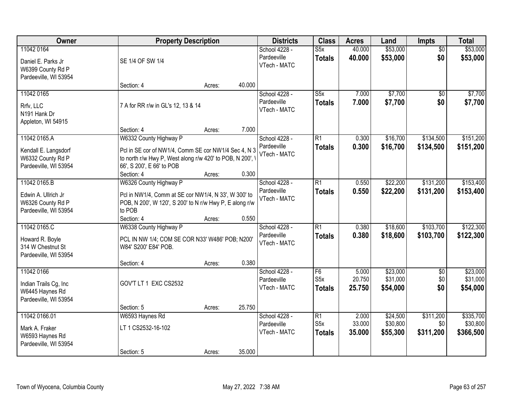| Owner                                                                          |                                                                                                                                                              | <b>Property Description</b> |        |                                              | <b>Class</b>                                         | <b>Acres</b>              | Land                             | Impts                         | <b>Total</b>                       |
|--------------------------------------------------------------------------------|--------------------------------------------------------------------------------------------------------------------------------------------------------------|-----------------------------|--------|----------------------------------------------|------------------------------------------------------|---------------------------|----------------------------------|-------------------------------|------------------------------------|
| 11042 0164<br>Daniel E. Parks Jr<br>W6399 County Rd P<br>Pardeeville, WI 53954 | SE 1/4 OF SW 1/4                                                                                                                                             |                             |        | School 4228 -<br>Pardeeville<br>VTech - MATC | S5x<br><b>Totals</b>                                 | 40.000<br>40.000          | \$53,000<br>\$53,000             | $\overline{50}$<br>\$0        | \$53,000<br>\$53,000               |
|                                                                                | Section: 4                                                                                                                                                   | Acres:                      | 40.000 |                                              |                                                      |                           |                                  |                               |                                    |
| 11042 0165<br>Rrfv, LLC<br>N191 Hank Dr<br>Appleton, WI 54915                  | 7 A for RR r/w in GL's 12, 13 & 14<br>Section: 4                                                                                                             | Acres:                      | 7.000  | School 4228 -<br>Pardeeville<br>VTech - MATC | $\overline{\text{S5x}}$<br><b>Totals</b>             | 7.000<br>7.000            | \$7,700<br>\$7,700               | $\overline{50}$<br>\$0        | \$7,700<br>\$7,700                 |
| 11042 0165.A                                                                   | W6332 County Highway P                                                                                                                                       |                             |        | School 4228 -                                | R1                                                   | 0.300                     | \$16,700                         | \$134,500                     | \$151,200                          |
| Kendall E. Langsdorf<br>W6332 County Rd P<br>Pardeeville, WI 53954             | Pcl in SE cor of NW1/4, Comm SE cor NW1/4 Sec 4, N 3<br>to north r/w Hwy P, West along r/w 420' to POB, N 200', '<br>66', S 200', E 66' to POB<br>Section: 4 | Acres:                      | 0.300  | Pardeeville<br>VTech - MATC                  | <b>Totals</b>                                        | 0.300                     | \$16,700                         | \$134,500                     | \$151,200                          |
| 11042 0165.B                                                                   | W6326 County Highway P                                                                                                                                       |                             |        | School 4228 -                                | R1                                                   | 0.550                     | \$22,200                         | \$131,200                     | \$153,400                          |
| Edwin A. Ullrich Jr<br>W6326 County Rd P<br>Pardeeville, WI 53954              | Pcl in NW1/4, Comm at SE cor NW1/4, N 33', W 300' to<br>POB, N 200', W 120', S 200' to N r/w Hwy P, E along r/w<br>to POB                                    |                             |        | Pardeeville<br>VTech - MATC                  | <b>Totals</b>                                        | 0.550                     | \$22,200                         | \$131,200                     | \$153,400                          |
| 11042 0165.C                                                                   | Section: 4                                                                                                                                                   | Acres:                      | 0.550  |                                              | $\overline{R1}$                                      | 0.380                     | \$18,600                         | \$103,700                     | \$122,300                          |
| Howard R. Boyle<br>314 W Chestnut St<br>Pardeeville, WI 53954                  | W6338 County Highway P<br>PCL IN NW 1/4; COM SE COR N33' W486' POB; N200'<br>W84' S200' E84' POB.<br>Section: 4                                              | Acres:                      | 0.380  | School 4228 -<br>Pardeeville<br>VTech - MATC | <b>Totals</b>                                        | 0.380                     | \$18,600                         | \$103,700                     | \$122,300                          |
| 11042 0166                                                                     |                                                                                                                                                              |                             |        | School 4228 -                                | $\overline{F6}$                                      | 5.000                     | \$23,000                         | $\overline{50}$               | \$23,000                           |
| Indian Trails Cg, Inc<br>W6445 Haynes Rd<br>Pardeeville, WI 53954              | GOV'T LT 1 EXC CS2532                                                                                                                                        |                             |        | Pardeeville<br>VTech - MATC                  | S5x<br><b>Totals</b>                                 | 20.750<br>25.750          | \$31,000<br>\$54,000             | \$0<br>\$0                    | \$31,000<br>\$54,000               |
|                                                                                | Section: 5                                                                                                                                                   | Acres:                      | 25.750 |                                              |                                                      |                           |                                  |                               |                                    |
| 11042 0166.01<br>Mark A. Fraker<br>W6593 Haynes Rd<br>Pardeeville, WI 53954    | W6593 Haynes Rd<br>LT 1 CS2532-16-102<br>Section: 5                                                                                                          | Acres:                      | 35.000 | School 4228 -<br>Pardeeville<br>VTech - MATC | $\overline{R1}$<br>S <sub>5</sub> x<br><b>Totals</b> | 2.000<br>33.000<br>35.000 | \$24,500<br>\$30,800<br>\$55,300 | \$311,200<br>\$0<br>\$311,200 | \$335,700<br>\$30,800<br>\$366,500 |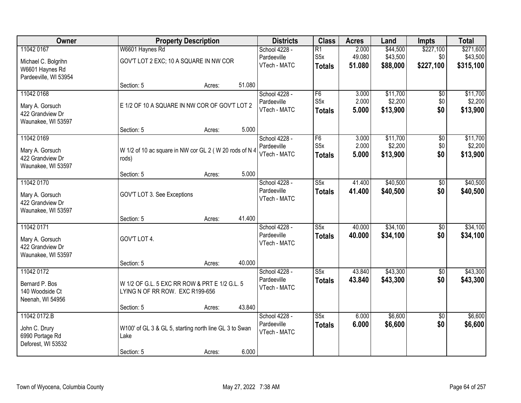| Owner                 | <b>Property Description</b>                            |        |        | <b>Districts</b> | <b>Class</b>            | <b>Acres</b> | Land     | <b>Impts</b>    | <b>Total</b> |
|-----------------------|--------------------------------------------------------|--------|--------|------------------|-------------------------|--------------|----------|-----------------|--------------|
| 11042 0167            | W6601 Haynes Rd                                        |        |        | School 4228 -    | $\overline{R1}$         | 2.000        | \$44,500 | \$227,100       | \$271,600    |
| Michael C. Bolgrihn   | GOV'T LOT 2 EXC; 10 A SQUARE IN NW COR                 |        |        | Pardeeville      | S <sub>5</sub> x        | 49.080       | \$43,500 | \$0             | \$43,500     |
| W6601 Haynes Rd       |                                                        |        |        | VTech - MATC     | <b>Totals</b>           | 51.080       | \$88,000 | \$227,100       | \$315,100    |
| Pardeeville, WI 53954 |                                                        |        |        |                  |                         |              |          |                 |              |
|                       | Section: 5                                             | Acres: | 51.080 |                  |                         |              |          |                 |              |
| 11042 0168            |                                                        |        |        | School 4228 -    | F6                      | 3.000        | \$11,700 | \$0             | \$11,700     |
| Mary A. Gorsuch       | E 1/2 OF 10 A SQUARE IN NW COR OF GOV'T LOT 2          |        |        | Pardeeville      | S <sub>5</sub> x        | 2.000        | \$2,200  | \$0             | \$2,200      |
| 422 Grandview Dr      |                                                        |        |        | VTech - MATC     | <b>Totals</b>           | 5.000        | \$13,900 | \$0             | \$13,900     |
| Waunakee, WI 53597    |                                                        |        |        |                  |                         |              |          |                 |              |
|                       | Section: 5                                             | Acres: | 5.000  |                  |                         |              |          |                 |              |
| 11042 0169            |                                                        |        |        | School 4228 -    | F <sub>6</sub>          | 3.000        | \$11,700 | \$0             | \$11,700     |
| Mary A. Gorsuch       | W 1/2 of 10 ac square in NW cor GL 2 (W 20 rods of N 4 |        |        | Pardeeville      | S <sub>5</sub> x        | 2.000        | \$2,200  | \$0             | \$2,200      |
| 422 Grandview Dr      | rods)                                                  |        |        | VTech - MATC     | <b>Totals</b>           | 5.000        | \$13,900 | \$0             | \$13,900     |
| Waunakee, WI 53597    |                                                        |        |        |                  |                         |              |          |                 |              |
|                       | Section: 5                                             | Acres: | 5.000  |                  |                         |              |          |                 |              |
| 11042 0170            |                                                        |        |        | School 4228 -    | S5x                     | 41.400       | \$40,500 | \$0             | \$40,500     |
| Mary A. Gorsuch       | GOV'T LOT 3. See Exceptions                            |        |        | Pardeeville      | <b>Totals</b>           | 41.400       | \$40,500 | \$0             | \$40,500     |
| 422 Grandview Dr      |                                                        |        |        | VTech - MATC     |                         |              |          |                 |              |
| Waunakee, WI 53597    |                                                        |        |        |                  |                         |              |          |                 |              |
|                       | Section: 5                                             | Acres: | 41.400 |                  |                         |              |          |                 |              |
| 11042 0171            |                                                        |        |        | School 4228 -    | $\overline{\text{S5x}}$ | 40.000       | \$34,100 | $\overline{50}$ | \$34,100     |
| Mary A. Gorsuch       | GOV'T LOT 4.                                           |        |        | Pardeeville      | <b>Totals</b>           | 40.000       | \$34,100 | \$0             | \$34,100     |
| 422 Grandview Dr      |                                                        |        |        | VTech - MATC     |                         |              |          |                 |              |
| Waunakee, WI 53597    |                                                        |        |        |                  |                         |              |          |                 |              |
|                       | Section: 5                                             | Acres: | 40.000 |                  |                         |              |          |                 |              |
| 11042 0172            |                                                        |        |        | School 4228 -    | $\overline{\text{S5x}}$ | 43.840       | \$43,300 | $\overline{60}$ | \$43,300     |
| Bernard P. Bos        | W 1/2 OF G.L. 5 EXC RR ROW & PRT E 1/2 G.L. 5          |        |        | Pardeeville      | <b>Totals</b>           | 43.840       | \$43,300 | \$0             | \$43,300     |
| 140 Woodside Ct       | LYING N OF RR ROW. EXC R199-656                        |        |        | VTech - MATC     |                         |              |          |                 |              |
| Neenah, WI 54956      |                                                        |        |        |                  |                         |              |          |                 |              |
|                       | Section: 5                                             | Acres: | 43.840 |                  |                         |              |          |                 |              |
| 11042 0172.B          |                                                        |        |        | School 4228 -    | S5x                     | 6.000        | \$6,600  | $\overline{50}$ | \$6,600      |
| John C. Drury         | W100' of GL 3 & GL 5, starting north line GL 3 to Swan |        |        | Pardeeville      | <b>Totals</b>           | 6.000        | \$6,600  | \$0             | \$6,600      |
| 6990 Portage Rd       | Lake                                                   |        |        | VTech - MATC     |                         |              |          |                 |              |
| Deforest, WI 53532    |                                                        |        |        |                  |                         |              |          |                 |              |
|                       | Section: 5                                             | Acres: | 6.000  |                  |                         |              |          |                 |              |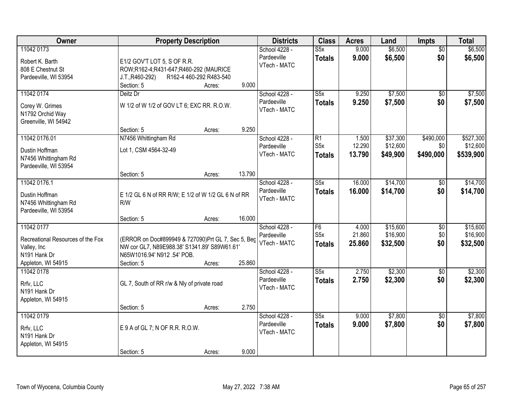| Owner                                                                                                            | <b>Property Description</b>                                                                                                                                         | <b>Districts</b>                             | <b>Class</b>                             | <b>Acres</b>              | Land                             | Impts                          | <b>Total</b>                       |
|------------------------------------------------------------------------------------------------------------------|---------------------------------------------------------------------------------------------------------------------------------------------------------------------|----------------------------------------------|------------------------------------------|---------------------------|----------------------------------|--------------------------------|------------------------------------|
| 11042 0173<br>Robert K. Barth<br>808 E Chestnut St<br>Pardeeville, WI 53954                                      | E1/2 GOV'T LOT 5, S OF R.R.<br>ROW;R162-4;R431-647;R460-292 (MAURICE<br>R162-4 460-292 R483-540<br>J.T., R460-292)<br>9.000                                         | School 4228 -<br>Pardeeville<br>VTech - MATC | S5x<br><b>Totals</b>                     | 9.000<br>9.000            | \$6,500<br>\$6,500               | $\overline{50}$<br>\$0         | \$6,500<br>\$6,500                 |
| 11042 0174<br>Corey W. Grimes<br>N1792 Orchid Way<br>Greenville, WI 54942                                        | Section: 5<br>Acres:<br>Deitz Dr<br>W 1/2 of W 1/2 of GOV LT 6; EXC RR. R.O.W.<br>9.250                                                                             | School 4228 -<br>Pardeeville<br>VTech - MATC | $\overline{\text{S5x}}$<br><b>Totals</b> | 9.250<br>9.250            | \$7,500<br>\$7,500               | $\overline{50}$<br>\$0         | \$7,500<br>\$7,500                 |
| 11042 0176.01<br>Dustin Hoffman<br>N7456 Whittingham Rd<br>Pardeeville, WI 53954                                 | Section: 5<br>Acres:<br>N7456 Whittingham Rd<br>Lot 1, CSM 4564-32-49                                                                                               | School 4228 -<br>Pardeeville<br>VTech - MATC | R1<br>S <sub>5</sub> x<br><b>Totals</b>  | 1.500<br>12.290<br>13.790 | \$37,300<br>\$12,600<br>\$49,900 | \$490,000<br>\$0 <br>\$490,000 | \$527,300<br>\$12,600<br>\$539,900 |
| 11042 0176.1<br>Dustin Hoffman<br>N7456 Whittingham Rd<br>Pardeeville, WI 53954                                  | 13.790<br>Section: 5<br>Acres:<br>E 1/2 GL 6 N of RR R/W; E 1/2 of W 1/2 GL 6 N of RR<br>R/W<br>16.000<br>Section: 5<br>Acres:                                      | School 4228 -<br>Pardeeville<br>VTech - MATC | S5x<br><b>Totals</b>                     | 16.000<br>16,000          | \$14,700<br>\$14,700             | \$0<br>\$0                     | \$14,700<br>\$14,700               |
| 11042 0177<br>Recreational Resources of the Fox<br>Valley, Inc<br>N <sub>191</sub> Hank Dr<br>Appleton, WI 54915 | (ERROR on Doc#899949 & 727090)Prt GL 7, Sec 5, Beg<br>NW cor GL7, N89E988.38' S1341.89' S89W61.61'<br>N65W1016.94' N912 .54' POB.<br>25.860<br>Section: 5<br>Acres: | School 4228 -<br>Pardeeville<br>VTech - MATC | F6<br>S <sub>5</sub> x<br><b>Totals</b>  | 4.000<br>21.860<br>25.860 | \$15,600<br>\$16,900<br>\$32,500 | $\overline{50}$<br>\$0<br>\$0  | \$15,600<br>\$16,900<br>\$32,500   |
| 11042 0178<br>Rrfv, LLC<br>N191 Hank Dr<br>Appleton, WI 54915                                                    | GL 7, South of RR r/w & Nly of private road<br>2.750<br>Section: 5<br>Acres:                                                                                        | School 4228 -<br>Pardeeville<br>VTech - MATC | $\overline{\text{S5x}}$<br><b>Totals</b> | 2.750<br>2.750            | \$2,300<br>\$2,300               | $\overline{50}$<br>\$0         | \$2,300<br>\$2,300                 |
| 11042 0179<br>Rrfv, LLC<br>N191 Hank Dr<br>Appleton, WI 54915                                                    | E 9 A of GL 7; N OF R.R. R.O.W.<br>9.000<br>Section: 5<br>Acres:                                                                                                    | School 4228 -<br>Pardeeville<br>VTech - MATC | S5x<br><b>Totals</b>                     | 9.000<br>9.000            | \$7,800<br>\$7,800               | $\overline{50}$<br>\$0         | \$7,800<br>\$7,800                 |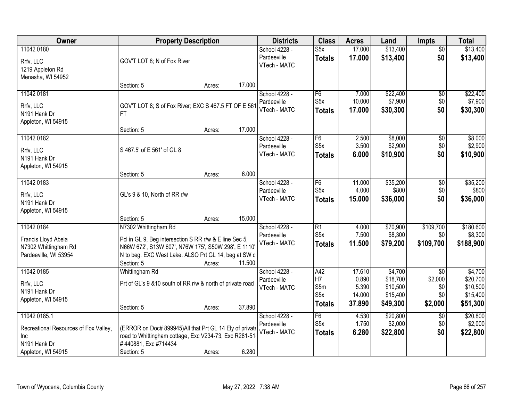| Owner                                                                                               | <b>Property Description</b>                                                                                                                                                                                           | <b>Districts</b> | <b>Class</b>                                 | <b>Acres</b>                                        | Land                                         | Impts                                                   | <b>Total</b>                                   |                                                         |
|-----------------------------------------------------------------------------------------------------|-----------------------------------------------------------------------------------------------------------------------------------------------------------------------------------------------------------------------|------------------|----------------------------------------------|-----------------------------------------------------|----------------------------------------------|---------------------------------------------------------|------------------------------------------------|---------------------------------------------------------|
| 11042 0180<br>Rrfv, LLC<br>1219 Appleton Rd<br>Menasha, WI 54952                                    | GOV'T LOT 8; N of Fox River                                                                                                                                                                                           |                  | School 4228 -<br>Pardeeville<br>VTech - MATC | S5x<br><b>Totals</b>                                | 17.000<br>17.000                             | \$13,400<br>\$13,400                                    | $\overline{50}$<br>\$0                         | \$13,400<br>\$13,400                                    |
|                                                                                                     | Section: 5<br>Acres:                                                                                                                                                                                                  | 17.000           |                                              |                                                     |                                              |                                                         |                                                |                                                         |
| 11042 0181<br>Rrfv, LLC<br>N191 Hank Dr<br>Appleton, WI 54915                                       | GOV'T LOT 8; S of Fox River; EXC S 467.5 FT OF E 561<br>FT.                                                                                                                                                           |                  | School 4228 -<br>Pardeeville<br>VTech - MATC | F6<br>S <sub>5</sub> x<br><b>Totals</b>             | 7.000<br>10.000<br>17.000                    | \$22,400<br>\$7,900<br>\$30,300                         | $\overline{50}$<br>\$0<br>\$0                  | \$22,400<br>\$7,900<br>\$30,300                         |
| 11042 0182                                                                                          | Section: 5<br>Acres:                                                                                                                                                                                                  | 17.000           | School 4228 -                                | $\overline{F6}$                                     | 2.500                                        | \$8,000                                                 | $\overline{50}$                                | \$8,000                                                 |
| Rrfv, LLC<br>N191 Hank Dr<br>Appleton, WI 54915                                                     | S 467.5' of E 561' of GL 8                                                                                                                                                                                            |                  | Pardeeville<br>VTech - MATC                  | S <sub>5</sub> x<br><b>Totals</b>                   | 3.500<br>6.000                               | \$2,900<br>\$10,900                                     | \$0<br>\$0                                     | \$2,900<br>\$10,900                                     |
|                                                                                                     | Section: 5<br>Acres:                                                                                                                                                                                                  | 6.000            |                                              |                                                     |                                              |                                                         |                                                |                                                         |
| 11042 0183<br>Rrfv, LLC<br>N191 Hank Dr<br>Appleton, WI 54915                                       | GL's 9 & 10, North of RR r/w                                                                                                                                                                                          |                  | School 4228 -<br>Pardeeville<br>VTech - MATC | F <sub>6</sub><br>S <sub>5</sub> x<br><b>Totals</b> | 11.000<br>4.000<br>15.000                    | \$35,200<br>\$800<br>\$36,000                           | \$0<br>\$0<br>\$0                              | \$35,200<br>\$800<br>\$36,000                           |
|                                                                                                     | Section: 5<br>Acres:                                                                                                                                                                                                  | 15.000           |                                              |                                                     |                                              |                                                         |                                                |                                                         |
| 11042 0184<br>Francis Lloyd Abela<br>N7302 Whittingham Rd<br>Pardeeville, WI 53954                  | N7302 Whittingham Rd<br>Pcl in GL 9, Beg intersection S RR r/w & E line Sec 5,<br>N66W 672', S13W 607', N76W 175', S50W 298', E 1110'<br>N to beg. EXC West Lake. ALSO Prt GL 14, beg at SW c<br>Section: 5<br>Acres: | 11.500           | School 4228 -<br>Pardeeville<br>VTech - MATC | $\overline{R1}$<br>S5x<br><b>Totals</b>             | 4.000<br>7.500<br>11.500                     | \$70,900<br>\$8,300<br>\$79,200                         | \$109,700<br>\$0<br>\$109,700                  | \$180,600<br>\$8,300<br>\$188,900                       |
| 11042 0185<br>Rrfv, LLC<br>N191 Hank Dr<br>Appleton, WI 54915                                       | Whittingham Rd<br>Prt of GL's 9 & 10 south of RR r/w & north of private road<br>Section: 5<br>Acres:                                                                                                                  | 37.890           | School 4228 -<br>Pardeeville<br>VTech - MATC | A42<br>H7<br>S5m<br>S5x<br><b>Totals</b>            | 17.610<br>0.890<br>5.390<br>14.000<br>37.890 | \$4,700<br>\$18,700<br>\$10,500<br>\$15,400<br>\$49,300 | $\sqrt{6}$<br>\$2,000<br>\$0<br>\$0<br>\$2,000 | \$4,700<br>\$20,700<br>\$10,500<br>\$15,400<br>\$51,300 |
| 11042 0185.1<br>Recreational Resources of Fox Valley,<br>Inc.<br>N191 Hank Dr<br>Appleton, WI 54915 | (ERROR on Doc# 899945)All that Prt GL 14 Ely of private<br>road to Whittingham cottage, Exc V234-73, Exc R281-51<br>#440881, Exc #714434<br>Section: 5<br>Acres:                                                      | 6.280            | School 4228 -<br>Pardeeville<br>VTech - MATC | F6<br>S <sub>5</sub> x<br><b>Totals</b>             | 4.530<br>1.750<br>6.280                      | \$20,800<br>\$2,000<br>\$22,800                         | $\overline{50}$<br>\$0<br>\$0                  | \$20,800<br>\$2,000<br>\$22,800                         |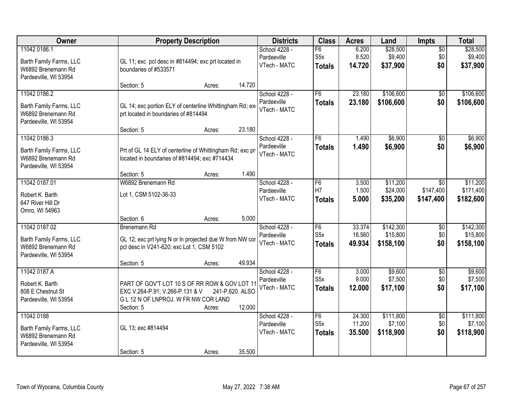| <b>Owner</b>                                                                            | <b>Property Description</b>                                                                                                                                                   | <b>Districts</b>                             | <b>Class</b>                            | <b>Acres</b>               | Land                               | Impts                         | <b>Total</b>                       |
|-----------------------------------------------------------------------------------------|-------------------------------------------------------------------------------------------------------------------------------------------------------------------------------|----------------------------------------------|-----------------------------------------|----------------------------|------------------------------------|-------------------------------|------------------------------------|
| 11042 0186.1<br>Barth Family Farms, LLC<br>W6892 Brenemann Rd<br>Pardeeville, WI 53954  | GL 11; exc pcl desc in #814494; exc prt located in<br>boundaries of #533571                                                                                                   | School 4228 -<br>Pardeeville<br>VTech - MATC | F6<br>S <sub>5</sub> x<br><b>Totals</b> | 6.200<br>8.520<br>14.720   | \$28,500<br>\$9,400<br>\$37,900    | $\overline{50}$<br>\$0<br>\$0 | \$28,500<br>\$9,400<br>\$37,900    |
|                                                                                         | 14.720<br>Section: 5<br>Acres:                                                                                                                                                |                                              |                                         |                            |                                    |                               |                                    |
| 11042 0186.2<br>Barth Family Farms, LLC<br>W6892 Brenemann Rd<br>Pardeeville, WI 53954  | GL 14; exc portion ELY of centerline Whittingham Rd; ex-<br>prt located in boundaries of #814494<br>23.180<br>Section: 5                                                      | School 4228 -<br>Pardeeville<br>VTech - MATC | F6<br><b>Totals</b>                     | 23.180<br>23.180           | \$106,600<br>\$106,600             | \$0<br>\$0                    | \$106,600<br>\$106,600             |
| 11042 0186.3                                                                            | Acres:                                                                                                                                                                        | School 4228 -                                | F6                                      | 1.490                      | \$6,900                            | \$0                           | \$6,900                            |
| Barth Family Farms, LLC<br>W6892 Brenemann Rd<br>Pardeeville, WI 53954                  | Prt of GL 14 ELY of centerline of Whittingham Rd; exc pri<br>located in boundaries of #814494; exc #714434                                                                    | Pardeeville<br>VTech - MATC                  | <b>Totals</b>                           | 1.490                      | \$6,900                            | \$0                           | \$6,900                            |
|                                                                                         | 1.490<br>Section: 5<br>Acres:                                                                                                                                                 |                                              |                                         |                            |                                    |                               |                                    |
| 11042 0187.01<br>Robert K. Barth<br>647 River Hill Dr<br>Omro, WI 54963                 | W6892 Brenemann Rd<br>Lot 1, CSM 5102-36-33                                                                                                                                   | School 4228 -<br>Pardeeville<br>VTech - MATC | F6<br>H7<br><b>Totals</b>               | 3.500<br>1.500<br>5.000    | \$11,200<br>\$24,000<br>\$35,200   | \$0<br>\$147,400<br>\$147,400 | \$11,200<br>\$171,400<br>\$182,600 |
|                                                                                         | 5.000<br>Section: 6<br>Acres:                                                                                                                                                 |                                              |                                         |                            |                                    |                               |                                    |
| 11042 0187.02<br>Barth Family Farms, LLC<br>W6892 Brenemann Rd<br>Pardeeville, WI 53954 | <b>Brenemann Rd</b><br>GL 12; exc prt lying N or In projected due W from NW cor<br>pcl desc in V241-620; exc Lot 1, CSM 5102<br>49.934<br>Section: 5<br>Acres:                | School 4228 -<br>Pardeeville<br>VTech - MATC | F6<br>S <sub>5</sub> x<br><b>Totals</b> | 33.374<br>16.560<br>49.934 | \$142,300<br>\$15,800<br>\$158,100 | \$0<br>\$0<br>\$0             | \$142,300<br>\$15,800<br>\$158,100 |
| 11042 0187.A                                                                            |                                                                                                                                                                               | School 4228 -                                | F6                                      | 3.000                      | \$9,600                            | $\sqrt{6}$                    | \$9,600                            |
| Robert K. Barth<br>808 E Chestnut St<br>Pardeeville, WI 53954                           | PART OF GOV'T LOT 10 S OF RR ROW & GOV LOT 11<br>EXC V.264-P.91; V.266-P.131 & V<br>241-P.620. ALSO<br>G L 12 N OF LNPROJ. W FR NW COR LAND<br>12.000<br>Section: 5<br>Acres: | Pardeeville<br>VTech - MATC                  | S <sub>5</sub> x<br><b>Totals</b>       | 9.000<br>12.000            | \$7,500<br>\$17,100                | \$0 <br>\$0                   | \$7,500<br>\$17,100                |
| 11042 0188                                                                              |                                                                                                                                                                               | School 4228 -                                | F6                                      | 24.300                     | \$111,800                          | $\overline{50}$               | \$111,800                          |
| Barth Family Farms, LLC<br>W6892 Brenemann Rd<br>Pardeeville, WI 53954                  | GL 13; exc #814494                                                                                                                                                            | Pardeeville<br>VTech - MATC                  | S <sub>5</sub> x<br><b>Totals</b>       | 11.200<br>35.500           | \$7,100<br>\$118,900               | \$0<br>\$0                    | \$7,100<br>\$118,900               |
|                                                                                         | 35.500<br>Section: 5<br>Acres:                                                                                                                                                |                                              |                                         |                            |                                    |                               |                                    |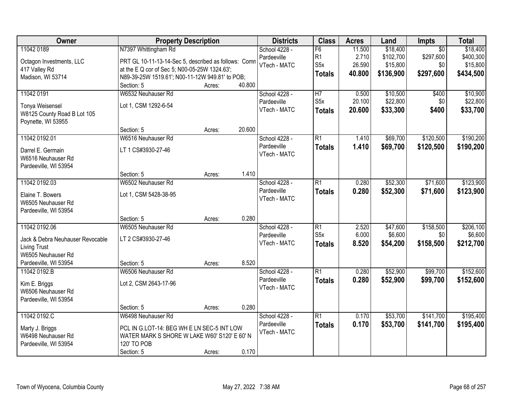| Owner                                                                                                                   | <b>Property Description</b>                                                                                                                                                      |        | <b>Districts</b> | <b>Class</b>                                 | <b>Acres</b>                                 | Land                                | Impts                                          | <b>Total</b>                                     |                                                |
|-------------------------------------------------------------------------------------------------------------------------|----------------------------------------------------------------------------------------------------------------------------------------------------------------------------------|--------|------------------|----------------------------------------------|----------------------------------------------|-------------------------------------|------------------------------------------------|--------------------------------------------------|------------------------------------------------|
| 11042 0189<br>Octagon Investments, LLC<br>417 Valley Rd<br>Madison, WI 53714                                            | N7397 Whittingham Rd<br>PRT GL 10-11-13-14-Sec 5, described as follows: Comn<br>at the E Q cor of Sec 5; N00-05-25W 1324.63';<br>N89-39-25W 1519.61'; N00-11-12W 949.81' to POB; |        |                  | School 4228 -<br>Pardeeville<br>VTech - MATC | F6<br>R <sub>1</sub><br>S5x<br><b>Totals</b> | 11.500<br>2.710<br>26.590<br>40.800 | \$18,400<br>\$102,700<br>\$15,800<br>\$136,900 | $\overline{50}$<br>\$297,600<br>\$0<br>\$297,600 | \$18,400<br>\$400,300<br>\$15,800<br>\$434,500 |
|                                                                                                                         | Section: 5                                                                                                                                                                       | Acres: | 40.800           |                                              |                                              |                                     |                                                |                                                  |                                                |
| 11042 0191<br><b>Tonya Weisensel</b><br>W8125 County Road B Lot 105<br>Poynette, WI 53955                               | W6532 Neuhauser Rd<br>Lot 1, CSM 1292-6-54                                                                                                                                       |        |                  | School 4228 -<br>Pardeeville<br>VTech - MATC | H <sub>7</sub><br>S5x<br><b>Totals</b>       | 0.500<br>20.100<br>20.600           | \$10,500<br>\$22,800<br>\$33,300               | \$400<br>\$0<br>\$400                            | \$10,900<br>\$22,800<br>\$33,700               |
|                                                                                                                         | Section: 5                                                                                                                                                                       | Acres: | 20.600           |                                              |                                              |                                     |                                                |                                                  |                                                |
| 11042 0192.01<br>Darrel E. Germain<br>W6516 Neuhauser Rd<br>Pardeeville, WI 53954                                       | W6516 Neuhauser Rd<br>LT 1 CS#3930-27-46                                                                                                                                         |        |                  | School 4228 -<br>Pardeeville<br>VTech - MATC | R1<br><b>Totals</b>                          | 1.410<br>1.410                      | \$69,700<br>\$69,700                           | \$120,500<br>\$120,500                           | \$190,200<br>\$190,200                         |
|                                                                                                                         | Section: 5                                                                                                                                                                       | Acres: | 1.410            |                                              |                                              |                                     |                                                |                                                  |                                                |
| 11042 0192.03<br>Elaine T. Bowers<br>W6505 Neuhauser Rd<br>Pardeeville, WI 53954                                        | W6502 Neuhauser Rd<br>Lot 1, CSM 5428-38-95                                                                                                                                      |        |                  | School 4228 -<br>Pardeeville<br>VTech - MATC | R1<br><b>Totals</b>                          | 0.280<br>0.280                      | \$52,300<br>\$52,300                           | \$71,600<br>\$71,600                             | \$123,900<br>\$123,900                         |
|                                                                                                                         | Section: 5                                                                                                                                                                       | Acres: | 0.280            |                                              |                                              |                                     |                                                |                                                  |                                                |
| 11042 0192.06<br>Jack & Debra Neuhauser Revocable<br><b>Living Trust</b><br>W6505 Neuhauser Rd<br>Pardeeville, WI 53954 | W6505 Neuhauser Rd<br>LT 2 CS#3930-27-46<br>Section: 5                                                                                                                           | Acres: | 8.520            | School 4228 -<br>Pardeeville<br>VTech - MATC | $\overline{R1}$<br>S5x<br><b>Totals</b>      | 2.520<br>6.000<br>8.520             | \$47,600<br>\$6,600<br>\$54,200                | \$158,500<br>\$0<br>\$158,500                    | \$206,100<br>\$6,600<br>\$212,700              |
| 11042 0192.B<br>Kim E. Briggs<br>W6506 Neuhauser Rd<br>Pardeeville, WI 53954                                            | W6506 Neuhauser Rd<br>Lot 2, CSM 2643-17-96                                                                                                                                      |        |                  | School 4228 -<br>Pardeeville<br>VTech - MATC | $\overline{R1}$<br><b>Totals</b>             | 0.280<br>0.280                      | \$52,900<br>\$52,900                           | \$99,700<br>\$99,700                             | \$152,600<br>\$152,600                         |
|                                                                                                                         | Section: 5                                                                                                                                                                       | Acres: | 0.280            |                                              |                                              |                                     |                                                |                                                  |                                                |
| 11042 0192.C<br>Marty J. Briggs<br>W6498 Neuhauser Rd<br>Pardeeville, WI 53954                                          | W6498 Neuhauser Rd<br>PCL IN G.LOT-14: BEG WH E LN SEC-5 INT LOW<br>WATER MARK S SHORE W LAKE W60' S120' E 60' N<br>120' TO POB<br>Section: 5                                    | Acres: | 0.170            | School 4228 -<br>Pardeeville<br>VTech - MATC | $\overline{R1}$<br><b>Totals</b>             | 0.170<br>0.170                      | \$53,700<br>\$53,700                           | \$141,700<br>\$141,700                           | \$195,400<br>\$195,400                         |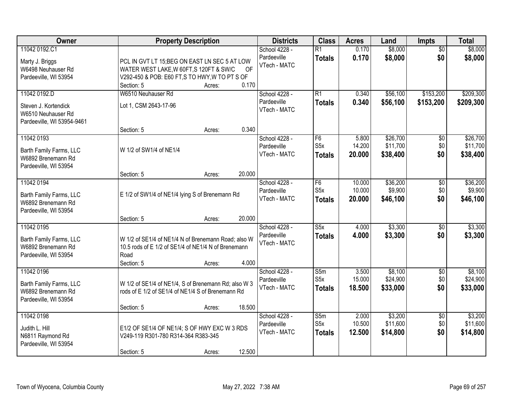| Owner                                                                                    | <b>Property Description</b>                                                                                                                                                              | <b>Districts</b>                             | <b>Class</b>                                        | <b>Acres</b>               | Land                             | Impts                         | <b>Total</b>                     |
|------------------------------------------------------------------------------------------|------------------------------------------------------------------------------------------------------------------------------------------------------------------------------------------|----------------------------------------------|-----------------------------------------------------|----------------------------|----------------------------------|-------------------------------|----------------------------------|
| 11042 0192.C1<br>Marty J. Briggs<br>W6498 Neuhauser Rd<br>Pardeeville, WI 53954          | PCL IN GVT LT 15; BEG ON EAST LN SEC 5 AT LOW<br>WATER WEST LAKE, W 60FT, S 120FT & SW/C<br><b>OF</b><br>V292-450 & POB: E60 FT, S TO HWY, W TO PT S OF<br>0.170<br>Section: 5<br>Acres: | School 4228 -<br>Pardeeville<br>VTech - MATC | $\overline{R1}$<br><b>Totals</b>                    | 0.170<br>0.170             | \$8,000<br>\$8,000               | $\overline{50}$<br>\$0        | \$8,000<br>\$8,000               |
| 11042 0192.D<br>Steven J. Kortendick<br>W6510 Neuhauser Rd<br>Pardeeville, WI 53954-9461 | W6510 Neuhauser Rd<br>Lot 1, CSM 2643-17-96                                                                                                                                              | School 4228 -<br>Pardeeville<br>VTech - MATC | $\overline{R1}$<br><b>Totals</b>                    | 0.340<br>0.340             | \$56,100<br>\$56,100             | \$153,200<br>\$153,200        | \$209,300<br>\$209,300           |
| 11042 0193<br>Barth Family Farms, LLC<br>W6892 Brenemann Rd<br>Pardeeville, WI 53954     | 0.340<br>Section: 5<br>Acres:<br>W 1/2 of SW1/4 of NE1/4                                                                                                                                 | School 4228 -<br>Pardeeville<br>VTech - MATC | F <sub>6</sub><br>S <sub>5</sub> x<br><b>Totals</b> | 5.800<br>14.200<br>20.000  | \$26,700<br>\$11,700<br>\$38,400 | $\overline{50}$<br>\$0<br>\$0 | \$26,700<br>\$11,700<br>\$38,400 |
| 11042 0194<br>Barth Family Farms, LLC<br>W6892 Brenemann Rd<br>Pardeeville, WI 53954     | 20.000<br>Section: 5<br>Acres:<br>E 1/2 of SW1/4 of NE1/4 lying S of Brenemann Rd<br>20.000<br>Section: 5<br>Acres:                                                                      | School 4228 -<br>Pardeeville<br>VTech - MATC | F <sub>6</sub><br>S <sub>5</sub> x<br><b>Totals</b> | 10.000<br>10.000<br>20.000 | \$36,200<br>\$9,900<br>\$46,100  | \$0<br>\$0<br>\$0             | \$36,200<br>\$9,900<br>\$46,100  |
| 11042 0195<br>Barth Family Farms, LLC<br>W6892 Brenemann Rd<br>Pardeeville, WI 53954     | W 1/2 of SE1/4 of NE1/4 N of Brenemann Road; also W<br>10.5 rods of E 1/2 of SE1/4 of NE1/4 N of Brenemann<br>Road<br>4.000<br>Section: 5<br>Acres:                                      | School 4228 -<br>Pardeeville<br>VTech - MATC | $\overline{\text{S5x}}$<br><b>Totals</b>            | 4.000<br>4.000             | \$3,300<br>\$3,300               | $\overline{50}$<br>\$0        | \$3,300<br>\$3,300               |
| 11042 0196<br>Barth Family Farms, LLC<br>W6892 Brenemann Rd<br>Pardeeville, WI 53954     | W 1/2 of SE1/4 of NE1/4, S of Brenemann Rd; also W 3<br>rods of E 1/2 of SE1/4 of NE1/4 S of Brenemann Rd<br>18.500<br>Section: 5<br>Acres:                                              | School 4228 -<br>Pardeeville<br>VTech - MATC | S5m<br>S5x<br><b>Totals</b>                         | 3.500<br>15.000<br>18.500  | \$8,100<br>\$24,900<br>\$33,000  | $\sqrt{6}$<br>\$0<br>\$0      | \$8,100<br>\$24,900<br>\$33,000  |
| 11042 0198<br>Judith L. Hill<br>N6811 Raymond Rd<br>Pardeeville, WI 53954                | E1/2 OF SE1/4 OF NE1/4; S OF HWY EXC W 3 RDS<br>V249-119 R301-780 R314-364 R383-345<br>12.500<br>Section: 5<br>Acres:                                                                    | School 4228 -<br>Pardeeville<br>VTech - MATC | S5m<br>S5x<br><b>Totals</b>                         | 2.000<br>10.500<br>12.500  | \$3,200<br>\$11,600<br>\$14,800  | $\overline{50}$<br>\$0<br>\$0 | \$3,200<br>\$11,600<br>\$14,800  |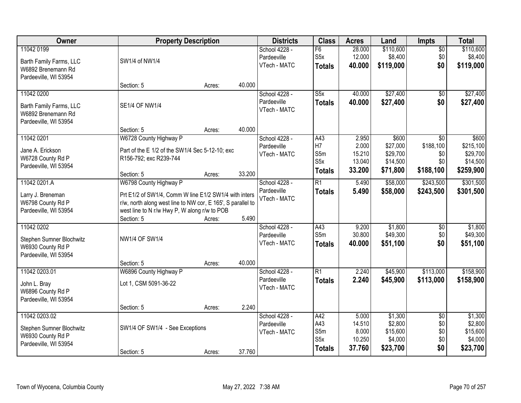| <b>Owner</b>                                                                            |                                                                                                                                                                      | <b>Property Description</b> |        |                                              | <b>Class</b>                                           | <b>Acres</b>                                 | Land                                                  | <b>Impts</b>                                            | <b>Total</b>                                            |
|-----------------------------------------------------------------------------------------|----------------------------------------------------------------------------------------------------------------------------------------------------------------------|-----------------------------|--------|----------------------------------------------|--------------------------------------------------------|----------------------------------------------|-------------------------------------------------------|---------------------------------------------------------|---------------------------------------------------------|
| 11042 0199<br>Barth Family Farms, LLC<br>W6892 Brenemann Rd<br>Pardeeville, WI 53954    | SW1/4 of NW1/4                                                                                                                                                       |                             |        | School 4228 -<br>Pardeeville<br>VTech - MATC | F6<br>S <sub>5</sub> x<br><b>Totals</b>                | 28.000<br>12.000<br>40.000                   | \$110,600<br>\$8,400<br>\$119,000                     | $\overline{50}$<br>\$0<br>\$0                           | \$110,600<br>\$8,400<br>\$119,000                       |
|                                                                                         | Section: 5                                                                                                                                                           | Acres:                      | 40.000 |                                              |                                                        |                                              |                                                       |                                                         |                                                         |
| 11042 0200<br>Barth Family Farms, LLC<br>W6892 Brenemann Rd<br>Pardeeville, WI 53954    | <b>SE1/4 OF NW1/4</b>                                                                                                                                                |                             |        | School 4228 -<br>Pardeeville<br>VTech - MATC | $\overline{\text{S5x}}$<br><b>Totals</b>               | 40.000<br>40.000                             | \$27,400<br>\$27,400                                  | \$0<br>\$0                                              | \$27,400<br>\$27,400                                    |
|                                                                                         | Section: 5                                                                                                                                                           | Acres:                      | 40.000 |                                              |                                                        |                                              |                                                       |                                                         |                                                         |
| 11042 0201<br>Jane A. Erickson<br>W6728 County Rd P<br>Pardeeville, WI 53954            | W6728 County Highway P<br>Part of the E 1/2 of the SW1/4 Sec 5-12-10; exc<br>R156-792; exc R239-744<br>Section: 5                                                    | Acres:                      | 33.200 | School 4228 -<br>Pardeeville<br>VTech - MATC | A43<br>H7<br>S5m<br>S5x<br><b>Totals</b>               | 2.950<br>2.000<br>15.210<br>13.040<br>33.200 | \$600<br>\$27,000<br>\$29,700<br>\$14,500<br>\$71,800 | $\overline{30}$<br>\$188,100<br>\$0<br>\$0<br>\$188,100 | \$600<br>\$215,100<br>\$29,700<br>\$14,500<br>\$259,900 |
| 11042 0201.A                                                                            | W6798 County Highway P                                                                                                                                               |                             |        | School 4228 -                                | $\overline{R1}$                                        | 5.490                                        | \$58,000                                              | \$243,500                                               | \$301,500                                               |
| Larry J. Breneman<br>W6798 County Rd P<br>Pardeeville, WI 53954                         | Prt E1/2 of SW1/4, Comm W line E1/2 SW1/4 with inters<br>r/w, north along west line to NW cor, E 165', S parallel to<br>west line to N r/w Hwy P, W along r/w to POB |                             |        | Pardeeville<br>VTech - MATC                  | <b>Totals</b>                                          | 5.490                                        | \$58,000                                              | \$243,500                                               | \$301,500                                               |
|                                                                                         | Section: 5                                                                                                                                                           | Acres:                      | 5.490  |                                              |                                                        |                                              |                                                       |                                                         |                                                         |
| 11042 0202<br>Stephen Sumner Blochwitz<br>W6930 County Rd P<br>Pardeeville, WI 53954    | <b>NW1/4 OF SW1/4</b>                                                                                                                                                |                             |        | School 4228 -<br>Pardeeville<br>VTech - MATC | A43<br>S <sub>5m</sub><br><b>Totals</b>                | 9.200<br>30.800<br>40.000                    | \$1,800<br>\$49,300<br>\$51,100                       | $\overline{50}$<br>\$0<br>\$0                           | \$1,800<br>\$49,300<br>\$51,100                         |
|                                                                                         | Section: 5                                                                                                                                                           | Acres:                      | 40.000 |                                              |                                                        |                                              |                                                       |                                                         |                                                         |
| 11042 0203.01<br>John L. Bray<br>W6896 County Rd P<br>Pardeeville, WI 53954             | W6896 County Highway P<br>Lot 1, CSM 5091-36-22                                                                                                                      |                             |        | School 4228 -<br>Pardeeville<br>VTech - MATC | $\overline{R1}$<br><b>Totals</b>                       | 2.240<br>2.240                               | \$45,900<br>\$45,900                                  | \$113,000<br>\$113,000                                  | \$158,900<br>\$158,900                                  |
|                                                                                         | Section: 5                                                                                                                                                           | Acres:                      | 2.240  |                                              |                                                        |                                              |                                                       |                                                         |                                                         |
| 11042 0203.02<br>Stephen Sumner Blochwitz<br>W6930 County Rd P<br>Pardeeville, WI 53954 | SW1/4 OF SW1/4 - See Exceptions<br>Section: 5                                                                                                                        | Acres:                      | 37.760 | School 4228 -<br>Pardeeville<br>VTech - MATC | A42<br>A43<br>S5m<br>S <sub>5</sub> x<br><b>Totals</b> | 5.000<br>14.510<br>8.000<br>10.250<br>37.760 | \$1,300<br>\$2,800<br>\$15,600<br>\$4,000<br>\$23,700 | $\overline{50}$<br>\$0<br>\$0<br>\$0<br>\$0             | \$1,300<br>\$2,800<br>\$15,600<br>\$4,000<br>\$23,700   |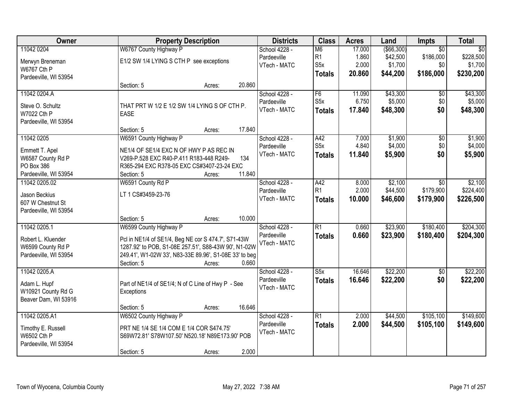| Owner                              |                                                                                       | <b>Property Description</b> |        |               | <b>Class</b>     | <b>Acres</b> | Land         | <b>Impts</b>    | <b>Total</b>    |
|------------------------------------|---------------------------------------------------------------------------------------|-----------------------------|--------|---------------|------------------|--------------|--------------|-----------------|-----------------|
| 11042 0204                         | W6767 County Highway P                                                                |                             |        | School 4228 - | M <sub>6</sub>   | 17.000       | ( \$66, 300) | $\overline{50}$ | $\overline{50}$ |
| Merwyn Breneman                    | E1/2 SW 1/4 LYING S CTH P see exceptions                                              |                             |        | Pardeeville   | R <sub>1</sub>   | 1.860        | \$42,500     | \$186,000       | \$228,500       |
| W6767 Cth P                        |                                                                                       |                             |        | VTech - MATC  | S <sub>5</sub> x | 2.000        | \$1,700      | \$0             | \$1,700         |
| Pardeeville, WI 53954              |                                                                                       |                             |        |               | <b>Totals</b>    | 20.860       | \$44,200     | \$186,000       | \$230,200       |
|                                    | Section: 5                                                                            | Acres:                      | 20.860 |               |                  |              |              |                 |                 |
| 11042 0204.A                       |                                                                                       |                             |        | School 4228 - | F6               | 11.090       | \$43,300     | \$0             | \$43,300        |
| Steve O. Schultz                   | THAT PRT W 1/2 E 1/2 SW 1/4 LYING S OF CTH P.                                         |                             |        | Pardeeville   | S <sub>5</sub> x | 6.750        | \$5,000      | \$0             | \$5,000         |
| W7022 Cth P                        | <b>EASE</b>                                                                           |                             |        | VTech - MATC  | <b>Totals</b>    | 17.840       | \$48,300     | \$0             | \$48,300        |
| Pardeeville, WI 53954              |                                                                                       |                             |        |               |                  |              |              |                 |                 |
|                                    | Section: 5                                                                            | Acres:                      | 17.840 |               |                  |              |              |                 |                 |
| 11042 0205                         | W6591 County Highway P                                                                |                             |        | School 4228 - | A42              | 7.000        | \$1,900      | $\overline{50}$ | \$1,900         |
|                                    |                                                                                       |                             |        | Pardeeville   | S <sub>5</sub> x | 4.840        | \$4,000      | \$0             | \$4,000         |
| Emmett T. Apel                     | NE1/4 OF SE1/4 EXC N OF HWY P AS REC IN                                               |                             |        | VTech - MATC  | <b>Totals</b>    | 11.840       | \$5,900      | \$0             | \$5,900         |
| W6587 County Rd P<br>PO Box 386    | V269-P.528 EXC R40-P.411 R183-448 R249-<br>R365-294 EXC R378-05 EXC CS#3407-23-24 EXC |                             | 134    |               |                  |              |              |                 |                 |
| Pardeeville, WI 53954              | Section: 5                                                                            | Acres:                      | 11.840 |               |                  |              |              |                 |                 |
| 11042 0205.02                      | W6591 County Rd P                                                                     |                             |        | School 4228 - | A42              | 8.000        | \$2,100      | $\sqrt{6}$      | \$2,100         |
|                                    |                                                                                       |                             |        | Pardeeville   | R1               | 2.000        | \$44,500     | \$179,900       | \$224,400       |
| Jason Beckius                      | LT 1 CS#3459-23-76                                                                    |                             |        | VTech - MATC  |                  | 10.000       | \$46,600     | \$179,900       | \$226,500       |
| 607 W Chestnut St                  |                                                                                       |                             |        |               | <b>Totals</b>    |              |              |                 |                 |
| Pardeeville, WI 53954              |                                                                                       |                             |        |               |                  |              |              |                 |                 |
|                                    | Section: 5                                                                            | Acres:                      | 10.000 |               |                  |              |              |                 |                 |
| 11042 0205.1                       | W6599 County Highway P                                                                |                             |        | School 4228 - | $\overline{R1}$  | 0.660        | \$23,900     | \$180,400       | \$204,300       |
| Robert L. Kluender                 | Pcl in NE1/4 of SE1/4, Beg NE cor S 474.7', S71-43W                                   |                             |        | Pardeeville   | <b>Totals</b>    | 0.660        | \$23,900     | \$180,400       | \$204,300       |
| W6599 County Rd P                  | 1287.92' to POB, S1-08E 257.51', S88-43W 90', N1-02W                                  |                             |        | VTech - MATC  |                  |              |              |                 |                 |
| Pardeeville, WI 53954              | 249.41', W1-02W 33', N83-33E 89.96', S1-08E 33' to beg                                |                             |        |               |                  |              |              |                 |                 |
|                                    | Section: 5                                                                            | Acres:                      | 0.660  |               |                  |              |              |                 |                 |
| 11042 0205.A                       |                                                                                       |                             |        | School 4228 - | S5x              | 16.646       | \$22,200     | $\sqrt{6}$      | \$22,200        |
|                                    |                                                                                       |                             |        | Pardeeville   | <b>Totals</b>    | 16.646       | \$22,200     | \$0             | \$22,200        |
| Adam L. Hupf<br>W10921 County Rd G | Part of NE1/4 of SE1/4; N of C Line of Hwy P - See                                    |                             |        | VTech - MATC  |                  |              |              |                 |                 |
| Beaver Dam, WI 53916               | Exceptions                                                                            |                             |        |               |                  |              |              |                 |                 |
|                                    | Section: 5                                                                            | Acres:                      | 16.646 |               |                  |              |              |                 |                 |
| 11042 0205.A1                      | W6502 County Highway P                                                                |                             |        | School 4228 - | $\overline{R1}$  | 2.000        | \$44,500     | \$105,100       | \$149,600       |
|                                    |                                                                                       |                             |        | Pardeeville   | <b>Totals</b>    | 2.000        | \$44,500     | \$105,100       | \$149,600       |
| Timothy E. Russell                 | PRT NE 1/4 SE 1/4 COM E 1/4 COR S474.75'                                              |                             |        | VTech - MATC  |                  |              |              |                 |                 |
| W6502 Cth P                        | S69W72.81' S78W107.50' N520.18' N89E173.90' POB                                       |                             |        |               |                  |              |              |                 |                 |
| Pardeeville, WI 53954              |                                                                                       |                             |        |               |                  |              |              |                 |                 |
|                                    | Section: 5                                                                            | Acres:                      | 2.000  |               |                  |              |              |                 |                 |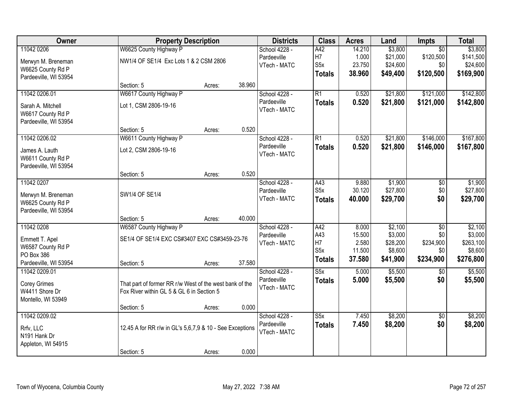| Owner                 | <b>Property Description</b>                              |        |        | <b>Districts</b> | <b>Class</b>     | <b>Acres</b> | Land     | Impts           | <b>Total</b> |
|-----------------------|----------------------------------------------------------|--------|--------|------------------|------------------|--------------|----------|-----------------|--------------|
| 11042 0206            | W6625 County Highway P                                   |        |        | School 4228 -    | A42              | 14.210       | \$3,800  | $\overline{50}$ | \$3,800      |
| Merwyn M. Breneman    | NW1/4 OF SE1/4 Exc Lots 1 & 2 CSM 2806                   |        |        | Pardeeville      | H <sub>7</sub>   | 1.000        | \$21,000 | \$120,500       | \$141,500    |
| W6625 County Rd P     |                                                          |        |        | VTech - MATC     | S5x              | 23.750       | \$24,600 | \$0             | \$24,600     |
| Pardeeville, WI 53954 |                                                          |        |        |                  | <b>Totals</b>    | 38.960       | \$49,400 | \$120,500       | \$169,900    |
|                       | Section: 5                                               | Acres: | 38.960 |                  |                  |              |          |                 |              |
| 11042 0206.01         | W6617 County Highway P                                   |        |        | School 4228 -    | $\overline{R1}$  | 0.520        | \$21,800 | \$121,000       | \$142,800    |
| Sarah A. Mitchell     | Lot 1, CSM 2806-19-16                                    |        |        | Pardeeville      | <b>Totals</b>    | 0.520        | \$21,800 | \$121,000       | \$142,800    |
| W6617 County Rd P     |                                                          |        |        | VTech - MATC     |                  |              |          |                 |              |
| Pardeeville, WI 53954 |                                                          |        |        |                  |                  |              |          |                 |              |
|                       | Section: 5                                               | Acres: | 0.520  |                  |                  |              |          |                 |              |
| 11042 0206.02         | W6611 County Highway P                                   |        |        | School 4228 -    | $\overline{R1}$  | 0.520        | \$21,800 | \$146,000       | \$167,800    |
| James A. Lauth        | Lot 2, CSM 2806-19-16                                    |        |        | Pardeeville      | <b>Totals</b>    | 0.520        | \$21,800 | \$146,000       | \$167,800    |
| W6611 County Rd P     |                                                          |        |        | VTech - MATC     |                  |              |          |                 |              |
| Pardeeville, WI 53954 |                                                          |        |        |                  |                  |              |          |                 |              |
|                       | Section: 5                                               | Acres: | 0.520  |                  |                  |              |          |                 |              |
| 11042 0207            |                                                          |        |        | School 4228 -    | A43              | 9.880        | \$1,900  | \$0             | \$1,900      |
| Merwyn M. Breneman    | SW1/4 OF SE1/4                                           |        |        | Pardeeville      | S <sub>5</sub> x | 30.120       | \$27,800 | \$0             | \$27,800     |
| W6625 County Rd P     |                                                          |        |        | VTech - MATC     | <b>Totals</b>    | 40.000       | \$29,700 | \$0             | \$29,700     |
| Pardeeville, WI 53954 |                                                          |        |        |                  |                  |              |          |                 |              |
|                       | Section: 5                                               | Acres: | 40.000 |                  |                  |              |          |                 |              |
| 11042 0208            | W6587 County Highway P                                   |        |        | School 4228 -    | A42              | 8.000        | \$2,100  | \$0             | \$2,100      |
| Emmett T. Apel        | SE1/4 OF SE1/4 EXC CS#3407 EXC CS#3459-23-76             |        |        | Pardeeville      | A43              | 15.500       | \$3,000  | \$0             | \$3,000      |
| W6587 County Rd P     |                                                          |        |        | VTech - MATC     | H7               | 2.580        | \$28,200 | \$234,900       | \$263,100    |
| PO Box 386            |                                                          |        |        |                  | S <sub>5</sub> x | 11.500       | \$8,600  | \$0             | \$8,600      |
| Pardeeville, WI 53954 | Section: 5                                               | Acres: | 37.580 |                  | <b>Totals</b>    | 37.580       | \$41,900 | \$234,900       | \$276,800    |
| 11042 0209.01         |                                                          |        |        | School 4228 -    | S5x              | 5.000        | \$5,500  | \$0             | \$5,500      |
| <b>Corey Grimes</b>   | That part of former RR r/w West of the west bank of the  |        |        | Pardeeville      | <b>Totals</b>    | 5.000        | \$5,500  | \$0             | \$5,500      |
| W4411 Shore Dr        | Fox River within GL 5 & GL 6 in Section 5                |        |        | VTech - MATC     |                  |              |          |                 |              |
| Montello, WI 53949    |                                                          |        |        |                  |                  |              |          |                 |              |
|                       | Section: 5                                               | Acres: | 0.000  |                  |                  |              |          |                 |              |
| 11042 0209.02         |                                                          |        |        | School 4228 -    | S5x              | 7.450        | \$8,200  | $\overline{50}$ | \$8,200      |
| Rrfv, LLC             | 12.45 A for RR r/w in GL's 5,6,7,9 & 10 - See Exceptions |        |        | Pardeeville      | <b>Totals</b>    | 7.450        | \$8,200  | \$0             | \$8,200      |
| N191 Hank Dr          |                                                          |        |        | VTech - MATC     |                  |              |          |                 |              |
| Appleton, WI 54915    |                                                          |        |        |                  |                  |              |          |                 |              |
|                       | Section: 5                                               | Acres: | 0.000  |                  |                  |              |          |                 |              |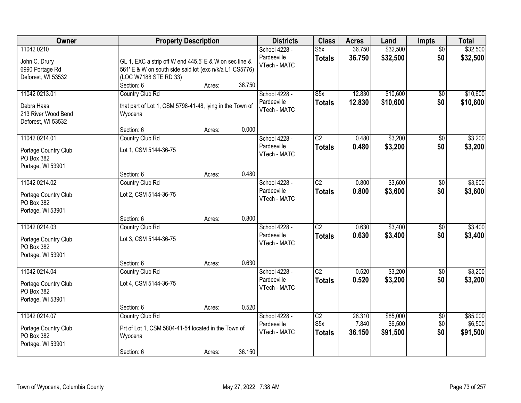| <b>Owner</b>                                                             | <b>Property Description</b>                                                                                                                                        | <b>Districts</b>                                               | <b>Class</b>                                         | <b>Acres</b>              | Land                            | Impts                         | <b>Total</b>                    |
|--------------------------------------------------------------------------|--------------------------------------------------------------------------------------------------------------------------------------------------------------------|----------------------------------------------------------------|------------------------------------------------------|---------------------------|---------------------------------|-------------------------------|---------------------------------|
| 11042 0210<br>John C. Drury<br>6990 Portage Rd<br>Deforest, WI 53532     | GL 1, EXC a strip off W end 445.5' E & W on sec line &<br>561' E & W on south side said lot (exc n/k/a L1 CS5776)<br>(LOC W7188 STE RD 33)<br>Section: 6<br>Acres: | School 4228 -<br>Pardeeville<br>VTech - MATC<br>36.750         | $\overline{\text{S5x}}$<br><b>Totals</b>             | 36.750<br>36.750          | \$32,500<br>\$32,500            | $\overline{50}$<br>\$0        | \$32,500<br>\$32,500            |
| 11042 0213.01<br>Debra Haas<br>213 River Wood Bend<br>Deforest, WI 53532 | Country Club Rd<br>that part of Lot 1, CSM 5798-41-48, lying in the Town of<br>Wyocena                                                                             | School 4228 -<br>Pardeeville<br>VTech - MATC                   | $\overline{\text{S5x}}$<br><b>Totals</b>             | 12.830<br>12.830          | \$10,600<br>\$10,600            | $\overline{50}$<br>\$0        | \$10,600<br>\$10,600            |
| 11042 0214.01<br>Portage Country Club<br>PO Box 382<br>Portage, WI 53901 | Section: 6<br>Acres:<br>Country Club Rd<br>Lot 1, CSM 5144-36-75<br>Section: 6                                                                                     | 0.000<br>School 4228 -<br>Pardeeville<br>VTech - MATC<br>0.480 | $\overline{C2}$<br><b>Totals</b>                     | 0.480<br>0.480            | \$3,200<br>\$3,200              | $\overline{50}$<br>\$0        | \$3,200<br>\$3,200              |
| 11042 0214.02<br>Portage Country Club<br>PO Box 382<br>Portage, WI 53901 | Acres:<br>Country Club Rd<br>Lot 2, CSM 5144-36-75<br>Section: 6<br>Acres:                                                                                         | School 4228 -<br>Pardeeville<br>VTech - MATC<br>0.800          | $\overline{C2}$<br><b>Totals</b>                     | 0.800<br>0.800            | \$3,600<br>\$3,600              | \$0<br>\$0                    | \$3,600<br>\$3,600              |
| 11042 0214.03<br>Portage Country Club<br>PO Box 382<br>Portage, WI 53901 | Country Club Rd<br>Lot 3, CSM 5144-36-75<br>Section: 6<br>Acres:                                                                                                   | School 4228 -<br>Pardeeville<br>VTech - MATC<br>0.630          | $\overline{C2}$<br><b>Totals</b>                     | 0.630<br>0.630            | \$3,400<br>\$3,400              | \$0<br>\$0                    | \$3,400<br>\$3,400              |
| 11042 0214.04<br>Portage Country Club<br>PO Box 382<br>Portage, WI 53901 | Country Club Rd<br>Lot 4, CSM 5144-36-75<br>Section: 6<br>Acres:                                                                                                   | School 4228 -<br>Pardeeville<br>VTech - MATC<br>0.520          | $\overline{C2}$<br><b>Totals</b>                     | 0.520<br>0.520            | \$3,200<br>\$3,200              | $\overline{60}$<br>\$0        | \$3,200<br>\$3,200              |
| 11042 0214.07<br>Portage Country Club<br>PO Box 382<br>Portage, WI 53901 | Country Club Rd<br>Prt of Lot 1, CSM 5804-41-54 located in the Town of<br>Wyocena<br>Section: 6<br>Acres:                                                          | School 4228 -<br>Pardeeville<br>VTech - MATC<br>36.150         | $\overline{C2}$<br>S <sub>5</sub> x<br><b>Totals</b> | 28.310<br>7.840<br>36.150 | \$85,000<br>\$6,500<br>\$91,500 | $\overline{50}$<br>\$0<br>\$0 | \$85,000<br>\$6,500<br>\$91,500 |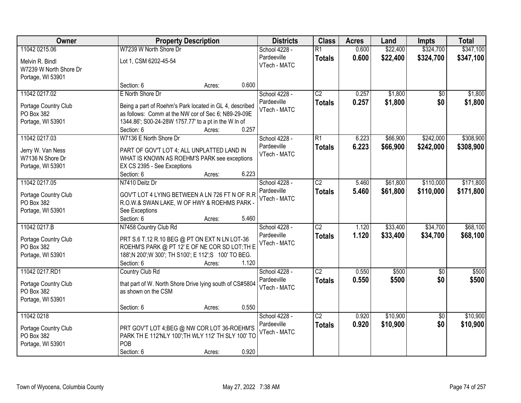| Owner                                                                   |                                                                                                                                                                                               | <b>Property Description</b> |       | <b>Districts</b>                             | <b>Class</b>                     | <b>Acres</b>   | Land                 | <b>Impts</b>           | <b>Total</b>         |
|-------------------------------------------------------------------------|-----------------------------------------------------------------------------------------------------------------------------------------------------------------------------------------------|-----------------------------|-------|----------------------------------------------|----------------------------------|----------------|----------------------|------------------------|----------------------|
| 11042 0215.06                                                           | W7239 W North Shore Dr                                                                                                                                                                        |                             |       | School 4228 -                                | $\overline{R1}$                  | 0.600          | \$22,400             | \$324,700              | \$347,100            |
| Melvin R. Bindl<br>W7239 W North Shore Dr<br>Portage, WI 53901          | Lot 1, CSM 6202-45-54                                                                                                                                                                         |                             |       | Pardeeville<br>VTech - MATC                  | <b>Totals</b>                    | 0.600          | \$22,400             | \$324,700              | \$347,100            |
|                                                                         | Section: 6                                                                                                                                                                                    | Acres:                      | 0.600 |                                              |                                  |                |                      |                        |                      |
| 11042 0217.02<br>Portage Country Club                                   | E North Shore Dr<br>Being a part of Roehm's Park located in GL 4, described                                                                                                                   |                             |       | School 4228 -<br>Pardeeville<br>VTech - MATC | $\overline{C2}$<br><b>Totals</b> | 0.257<br>0.257 | \$1,800<br>\$1,800   | \$0<br>\$0             | \$1,800<br>\$1,800   |
| PO Box 382<br>Portage, WI 53901                                         | as follows: Comm at the NW cor of Sec 6; N89-29-09E<br>1344.86'; S00-24-28W 1757.77' to a pt in the W In of<br>Section: 6                                                                     | Acres:                      | 0.257 |                                              |                                  |                |                      |                        |                      |
| 11042 0217.03                                                           | W7136 E North Shore Dr                                                                                                                                                                        |                             |       | School 4228 -                                | $\overline{R1}$                  | 6.223          | \$66,900             | \$242,000              | \$308,900            |
| Jerry W. Van Ness<br>W7136 N Shore Dr<br>Portage, WI 53901              | PART OF GOV'T LOT 4; ALL UNPLATTED LAND IN<br>WHAT IS KNOWN AS ROEHM'S PARK see exceptions<br>EX CS 2395 - See Exceptions<br>Section: 6                                                       | Acres:                      | 6.223 | Pardeeville<br>VTech - MATC                  | <b>Totals</b>                    | 6.223          | \$66,900             | \$242,000              | \$308,900            |
| 11042 0217.05                                                           | N7410 Deitz Dr                                                                                                                                                                                |                             |       | School 4228 -                                | $\overline{C2}$                  | 5.460          | \$61,800             | \$110,000              | \$171,800            |
| Portage Country Club<br>PO Box 382<br>Portage, WI 53901                 | GOV'T LOT 4 LYING BETWEEN A LN 726 FT N OF R.R<br>R.O.W.& SWAN LAKE, W OF HWY & ROEHMS PARK -<br>See Exceptions                                                                               |                             |       | Pardeeville<br>VTech - MATC                  | <b>Totals</b>                    | 5.460          | \$61,800             | \$110,000              | \$171,800            |
|                                                                         | Section: 6                                                                                                                                                                                    | Acres:                      | 5.460 |                                              |                                  |                |                      |                        |                      |
| 11042 0217.B<br>Portage Country Club<br>PO Box 382<br>Portage, WI 53901 | N7458 Country Club Rd<br>PRT S.6 T.12 R.10 BEG @ PT ON EXT N LN LOT-36<br>ROEHM'S PARK @ PT 12' E OF NE COR SD LOT; TH E<br>188';N 200';W 300'; TH S100'; E 112';S 100' TO BEG.<br>Section: 6 | Acres:                      | 1.120 | School 4228 -<br>Pardeeville<br>VTech - MATC | $\overline{C2}$<br><b>Totals</b> | 1.120<br>1.120 | \$33,400<br>\$33,400 | \$34,700<br>\$34,700   | \$68,100<br>\$68,100 |
| 11042 0217.RD1                                                          | Country Club Rd                                                                                                                                                                               |                             |       | School 4228 -                                | $\overline{C2}$                  | 0.550          | \$500                | $\sqrt{6}$             | \$500                |
| Portage Country Club<br>PO Box 382<br>Portage, WI 53901                 | that part of W. North Shore Drive lying south of CS#5804<br>as shown on the CSM                                                                                                               |                             |       | Pardeeville<br>VTech - MATC                  | <b>Totals</b>                    | 0.550          | \$500                | \$0                    | \$500                |
|                                                                         | Section: 6                                                                                                                                                                                    | Acres:                      | 0.550 |                                              |                                  |                |                      |                        |                      |
| 11042 0218<br>Portage Country Club<br>PO Box 382<br>Portage, WI 53901   | PRT GOV'T LOT 4; BEG @ NW COR LOT 36-ROEHM'S<br>PARK TH E 112'NLY 100'; TH WLY 112' TH SLY 100' TO<br>POB<br>Section: 6                                                                       | Acres:                      | 0.920 | School 4228 -<br>Pardeeville<br>VTech - MATC | $\overline{C2}$<br><b>Totals</b> | 0.920<br>0.920 | \$10,900<br>\$10,900 | $\overline{50}$<br>\$0 | \$10,900<br>\$10,900 |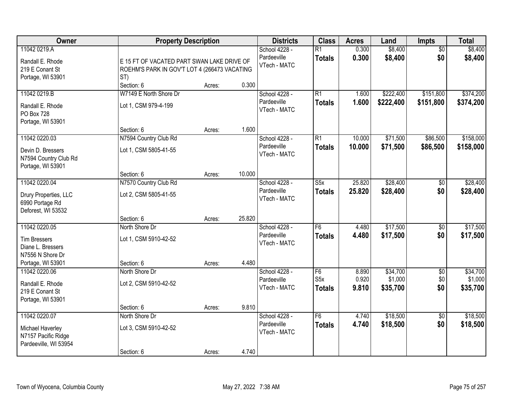| Owner                                                                                              | <b>Property Description</b>                                                                       |        |        | <b>Districts</b>                             | <b>Class</b>                             | <b>Acres</b>     | Land                   | <b>Impts</b>           | <b>Total</b>           |
|----------------------------------------------------------------------------------------------------|---------------------------------------------------------------------------------------------------|--------|--------|----------------------------------------------|------------------------------------------|------------------|------------------------|------------------------|------------------------|
| 11042 0219.A<br>Randall E. Rhode<br>219 E Conant St<br>Portage, WI 53901                           | E 15 FT OF VACATED PART SWAN LAKE DRIVE OF<br>ROEHM'S PARK IN GOV'T LOT 4 (266473 VACATING<br>ST) |        |        | School 4228 -<br>Pardeeville<br>VTech - MATC | $\overline{R1}$<br><b>Totals</b>         | 0.300<br>0.300   | \$8,400<br>\$8,400     | $\overline{50}$<br>\$0 | \$8,400<br>\$8,400     |
|                                                                                                    | Section: 6                                                                                        | Acres: | 0.300  |                                              |                                          |                  |                        |                        |                        |
| 11042 0219.B<br>Randall E. Rhode<br>PO Box 728<br>Portage, WI 53901                                | W7149 E North Shore Dr<br>Lot 1, CSM 979-4-199                                                    |        |        | School 4228 -<br>Pardeeville<br>VTech - MATC | $\overline{R1}$<br><b>Totals</b>         | 1.600<br>1.600   | \$222,400<br>\$222,400 | \$151,800<br>\$151,800 | \$374,200<br>\$374,200 |
|                                                                                                    | Section: 6                                                                                        | Acres: | 1.600  |                                              |                                          |                  |                        |                        |                        |
| 11042 0220.03<br>Devin D. Bressers<br>N7594 Country Club Rd<br>Portage, WI 53901                   | N7594 Country Club Rd<br>Lot 1, CSM 5805-41-55                                                    |        |        | School 4228 -<br>Pardeeville<br>VTech - MATC | $\overline{R1}$<br><b>Totals</b>         | 10.000<br>10.000 | \$71,500<br>\$71,500   | \$86,500<br>\$86,500   | \$158,000<br>\$158,000 |
|                                                                                                    | Section: 6                                                                                        | Acres: | 10.000 |                                              |                                          |                  |                        |                        |                        |
| 11042 0220.04<br>Drury Properties, LLC<br>6990 Portage Rd<br>Deforest, WI 53532                    | N7570 Country Club Rd<br>Lot 2, CSM 5805-41-55                                                    |        |        | School 4228 -<br>Pardeeville<br>VTech - MATC | $\overline{\text{S5x}}$<br><b>Totals</b> | 25.820<br>25.820 | \$28,400<br>\$28,400   | \$0<br>\$0             | \$28,400<br>\$28,400   |
|                                                                                                    | Section: 6                                                                                        | Acres: | 25.820 |                                              |                                          |                  |                        |                        |                        |
| 11042 0220.05<br><b>Tim Bressers</b><br>Diane L. Bressers<br>N7556 N Shore Dr<br>Portage, WI 53901 | North Shore Dr<br>Lot 1, CSM 5910-42-52<br>Section: 6                                             | Acres: | 4.480  | School 4228 -<br>Pardeeville<br>VTech - MATC | F6<br><b>Totals</b>                      | 4.480<br>4.480   | \$17,500<br>\$17,500   | \$0<br>\$0             | \$17,500<br>\$17,500   |
| 11042 0220.06                                                                                      | North Shore Dr                                                                                    |        |        | School 4228 -                                | F6                                       | 8.890            | \$34,700               | $\overline{60}$        | \$34,700               |
| Randall E. Rhode<br>219 E Conant St<br>Portage, WI 53901                                           | Lot 2, CSM 5910-42-52                                                                             |        |        | Pardeeville<br>VTech - MATC                  | S5x<br><b>Totals</b>                     | 0.920<br>9.810   | \$1,000<br>\$35,700    | \$0<br>\$0             | \$1,000<br>\$35,700    |
|                                                                                                    | Section: 6                                                                                        | Acres: | 9.810  |                                              |                                          |                  |                        |                        |                        |
| 11042 0220.07<br>Michael Haverley<br>N7157 Pacific Ridge<br>Pardeeville, WI 53954                  | North Shore Dr<br>Lot 3, CSM 5910-42-52<br>Section: 6                                             | Acres: | 4.740  | School 4228 -<br>Pardeeville<br>VTech - MATC | F6<br><b>Totals</b>                      | 4.740<br>4.740   | \$18,500<br>\$18,500   | $\overline{50}$<br>\$0 | \$18,500<br>\$18,500   |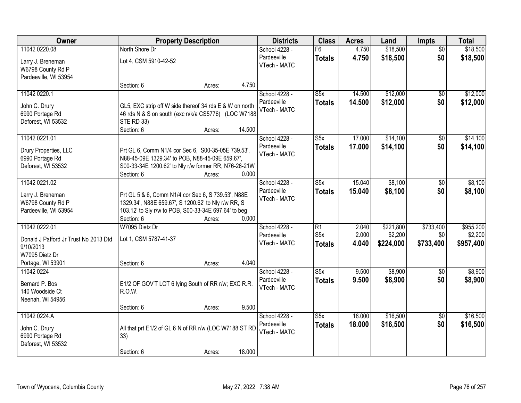| 11042 0220.08<br>North Shore Dr<br>F6<br>\$18,500<br>School 4228 -<br>4.750<br>$\overline{50}$<br>\$0<br>Pardeeville<br>4.750<br>\$18,500<br>\$18,500<br><b>Totals</b><br>Lot 4, CSM 5910-42-52<br>Larry J. Breneman<br>VTech - MATC<br>W6798 County Rd P<br>Pardeeville, WI 53954<br>4.750<br>Section: 6<br>Acres:<br>\$12,000<br>11042 0220.1<br>$\overline{\text{S5x}}$<br>14.500<br>School 4228 -<br>\$0<br>\$0<br>Pardeeville<br>14.500<br>\$12,000<br><b>Totals</b><br>John C. Drury<br>GL5, EXC strip off W side thereof 34 rds E & W on north<br>VTech - MATC<br>6990 Portage Rd<br>46 rds N & S on south (exc n/k/a CS5776) (LOC W7188<br><b>STE RD 33)</b><br>Deforest, WI 53532<br>14.500<br>Section: 6<br>Acres:<br>\$14,100<br>11042 0221.01<br>School 4228 -<br>S5x<br>17.000<br>$\overline{50}$<br>\$14,100<br>\$0<br>Pardeeville<br>17.000<br><b>Totals</b><br>Prt GL 6, Comm N1/4 cor Sec 6, S00-35-05E 739.53',<br>Drury Properties, LLC<br>VTech - MATC<br>6990 Portage Rd<br>N88-45-09E 1329.34' to POB, N88-45-09E 659.67',<br>S00-33-34E 1200.62' to Nly r/w former RR, N76-26-21W<br>Deforest, WI 53532<br>0.000<br>Section: 6<br>Acres:<br>11042 0221.02<br>$\overline{\text{S5x}}$<br>15.040<br>\$8,100<br>School 4228 -<br>$\frac{1}{20}$<br>Pardeeville<br>\$0<br>15.040<br>\$8,100<br><b>Totals</b><br>Prt GL 5 & 6, Comm N1/4 cor Sec 6, S 739.53', N88E<br>Larry J. Breneman<br>VTech - MATC<br>W6798 County Rd P<br>1329.34', N88E 659.67', S 1200.62' to Nly r/w RR, S<br>103.12' to Sly r/w to POB, S00-33-34E 697.64' to beg<br>Pardeeville, WI 53954<br>0.000<br>Section: 6<br>Acres:<br>\$733,400<br>11042 0222.01<br>W7095 Dietz Dr<br>$\overline{R1}$<br>\$221,800<br>School 4228 -<br>2.040<br>S5x<br>2.000<br>\$2,200<br>\$0<br>Pardeeville<br>Lot 1, CSM 5787-41-37<br>Donald J Pafford Jr Trust No 2013 Dtd<br>\$224,000<br>\$733,400<br>VTech - MATC<br>4.040<br><b>Totals</b><br>9/10/2013<br>W7095 Dietz Dr<br>4.040<br>Portage, WI 53901<br>Section: 6<br>Acres:<br>S5x<br>\$8,900<br>11042 0224<br>School 4228 -<br>9.500<br>$\overline{50}$<br>Pardeeville<br>9.500<br>\$8,900<br>\$0<br><b>Totals</b><br>E1/2 OF GOV'T LOT 6 lying South of RR r/w; EXC R.R.<br>Bernard P. Bos<br>VTech - MATC<br>R.O.W.<br>140 Woodside Ct | Owner | <b>Property Description</b> | <b>Districts</b> | <b>Class</b> | <b>Acres</b> | Land     | Impts | <b>Total</b> |
|------------------------------------------------------------------------------------------------------------------------------------------------------------------------------------------------------------------------------------------------------------------------------------------------------------------------------------------------------------------------------------------------------------------------------------------------------------------------------------------------------------------------------------------------------------------------------------------------------------------------------------------------------------------------------------------------------------------------------------------------------------------------------------------------------------------------------------------------------------------------------------------------------------------------------------------------------------------------------------------------------------------------------------------------------------------------------------------------------------------------------------------------------------------------------------------------------------------------------------------------------------------------------------------------------------------------------------------------------------------------------------------------------------------------------------------------------------------------------------------------------------------------------------------------------------------------------------------------------------------------------------------------------------------------------------------------------------------------------------------------------------------------------------------------------------------------------------------------------------------------------------------------------------------------------------------------------------------------------------------------------------------------------------------------------------------------------------------------------------------------------------------------------------------------------------------------------------------------------------------------------------------------------|-------|-----------------------------|------------------|--------------|--------------|----------|-------|--------------|
|                                                                                                                                                                                                                                                                                                                                                                                                                                                                                                                                                                                                                                                                                                                                                                                                                                                                                                                                                                                                                                                                                                                                                                                                                                                                                                                                                                                                                                                                                                                                                                                                                                                                                                                                                                                                                                                                                                                                                                                                                                                                                                                                                                                                                                                                              |       |                             |                  |              |              | \$18,500 |       |              |
|                                                                                                                                                                                                                                                                                                                                                                                                                                                                                                                                                                                                                                                                                                                                                                                                                                                                                                                                                                                                                                                                                                                                                                                                                                                                                                                                                                                                                                                                                                                                                                                                                                                                                                                                                                                                                                                                                                                                                                                                                                                                                                                                                                                                                                                                              |       |                             |                  |              |              |          |       |              |
|                                                                                                                                                                                                                                                                                                                                                                                                                                                                                                                                                                                                                                                                                                                                                                                                                                                                                                                                                                                                                                                                                                                                                                                                                                                                                                                                                                                                                                                                                                                                                                                                                                                                                                                                                                                                                                                                                                                                                                                                                                                                                                                                                                                                                                                                              |       |                             |                  |              |              |          |       |              |
| \$12,000<br>\$12,000<br>\$14,100<br>\$14,100<br>\$8,100<br>\$8,100<br>\$955,200<br>\$2,200<br>\$957,400<br>\$8,900<br>\$8,900                                                                                                                                                                                                                                                                                                                                                                                                                                                                                                                                                                                                                                                                                                                                                                                                                                                                                                                                                                                                                                                                                                                                                                                                                                                                                                                                                                                                                                                                                                                                                                                                                                                                                                                                                                                                                                                                                                                                                                                                                                                                                                                                                |       |                             |                  |              |              |          |       |              |
|                                                                                                                                                                                                                                                                                                                                                                                                                                                                                                                                                                                                                                                                                                                                                                                                                                                                                                                                                                                                                                                                                                                                                                                                                                                                                                                                                                                                                                                                                                                                                                                                                                                                                                                                                                                                                                                                                                                                                                                                                                                                                                                                                                                                                                                                              |       |                             |                  |              |              |          |       |              |
|                                                                                                                                                                                                                                                                                                                                                                                                                                                                                                                                                                                                                                                                                                                                                                                                                                                                                                                                                                                                                                                                                                                                                                                                                                                                                                                                                                                                                                                                                                                                                                                                                                                                                                                                                                                                                                                                                                                                                                                                                                                                                                                                                                                                                                                                              |       |                             |                  |              |              |          |       |              |
|                                                                                                                                                                                                                                                                                                                                                                                                                                                                                                                                                                                                                                                                                                                                                                                                                                                                                                                                                                                                                                                                                                                                                                                                                                                                                                                                                                                                                                                                                                                                                                                                                                                                                                                                                                                                                                                                                                                                                                                                                                                                                                                                                                                                                                                                              |       |                             |                  |              |              |          |       |              |
|                                                                                                                                                                                                                                                                                                                                                                                                                                                                                                                                                                                                                                                                                                                                                                                                                                                                                                                                                                                                                                                                                                                                                                                                                                                                                                                                                                                                                                                                                                                                                                                                                                                                                                                                                                                                                                                                                                                                                                                                                                                                                                                                                                                                                                                                              |       |                             |                  |              |              |          |       |              |
|                                                                                                                                                                                                                                                                                                                                                                                                                                                                                                                                                                                                                                                                                                                                                                                                                                                                                                                                                                                                                                                                                                                                                                                                                                                                                                                                                                                                                                                                                                                                                                                                                                                                                                                                                                                                                                                                                                                                                                                                                                                                                                                                                                                                                                                                              |       |                             |                  |              |              |          |       |              |
|                                                                                                                                                                                                                                                                                                                                                                                                                                                                                                                                                                                                                                                                                                                                                                                                                                                                                                                                                                                                                                                                                                                                                                                                                                                                                                                                                                                                                                                                                                                                                                                                                                                                                                                                                                                                                                                                                                                                                                                                                                                                                                                                                                                                                                                                              |       |                             |                  |              |              |          |       |              |
|                                                                                                                                                                                                                                                                                                                                                                                                                                                                                                                                                                                                                                                                                                                                                                                                                                                                                                                                                                                                                                                                                                                                                                                                                                                                                                                                                                                                                                                                                                                                                                                                                                                                                                                                                                                                                                                                                                                                                                                                                                                                                                                                                                                                                                                                              |       |                             |                  |              |              |          |       |              |
|                                                                                                                                                                                                                                                                                                                                                                                                                                                                                                                                                                                                                                                                                                                                                                                                                                                                                                                                                                                                                                                                                                                                                                                                                                                                                                                                                                                                                                                                                                                                                                                                                                                                                                                                                                                                                                                                                                                                                                                                                                                                                                                                                                                                                                                                              |       |                             |                  |              |              |          |       |              |
|                                                                                                                                                                                                                                                                                                                                                                                                                                                                                                                                                                                                                                                                                                                                                                                                                                                                                                                                                                                                                                                                                                                                                                                                                                                                                                                                                                                                                                                                                                                                                                                                                                                                                                                                                                                                                                                                                                                                                                                                                                                                                                                                                                                                                                                                              |       |                             |                  |              |              |          |       |              |
|                                                                                                                                                                                                                                                                                                                                                                                                                                                                                                                                                                                                                                                                                                                                                                                                                                                                                                                                                                                                                                                                                                                                                                                                                                                                                                                                                                                                                                                                                                                                                                                                                                                                                                                                                                                                                                                                                                                                                                                                                                                                                                                                                                                                                                                                              |       |                             |                  |              |              |          |       |              |
|                                                                                                                                                                                                                                                                                                                                                                                                                                                                                                                                                                                                                                                                                                                                                                                                                                                                                                                                                                                                                                                                                                                                                                                                                                                                                                                                                                                                                                                                                                                                                                                                                                                                                                                                                                                                                                                                                                                                                                                                                                                                                                                                                                                                                                                                              |       |                             |                  |              |              |          |       |              |
|                                                                                                                                                                                                                                                                                                                                                                                                                                                                                                                                                                                                                                                                                                                                                                                                                                                                                                                                                                                                                                                                                                                                                                                                                                                                                                                                                                                                                                                                                                                                                                                                                                                                                                                                                                                                                                                                                                                                                                                                                                                                                                                                                                                                                                                                              |       |                             |                  |              |              |          |       |              |
|                                                                                                                                                                                                                                                                                                                                                                                                                                                                                                                                                                                                                                                                                                                                                                                                                                                                                                                                                                                                                                                                                                                                                                                                                                                                                                                                                                                                                                                                                                                                                                                                                                                                                                                                                                                                                                                                                                                                                                                                                                                                                                                                                                                                                                                                              |       |                             |                  |              |              |          |       |              |
|                                                                                                                                                                                                                                                                                                                                                                                                                                                                                                                                                                                                                                                                                                                                                                                                                                                                                                                                                                                                                                                                                                                                                                                                                                                                                                                                                                                                                                                                                                                                                                                                                                                                                                                                                                                                                                                                                                                                                                                                                                                                                                                                                                                                                                                                              |       |                             |                  |              |              |          |       |              |
|                                                                                                                                                                                                                                                                                                                                                                                                                                                                                                                                                                                                                                                                                                                                                                                                                                                                                                                                                                                                                                                                                                                                                                                                                                                                                                                                                                                                                                                                                                                                                                                                                                                                                                                                                                                                                                                                                                                                                                                                                                                                                                                                                                                                                                                                              |       |                             |                  |              |              |          |       |              |
|                                                                                                                                                                                                                                                                                                                                                                                                                                                                                                                                                                                                                                                                                                                                                                                                                                                                                                                                                                                                                                                                                                                                                                                                                                                                                                                                                                                                                                                                                                                                                                                                                                                                                                                                                                                                                                                                                                                                                                                                                                                                                                                                                                                                                                                                              |       |                             |                  |              |              |          |       |              |
|                                                                                                                                                                                                                                                                                                                                                                                                                                                                                                                                                                                                                                                                                                                                                                                                                                                                                                                                                                                                                                                                                                                                                                                                                                                                                                                                                                                                                                                                                                                                                                                                                                                                                                                                                                                                                                                                                                                                                                                                                                                                                                                                                                                                                                                                              |       |                             |                  |              |              |          |       |              |
|                                                                                                                                                                                                                                                                                                                                                                                                                                                                                                                                                                                                                                                                                                                                                                                                                                                                                                                                                                                                                                                                                                                                                                                                                                                                                                                                                                                                                                                                                                                                                                                                                                                                                                                                                                                                                                                                                                                                                                                                                                                                                                                                                                                                                                                                              |       |                             |                  |              |              |          |       |              |
|                                                                                                                                                                                                                                                                                                                                                                                                                                                                                                                                                                                                                                                                                                                                                                                                                                                                                                                                                                                                                                                                                                                                                                                                                                                                                                                                                                                                                                                                                                                                                                                                                                                                                                                                                                                                                                                                                                                                                                                                                                                                                                                                                                                                                                                                              |       |                             |                  |              |              |          |       |              |
|                                                                                                                                                                                                                                                                                                                                                                                                                                                                                                                                                                                                                                                                                                                                                                                                                                                                                                                                                                                                                                                                                                                                                                                                                                                                                                                                                                                                                                                                                                                                                                                                                                                                                                                                                                                                                                                                                                                                                                                                                                                                                                                                                                                                                                                                              |       |                             |                  |              |              |          |       |              |
|                                                                                                                                                                                                                                                                                                                                                                                                                                                                                                                                                                                                                                                                                                                                                                                                                                                                                                                                                                                                                                                                                                                                                                                                                                                                                                                                                                                                                                                                                                                                                                                                                                                                                                                                                                                                                                                                                                                                                                                                                                                                                                                                                                                                                                                                              |       |                             |                  |              |              |          |       |              |
|                                                                                                                                                                                                                                                                                                                                                                                                                                                                                                                                                                                                                                                                                                                                                                                                                                                                                                                                                                                                                                                                                                                                                                                                                                                                                                                                                                                                                                                                                                                                                                                                                                                                                                                                                                                                                                                                                                                                                                                                                                                                                                                                                                                                                                                                              |       |                             |                  |              |              |          |       |              |
|                                                                                                                                                                                                                                                                                                                                                                                                                                                                                                                                                                                                                                                                                                                                                                                                                                                                                                                                                                                                                                                                                                                                                                                                                                                                                                                                                                                                                                                                                                                                                                                                                                                                                                                                                                                                                                                                                                                                                                                                                                                                                                                                                                                                                                                                              |       |                             |                  |              |              |          |       |              |
|                                                                                                                                                                                                                                                                                                                                                                                                                                                                                                                                                                                                                                                                                                                                                                                                                                                                                                                                                                                                                                                                                                                                                                                                                                                                                                                                                                                                                                                                                                                                                                                                                                                                                                                                                                                                                                                                                                                                                                                                                                                                                                                                                                                                                                                                              |       |                             |                  |              |              |          |       |              |
| Neenah, WI 54956                                                                                                                                                                                                                                                                                                                                                                                                                                                                                                                                                                                                                                                                                                                                                                                                                                                                                                                                                                                                                                                                                                                                                                                                                                                                                                                                                                                                                                                                                                                                                                                                                                                                                                                                                                                                                                                                                                                                                                                                                                                                                                                                                                                                                                                             |       |                             |                  |              |              |          |       |              |
| 9.500<br>Section: 6<br>Acres:                                                                                                                                                                                                                                                                                                                                                                                                                                                                                                                                                                                                                                                                                                                                                                                                                                                                                                                                                                                                                                                                                                                                                                                                                                                                                                                                                                                                                                                                                                                                                                                                                                                                                                                                                                                                                                                                                                                                                                                                                                                                                                                                                                                                                                                |       |                             |                  |              |              |          |       |              |
| 11042 0224.A<br>\$16,500<br>18.000<br>\$16,500<br>School 4228 -<br>$\overline{\text{S5x}}$<br>$\sqrt{6}$                                                                                                                                                                                                                                                                                                                                                                                                                                                                                                                                                                                                                                                                                                                                                                                                                                                                                                                                                                                                                                                                                                                                                                                                                                                                                                                                                                                                                                                                                                                                                                                                                                                                                                                                                                                                                                                                                                                                                                                                                                                                                                                                                                     |       |                             |                  |              |              |          |       |              |
| \$0<br>18.000<br>\$16,500<br>\$16,500<br>Pardeeville<br><b>Totals</b>                                                                                                                                                                                                                                                                                                                                                                                                                                                                                                                                                                                                                                                                                                                                                                                                                                                                                                                                                                                                                                                                                                                                                                                                                                                                                                                                                                                                                                                                                                                                                                                                                                                                                                                                                                                                                                                                                                                                                                                                                                                                                                                                                                                                        |       |                             |                  |              |              |          |       |              |
| John C. Drury<br>All that prt E1/2 of GL 6 N of RR r/w (LOC W7188 ST RD<br>VTech - MATC                                                                                                                                                                                                                                                                                                                                                                                                                                                                                                                                                                                                                                                                                                                                                                                                                                                                                                                                                                                                                                                                                                                                                                                                                                                                                                                                                                                                                                                                                                                                                                                                                                                                                                                                                                                                                                                                                                                                                                                                                                                                                                                                                                                      |       |                             |                  |              |              |          |       |              |
| 6990 Portage Rd<br>33)<br>Deforest, WI 53532                                                                                                                                                                                                                                                                                                                                                                                                                                                                                                                                                                                                                                                                                                                                                                                                                                                                                                                                                                                                                                                                                                                                                                                                                                                                                                                                                                                                                                                                                                                                                                                                                                                                                                                                                                                                                                                                                                                                                                                                                                                                                                                                                                                                                                 |       |                             |                  |              |              |          |       |              |
| 18.000<br>Section: 6<br>Acres:                                                                                                                                                                                                                                                                                                                                                                                                                                                                                                                                                                                                                                                                                                                                                                                                                                                                                                                                                                                                                                                                                                                                                                                                                                                                                                                                                                                                                                                                                                                                                                                                                                                                                                                                                                                                                                                                                                                                                                                                                                                                                                                                                                                                                                               |       |                             |                  |              |              |          |       |              |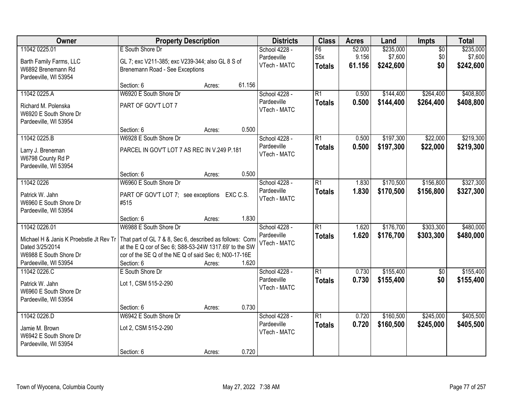| Owner                                   |                                                          | <b>Property Description</b> |        | <b>Districts</b>             | <b>Class</b>    | <b>Acres</b>   | Land      | <b>Impts</b>      | <b>Total</b> |
|-----------------------------------------|----------------------------------------------------------|-----------------------------|--------|------------------------------|-----------------|----------------|-----------|-------------------|--------------|
| 11042 0225.01                           | E South Shore Dr                                         |                             |        | School 4228 -                | F6              | 52.000         | \$235,000 | $\overline{50}$   | \$235,000    |
| Barth Family Farms, LLC                 | GL 7; exc V211-385; exc V239-344; also GL 8 S of         |                             |        | Pardeeville                  | S <sub>5x</sub> | 9.156          | \$7,600   | \$0               | \$7,600      |
| W6892 Brenemann Rd                      | Brenemann Road - See Exceptions                          |                             |        | VTech - MATC                 | <b>Totals</b>   | 61.156         | \$242,600 | \$0               | \$242,600    |
| Pardeeville, WI 53954                   |                                                          |                             |        |                              |                 |                |           |                   |              |
|                                         | Section: 6                                               | Acres:                      | 61.156 |                              |                 |                |           |                   |              |
| 11042 0225.A                            | W6920 E South Shore Dr                                   |                             |        | School 4228 -                | $\overline{R1}$ | 0.500          | \$144,400 | \$264,400         | \$408,800    |
| Richard M. Polenska                     | PART OF GOV'T LOT 7                                      |                             |        | Pardeeville<br>VTech - MATC  | <b>Totals</b>   | 0.500          | \$144,400 | \$264,400         | \$408,800    |
| W6920 E South Shore Dr                  |                                                          |                             |        |                              |                 |                |           |                   |              |
| Pardeeville, WI 53954                   |                                                          |                             |        |                              |                 |                |           |                   |              |
|                                         | Section: 6                                               | Acres:                      | 0.500  |                              |                 |                |           |                   |              |
| 11042 0225.B                            | W6928 E South Shore Dr                                   |                             |        | School 4228 -<br>Pardeeville | $\overline{R1}$ | 0.500          | \$197,300 | \$22,000          | \$219,300    |
| Larry J. Breneman                       | PARCEL IN GOV'T LOT 7 AS REC IN V.249 P.181              |                             |        | VTech - MATC                 | <b>Totals</b>   | 0.500          | \$197,300 | \$22,000          | \$219,300    |
| W6798 County Rd P                       |                                                          |                             |        |                              |                 |                |           |                   |              |
| Pardeeville, WI 53954                   |                                                          |                             |        |                              |                 |                |           |                   |              |
| 11042 0226                              | Section: 6<br>W6960 E South Shore Dr                     | Acres:                      | 0.500  | School 4228 -                | $\overline{R1}$ | 1.830          | \$170,500 | \$156,800         | \$327,300    |
|                                         |                                                          |                             |        | Pardeeville                  |                 | 1.830          |           |                   |              |
| Patrick W. Jahn                         | PART OF GOV'T LOT 7; see exceptions EXC C.S.             |                             |        | VTech - MATC                 | <b>Totals</b>   |                | \$170,500 | \$156,800         | \$327,300    |
| W6960 E South Shore Dr                  | #515                                                     |                             |        |                              |                 |                |           |                   |              |
| Pardeeville, WI 53954                   |                                                          |                             |        |                              |                 |                |           |                   |              |
|                                         | Section: 6                                               | Acres:                      | 1.830  |                              |                 |                |           |                   |              |
| 11042 0226.01                           | W6988 E South Shore Dr                                   |                             |        | School 4228 -<br>Pardeeville | $\overline{R1}$ | 1.620          | \$176,700 | \$303,300         | \$480,000    |
| Michael H & Janis K Proebstle Jt Rev Tr | That part of GL 7 & 8, Sec 6, described as follows: Comi |                             |        | VTech - MATC                 | <b>Totals</b>   | 1.620          | \$176,700 | \$303,300         | \$480,000    |
| Dated 3/25/2014                         | at the E Q cor of Sec 6; S88-53-24W 1317.69' to the SW   |                             |        |                              |                 |                |           |                   |              |
| W6988 E South Shore Dr                  | cor of the SE Q of the NE Q of said Sec 6; N00-17-16E    |                             |        |                              |                 |                |           |                   |              |
| Pardeeville, WI 53954                   | Section: 6                                               | Acres:                      | 1.620  |                              |                 |                |           |                   |              |
| 11042 0226.C                            | E South Shore Dr                                         |                             |        | School 4228 -<br>Pardeeville | $\overline{R1}$ | 0.730<br>0.730 | \$155,400 | $\sqrt{6}$<br>\$0 | \$155,400    |
| Patrick W. Jahn                         | Lot 1, CSM 515-2-290                                     |                             |        | VTech - MATC                 | <b>Totals</b>   |                | \$155,400 |                   | \$155,400    |
| W6960 E South Shore Dr                  |                                                          |                             |        |                              |                 |                |           |                   |              |
| Pardeeville, WI 53954                   |                                                          |                             |        |                              |                 |                |           |                   |              |
|                                         | Section: 6                                               | Acres:                      | 0.730  |                              |                 |                |           |                   |              |
| 11042 0226.D                            | W6942 E South Shore Dr                                   |                             |        | School 4228 -<br>Pardeeville | $\overline{R1}$ | 0.720          | \$160,500 | \$245,000         | \$405,500    |
| Jamie M. Brown                          | Lot 2, CSM 515-2-290                                     |                             |        | VTech - MATC                 | <b>Totals</b>   | 0.720          | \$160,500 | \$245,000         | \$405,500    |
| W6942 E South Shore Dr                  |                                                          |                             |        |                              |                 |                |           |                   |              |
| Pardeeville, WI 53954                   |                                                          |                             |        |                              |                 |                |           |                   |              |
|                                         | Section: 6                                               | Acres:                      | 0.720  |                              |                 |                |           |                   |              |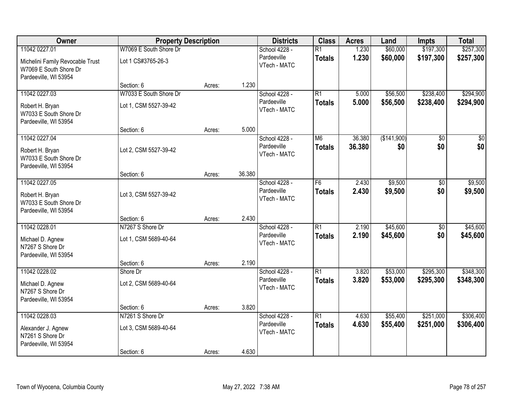| Owner                                                                               |                        | <b>Property Description</b> |        |                             | <b>Class</b>    | <b>Acres</b> | Land        | <b>Impts</b>    | <b>Total</b>  |
|-------------------------------------------------------------------------------------|------------------------|-----------------------------|--------|-----------------------------|-----------------|--------------|-------------|-----------------|---------------|
| 11042 0227.01                                                                       | W7069 E South Shore Dr |                             |        | School 4228 -               | $\overline{R1}$ | 1.230        | \$60,000    | \$197,300       | \$257,300     |
| Michelini Family Revocable Trust<br>W7069 E South Shore Dr<br>Pardeeville, WI 53954 | Lot 1 CS#3765-26-3     |                             |        | Pardeeville<br>VTech - MATC | <b>Totals</b>   | 1.230        | \$60,000    | \$197,300       | \$257,300     |
|                                                                                     | Section: 6             | Acres:                      | 1.230  |                             |                 |              |             |                 |               |
| 11042 0227.03                                                                       | W7033 E South Shore Dr |                             |        | School 4228 -               | $\overline{R1}$ | 5.000        | \$56,500    | \$238,400       | \$294,900     |
| Robert H. Bryan<br>W7033 E South Shore Dr<br>Pardeeville, WI 53954                  | Lot 1, CSM 5527-39-42  |                             |        | Pardeeville<br>VTech - MATC | <b>Totals</b>   | 5.000        | \$56,500    | \$238,400       | \$294,900     |
|                                                                                     | Section: 6             | Acres:                      | 5.000  |                             |                 |              |             |                 |               |
| 11042 0227.04                                                                       |                        |                             |        | School 4228 -               | M <sub>6</sub>  | 36.380       | (\$141,900) | $\overline{50}$ | $\frac{1}{2}$ |
| Robert H. Bryan<br>W7033 E South Shore Dr<br>Pardeeville, WI 53954                  | Lot 2, CSM 5527-39-42  |                             |        | Pardeeville<br>VTech - MATC | <b>Totals</b>   | 36.380       | \$0         | \$0             | \$0           |
|                                                                                     | Section: 6             | Acres:                      | 36.380 |                             |                 |              |             |                 |               |
| 11042 0227.05                                                                       |                        |                             |        | School 4228 -               | $\overline{F6}$ | 2.430        | \$9,500     | \$0             | \$9,500       |
| Robert H. Bryan<br>W7033 E South Shore Dr<br>Pardeeville, WI 53954                  | Lot 3, CSM 5527-39-42  |                             |        | Pardeeville<br>VTech - MATC | <b>Totals</b>   | 2.430        | \$9,500     | \$0             | \$9,500       |
|                                                                                     | Section: 6             | Acres:                      | 2.430  |                             |                 |              |             |                 |               |
| 11042 0228.01                                                                       | N7267 S Shore Dr       |                             |        | School 4228 -               | $\overline{R1}$ | 2.190        | \$45,600    | \$0             | \$45,600      |
| Michael D. Agnew<br>N7267 S Shore Dr<br>Pardeeville, WI 53954                       | Lot 1, CSM 5689-40-64  |                             |        | Pardeeville<br>VTech - MATC | <b>Totals</b>   | 2.190        | \$45,600    | \$0             | \$45,600      |
|                                                                                     | Section: 6             | Acres:                      | 2.190  |                             |                 |              |             |                 |               |
| 11042 0228.02                                                                       | Shore Dr               |                             |        | School 4228 -               | $\overline{R1}$ | 3.820        | \$53,000    | \$295,300       | \$348,300     |
| Michael D. Agnew<br>N7267 S Shore Dr<br>Pardeeville, WI 53954                       | Lot 2, CSM 5689-40-64  |                             |        | Pardeeville<br>VTech - MATC | <b>Totals</b>   | 3.820        | \$53,000    | \$295,300       | \$348,300     |
|                                                                                     | Section: 6             | Acres:                      | 3.820  |                             |                 |              |             |                 |               |
| 11042 0228.03                                                                       | N7261 S Shore Dr       |                             |        | School 4228 -               | $\overline{R1}$ | 4.630        | \$55,400    | \$251,000       | \$306,400     |
| Alexander J. Agnew<br>N7261 S Shore Dr<br>Pardeeville, WI 53954                     | Lot 3, CSM 5689-40-64  |                             |        | Pardeeville<br>VTech - MATC | <b>Totals</b>   | 4.630        | \$55,400    | \$251,000       | \$306,400     |
|                                                                                     | Section: 6             | Acres:                      | 4.630  |                             |                 |              |             |                 |               |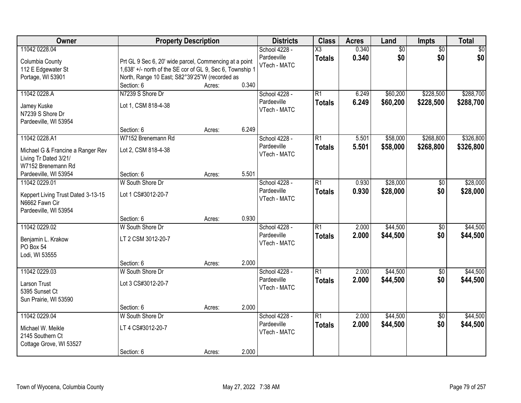| <b>Owner</b>                                                                                                            | <b>Property Description</b>                                                                                                                                           |                  |                | <b>Districts</b>                             | <b>Class</b>                            | <b>Acres</b>   | Land                 | <b>Impts</b>           | <b>Total</b>           |
|-------------------------------------------------------------------------------------------------------------------------|-----------------------------------------------------------------------------------------------------------------------------------------------------------------------|------------------|----------------|----------------------------------------------|-----------------------------------------|----------------|----------------------|------------------------|------------------------|
| 11042 0228.04<br>Columbia County<br>112 E Edgewater St<br>Portage, WI 53901                                             | Prt GL 9 Sec 6, 20' wide parcel, Commencing at a point<br>1,638' +/- north of the SE cor of GL 9, Sec 6, Township 1<br>North, Range 10 East; S82°39'25"W (recorded as |                  |                | School 4228 -<br>Pardeeville<br>VTech - MATC | $\overline{\text{X3}}$<br><b>Totals</b> | 0.340<br>0.340 | \$0<br>\$0           | $\overline{50}$<br>\$0 | \$0<br>\$0             |
| 11042 0228.A<br>Jamey Kuske<br>N7239 S Shore Dr<br>Pardeeville, WI 53954                                                | Section: 6<br>N7239 S Shore Dr<br>Lot 1, CSM 818-4-38                                                                                                                 | Acres:           | 0.340          | School 4228 -<br>Pardeeville<br>VTech - MATC | $\overline{R1}$<br><b>Totals</b>        | 6.249<br>6.249 | \$60,200<br>\$60,200 | \$228,500<br>\$228,500 | \$288,700<br>\$288,700 |
| 11042 0228.A1<br>Michael G & Francine a Ranger Rev<br>Living Tr Dated 3/21/<br>W7152 Brenemann Rd                       | Section: 6<br>W7152 Brenemann Rd<br>Lot 2, CSM 818-4-38                                                                                                               | Acres:           | 6.249          | School 4228 -<br>Pardeeville<br>VTech - MATC | $\overline{R1}$<br><b>Totals</b>        | 5.501<br>5.501 | \$58,000<br>\$58,000 | \$268,800<br>\$268,800 | \$326,800<br>\$326,800 |
| Pardeeville, WI 53954<br>11042 0229.01<br>Keppert Living Trust Dated 3-13-15<br>N6662 Fawn Cir<br>Pardeeville, WI 53954 | Section: 6<br>W South Shore Dr<br>Lot 1 CS#3012-20-7                                                                                                                  | Acres:           | 5.501          | School 4228 -<br>Pardeeville<br>VTech - MATC | $\overline{R1}$<br><b>Totals</b>        | 0.930<br>0.930 | \$28,000<br>\$28,000 | $\sqrt[6]{}$<br>\$0    | \$28,000<br>\$28,000   |
| 11042 0229.02<br>Benjamin L. Krakow<br>PO Box 54<br>Lodi, WI 53555                                                      | Section: 6<br>W South Shore Dr<br>LT 2 CSM 3012-20-7<br>Section: 6                                                                                                    | Acres:           | 0.930<br>2.000 | School 4228 -<br>Pardeeville<br>VTech - MATC | $\overline{R1}$<br><b>Totals</b>        | 2.000<br>2.000 | \$44,500<br>\$44,500 | $\overline{50}$<br>\$0 | \$44,500<br>\$44,500   |
| 11042 0229.03<br>Larson Trust<br>5395 Sunset Ct<br>Sun Prairie, WI 53590                                                | W South Shore Dr<br>Lot 3 CS#3012-20-7<br>Section: 6                                                                                                                  | Acres:<br>Acres: | 2.000          | School 4228 -<br>Pardeeville<br>VTech - MATC | $\overline{R1}$<br><b>Totals</b>        | 2.000<br>2.000 | \$44,500<br>\$44,500 | $\overline{50}$<br>\$0 | \$44,500<br>\$44,500   |
| 11042 0229.04<br>Michael W. Meikle<br>2145 Southern Ct<br>Cottage Grove, WI 53527                                       | W South Shore Dr<br>LT 4 CS#3012-20-7<br>Section: 6                                                                                                                   | Acres:           | 2.000          | School 4228 -<br>Pardeeville<br>VTech - MATC | $\overline{R1}$<br><b>Totals</b>        | 2.000<br>2.000 | \$44,500<br>\$44,500 | $\overline{50}$<br>\$0 | \$44,500<br>\$44,500   |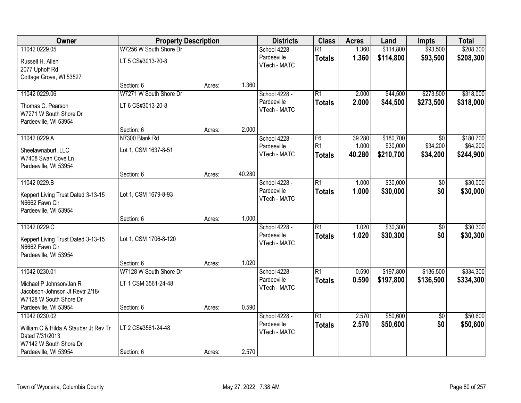| Owner                                 | <b>Property Description</b> |        |        | <b>Districts</b> | <b>Class</b>    | <b>Acres</b> | Land      | <b>Impts</b>    | <b>Total</b> |
|---------------------------------------|-----------------------------|--------|--------|------------------|-----------------|--------------|-----------|-----------------|--------------|
| 11042 0229.05                         | W7256 W South Shore Dr      |        |        | School 4228 -    | $\overline{R1}$ | 1.360        | \$114,800 | \$93,500        | \$208,300    |
| Russell H. Allen                      | LT 5 CS#3013-20-8           |        |        | Pardeeville      | <b>Totals</b>   | 1.360        | \$114,800 | \$93,500        | \$208,300    |
| 2077 Uphoff Rd                        |                             |        |        | VTech - MATC     |                 |              |           |                 |              |
| Cottage Grove, WI 53527               |                             |        |        |                  |                 |              |           |                 |              |
|                                       | Section: 6                  | Acres: | 1.360  |                  |                 |              |           |                 |              |
| 11042 0229.06                         | W7271 W South Shore Dr      |        |        | School 4228 -    | $\overline{R1}$ | 2.000        | \$44,500  | \$273,500       | \$318,000    |
| Thomas C. Pearson                     | LT 6 CS#3013-20-8           |        |        | Pardeeville      | <b>Totals</b>   | 2.000        | \$44,500  | \$273,500       | \$318,000    |
| W7271 W South Shore Dr                |                             |        |        | VTech - MATC     |                 |              |           |                 |              |
| Pardeeville, WI 53954                 |                             |        |        |                  |                 |              |           |                 |              |
|                                       | Section: 6                  | Acres: | 2.000  |                  |                 |              |           |                 |              |
| 11042 0229.A                          | N7300 Blank Rd              |        |        | School 4228 -    | F <sub>6</sub>  | 39.280       | \$180,700 | \$0             | \$180,700    |
| Sheelawnaburt, LLC                    | Lot 1, CSM 1637-8-51        |        |        | Pardeeville      | R <sub>1</sub>  | 1.000        | \$30,000  | \$34,200        | \$64,200     |
| W7408 Swan Cove Ln                    |                             |        |        | VTech - MATC     | <b>Totals</b>   | 40.280       | \$210,700 | \$34,200        | \$244,900    |
| Pardeeville, WI 53954                 |                             |        |        |                  |                 |              |           |                 |              |
|                                       | Section: 6                  | Acres: | 40.280 |                  |                 |              |           |                 |              |
| 11042 0229.B                          |                             |        |        | School 4228 -    | $\overline{R1}$ | 1.000        | \$30,000  | \$0             | \$30,000     |
| Keppert Living Trust Dated 3-13-15    | Lot 1, CSM 1679-8-93        |        |        | Pardeeville      | <b>Totals</b>   | 1.000        | \$30,000  | \$0             | \$30,000     |
| N6662 Fawn Cir                        |                             |        |        | VTech - MATC     |                 |              |           |                 |              |
| Pardeeville, WI 53954                 |                             |        |        |                  |                 |              |           |                 |              |
|                                       | Section: 6                  | Acres: | 1.000  |                  |                 |              |           |                 |              |
| 11042 0229.C                          |                             |        |        | School 4228 -    | $\overline{R1}$ | 1.020        | \$30,300  | $\overline{50}$ | \$30,300     |
| Keppert Living Trust Dated 3-13-15    | Lot 1, CSM 1706-8-120       |        |        | Pardeeville      | <b>Totals</b>   | 1.020        | \$30,300  | \$0             | \$30,300     |
| N6662 Fawn Cir                        |                             |        |        | VTech - MATC     |                 |              |           |                 |              |
| Pardeeville, WI 53954                 |                             |        |        |                  |                 |              |           |                 |              |
|                                       | Section: 6                  | Acres: | 1.020  |                  |                 |              |           |                 |              |
| 11042 0230.01                         | W7128 W South Shore Dr      |        |        | School 4228 -    | $\overline{R1}$ | 0.590        | \$197,800 | \$136,500       | \$334,300    |
| Michael P Johnson/Jan R               | LT 1 CSM 3561-24-48         |        |        | Pardeeville      | <b>Totals</b>   | 0.590        | \$197,800 | \$136,500       | \$334,300    |
| Jacobson-Johnson Jt Revtr 2/18/       |                             |        |        | VTech - MATC     |                 |              |           |                 |              |
| W7128 W South Shore Dr                |                             |        |        |                  |                 |              |           |                 |              |
| Pardeeville, WI 53954                 | Section: 6                  | Acres: | 0.590  |                  |                 |              |           |                 |              |
| 11042 0230.02                         |                             |        |        | School 4228 -    | $\overline{R1}$ | 2.570        | \$50,600  | $\overline{50}$ | \$50,600     |
| William C & Hilda A Stauber Jt Rev Tr | LT 2 CS#3561-24-48          |        |        | Pardeeville      | <b>Totals</b>   | 2.570        | \$50,600  | \$0             | \$50,600     |
| Dated 7/31/2013                       |                             |        |        | VTech - MATC     |                 |              |           |                 |              |
| W7142 W South Shore Dr                |                             |        |        |                  |                 |              |           |                 |              |
| Pardeeville, WI 53954                 | Section: 6                  | Acres: | 2.570  |                  |                 |              |           |                 |              |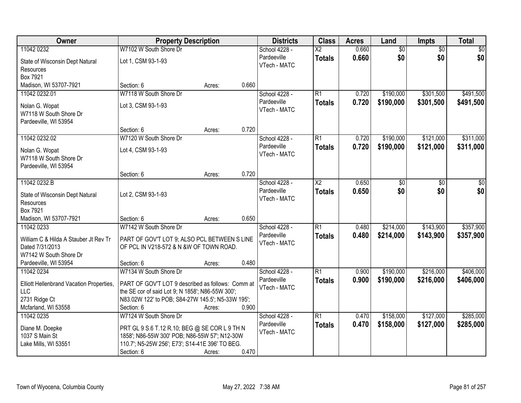| Owner                                                             | <b>Property Description</b>                       |        |       | <b>Districts</b>             | <b>Class</b>             | <b>Acres</b> | Land            | Impts           | <b>Total</b> |
|-------------------------------------------------------------------|---------------------------------------------------|--------|-------|------------------------------|--------------------------|--------------|-----------------|-----------------|--------------|
| 11042 0232                                                        | W7102 W South Shore Dr                            |        |       | School 4228 -                | $\overline{\mathsf{X2}}$ | 0.660        | $\overline{60}$ | $\overline{50}$ | \$0          |
| State of Wisconsin Dept Natural<br>Resources                      | Lot 1, CSM 93-1-93                                |        |       | Pardeeville<br>VTech - MATC  | <b>Totals</b>            | 0.660        | \$0             | \$0             | \$0          |
| Box 7921                                                          |                                                   |        |       |                              |                          |              |                 |                 |              |
| Madison, WI 53707-7921                                            | Section: 6                                        | Acres: | 0.660 |                              |                          |              |                 |                 |              |
| 11042 0232.01                                                     | W7118 W South Shore Dr                            |        |       | School 4228 -                | $\overline{R1}$          | 0.720        | \$190,000       | \$301,500       | \$491,500    |
| Nolan G. Wopat<br>W7118 W South Shore Dr<br>Pardeeville, WI 53954 | Lot 3, CSM 93-1-93                                |        |       | Pardeeville<br>VTech - MATC  | <b>Totals</b>            | 0.720        | \$190,000       | \$301,500       | \$491,500    |
|                                                                   | Section: 6                                        | Acres: | 0.720 |                              |                          |              |                 |                 |              |
| 11042 0232.02                                                     | W7120 W South Shore Dr                            |        |       | School 4228 -                | $\overline{R1}$          | 0.720        | \$190,000       | \$121,000       | \$311,000    |
| Nolan G. Wopat<br>W7118 W South Shore Dr<br>Pardeeville, WI 53954 | Lot 4, CSM 93-1-93                                |        |       | Pardeeville<br>VTech - MATC  | <b>Totals</b>            | 0.720        | \$190,000       | \$121,000       | \$311,000    |
|                                                                   | Section: 6                                        | Acres: | 0.720 |                              |                          |              |                 |                 |              |
| 11042 0232.B                                                      |                                                   |        |       | School 4228 -                | $\overline{\text{X2}}$   | 0.650        | \$0             | \$0             | \$0          |
| State of Wisconsin Dept Natural<br>Resources                      | Lot 2, CSM 93-1-93                                |        |       | Pardeeville<br>VTech - MATC  | <b>Totals</b>            | 0.650        | \$0             | \$0             | \$0          |
| Box 7921<br>Madison, WI 53707-7921                                | Section: 6                                        | Acres: | 0.650 |                              |                          |              |                 |                 |              |
| 11042 0233                                                        | W7142 W South Shore Dr                            |        |       | School 4228 -                | $\overline{R1}$          | 0.480        | \$214,000       | \$143,900       | \$357,900    |
|                                                                   |                                                   |        |       | Pardeeville                  | <b>Totals</b>            | 0.480        | \$214,000       | \$143,900       | \$357,900    |
| William C & Hilda A Stauber Jt Rev Tr                             | PART OF GOV'T LOT 9; ALSO PCL BETWEEN S LINE      |        |       | VTech - MATC                 |                          |              |                 |                 |              |
| Dated 7/31/2013                                                   | OF PCL IN V218-572 & N &W OF TOWN ROAD.           |        |       |                              |                          |              |                 |                 |              |
| W7142 W South Shore Dr<br>Pardeeville, WI 53954                   | Section: 6                                        |        | 0.480 |                              |                          |              |                 |                 |              |
| 11042 0234                                                        | W7134 W South Shore Dr                            | Acres: |       | School 4228 -                | $\overline{R1}$          | 0.900        | \$190,000       | \$216,000       | \$406,000    |
|                                                                   |                                                   |        |       | Pardeeville                  | <b>Totals</b>            | 0.900        | \$190,000       | \$216,000       | \$406,000    |
| Elliott Hellenbrand Vacation Properties,                          | PART OF GOV'T LOT 9 described as follows: Comm at |        |       | VTech - MATC                 |                          |              |                 |                 |              |
| <b>LLC</b>                                                        | the SE cor of said Lot 9; N 1858'; N86-55W 300';  |        |       |                              |                          |              |                 |                 |              |
| 2731 Ridge Ct                                                     | N83.02W 122' to POB; S84-27W 145.5'; N5-33W 195'; |        |       |                              |                          |              |                 |                 |              |
| Mcfarland, WI 53558                                               | Section: 6                                        | Acres: | 0.900 |                              |                          |              |                 |                 |              |
| 11042 0235                                                        | W7124 W South Shore Dr                            |        |       | School 4228 -<br>Pardeeville | $\overline{R1}$          | 0.470        | \$158,000       | \$127,000       | \$285,000    |
| Diane M. Doepke                                                   | PRT GL 9 S.6 T.12 R.10; BEG @ SE COR L 9 TH N     |        |       | VTech - MATC                 | <b>Totals</b>            | 0.470        | \$158,000       | \$127,000       | \$285,000    |
| 1037 S Main St                                                    | 1858'; N86-55W 300' POB; N86-55W 57'; N12-30W     |        |       |                              |                          |              |                 |                 |              |
| Lake Mills, WI 53551                                              | 110.7'; N5-25W 256'; E73'; S14-41E 396' TO BEG.   |        |       |                              |                          |              |                 |                 |              |
|                                                                   | Section: 6                                        | Acres: | 0.470 |                              |                          |              |                 |                 |              |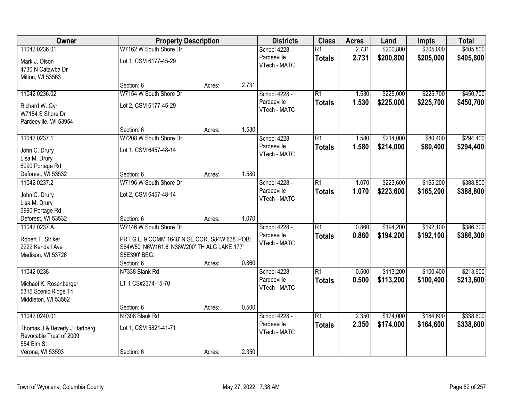| Owner                                        | <b>Property Description</b>                    |        |       | <b>Districts</b>            | <b>Class</b>    | <b>Acres</b> | Land      | <b>Impts</b> | <b>Total</b> |
|----------------------------------------------|------------------------------------------------|--------|-------|-----------------------------|-----------------|--------------|-----------|--------------|--------------|
| 11042 0236.01                                | W7162 W South Shore Dr                         |        |       | School 4228 -               | $\overline{R1}$ | 2.731        | \$200,800 | \$205,000    | \$405,800    |
| Mark J. Olson<br>4730 N Catawba Dr           | Lot 1, CSM 6177-45-29                          |        |       | Pardeeville<br>VTech - MATC | <b>Totals</b>   | 2.731        | \$200,800 | \$205,000    | \$405,800    |
| Milton, WI 53563                             |                                                |        |       |                             |                 |              |           |              |              |
|                                              | Section: 6                                     | Acres: | 2.731 |                             |                 |              |           |              |              |
| 11042 0236.02                                | W7154 W South Shore Dr                         |        |       | School 4228 -               | $\overline{R1}$ | 1.530        | \$225,000 | \$225,700    | \$450,700    |
| Richard W. Gyr                               | Lot 2, CSM 6177-45-29                          |        |       | Pardeeville                 | <b>Totals</b>   | 1.530        | \$225,000 | \$225,700    | \$450,700    |
| W7154 S Shore Dr                             |                                                |        |       | VTech - MATC                |                 |              |           |              |              |
| Pardeeville, WI 53954                        |                                                |        |       |                             |                 |              |           |              |              |
|                                              | Section: 6                                     | Acres: | 1.530 |                             |                 |              |           |              |              |
| 11042 0237.1                                 | W7208 W South Shore Dr                         |        |       | School 4228 -               | $\overline{R1}$ | 1.580        | \$214,000 | \$80,400     | \$294,400    |
|                                              |                                                |        |       | Pardeeville                 | <b>Totals</b>   | 1.580        | \$214,000 | \$80,400     | \$294,400    |
| John C. Drury<br>Lisa M. Drury               | Lot 1, CSM 6457-48-14                          |        |       | VTech - MATC                |                 |              |           |              |              |
| 6990 Portage Rd                              |                                                |        |       |                             |                 |              |           |              |              |
| Deforest, WI 53532                           | Section: 6                                     | Acres: | 1.580 |                             |                 |              |           |              |              |
| 11042 0237.2                                 | W7196 W South Shore Dr                         |        |       | School 4228 -               | $\overline{R1}$ | 1.070        | \$223,600 | \$165,200    | \$388,800    |
|                                              |                                                |        |       | Pardeeville                 | <b>Totals</b>   | 1.070        | \$223,600 | \$165,200    | \$388,800    |
| John C. Drury                                | Lot 2, CSM 6457-48-14                          |        |       | VTech - MATC                |                 |              |           |              |              |
| Lisa M. Drury                                |                                                |        |       |                             |                 |              |           |              |              |
| 6990 Portage Rd                              |                                                |        |       |                             |                 |              |           |              |              |
| Deforest, WI 53532                           | Section: 6                                     | Acres: | 1.070 |                             |                 |              |           |              |              |
| 11042 0237.A                                 | W7146 W South Shore Dr                         |        |       | School 4228 -               | $\overline{R1}$ | 0.860        | \$194,200 | \$192,100    | \$386,300    |
| Robert T. Striker                            | PRT G.L. 9 COMM 1648' N SE COR. S84W 638' POB; |        |       | Pardeeville                 | <b>Totals</b>   | 0.860        | \$194,200 | \$192,100    | \$386,300    |
| 2222 Kendall Ave                             | S84W50' N6W161.6' N38W200' TH ALG LAKE 177'    |        |       | VTech - MATC                |                 |              |           |              |              |
| Madison, WI 53726                            | S5E390' BEG.                                   |        |       |                             |                 |              |           |              |              |
|                                              | Section: 6                                     | Acres: | 0.860 |                             |                 |              |           |              |              |
| 11042 0238                                   | N7338 Blank Rd                                 |        |       | School 4228 -               | $\overline{R1}$ | 0.500        | \$113,200 | \$100,400    | \$213,600    |
|                                              |                                                |        |       | Pardeeville                 | <b>Totals</b>   | 0.500        | \$113,200 | \$100,400    | \$213,600    |
| Michael K. Rosenberger                       | LT 1 CS#2374-15-70                             |        |       | VTech - MATC                |                 |              |           |              |              |
| 5315 Scenic Ridge Trl<br>Middleton, WI 53562 |                                                |        |       |                             |                 |              |           |              |              |
|                                              | Section: 6                                     | Acres: | 0.500 |                             |                 |              |           |              |              |
| 11042 0240.01                                | N7308 Blank Rd                                 |        |       | School 4228 -               | $\overline{R1}$ | 2.350        | \$174,000 | \$164,600    | \$338,600    |
|                                              |                                                |        |       | Pardeeville                 | <b>Totals</b>   | 2.350        | \$174,000 | \$164,600    | \$338,600    |
| Thomas J & Beverly J Hartberg                | Lot 1, CSM 5821-41-71                          |        |       | VTech - MATC                |                 |              |           |              |              |
| Revocable Trust of 2009                      |                                                |        |       |                             |                 |              |           |              |              |
| 554 Elm St                                   |                                                |        |       |                             |                 |              |           |              |              |
| Verona, WI 53593                             | Section: 6                                     | Acres: | 2.350 |                             |                 |              |           |              |              |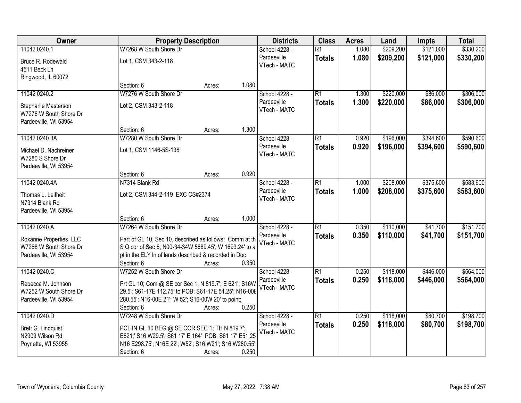| Owner                             |                                                         | <b>Property Description</b> |       | <b>Districts</b>             | <b>Class</b>    | <b>Acres</b> | Land      | <b>Impts</b> | <b>Total</b> |
|-----------------------------------|---------------------------------------------------------|-----------------------------|-------|------------------------------|-----------------|--------------|-----------|--------------|--------------|
| 11042 0240.1                      | W7268 W South Shore Dr                                  |                             |       | School 4228 -                | $\overline{R1}$ | 1.080        | \$209,200 | \$121,000    | \$330,200    |
| Bruce R. Rodewald<br>4511 Beck Ln | Lot 1, CSM 343-2-118                                    |                             |       | Pardeeville<br>VTech - MATC  | <b>Totals</b>   | 1.080        | \$209,200 | \$121,000    | \$330,200    |
| Ringwood, IL 60072                |                                                         |                             |       |                              |                 |              |           |              |              |
|                                   | Section: 6                                              | Acres:                      | 1.080 |                              |                 |              |           |              |              |
| 11042 0240.2                      | W7276 W South Shore Dr                                  |                             |       | School 4228 -                | $\overline{R1}$ | 1.300        | \$220,000 | \$86,000     | \$306,000    |
| Stephanie Masterson               | Lot 2, CSM 343-2-118                                    |                             |       | Pardeeville                  | <b>Totals</b>   | 1.300        | \$220,000 | \$86,000     | \$306,000    |
| W7276 W South Shore Dr            |                                                         |                             |       | VTech - MATC                 |                 |              |           |              |              |
| Pardeeville, WI 53954             |                                                         |                             |       |                              |                 |              |           |              |              |
|                                   | Section: 6                                              | Acres:                      | 1.300 |                              |                 |              |           |              |              |
| 11042 0240.3A                     | W7280 W South Shore Dr                                  |                             |       | School 4228 -                | $\overline{R1}$ | 0.920        | \$196,000 | \$394,600    | \$590,600    |
| Michael D. Nachreiner             | Lot 1, CSM 1146-5S-138                                  |                             |       | Pardeeville                  | <b>Totals</b>   | 0.920        | \$196,000 | \$394,600    | \$590,600    |
| W7280 S Shore Dr                  |                                                         |                             |       | VTech - MATC                 |                 |              |           |              |              |
| Pardeeville, WI 53954             |                                                         |                             |       |                              |                 |              |           |              |              |
|                                   | Section: 6                                              | Acres:                      | 0.920 |                              |                 |              |           |              |              |
| 11042 0240.4A                     | N7314 Blank Rd                                          |                             |       | School 4228 -                | $\overline{R1}$ | 1.000        | \$208,000 | \$375,600    | \$583,600    |
| Thomas L. Leifheit                | Lot 2, CSM 344-2-119 EXC CS#2374                        |                             |       | Pardeeville                  | <b>Totals</b>   | 1.000        | \$208,000 | \$375,600    | \$583,600    |
| N7314 Blank Rd                    |                                                         |                             |       | VTech - MATC                 |                 |              |           |              |              |
| Pardeeville, WI 53954             |                                                         |                             |       |                              |                 |              |           |              |              |
|                                   | Section: 6                                              | Acres:                      | 1.000 |                              |                 |              |           |              |              |
| 11042 0240.A                      | W7264 W South Shore Dr                                  |                             |       | School 4228 -                | $\overline{R1}$ | 0.350        | \$110,000 | \$41,700     | \$151,700    |
| Roxanne Properties, LLC           | Part of GL 10, Sec 10, described as follows: Comm at th |                             |       | Pardeeville                  | <b>Totals</b>   | 0.350        | \$110,000 | \$41,700     | \$151,700    |
| W7268 W South Shore Dr            | S Q cor of Sec 6; N00-34-34W 5689.45'; W 1693.24' to a  |                             |       | VTech - MATC                 |                 |              |           |              |              |
| Pardeeville, WI 53954             | pt in the ELY In of lands described & recorded in Doc   |                             |       |                              |                 |              |           |              |              |
|                                   | Section: 6                                              | Acres:                      | 0.350 |                              |                 |              |           |              |              |
| 11042 0240.C                      | W7252 W South Shore Dr                                  |                             |       | School 4228 -                | $\overline{R1}$ | 0.250        | \$118,000 | \$446,000    | \$564,000    |
| Rebecca M. Johnson                | Prt GL 10; Com @ SE cor Sec 1, N 819.7'; E 621'; S16W   |                             |       | Pardeeville<br>VTech - MATC  | <b>Totals</b>   | 0.250        | \$118,000 | \$446,000    | \$564,000    |
| W7252 W South Shore Dr            | 29.5'; S61-17E 112.75' to POB; S61-17E 51.25'; N16-00E  |                             |       |                              |                 |              |           |              |              |
| Pardeeville, WI 53954             | 280.55'; N16-00E 21'; W 52'; S16-00W 20' to point;      |                             |       |                              |                 |              |           |              |              |
|                                   | Section: 6                                              | Acres:                      | 0.250 |                              |                 |              |           |              |              |
| 11042 0240.D                      | W7248 W South Shore Dr                                  |                             |       | School 4228 -<br>Pardeeville | $\overline{R1}$ | 0.250        | \$118,000 | \$80,700     | \$198,700    |
| Brett G. Lindquist                | PCL IN GL 10 BEG @ SE COR SEC 1; TH N 819.7';           |                             |       | VTech - MATC                 | <b>Totals</b>   | 0.250        | \$118,000 | \$80,700     | \$198,700    |
| N2909 Wilson Rd                   | E621;' S16 W29.5'; S61 17' E 164' POB; S61 17' E51.25   |                             |       |                              |                 |              |           |              |              |
| Poynette, WI 53955                | N16 E298.75'; N16E 22'; W52'; S16 W21'; S16 W280.55'    |                             |       |                              |                 |              |           |              |              |
|                                   | Section: 6                                              | Acres:                      | 0.250 |                              |                 |              |           |              |              |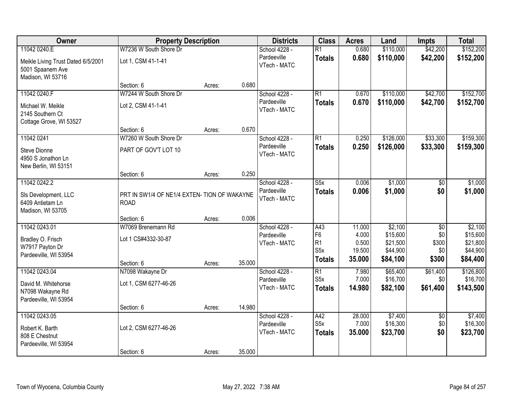| Owner                                                                                       | <b>Property Description</b>                                 |        |        | <b>Districts</b>                             | <b>Class</b>                                                     | <b>Acres</b>                                 | Land                                                    | <b>Impts</b>                        | <b>Total</b>                                            |
|---------------------------------------------------------------------------------------------|-------------------------------------------------------------|--------|--------|----------------------------------------------|------------------------------------------------------------------|----------------------------------------------|---------------------------------------------------------|-------------------------------------|---------------------------------------------------------|
| 11042 0240.E<br>Meikle Living Trust Dated 6/5/2001<br>5001 Spaanem Ave<br>Madison, WI 53716 | W7236 W South Shore Dr<br>Lot 1, CSM 41-1-41                |        |        | School 4228 -<br>Pardeeville<br>VTech - MATC | $\overline{R1}$<br><b>Totals</b>                                 | 0.680<br>0.680                               | \$110,000<br>\$110,000                                  | \$42,200<br>\$42,200                | \$152,200<br>\$152,200                                  |
|                                                                                             | Section: 6                                                  | Acres: | 0.680  |                                              |                                                                  |                                              |                                                         |                                     |                                                         |
| 11042 0240.F<br>Michael W. Meikle<br>2145 Southern Ct<br>Cottage Grove, WI 53527            | W7244 W South Shore Dr<br>Lot 2, CSM 41-1-41                |        |        | School 4228 -<br>Pardeeville<br>VTech - MATC | $\overline{R1}$<br><b>Totals</b>                                 | 0.670<br>0.670                               | \$110,000<br>\$110,000                                  | \$42,700<br>\$42,700                | \$152,700<br>\$152,700                                  |
| 11042 0241                                                                                  | Section: 6<br>W7260 W South Shore Dr                        | Acres: | 0.670  |                                              | $\overline{R1}$                                                  |                                              | \$126,000                                               | \$33,300                            | \$159,300                                               |
| Steve Dionne<br>4950 S Jonathon Ln<br>New Berlin, WI 53151                                  | PART OF GOV'T LOT 10                                        |        |        | School 4228 -<br>Pardeeville<br>VTech - MATC | <b>Totals</b>                                                    | 0.250<br>0.250                               | \$126,000                                               | \$33,300                            | \$159,300                                               |
|                                                                                             | Section: 6                                                  | Acres: | 0.250  |                                              |                                                                  |                                              |                                                         |                                     |                                                         |
| 11042 0242.2<br>SIs Development, LLC<br>6409 Antietam Ln<br>Madison, WI 53705               | PRT IN SW1/4 OF NE1/4 EXTEN- TION OF WAKAYNE<br><b>ROAD</b> |        |        | School 4228 -<br>Pardeeville<br>VTech - MATC | $\overline{\text{S5x}}$<br><b>Totals</b>                         | 0.006<br>0.006                               | \$1,000<br>\$1,000                                      | \$0<br>\$0                          | \$1,000<br>\$1,000                                      |
|                                                                                             | Section: 6                                                  | Acres: | 0.006  |                                              |                                                                  |                                              |                                                         |                                     |                                                         |
| 11042 0243.01<br>Bradley O. Frisch<br>W7917 Payton Dr<br>Pardeeville, WI 53954              | W7069 Brenemann Rd<br>Lot 1 CS#4332-30-87<br>Section: 6     | Acres: | 35.000 | School 4228 -<br>Pardeeville<br>VTech - MATC | A43<br>F <sub>6</sub><br>R1<br>S <sub>5</sub> x<br><b>Totals</b> | 11.000<br>4.000<br>0.500<br>19.500<br>35.000 | \$2,100<br>\$15,600<br>\$21,500<br>\$44,900<br>\$84,100 | \$0<br>\$0<br>\$300<br>\$0<br>\$300 | \$2,100<br>\$15,600<br>\$21,800<br>\$44,900<br>\$84,400 |
| 11042 0243.04<br>David M. Whitehorse<br>N7098 Wakayne Rd<br>Pardeeville, WI 53954           | N7098 Wakayne Dr<br>Lot 1, CSM 6277-46-26                   |        |        | School 4228 -<br>Pardeeville<br>VTech - MATC | $\overline{R1}$<br>S <sub>5</sub> x<br><b>Totals</b>             | 7.980<br>7.000<br>14.980                     | \$65,400<br>\$16,700<br>\$82,100                        | \$61,400<br>\$0 <br>\$61,400        | \$126,800<br>\$16,700<br>\$143,500                      |
| 11042 0243.05                                                                               | Section: 6                                                  | Acres: | 14.980 |                                              |                                                                  |                                              |                                                         |                                     |                                                         |
| Robert K. Barth<br>808 E Chestnut<br>Pardeeville, WI 53954                                  | Lot 2, CSM 6277-46-26                                       |        |        | School 4228 -<br>Pardeeville<br>VTech - MATC | A42<br>S <sub>5</sub> x<br><b>Totals</b>                         | 28.000<br>7.000<br>35.000                    | \$7,400<br>\$16,300<br>\$23,700                         | $\overline{50}$<br>\$0<br>\$0       | \$7,400<br>\$16,300<br>\$23,700                         |
|                                                                                             | Section: 6                                                  | Acres: | 35.000 |                                              |                                                                  |                                              |                                                         |                                     |                                                         |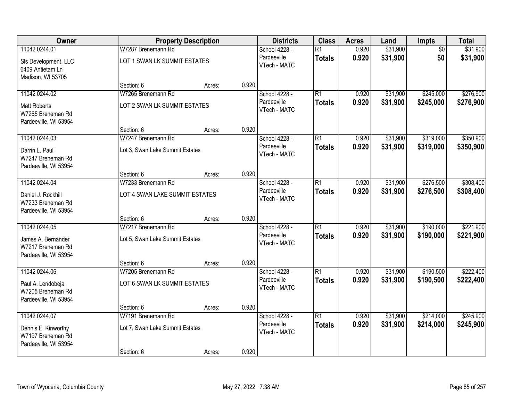| Owner                                                                              |                                                                     | <b>Property Description</b> |       | <b>Districts</b>                             | <b>Class</b>                     | <b>Acres</b>   | Land                 | <b>Impts</b>           | <b>Total</b>           |
|------------------------------------------------------------------------------------|---------------------------------------------------------------------|-----------------------------|-------|----------------------------------------------|----------------------------------|----------------|----------------------|------------------------|------------------------|
| 11042 0244.01<br>SIs Development, LLC<br>6409 Antietam Ln<br>Madison, WI 53705     | W7287 Brenemann Rd<br>LOT 1 SWAN LK SUMMIT ESTATES                  |                             |       | School 4228 -<br>Pardeeville<br>VTech - MATC | $\overline{R1}$<br><b>Totals</b> | 0.920<br>0.920 | \$31,900<br>\$31,900 | $\overline{50}$<br>\$0 | \$31,900<br>\$31,900   |
|                                                                                    | Section: 6                                                          | Acres:                      | 0.920 |                                              |                                  |                |                      |                        |                        |
| 11042 0244.02<br><b>Matt Roberts</b><br>W7265 Breneman Rd<br>Pardeeville, WI 53954 | W7265 Brenemann Rd<br>LOT 2 SWAN LK SUMMIT ESTATES                  |                             |       | School 4228 -<br>Pardeeville<br>VTech - MATC | $\overline{R1}$<br><b>Totals</b> | 0.920<br>0.920 | \$31,900<br>\$31,900 | \$245,000<br>\$245,000 | \$276,900<br>\$276,900 |
|                                                                                    | Section: 6                                                          | Acres:                      | 0.920 |                                              |                                  |                |                      |                        |                        |
| 11042 0244.03<br>Darrin L. Paul<br>W7247 Breneman Rd<br>Pardeeville, WI 53954      | W7247 Brenemann Rd<br>Lot 3, Swan Lake Summit Estates               |                             |       | School 4228 -<br>Pardeeville<br>VTech - MATC | $\overline{R1}$<br><b>Totals</b> | 0.920<br>0.920 | \$31,900<br>\$31,900 | \$319,000<br>\$319,000 | \$350,900<br>\$350,900 |
|                                                                                    | Section: 6                                                          | Acres:                      | 0.920 |                                              |                                  |                |                      |                        |                        |
| 11042 0244.04<br>Daniel J. Rockhill<br>W7233 Breneman Rd<br>Pardeeville, WI 53954  | W7233 Brenemann Rd<br>LOT 4 SWAN LAKE SUMMIT ESTATES                |                             |       | School 4228 -<br>Pardeeville<br>VTech - MATC | $\overline{R1}$<br><b>Totals</b> | 0.920<br>0.920 | \$31,900<br>\$31,900 | \$276,500<br>\$276,500 | \$308,400<br>\$308,400 |
|                                                                                    | Section: 6                                                          | Acres:                      | 0.920 |                                              |                                  |                |                      |                        |                        |
| 11042 0244.05<br>James A. Bernander<br>W7217 Breneman Rd<br>Pardeeville, WI 53954  | W7217 Brenemann Rd<br>Lot 5, Swan Lake Summit Estates               |                             |       | School 4228 -<br>Pardeeville<br>VTech - MATC | $\overline{R1}$<br><b>Totals</b> | 0.920<br>0.920 | \$31,900<br>\$31,900 | \$190,000<br>\$190,000 | \$221,900<br>\$221,900 |
|                                                                                    | Section: 6                                                          | Acres:                      | 0.920 |                                              |                                  |                |                      |                        |                        |
| 11042 0244.06<br>Paul A. Lendobeja<br>W7205 Breneman Rd<br>Pardeeville, WI 53954   | W7205 Brenemann Rd<br>LOT 6 SWAN LK SUMMIT ESTATES                  |                             |       | School 4228 -<br>Pardeeville<br>VTech - MATC | $\overline{R1}$<br><b>Totals</b> | 0.920<br>0.920 | \$31,900<br>\$31,900 | \$190,500<br>\$190,500 | \$222,400<br>\$222,400 |
|                                                                                    | Section: 6                                                          | Acres:                      | 0.920 |                                              |                                  |                |                      |                        |                        |
| 11042 0244.07<br>Dennis E. Kinworthy<br>W7197 Breneman Rd<br>Pardeeville, WI 53954 | W7191 Brenemann Rd<br>Lot 7, Swan Lake Summit Estates<br>Section: 6 | Acres:                      | 0.920 | School 4228 -<br>Pardeeville<br>VTech - MATC | $\overline{R1}$<br><b>Totals</b> | 0.920<br>0.920 | \$31,900<br>\$31,900 | \$214,000<br>\$214,000 | \$245,900<br>\$245,900 |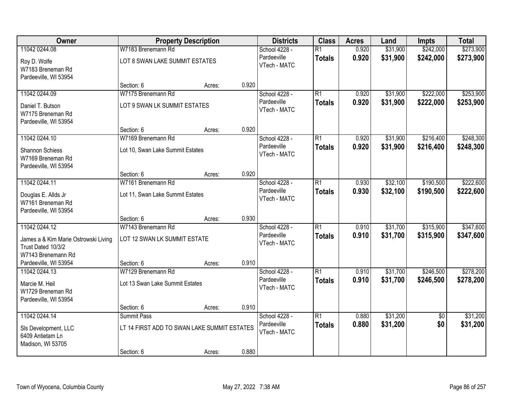| Owner                                                                            |                                             | <b>Property Description</b> |       | <b>Districts</b>            | <b>Class</b>    | <b>Acres</b> | Land     | <b>Impts</b>    | <b>Total</b> |
|----------------------------------------------------------------------------------|---------------------------------------------|-----------------------------|-------|-----------------------------|-----------------|--------------|----------|-----------------|--------------|
| 11042 0244.08                                                                    | W7183 Brenemann Rd                          |                             |       | School 4228 -               | $\overline{R1}$ | 0.920        | \$31,900 | \$242,000       | \$273,900    |
| Roy D. Wolfe<br>W7183 Breneman Rd<br>Pardeeville, WI 53954                       | LOT 8 SWAN LAKE SUMMIT ESTATES              |                             |       | Pardeeville<br>VTech - MATC | <b>Totals</b>   | 0.920        | \$31,900 | \$242,000       | \$273,900    |
|                                                                                  | Section: 6                                  | Acres:                      | 0.920 |                             |                 |              |          |                 |              |
| 11042 0244.09                                                                    | W7175 Brenemann Rd                          |                             |       | School 4228 -               | $\overline{R1}$ | 0.920        | \$31,900 | \$222,000       | \$253,900    |
| Daniel T. Butson<br>W7175 Breneman Rd<br>Pardeeville, WI 53954                   | LOT 9 SWAN LK SUMMIT ESTATES                |                             |       | Pardeeville<br>VTech - MATC | <b>Totals</b>   | 0.920        | \$31,900 | \$222,000       | \$253,900    |
|                                                                                  | Section: 6                                  | Acres:                      | 0.920 |                             |                 |              |          |                 |              |
| 11042 0244.10                                                                    | W7169 Brenemann Rd                          |                             |       | School 4228 -               | $\overline{R1}$ | 0.920        | \$31,900 | \$216,400       | \$248,300    |
| Shannon Schiess<br>W7169 Breneman Rd<br>Pardeeville, WI 53954                    | Lot 10, Swan Lake Summit Estates            |                             |       | Pardeeville<br>VTech - MATC | <b>Totals</b>   | 0.920        | \$31,900 | \$216,400       | \$248,300    |
|                                                                                  | Section: 6                                  | Acres:                      | 0.920 |                             |                 |              |          |                 |              |
| 11042 0244.11                                                                    | W7161 Brenemann Rd                          |                             |       | School 4228 -               | $\overline{R1}$ | 0.930        | \$32,100 | \$190,500       | \$222,600    |
| Douglas E. Allds Jr<br>W7161 Breneman Rd<br>Pardeeville, WI 53954                | Lot 11, Swan Lake Summit Estates            |                             |       | Pardeeville<br>VTech - MATC | <b>Totals</b>   | 0.930        | \$32,100 | \$190,500       | \$222,600    |
|                                                                                  | Section: 6                                  | Acres:                      | 0.930 |                             |                 |              |          |                 |              |
| 11042 0244.12                                                                    | W7143 Brenemann Rd                          |                             |       | School 4228 -               | $\overline{R1}$ | 0.910        | \$31,700 | \$315,900       | \$347,600    |
| James a & Kim Marie Ostrowski Living<br>Trust Dated 10/3/2<br>W7143 Brenemann Rd | LOT 12 SWAN LK SUMMIT ESTATE                |                             |       | Pardeeville<br>VTech - MATC | <b>Totals</b>   | 0.910        | \$31,700 | \$315,900       | \$347,600    |
| Pardeeville, WI 53954                                                            | Section: 6                                  | Acres:                      | 0.910 |                             |                 |              |          |                 |              |
| 11042 0244.13                                                                    | W7129 Brenemann Rd                          |                             |       | School 4228 -               | $\overline{R1}$ | 0.910        | \$31,700 | \$246,500       | \$278,200    |
| Marcie M. Heil<br>W1729 Breneman Rd<br>Pardeeville, WI 53954                     | Lot 13 Swan Lake Summit Estates             |                             |       | Pardeeville<br>VTech - MATC | <b>Totals</b>   | 0.910        | \$31,700 | \$246,500       | \$278,200    |
|                                                                                  | Section: 6                                  | Acres:                      | 0.910 |                             |                 |              |          |                 |              |
| 11042 0244.14                                                                    | Summit Pass                                 |                             |       | School 4228 -               | $\overline{R1}$ | 0.880        | \$31,200 | $\overline{50}$ | \$31,200     |
| SIs Development, LLC<br>6409 Antietam Ln<br>Madison, WI 53705                    | LT 14 FIRST ADD TO SWAN LAKE SUMMIT ESTATES |                             |       | Pardeeville<br>VTech - MATC | <b>Totals</b>   | 0.880        | \$31,200 | \$0             | \$31,200     |
|                                                                                  | Section: 6                                  | Acres:                      | 0.880 |                             |                 |              |          |                 |              |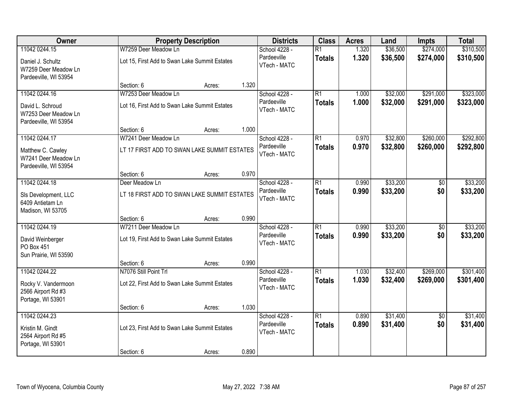| <b>Owner</b>                                                       |                                               | <b>Property Description</b> |       | <b>Districts</b>                             | <b>Class</b>                     | <b>Acres</b>   | Land                 | <b>Impts</b>           | <b>Total</b>         |
|--------------------------------------------------------------------|-----------------------------------------------|-----------------------------|-------|----------------------------------------------|----------------------------------|----------------|----------------------|------------------------|----------------------|
| 11042 0244.15                                                      | W7259 Deer Meadow Ln                          |                             |       | School 4228 -                                | $\overline{R1}$                  | 1.320          | \$36,500             | \$274,000              | \$310,500            |
| Daniel J. Schultz<br>W7259 Deer Meadow Ln<br>Pardeeville, WI 53954 | Lot 15, First Add to Swan Lake Summit Estates |                             |       | Pardeeville<br>VTech - MATC                  | <b>Totals</b>                    | 1.320          | \$36,500             | \$274,000              | \$310,500            |
|                                                                    | Section: 6                                    | Acres:                      | 1.320 |                                              |                                  |                |                      |                        |                      |
| 11042 0244.16                                                      | W7253 Deer Meadow Ln                          |                             |       | School 4228 -                                | $\overline{R1}$                  | 1.000          | \$32,000             | \$291,000              | \$323,000            |
| David L. Schroud<br>W7253 Deer Meadow Ln<br>Pardeeville, WI 53954  | Lot 16, First Add to Swan Lake Summit Estates |                             |       | Pardeeville<br>VTech - MATC                  | <b>Totals</b>                    | 1.000          | \$32,000             | \$291,000              | \$323,000            |
|                                                                    | Section: 6                                    | Acres:                      | 1.000 |                                              |                                  |                |                      |                        |                      |
| 11042 0244.17                                                      | W7241 Deer Meadow Ln                          |                             |       | School 4228 -                                | $\overline{R1}$                  | 0.970          | \$32,800             | \$260,000              | \$292,800            |
| Matthew C. Cawley<br>W7241 Deer Meadow Ln<br>Pardeeville, WI 53954 | LT 17 FIRST ADD TO SWAN LAKE SUMMIT ESTATES   |                             |       | Pardeeville<br>VTech - MATC                  | <b>Totals</b>                    | 0.970          | \$32,800             | \$260,000              | \$292,800            |
|                                                                    | Section: 6                                    | Acres:                      | 0.970 |                                              |                                  |                |                      |                        |                      |
| 11042 0244.18                                                      | Deer Meadow Ln                                |                             |       | School 4228 -                                | $\overline{R1}$                  | 0.990          | \$33,200             | \$0                    | \$33,200             |
| SIs Development, LLC<br>6409 Antietam Ln<br>Madison, WI 53705      | LT 18 FIRST ADD TO SWAN LAKE SUMMIT ESTATES   |                             |       | Pardeeville<br>VTech - MATC                  | <b>Totals</b>                    | 0.990          | \$33,200             | \$0                    | \$33,200             |
|                                                                    | Section: 6                                    | Acres:                      | 0.990 |                                              |                                  |                |                      |                        |                      |
| 11042 0244.19                                                      | W7211 Deer Meadow Ln                          |                             |       | School 4228 -                                | $\overline{R1}$                  | 0.990          | \$33,200             | \$0                    | \$33,200             |
| David Weinberger<br>PO Box 451<br>Sun Prairie, WI 53590            | Lot 19, First Add to Swan Lake Summit Estates |                             |       | Pardeeville<br>VTech - MATC                  | <b>Totals</b>                    | 0.990          | \$33,200             | \$0                    | \$33,200             |
|                                                                    | Section: 6                                    | Acres:                      | 0.990 |                                              |                                  |                |                      |                        |                      |
| 11042 0244.22                                                      | N7076 Still Point Trl                         |                             |       | School 4228 -                                | $\overline{R1}$                  | 1.030          | \$32,400             | \$269,000              | \$301,400            |
| Rocky V. Vandermoon<br>2566 Airport Rd #3<br>Portage, WI 53901     | Lot 22, First Add to Swan Lake Summit Estates |                             |       | Pardeeville<br>VTech - MATC                  | <b>Totals</b>                    | 1.030          | \$32,400             | \$269,000              | \$301,400            |
|                                                                    | Section: 6                                    | Acres:                      | 1.030 |                                              |                                  |                |                      |                        |                      |
| 11042 0244.23<br>Kristin M. Gindt<br>2564 Airport Rd #5            | Lot 23, First Add to Swan Lake Summit Estates |                             |       | School 4228 -<br>Pardeeville<br>VTech - MATC | $\overline{R1}$<br><b>Totals</b> | 0.890<br>0.890 | \$31,400<br>\$31,400 | $\overline{50}$<br>\$0 | \$31,400<br>\$31,400 |
| Portage, WI 53901                                                  | Section: 6                                    | Acres:                      | 0.890 |                                              |                                  |                |                      |                        |                      |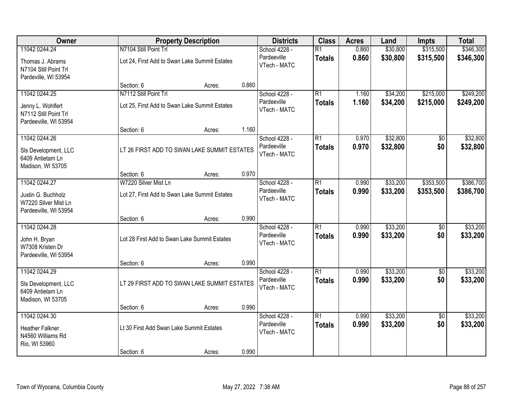| Owner                                                               |                                          | <b>Property Description</b>                   | <b>Districts</b>            | <b>Class</b>    | <b>Acres</b> | Land     | <b>Impts</b>    | <b>Total</b> |
|---------------------------------------------------------------------|------------------------------------------|-----------------------------------------------|-----------------------------|-----------------|--------------|----------|-----------------|--------------|
| 11042 0244.24                                                       | N7104 Still Point Trl                    |                                               | School 4228 -               | $\overline{R1}$ | 0.860        | \$30,800 | \$315,500       | \$346,300    |
| Thomas J. Abrams<br>N7104 Still Point Trl<br>Pardeville, WI 53954   |                                          | Lot 24, First Add to Swan Lake Summit Estates | Pardeeville<br>VTech - MATC | <b>Totals</b>   | 0.860        | \$30,800 | \$315,500       | \$346,300    |
|                                                                     | Section: 6                               | Acres:                                        | 0.860                       |                 |              |          |                 |              |
| 11042 0244.25                                                       | N7112 Still Point Trl                    |                                               | School 4228 -               | $\overline{R1}$ | 1.160        | \$34,200 | \$215,000       | \$249,200    |
| Jenny L. Wohlfert<br>N7112 Still Point Trl<br>Pardeeville, WI 53954 |                                          | Lot 25, First Add to Swan Lake Summit Estates | Pardeeville<br>VTech - MATC | <b>Totals</b>   | 1.160        | \$34,200 | \$215,000       | \$249,200    |
|                                                                     | Section: 6                               | Acres:                                        | 1.160                       |                 |              |          |                 |              |
| 11042 0244.26                                                       |                                          |                                               | School 4228 -               | $\overline{R1}$ | 0.970        | \$32,800 | \$0             | \$32,800     |
| SIs Development, LLC<br>6409 Antietam Ln<br>Madison, WI 53705       |                                          | LT 26 FIRST ADD TO SWAN LAKE SUMMIT ESTATES   | Pardeeville<br>VTech - MATC | <b>Totals</b>   | 0.970        | \$32,800 | \$0             | \$32,800     |
|                                                                     | Section: 6                               | Acres:                                        | 0.970                       |                 |              |          |                 |              |
| 11042 0244.27                                                       | W7220 Silver Mist Ln                     |                                               | School 4228 -               | $\overline{R1}$ | 0.990        | \$33,200 | \$353,500       | \$386,700    |
| Justin G. Buchholz<br>W7220 Silver Mist Ln<br>Pardeeville, WI 53954 |                                          | Lot 27, First Add to Swan Lake Summit Estates | Pardeeville<br>VTech - MATC | <b>Totals</b>   | 0.990        | \$33,200 | \$353,500       | \$386,700    |
|                                                                     | Section: 6                               | Acres:                                        | 0.990                       |                 |              |          |                 |              |
| 11042 0244.28                                                       |                                          |                                               | School 4228 -               | $\overline{R1}$ | 0.990        | \$33,200 | \$0             | \$33,200     |
| John H. Bryan<br>W7308 Kristen Dr<br>Pardeeville, WI 53954          |                                          | Lot 28 First Add to Swan Lake Summit Estates  | Pardeeville<br>VTech - MATC | <b>Totals</b>   | 0.990        | \$33,200 | \$0             | \$33,200     |
|                                                                     | Section: 6                               | Acres:                                        | 0.990                       |                 |              |          |                 |              |
| 11042 0244.29                                                       |                                          |                                               | School 4228 -               | $\overline{R1}$ | 0.990        | \$33,200 | $\overline{50}$ | \$33,200     |
| SIs Development, LLC<br>6409 Antietam Ln<br>Madison, WI 53705       |                                          | LT 29 FIRST ADD TO SWAN LAKE SUMMIT ESTATES   | Pardeeville<br>VTech - MATC | <b>Totals</b>   | 0.990        | \$33,200 | \$0             | \$33,200     |
|                                                                     | Section: 6                               | Acres:                                        | 0.990                       |                 |              |          |                 |              |
| 11042 0244.30                                                       |                                          |                                               | School 4228 -               | $\overline{R1}$ | 0.990        | \$33,200 | $\overline{50}$ | \$33,200     |
| <b>Heather Falkner</b><br>N4560 Williams Rd<br>Rio, WI 53960        | Lt 30 First Add Swan Lake Summit Estates |                                               | Pardeeville<br>VTech - MATC | <b>Totals</b>   | 0.990        | \$33,200 | \$0             | \$33,200     |
|                                                                     | Section: 6                               | Acres:                                        | 0.990                       |                 |              |          |                 |              |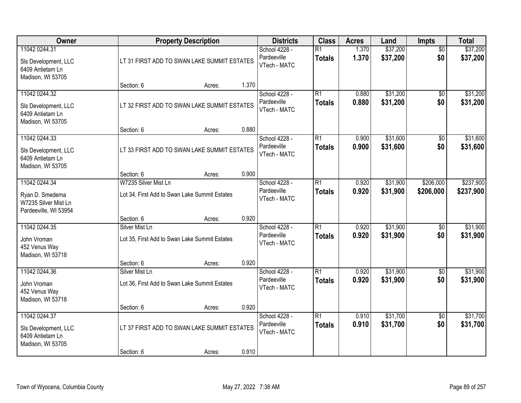| Owner                                                                             |                                                                       | <b>Property Description</b> |                                                       | <b>Class</b>                     | <b>Acres</b>   | Land                 | Impts                  | <b>Total</b>           |
|-----------------------------------------------------------------------------------|-----------------------------------------------------------------------|-----------------------------|-------------------------------------------------------|----------------------------------|----------------|----------------------|------------------------|------------------------|
| 11042 0244.31<br>SIs Development, LLC<br>6409 Antietam Ln<br>Madison, WI 53705    | LT 31 FIRST ADD TO SWAN LAKE SUMMIT ESTATES                           |                             | School 4228 -<br>Pardeeville<br>VTech - MATC          | $\overline{R1}$<br><b>Totals</b> | 1.370<br>1.370 | \$37,200<br>\$37,200 | $\overline{50}$<br>\$0 | \$37,200<br>\$37,200   |
|                                                                                   | Section: 6                                                            | Acres:                      | 1.370                                                 |                                  |                |                      |                        |                        |
| 11042 0244.32<br>SIs Development, LLC<br>6409 Antietam Ln<br>Madison, WI 53705    | LT 32 FIRST ADD TO SWAN LAKE SUMMIT ESTATES                           |                             | School 4228 -<br>Pardeeville<br>VTech - MATC<br>0.880 | $\overline{R1}$<br><b>Totals</b> | 0.880<br>0.880 | \$31,200<br>\$31,200 | $\overline{50}$<br>\$0 | \$31,200<br>\$31,200   |
| 11042 0244.33                                                                     | Section: 6                                                            | Acres:                      | School 4228 -                                         | $\overline{R1}$                  | 0.900          | \$31,600             | \$0                    | \$31,600               |
| SIs Development, LLC<br>6409 Antietam Ln<br>Madison, WI 53705                     | LT 33 FIRST ADD TO SWAN LAKE SUMMIT ESTATES                           |                             | Pardeeville<br>VTech - MATC                           | <b>Totals</b>                    | 0.900          | \$31,600             | \$0                    | \$31,600               |
|                                                                                   | Section: 6                                                            | Acres:                      | 0.900                                                 |                                  |                |                      |                        |                        |
| 11042 0244.34<br>Ryan D. Smedema<br>W7235 Silver Mist Ln<br>Pardeeville, WI 53954 | W7235 Silver Mist Ln<br>Lot 34, First Add to Swan Lake Summit Estates |                             | School 4228 -<br>Pardeeville<br>VTech - MATC          | $\overline{R1}$<br><b>Totals</b> | 0.920<br>0.920 | \$31,900<br>\$31,900 | \$206,000<br>\$206,000 | \$237,900<br>\$237,900 |
|                                                                                   | Section: 6                                                            | Acres:                      | 0.920                                                 |                                  |                |                      |                        |                        |
| 11042 0244.35<br>John Vroman<br>452 Venus Way<br>Madison, WI 53718                | Silver Mist Ln<br>Lot 35, First Add to Swan Lake Summit Estates       |                             | School 4228 -<br>Pardeeville<br>VTech - MATC          | $\overline{R1}$<br><b>Totals</b> | 0.920<br>0.920 | \$31,900<br>\$31,900 | $\overline{50}$<br>\$0 | \$31,900<br>\$31,900   |
| 11042 0244.36                                                                     | Section: 6<br>Silver Mist Ln                                          | Acres:                      | 0.920<br>School 4228 -                                | $\overline{R1}$                  | 0.920          | \$31,900             | $\overline{60}$        | \$31,900               |
| John Vroman<br>452 Venus Way<br>Madison, WI 53718                                 | Lot 36, First Add to Swan Lake Summit Estates                         |                             | Pardeeville<br>VTech - MATC                           | <b>Totals</b>                    | 0.920          | \$31,900             | \$0                    | \$31,900               |
|                                                                                   | Section: 6                                                            | Acres:                      | 0.920                                                 |                                  |                |                      |                        |                        |
| 11042 0244.37<br>SIs Development, LLC<br>6409 Antietam Ln<br>Madison, WI 53705    | LT 37 FIRST ADD TO SWAN LAKE SUMMIT ESTATES                           |                             | School 4228 -<br>Pardeeville<br>VTech - MATC<br>0.910 | $\overline{R1}$<br><b>Totals</b> | 0.910<br>0.910 | \$31,700<br>\$31,700 | $\overline{50}$<br>\$0 | \$31,700<br>\$31,700   |
|                                                                                   | Section: 6                                                            | Acres:                      |                                                       |                                  |                |                      |                        |                        |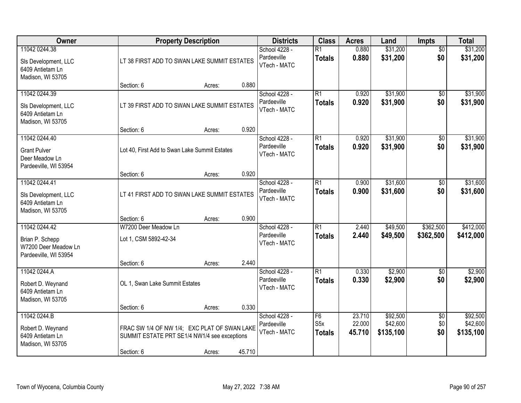| Owner                                                                             |                                                                                                            | <b>Property Description</b>                 |        | <b>Districts</b>                             | <b>Class</b>                            | <b>Acres</b>               | Land                              | Impts                         | <b>Total</b>                      |
|-----------------------------------------------------------------------------------|------------------------------------------------------------------------------------------------------------|---------------------------------------------|--------|----------------------------------------------|-----------------------------------------|----------------------------|-----------------------------------|-------------------------------|-----------------------------------|
| 11042 0244.38<br>SIs Development, LLC<br>6409 Antietam Ln<br>Madison, WI 53705    |                                                                                                            | LT 38 FIRST ADD TO SWAN LAKE SUMMIT ESTATES |        | School 4228 -<br>Pardeeville<br>VTech - MATC | $\overline{R1}$<br><b>Totals</b>        | 0.880<br>0.880             | \$31,200<br>\$31,200              | $\overline{50}$<br>\$0        | \$31,200<br>\$31,200              |
|                                                                                   | Section: 6                                                                                                 | Acres:                                      | 0.880  |                                              |                                         |                            |                                   |                               |                                   |
| 11042 0244.39<br>SIs Development, LLC<br>6409 Antietam Ln<br>Madison, WI 53705    | LT 39 FIRST ADD TO SWAN LAKE SUMMIT ESTATES                                                                |                                             |        | School 4228 -<br>Pardeeville<br>VTech - MATC | $\overline{R1}$<br><b>Totals</b>        | 0.920<br>0.920             | \$31,900<br>\$31,900              | $\overline{50}$<br>\$0        | \$31,900<br>\$31,900              |
| 11042 0244.40                                                                     | Section: 6                                                                                                 | Acres:                                      | 0.920  | School 4228 -                                | $\overline{R1}$                         | 0.920                      | \$31,900                          | $\overline{50}$               | \$31,900                          |
| <b>Grant Pulver</b><br>Deer Meadow Ln<br>Pardeeville, WI 53954                    | Lot 40, First Add to Swan Lake Summit Estates                                                              |                                             |        | Pardeeville<br>VTech - MATC                  | <b>Totals</b>                           | 0.920                      | \$31,900                          | \$0                           | \$31,900                          |
|                                                                                   | Section: 6                                                                                                 | Acres:                                      | 0.920  |                                              |                                         |                            |                                   |                               |                                   |
| 11042 0244.41<br>SIs Development, LLC<br>6409 Antietam Ln<br>Madison, WI 53705    | LT 41 FIRST ADD TO SWAN LAKE SUMMIT ESTATES                                                                |                                             |        | School 4228 -<br>Pardeeville<br>VTech - MATC | $\overline{R1}$<br><b>Totals</b>        | 0.900<br>0.900             | \$31,600<br>\$31,600              | \$0<br>\$0                    | \$31,600<br>\$31,600              |
|                                                                                   | Section: 6                                                                                                 | Acres:                                      | 0.900  |                                              |                                         |                            |                                   |                               |                                   |
| 11042 0244.42<br>Brian P. Schepp<br>W7200 Deer Meadow Ln<br>Pardeeville, WI 53954 | W7200 Deer Meadow Ln<br>Lot 1, CSM 5892-42-34                                                              |                                             |        | School 4228 -<br>Pardeeville<br>VTech - MATC | $\overline{R1}$<br><b>Totals</b>        | 2.440<br>2.440             | \$49,500<br>\$49,500              | \$362,500<br>\$362,500        | \$412,000<br>\$412,000            |
| 11042 0244.A                                                                      | Section: 6                                                                                                 | Acres:                                      | 2.440  | School 4228 -                                | $\overline{R1}$                         | 0.330                      | \$2,900                           | $\sqrt{6}$                    | \$2,900                           |
| Robert D. Weynand<br>6409 Antietam Ln<br>Madison, WI 53705                        | OL 1, Swan Lake Summit Estates                                                                             |                                             |        | Pardeeville<br>VTech - MATC                  | <b>Totals</b>                           | 0.330                      | \$2,900                           | \$0                           | \$2,900                           |
|                                                                                   | Section: 6                                                                                                 | Acres:                                      | 0.330  |                                              |                                         |                            |                                   |                               |                                   |
| 11042 0244.B<br>Robert D. Weynand<br>6409 Antietam Ln<br>Madison, WI 53705        | FRAC SW 1/4 OF NW 1/4; EXC PLAT OF SWAN LAKE<br>SUMMIT ESTATE PRT SE1/4 NW1/4 see exceptions<br>Section: 6 | Acres:                                      | 45.710 | School 4228 -<br>Pardeeville<br>VTech - MATC | F6<br>S <sub>5</sub> x<br><b>Totals</b> | 23.710<br>22.000<br>45.710 | \$92,500<br>\$42,600<br>\$135,100 | $\overline{50}$<br>\$0<br>\$0 | \$92,500<br>\$42,600<br>\$135,100 |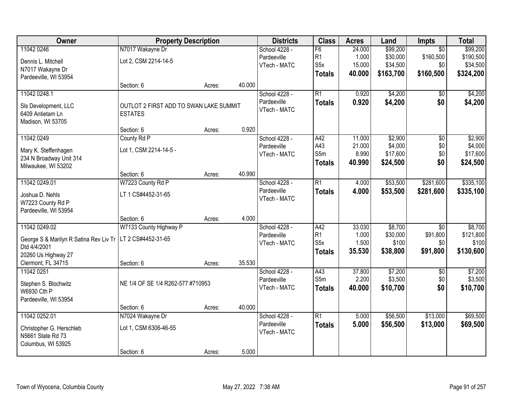| Owner                                                       | <b>Property Description</b>            |        |        | <b>Districts</b> | <b>Class</b>     | <b>Acres</b> | Land      | Impts           | <b>Total</b> |
|-------------------------------------------------------------|----------------------------------------|--------|--------|------------------|------------------|--------------|-----------|-----------------|--------------|
| 11042 0246                                                  | N7017 Wakayne Dr                       |        |        | School 4228 -    | F6               | 24.000       | \$99,200  | $\overline{50}$ | \$99,200     |
| Dennis L. Mitchell                                          | Lot 2, CSM 2214-14-5                   |        |        | Pardeeville      | R1               | 1.000        | \$30,000  | \$160,500       | \$190,500    |
| N7017 Wakayne Dr                                            |                                        |        |        | VTech - MATC     | S <sub>5</sub> x | 15.000       | \$34,500  | \$0             | \$34,500     |
| Pardeeville, WI 53954                                       |                                        |        |        |                  | <b>Totals</b>    | 40.000       | \$163,700 | \$160,500       | \$324,200    |
|                                                             | Section: 6                             | Acres: | 40.000 |                  |                  |              |           |                 |              |
| 11042 0248.1                                                |                                        |        |        | School 4228 -    | $\overline{R1}$  | 0.920        | \$4,200   | \$0             | \$4,200      |
| SIs Development, LLC                                        | OUTLOT 2 FIRST ADD TO SWAN LAKE SUMMIT |        |        | Pardeeville      | <b>Totals</b>    | 0.920        | \$4,200   | \$0             | \$4,200      |
| 6409 Antietam Ln                                            | <b>ESTATES</b>                         |        |        | VTech - MATC     |                  |              |           |                 |              |
| Madison, WI 53705                                           |                                        |        |        |                  |                  |              |           |                 |              |
|                                                             | Section: 6                             | Acres: | 0.920  |                  |                  |              |           |                 |              |
| 11042 0249                                                  | County Rd P                            |        |        | School 4228 -    | A42              | 11.000       | \$2,900   | \$0             | \$2,900      |
| Mary K. Steffenhagen                                        | Lot 1, CSM 2214-14-5 -                 |        |        | Pardeeville      | A43              | 21.000       | \$4,000   | \$0             | \$4,000      |
| 234 N Broadway Unit 314                                     |                                        |        |        | VTech - MATC     | S5m              | 8.990        | \$17,600  | \$0             | \$17,600     |
| Milwaukee, WI 53202                                         |                                        |        |        |                  | <b>Totals</b>    | 40.990       | \$24,500  | \$0             | \$24,500     |
|                                                             | Section: 6                             | Acres: | 40.990 |                  |                  |              |           |                 |              |
| 11042 0249.01                                               | W7223 County Rd P                      |        |        | School 4228 -    | $\overline{R1}$  | 4.000        | \$53,500  | \$281,600       | \$335,100    |
| Joshua D. Nehls                                             | LT 1 CS#4452-31-65                     |        |        | Pardeeville      | <b>Totals</b>    | 4.000        | \$53,500  | \$281,600       | \$335,100    |
| W7223 County Rd P                                           |                                        |        |        | VTech - MATC     |                  |              |           |                 |              |
| Pardeeville, WI 53954                                       |                                        |        |        |                  |                  |              |           |                 |              |
|                                                             | Section: 6                             | Acres: | 4.000  |                  |                  |              |           |                 |              |
| 11042 0249.02                                               | W7133 County Highway P                 |        |        | School 4228 -    | A42              | 33.030       | \$8,700   | $\overline{30}$ | \$8,700      |
| George S & Marilyn R Satina Rev Liv Tr   LT 2 CS#4452-31-65 |                                        |        |        | Pardeeville      | R <sub>1</sub>   | 1.000        | \$30,000  | \$91,800        | \$121,800    |
| Dtd 4/4/2001                                                |                                        |        |        | VTech - MATC     | S <sub>5</sub> x | 1.500        | \$100     | \$0             | \$100        |
| 20260 Us Highway 27                                         |                                        |        |        |                  | <b>Totals</b>    | 35.530       | \$38,800  | \$91,800        | \$130,600    |
| Clermont, FL 34715                                          | Section: 6                             | Acres: | 35.530 |                  |                  |              |           |                 |              |
| 11042 0251                                                  |                                        |        |        | School 4228 -    | A43              | 37.800       | \$7,200   | $\overline{50}$ | \$7,200      |
| Stephen S. Blochwitz                                        | NE 1/4 OF SE 1/4 R262-577 #710953      |        |        | Pardeeville      | S5m              | 2.200        | \$3,500   | \$0             | \$3,500      |
| W6930 Cth P                                                 |                                        |        |        | VTech - MATC     | <b>Totals</b>    | 40,000       | \$10,700  | \$0             | \$10,700     |
| Pardeeville, WI 53954                                       |                                        |        |        |                  |                  |              |           |                 |              |
|                                                             | Section: 6                             | Acres: | 40.000 |                  |                  |              |           |                 |              |
| 11042 0252.01                                               | N7024 Wakayne Dr                       |        |        | School 4228 -    | $\overline{R1}$  | 5.000        | \$56,500  | \$13,000        | \$69,500     |
| Christopher G. Herschleb                                    | Lot 1, CSM 6306-46-55                  |        |        | Pardeeville      | <b>Totals</b>    | 5.000        | \$56,500  | \$13,000        | \$69,500     |
| N5661 State Rd 73                                           |                                        |        |        | VTech - MATC     |                  |              |           |                 |              |
| Columbus, WI 53925                                          |                                        |        |        |                  |                  |              |           |                 |              |
|                                                             | Section: 6                             | Acres: | 5.000  |                  |                  |              |           |                 |              |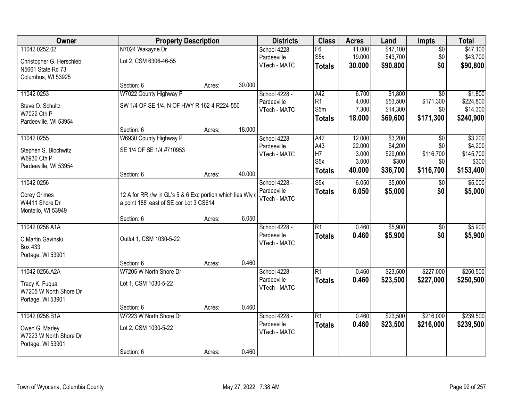| Owner                                    | <b>Property Description</b>                                                                            |        |        | <b>Districts</b> | <b>Class</b>     | <b>Acres</b> | Land     | Impts           | <b>Total</b> |
|------------------------------------------|--------------------------------------------------------------------------------------------------------|--------|--------|------------------|------------------|--------------|----------|-----------------|--------------|
| 11042 0252.02                            | N7024 Wakayne Dr                                                                                       |        |        | School 4228 -    | F6               | 11.000       | \$47,100 | $\overline{50}$ | \$47,100     |
| Christopher G. Herschleb                 | Lot 2, CSM 6306-46-55                                                                                  |        |        | Pardeeville      | S <sub>5</sub> x | 19.000       | \$43,700 | \$0             | \$43,700     |
| N5661 State Rd 73                        |                                                                                                        |        |        | VTech - MATC     | <b>Totals</b>    | 30.000       | \$90,800 | \$0             | \$90,800     |
| Columbus, WI 53925                       |                                                                                                        |        |        |                  |                  |              |          |                 |              |
|                                          | Section: 6                                                                                             | Acres: | 30.000 |                  |                  |              |          |                 |              |
| 11042 0253                               | W7022 County Highway P                                                                                 |        |        | School 4228 -    | A42              | 6.700        | \$1,800  | $\overline{50}$ | \$1,800      |
| Steve O. Schultz                         | SW 1/4 OF SE 1/4, N OF HWY R 162-4 R224-550                                                            |        |        | Pardeeville      | R <sub>1</sub>   | 4.000        | \$53,500 | \$171,300       | \$224,800    |
| W7022 Cth P                              |                                                                                                        |        |        | VTech - MATC     | S5m              | 7.300        | \$14,300 | \$0             | \$14,300     |
| Pardeeville, WI 53954                    |                                                                                                        |        |        |                  | <b>Totals</b>    | 18.000       | \$69,600 | \$171,300       | \$240,900    |
|                                          | Section: 6                                                                                             | Acres: | 18.000 |                  |                  |              |          |                 |              |
| 11042 0255                               | W6930 County Highway P                                                                                 |        |        | School 4228 -    | A42              | 12.000       | \$3,200  | \$0             | \$3,200      |
| Stephen S. Blochwitz                     | SE 1/4 OF SE 1/4 #710953                                                                               |        |        | Pardeeville      | A43              | 22.000       | \$4,200  | \$0             | \$4,200      |
| W6930 Cth P                              |                                                                                                        |        |        | VTech - MATC     | H7               | 3.000        | \$29,000 | \$116,700       | \$145,700    |
| Pardeeville, WI 53954                    |                                                                                                        |        |        |                  | S <sub>5</sub> x | 3.000        | \$300    | \$0             | \$300        |
|                                          | Section: 6                                                                                             | Acres: | 40.000 |                  | <b>Totals</b>    | 40.000       | \$36,700 | \$116,700       | \$153,400    |
| 11042 0256                               |                                                                                                        |        |        | School 4228 -    | S5x              | 6.050        | \$5,000  | $\sqrt[6]{}$    | \$5,000      |
|                                          |                                                                                                        |        |        | Pardeeville      | <b>Totals</b>    | 6.050        | \$5,000  | \$0             | \$5,000      |
| <b>Corey Grimes</b><br>W4411 Shore Dr    | 12 A for RR r/w in GL's 5 & 6 Exc portion which lies Wly of<br>a point 188' east of SE cor Lot 3 CS614 |        |        | VTech - MATC     |                  |              |          |                 |              |
| Montello, WI 53949                       |                                                                                                        |        |        |                  |                  |              |          |                 |              |
|                                          | Section: 6                                                                                             | Acres: | 6.050  |                  |                  |              |          |                 |              |
| 11042 0256.A1A                           |                                                                                                        |        |        | School 4228 -    | $\overline{R1}$  | 0.460        | \$5,900  | $\overline{50}$ | \$5,900      |
|                                          |                                                                                                        |        |        | Pardeeville      | <b>Totals</b>    | 0.460        | \$5,900  | \$0             | \$5,900      |
| C Martin Gavinski<br><b>Box 433</b>      | Outlot 1, CSM 1030-5-22                                                                                |        |        | VTech - MATC     |                  |              |          |                 |              |
| Portage, WI 53901                        |                                                                                                        |        |        |                  |                  |              |          |                 |              |
|                                          | Section: 6                                                                                             | Acres: | 0.460  |                  |                  |              |          |                 |              |
| 11042 0256.A2A                           | W7205 W North Shore Dr                                                                                 |        |        | School 4228 -    | $\overline{R1}$  | 0.460        | \$23,500 | \$227,000       | \$250,500    |
|                                          | Lot 1, CSM 1030-5-22                                                                                   |        |        | Pardeeville      | <b>Totals</b>    | 0.460        | \$23,500 | \$227,000       | \$250,500    |
| Tracy K. Fuqua<br>W7205 W North Shore Dr |                                                                                                        |        |        | VTech - MATC     |                  |              |          |                 |              |
| Portage, WI 53901                        |                                                                                                        |        |        |                  |                  |              |          |                 |              |
|                                          | Section: 6                                                                                             | Acres: | 0.460  |                  |                  |              |          |                 |              |
| 11042 0256.B1A                           | W7223 W North Shore Dr                                                                                 |        |        | School 4228 -    | $\overline{R1}$  | 0.460        | \$23,500 | \$216,000       | \$239,500    |
|                                          |                                                                                                        |        |        | Pardeeville      | <b>Totals</b>    | 0.460        | \$23,500 | \$216,000       | \$239,500    |
| Owen G. Marley<br>W7223 W North Shore Dr | Lot 2, CSM 1030-5-22                                                                                   |        |        | VTech - MATC     |                  |              |          |                 |              |
| Portage, WI 53901                        |                                                                                                        |        |        |                  |                  |              |          |                 |              |
|                                          | Section: 6                                                                                             | Acres: | 0.460  |                  |                  |              |          |                 |              |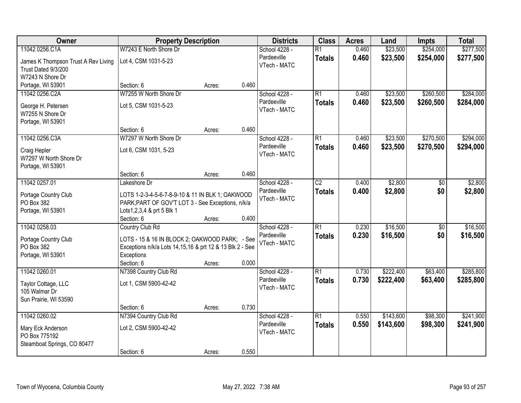| Owner                               | <b>Property Description</b>                                                                           |        |       | <b>Districts</b> | <b>Class</b>    | <b>Acres</b> | Land      | <b>Impts</b>    | <b>Total</b> |
|-------------------------------------|-------------------------------------------------------------------------------------------------------|--------|-------|------------------|-----------------|--------------|-----------|-----------------|--------------|
| 11042 0256.C1A                      | W7243 E North Shore Dr                                                                                |        |       | School 4228 -    | $\overline{R1}$ | 0.460        | \$23,500  | \$254,000       | \$277,500    |
| James K Thompson Trust A Rev Living | Lot 4, CSM 1031-5-23                                                                                  |        |       | Pardeeville      | <b>Totals</b>   | 0.460        | \$23,500  | \$254,000       | \$277,500    |
| Trust Dated 9/3/200                 |                                                                                                       |        |       | VTech - MATC     |                 |              |           |                 |              |
| W7243 N Shore Dr                    |                                                                                                       |        |       |                  |                 |              |           |                 |              |
| Portage, WI 53901                   | Section: 6                                                                                            | Acres: | 0.460 |                  |                 |              |           |                 |              |
| 11042 0256.C2A                      | W7255 W North Shore Dr                                                                                |        |       | School 4228 -    | $\overline{R1}$ | 0.460        | \$23,500  | \$260,500       | \$284,000    |
| George H. Petersen                  | Lot 5, CSM 1031-5-23                                                                                  |        |       | Pardeeville      | <b>Totals</b>   | 0.460        | \$23,500  | \$260,500       | \$284,000    |
| W7255 N Shore Dr                    |                                                                                                       |        |       | VTech - MATC     |                 |              |           |                 |              |
| Portage, WI 53901                   |                                                                                                       |        |       |                  |                 |              |           |                 |              |
|                                     | Section: 6                                                                                            | Acres: | 0.460 |                  |                 |              |           |                 |              |
| 11042 0256.C3A                      | W7297 W North Shore Dr                                                                                |        |       | School 4228 -    | $\overline{R1}$ | 0.460        | \$23,500  | \$270,500       | \$294,000    |
| Craig Hepler                        | Lot 6, CSM 1031, 5-23                                                                                 |        |       | Pardeeville      | <b>Totals</b>   | 0.460        | \$23,500  | \$270,500       | \$294,000    |
| W7297 W North Shore Dr              |                                                                                                       |        |       | VTech - MATC     |                 |              |           |                 |              |
| Portage, WI 53901                   |                                                                                                       |        |       |                  |                 |              |           |                 |              |
|                                     | Section: 6                                                                                            | Acres: | 0.460 |                  |                 |              |           |                 |              |
| 11042 0257.01                       | Lakeshore Dr                                                                                          |        |       | School 4228 -    | $\overline{C2}$ | 0.400        | \$2,800   | \$0             | \$2,800      |
|                                     |                                                                                                       |        |       | Pardeeville      | <b>Totals</b>   | 0.400        | \$2,800   | \$0             | \$2,800      |
| Portage Country Club<br>PO Box 382  | LOTS 1-2-3-4-5-6-7-8-9-10 & 11 IN BLK 1; OAKWOOD<br>PARK; PART OF GOV'T LOT 3 - See Exceptions, n/k/a |        |       | VTech - MATC     |                 |              |           |                 |              |
| Portage, WI 53901                   | Lots1,2,3,4 & prt 5 Blk 1                                                                             |        |       |                  |                 |              |           |                 |              |
|                                     | Section: 6                                                                                            | Acres: | 0.400 |                  |                 |              |           |                 |              |
| 11042 0258.03                       | Country Club Rd                                                                                       |        |       | School 4228 -    | $\overline{R1}$ | 0.230        | \$16,500  | $\overline{50}$ | \$16,500     |
|                                     |                                                                                                       |        |       | Pardeeville      | <b>Totals</b>   | 0.230        | \$16,500  | \$0             | \$16,500     |
| Portage Country Club                | LOTS - 15 & 16 IN BLOCK 2; OAKWOOD PARK; - See                                                        |        |       | VTech - MATC     |                 |              |           |                 |              |
| PO Box 382                          | Exceptions n/k/a Lots 14,15,16 & prt 12 & 13 Blk 2 - See                                              |        |       |                  |                 |              |           |                 |              |
| Portage, WI 53901                   | Exceptions<br>Section: 6                                                                              | Acres: | 0.000 |                  |                 |              |           |                 |              |
| 11042 0260.01                       | N7398 Country Club Rd                                                                                 |        |       | School 4228 -    | $\overline{R1}$ | 0.730        | \$222,400 | \$63,400        | \$285,800    |
|                                     |                                                                                                       |        |       | Pardeeville      | <b>Totals</b>   | 0.730        | \$222,400 | \$63,400        | \$285,800    |
| Taylor Cottage, LLC                 | Lot 1, CSM 5900-42-42                                                                                 |        |       | VTech - MATC     |                 |              |           |                 |              |
| 105 Walmar Dr                       |                                                                                                       |        |       |                  |                 |              |           |                 |              |
| Sun Prairie, WI 53590               |                                                                                                       |        | 0.730 |                  |                 |              |           |                 |              |
| 11042 0260.02                       | Section: 6<br>N7394 Country Club Rd                                                                   | Acres: |       | School 4228 -    | $\overline{R1}$ | 0.550        | \$143,600 | \$98,300        | \$241,900    |
|                                     |                                                                                                       |        |       | Pardeeville      | <b>Totals</b>   | 0.550        | \$143,600 | \$98,300        | \$241,900    |
| Mary Eck Anderson                   | Lot 2, CSM 5900-42-42                                                                                 |        |       | VTech - MATC     |                 |              |           |                 |              |
| PO Box 775192                       |                                                                                                       |        |       |                  |                 |              |           |                 |              |
| Steamboat Springs, CO 80477         |                                                                                                       |        |       |                  |                 |              |           |                 |              |
|                                     | Section: 6                                                                                            | Acres: | 0.550 |                  |                 |              |           |                 |              |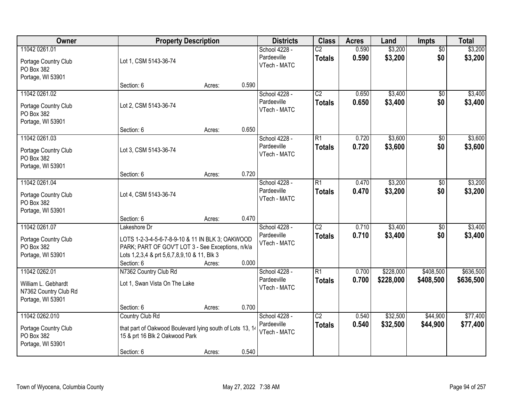| Owner                                                                              |                                                                                                                                                                                            | <b>Property Description</b> |       | <b>Districts</b>                             | <b>Class</b>                     | <b>Acres</b>   | Land                   | <b>Impts</b>           | <b>Total</b>           |
|------------------------------------------------------------------------------------|--------------------------------------------------------------------------------------------------------------------------------------------------------------------------------------------|-----------------------------|-------|----------------------------------------------|----------------------------------|----------------|------------------------|------------------------|------------------------|
| 11042 0261.01<br>Portage Country Club<br>PO Box 382                                | Lot 1, CSM 5143-36-74                                                                                                                                                                      |                             |       | School 4228 -<br>Pardeeville<br>VTech - MATC | $\overline{C2}$<br><b>Totals</b> | 0.590<br>0.590 | \$3,200<br>\$3,200     | $\overline{50}$<br>\$0 | \$3,200<br>\$3,200     |
| Portage, WI 53901                                                                  | Section: 6                                                                                                                                                                                 | Acres:                      | 0.590 |                                              |                                  |                |                        |                        |                        |
| 11042 0261.02<br>Portage Country Club<br>PO Box 382<br>Portage, WI 53901           | Lot 2, CSM 5143-36-74                                                                                                                                                                      |                             |       | School 4228 -<br>Pardeeville<br>VTech - MATC | $\overline{C2}$<br><b>Totals</b> | 0.650<br>0.650 | \$3,400<br>\$3,400     | $\overline{50}$<br>\$0 | \$3,400<br>\$3,400     |
|                                                                                    | Section: 6                                                                                                                                                                                 | Acres:                      | 0.650 |                                              |                                  |                |                        |                        |                        |
| 11042 0261.03<br>Portage Country Club<br>PO Box 382<br>Portage, WI 53901           | Lot 3, CSM 5143-36-74                                                                                                                                                                      |                             |       | School 4228 -<br>Pardeeville<br>VTech - MATC | $\overline{R1}$<br><b>Totals</b> | 0.720<br>0.720 | \$3,600<br>\$3,600     | $\sqrt{6}$<br>\$0      | \$3,600<br>\$3,600     |
|                                                                                    | Section: 6                                                                                                                                                                                 | Acres:                      | 0.720 |                                              |                                  |                |                        |                        |                        |
| 11042 0261.04<br>Portage Country Club<br>PO Box 382<br>Portage, WI 53901           | Lot 4, CSM 5143-36-74                                                                                                                                                                      |                             |       | School 4228 -<br>Pardeeville<br>VTech - MATC | $\overline{R1}$<br><b>Totals</b> | 0.470<br>0.470 | \$3,200<br>\$3,200     | \$0<br>\$0             | \$3,200<br>\$3,200     |
|                                                                                    | Section: 6                                                                                                                                                                                 | Acres:                      | 0.470 |                                              |                                  |                |                        |                        |                        |
| 11042 0261.07<br>Portage Country Club<br>PO Box 382<br>Portage, WI 53901           | Lakeshore Dr<br>LOTS 1-2-3-4-5-6-7-8-9-10 & 11 IN BLK 3; OAKWOOD<br>PARK; PART OF GOV'T LOT 3 - See Exceptions, n/k/a<br>Lots 1, 2, 3, 4 & prt 5, 6, 7, 8, 9, 10 & 11, Blk 3<br>Section: 6 | Acres:                      | 0.000 | School 4228 -<br>Pardeeville<br>VTech - MATC | $\overline{C2}$<br><b>Totals</b> | 0.710<br>0.710 | \$3,400<br>\$3,400     | \$0<br>\$0             | \$3,400<br>\$3,400     |
| 11042 0262.01<br>William L. Gebhardt<br>N7362 Country Club Rd<br>Portage, WI 53901 | N7362 Country Club Rd<br>Lot 1, Swan Vista On The Lake                                                                                                                                     |                             |       | School 4228 -<br>Pardeeville<br>VTech - MATC | $\overline{R1}$<br><b>Totals</b> | 0.700<br>0.700 | \$228,000<br>\$228,000 | \$408,500<br>\$408,500 | \$636,500<br>\$636,500 |
| 11042 0262.010                                                                     | Section: 6<br>Country Club Rd                                                                                                                                                              | Acres:                      | 0.700 | School 4228 -                                | $\overline{C2}$                  | 0.540          | \$32,500               | \$44,900               | \$77,400               |
| Portage Country Club<br>PO Box 382<br>Portage, WI 53901                            | that part of Oakwood Boulevard lying south of Lots 13, 14<br>15 & prt 16 Blk 2 Oakwood Park                                                                                                |                             |       | Pardeeville<br>VTech - MATC                  | <b>Totals</b>                    | 0.540          | \$32,500               | \$44,900               | \$77,400               |
|                                                                                    | Section: 6                                                                                                                                                                                 | Acres:                      | 0.540 |                                              |                                  |                |                        |                        |                        |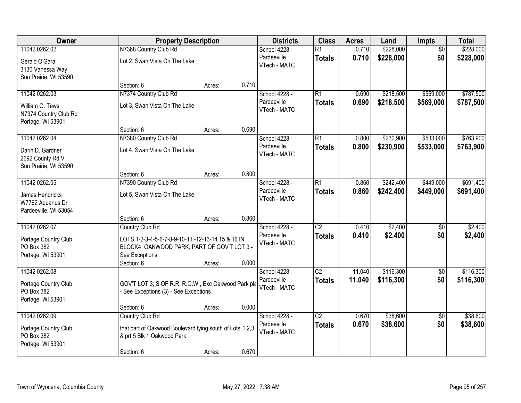| Owner                                                                    |                                                                                                                                  | <b>Property Description</b> |       | <b>Districts</b>                             | <b>Class</b>                     | <b>Acres</b>   | Land                 | <b>Impts</b>           | <b>Total</b>         |
|--------------------------------------------------------------------------|----------------------------------------------------------------------------------------------------------------------------------|-----------------------------|-------|----------------------------------------------|----------------------------------|----------------|----------------------|------------------------|----------------------|
| 11042 0262.02                                                            | N7368 Country Club Rd                                                                                                            |                             |       | School 4228 -                                | $\overline{R1}$                  | 0.710          | \$228,000            | $\overline{50}$        | \$228,000            |
| Gerald O'Gara<br>3130 Vanessa Way<br>Sun Prairie, WI 53590               | Lot 2, Swan Vista On The Lake                                                                                                    |                             |       | Pardeeville<br>VTech - MATC                  | <b>Totals</b>                    | 0.710          | \$228,000            | \$0                    | \$228,000            |
|                                                                          | Section: 6                                                                                                                       | Acres:                      | 0.710 |                                              |                                  |                |                      |                        |                      |
| 11042 0262.03                                                            | N7374 Country Club Rd                                                                                                            |                             |       | School 4228 -                                | R1                               | 0.690          | \$218,500            | \$569,000              | \$787,500            |
| William O. Tews<br>N7374 Country Club Rd<br>Portage, WI 53901            | Lot 3, Swan Vista On The Lake                                                                                                    |                             |       | Pardeeville<br>VTech - MATC                  | <b>Totals</b>                    | 0.690          | \$218,500            | \$569,000              | \$787,500            |
|                                                                          | Section: 6                                                                                                                       | Acres:                      | 0.690 |                                              |                                  |                |                      |                        |                      |
| 11042 0262.04                                                            | N7380 Country Club Rd                                                                                                            |                             |       | School 4228 -                                | $\overline{R1}$                  | 0.800          | \$230,900            | \$533,000              | \$763,900            |
| Darin D. Gardner<br>2692 County Rd V<br>Sun Prairie, WI 53590            | Lot 4, Swan Vista On The Lake                                                                                                    |                             |       | Pardeeville<br>VTech - MATC                  | <b>Totals</b>                    | 0.800          | \$230,900            | \$533,000              | \$763,900            |
|                                                                          | Section: 6                                                                                                                       | Acres:                      | 0.800 |                                              |                                  |                |                      |                        |                      |
| 11042 0262.05                                                            | N7390 Country Club Rd                                                                                                            |                             |       | School 4228 -                                | $\overline{R1}$                  | 0.860          | \$242,400            | \$449,000              | \$691,400            |
| James Hendricks<br>W7762 Aquarius Dr<br>Pardeeville, WI 53054            | Lot 5, Swan Vista On The Lake                                                                                                    |                             |       | Pardeeville<br>VTech - MATC                  | <b>Totals</b>                    | 0.860          | \$242,400            | \$449,000              | \$691,400            |
|                                                                          | Section: 6                                                                                                                       | Acres:                      | 0.860 |                                              |                                  |                |                      |                        |                      |
| 11042 0262.07                                                            | Country Club Rd                                                                                                                  |                             |       | School 4228 -                                | $\overline{C2}$                  | 0.410          | \$2,400              | \$0                    | \$2,400              |
| Portage Country Club<br>PO Box 382<br>Portage, WI 53901                  | LOTS 1-2-3-4-5-6-7-8-9-10-11 -12-13-14 15 & 16 IN<br>BLOCK4; OAKWOOD PARK; PART OF GOV'T LOT 3 -<br>See Exceptions<br>Section: 6 | Acres:                      | 0.000 | Pardeeville<br>VTech - MATC                  | <b>Totals</b>                    | 0.410          | \$2,400              | \$0                    | \$2,400              |
| 11042 0262.08                                                            |                                                                                                                                  |                             |       | School 4228 -                                | $\overline{C2}$                  | 11.040         | \$116,300            | $\sqrt{$0}$            | \$116,300            |
| Portage Country Club<br>PO Box 382<br>Portage, WI 53901                  | GOV'T LOT 3; S OF R.R. R.O.W., Exc Oakwood Park pla<br>- See Exceptions (3) - See Exceptions                                     |                             |       | Pardeeville<br>VTech - MATC                  | <b>Totals</b>                    | 11.040         | \$116,300            | \$0                    | \$116,300            |
|                                                                          | Section: 6                                                                                                                       | Acres:                      | 0.000 |                                              |                                  |                |                      |                        |                      |
| 11042 0262.09<br>Portage Country Club<br>PO Box 382<br>Portage, WI 53901 | Country Club Rd<br>that part of Oakwood Boulevard lying south of Lots 1,2,3,<br>& prt 5 Blk 1 Oakwood Park<br>Section: 6         | Acres:                      | 0.670 | School 4228 -<br>Pardeeville<br>VTech - MATC | $\overline{C2}$<br><b>Totals</b> | 0.670<br>0.670 | \$38,600<br>\$38,600 | $\overline{50}$<br>\$0 | \$38,600<br>\$38,600 |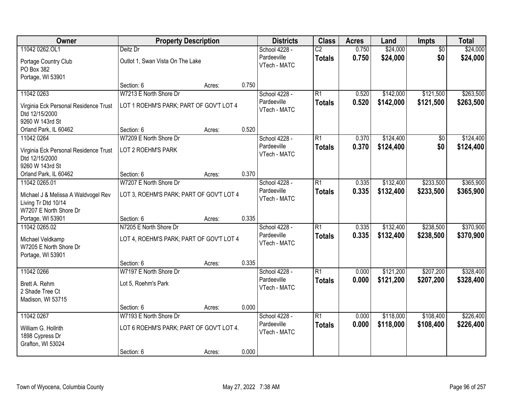| Owner                                 | <b>Property Description</b>              |        |       | <b>Districts</b> | <b>Class</b>    | <b>Acres</b> | Land      | <b>Impts</b>    | <b>Total</b> |
|---------------------------------------|------------------------------------------|--------|-------|------------------|-----------------|--------------|-----------|-----------------|--------------|
| 11042 0262.OL1                        | Deitz Dr                                 |        |       | School 4228 -    | $\overline{C2}$ | 0.750        | \$24,000  | $\overline{50}$ | \$24,000     |
| Portage Country Club                  | Outlot 1, Swan Vista On The Lake         |        |       | Pardeeville      | <b>Totals</b>   | 0.750        | \$24,000  | \$0             | \$24,000     |
| PO Box 382                            |                                          |        |       | VTech - MATC     |                 |              |           |                 |              |
| Portage, WI 53901                     |                                          |        |       |                  |                 |              |           |                 |              |
|                                       | Section: 6                               | Acres: | 0.750 |                  |                 |              |           |                 |              |
| 11042 0263                            | W7213 E North Shore Dr                   |        |       | School 4228 -    | R1              | 0.520        | \$142,000 | \$121,500       | \$263,500    |
| Virginia Eck Personal Residence Trust | LOT 1 ROEHM'S PARK; PART OF GOV'T LOT 4  |        |       | Pardeeville      | <b>Totals</b>   | 0.520        | \$142,000 | \$121,500       | \$263,500    |
| Dtd 12/15/2000                        |                                          |        |       | VTech - MATC     |                 |              |           |                 |              |
| 9260 W 143rd St                       |                                          |        |       |                  |                 |              |           |                 |              |
| Orland Park, IL 60462                 | Section: 6                               | Acres: | 0.520 |                  |                 |              |           |                 |              |
| 11042 0264                            | W7209 E North Shore Dr                   |        |       | School 4228 -    | R1              | 0.370        | \$124,400 | $\sqrt[6]{30}$  | \$124,400    |
| Virginia Eck Personal Residence Trust | LOT 2 ROEHM'S PARK                       |        |       | Pardeeville      | <b>Totals</b>   | 0.370        | \$124,400 | \$0             | \$124,400    |
| Dtd 12/15/2000                        |                                          |        |       | VTech - MATC     |                 |              |           |                 |              |
| 9260 W 143rd St                       |                                          |        |       |                  |                 |              |           |                 |              |
| Orland Park, IL 60462                 | Section: 6                               | Acres: | 0.370 |                  |                 |              |           |                 |              |
| 11042 0265.01                         | W7207 E North Shore Dr                   |        |       | School 4228 -    | R1              | 0.335        | \$132,400 | \$233,500       | \$365,900    |
| Michael J & Melissa A Waldvogel Rev   | LOT 3, ROEHM'S PARK; PART OF GOV'T LOT 4 |        |       | Pardeeville      | <b>Totals</b>   | 0.335        | \$132,400 | \$233,500       | \$365,900    |
| Living Tr Dtd 10/14                   |                                          |        |       | VTech - MATC     |                 |              |           |                 |              |
| W7207 E North Shore Dr                |                                          |        |       |                  |                 |              |           |                 |              |
| Portage, WI 53901                     | Section: 6                               | Acres: | 0.335 |                  |                 |              |           |                 |              |
| 11042 0265.02                         | N7205 E North Shore Dr                   |        |       | School 4228 -    | $\overline{R1}$ | 0.335        | \$132,400 | \$238,500       | \$370,900    |
| Michael Veldkamp                      | LOT 4, ROEHM'S PARK; PART OF GOV'T LOT 4 |        |       | Pardeeville      | <b>Totals</b>   | 0.335        | \$132,400 | \$238,500       | \$370,900    |
| W7205 E North Shore Dr                |                                          |        |       | VTech - MATC     |                 |              |           |                 |              |
| Portage, WI 53901                     |                                          |        |       |                  |                 |              |           |                 |              |
|                                       | Section: 6                               | Acres: | 0.335 |                  |                 |              |           |                 |              |
| 11042 0266                            | W7197 E North Shore Dr                   |        |       | School 4228 -    | R <sub>1</sub>  | 0.000        | \$121,200 | \$207,200       | \$328,400    |
| Brett A. Rehm                         | Lot 5, Roehm's Park                      |        |       | Pardeeville      | <b>Totals</b>   | 0.000        | \$121,200 | \$207,200       | \$328,400    |
| 2 Shade Tree Ct                       |                                          |        |       | VTech - MATC     |                 |              |           |                 |              |
| Madison, WI 53715                     |                                          |        |       |                  |                 |              |           |                 |              |
|                                       | Section: 6                               | Acres: | 0.000 |                  |                 |              |           |                 |              |
| 11042 0267                            | W7193 E North Shore Dr                   |        |       | School 4228 -    | R1              | 0.000        | \$118,000 | \$108,400       | \$226,400    |
| William G. Hollrith                   | LOT 6 ROEHM'S PARK; PART OF GOV'T LOT 4. |        |       | Pardeeville      | <b>Totals</b>   | 0.000        | \$118,000 | \$108,400       | \$226,400    |
| 1898 Cypress Dr                       |                                          |        |       | VTech - MATC     |                 |              |           |                 |              |
| Grafton, WI 53024                     |                                          |        |       |                  |                 |              |           |                 |              |
|                                       | Section: 6                               | Acres: | 0.000 |                  |                 |              |           |                 |              |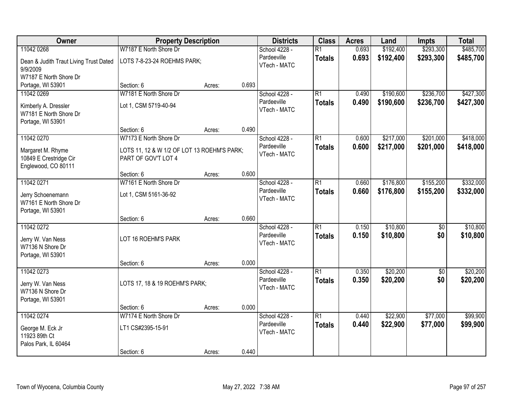| Owner                                                              | <b>Property Description</b>                                        |        |       | <b>Districts</b>             | <b>Class</b>                     | <b>Acres</b>   | Land                 | <b>Impts</b> | <b>Total</b>         |
|--------------------------------------------------------------------|--------------------------------------------------------------------|--------|-------|------------------------------|----------------------------------|----------------|----------------------|--------------|----------------------|
| 11042 0268                                                         | W7187 E North Shore Dr                                             |        |       | School 4228 -                | $\overline{R1}$                  | 0.693          | \$192,400            | \$293,300    | \$485,700            |
| Dean & Judith Traut Living Trust Dated<br>9/9/2009                 | LOTS 7-8-23-24 ROEHMS PARK;                                        |        |       | Pardeeville<br>VTech - MATC  | <b>Totals</b>                    | 0.693          | \$192,400            | \$293,300    | \$485,700            |
| W7187 E North Shore Dr                                             |                                                                    |        |       |                              |                                  |                |                      |              |                      |
| Portage, WI 53901                                                  | Section: 6                                                         | Acres: | 0.693 |                              |                                  |                |                      |              |                      |
| 11042 0269                                                         | W7181 E North Shore Dr                                             |        |       | School 4228 -                | R1                               | 0.490          | \$190,600            | \$236,700    | \$427,300            |
| Kimberly A. Dressler<br>W7181 E North Shore Dr                     | Lot 1, CSM 5719-40-94                                              |        |       | Pardeeville<br>VTech - MATC  | <b>Totals</b>                    | 0.490          | \$190,600            | \$236,700    | \$427,300            |
| Portage, WI 53901                                                  | Section: 6                                                         | Acres: | 0.490 |                              |                                  |                |                      |              |                      |
| 11042 0270                                                         | W7173 E North Shore Dr                                             |        |       | School 4228 -                | R1                               | 0.600          | \$217,000            | \$201,000    | \$418,000            |
| Margaret M. Rhyme<br>10849 E Crestridge Cir<br>Englewood, CO 80111 | LOTS 11, 12 & W 1/2 OF LOT 13 ROEHM'S PARK;<br>PART OF GOV'T LOT 4 |        |       | Pardeeville<br>VTech - MATC  | <b>Totals</b>                    | 0.600          | \$217,000            | \$201,000    | \$418,000            |
|                                                                    | Section: 6                                                         | Acres: | 0.600 |                              |                                  |                |                      |              |                      |
| 11042 0271                                                         | W7161 E North Shore Dr                                             |        |       | School 4228 -                | R1                               | 0.660          | \$176,800            | \$155,200    | \$332,000            |
| Jerry Schoenemann<br>W7161 E North Shore Dr<br>Portage, WI 53901   | Lot 1, CSM 5161-36-92                                              |        |       | Pardeeville<br>VTech - MATC  | <b>Totals</b>                    | 0.660          | \$176,800            | \$155,200    | \$332,000            |
|                                                                    | Section: 6                                                         | Acres: | 0.660 |                              |                                  |                |                      |              |                      |
| 11042 0272<br>Jerry W. Van Ness                                    | LOT 16 ROEHM'S PARK                                                |        |       | School 4228 -<br>Pardeeville | $\overline{R1}$<br><b>Totals</b> | 0.150<br>0.150 | \$10,800<br>\$10,800 | \$0<br>\$0   | \$10,800<br>\$10,800 |
| W7136 N Shore Dr<br>Portage, WI 53901                              |                                                                    |        |       | VTech - MATC                 |                                  |                |                      |              |                      |
|                                                                    | Section: 6                                                         | Acres: | 0.000 |                              |                                  |                |                      |              |                      |
| 11042 0273                                                         |                                                                    |        |       | School 4228 -                | $\overline{R1}$                  | 0.350          | \$20,200             | \$0          | \$20,200             |
| Jerry W. Van Ness<br>W7136 N Shore Dr<br>Portage, WI 53901         | LOTS 17, 18 & 19 ROEHM'S PARK;                                     |        |       | Pardeeville<br>VTech - MATC  | <b>Totals</b>                    | 0.350          | \$20,200             | \$0          | \$20,200             |
|                                                                    | Section: 6                                                         | Acres: | 0.000 |                              |                                  |                |                      |              |                      |
| 11042 0274                                                         | W7174 E North Shore Dr                                             |        |       | School 4228 -                | R1                               | 0.440          | \$22,900             | \$77,000     | \$99,900             |
| George M. Eck Jr<br>11923 89th Ct                                  | LT1 CS#2395-15-91                                                  |        |       | Pardeeville<br>VTech - MATC  | <b>Totals</b>                    | 0.440          | \$22,900             | \$77,000     | \$99,900             |
| Palos Park, IL 60464                                               | Section: 6                                                         | Acres: | 0.440 |                              |                                  |                |                      |              |                      |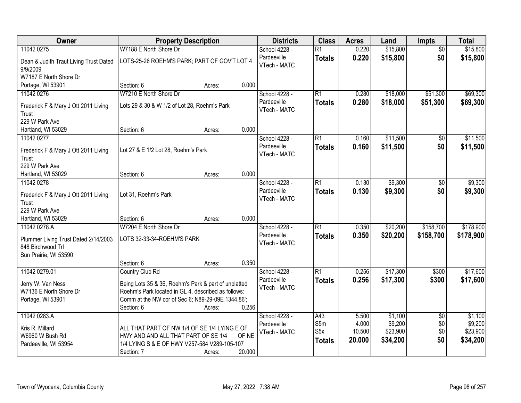| Owner                                              | <b>Property Description</b>                                                         |                  | <b>Districts</b>            | <b>Class</b>     | <b>Acres</b> | Land     | <b>Impts</b>    | <b>Total</b> |
|----------------------------------------------------|-------------------------------------------------------------------------------------|------------------|-----------------------------|------------------|--------------|----------|-----------------|--------------|
| 11042 0275                                         | W7188 E North Shore Dr                                                              |                  | School 4228 -               | $\overline{R1}$  | 0.220        | \$15,800 | $\overline{60}$ | \$15,800     |
| Dean & Judith Traut Living Trust Dated<br>9/9/2009 | LOTS-25-26 ROEHM'S PARK; PART OF GOV'T LOT 4                                        |                  | Pardeeville<br>VTech - MATC | <b>Totals</b>    | 0.220        | \$15,800 | \$0             | \$15,800     |
| W7187 E North Shore Dr                             |                                                                                     |                  |                             |                  |              |          |                 |              |
| Portage, WI 53901                                  | Section: 6                                                                          | 0.000<br>Acres:  |                             |                  |              |          |                 |              |
| 11042 0276                                         | W7210 E North Shore Dr                                                              |                  | School 4228 -               | $\overline{R1}$  | 0.280        | \$18,000 | \$51,300        | \$69,300     |
| Frederick F & Mary J Ott 2011 Living<br>Trust      | Lots 29 & 30 & W 1/2 of Lot 28, Roehm's Park                                        |                  | Pardeeville<br>VTech - MATC | <b>Totals</b>    | 0.280        | \$18,000 | \$51,300        | \$69,300     |
| 229 W Park Ave                                     |                                                                                     |                  |                             |                  |              |          |                 |              |
| Hartland, WI 53029                                 | Section: 6                                                                          | 0.000<br>Acres:  |                             |                  |              |          |                 |              |
| 11042 0277                                         |                                                                                     |                  | School 4228 -               | R1               | 0.160        | \$11,500 | \$0             | \$11,500     |
| Frederick F & Mary J Ott 2011 Living               | Lot 27 & E 1/2 Lot 28, Roehm's Park                                                 |                  | Pardeeville<br>VTech - MATC | <b>Totals</b>    | 0.160        | \$11,500 | \$0             | \$11,500     |
| Trust                                              |                                                                                     |                  |                             |                  |              |          |                 |              |
| 229 W Park Ave                                     |                                                                                     |                  |                             |                  |              |          |                 |              |
| Hartland, WI 53029                                 | Section: 6                                                                          | 0.000<br>Acres:  |                             |                  |              |          |                 |              |
| 11042 0278                                         |                                                                                     |                  | School 4228 -               | R1               | 0.130        | \$9,300  | \$0             | \$9,300      |
| Frederick F & Mary J Ott 2011 Living               | Lot 31, Roehm's Park                                                                |                  | Pardeeville<br>VTech - MATC | <b>Totals</b>    | 0.130        | \$9,300  | \$0             | \$9,300      |
| Trust                                              |                                                                                     |                  |                             |                  |              |          |                 |              |
| 229 W Park Ave                                     |                                                                                     |                  |                             |                  |              |          |                 |              |
| Hartland, WI 53029                                 | Section: 6                                                                          | 0.000<br>Acres:  |                             |                  |              |          |                 |              |
| 11042 0278.A                                       | W7204 E North Shore Dr                                                              |                  | School 4228 -               | $\overline{R1}$  | 0.350        | \$20,200 | \$158,700       | \$178,900    |
| Plummer Living Trust Dated 2/14/2003               | LOTS 32-33-34-ROEHM'S PARK                                                          |                  | Pardeeville                 | <b>Totals</b>    | 0.350        | \$20,200 | \$158,700       | \$178,900    |
| 848 Birchwood Trl                                  |                                                                                     |                  | VTech - MATC                |                  |              |          |                 |              |
| Sun Prairie, WI 53590                              |                                                                                     |                  |                             |                  |              |          |                 |              |
|                                                    | Section: 6                                                                          | 0.350<br>Acres:  |                             |                  |              |          |                 |              |
| 11042 0279.01                                      | Country Club Rd                                                                     |                  | School 4228 -               | R1               | 0.256        | \$17,300 | \$300           | \$17,600     |
| Jerry W. Van Ness                                  | Being Lots 35 & 36, Roehm's Park & part of unplatted                                |                  | Pardeeville                 | <b>Totals</b>    | 0.256        | \$17,300 | \$300           | \$17,600     |
| W7136 E North Shore Dr                             | Roehm's Park located in GL 4, described as follows:                                 |                  | VTech - MATC                |                  |              |          |                 |              |
| Portage, WI 53901                                  | Comm at the NW cor of Sec 6; N89-29-09E 1344.86';                                   |                  |                             |                  |              |          |                 |              |
|                                                    | Section: 6                                                                          | 0.256<br>Acres:  |                             |                  |              |          |                 |              |
| 11042 0283.A                                       |                                                                                     |                  | School 4228 -               | A43              | 5.500        | \$1,100  | $\overline{50}$ | \$1,100      |
|                                                    |                                                                                     |                  | Pardeeville                 | S5m              | 4.000        | \$9,200  | \$0             | \$9,200      |
| Kris R. Millard<br>W6960 W Bush Rd                 | ALL THAT PART OF NW 1/4 OF SE 1/4 LYING E OF<br>HWY AND AND ALL THAT PART OF SE 1/4 | OF NE            | VTech - MATC                | S <sub>5</sub> x | 10.500       | \$23,900 | \$0             | \$23,900     |
| Pardeeville, WI 53954                              | 1/4 LYING S & E OF HWY V257-584 V289-105-107                                        |                  |                             | <b>Totals</b>    | 20.000       | \$34,200 | \$0             | \$34,200     |
|                                                    | Section: 7                                                                          | 20.000<br>Acres: |                             |                  |              |          |                 |              |
|                                                    |                                                                                     |                  |                             |                  |              |          |                 |              |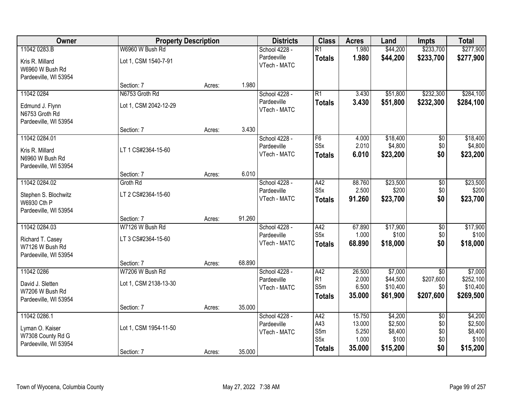| Owner                 | <b>Property Description</b> |        |        | <b>Districts</b> | <b>Class</b>            | <b>Acres</b>    | Land                 | <b>Impts</b>     | <b>Total</b>          |
|-----------------------|-----------------------------|--------|--------|------------------|-------------------------|-----------------|----------------------|------------------|-----------------------|
| 11042 0283.B          | W6960 W Bush Rd             |        |        | School 4228 -    | $\overline{R1}$         | 1.980           | \$44,200             | \$233,700        | \$277,900             |
| Kris R. Millard       | Lot 1, CSM 1540-7-91        |        |        | Pardeeville      | <b>Totals</b>           | 1.980           | \$44,200             | \$233,700        | \$277,900             |
| W6960 W Bush Rd       |                             |        |        | VTech - MATC     |                         |                 |                      |                  |                       |
| Pardeeville, WI 53954 |                             |        |        |                  |                         |                 |                      |                  |                       |
|                       | Section: 7                  | Acres: | 1.980  |                  |                         |                 |                      |                  |                       |
| 11042 0284            | N6753 Groth Rd              |        |        | School 4228 -    | $\overline{R1}$         | 3.430           | \$51,800             | \$232,300        | \$284,100             |
| Edmund J. Flynn       | Lot 1, CSM 2042-12-29       |        |        | Pardeeville      | <b>Totals</b>           | 3.430           | \$51,800             | \$232,300        | \$284,100             |
| N6753 Groth Rd        |                             |        |        | VTech - MATC     |                         |                 |                      |                  |                       |
| Pardeeville, WI 53954 |                             |        |        |                  |                         |                 |                      |                  |                       |
|                       | Section: 7                  | Acres: | 3.430  |                  |                         |                 |                      |                  |                       |
| 11042 0284.01         |                             |        |        | School 4228 -    | F <sub>6</sub>          | 4.000           | \$18,400             | \$0              | \$18,400              |
| Kris R. Millard       | LT 1 CS#2364-15-60          |        |        | Pardeeville      | S <sub>5</sub> x        | 2.010           | \$4,800              | \$0              | \$4,800               |
| N6960 W Bush Rd       |                             |        |        | VTech - MATC     | <b>Totals</b>           | 6.010           | \$23,200             | \$0              | \$23,200              |
| Pardeeville, WI 53954 |                             |        |        |                  |                         |                 |                      |                  |                       |
|                       | Section: 7                  | Acres: | 6.010  |                  |                         |                 |                      |                  |                       |
| 11042 0284.02         | Groth Rd                    |        |        | School 4228 -    | A42                     | 88.760          | \$23,500             | $\overline{50}$  | \$23,500              |
| Stephen S. Blochwitz  | LT 2 CS#2364-15-60          |        |        | Pardeeville      | S <sub>5</sub> x        | 2.500           | \$200                | \$0              | \$200                 |
| W6930 Cth P           |                             |        |        | VTech - MATC     | <b>Totals</b>           | 91.260          | \$23,700             | \$0              | \$23,700              |
| Pardeeville, WI 53954 |                             |        |        |                  |                         |                 |                      |                  |                       |
|                       | Section: 7                  | Acres: | 91.260 |                  |                         |                 |                      |                  |                       |
| 11042 0284.03         | W7126 W Bush Rd             |        |        | School 4228 -    | A42                     | 67.890          | \$17,900             | $\overline{50}$  | \$17,900              |
| Richard T. Casey      | LT 3 CS#2364-15-60          |        |        | Pardeeville      | S <sub>5</sub> x        | 1.000           | \$100                | \$0              | \$100                 |
| W7126 W Bush Rd       |                             |        |        | VTech - MATC     | <b>Totals</b>           | 68.890          | \$18,000             | \$0              | \$18,000              |
| Pardeeville, WI 53954 |                             |        |        |                  |                         |                 |                      |                  |                       |
|                       | Section: 7                  | Acres: | 68.890 |                  |                         |                 |                      |                  |                       |
| 11042 0286            | W7206 W Bush Rd             |        |        | School 4228 -    | A42                     | 26.500          | \$7,000              | $\overline{50}$  | \$7,000               |
| David J. Sletten      | Lot 1, CSM 2138-13-30       |        |        | Pardeeville      | R <sub>1</sub><br>S5m   | 2.000           | \$44,500             | \$207,600        | \$252,100             |
| W7206 W Bush Rd       |                             |        |        | VTech - MATC     |                         | 6.500<br>35.000 | \$10,400<br>\$61,900 | \$0<br>\$207,600 | \$10,400<br>\$269,500 |
| Pardeeville, WI 53954 |                             |        |        |                  | <b>Totals</b>           |                 |                      |                  |                       |
|                       | Section: 7                  | Acres: | 35.000 |                  |                         |                 |                      |                  |                       |
| 11042 0286.1          |                             |        |        | School 4228 -    | A42                     | 15.750          | \$4,200              | $\overline{50}$  | \$4,200               |
| Lyman O. Kaiser       | Lot 1, CSM 1954-11-50       |        |        | Pardeeville      | A43                     | 13.000          | \$2,500              | \$0              | \$2,500               |
| W7308 County Rd G     |                             |        |        | VTech - MATC     | S5m<br>S <sub>5</sub> x | 5.250<br>1.000  | \$8,400<br>\$100     | \$0<br>\$0       | \$8,400<br>\$100      |
| Pardeeville, WI 53954 |                             |        |        |                  | <b>Totals</b>           | 35.000          | \$15,200             | \$0              | \$15,200              |
|                       | Section: 7                  | Acres: | 35.000 |                  |                         |                 |                      |                  |                       |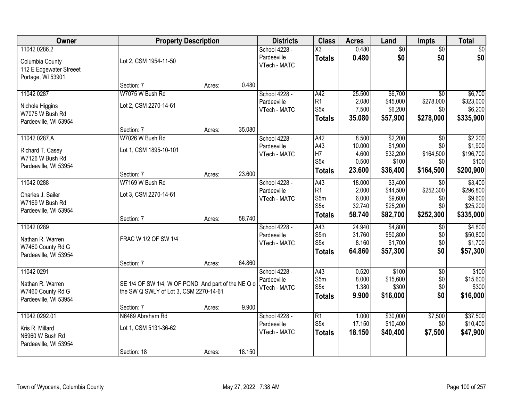| Owner                   | <b>Property Description</b>                        |        |        | <b>Districts</b> | <b>Class</b>     | <b>Acres</b> | Land            | <b>Impts</b>    | <b>Total</b> |
|-------------------------|----------------------------------------------------|--------|--------|------------------|------------------|--------------|-----------------|-----------------|--------------|
| 11042 0286.2            |                                                    |        |        | School 4228 -    | X3               | 0.480        | $\overline{50}$ | $\overline{50}$ | \$0          |
| Columbia County         | Lot 2, CSM 1954-11-50                              |        |        | Pardeeville      | <b>Totals</b>    | 0.480        | \$0             | \$0             | \$0          |
| 112 E Edgewater Streeet |                                                    |        |        | VTech - MATC     |                  |              |                 |                 |              |
| Portage, WI 53901       |                                                    |        |        |                  |                  |              |                 |                 |              |
|                         | Section: 7                                         | Acres: | 0.480  |                  |                  |              |                 |                 |              |
| 11042 0287              | W7075 W Bush Rd                                    |        |        | School 4228 -    | A42              | 25.500       | \$6,700         | $\overline{50}$ | \$6,700      |
| Nichole Higgins         | Lot 2, CSM 2270-14-61                              |        |        | Pardeeville      | R1               | 2.080        | \$45,000        | \$278,000       | \$323,000    |
| W7075 W Bush Rd         |                                                    |        |        | VTech - MATC     | S <sub>5</sub> x | 7.500        | \$6,200         | \$0             | \$6,200      |
| Pardeeville, WI 53954   |                                                    |        |        |                  | <b>Totals</b>    | 35.080       | \$57,900        | \$278,000       | \$335,900    |
|                         | Section: 7                                         | Acres: | 35.080 |                  |                  |              |                 |                 |              |
| 11042 0287.A            | W7026 W Bush Rd                                    |        |        | School 4228 -    | A42              | 8.500        | \$2,200         | \$0             | \$2,200      |
| Richard T. Casey        | Lot 1, CSM 1895-10-101                             |        |        | Pardeeville      | A43              | 10.000       | \$1,900         | \$0             | \$1,900      |
| W7126 W Bush Rd         |                                                    |        |        | VTech - MATC     | H <sub>7</sub>   | 4.600        | \$32,200        | \$164,500       | \$196,700    |
| Pardeeville, WI 53954   |                                                    |        |        |                  | S5x              | 0.500        | \$100           | \$0             | \$100        |
|                         | Section: 7                                         | Acres: | 23.600 |                  | <b>Totals</b>    | 23.600       | \$36,400        | \$164,500       | \$200,900    |
| 11042 0288              | W7169 W Bush Rd                                    |        |        | School 4228 -    | A43              | 18.000       | \$3,400         | $\sqrt{6}$      | \$3,400      |
| Charles J. Sailer       | Lot 3, CSM 2270-14-61                              |        |        | Pardeeville      | R <sub>1</sub>   | 2.000        | \$44,500        | \$252,300       | \$296,800    |
| W7169 W Bush Rd         |                                                    |        |        | VTech - MATC     | S5m              | 6.000        | \$9,600         | \$0             | \$9,600      |
| Pardeeville, WI 53954   |                                                    |        |        |                  | S <sub>5</sub> x | 32.740       | \$25,200        | \$0             | \$25,200     |
|                         | Section: 7                                         | Acres: | 58.740 |                  | <b>Totals</b>    | 58.740       | \$82,700        | \$252,300       | \$335,000    |
| 11042 0289              |                                                    |        |        | School 4228 -    | A43              | 24.940       | \$4,800         | \$0             | \$4,800      |
| Nathan R. Warren        | FRAC W 1/2 OF SW 1/4                               |        |        | Pardeeville      | S5m              | 31.760       | \$50,800        | \$0             | \$50,800     |
| W7460 County Rd G       |                                                    |        |        | VTech - MATC     | S5x              | 8.160        | \$1,700         | \$0             | \$1,700      |
| Pardeeville, WI 53954   |                                                    |        |        |                  | <b>Totals</b>    | 64.860       | \$57,300        | \$0             | \$57,300     |
|                         | Section: 7                                         | Acres: | 64.860 |                  |                  |              |                 |                 |              |
| 11042 0291              |                                                    |        |        | School 4228 -    | A43              | 0.520        | \$100           | $\overline{50}$ | \$100        |
| Nathan R. Warren        | SE 1/4 OF SW 1/4, W OF POND And part of the NE Q o |        |        | Pardeeville      | S5m              | 8.000        | \$15,600        | \$0             | \$15,600     |
| W7460 County Rd G       | the SW Q SWLY of Lot 3, CSM 2270-14-61             |        |        | VTech - MATC     | S <sub>5x</sub>  | 1.380        | \$300           | \$0             | \$300        |
| Pardeeville, WI 53954   |                                                    |        |        |                  | <b>Totals</b>    | 9.900        | \$16,000        | \$0             | \$16,000     |
|                         | Section: 7                                         | Acres: | 9.900  |                  |                  |              |                 |                 |              |
| 11042 0292.01           | N6469 Abraham Rd                                   |        |        | School 4228 -    | R1               | 1.000        | \$30,000        | \$7,500         | \$37,500     |
| Kris R. Millard         | Lot 1, CSM 5131-36-62                              |        |        | Pardeeville      | S <sub>5</sub> x | 17.150       | \$10,400        | \$0             | \$10,400     |
| N6960 W Bush Rd         |                                                    |        |        | VTech - MATC     | <b>Totals</b>    | 18.150       | \$40,400        | \$7,500         | \$47,900     |
| Pardeeville, WI 53954   |                                                    |        |        |                  |                  |              |                 |                 |              |
|                         | Section: 18                                        | Acres: | 18.150 |                  |                  |              |                 |                 |              |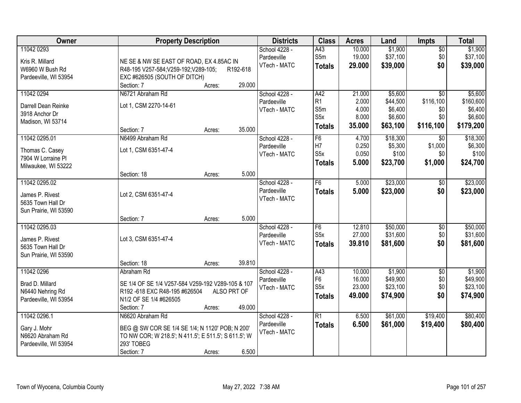| Owner                                      | <b>Property Description</b>                          | <b>Districts</b> | <b>Class</b>     | <b>Acres</b> | Land     | <b>Impts</b>    | <b>Total</b> |
|--------------------------------------------|------------------------------------------------------|------------------|------------------|--------------|----------|-----------------|--------------|
| 11042 0293                                 |                                                      | School 4228 -    | A43              | 10.000       | \$1,900  | \$0             | \$1,900      |
| Kris R. Millard                            | NE SE & NW SE EAST OF ROAD, EX 4.85AC IN             | Pardeeville      | S5m              | 19.000       | \$37,100 | \$0             | \$37,100     |
| W6960 W Bush Rd                            | R48-195 V257-584; V259-192; V289-105;<br>R192-618    | VTech - MATC     | <b>Totals</b>    | 29.000       | \$39,000 | \$0             | \$39,000     |
| Pardeeville, WI 53954                      | EXC #626505 (SOUTH OF DITCH)                         |                  |                  |              |          |                 |              |
|                                            | 29.000<br>Section: 7<br>Acres:                       |                  |                  |              |          |                 |              |
| 11042 0294                                 | N6721 Abraham Rd                                     | School 4228 -    | A42              | 21.000       | \$5,600  | $\overline{50}$ | \$5,600      |
|                                            |                                                      | Pardeeville      | R <sub>1</sub>   | 2.000        | \$44,500 | \$116,100       | \$160,600    |
| Darrell Dean Reinke                        | Lot 1, CSM 2270-14-61                                | VTech - MATC     | S5m              | 4.000        | \$6,400  | \$0             | \$6,400      |
| 3918 Anchor Dr                             |                                                      |                  | S <sub>5</sub> x | 8.000        | \$6,600  | \$0             | \$6,600      |
| Madison, WI 53714                          |                                                      |                  | <b>Totals</b>    | 35.000       | \$63,100 | \$116,100       | \$179,200    |
|                                            | 35.000<br>Section: 7<br>Acres:                       |                  |                  |              |          |                 |              |
| 11042 0295.01                              | N6499 Abraham Rd                                     | School 4228 -    | F <sub>6</sub>   | 4.700        | \$18,300 | $\sqrt[6]{}$    | \$18,300     |
| Thomas C. Casey                            | Lot 1, CSM 6351-47-4                                 | Pardeeville      | H <sub>7</sub>   | 0.250        | \$5,300  | \$1,000         | \$6,300      |
| 7904 W Lorraine PI                         |                                                      | VTech - MATC     | S <sub>5</sub> x | 0.050        | \$100    | \$0             | \$100        |
| Milwaukee, WI 53222                        |                                                      |                  | <b>Totals</b>    | 5.000        | \$23,700 | \$1,000         | \$24,700     |
|                                            | 5.000<br>Section: 18<br>Acres:                       |                  |                  |              |          |                 |              |
| 11042 0295.02                              |                                                      | School 4228 -    | F <sub>6</sub>   | 5.000        | \$23,000 | \$0             | \$23,000     |
|                                            |                                                      | Pardeeville      | <b>Totals</b>    | 5.000        | \$23,000 | \$0             | \$23,000     |
| James P. Rivest                            | Lot 2, CSM 6351-47-4                                 | VTech - MATC     |                  |              |          |                 |              |
| 5635 Town Hall Dr<br>Sun Prairie, WI 53590 |                                                      |                  |                  |              |          |                 |              |
|                                            | 5.000<br>Section: 7<br>Acres:                        |                  |                  |              |          |                 |              |
| 11042 0295.03                              |                                                      | School 4228 -    | F6               | 12.810       | \$50,000 | \$0             | \$50,000     |
|                                            |                                                      | Pardeeville      | S5x              | 27.000       | \$31,600 | \$0             | \$31,600     |
| James P. Rivest                            | Lot 3, CSM 6351-47-4                                 | VTech - MATC     |                  | 39.810       | \$81,600 | \$0             | \$81,600     |
| 5635 Town Hall Dr                          |                                                      |                  | <b>Totals</b>    |              |          |                 |              |
| Sun Prairie, WI 53590                      |                                                      |                  |                  |              |          |                 |              |
|                                            | 39.810<br>Section: 18<br>Acres:                      |                  |                  |              |          |                 |              |
| 11042 0296                                 | Abraham Rd                                           | School 4228 -    | A43              | 10.000       | \$1,900  | $\overline{50}$ | \$1,900      |
| Brad D. Millard                            | SE 1/4 OF SE 1/4 V257-584 V259-192 V289-105 & 107    | Pardeeville      | F <sub>6</sub>   | 16.000       | \$49,900 | \$0             | \$49,900     |
| N6440 Nehring Rd                           | ALSO PRT OF<br>R192-618 EXC R48-195 #626504          | VTech - MATC     | S <sub>5</sub> x | 23.000       | \$23,100 | \$0             | \$23,100     |
| Pardeeville, WI 53954                      | N1/2 OF SE 1/4 #626505                               |                  | <b>Totals</b>    | 49.000       | \$74,900 | \$0             | \$74,900     |
|                                            | 49.000<br>Section: 7<br>Acres:                       |                  |                  |              |          |                 |              |
| 11042 0296.1                               | N6620 Abraham Rd                                     | School 4228 -    | $\overline{R1}$  | 6.500        | \$61,000 | \$19,400        | \$80,400     |
|                                            |                                                      | Pardeeville      | <b>Totals</b>    | 6.500        | \$61,000 | \$19,400        | \$80,400     |
| Gary J. Mohr                               | BEG @ SW COR SE 1/4 SE 1/4; N 1120' POB; N 200'      | VTech - MATC     |                  |              |          |                 |              |
| N6620 Abraham Rd                           | TO NW COR; W 218.5'; N 411.5'; E 511.5'; S 611.5'; W |                  |                  |              |          |                 |              |
| Pardeeville, WI 53954                      | 293' TOBEG                                           |                  |                  |              |          |                 |              |
|                                            | 6.500<br>Section: 7<br>Acres:                        |                  |                  |              |          |                 |              |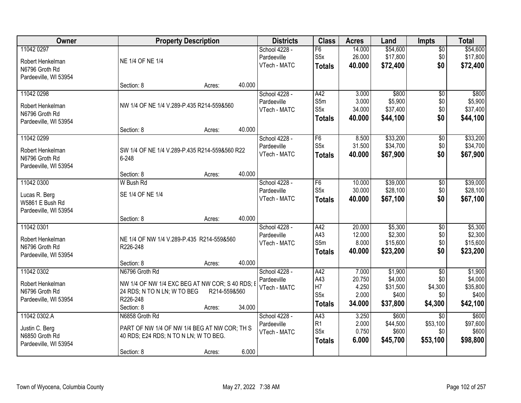| Owner                              | <b>Property Description</b>                     |              |        | <b>Districts</b> | <b>Class</b>     | <b>Acres</b>    | Land     | <b>Impts</b>    | <b>Total</b> |
|------------------------------------|-------------------------------------------------|--------------|--------|------------------|------------------|-----------------|----------|-----------------|--------------|
| 11042 0297                         |                                                 |              |        | School 4228 -    | F6               | 14.000          | \$54,600 | $\overline{50}$ | \$54,600     |
| Robert Henkelman                   | NE 1/4 OF NE 1/4                                |              |        | Pardeeville      | S <sub>5</sub> x | 26.000          | \$17,800 | \$0             | \$17,800     |
| N6796 Groth Rd                     |                                                 |              |        | VTech - MATC     | <b>Totals</b>    | 40.000          | \$72,400 | \$0             | \$72,400     |
| Pardeeville, WI 53954              |                                                 |              |        |                  |                  |                 |          |                 |              |
|                                    | Section: 8                                      | Acres:       | 40.000 |                  |                  |                 |          |                 |              |
| 11042 0298                         |                                                 |              |        | School 4228 -    | A42              | 3.000           | \$800    | $\overline{50}$ | \$800        |
|                                    | NW 1/4 OF NE 1/4 V.289-P.435 R214-559&560       |              |        | Pardeeville      | S5m              | 3.000           | \$5,900  | \$0             | \$5,900      |
| Robert Henkelman<br>N6796 Groth Rd |                                                 |              |        | VTech - MATC     | S <sub>5</sub> x | 34.000          | \$37,400 | \$0             | \$37,400     |
| Pardeeville, WI 53954              |                                                 |              |        |                  | <b>Totals</b>    | 40.000          | \$44,100 | \$0             | \$44,100     |
|                                    | Section: 8                                      | Acres:       | 40.000 |                  |                  |                 |          |                 |              |
| 11042 0299                         |                                                 |              |        | School 4228 -    | F6               | 8.500           | \$33,200 | \$0             | \$33,200     |
|                                    |                                                 |              |        | Pardeeville      | S <sub>5</sub> x | 31.500          | \$34,700 | \$0             | \$34,700     |
| Robert Henkelman                   | SW 1/4 OF NE 1/4 V.289-P.435 R214-559&560 R22   |              |        | VTech - MATC     | Totals           | 40.000          | \$67,900 | \$0             | \$67,900     |
| N6796 Groth Rd                     | 6-248                                           |              |        |                  |                  |                 |          |                 |              |
| Pardeeville, WI 53954              | Section: 8                                      | Acres:       | 40.000 |                  |                  |                 |          |                 |              |
| 11042 0300                         | W Bush Rd                                       |              |        | School 4228 -    | F6               | 10.000          | \$39,000 | \$0             | \$39,000     |
|                                    |                                                 |              |        | Pardeeville      | S <sub>5</sub> x | 30.000          | \$28,100 | \$0             | \$28,100     |
| Lucas R. Berg                      | SE 1/4 OF NE 1/4                                |              |        | VTech - MATC     | <b>Totals</b>    | 40.000          | \$67,100 | \$0             | \$67,100     |
| W5861 E Bush Rd                    |                                                 |              |        |                  |                  |                 |          |                 |              |
| Pardeeville, WI 53954              |                                                 |              |        |                  |                  |                 |          |                 |              |
|                                    | Section: 8                                      | Acres:       | 40.000 |                  |                  |                 |          |                 |              |
| 11042 0301                         |                                                 |              |        | School 4228 -    | A42              | 20.000          | \$5,300  | $\overline{50}$ | \$5,300      |
| Robert Henkelman                   | NE 1/4 OF NW 1/4 V.289-P.435 R214-559&560       |              |        | Pardeeville      | A43              | 12.000          | \$2,300  | \$0             | \$2,300      |
| N6796 Groth Rd                     | R226-248                                        |              |        | VTech - MATC     | S5m              | 8.000<br>40.000 | \$15,600 | \$0<br>\$0      | \$15,600     |
| Pardeeville, WI 53954              |                                                 |              |        |                  | <b>Totals</b>    |                 | \$23,200 |                 | \$23,200     |
|                                    | Section: 8                                      | Acres:       | 40.000 |                  |                  |                 |          |                 |              |
| 11042 0302                         | N6796 Groth Rd                                  |              |        | School 4228 -    | A42              | 7.000           | \$1,900  | $\sqrt{6}$      | \$1,900      |
| Robert Henkelman                   | NW 1/4 OF NW 1/4 EXC BEG AT NW COR; S 40 RDS; E |              |        | Pardeeville      | A43              | 20.750          | \$4,000  | \$0             | \$4,000      |
| N6796 Groth Rd                     | 24 RDS; N TO N LN; W TO BEG                     | R214-559&560 |        | VTech - MATC     | H7               | 4.250           | \$31,500 | \$4,300         | \$35,800     |
| Pardeeville, WI 53954              | R226-248                                        |              |        |                  | S5x              | 2.000           | \$400    | \$0             | \$400        |
|                                    | Section: 8                                      | Acres:       | 34.000 |                  | <b>Totals</b>    | 34.000          | \$37,800 | \$4,300         | \$42,100     |
| 11042 0302.A                       | N6858 Groth Rd                                  |              |        | School 4228 -    | A43              | 3.250           | \$600    | $\overline{30}$ | \$600        |
| Justin C. Berg                     | PART OF NW 1/4 OF NW 1/4 BEG AT NW COR; TH S    |              |        | Pardeeville      | R1               | 2.000           | \$44,500 | \$53,100        | \$97,600     |
| N6850 Groth Rd                     | 40 RDS; E24 RDS; N TO N LN; W TO BEG.           |              |        | VTech - MATC     | S5x              | 0.750           | \$600    | \$0             | \$600        |
| Pardeeville, WI 53954              |                                                 |              |        |                  | <b>Totals</b>    | 6.000           | \$45,700 | \$53,100        | \$98,800     |
|                                    | Section: 8                                      | Acres:       | 6.000  |                  |                  |                 |          |                 |              |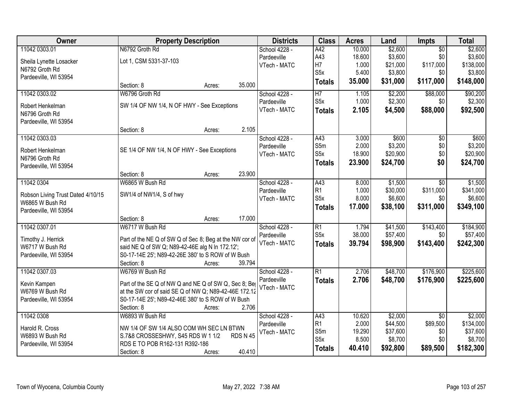| Owner                                                | <b>Property Description</b>                                     |                  | <b>Districts</b> | <b>Class</b>     | <b>Acres</b> | Land     | Impts           | <b>Total</b> |
|------------------------------------------------------|-----------------------------------------------------------------|------------------|------------------|------------------|--------------|----------|-----------------|--------------|
| 11042 0303.01                                        | N6792 Groth Rd                                                  |                  | School 4228 -    | A42              | 10.000       | \$2,600  | $\overline{50}$ | \$2,600      |
| Sheila Lynette Losacker                              | Lot 1, CSM 5331-37-103                                          |                  | Pardeeville      | A43              | 18.600       | \$3,600  | \$0             | \$3,600      |
| N6792 Groth Rd                                       |                                                                 |                  | VTech - MATC     | H7               | 1.000        | \$21,000 | \$117,000       | \$138,000    |
| Pardeeville, WI 53954                                |                                                                 |                  |                  | S <sub>5</sub> x | 5.400        | \$3,800  | \$0             | \$3,800      |
|                                                      | Section: 8                                                      | 35.000<br>Acres: |                  | <b>Totals</b>    | 35.000       | \$31,000 | \$117,000       | \$148,000    |
| 11042 0303.02                                        | W6796 Groth Rd                                                  |                  | School 4228 -    | $\overline{H}$   | 1.105        | \$2,200  | \$88,000        | \$90,200     |
| Robert Henkelman                                     | SW 1/4 OF NW 1/4, N OF HWY - See Exceptions                     |                  | Pardeeville      | S5x              | 1.000        | \$2,300  | \$0             | \$2,300      |
| N6796 Groth Rd                                       |                                                                 |                  | VTech - MATC     | <b>Totals</b>    | 2.105        | \$4,500  | \$88,000        | \$92,500     |
| Pardeeville, WI 53954                                |                                                                 |                  |                  |                  |              |          |                 |              |
|                                                      | Section: 8                                                      | 2.105<br>Acres:  |                  |                  |              |          |                 |              |
| 11042 0303.03                                        |                                                                 |                  | School 4228 -    | A43              | 3.000        | \$600    | $\overline{50}$ | \$600        |
| Robert Henkelman                                     | SE 1/4 OF NW 1/4, N OF HWY - See Exceptions                     |                  | Pardeeville      | S5m              | 2.000        | \$3,200  | \$0             | \$3,200      |
| N6796 Groth Rd                                       |                                                                 |                  | VTech - MATC     | S5x              | 18.900       | \$20,900 | \$0             | \$20,900     |
| Pardeeville, WI 53954                                |                                                                 |                  |                  | <b>Totals</b>    | 23.900       | \$24,700 | \$0             | \$24,700     |
|                                                      | Section: 8                                                      | 23.900<br>Acres: |                  |                  |              |          |                 |              |
| 11042 0304                                           | W6865 W Bush Rd                                                 |                  | School 4228 -    | A43              | 8.000        | \$1,500  | \$0             | \$1,500      |
|                                                      | SW1/4 of NW1/4, S of hwy                                        |                  | Pardeeville      | R1               | 1.000        | \$30,000 | \$311,000       | \$341,000    |
| Robson Living Trust Dated 4/10/15<br>W6865 W Bush Rd |                                                                 |                  | VTech - MATC     | S <sub>5</sub> x | 8.000        | \$6,600  | \$0             | \$6,600      |
| Pardeeville, WI 53954                                |                                                                 |                  |                  | <b>Totals</b>    | 17.000       | \$38,100 | \$311,000       | \$349,100    |
|                                                      | Section: 8                                                      | 17.000<br>Acres: |                  |                  |              |          |                 |              |
| 11042 0307.01                                        | W6717 W Bush Rd                                                 |                  | School 4228 -    | $\overline{R1}$  | 1.794        | \$41,500 | \$143,400       | \$184,900    |
|                                                      |                                                                 |                  | Pardeeville      | S5x              | 38.000       | \$57,400 | \$0             | \$57,400     |
| Timothy J. Herrick                                   | Part of the NE Q of SW Q of Sec 8; Beg at the NW cor of         |                  | VTech - MATC     | <b>Totals</b>    | 39.794       | \$98,900 | \$143,400       | \$242,300    |
| W6717 W Bush Rd                                      | said NE Q of SW Q; N89-42-46E alg N In 172.12';                 |                  |                  |                  |              |          |                 |              |
| Pardeeville, WI 53954                                | S0-17-14E 25'; N89-42-26E 380' to S ROW of W Bush<br>Section: 8 | 39.794           |                  |                  |              |          |                 |              |
| 11042 0307.03                                        | W6769 W Bush Rd                                                 | Acres:           | School 4228 -    | $\overline{R1}$  | 2.706        | \$48,700 | \$176,900       | \$225,600    |
|                                                      |                                                                 |                  | Pardeeville      |                  | 2.706        | \$48,700 | \$176,900       | \$225,600    |
| Kevin Kampen                                         | Part of the SE Q of NW Q and NE Q of SW Q, Sec 8; Be            |                  | VTech - MATC     | <b>Totals</b>    |              |          |                 |              |
| W6769 W Bush Rd                                      | at the SW cor of said SE Q of NW Q; N89-42-46E 172.12           |                  |                  |                  |              |          |                 |              |
| Pardeeville, WI 53954                                | S0-17-14E 25'; N89-42-46E 380' to S ROW of W Bush               |                  |                  |                  |              |          |                 |              |
|                                                      | Section: 8                                                      | 2.706<br>Acres:  |                  |                  |              |          |                 |              |
| 11042 0308                                           | W6893 W Bush Rd                                                 |                  | School 4228 -    | A43              | 10.620       | \$2,000  | $\overline{50}$ | \$2,000      |
| Harold R. Cross                                      | NW 1/4 OF SW 1/4 ALSO COM WH SEC LN BTWN                        |                  | Pardeeville      | R <sub>1</sub>   | 2.000        | \$44,500 | \$89,500        | \$134,000    |
| W6893 W Bush Rd                                      | S.7&8 CROSSESHWY, S45 RDS W 1 1/2                               | <b>RDS N 45</b>  | VTech - MATC     | S5m              | 19.290       | \$37,600 | \$0             | \$37,600     |
| Pardeeville, WI 53954                                | RDS E TO POB R162-131 R392-186                                  |                  |                  | S <sub>5</sub> x | 8.500        | \$8,700  | \$0             | \$8,700      |
|                                                      | Section: 8                                                      | 40.410<br>Acres: |                  | <b>Totals</b>    | 40.410       | \$92,800 | \$89,500        | \$182,300    |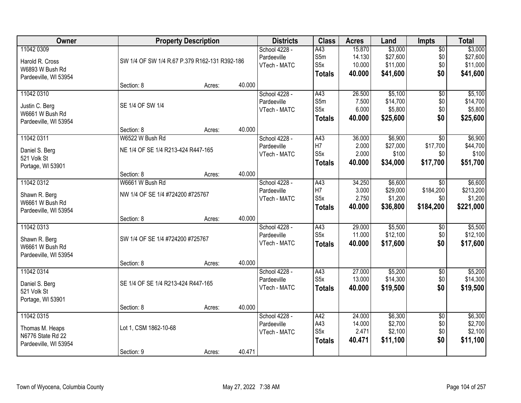| Owner                             |                                               | <b>Property Description</b> |             | <b>Districts</b>            | <b>Class</b>     | <b>Acres</b>     | Land               | Impts                  | <b>Total</b>       |
|-----------------------------------|-----------------------------------------------|-----------------------------|-------------|-----------------------------|------------------|------------------|--------------------|------------------------|--------------------|
| 11042 0309                        |                                               |                             |             | School 4228 -               | A43              | 15.870           | \$3,000            | $\overline{50}$        | \$3,000            |
| Harold R. Cross                   | SW 1/4 OF SW 1/4 R.67 P.379 R162-131 R392-186 |                             |             | Pardeeville                 | S5m              | 14.130           | \$27,600           | \$0                    | \$27,600           |
| W6893 W Bush Rd                   |                                               |                             |             | VTech - MATC                | S <sub>5</sub> x | 10.000           | \$11,000           | \$0                    | \$11,000           |
| Pardeeville, WI 53954             |                                               |                             |             |                             | <b>Totals</b>    | 40.000           | \$41,600           | \$0                    | \$41,600           |
|                                   | Section: 8                                    | Acres:                      | 40.000      |                             |                  |                  |                    |                        |                    |
| 11042 0310                        |                                               |                             |             | School 4228 -               | A43              | 26.500           | \$5,100            | $\overline{50}$        | \$5,100            |
|                                   | SE 1/4 OF SW 1/4                              |                             |             | Pardeeville                 | S5m              | 7.500            | \$14,700           | \$0                    | \$14,700           |
| Justin C. Berg<br>W6661 W Bush Rd |                                               |                             |             | VTech - MATC                | S <sub>5</sub> x | 6.000            | \$5,800            | \$0                    | \$5,800            |
| Pardeeville, WI 53954             |                                               |                             |             |                             | <b>Totals</b>    | 40.000           | \$25,600           | \$0                    | \$25,600           |
|                                   | Section: 8                                    | Acres:                      | 40.000      |                             |                  |                  |                    |                        |                    |
| 11042 0311                        | W6522 W Bush Rd                               |                             |             | School 4228 -               | A43              | 36.000           | \$6,900            | $\overline{50}$        | \$6,900            |
|                                   | NE 1/4 OF SE 1/4 R213-424 R447-165            |                             |             | Pardeeville                 | H7               | 2.000            | \$27,000           | \$17,700               | \$44,700           |
| Daniel S. Berg<br>521 Volk St     |                                               |                             |             | VTech - MATC                | S <sub>5</sub> x | 2.000            | \$100              | \$0                    | \$100              |
| Portage, WI 53901                 |                                               |                             |             |                             | <b>Totals</b>    | 40.000           | \$34,000           | \$17,700               | \$51,700           |
|                                   | Section: 8                                    | Acres:                      | 40.000      |                             |                  |                  |                    |                        |                    |
| 11042 0312                        | W6661 W Bush Rd                               |                             |             | School 4228 -               | A43              | 34.250           | \$6,600            | $\sqrt[6]{}$           | \$6,600            |
|                                   | NW 1/4 OF SE 1/4 #724200 #725767              |                             | Pardeeville | H7                          | 3.000            | \$29,000         | \$184,200          | \$213,200              |                    |
| Shawn R. Berg<br>W6661 W Bush Rd  |                                               |                             |             | VTech - MATC                | S <sub>5</sub> x | 2.750            | \$1,200            | \$0                    | \$1,200            |
| Pardeeville, WI 53954             |                                               |                             |             |                             | <b>Totals</b>    | 40.000           | \$36,800           | \$184,200              | \$221,000          |
|                                   | Section: 8                                    | Acres:                      | 40.000      |                             |                  |                  |                    |                        |                    |
| 11042 0313                        |                                               |                             |             | School 4228 -               | A43              | 29.000           | \$5,500            | \$0                    | \$5,500            |
|                                   |                                               |                             |             | Pardeeville                 | S5x              | 11.000           | \$12,100           | \$0                    | \$12,100           |
| Shawn R. Berg<br>W6661 W Bush Rd  | SW 1/4 OF SE 1/4 #724200 #725767              |                             |             | VTech - MATC                | <b>Totals</b>    | 40.000           | \$17,600           | \$0                    | \$17,600           |
| Pardeeville, WI 53954             |                                               |                             |             |                             |                  |                  |                    |                        |                    |
|                                   | Section: 8                                    | Acres:                      | 40.000      |                             |                  |                  |                    |                        |                    |
| 11042 0314                        |                                               |                             |             | School 4228 -               | A43              | 27.000           | \$5,200            | $\sqrt{6}$             | \$5,200            |
|                                   |                                               |                             |             | Pardeeville                 | S <sub>5</sub> x | 13.000           | \$14,300           | \$0                    | \$14,300           |
| Daniel S. Berg                    | SE 1/4 OF SE 1/4 R213-424 R447-165            |                             |             | VTech - MATC                | <b>Totals</b>    | 40.000           | \$19,500           | \$0                    | \$19,500           |
| 521 Volk St                       |                                               |                             |             |                             |                  |                  |                    |                        |                    |
| Portage, WI 53901                 |                                               |                             |             |                             |                  |                  |                    |                        |                    |
|                                   | Section: 8                                    | Acres:                      | 40.000      |                             |                  |                  |                    |                        |                    |
| 11042 0315                        |                                               |                             |             | School 4228 -               | A42<br>A43       | 24.000<br>14.000 | \$6,300<br>\$2,700 | $\overline{50}$<br>\$0 | \$6,300<br>\$2,700 |
| Thomas M. Heaps                   | Lot 1, CSM 1862-10-68                         |                             |             | Pardeeville<br>VTech - MATC | S <sub>5</sub> x | 2.471            | \$2,100            | \$0                    | \$2,100            |
| N6776 State Rd 22                 |                                               |                             |             |                             |                  | 40.471           | \$11,100           | \$0                    | \$11,100           |
| Pardeeville, WI 53954             |                                               |                             |             |                             | <b>Totals</b>    |                  |                    |                        |                    |
|                                   | Section: 9                                    | Acres:                      | 40.471      |                             |                  |                  |                    |                        |                    |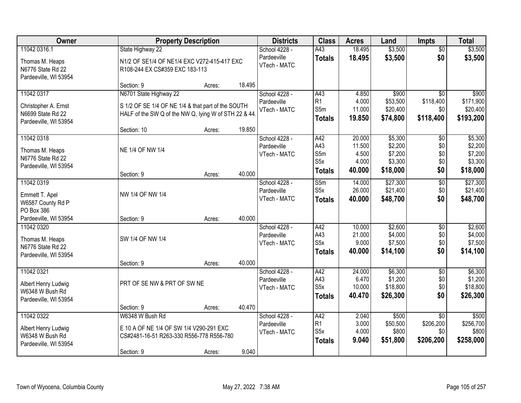| Owner                                                         |                                                                                                             | <b>Property Description</b> |        | <b>Districts</b>            | <b>Class</b>          | <b>Acres</b>    | Land                 | <b>Impts</b>     | <b>Total</b>          |
|---------------------------------------------------------------|-------------------------------------------------------------------------------------------------------------|-----------------------------|--------|-----------------------------|-----------------------|-----------------|----------------------|------------------|-----------------------|
| 11042 0316.1                                                  | State Highway 22                                                                                            |                             |        | School 4228 -               | A43                   | 18.495          | \$3,500              | $\overline{50}$  | \$3,500               |
| Thomas M. Heaps<br>N6776 State Rd 22<br>Pardeeville, WI 53954 | N1/2 OF SE1/4 OF NE1/4 EXC V272-415-417 EXC<br>R108-244 EX CS#359 EXC 183-113                               |                             |        | Pardeeville<br>VTech - MATC | <b>Totals</b>         | 18.495          | \$3,500              | \$0              | \$3,500               |
|                                                               | Section: 9                                                                                                  | Acres:                      | 18.495 |                             |                       |                 |                      |                  |                       |
| 11042 0317                                                    | N6701 State Highway 22                                                                                      |                             |        | School 4228 -               | A43                   | 4.850           | \$900                | $\overline{50}$  | \$900                 |
| Christopher A. Ernst<br>N6699 State Rd 22                     | S 1/2 OF SE 1/4 OF NE 1/4 & that part of the SOUTH<br>HALF of the SW Q of the NW Q, lying W of STH 22 & 44. |                             |        | Pardeeville<br>VTech - MATC | R <sub>1</sub><br>S5m | 4.000<br>11.000 | \$53,500<br>\$20,400 | \$118,400<br>\$0 | \$171,900<br>\$20,400 |
| Pardeeville, WI 53954                                         |                                                                                                             |                             |        |                             | <b>Totals</b>         | 19.850          | \$74,800             | \$118,400        | \$193,200             |
|                                                               | Section: 10                                                                                                 | Acres:                      | 19.850 |                             |                       |                 |                      |                  |                       |
| 11042 0318                                                    |                                                                                                             |                             |        | School 4228 -               | A42                   | 20.000          | \$5,300              | \$0              | \$5,300               |
| Thomas M. Heaps                                               | NE 1/4 OF NW 1/4                                                                                            |                             |        | Pardeeville                 | A43                   | 11.500          | \$2,200              | \$0              | \$2,200               |
| N6776 State Rd 22                                             |                                                                                                             |                             |        | VTech - MATC                | S5m                   | 4.500           | \$7,200              | \$0              | \$7,200               |
| Pardeeville, WI 53954                                         |                                                                                                             |                             |        |                             | S5x                   | 4.000           | \$3,300              | \$0              | \$3,300               |
|                                                               | Section: 9                                                                                                  | Acres:                      | 40.000 |                             | <b>Totals</b>         | 40.000          | \$18,000             | \$0              | \$18,000              |
| 11042 0319                                                    |                                                                                                             |                             |        | School 4228 -               | S5m                   | 14.000          | \$27,300             | \$0              | \$27,300              |
| Emmett T. Apel                                                | NW 1/4 OF NW 1/4                                                                                            |                             |        | Pardeeville                 | S <sub>5</sub> x      | 26.000          | \$21,400             | \$0              | \$21,400              |
| W6587 County Rd P                                             |                                                                                                             |                             |        | VTech - MATC                | <b>Totals</b>         | 40.000          | \$48,700             | \$0              | \$48,700              |
| PO Box 386                                                    |                                                                                                             |                             |        |                             |                       |                 |                      |                  |                       |
| Pardeeville, WI 53954                                         | Section: 9                                                                                                  | Acres:                      | 40.000 |                             |                       |                 |                      |                  |                       |
| 11042 0320                                                    |                                                                                                             |                             |        | School 4228 -               | A42                   | 10.000          | \$2,600              | $\overline{50}$  | \$2,600               |
| Thomas M. Heaps                                               | SW 1/4 OF NW 1/4                                                                                            |                             |        | Pardeeville                 | A43                   | 21.000          | \$4,000              | \$0              | \$4,000               |
| N6776 State Rd 22                                             |                                                                                                             |                             |        | VTech - MATC                | S <sub>5</sub> x      | 9.000           | \$7,500              | \$0              | \$7,500               |
| Pardeeville, WI 53954                                         |                                                                                                             |                             |        |                             | <b>Totals</b>         | 40.000          | \$14,100             | \$0              | \$14,100              |
|                                                               | Section: 9                                                                                                  | Acres:                      | 40.000 |                             |                       |                 |                      |                  |                       |
| 11042 0321                                                    |                                                                                                             |                             |        | School 4228 -               | A42                   | 24.000          | \$6,300              | $\sqrt{6}$       | \$6,300               |
| Albert Henry Ludwig                                           | PRT OF SE NW & PRT OF SW NE                                                                                 |                             |        | Pardeeville                 | A43                   | 6.470           | \$1,200              | \$0              | \$1,200               |
| W6348 W Bush Rd                                               |                                                                                                             |                             |        | VTech - MATC                | S <sub>5</sub> x      | 10.000          | \$18,800             | \$0              | \$18,800              |
| Pardeeville, WI 53954                                         |                                                                                                             |                             |        |                             | <b>Totals</b>         | 40.470          | \$26,300             | \$0              | \$26,300              |
|                                                               | Section: 9                                                                                                  | Acres:                      | 40.470 |                             |                       |                 |                      |                  |                       |
| 11042 0322                                                    | W6348 W Bush Rd                                                                                             |                             |        | School 4228 -               | A42                   | 2.040           | \$500                | $\overline{50}$  | \$500                 |
| Albert Henry Ludwig                                           | E 10 A OF NE 1/4 OF SW 1/4 V290-291 EXC                                                                     |                             |        | Pardeeville                 | R1                    | 3.000           | \$50,500             | \$206,200        | \$256,700             |
| W6348 W Bush Rd                                               | CS#2481-16-51 R263-330 R556-778 R556-780                                                                    |                             |        | VTech - MATC                | S5x                   | 4.000           | \$800                | \$0              | \$800                 |
| Pardeeville, WI 53954                                         |                                                                                                             |                             |        |                             | <b>Totals</b>         | 9.040           | \$51,800             | \$206,200        | \$258,000             |
|                                                               | Section: 9                                                                                                  | Acres:                      | 9.040  |                             |                       |                 |                      |                  |                       |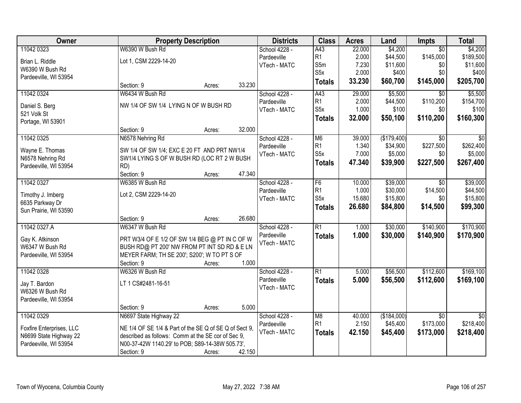| <b>Owner</b>                         |                                                                                                | <b>Property Description</b> |        | <b>Districts</b>            | <b>Class</b>     | <b>Acres</b>    | Land                    | <b>Impts</b>                 | <b>Total</b>                 |
|--------------------------------------|------------------------------------------------------------------------------------------------|-----------------------------|--------|-----------------------------|------------------|-----------------|-------------------------|------------------------------|------------------------------|
| 11042 0323                           | W6390 W Bush Rd                                                                                |                             |        | School 4228 -               | A43              | 22.000          | \$4,200                 | $\overline{50}$              | \$4,200                      |
| Brian L. Riddle                      | Lot 1, CSM 2229-14-20                                                                          |                             |        | Pardeeville                 | R1               | 2.000           | \$44,500                | \$145,000                    | \$189,500                    |
| W6390 W Bush Rd                      |                                                                                                |                             |        | VTech - MATC                | S5m              | 7.230           | \$11,600                | \$0                          | \$11,600                     |
| Pardeeville, WI 53954                |                                                                                                |                             |        |                             | S <sub>5</sub> x | 2.000           | \$400                   | \$0                          | \$400                        |
|                                      | Section: 9                                                                                     | Acres:                      | 33.230 |                             | <b>Totals</b>    | 33.230          | \$60,700                | \$145,000                    | \$205,700                    |
| 11042 0324                           | W6434 W Bush Rd                                                                                |                             |        | School 4228 -               | A43              | 29.000          | \$5,500                 | $\overline{50}$              | \$5,500                      |
| Daniel S. Berg                       | NW 1/4 OF SW 1/4 LYING N OF W BUSH RD                                                          |                             |        | Pardeeville                 | R <sub>1</sub>   | 2.000           | \$44,500                | \$110,200                    | \$154,700                    |
| 521 Volk St                          |                                                                                                |                             |        | VTech - MATC                | S <sub>5</sub> x | 1.000           | \$100                   | \$0                          | \$100                        |
| Portage, WI 53901                    |                                                                                                |                             |        |                             | <b>Totals</b>    | 32.000          | \$50,100                | \$110,200                    | \$160,300                    |
|                                      | Section: 9                                                                                     | Acres:                      | 32.000 |                             |                  |                 |                         |                              |                              |
| 11042 0325                           | N6578 Nehring Rd                                                                               |                             |        | School 4228 -               | M <sub>6</sub>   | 39.000          | (\$179,400)             | $\overline{50}$              | $\overline{50}$              |
| Wayne E. Thomas                      | SW 1/4 OF SW 1/4; EXC E 20 FT AND PRT NW1/4                                                    |                             |        | Pardeeville                 | R <sub>1</sub>   | 1.340           | \$34,900                | \$227,500                    | \$262,400                    |
| N6578 Nehring Rd                     | SW1/4 LYING S OF W BUSH RD (LOC RT 2 W BUSH                                                    |                             |        | VTech - MATC                | S <sub>5</sub> x | 7.000           | \$5,000                 | \$0                          | \$5,000                      |
| Pardeeville, WI 53954                | RD)                                                                                            |                             |        |                             | <b>Totals</b>    | 47.340          | \$39,900                | \$227,500                    | \$267,400                    |
|                                      | Section: 9                                                                                     | Acres:                      | 47.340 |                             |                  |                 |                         |                              |                              |
| 11042 0327                           | W6385 W Bush Rd                                                                                |                             |        | School 4228 -               | F6               | 10.000          | \$39,000                | $\sqrt{6}$                   | \$39,000                     |
|                                      | Lot 2, CSM 2229-14-20                                                                          |                             |        | Pardeeville                 | R1               | 1.000           | \$30,000                | \$14,500                     | \$44,500                     |
| Timothy J. Imberg<br>6635 Parkway Dr |                                                                                                |                             |        | VTech - MATC                | S <sub>5</sub> x | 15.680          | \$15,800                | \$0                          | \$15,800                     |
| Sun Prairie, WI 53590                |                                                                                                |                             |        |                             | <b>Totals</b>    | 26.680          | \$84,800                | \$14,500                     | \$99,300                     |
|                                      | Section: 9                                                                                     | Acres:                      | 26.680 |                             |                  |                 |                         |                              |                              |
| 11042 0327.A                         | W6347 W Bush Rd                                                                                |                             |        | School 4228 -               | $\overline{R1}$  | 1.000           | \$30,000                | \$140,900                    | \$170,900                    |
|                                      |                                                                                                |                             |        | Pardeeville                 | <b>Totals</b>    | 1.000           | \$30,000                | \$140,900                    | \$170,900                    |
| Gay K. Atkinson<br>W6347 W Bush Rd   | PRT W3/4 OF E 1/2 OF SW 1/4 BEG @ PT IN C OF W<br>BUSH RD@ PT 200' NW FROM PT INT SD RD & E LN |                             |        | VTech - MATC                |                  |                 |                         |                              |                              |
| Pardeeville, WI 53954                | MEYER FARM; TH SE 200'; S200'; W TO PT S OF                                                    |                             |        |                             |                  |                 |                         |                              |                              |
|                                      | Section: 9                                                                                     | Acres:                      | 1.000  |                             |                  |                 |                         |                              |                              |
| 11042 0328                           | W6326 W Bush Rd                                                                                |                             |        | School 4228 -               | $\overline{R1}$  | 5.000           | \$56,500                | \$112,600                    | \$169,100                    |
|                                      |                                                                                                |                             |        | Pardeeville                 | <b>Totals</b>    | 5.000           | \$56,500                | \$112,600                    | \$169,100                    |
| Jay T. Bardon                        | LT 1 CS#2481-16-51                                                                             |                             |        | VTech - MATC                |                  |                 |                         |                              |                              |
| W6326 W Bush Rd                      |                                                                                                |                             |        |                             |                  |                 |                         |                              |                              |
| Pardeeville, WI 53954                |                                                                                                |                             |        |                             |                  |                 |                         |                              |                              |
|                                      | Section: 9                                                                                     | Acres:                      | 5.000  |                             |                  |                 |                         |                              |                              |
| 11042 0329                           | N6697 State Highway 22                                                                         |                             |        | School 4228 -               | M8<br>R1         | 40.000<br>2.150 | (\$184,000)<br>\$45,400 | $\overline{50}$<br>\$173,000 | $\overline{50}$<br>\$218,400 |
| Foxfire Enterprises, LLC             | NE 1/4 OF SE 1/4 & Part of the SE Q of SE Q of Sect 9,                                         |                             |        | Pardeeville<br>VTech - MATC |                  |                 |                         |                              |                              |
| N6699 State Highway 22               | described as follows: Comm at the SE cor of Sec 9.                                             |                             |        |                             | <b>Totals</b>    | 42.150          | \$45,400                | \$173,000                    | \$218,400                    |
| Pardeeville, WI 53954                | N00-37-42W 1140.29' to POB; S89-14-38W 505.73',                                                |                             |        |                             |                  |                 |                         |                              |                              |
|                                      | Section: 9                                                                                     | Acres:                      | 42.150 |                             |                  |                 |                         |                              |                              |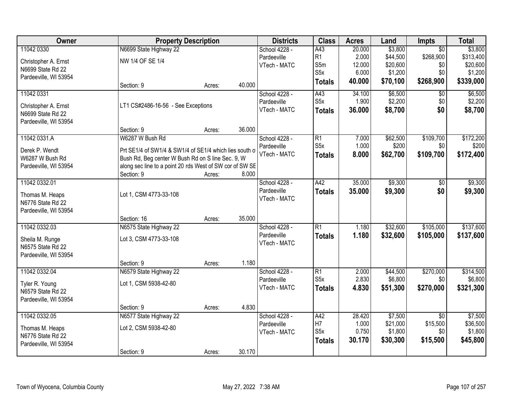| Owner                                    | <b>Property Description</b>                                                                                   |        |        | <b>Districts</b>            | <b>Class</b>     | <b>Acres</b> | Land     | <b>Impts</b>    | <b>Total</b> |
|------------------------------------------|---------------------------------------------------------------------------------------------------------------|--------|--------|-----------------------------|------------------|--------------|----------|-----------------|--------------|
| 11042 0330                               | N6699 State Highway 22                                                                                        |        |        | School 4228 -               | A43              | 20.000       | \$3,800  | $\overline{50}$ | \$3,800      |
| Christopher A. Ernst                     | NW 1/4 OF SE 1/4                                                                                              |        |        | Pardeeville                 | R <sub>1</sub>   | 2.000        | \$44,500 | \$268,900       | \$313,400    |
| N6699 State Rd 22                        |                                                                                                               |        |        | VTech - MATC                | S5m              | 12.000       | \$20,600 | \$0             | \$20,600     |
| Pardeeville, WI 53954                    |                                                                                                               |        |        |                             | S <sub>5</sub> x | 6.000        | \$1,200  | \$0             | \$1,200      |
|                                          | Section: 9                                                                                                    | Acres: | 40.000 |                             | <b>Totals</b>    | 40.000       | \$70,100 | \$268,900       | \$339,000    |
| 11042 0331                               |                                                                                                               |        |        | School 4228 -               | A43              | 34.100       | \$6,500  | \$0             | \$6,500      |
| Christopher A. Ernst                     | LT1 CS#2486-16-56 - See Exceptions                                                                            |        |        | Pardeeville                 | S5x              | 1.900        | \$2,200  | \$0             | \$2,200      |
| N6699 State Rd 22                        |                                                                                                               |        |        | VTech - MATC                | <b>Totals</b>    | 36.000       | \$8,700  | \$0             | \$8,700      |
| Pardeeville, WI 53954                    | Section: 9                                                                                                    | Acres: | 36.000 |                             |                  |              |          |                 |              |
| 11042 0331.A                             | W6287 W Bush Rd                                                                                               |        |        | School 4228 -               | $\overline{R1}$  | 7.000        | \$62,500 | \$109,700       | \$172,200    |
|                                          |                                                                                                               |        |        | Pardeeville                 | S <sub>5</sub> x | 1.000        | \$200    | \$0             | \$200        |
| Derek P. Wendt                           | Prt SE1/4 of SW1/4 & SW1/4 of SE1/4 which lies south of                                                       |        |        | VTech - MATC                | <b>Totals</b>    | 8.000        | \$62,700 | \$109,700       | \$172,400    |
| W6287 W Bush Rd<br>Pardeeville, WI 53954 | Bush Rd, Beg center W Bush Rd on S line Sec. 9, W<br>along sec line to a point 20 rds West of SW cor of SW SE |        |        |                             |                  |              |          |                 |              |
|                                          | Section: 9                                                                                                    | Acres: | 8.000  |                             |                  |              |          |                 |              |
| 11042 0332.01                            |                                                                                                               |        |        | School 4228 -               | A42              | 35.000       | \$9,300  | $\sqrt[6]{}$    | \$9,300      |
|                                          |                                                                                                               |        |        | Pardeeville                 | <b>Totals</b>    | 35.000       | \$9,300  | \$0             | \$9,300      |
| Thomas M. Heaps                          | Lot 1, CSM 4773-33-108                                                                                        |        |        | VTech - MATC                |                  |              |          |                 |              |
| N6776 State Rd 22                        |                                                                                                               |        |        |                             |                  |              |          |                 |              |
| Pardeeville, WI 53954                    |                                                                                                               |        |        |                             |                  |              |          |                 |              |
|                                          | Section: 16                                                                                                   | Acres: | 35.000 |                             |                  |              |          |                 |              |
| 11042 0332.03                            | N6575 State Highway 22                                                                                        |        |        | School 4228 -               | $\overline{R1}$  | 1.180        | \$32,600 | \$105,000       | \$137,600    |
| Sheila M. Runge                          | Lot 3, CSM 4773-33-108                                                                                        |        |        | Pardeeville<br>VTech - MATC | <b>Totals</b>    | 1.180        | \$32,600 | \$105,000       | \$137,600    |
| N6575 State Rd 22                        |                                                                                                               |        |        |                             |                  |              |          |                 |              |
| Pardeeville, WI 53954                    |                                                                                                               |        |        |                             |                  |              |          |                 |              |
|                                          | Section: 9                                                                                                    | Acres: | 1.180  |                             |                  |              |          |                 |              |
| 11042 0332.04                            | N6579 State Highway 22                                                                                        |        |        | School 4228 -               | $\overline{R1}$  | 2.000        | \$44,500 | \$270,000       | \$314,500    |
| Tyler R. Young                           | Lot 1, CSM 5938-42-80                                                                                         |        |        | Pardeeville                 | S <sub>5</sub> x | 2.830        | \$6,800  | \$0             | \$6,800      |
| N6579 State Rd 22                        |                                                                                                               |        |        | VTech - MATC                | <b>Totals</b>    | 4.830        | \$51,300 | \$270,000       | \$321,300    |
| Pardeeville, WI 53954                    |                                                                                                               |        |        |                             |                  |              |          |                 |              |
|                                          | Section: 9                                                                                                    | Acres: | 4.830  |                             |                  |              |          |                 |              |
| 11042 0332.05                            | N6577 State Highway 22                                                                                        |        |        | School 4228 -               | A42              | 28.420       | \$7,500  | $\overline{50}$ | \$7,500      |
| Thomas M. Heaps                          | Lot 2, CSM 5938-42-80                                                                                         |        |        | Pardeeville                 | H7               | 1.000        | \$21,000 | \$15,500        | \$36,500     |
| N6776 State Rd 22                        |                                                                                                               |        |        | VTech - MATC                | S <sub>5</sub> x | 0.750        | \$1,800  | \$0             | \$1,800      |
| Pardeeville, WI 53954                    |                                                                                                               |        |        |                             | <b>Totals</b>    | 30.170       | \$30,300 | \$15,500        | \$45,800     |
|                                          | Section: 9                                                                                                    | Acres: | 30.170 |                             |                  |              |          |                 |              |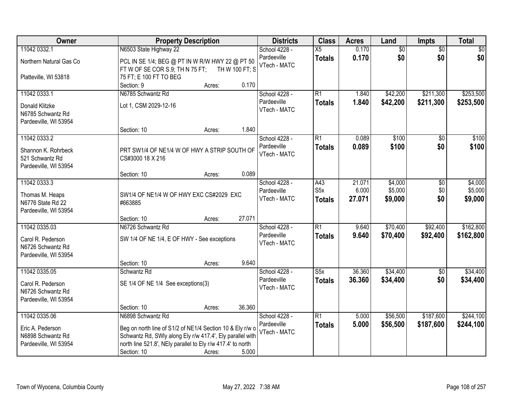| Owner                                                           | <b>Property Description</b>                                                 | <b>Districts</b>             | <b>Class</b>     | <b>Acres</b>   | Land            | <b>Impts</b>           | <b>Total</b>   |
|-----------------------------------------------------------------|-----------------------------------------------------------------------------|------------------------------|------------------|----------------|-----------------|------------------------|----------------|
| 11042 0332.1                                                    | N6503 State Highway 22                                                      | School 4228 -<br>Pardeeville | $\overline{X5}$  | 0.170          | $\overline{60}$ | $\overline{50}$        | \$0            |
| Northern Natural Gas Co                                         | PCL IN SE 1/4; BEG @ PT IN W R/W HWY 22 @ PT 50                             | VTech - MATC                 | <b>Totals</b>    | 0.170          | \$0             | \$0                    | \$0            |
| Platteville, WI 53818                                           | FT W OF SE COR S.9; TH N 75 FT;<br>TH W 100 FT; S<br>75 FT; E 100 FT TO BEG |                              |                  |                |                 |                        |                |
|                                                                 | 0.170<br>Section: 9<br>Acres:                                               |                              |                  |                |                 |                        |                |
| 11042 0333.1                                                    | N6785 Schwantz Rd                                                           | School 4228 -                | $\overline{R1}$  | 1.840          | \$42,200        | \$211,300              | \$253,500      |
| Donald Klitzke<br>N6785 Schwantz Rd                             | Lot 1, CSM 2029-12-16                                                       | Pardeeville<br>VTech - MATC  | <b>Totals</b>    | 1.840          | \$42,200        | \$211,300              | \$253,500      |
| Pardeeville, WI 53954                                           |                                                                             |                              |                  |                |                 |                        |                |
|                                                                 | 1.840<br>Section: 10<br>Acres:                                              |                              |                  |                |                 |                        |                |
| 11042 0333.2                                                    |                                                                             | School 4228 -<br>Pardeeville | $\overline{R1}$  | 0.089<br>0.089 | \$100<br>\$100  | $\overline{50}$<br>\$0 | \$100<br>\$100 |
| Shannon K. Rohrbeck<br>521 Schwantz Rd<br>Pardeeville, WI 53954 | PRT SW1/4 OF NE1/4 W OF HWY A STRIP SOUTH OF<br>CS#3000 18 X 216            | VTech - MATC                 | <b>Totals</b>    |                |                 |                        |                |
|                                                                 | 0.089<br>Section: 10<br>Acres:                                              |                              |                  |                |                 |                        |                |
| 11042 0333.3                                                    |                                                                             | School 4228 -                | A43              | 21.071         | \$4,000         | $\sqrt[6]{}$           | \$4,000        |
| Thomas M. Heaps                                                 | SW1/4 OF NE1/4 W OF HWY EXC CS#2029 EXC                                     | Pardeeville                  | S <sub>5</sub> x | 6.000          | \$5,000         | \$0                    | \$5,000        |
| N6776 State Rd 22                                               | #663885                                                                     | VTech - MATC                 | <b>Totals</b>    | 27.071         | \$9,000         | \$0                    | \$9,000        |
| Pardeeville, WI 53954                                           |                                                                             |                              |                  |                |                 |                        |                |
|                                                                 | 27.071<br>Section: 10<br>Acres:                                             |                              |                  |                |                 |                        |                |
| 11042 0335.03                                                   | N6726 Schwantz Rd                                                           | School 4228 -                | $\overline{R1}$  | 9.640          | \$70,400        | \$92,400               | \$162,800      |
| Carol R. Pederson                                               | SW 1/4 OF NE 1/4, E OF HWY - See exceptions                                 | Pardeeville<br>VTech - MATC  | <b>Totals</b>    | 9.640          | \$70,400        | \$92,400               | \$162,800      |
| N6726 Schwantz Rd                                               |                                                                             |                              |                  |                |                 |                        |                |
| Pardeeville, WI 53954                                           | 9.640                                                                       |                              |                  |                |                 |                        |                |
| 11042 0335.05                                                   | Section: 10<br>Acres:<br>Schwantz Rd                                        | School 4228 -                | S5x              | 36.360         | \$34,400        | $\overline{60}$        | \$34,400       |
|                                                                 |                                                                             | Pardeeville                  | <b>Totals</b>    | 36.360         | \$34,400        | \$0                    | \$34,400       |
| Carol R. Pederson                                               | SE 1/4 OF NE 1/4 See exceptions(3)                                          | VTech - MATC                 |                  |                |                 |                        |                |
| N6726 Schwantz Rd<br>Pardeeville, WI 53954                      |                                                                             |                              |                  |                |                 |                        |                |
|                                                                 | 36.360<br>Section: 10<br>Acres:                                             |                              |                  |                |                 |                        |                |
| 11042 0335.06                                                   | N6898 Schwantz Rd                                                           | School 4228 -                | $\overline{R1}$  | 5.000          | \$56,500        | \$187,600              | \$244,100      |
| Eric A. Pederson                                                | Beg on north line of S1/2 of NE1/4 Section 10 & Ely r/w o                   | Pardeeville                  | <b>Totals</b>    | 5.000          | \$56,500        | \$187,600              | \$244,100      |
| N6898 Schwantz Rd                                               | Schwantz Rd, SWly along Ely r/w 417.4', Ely parallel with                   | VTech - MATC                 |                  |                |                 |                        |                |
| Pardeeville, WI 53954                                           | north line 521.8', NEly parallel to Ely r/w 417.4' to north                 |                              |                  |                |                 |                        |                |
|                                                                 | Section: 10<br>5.000<br>Acres:                                              |                              |                  |                |                 |                        |                |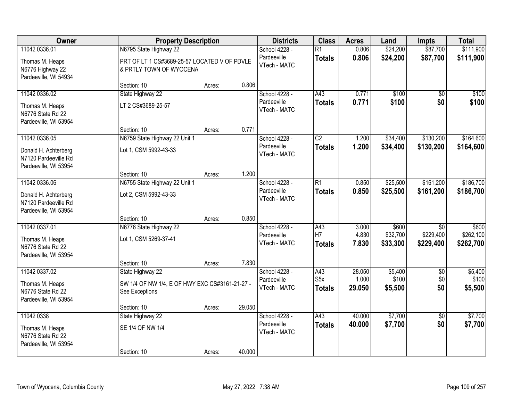| Owner                                                                                  |                                                                                                   | <b>Property Description</b> |        | <b>Districts</b>                             | <b>Class</b>                     | <b>Acres</b>              | Land                          | <b>Impts</b>                              | <b>Total</b>                    |
|----------------------------------------------------------------------------------------|---------------------------------------------------------------------------------------------------|-----------------------------|--------|----------------------------------------------|----------------------------------|---------------------------|-------------------------------|-------------------------------------------|---------------------------------|
| 11042 0336.01<br>Thomas M. Heaps<br>N6776 Highway 22<br>Pardeeville, WI 54934          | N6795 State Highway 22<br>PRT OF LT 1 CS#3689-25-57 LOCATED V OF PDVLE<br>& PRTLY TOWN OF WYOCENA |                             |        | School 4228 -<br>Pardeeville<br>VTech - MATC | $\overline{R1}$<br><b>Totals</b> | 0.806<br>0.806            | \$24,200<br>\$24,200          | \$87,700<br>\$87,700                      | \$111,900<br>\$111,900          |
|                                                                                        | Section: 10                                                                                       | Acres:                      | 0.806  |                                              |                                  |                           |                               |                                           |                                 |
| 11042 0336.02<br>Thomas M. Heaps<br>N6776 State Rd 22<br>Pardeeville, WI 53954         | State Highway 22<br>LT 2 CS#3689-25-57                                                            |                             |        | School 4228 -<br>Pardeeville<br>VTech - MATC | A43<br><b>Totals</b>             | 0.771<br>0.771            | \$100<br>\$100                | $\overline{50}$<br>\$0                    | \$100<br>\$100                  |
|                                                                                        | Section: 10                                                                                       | Acres:                      | 0.771  |                                              |                                  |                           |                               |                                           |                                 |
| 11042 0336.05<br>Donald H. Achterberg<br>N7120 Pardeeville Rd<br>Pardeeville, WI 53954 | N6759 State Highway 22 Unit 1<br>Lot 1, CSM 5992-43-33                                            |                             |        | School 4228 -<br>Pardeeville<br>VTech - MATC | $\overline{C2}$<br><b>Totals</b> | 1.200<br>1.200            | \$34,400<br>\$34,400          | \$130,200<br>\$130,200                    | \$164,600<br>\$164,600          |
|                                                                                        | Section: 10                                                                                       | Acres:                      | 1.200  |                                              |                                  |                           |                               |                                           |                                 |
| 11042 0336.06<br>Donald H. Achterberg<br>N7120 Pardeeville Rd<br>Pardeeville, WI 53954 | N6755 State Highway 22 Unit 1<br>Lot 2, CSM 5992-43-33                                            |                             |        | School 4228 -<br>Pardeeville<br>VTech - MATC | $\overline{R1}$<br><b>Totals</b> | 0.850<br>0.850            | \$25,500<br>\$25,500          | \$161,200<br>\$161,200                    | \$186,700<br>\$186,700          |
|                                                                                        | Section: 10                                                                                       | Acres:                      | 0.850  |                                              |                                  |                           |                               |                                           |                                 |
| 11042 0337.01<br>Thomas M. Heaps<br>N6776 State Rd 22<br>Pardeeville, WI 53954         | N6776 State Highway 22<br>Lot 1, CSM 5269-37-41                                                   |                             |        | School 4228 -<br>Pardeeville<br>VTech - MATC | A43<br>H7<br><b>Totals</b>       | 3.000<br>4.830<br>7.830   | \$600<br>\$32,700<br>\$33,300 | $\overline{50}$<br>\$229,400<br>\$229,400 | \$600<br>\$262,100<br>\$262,700 |
|                                                                                        | Section: 10                                                                                       | Acres:                      | 7.830  |                                              |                                  |                           |                               |                                           |                                 |
| 11042 0337.02<br>Thomas M. Heaps<br>N6776 State Rd 22<br>Pardeeville, WI 53954         | State Highway 22<br>SW 1/4 OF NW 1/4, E OF HWY EXC CS#3161-21-27 -<br>See Exceptions              |                             |        | School 4228 -<br>Pardeeville<br>VTech - MATC | A43<br>S5x<br><b>Totals</b>      | 28.050<br>1.000<br>29.050 | \$5,400<br>\$100<br>\$5,500   | $\sqrt{6}$<br>\$0<br>\$0                  | \$5,400<br>\$100<br>\$5,500     |
|                                                                                        | Section: 10                                                                                       | Acres:                      | 29.050 |                                              |                                  |                           |                               |                                           |                                 |
| 11042 0338<br>Thomas M. Heaps<br>N6776 State Rd 22<br>Pardeeville, WI 53954            | State Highway 22<br>SE 1/4 OF NW 1/4<br>Section: 10                                               | Acres:                      | 40.000 | School 4228 -<br>Pardeeville<br>VTech - MATC | A43<br><b>Totals</b>             | 40.000<br>40.000          | \$7,700<br>\$7,700            | $\overline{50}$<br>\$0                    | \$7,700<br>\$7,700              |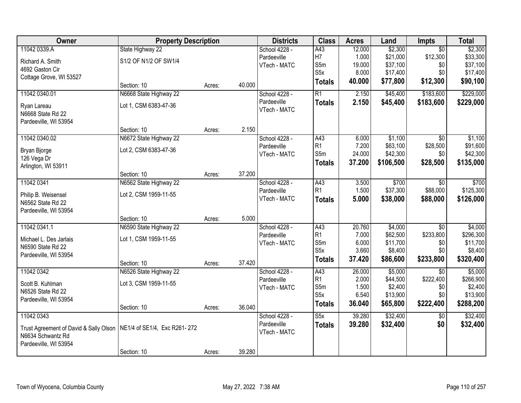| Owner                                  | <b>Property Description</b>  |        |        | <b>Districts</b> | <b>Class</b>     | <b>Acres</b>   | Land                 | Impts            | <b>Total</b>          |
|----------------------------------------|------------------------------|--------|--------|------------------|------------------|----------------|----------------------|------------------|-----------------------|
| 11042 0339.A                           | State Highway 22             |        |        | School 4228 -    | A43              | 12.000         | \$2,300              | $\overline{50}$  | \$2,300               |
| Richard A. Smith                       | S1/2 OF N1/2 OF SW1/4        |        |        | Pardeeville      | H7               | 1.000          | \$21,000             | \$12,300         | \$33,300              |
| 4692 Gaston Cir                        |                              |        |        | VTech - MATC     | S5m              | 19.000         | \$37,100             | \$0              | \$37,100              |
| Cottage Grove, WI 53527                |                              |        |        |                  | S <sub>5</sub> x | 8.000          | \$17,400             | \$0              | \$17,400              |
|                                        | Section: 10                  | Acres: | 40.000 |                  | <b>Totals</b>    | 40.000         | \$77,800             | \$12,300         | \$90,100              |
| 11042 0340.01                          | N6668 State Highway 22       |        |        | School 4228 -    | R1               | 2.150          | \$45,400             | \$183,600        | \$229,000             |
| Ryan Lareau                            | Lot 1, CSM 6383-47-36        |        |        | Pardeeville      | <b>Totals</b>    | 2.150          | \$45,400             | \$183,600        | \$229,000             |
| N6668 State Rd 22                      |                              |        |        | VTech - MATC     |                  |                |                      |                  |                       |
| Pardeeville, WI 53954                  |                              |        |        |                  |                  |                |                      |                  |                       |
|                                        | Section: 10                  | Acres: | 2.150  |                  |                  |                |                      |                  |                       |
| 11042 0340.02                          | N6672 State Highway 22       |        |        | School 4228 -    | A43              | 6.000          | \$1,100              | \$0              | \$1,100               |
|                                        | Lot 2, CSM 6383-47-36        |        |        | Pardeeville      | R1               | 7.200          | \$63,100             | \$28,500         | \$91,600              |
| Bryan Bjorge                           |                              |        |        | VTech - MATC     | S5m              | 24.000         | \$42,300             | \$0              | \$42,300              |
| 126 Vega Dr<br>Arlington, WI 53911     |                              |        |        |                  | <b>Totals</b>    | 37.200         | \$106,500            | \$28,500         | \$135,000             |
|                                        | Section: 10                  | Acres: | 37.200 |                  |                  |                |                      |                  |                       |
| 11042 0341                             | N6562 State Highway 22       |        |        | School 4228 -    | A43              | 3.500          | \$700                | $\overline{50}$  | \$700                 |
|                                        |                              |        |        | Pardeeville      | R <sub>1</sub>   | 1.500          | \$37,300             | \$88,000         | \$125,300             |
| Philip B. Weisensel                    | Lot 2, CSM 1959-11-55        |        |        | VTech - MATC     | <b>Totals</b>    | 5.000          | \$38,000             | \$88,000         | \$126,000             |
| N6562 State Rd 22                      |                              |        |        |                  |                  |                |                      |                  |                       |
| Pardeeville, WI 53954                  |                              |        | 5.000  |                  |                  |                |                      |                  |                       |
|                                        | Section: 10                  | Acres: |        |                  |                  |                |                      |                  |                       |
| 11042 0341.1                           | N6590 State Highway 22       |        |        | School 4228 -    | A43              | 20.760         | \$4,000              | $\overline{50}$  | \$4,000               |
| Michael L. Des Jarlais                 | Lot 1, CSM 1959-11-55        |        |        | Pardeeville      | R1<br>S5m        | 7.000<br>6.000 | \$62,500<br>\$11,700 | \$233,800<br>\$0 | \$296,300<br>\$11,700 |
| N6590 State Rd 22                      |                              |        |        | VTech - MATC     | S5x              | 3.660          | \$8,400              | \$0              | \$8,400               |
| Pardeeville, WI 53954                  |                              |        |        |                  |                  | 37.420         | \$86,600             | \$233,800        | \$320,400             |
|                                        | Section: 10                  | Acres: | 37.420 |                  | <b>Totals</b>    |                |                      |                  |                       |
| 11042 0342                             | N6526 State Highway 22       |        |        | School 4228 -    | A43              | 26.000         | \$5,000              | \$0              | \$5,000               |
| Scott B. Kuhlman                       | Lot 3, CSM 1959-11-55        |        |        | Pardeeville      | R1               | 2.000          | \$44,500             | \$222,400        | \$266,900             |
| N6526 State Rd 22                      |                              |        |        | VTech - MATC     | S5m              | 1.500          | \$2,400              | \$0              | \$2,400               |
| Pardeeville, WI 53954                  |                              |        |        |                  | S <sub>5</sub> x | 6.540          | \$13,900             | \$0              | \$13,900              |
|                                        | Section: 10                  | Acres: | 36.040 |                  | <b>Totals</b>    | 36.040         | \$65,800             | \$222,400        | \$288,200             |
| 11042 0343                             |                              |        |        | School 4228 -    | S5x              | 39.280         | \$32,400             | $\overline{30}$  | \$32,400              |
| Trust Agreement of David & Sally Olson | NE1/4 of SE1/4, Exc R261-272 |        |        | Pardeeville      | <b>Totals</b>    | 39.280         | \$32,400             | \$0              | \$32,400              |
| N6634 Schwantz Rd                      |                              |        |        | VTech - MATC     |                  |                |                      |                  |                       |
| Pardeeville, WI 53954                  |                              |        |        |                  |                  |                |                      |                  |                       |
|                                        | Section: 10                  | Acres: | 39.280 |                  |                  |                |                      |                  |                       |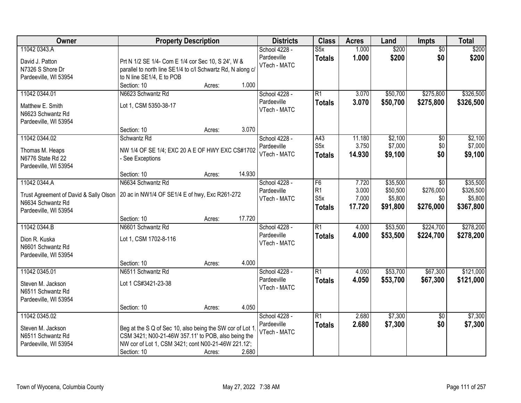| Owner                                                                                                | <b>Property Description</b>                                                                                                                                                                              | <b>Districts</b>                             | <b>Class</b>                                 | <b>Acres</b>                      | Land                                        | <b>Impts</b>                         | <b>Total</b>                                  |
|------------------------------------------------------------------------------------------------------|----------------------------------------------------------------------------------------------------------------------------------------------------------------------------------------------------------|----------------------------------------------|----------------------------------------------|-----------------------------------|---------------------------------------------|--------------------------------------|-----------------------------------------------|
| 11042 0343.A<br>David J. Patton<br>N7326 S Shore Dr<br>Pardeeville, WI 53954                         | Prt N 1/2 SE 1/4- Com E 1/4 cor Sec 10, S 24', W &<br>parallel to north line SE1/4 to c/l Schwartz Rd, N along c/<br>to N line SE1/4, E to POB                                                           | School 4228 -<br>Pardeeville<br>VTech - MATC | $\overline{\text{S5x}}$<br><b>Totals</b>     | 1.000<br>1.000                    | \$200<br>\$200                              | $\overline{50}$<br>\$0               | \$200<br>\$200                                |
| 11042 0344.01<br>Matthew E. Smith<br>N6623 Schwantz Rd<br>Pardeeville, WI 53954                      | Section: 10<br>1.000<br>Acres:<br>N6623 Schwantz Rd<br>Lot 1, CSM 5350-38-17                                                                                                                             | School 4228 -<br>Pardeeville<br>VTech - MATC | R1<br><b>Totals</b>                          | 3.070<br>3.070                    | \$50,700<br>\$50,700                        | \$275,800<br>\$275,800               | \$326,500<br>\$326,500                        |
| 11042 0344.02<br>Thomas M. Heaps<br>N6776 State Rd 22<br>Pardeeville, WI 53954                       | 3.070<br>Section: 10<br>Acres:<br>Schwantz Rd<br>NW 1/4 OF SE 1/4; EXC 20 A E OF HWY EXC CS#1702<br>- See Exceptions                                                                                     | School 4228 -<br>Pardeeville<br>VTech - MATC | A43<br>S <sub>5</sub> x<br>Totals            | 11.180<br>3.750<br>14.930         | \$2,100<br>\$7,000<br>\$9,100               | $\overline{50}$<br>\$0<br>\$0        | \$2,100<br>\$7,000<br>\$9,100                 |
| 11042 0344.A<br>Trust Agreement of David & Sally Olson<br>N6634 Schwantz Rd<br>Pardeeville, WI 53954 | 14.930<br>Section: 10<br>Acres:<br>N6634 Schwantz Rd<br>20 ac in NW1/4 OF SE1/4 E of hwy, Exc R261-272                                                                                                   | School 4228 -<br>Pardeeville<br>VTech - MATC | F6<br>R <sub>1</sub><br>S5x<br><b>Totals</b> | 7.720<br>3.000<br>7.000<br>17.720 | \$35,500<br>\$50,500<br>\$5,800<br>\$91,800 | \$0<br>\$276,000<br>\$0<br>\$276,000 | \$35,500<br>\$326,500<br>\$5,800<br>\$367,800 |
| 11042 0344.B<br>Dion R. Kuska<br>N6601 Schwantz Rd<br>Pardeeville, WI 53954                          | 17.720<br>Section: 10<br>Acres:<br>N6601 Schwantz Rd<br>Lot 1, CSM 1702-8-116                                                                                                                            | School 4228 -<br>Pardeeville<br>VTech - MATC | $\overline{R1}$<br><b>Totals</b>             | 4.000<br>4.000                    | \$53,500<br>\$53,500                        | \$224,700<br>\$224,700               | \$278,200<br>\$278,200                        |
| 11042 0345.01<br>Steven M. Jackson<br>N6511 Schwantz Rd<br>Pardeeville, WI 53954                     | 4.000<br>Section: 10<br>Acres:<br>N6511 Schwantz Rd<br>Lot 1 CS#3421-23-38<br>4.050<br>Section: 10<br>Acres:                                                                                             | School 4228 -<br>Pardeeville<br>VTech - MATC | $\overline{R1}$<br><b>Totals</b>             | 4.050<br>4.050                    | \$53,700<br>\$53,700                        | \$67,300<br>\$67,300                 | \$121,000<br>\$121,000                        |
| 11042 0345.02<br>Steven M. Jackson<br>N6511 Schwantz Rd<br>Pardeeville, WI 53954                     | Beg at the S Q of Sec 10, also being the SW cor of Lot 1<br>CSM 3421; N00-21-46W 357.11' to POB, also being the<br>NW cor of Lot 1, CSM 3421; cont N00-21-46W 221.12';<br>2.680<br>Section: 10<br>Acres: | School 4228 -<br>Pardeeville<br>VTech - MATC | R1<br><b>Totals</b>                          | 2.680<br>2.680                    | \$7,300<br>\$7,300                          | \$0<br>\$0                           | \$7,300<br>\$7,300                            |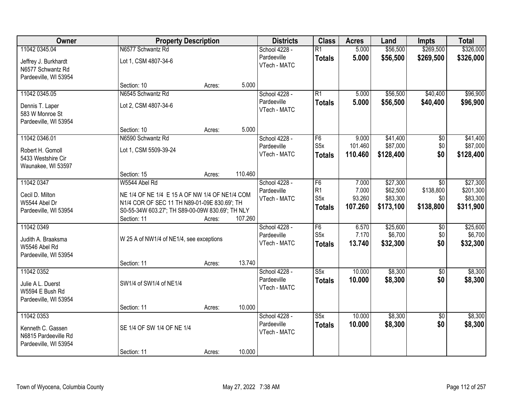| Owner                                                                            | <b>Property Description</b>                                                                                                                                                        |        |         | <b>Districts</b>                             | <b>Class</b>                                  | <b>Acres</b>                        | Land                                          | <b>Impts</b>                         | <b>Total</b>                                   |
|----------------------------------------------------------------------------------|------------------------------------------------------------------------------------------------------------------------------------------------------------------------------------|--------|---------|----------------------------------------------|-----------------------------------------------|-------------------------------------|-----------------------------------------------|--------------------------------------|------------------------------------------------|
| 11042 0345.04                                                                    | N6577 Schwantz Rd                                                                                                                                                                  |        |         | School 4228 -                                | $\overline{R1}$                               | 5.000                               | \$56,500                                      | \$269,500                            | \$326,000                                      |
| Jeffrey J. Burkhardt<br>N6577 Schwantz Rd                                        | Lot 1, CSM 4807-34-6                                                                                                                                                               |        |         | Pardeeville<br>VTech - MATC                  | <b>Totals</b>                                 | 5.000                               | \$56,500                                      | \$269,500                            | \$326,000                                      |
| Pardeeville, WI 53954                                                            | Section: 10                                                                                                                                                                        | Acres: | 5.000   |                                              |                                               |                                     |                                               |                                      |                                                |
| 11042 0345.05                                                                    | N6545 Schwantz Rd                                                                                                                                                                  |        |         | School 4228 -                                | $\overline{R1}$                               | 5.000                               | \$56,500                                      | \$40,400                             | \$96,900                                       |
| Dennis T. Laper<br>583 W Monroe St<br>Pardeeville, WI 53954                      | Lot 2, CSM 4807-34-6                                                                                                                                                               |        |         | Pardeeville<br>VTech - MATC                  | <b>Totals</b>                                 | 5.000                               | \$56,500                                      | \$40,400                             | \$96,900                                       |
|                                                                                  | Section: 10                                                                                                                                                                        | Acres: | 5.000   |                                              |                                               |                                     |                                               |                                      |                                                |
| 11042 0346.01<br>Robert H. Gomoll<br>5433 Westshire Cir<br>Waunakee, WI 53597    | N6590 Schwantz Rd<br>Lot 1, CSM 5509-39-24                                                                                                                                         |        |         | School 4228 -<br>Pardeeville<br>VTech - MATC | F6<br>S <sub>5</sub> x<br><b>Totals</b>       | 9.000<br>101.460<br>110.460         | \$41,400<br>\$87,000<br>\$128,400             | \$0<br>\$0\$<br>\$0                  | \$41,400<br>\$87,000<br>\$128,400              |
|                                                                                  | Section: 15                                                                                                                                                                        | Acres: | 110.460 |                                              |                                               |                                     |                                               |                                      |                                                |
| 11042 0347<br>Cecil D. Milton<br>W5544 Abel Dr<br>Pardeeville, WI 53954          | W5544 Abel Rd<br>NE 1/4 OF NE 1/4 E 15 A OF NW 1/4 OF NE1/4 COM<br>N1/4 COR OF SEC 11 TH N89-01-09E 830.69'; TH<br>S0-55-34W 603.27'; TH S89-00-09W 830.69'; TH NLY<br>Section: 11 | Acres: | 107.260 | School 4228 -<br>Pardeeville<br>VTech - MATC | F6<br>R1<br>S <sub>5</sub> x<br><b>Totals</b> | 7.000<br>7.000<br>93.260<br>107.260 | \$27,300<br>\$62,500<br>\$83,300<br>\$173,100 | \$0<br>\$138,800<br>\$0<br>\$138,800 | \$27,300<br>\$201,300<br>\$83,300<br>\$311,900 |
| 11042 0349                                                                       |                                                                                                                                                                                    |        |         | School 4228 -                                | F6                                            | 6.570                               | \$25,600                                      | \$0                                  | \$25,600                                       |
| Judith A. Braaksma<br>W5546 Abel Rd<br>Pardeeville, WI 53954                     | W 25 A of NW1/4 of NE1/4, see exceptions                                                                                                                                           |        |         | Pardeeville<br>VTech - MATC                  | S <sub>5</sub> x<br><b>Totals</b>             | 7.170<br>13.740                     | \$6,700<br>\$32,300                           | \$0<br>\$0                           | \$6,700<br>\$32,300                            |
|                                                                                  | Section: 11                                                                                                                                                                        | Acres: | 13.740  |                                              |                                               |                                     |                                               |                                      |                                                |
| 11042 0352<br>Julie A L. Duerst<br>W5594 E Bush Rd<br>Pardeeville, WI 53954      | SW1/4 of SW1/4 of NE1/4                                                                                                                                                            |        |         | School 4228 -<br>Pardeeville<br>VTech - MATC | S5x<br><b>Totals</b>                          | 10.000<br>10.000                    | \$8,300<br>\$8,300                            | $\overline{50}$<br>\$0               | \$8,300<br>\$8,300                             |
|                                                                                  | Section: 11                                                                                                                                                                        | Acres: | 10.000  |                                              |                                               |                                     |                                               |                                      |                                                |
| 11042 0353<br>Kenneth C. Gassen<br>N6815 Pardeeville Rd<br>Pardeeville, WI 53954 | SE 1/4 OF SW 1/4 OF NE 1/4                                                                                                                                                         |        |         | School 4228 -<br>Pardeeville<br>VTech - MATC | S5x<br><b>Totals</b>                          | 10.000<br>10.000                    | \$8,300<br>\$8,300                            | $\overline{50}$<br>\$0               | \$8,300<br>\$8,300                             |
|                                                                                  | Section: 11                                                                                                                                                                        | Acres: | 10.000  |                                              |                                               |                                     |                                               |                                      |                                                |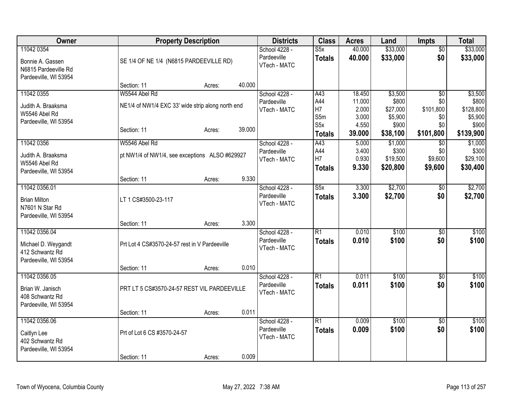| Owner                          | <b>Property Description</b>                       |        |        | <b>Districts</b> | <b>Class</b>    | <b>Acres</b>   | Land             | <b>Impts</b>    | <b>Total</b>     |
|--------------------------------|---------------------------------------------------|--------|--------|------------------|-----------------|----------------|------------------|-----------------|------------------|
| 11042 0354                     |                                                   |        |        | School 4228 -    | S5x             | 40.000         | \$33,000         | $\overline{50}$ | \$33,000         |
| Bonnie A. Gassen               | SE 1/4 OF NE 1/4 (N6815 PARDEEVILLE RD)           |        |        | Pardeeville      | <b>Totals</b>   | 40.000         | \$33,000         | \$0             | \$33,000         |
| N6815 Pardeeville Rd           |                                                   |        |        | VTech - MATC     |                 |                |                  |                 |                  |
| Pardeeville, WI 53954          |                                                   |        |        |                  |                 |                |                  |                 |                  |
|                                | Section: 11                                       | Acres: | 40.000 |                  |                 |                |                  |                 |                  |
| 11042 0355                     | W5544 Abel Rd                                     |        |        | School 4228 -    | A43             | 18.450         | \$3,500          | \$0             | \$3,500          |
| Judith A. Braaksma             | NE1/4 of NW1/4 EXC 33' wide strip along north end |        |        | Pardeeville      | A44             | 11.000         | \$800            | \$0             | \$800            |
| W5546 Abel Rd                  |                                                   |        |        | VTech - MATC     | H7              | 2.000          | \$27,000         | \$101,800       | \$128,800        |
| Pardeeville, WI 53954          |                                                   |        |        |                  | S5m<br>S5x      | 3.000<br>4.550 | \$5,900<br>\$900 | \$0<br>\$0      | \$5,900<br>\$900 |
|                                | Section: 11                                       | Acres: | 39.000 |                  | <b>Totals</b>   | 39.000         | \$38,100         | \$101,800       | \$139,900        |
| 11042 0356                     | W5546 Abel Rd                                     |        |        | School 4228 -    | A43             | 5.000          | \$1,000          | $\overline{50}$ | \$1,000          |
|                                |                                                   |        |        | Pardeeville      | A44             | 3.400          | \$300            | \$0             | \$300            |
| Judith A. Braaksma             | pt NW1/4 of NW1/4, see exceptions ALSO #629927    |        |        | VTech - MATC     | H7              | 0.930          | \$19,500         | \$9,600         | \$29,100         |
| W5546 Abel Rd                  |                                                   |        |        |                  | <b>Totals</b>   | 9.330          | \$20,800         | \$9,600         | \$30,400         |
| Pardeeville, WI 53954          |                                                   |        | 9.330  |                  |                 |                |                  |                 |                  |
| 11042 0356.01                  | Section: 11                                       | Acres: |        | School 4228 -    | S5x             | 3.300          | \$2,700          | $\sqrt{$0}$     | \$2,700          |
|                                |                                                   |        |        | Pardeeville      | <b>Totals</b>   | 3.300          | \$2,700          | \$0             | \$2,700          |
| <b>Brian Milton</b>            | LT 1 CS#3500-23-117                               |        |        | VTech - MATC     |                 |                |                  |                 |                  |
| N7601 N Star Rd                |                                                   |        |        |                  |                 |                |                  |                 |                  |
| Pardeeville, WI 53954          | Section: 11                                       |        | 3.300  |                  |                 |                |                  |                 |                  |
| 11042 0356.04                  |                                                   | Acres: |        | School 4228 -    | R1              | 0.010          | \$100            | \$0             | \$100            |
|                                |                                                   |        |        | Pardeeville      | <b>Totals</b>   | 0.010          | \$100            | \$0             | \$100            |
| Michael D. Weygandt            | Prt Lot 4 CS#3570-24-57 rest in V Pardeeville     |        |        | VTech - MATC     |                 |                |                  |                 |                  |
| 412 Schwantz Rd                |                                                   |        |        |                  |                 |                |                  |                 |                  |
| Pardeeville, WI 53954          | Section: 11                                       | Acres: | 0.010  |                  |                 |                |                  |                 |                  |
| 11042 0356.05                  |                                                   |        |        | School 4228 -    | $\overline{R1}$ | 0.011          | \$100            | \$0             | \$100            |
|                                |                                                   |        |        | Pardeeville      | <b>Totals</b>   | 0.011          | \$100            | \$0             | \$100            |
| Brian W. Janisch               | PRT LT 5 CS#3570-24-57 REST VIL PARDEEVILLE       |        |        | VTech - MATC     |                 |                |                  |                 |                  |
| 408 Schwantz Rd                |                                                   |        |        |                  |                 |                |                  |                 |                  |
| Pardeeville, WI 53954          | Section: 11                                       | Acres: | 0.011  |                  |                 |                |                  |                 |                  |
| 11042 0356.06                  |                                                   |        |        | School 4228 -    | $\overline{R1}$ | 0.009          | \$100            | $\overline{50}$ | \$100            |
|                                |                                                   |        |        | Pardeeville      | <b>Totals</b>   | 0.009          | \$100            | \$0             | \$100            |
| Caitlyn Lee<br>402 Schwantz Rd | Prt of Lot 6 CS #3570-24-57                       |        |        | VTech - MATC     |                 |                |                  |                 |                  |
| Pardeeville, WI 53954          |                                                   |        |        |                  |                 |                |                  |                 |                  |
|                                | Section: 11                                       | Acres: | 0.009  |                  |                 |                |                  |                 |                  |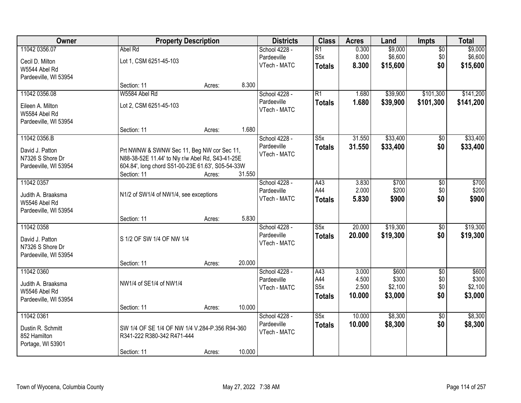| Owner                 | <b>Property Description</b>                       |        |        | <b>Districts</b> | <b>Class</b>            | <b>Acres</b> | Land     | <b>Impts</b>    | <b>Total</b> |
|-----------------------|---------------------------------------------------|--------|--------|------------------|-------------------------|--------------|----------|-----------------|--------------|
| 11042 0356.07         | Abel Rd                                           |        |        | School 4228 -    | $\overline{R1}$         | 0.300        | \$9,000  | $\overline{50}$ | \$9,000      |
| Cecil D. Milton       | Lot 1, CSM 6251-45-103                            |        |        | Pardeeville      | S <sub>5</sub> x        | 8.000        | \$6,600  | \$0             | \$6,600      |
| W5544 Abel Rd         |                                                   |        |        | VTech - MATC     | <b>Totals</b>           | 8.300        | \$15,600 | \$0             | \$15,600     |
| Pardeeville, WI 53954 |                                                   |        |        |                  |                         |              |          |                 |              |
|                       | Section: 11                                       | Acres: | 8.300  |                  |                         |              |          |                 |              |
| 11042 0356.08         | W5584 Abel Rd                                     |        |        | School 4228 -    | R1                      | 1.680        | \$39,900 | \$101,300       | \$141,200    |
| Eileen A. Milton      | Lot 2, CSM 6251-45-103                            |        |        | Pardeeville      | <b>Totals</b>           | 1.680        | \$39,900 | \$101,300       | \$141,200    |
| W5584 Abel Rd         |                                                   |        |        | VTech - MATC     |                         |              |          |                 |              |
| Pardeeville, WI 53954 |                                                   |        |        |                  |                         |              |          |                 |              |
|                       | Section: 11                                       | Acres: | 1.680  |                  |                         |              |          |                 |              |
| 11042 0356.B          |                                                   |        |        | School 4228 -    | S5x                     | 31.550       | \$33,400 | \$0             | \$33,400     |
| David J. Patton       | Prt NWNW & SWNW Sec 11, Beg NW cor Sec 11,        |        |        | Pardeeville      | <b>Totals</b>           | 31.550       | \$33,400 | \$0             | \$33,400     |
| N7326 S Shore Dr      | N88-38-52E 11.44' to Nly r/w Abel Rd, S43-41-25E  |        |        | VTech - MATC     |                         |              |          |                 |              |
| Pardeeville, WI 53954 | 604.84', long chord S51-00-23E 61.63', S05-54-33W |        |        |                  |                         |              |          |                 |              |
|                       | Section: 11                                       | Acres: | 31.550 |                  |                         |              |          |                 |              |
| 11042 0357            |                                                   |        |        | School 4228 -    | A43                     | 3.830        | \$700    | \$0             | \$700        |
| Judith A. Braaksma    | N1/2 of SW1/4 of NW1/4, see exceptions            |        |        | Pardeeville      | A44                     | 2.000        | \$200    | \$0             | \$200        |
| W5546 Abel Rd         |                                                   |        |        | VTech - MATC     | <b>Totals</b>           | 5.830        | \$900    | \$0             | \$900        |
| Pardeeville, WI 53954 |                                                   |        |        |                  |                         |              |          |                 |              |
|                       | Section: 11                                       | Acres: | 5.830  |                  |                         |              |          |                 |              |
| 11042 0358            |                                                   |        |        | School 4228 -    | $\overline{\text{S5x}}$ | 20.000       | \$19,300 | $\overline{50}$ | \$19,300     |
| David J. Patton       | S 1/2 OF SW 1/4 OF NW 1/4                         |        |        | Pardeeville      | <b>Totals</b>           | 20.000       | \$19,300 | \$0             | \$19,300     |
| N7326 S Shore Dr      |                                                   |        |        | VTech - MATC     |                         |              |          |                 |              |
| Pardeeville, WI 53954 |                                                   |        |        |                  |                         |              |          |                 |              |
|                       | Section: 11                                       | Acres: | 20.000 |                  |                         |              |          |                 |              |
| 11042 0360            |                                                   |        |        | School 4228 -    | A43                     | 3.000        | \$600    | $\sqrt{6}$      | \$600        |
| Judith A. Braaksma    | NW1/4 of SE1/4 of NW1/4                           |        |        | Pardeeville      | A44                     | 4.500        | \$300    | \$0             | \$300        |
| W5546 Abel Rd         |                                                   |        |        | VTech - MATC     | S <sub>5</sub> x        | 2.500        | \$2,100  | \$0             | \$2,100      |
| Pardeeville, WI 53954 |                                                   |        |        |                  | <b>Totals</b>           | 10.000       | \$3,000  | \$0             | \$3,000      |
|                       | Section: 11                                       | Acres: | 10.000 |                  |                         |              |          |                 |              |
| 11042 0361            |                                                   |        |        | School 4228 -    | S5x                     | 10.000       | \$8,300  | $\overline{50}$ | \$8,300      |
| Dustin R. Schmitt     | SW 1/4 OF SE 1/4 OF NW 1/4 V.284-P.356 R94-360    |        |        | Pardeeville      | <b>Totals</b>           | 10.000       | \$8,300  | \$0             | \$8,300      |
| 852 Hamilton          | R341-222 R380-342 R471-444                        |        |        | VTech - MATC     |                         |              |          |                 |              |
| Portage, WI 53901     |                                                   |        |        |                  |                         |              |          |                 |              |
|                       | Section: 11                                       | Acres: | 10.000 |                  |                         |              |          |                 |              |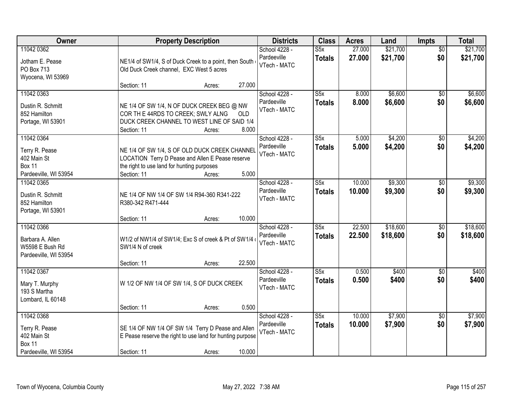| Owner                                                                          |                                                           | <b>Property Description</b>                                                                                               |              | <b>Districts</b>                             | <b>Class</b>                             | <b>Acres</b>     | Land                 | <b>Impts</b>           | <b>Total</b>         |
|--------------------------------------------------------------------------------|-----------------------------------------------------------|---------------------------------------------------------------------------------------------------------------------------|--------------|----------------------------------------------|------------------------------------------|------------------|----------------------|------------------------|----------------------|
| 11042 0362<br>Jotham E. Pease<br>PO Box 713<br>Wyocena, WI 53969               | Old Duck Creek channel, EXC West 5 acres                  | NE1/4 of SW1/4, S of Duck Creek to a point, then South                                                                    |              | School 4228 -<br>Pardeeville<br>VTech - MATC | S5x<br><b>Totals</b>                     | 27.000<br>27.000 | \$21,700<br>\$21,700 | $\overline{50}$<br>\$0 | \$21,700<br>\$21,700 |
|                                                                                | Section: 11                                               | Acres:                                                                                                                    | 27.000       |                                              |                                          |                  |                      |                        |                      |
| 11042 0363<br>Dustin R. Schmitt<br>852 Hamilton<br>Portage, WI 53901           | COR TH E 44RDS TO CREEK; SWLY ALNG<br>Section: 11         | NE 1/4 OF SW 1/4, N OF DUCK CREEK BEG @ NW<br>DUCK CREEK CHANNEL TO WEST LINE OF SAID 1/4<br>Acres:                       | OLD<br>8.000 | School 4228 -<br>Pardeeville<br>VTech - MATC | S5x<br><b>Totals</b>                     | 8.000<br>8.000   | \$6,600<br>\$6,600   | \$0<br>\$0             | \$6,600<br>\$6,600   |
| 11042 0364                                                                     |                                                           |                                                                                                                           |              | School 4228 -                                | S5x                                      | 5.000            | \$4,200              | $\overline{50}$        | \$4,200              |
| Terry R. Pease<br>402 Main St<br><b>Box 11</b><br>Pardeeville, WI 53954        | the right to use land for hunting purposes<br>Section: 11 | NE 1/4 OF SW 1/4, S OF OLD DUCK CREEK CHANNEL<br>LOCATION Terry D Pease and Allen E Pease reserve<br>Acres:               | 5.000        | Pardeeville<br>VTech - MATC                  | <b>Totals</b>                            | 5.000            | \$4,200              | \$0                    | \$4,200              |
| 11042 0365                                                                     |                                                           |                                                                                                                           |              | School 4228 -                                | S5x                                      | 10.000           | \$9,300              | \$0                    | \$9,300              |
| Dustin R. Schmitt<br>852 Hamilton<br>Portage, WI 53901                         | R380-342 R471-444                                         | NE 1/4 OF NW 1/4 OF SW 1/4 R94-360 R341-222                                                                               |              | Pardeeville<br>VTech - MATC                  | <b>Totals</b>                            | 10.000           | \$9,300              | \$0                    | \$9,300              |
|                                                                                | Section: 11                                               | Acres:                                                                                                                    | 10.000       |                                              |                                          |                  |                      |                        |                      |
| 11042 0366<br>Barbara A. Allen<br>W5598 E Bush Rd<br>Pardeeville, WI 53954     | SW1/4 N of creek                                          | W1/2 of NW1/4 of SW1/4; Exc S of creek & Pt of SW1/4                                                                      |              | School 4228 -<br>Pardeeville<br>VTech - MATC | $\overline{\text{S5x}}$<br><b>Totals</b> | 22.500<br>22.500 | \$18,600<br>\$18,600 | \$0<br>\$0             | \$18,600<br>\$18,600 |
|                                                                                | Section: 11                                               | Acres:                                                                                                                    | 22.500       |                                              |                                          |                  |                      |                        |                      |
| 11042 0367<br>Mary T. Murphy<br>193 S Martha<br>Lombard, IL 60148              |                                                           | W 1/2 OF NW 1/4 OF SW 1/4, S OF DUCK CREEK                                                                                |              | School 4228 -<br>Pardeeville<br>VTech - MATC | $\overline{\text{S5x}}$<br><b>Totals</b> | 0.500<br>0.500   | \$400<br>\$400       | $\overline{60}$<br>\$0 | \$400<br>\$400       |
|                                                                                | Section: 11                                               | Acres:                                                                                                                    | 0.500        |                                              |                                          |                  |                      |                        |                      |
| 11042 0368<br>Terry R. Pease<br>402 Main St<br>Box 11<br>Pardeeville, WI 53954 | Section: 11                                               | SE 1/4 OF NW 1/4 OF SW 1/4 Terry D Pease and Allen<br>E Pease reserve the right to use land for hunting purpose<br>Acres: | 10.000       | School 4228 -<br>Pardeeville<br>VTech - MATC | S5x<br><b>Totals</b>                     | 10.000<br>10.000 | \$7,900<br>\$7,900   | \$0<br>\$0             | \$7,900<br>\$7,900   |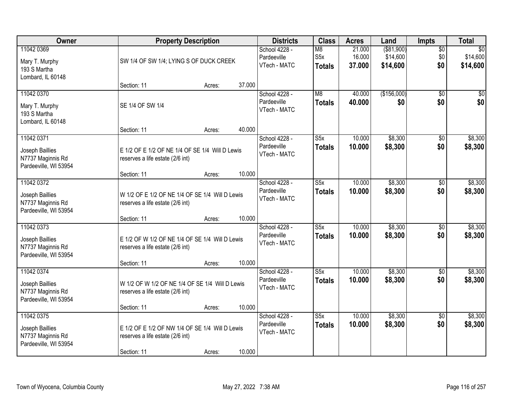| Owner                                                                       |                                                                                                    | <b>Property Description</b> |        | <b>Districts</b>                             | <b>Class</b>                              | <b>Acres</b>               | Land                                | Impts                         | <b>Total</b>                            |
|-----------------------------------------------------------------------------|----------------------------------------------------------------------------------------------------|-----------------------------|--------|----------------------------------------------|-------------------------------------------|----------------------------|-------------------------------------|-------------------------------|-----------------------------------------|
| 11042 0369<br>Mary T. Murphy<br>193 S Martha<br>Lombard, IL 60148           | SW 1/4 OF SW 1/4; LYING S OF DUCK CREEK                                                            |                             |        | School 4228 -<br>Pardeeville<br>VTech - MATC | M8<br>S <sub>5</sub> x<br><b>Totals</b>   | 21.000<br>16.000<br>37.000 | ( \$81,900)<br>\$14,600<br>\$14,600 | $\overline{50}$<br>\$0<br>\$0 | $\overline{50}$<br>\$14,600<br>\$14,600 |
|                                                                             | Section: 11                                                                                        | Acres:                      | 37.000 |                                              |                                           |                            |                                     |                               |                                         |
| 11042 0370<br>Mary T. Murphy<br>193 S Martha<br>Lombard, IL 60148           | SE 1/4 OF SW 1/4                                                                                   |                             |        | School 4228 -<br>Pardeeville<br>VTech - MATC | $\overline{\mathsf{M}8}$<br><b>Totals</b> | 40.000<br>40.000           | (\$156,000)<br>\$0                  | $\overline{50}$<br>\$0        | \$0<br>\$0                              |
|                                                                             | Section: 11                                                                                        | Acres:                      | 40.000 |                                              |                                           |                            |                                     |                               |                                         |
| 11042 0371<br>Joseph Baillies<br>N7737 Maginnis Rd<br>Pardeeville, WI 53954 | E 1/2 OF E 1/2 OF NE 1/4 OF SE 1/4 Will D Lewis<br>reserves a life estate (2/6 int)                |                             |        | School 4228 -<br>Pardeeville<br>VTech - MATC | $\overline{\text{S5x}}$<br><b>Totals</b>  | 10.000<br>10.000           | \$8,300<br>\$8,300                  | $\overline{50}$<br>\$0        | \$8,300<br>\$8,300                      |
|                                                                             | Section: 11                                                                                        | Acres:                      | 10.000 |                                              |                                           |                            |                                     |                               |                                         |
| 11042 0372<br>Joseph Baillies<br>N7737 Maginnis Rd<br>Pardeeville, WI 53954 | W 1/2 OF E 1/2 OF NE 1/4 OF SE 1/4 Will D Lewis<br>reserves a life estate (2/6 int)                |                             |        | School 4228 -<br>Pardeeville<br>VTech - MATC | $\overline{\text{S5x}}$<br><b>Totals</b>  | 10.000<br>10.000           | \$8,300<br>\$8,300                  | \$0<br>\$0                    | \$8,300<br>\$8,300                      |
|                                                                             | Section: 11                                                                                        | Acres:                      | 10.000 |                                              |                                           |                            |                                     |                               |                                         |
| 11042 0373<br>Joseph Baillies<br>N7737 Maginnis Rd<br>Pardeeville, WI 53954 | E 1/2 OF W 1/2 OF NE 1/4 OF SE 1/4 Will D Lewis<br>reserves a life estate (2/6 int)                |                             |        | School 4228 -<br>Pardeeville<br>VTech - MATC | $\overline{\text{S5x}}$<br><b>Totals</b>  | 10.000<br>10.000           | \$8,300<br>\$8,300                  | $\overline{50}$<br>\$0        | \$8,300<br>\$8,300                      |
|                                                                             | Section: 11                                                                                        | Acres:                      | 10.000 |                                              |                                           |                            |                                     |                               |                                         |
| 11042 0374<br>Joseph Baillies<br>N7737 Maginnis Rd<br>Pardeeville, WI 53954 | W 1/2 OF W 1/2 OF NE 1/4 OF SE 1/4 Will D Lewis<br>reserves a life estate (2/6 int)                |                             |        | School 4228 -<br>Pardeeville<br>VTech - MATC | S5x<br><b>Totals</b>                      | 10.000<br>10.000           | \$8,300<br>\$8,300                  | $\sqrt{6}$<br>\$0             | \$8,300<br>\$8,300                      |
|                                                                             | Section: 11                                                                                        | Acres:                      | 10.000 |                                              |                                           |                            |                                     |                               |                                         |
| 11042 0375<br>Joseph Baillies<br>N7737 Maginnis Rd<br>Pardeeville, WI 53954 | E 1/2 OF E 1/2 OF NW 1/4 OF SE 1/4 Will D Lewis<br>reserves a life estate (2/6 int)<br>Section: 11 | Acres:                      | 10.000 | School 4228 -<br>Pardeeville<br>VTech - MATC | S5x<br><b>Totals</b>                      | 10.000<br>10.000           | \$8,300<br>\$8,300                  | $\overline{50}$<br>\$0        | \$8,300<br>\$8,300                      |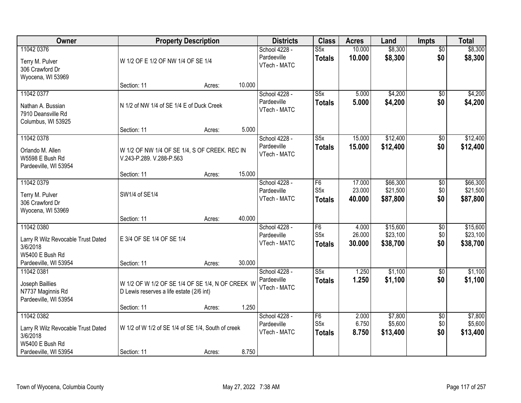| Owner                                                                                                    |                                                                                              | <b>Property Description</b> |        | <b>Districts</b>                             | <b>Class</b>                                        | <b>Acres</b>               | Land                             | Impts                         | <b>Total</b>                     |
|----------------------------------------------------------------------------------------------------------|----------------------------------------------------------------------------------------------|-----------------------------|--------|----------------------------------------------|-----------------------------------------------------|----------------------------|----------------------------------|-------------------------------|----------------------------------|
| 11042 0376<br>Terry M. Pulver<br>306 Crawford Dr<br>Wyocena, WI 53969                                    | W 1/2 OF E 1/2 OF NW 1/4 OF SE 1/4                                                           |                             |        | School 4228 -<br>Pardeeville<br>VTech - MATC | S5x<br><b>Totals</b>                                | 10.000<br>10.000           | \$8,300<br>\$8,300               | $\overline{50}$<br>\$0        | \$8,300<br>\$8,300               |
|                                                                                                          | Section: 11                                                                                  | Acres:                      | 10.000 |                                              |                                                     |                            |                                  |                               |                                  |
| 11042 0377<br>Nathan A. Bussian<br>7910 Deansville Rd<br>Columbus, WI 53925                              | N 1/2 of NW 1/4 of SE 1/4 E of Duck Creek                                                    |                             |        | School 4228 -<br>Pardeeville<br>VTech - MATC | S5x<br><b>Totals</b>                                | 5.000<br>5.000             | \$4,200<br>\$4,200               | \$0<br>\$0                    | \$4,200<br>\$4,200               |
| 11042 0378                                                                                               | Section: 11                                                                                  | Acres:                      | 5.000  | School 4228 -                                | S5x                                                 | 15.000                     | \$12,400                         |                               | \$12,400                         |
| Orlando M. Allen<br>W5598 E Bush Rd<br>Pardeeville, WI 53954                                             | W 1/2 OF NW 1/4 OF SE 1/4, S OF CREEK. REC IN<br>V.243-P.289. V.288-P.563                    |                             |        | Pardeeville<br>VTech - MATC                  | <b>Totals</b>                                       | 15.000                     | \$12,400                         | $\overline{50}$<br>\$0        | \$12,400                         |
|                                                                                                          | Section: 11                                                                                  | Acres:                      | 15.000 |                                              |                                                     |                            |                                  |                               |                                  |
| 11042 0379<br>Terry M. Pulver<br>306 Crawford Dr<br>Wyocena, WI 53969                                    | SW1/4 of SE1/4                                                                               |                             |        | School 4228 -<br>Pardeeville<br>VTech - MATC | F <sub>6</sub><br>S <sub>5</sub> x<br><b>Totals</b> | 17.000<br>23.000<br>40.000 | \$66,300<br>\$21,500<br>\$87,800 | \$0<br>\$0<br>\$0             | \$66,300<br>\$21,500<br>\$87,800 |
|                                                                                                          | Section: 11                                                                                  | Acres:                      | 40.000 |                                              |                                                     |                            |                                  |                               |                                  |
| 11042 0380<br>Larry R Wilz Revocable Trust Dated<br>3/6/2018<br>W5400 E Bush Rd<br>Pardeeville, WI 53954 | E 3/4 OF SE 1/4 OF SE 1/4<br>Section: 11                                                     | Acres:                      | 30.000 | School 4228 -<br>Pardeeville<br>VTech - MATC | $\overline{F6}$<br>S5x<br><b>Totals</b>             | 4.000<br>26.000<br>30.000  | \$15,600<br>\$23,100<br>\$38,700 | $\overline{50}$<br>\$0<br>\$0 | \$15,600<br>\$23,100<br>\$38,700 |
| 11042 0381                                                                                               |                                                                                              |                             |        | School 4228 -                                | S5x                                                 | 1.250                      | \$1,100                          | $\sqrt{6}$                    | \$1,100                          |
| Joseph Baillies<br>N7737 Maginnis Rd<br>Pardeeville, WI 53954                                            | W 1/2 OF W 1/2 OF SE 1/4 OF SE 1/4, N OF CREEK W<br>D Lewis reserves a life estate (2/6 int) |                             |        | Pardeeville<br>VTech - MATC                  | <b>Totals</b>                                       | 1.250                      | \$1,100                          | \$0                           | \$1,100                          |
|                                                                                                          | Section: 11                                                                                  | Acres:                      | 1.250  |                                              |                                                     |                            |                                  |                               |                                  |
| 11042 0382<br>Larry R Wilz Revocable Trust Dated<br>3/6/2018<br>W5400 E Bush Rd                          | W 1/2 of W 1/2 of SE 1/4 of SE 1/4, South of creek                                           |                             |        | School 4228 -<br>Pardeeville<br>VTech - MATC | F6<br>S <sub>5</sub> x<br><b>Totals</b>             | 2.000<br>6.750<br>8.750    | \$7,800<br>\$5,600<br>\$13,400   | $\overline{50}$<br>\$0<br>\$0 | \$7,800<br>\$5,600<br>\$13,400   |
| Pardeeville, WI 53954                                                                                    | Section: 11                                                                                  | Acres:                      | 8.750  |                                              |                                                     |                            |                                  |                               |                                  |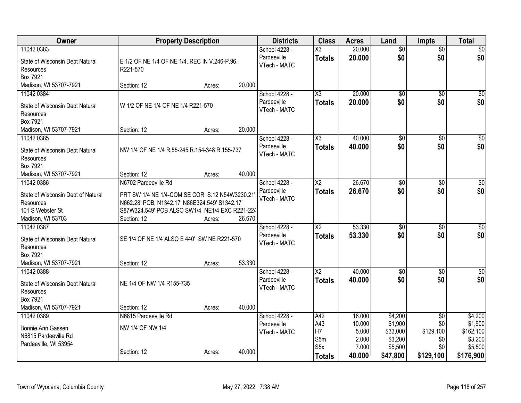| Owner                                                                                                  | <b>Property Description</b>                                                                                                                                                              |        |        | <b>Districts</b>                             | <b>Class</b>                            | <b>Acres</b>                      | Land                                      | <b>Impts</b>                   | <b>Total</b>                               |
|--------------------------------------------------------------------------------------------------------|------------------------------------------------------------------------------------------------------------------------------------------------------------------------------------------|--------|--------|----------------------------------------------|-----------------------------------------|-----------------------------------|-------------------------------------------|--------------------------------|--------------------------------------------|
| 11042 0383<br>State of Wisconsin Dept Natural<br>Resources<br>Box 7921                                 | E 1/2 OF NE 1/4 OF NE 1/4. REC IN V.246-P.96.<br>R221-570                                                                                                                                |        |        | School 4228 -<br>Pardeeville<br>VTech - MATC | X3<br><b>Totals</b>                     | 20.000<br>20.000                  | $\overline{50}$<br>\$0                    | $\overline{50}$<br>\$0         | \$0<br>\$0                                 |
| Madison, WI 53707-7921                                                                                 | Section: 12                                                                                                                                                                              | Acres: | 20.000 |                                              |                                         |                                   |                                           |                                |                                            |
| 11042 0384<br>State of Wisconsin Dept Natural<br>Resources<br>Box 7921                                 | W 1/2 OF NE 1/4 OF NE 1/4 R221-570                                                                                                                                                       |        |        | School 4228 -<br>Pardeeville<br>VTech - MATC | X3<br><b>Totals</b>                     | 20.000<br>20.000                  | \$0<br>\$0                                | $\overline{50}$<br>\$0         | \$0<br>\$0                                 |
| Madison, WI 53707-7921                                                                                 | Section: 12                                                                                                                                                                              | Acres: | 20.000 |                                              |                                         |                                   |                                           |                                |                                            |
| 11042 0385<br>State of Wisconsin Dept Natural<br>Resources<br>Box 7921                                 | NW 1/4 OF NE 1/4 R.55-245 R.154-348 R.155-737                                                                                                                                            |        |        | School 4228 -<br>Pardeeville<br>VTech - MATC | $\overline{\chi_3}$<br><b>Totals</b>    | 40.000<br>40.000                  | $\overline{50}$<br>\$0                    | $\overline{50}$<br>\$0         | $\sqrt{50}$<br>\$0                         |
| Madison, WI 53707-7921                                                                                 | Section: 12                                                                                                                                                                              | Acres: | 40.000 |                                              |                                         |                                   |                                           |                                |                                            |
| 11042 0386<br>State of Wisconsin Dept of Natural<br>Resources<br>101 S Webster St<br>Madison, WI 53703 | N6702 Pardeeville Rd<br>PRT SW 1/4 NE 1/4-COM SE COR S.12 N54W3230.21<br>N662.28' POB; N1342.17' N86E324.549' S1342.17'<br>S87W324.549' POB ALSO SW1/4 NE1/4 EXC R221-224<br>Section: 12 | Acres: | 26.670 | School 4228 -<br>Pardeeville<br>VTech - MATC | $\overline{\text{X2}}$<br><b>Totals</b> | 26.670<br>26.670                  | \$0<br>\$0                                | \$0<br>\$0                     | $\sqrt{50}$<br>\$0                         |
| 11042 0387<br>State of Wisconsin Dept Natural<br>Resources<br>Box 7921<br>Madison, WI 53707-7921       | SE 1/4 OF NE 1/4 ALSO E 440' SW NE R221-570<br>Section: 12                                                                                                                               | Acres: | 53.330 | School 4228 -<br>Pardeeville<br>VTech - MATC | X <sub>2</sub><br><b>Totals</b>         | 53.330<br>53.330                  | \$0<br>\$0                                | \$0<br>\$0                     | $\overline{50}$<br>\$0                     |
| 11042 0388<br>State of Wisconsin Dept Natural<br>Resources<br>Box 7921<br>Madison, WI 53707-7921       | NE 1/4 OF NW 1/4 R155-735<br>Section: 12                                                                                                                                                 | Acres: | 40.000 | School 4228 -<br>Pardeeville<br>VTech - MATC | $\overline{X2}$<br><b>Totals</b>        | 40.000<br>40.000                  | $\overline{50}$<br>\$0                    | \$0<br>\$0                     | \$0<br>\$0                                 |
| 11042 0389                                                                                             | N6815 Pardeeville Rd                                                                                                                                                                     |        |        | School 4228 -                                | A42                                     | 16.000                            | \$4,200                                   | $\overline{50}$                | \$4,200                                    |
| Bonnie Ann Gassen<br>N6815 Pardeeville Rd<br>Pardeeville, WI 53954                                     | NW 1/4 OF NW 1/4<br>Section: 12                                                                                                                                                          | Acres: | 40.000 | Pardeeville<br>VTech - MATC                  | A43<br>H7<br>S5m<br>S <sub>5</sub> x    | 10.000<br>5.000<br>2.000<br>7.000 | \$1,900<br>\$33,000<br>\$3,200<br>\$5,500 | \$0<br>\$129,100<br>\$0<br>\$0 | \$1,900<br>\$162,100<br>\$3,200<br>\$5,500 |
|                                                                                                        |                                                                                                                                                                                          |        |        |                                              | <b>Totals</b>                           | 40.000                            | \$47,800                                  | \$129,100                      | \$176,900                                  |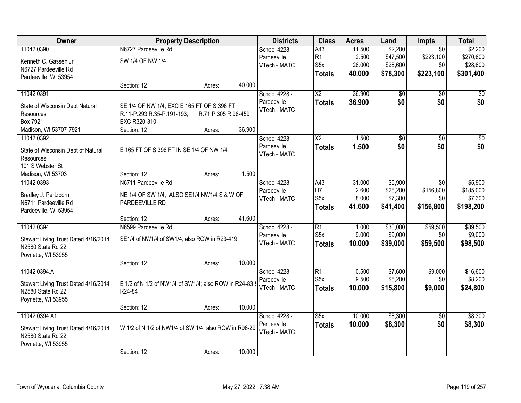| Owner                                        |                                                       | <b>Property Description</b> |        | <b>Districts</b> | <b>Class</b>            | <b>Acres</b>   | Land                | <b>Impts</b>     | <b>Total</b>         |
|----------------------------------------------|-------------------------------------------------------|-----------------------------|--------|------------------|-------------------------|----------------|---------------------|------------------|----------------------|
| 11042 0390                                   | N6727 Pardeeville Rd                                  |                             |        | School 4228 -    | A43                     | 11.500         | \$2,200             | $\overline{50}$  | \$2,200              |
| Kenneth C. Gassen Jr                         | SW 1/4 OF NW 1/4                                      |                             |        | Pardeeville      | R1                      | 2.500          | \$47,500            | \$223,100        | \$270,600            |
| N6727 Pardeeville Rd                         |                                                       |                             |        | VTech - MATC     | S <sub>5</sub> x        | 26.000         | \$28,600            | \$0              | \$28,600             |
| Pardeeville, WI 53954                        |                                                       |                             |        |                  | <b>Totals</b>           | 40.000         | \$78,300            | \$223,100        | \$301,400            |
|                                              | Section: 12                                           | Acres:                      | 40.000 |                  |                         |                |                     |                  |                      |
| 11042 0391                                   |                                                       |                             |        | School 4228 -    | $\overline{\text{X2}}$  | 36.900         | \$0                 | $\overline{50}$  | \$0                  |
|                                              | SE 1/4 OF NW 1/4; EXC E 165 FT OF S 396 FT            |                             |        | Pardeeville      | <b>Totals</b>           | 36.900         | \$0                 | \$0              | \$0                  |
| State of Wisconsin Dept Natural<br>Resources | R.11-P.293;R.35-P.191-193;                            | R.71 P.305 R.98-459         |        | VTech - MATC     |                         |                |                     |                  |                      |
| Box 7921                                     | EXC R320-310                                          |                             |        |                  |                         |                |                     |                  |                      |
| Madison, WI 53707-7921                       | Section: 12                                           | Acres:                      | 36.900 |                  |                         |                |                     |                  |                      |
| 11042 0392                                   |                                                       |                             |        | School 4228 -    | $\overline{\text{X2}}$  | 1.500          | \$0                 | $\overline{50}$  | $\sqrt{50}$          |
|                                              |                                                       |                             |        | Pardeeville      | <b>Totals</b>           | 1.500          | \$0                 | \$0              | \$0                  |
| State of Wisconsin Dept of Natural           | E 165 FT OF S 396 FT IN SE 1/4 OF NW 1/4              |                             |        | VTech - MATC     |                         |                |                     |                  |                      |
| Resources                                    |                                                       |                             |        |                  |                         |                |                     |                  |                      |
| 101 S Webster St                             |                                                       |                             |        |                  |                         |                |                     |                  |                      |
| Madison, WI 53703                            | Section: 12                                           | Acres:                      | 1.500  |                  |                         |                |                     |                  |                      |
| 11042 0393                                   | N6711 Pardeeville Rd                                  |                             |        | School 4228 -    | A43                     | 31.000         | \$5,900             | $\sqrt{6}$       | \$5,900              |
| Bradley J. Pertzborn                         | NE 1/4 OF SW 1/4; ALSO SE1/4 NW1/4 S & W OF           |                             |        | Pardeeville      | H7<br>S <sub>5</sub> x  | 2.600<br>8.000 | \$28,200<br>\$7,300 | \$156,800<br>\$0 | \$185,000<br>\$7,300 |
| N6711 Pardeeville Rd                         | PARDEEVILLE RD                                        |                             |        | VTech - MATC     |                         |                |                     |                  |                      |
| Pardeeville, WI 53954                        |                                                       |                             |        |                  | <b>Totals</b>           | 41.600         | \$41,400            | \$156,800        | \$198,200            |
|                                              | Section: 12                                           | Acres:                      | 41.600 |                  |                         |                |                     |                  |                      |
| 11042 0394                                   | N6599 Pardeeville Rd                                  |                             |        | School 4228 -    | $\overline{R1}$         | 1.000          | \$30,000            | \$59,500         | \$89,500             |
| Stewart Living Trust Dated 4/16/2014         | SE1/4 of NW1/4 of SW1/4; also ROW in R23-419          |                             |        | Pardeeville      | S <sub>5</sub> x        | 9.000          | \$9,000             | \$0              | \$9,000              |
| N2580 State Rd 22                            |                                                       |                             |        | VTech - MATC     | <b>Totals</b>           | 10.000         | \$39,000            | \$59,500         | \$98,500             |
| Poynette, WI 53955                           |                                                       |                             |        |                  |                         |                |                     |                  |                      |
|                                              | Section: 12                                           | Acres:                      | 10.000 |                  |                         |                |                     |                  |                      |
| 11042 0394.A                                 |                                                       |                             |        | School 4228 -    | $\overline{R1}$         | 0.500          | \$7,600             | \$9,000          | \$16,600             |
|                                              |                                                       |                             |        | Pardeeville      | S <sub>5</sub> x        | 9.500          | \$8,200             | \$0              | \$8,200              |
| Stewart Living Trust Dated 4/16/2014         | E 1/2 of N 1/2 of NW1/4 of SW1/4; also ROW in R24-83  |                             |        | VTech - MATC     | <b>Totals</b>           | 10.000         | \$15,800            | \$9,000          | \$24,800             |
| N2580 State Rd 22                            | R24-84                                                |                             |        |                  |                         |                |                     |                  |                      |
| Poynette, WI 53955                           | Section: 12                                           |                             | 10.000 |                  |                         |                |                     |                  |                      |
| 11042 0394.A1                                |                                                       | Acres:                      |        | School 4228 -    | $\overline{\text{S5x}}$ | 10.000         | \$8,300             | $\overline{50}$  | \$8,300              |
|                                              |                                                       |                             |        | Pardeeville      | <b>Totals</b>           | 10.000         | \$8,300             | \$0              | \$8,300              |
| Stewart Living Trust Dated 4/16/2014         | W 1/2 of N 1/2 of NW1/4 of SW 1/4; also ROW in R96-29 |                             |        | VTech - MATC     |                         |                |                     |                  |                      |
| N2580 State Rd 22                            |                                                       |                             |        |                  |                         |                |                     |                  |                      |
| Poynette, WI 53955                           |                                                       |                             |        |                  |                         |                |                     |                  |                      |
|                                              | Section: 12                                           | Acres:                      | 10.000 |                  |                         |                |                     |                  |                      |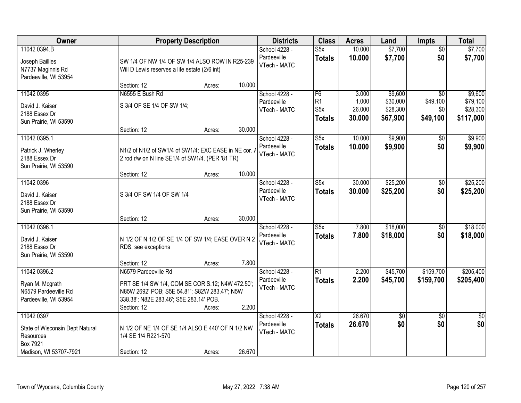| Owner                                                                                            | <b>Property Description</b>                                                                                                                                                                   |        | <b>Districts</b>                             | <b>Class</b>                                  | <b>Acres</b>                       | Land                                        | Impts                                          | <b>Total</b>                                 |
|--------------------------------------------------------------------------------------------------|-----------------------------------------------------------------------------------------------------------------------------------------------------------------------------------------------|--------|----------------------------------------------|-----------------------------------------------|------------------------------------|---------------------------------------------|------------------------------------------------|----------------------------------------------|
| 11042 0394.B<br>Joseph Baillies<br>N7737 Maginnis Rd<br>Pardeeville, WI 53954                    | SW 1/4 OF NW 1/4 OF SW 1/4 ALSO ROW IN R25-239<br>Will D Lewis reserves a life estate (2/6 int)                                                                                               |        | School 4228 -<br>Pardeeville<br>VTech - MATC | S5x<br><b>Totals</b>                          | 10.000<br>10.000                   | \$7,700<br>\$7,700                          | $\overline{50}$<br>\$0                         | \$7,700<br>\$7,700                           |
|                                                                                                  | Section: 12<br>Acres:                                                                                                                                                                         | 10.000 |                                              |                                               |                                    |                                             |                                                |                                              |
| 11042 0395<br>David J. Kaiser<br>2188 Essex Dr<br>Sun Prairie, WI 53590                          | N6555 E Bush Rd<br>S 3/4 OF SE 1/4 OF SW 1/4;                                                                                                                                                 |        | School 4228 -<br>Pardeeville<br>VTech - MATC | F6<br>R1<br>S <sub>5</sub> x<br><b>Totals</b> | 3.000<br>1.000<br>26.000<br>30.000 | \$9,600<br>\$30,000<br>\$28,300<br>\$67,900 | $\overline{50}$<br>\$49,100<br>\$0<br>\$49,100 | \$9,600<br>\$79,100<br>\$28,300<br>\$117,000 |
|                                                                                                  | Section: 12<br>Acres:                                                                                                                                                                         | 30.000 |                                              |                                               |                                    |                                             |                                                |                                              |
| 11042 0395.1<br>Patrick J. Wherley<br>2188 Essex Dr<br>Sun Prairie, WI 53590                     | N1/2 of N1/2 of SW1/4 of SW1/4; EXC EASE in NE cor. /<br>2 rod r/w on N line SE1/4 of SW1/4. (PER '81 TR)                                                                                     |        | School 4228 -<br>Pardeeville<br>VTech - MATC | S5x<br><b>Totals</b>                          | 10.000<br>10.000                   | \$9,900<br>\$9,900                          | $\overline{50}$<br>\$0                         | \$9,900<br>\$9,900                           |
|                                                                                                  | Section: 12<br>Acres:                                                                                                                                                                         | 10.000 |                                              |                                               |                                    |                                             |                                                |                                              |
| 11042 0396<br>David J. Kaiser<br>2188 Essex Dr<br>Sun Prairie, WI 53590                          | S 3/4 OF SW 1/4 OF SW 1/4                                                                                                                                                                     |        | School 4228 -<br>Pardeeville<br>VTech - MATC | S5x<br><b>Totals</b>                          | 30.000<br>30.000                   | \$25,200<br>\$25,200                        | \$0<br>\$0                                     | \$25,200<br>\$25,200                         |
|                                                                                                  | Section: 12<br>Acres:                                                                                                                                                                         | 30.000 |                                              |                                               |                                    |                                             |                                                |                                              |
| 11042 0396.1<br>David J. Kaiser<br>2188 Essex Dr<br>Sun Prairie, WI 53590                        | N 1/2 OF N 1/2 OF SE 1/4 OF SW 1/4; EASE OVER N 2<br>RDS, see exceptions                                                                                                                      |        | School 4228 -<br>Pardeeville<br>VTech - MATC | $\overline{\text{S5x}}$<br><b>Totals</b>      | 7.800<br>7.800                     | \$18,000<br>\$18,000                        | $\overline{50}$<br>\$0                         | \$18,000<br>\$18,000                         |
|                                                                                                  | Section: 12<br>Acres:                                                                                                                                                                         | 7.800  |                                              |                                               |                                    |                                             |                                                |                                              |
| 11042 0396.2<br>Ryan M. Mcgrath<br>N6579 Pardeeville Rd<br>Pardeeville, WI 53954                 | N6579 Pardeeville Rd<br>PRT SE 1/4 SW 1/4, COM SE COR S.12; N4W 472.50';<br>N85W 2692' POB; S5E 54.81'; S82W 283.47'; N5W<br>338.38'; N82E 283.46'; S5E 283.14' POB.<br>Section: 12<br>Acres: | 2.200  | School 4228 -<br>Pardeeville<br>VTech - MATC | $\overline{R1}$<br><b>Totals</b>              | 2.200<br>2.200                     | \$45,700<br>\$45,700                        | \$159,700<br>\$159,700                         | \$205,400<br>\$205,400                       |
| 11042 0397<br>State of Wisconsin Dept Natural<br>Resources<br>Box 7921<br>Madison, WI 53707-7921 | N 1/2 OF NE 1/4 OF SE 1/4 ALSO E 440' OF N 1/2 NW<br>1/4 SE 1/4 R221-570<br>Section: 12<br>Acres:                                                                                             | 26.670 | School 4228 -<br>Pardeeville<br>VTech - MATC | $\overline{\mathsf{X2}}$<br><b>Totals</b>     | 26.670<br>26.670                   | \$0<br>\$0                                  | $\overline{50}$<br>\$0                         | $\overline{50}$<br>\$0                       |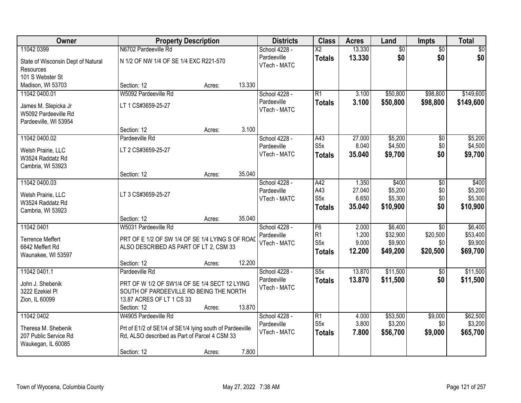| Owner                                           |                                                          | <b>Property Description</b> | <b>Districts</b>            | <b>Class</b>            | <b>Acres</b> | Land     | Impts           | <b>Total</b> |
|-------------------------------------------------|----------------------------------------------------------|-----------------------------|-----------------------------|-------------------------|--------------|----------|-----------------|--------------|
| 11042 0399                                      | N6702 Pardeeville Rd                                     |                             | School 4228 -               | $\overline{\text{X2}}$  | 13.330       | \$0      | $\overline{50}$ | \$0          |
| State of Wisconsin Dept of Natural<br>Resources | N 1/2 OF NW 1/4 OF SE 1/4 EXC R221-570                   |                             | Pardeeville<br>VTech - MATC | <b>Totals</b>           | 13.330       | \$0      | \$0             | \$0          |
| 101 S Webster St                                |                                                          |                             |                             |                         |              |          |                 |              |
| Madison, WI 53703                               | Section: 12                                              | Acres:                      | 13.330                      |                         |              |          |                 |              |
| 11042 0400.01                                   | W5092 Pardeeville Rd                                     |                             | School 4228 -               | $\overline{R1}$         | 3.100        | \$50,800 | \$98,800        | \$149,600    |
| James M. Slepicka Jr<br>W5092 Pardeeville Rd    | LT 1 CS#3659-25-27                                       |                             | Pardeeville<br>VTech - MATC | <b>Totals</b>           | 3.100        | \$50,800 | \$98,800        | \$149,600    |
| Pardeeville, WI 53954                           |                                                          |                             |                             |                         |              |          |                 |              |
|                                                 | Section: 12                                              | Acres:                      | 3.100                       |                         |              |          |                 |              |
| 11042 0400.02                                   | Pardeeville Rd                                           |                             | School 4228 -               | A43                     | 27.000       | \$5,200  | $\overline{50}$ | \$5,200      |
| Welsh Prairie, LLC                              | LT 2 CS#3659-25-27                                       |                             | Pardeeville                 | S <sub>5</sub> x        | 8.040        | \$4,500  | \$0             | \$4,500      |
| W3524 Raddatz Rd                                |                                                          |                             | VTech - MATC                | <b>Totals</b>           | 35.040       | \$9,700  | \$0             | \$9,700      |
| Cambria, WI 53923                               |                                                          |                             |                             |                         |              |          |                 |              |
|                                                 | Section: 12                                              | Acres:                      | 35.040                      |                         |              |          |                 |              |
| 11042 0400.03                                   |                                                          |                             | School 4228 -               | A42                     | 1.350        | \$400    | $\overline{50}$ | \$400        |
| Welsh Prairie, LLC                              | LT 3 CS#3659-25-27                                       |                             | Pardeeville                 | A43                     | 27.040       | \$5,200  | \$0             | \$5,200      |
| W3524 Raddatz Rd                                |                                                          |                             | VTech - MATC                | S <sub>5</sub> x        | 6.650        | \$5,300  | \$0             | \$5,300      |
| Cambria, WI 53923                               |                                                          |                             |                             | <b>Totals</b>           | 35.040       | \$10,900 | \$0             | \$10,900     |
|                                                 | Section: 12                                              | Acres:                      | 35.040                      |                         |              |          |                 |              |
| 11042 0401                                      | W5031 Pardeeville Rd                                     |                             | School 4228 -               | F6                      | 2.000        | \$6,400  | $\overline{30}$ | \$6,400      |
| <b>Terrence Meffert</b>                         | PRT OF E 1/2 OF SW 1/4 OF SE 1/4 LYING S OF ROAD         |                             | Pardeeville                 | R1                      | 1.200        | \$32,900 | \$20,500        | \$53,400     |
| 6642 Meffert Rd                                 | ALSO DESCRIBED AS PART OF LT 2, CSM 33                   |                             | VTech - MATC                | S <sub>5</sub> x        | 9.000        | \$9,900  | \$0             | \$9,900      |
| Waunakee, WI 53597                              |                                                          |                             |                             | <b>Totals</b>           | 12.200       | \$49,200 | \$20,500        | \$69,700     |
|                                                 | Section: 12                                              | Acres:                      | 12.200                      |                         |              |          |                 |              |
| 11042 0401.1                                    | Pardeeville Rd                                           |                             | School 4228 -               | $\overline{\text{S5x}}$ | 13.870       | \$11,500 | $\overline{50}$ | \$11,500     |
| John J. Shebenik                                | PRT OF W 1/2 OF SW1/4 OF SE 1/4 SECT 12 LYING            |                             | Pardeeville                 | <b>Totals</b>           | 13.870       | \$11,500 | \$0             | \$11,500     |
| 3222 Ezekiel Pl                                 | SOUTH OF PARDEEVILLE RD BEING THE NORTH                  |                             | VTech - MATC                |                         |              |          |                 |              |
| Zion, IL 60099                                  | 13.87 ACRES OF LT 1 CS 33                                |                             |                             |                         |              |          |                 |              |
|                                                 | Section: 12                                              | Acres:                      | 13.870                      |                         |              |          |                 |              |
| 11042 0402                                      | W4905 Pardeeville Rd                                     |                             | School 4228 -               | $\overline{R1}$         | 4.000        | \$53,500 | \$9,000         | \$62,500     |
| Theresa M. Shebenik                             | Prt of E1/2 of SE1/4 of SE1/4 lying south of Pardeeville |                             | Pardeeville                 | S <sub>5</sub> x        | 3.800        | \$3,200  | \$0             | \$3,200      |
| 207 Public Service Rd                           | Rd, ALSO described as Part of Parcel 4 CSM 33            |                             | VTech - MATC                | <b>Totals</b>           | 7.800        | \$56,700 | \$9,000         | \$65,700     |
| Waukegan, IL 60085                              |                                                          |                             |                             |                         |              |          |                 |              |
|                                                 | Section: 12                                              | Acres:                      | 7.800                       |                         |              |          |                 |              |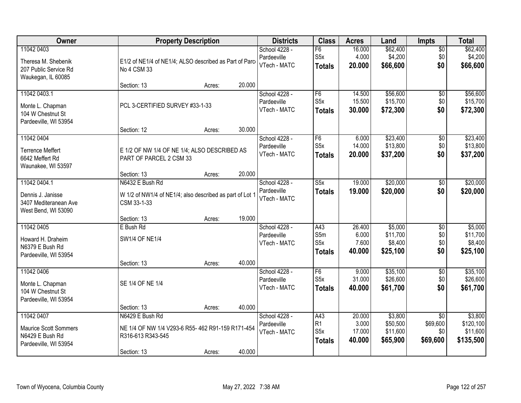| Owner                                                                                  |                                                                                                          | <b>Property Description</b> |        | <b>Districts</b>                             | <b>Class</b>                            | <b>Acres</b>                        | Land                                        | <b>Impts</b>                                   | <b>Total</b>                                  |
|----------------------------------------------------------------------------------------|----------------------------------------------------------------------------------------------------------|-----------------------------|--------|----------------------------------------------|-----------------------------------------|-------------------------------------|---------------------------------------------|------------------------------------------------|-----------------------------------------------|
| 11042 0403<br>Theresa M. Shebenik<br>207 Public Service Rd<br>Waukegan, IL 60085       | E1/2 of NE1/4 of NE1/4; ALSO described as Part of Parc<br>No 4 CSM 33                                    |                             |        | School 4228 -<br>Pardeeville<br>VTech - MATC | F6<br>S <sub>5</sub> x<br><b>Totals</b> | 16.000<br>4.000<br>20.000           | \$62,400<br>\$4,200<br>\$66,600             | $\overline{50}$<br>\$0<br>\$0                  | \$62,400<br>\$4,200<br>\$66,600               |
|                                                                                        | Section: 13                                                                                              | Acres:                      | 20.000 |                                              |                                         |                                     |                                             |                                                |                                               |
| 11042 0403.1<br>Monte L. Chapman<br>104 W Chestnut St<br>Pardeeville, WI 53954         | PCL 3-CERTIFIED SURVEY #33-1-33                                                                          |                             |        | School 4228 -<br>Pardeeville<br>VTech - MATC | F6<br>S5x<br><b>Totals</b>              | 14.500<br>15.500<br>30.000          | \$56,600<br>\$15,700<br>\$72,300            | $\overline{50}$<br>\$0<br>\$0                  | \$56,600<br>\$15,700<br>\$72,300              |
|                                                                                        | Section: 12                                                                                              | Acres:                      | 30.000 |                                              |                                         |                                     |                                             |                                                |                                               |
| 11042 0404<br><b>Terrence Meffert</b><br>6642 Meffert Rd<br>Waunakee, WI 53597         | E 1/2 OF NW 1/4 OF NE 1/4; ALSO DESCRIBED AS<br>PART OF PARCEL 2 CSM 33                                  |                             |        | School 4228 -<br>Pardeeville<br>VTech - MATC | F6<br>S <sub>5</sub> x<br>Totals        | 6.000<br>14.000<br>20.000           | \$23,400<br>\$13,800<br>\$37,200            | $\overline{50}$<br>\$0<br>\$0                  | \$23,400<br>\$13,800<br>\$37,200              |
|                                                                                        | Section: 13                                                                                              | Acres:                      | 20.000 |                                              |                                         |                                     |                                             |                                                |                                               |
| 11042 0404.1<br>Dennis J. Janisse<br>3407 Mediteranean Ave<br>West Bend, WI 53090      | N6432 E Bush Rd<br>W 1/2 of NW1/4 of NE1/4; also described as part of Lot 1<br>CSM 33-1-33               |                             |        | School 4228 -<br>Pardeeville<br>VTech - MATC | S5x<br><b>Totals</b>                    | 19.000<br>19.000                    | \$20,000<br>\$20,000                        | \$0<br>\$0                                     | \$20,000<br>\$20,000                          |
|                                                                                        | Section: 13                                                                                              | Acres:                      | 19.000 |                                              |                                         |                                     |                                             |                                                |                                               |
| 11042 0405<br>Howard H. Draheim<br>N6379 E Bush Rd<br>Pardeeville, WI 53954            | E Bush Rd<br><b>SW1/4 OF NE1/4</b>                                                                       |                             | 40.000 | School 4228 -<br>Pardeeville<br>VTech - MATC | A43<br>S5m<br>S5x<br><b>Totals</b>      | 26.400<br>6.000<br>7.600<br>40.000  | \$5,000<br>\$11,700<br>\$8,400<br>\$25,100  | \$0<br>\$0<br>\$0<br>\$0                       | \$5,000<br>\$11,700<br>\$8,400<br>\$25,100    |
| 11042 0406                                                                             | Section: 13                                                                                              | Acres:                      |        | School 4228 -                                | F6                                      | 9.000                               | \$35,100                                    | $\overline{60}$                                | \$35,100                                      |
| Monte L. Chapman<br>104 W Chestnut St<br>Pardeeville, WI 53954                         | SE 1/4 OF NE 1/4                                                                                         |                             |        | Pardeeville<br>VTech - MATC                  | S <sub>5</sub> x<br>Totals              | 31.000<br>40.000                    | \$26,600<br>\$61,700                        | \$0<br>\$0                                     | \$26,600<br>\$61,700                          |
|                                                                                        | Section: 13                                                                                              | Acres:                      | 40.000 |                                              |                                         |                                     |                                             |                                                |                                               |
| 11042 0407<br><b>Maurice Scott Sommers</b><br>N6429 E Bush Rd<br>Pardeeville, WI 53954 | N6429 E Bush Rd<br>NE 1/4 OF NW 1/4 V293-6 R55- 462 R91-159 R171-454<br>R316-613 R343-545<br>Section: 13 | Acres:                      | 40.000 | School 4228 -<br>Pardeeville<br>VTech - MATC | A43<br> R1<br>S5x<br><b>Totals</b>      | 20.000<br>3.000<br>17.000<br>40.000 | \$3,800<br>\$50,500<br>\$11,600<br>\$65,900 | $\overline{30}$<br>\$69,600<br>\$0<br>\$69,600 | \$3,800<br>\$120,100<br>\$11,600<br>\$135,500 |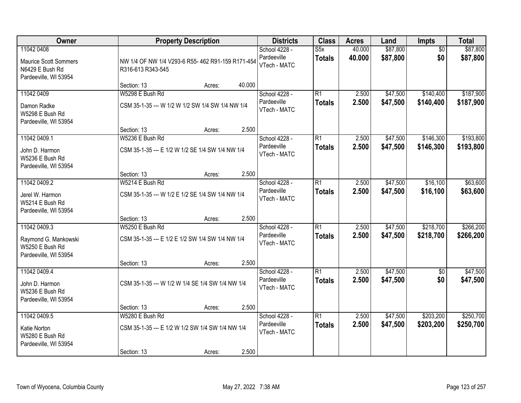| Owner                                                                                  | <b>Property Description</b>                                                                  |        | <b>Districts</b>                             | <b>Class</b>                     | <b>Acres</b>     | Land                 | Impts                  | <b>Total</b>           |
|----------------------------------------------------------------------------------------|----------------------------------------------------------------------------------------------|--------|----------------------------------------------|----------------------------------|------------------|----------------------|------------------------|------------------------|
| 11042 0408<br><b>Maurice Scott Sommers</b><br>N6429 E Bush Rd<br>Pardeeville, WI 53954 | NW 1/4 OF NW 1/4 V293-6 R55- 462 R91-159 R171-454<br>R316-613 R343-545                       |        | School 4228 -<br>Pardeeville<br>VTech - MATC | S5x<br><b>Totals</b>             | 40.000<br>40.000 | \$87,800<br>\$87,800 | $\overline{50}$<br>\$0 | \$87,800<br>\$87,800   |
|                                                                                        | Section: 13<br>Acres:                                                                        | 40.000 |                                              |                                  |                  |                      |                        |                        |
| 11042 0409<br>Damon Radke<br>W5298 E Bush Rd<br>Pardeeville, WI 53954                  | W5298 E Bush Rd<br>CSM 35-1-35 --- W 1/2 W 1/2 SW 1/4 SW 1/4 NW 1/4                          |        | School 4228 -<br>Pardeeville<br>VTech - MATC | $\overline{R1}$<br><b>Totals</b> | 2.500<br>2.500   | \$47,500<br>\$47,500 | \$140,400<br>\$140,400 | \$187,900<br>\$187,900 |
|                                                                                        | Section: 13<br>Acres:                                                                        | 2.500  |                                              |                                  |                  |                      |                        |                        |
| 11042 0409.1<br>John D. Harmon<br>W5236 E Bush Rd<br>Pardeeville, WI 53954             | W5236 E Bush Rd<br>CSM 35-1-35 --- E 1/2 W 1/2 SE 1/4 SW 1/4 NW 1/4                          |        | School 4228 -<br>Pardeeville<br>VTech - MATC | R1<br><b>Totals</b>              | 2.500<br>2.500   | \$47,500<br>\$47,500 | \$146,300<br>\$146,300 | \$193,800<br>\$193,800 |
|                                                                                        | Section: 13<br>Acres:                                                                        | 2.500  |                                              |                                  |                  |                      |                        |                        |
| 11042 0409.2<br>Jerel W. Harmon<br>W5214 E Bush Rd                                     | W5214 E Bush Rd<br>CSM 35-1-35 --- W 1/2 E 1/2 SE 1/4 SW 1/4 NW 1/4                          |        | School 4228 -<br>Pardeeville<br>VTech - MATC | $\overline{R1}$<br><b>Totals</b> | 2.500<br>2.500   | \$47,500<br>\$47,500 | \$16,100<br>\$16,100   | \$63,600<br>\$63,600   |
| Pardeeville, WI 53954                                                                  | Section: 13<br>Acres:                                                                        | 2.500  |                                              |                                  |                  |                      |                        |                        |
| 11042 0409.3<br>Raymond G. Mankowski<br>W5250 E Bush Rd<br>Pardeeville, WI 53954       | W5250 E Bush Rd<br>CSM 35-1-35 --- E 1/2 E 1/2 SW 1/4 SW 1/4 NW 1/4                          |        | School 4228 -<br>Pardeeville<br>VTech - MATC | $\overline{R1}$<br><b>Totals</b> | 2.500<br>2.500   | \$47,500<br>\$47,500 | \$218,700<br>\$218,700 | \$266,200<br>\$266,200 |
|                                                                                        | Section: 13<br>Acres:                                                                        | 2.500  |                                              |                                  |                  |                      |                        |                        |
| 11042 0409.4<br>John D. Harmon<br>W5236 E Bush Rd<br>Pardeeville, WI 53954             | CSM 35-1-35 --- W 1/2 W 1/4 SE 1/4 SW 1/4 NW 1/4                                             |        | School 4228 -<br>Pardeeville<br>VTech - MATC | $\overline{R1}$<br><b>Totals</b> | 2.500<br>2.500   | \$47,500<br>\$47,500 | $\overline{50}$<br>\$0 | \$47,500<br>\$47,500   |
|                                                                                        | Section: 13<br>Acres:                                                                        | 2.500  |                                              |                                  |                  |                      |                        |                        |
| 11042 0409.5<br>Katie Norton<br>W5280 E Bush Rd<br>Pardeeville, WI 53954               | W5280 E Bush Rd<br>CSM 35-1-35 --- E 1/2 W 1/2 SW 1/4 SW 1/4 NW 1/4<br>Section: 13<br>Acres: | 2.500  | School 4228 -<br>Pardeeville<br>VTech - MATC | $\overline{R1}$<br><b>Totals</b> | 2.500<br>2.500   | \$47,500<br>\$47,500 | \$203,200<br>\$203,200 | \$250,700<br>\$250,700 |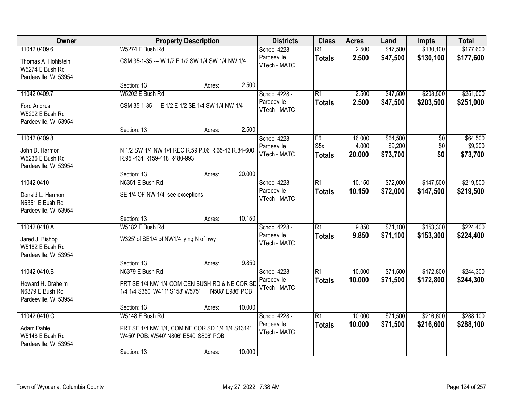| Owner                                                           | <b>Property Description</b>                                                                         | <b>Districts</b>            | <b>Class</b>                      | <b>Acres</b>    | Land                | <b>Impts</b> | <b>Total</b>        |
|-----------------------------------------------------------------|-----------------------------------------------------------------------------------------------------|-----------------------------|-----------------------------------|-----------------|---------------------|--------------|---------------------|
| 11042 0409.6                                                    | W5274 E Bush Rd                                                                                     | School 4228 -               | $\overline{R1}$                   | 2.500           | \$47,500            | \$130,100    | \$177,600           |
| Thomas A. Hohlstein<br>W5274 E Bush Rd<br>Pardeeville, WI 53954 | CSM 35-1-35 --- W 1/2 E 1/2 SW 1/4 SW 1/4 NW 1/4                                                    | Pardeeville<br>VTech - MATC | <b>Totals</b>                     | 2.500           | \$47,500            | \$130,100    | \$177,600           |
|                                                                 | 2.500<br>Section: 13<br>Acres:                                                                      |                             |                                   |                 |                     |              |                     |
| 11042 0409.7                                                    | W5202 E Bush Rd                                                                                     | School 4228 -               | R1                                | 2.500           | \$47,500            | \$203,500    | \$251,000           |
| <b>Ford Andrus</b><br>W5202 E Bush Rd<br>Pardeeville, WI 53954  | CSM 35-1-35 --- E 1/2 E 1/2 SE 1/4 SW 1/4 NW 1/4                                                    | Pardeeville<br>VTech - MATC | <b>Totals</b>                     | 2.500           | \$47,500            | \$203,500    | \$251,000           |
|                                                                 | 2.500<br>Section: 13<br>Acres:                                                                      |                             |                                   |                 |                     |              |                     |
| 11042 0409.8                                                    |                                                                                                     | School 4228 -               | F <sub>6</sub>                    | 16.000          | \$64,500            | \$0          | \$64,500            |
| John D. Harmon<br>W5236 E Bush Rd<br>Pardeeville, WI 53954      | N 1/2 SW 1/4 NW 1/4 REC R.59 P.06 R.65-43 R.84-600<br>R.95 -434 R159-418 R480-993                   | Pardeeville<br>VTech - MATC | S <sub>5</sub> x<br><b>Totals</b> | 4.000<br>20.000 | \$9,200<br>\$73,700 | \$0<br>\$0   | \$9,200<br>\$73,700 |
|                                                                 | 20.000<br>Section: 13<br>Acres:                                                                     |                             |                                   |                 |                     |              |                     |
| 11042 0410                                                      | N6351 E Bush Rd                                                                                     | School 4228 -               | $\overline{R1}$                   | 10.150          | \$72,000            | \$147,500    | \$219,500           |
| Donald L. Harmon<br>N6351 E Bush Rd<br>Pardeeville, WI 53954    | SE 1/4 OF NW 1/4 see exceptions                                                                     | Pardeeville<br>VTech - MATC | <b>Totals</b>                     | 10.150          | \$72,000            | \$147,500    | \$219,500           |
|                                                                 | 10.150<br>Section: 13<br>Acres:                                                                     |                             |                                   |                 |                     |              |                     |
| 11042 0410.A                                                    | W5182 E Bush Rd                                                                                     | School 4228 -               | $\overline{R1}$                   | 9.850           | \$71,100            | \$153,300    | \$224,400           |
| Jared J. Bishop<br>W5182 E Bush Rd<br>Pardeeville, WI 53954     | W325' of SE1/4 of NW1/4 lying N of hwy                                                              | Pardeeville<br>VTech - MATC | <b>Totals</b>                     | 9.850           | \$71,100            | \$153,300    | \$224,400           |
|                                                                 | 9.850<br>Section: 13<br>Acres:                                                                      |                             |                                   |                 |                     |              |                     |
| 11042 0410.B                                                    | N6379 E Bush Rd                                                                                     | School 4228 -               | R1                                | 10.000          | \$71,500            | \$172,800    | \$244,300           |
| Howard H. Draheim<br>N6379 E Bush Rd<br>Pardeeville, WI 53954   | PRT SE 1/4 NW 1/4 COM CEN BUSH RD & NE COR SD<br>1/4 1/4 S350' W411' S158' W575'<br>N508' E986' POB | Pardeeville<br>VTech - MATC | <b>Totals</b>                     | 10.000          | \$71,500            | \$172,800    | \$244,300           |
|                                                                 | 10.000<br>Section: 13<br>Acres:                                                                     |                             |                                   |                 |                     |              |                     |
| 11042 0410.C                                                    | W5148 E Bush Rd                                                                                     | School 4228 -               | $\overline{R1}$                   | 10.000          | \$71,500            | \$216,600    | \$288,100           |
| Adam Dahle<br>W5148 E Bush Rd<br>Pardeeville, WI 53954          | PRT SE 1/4 NW 1/4, COM NE COR SD 1/4 1/4 S1314'<br>W450' POB: W540' N806' E540' S806' POB           | Pardeeville<br>VTech - MATC | <b>Totals</b>                     | 10.000          | \$71,500            | \$216,600    | \$288,100           |
|                                                                 | 10.000<br>Section: 13<br>Acres:                                                                     |                             |                                   |                 |                     |              |                     |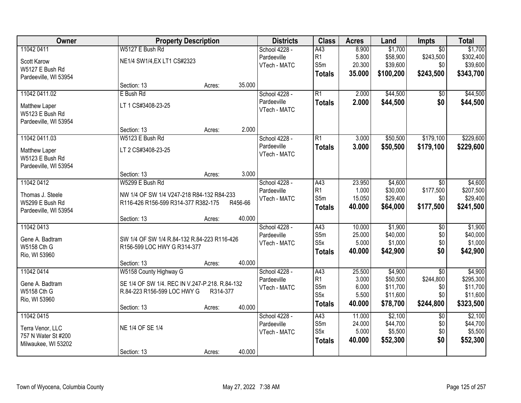| Owner                 | <b>Property Description</b>                    |                  | <b>Districts</b> | <b>Class</b>            | <b>Acres</b>   | Land                 | Impts           | <b>Total</b>         |
|-----------------------|------------------------------------------------|------------------|------------------|-------------------------|----------------|----------------------|-----------------|----------------------|
| 11042 0411            | W5127 E Bush Rd                                |                  | School 4228 -    | A43                     | 8.900          | \$1,700              | $\overline{50}$ | \$1,700              |
| Scott Karow           | NE1/4 SW1/4, EX LT1 CS#2323                    |                  | Pardeeville      | R1                      | 5.800          | \$58,900             | \$243,500       | \$302,400            |
| W5127 E Bush Rd       |                                                |                  | VTech - MATC     | S5m                     | 20.300         | \$39,600             | \$0             | \$39,600             |
| Pardeeville, WI 53954 |                                                |                  |                  | <b>Totals</b>           | 35.000         | \$100,200            | \$243,500       | \$343,700            |
|                       | Section: 13                                    | 35.000<br>Acres: |                  |                         |                |                      |                 |                      |
| 11042 0411.02         | E Bush Rd                                      |                  | School 4228 -    | $\overline{R1}$         | 2.000          | \$44,500             | \$0             | \$44,500             |
| Matthew Laper         | LT 1 CS#3408-23-25                             |                  | Pardeeville      | <b>Totals</b>           | 2.000          | \$44,500             | \$0             | \$44,500             |
| W5123 E Bush Rd       |                                                |                  | VTech - MATC     |                         |                |                      |                 |                      |
| Pardeeville, WI 53954 |                                                |                  |                  |                         |                |                      |                 |                      |
|                       | Section: 13                                    | 2.000<br>Acres:  |                  |                         |                |                      |                 |                      |
| 11042 0411.03         | W5123 E Bush Rd                                |                  | School 4228 -    | $\overline{R1}$         | 3.000          | \$50,500             | \$179,100       | \$229,600            |
| Matthew Laper         | LT 2 CS#3408-23-25                             |                  | Pardeeville      | <b>Totals</b>           | 3.000          | \$50,500             | \$179,100       | \$229,600            |
| W5123 E Bush Rd       |                                                |                  | VTech - MATC     |                         |                |                      |                 |                      |
| Pardeeville, WI 53954 |                                                |                  |                  |                         |                |                      |                 |                      |
|                       | Section: 13                                    | 3.000<br>Acres:  |                  |                         |                |                      |                 |                      |
| 11042 0412            | W5299 E Bush Rd                                |                  | School 4228 -    | A43                     | 23.950         | \$4,600              | $\sqrt[6]{}$    | \$4,600              |
|                       |                                                |                  | Pardeeville      | R1                      | 1.000          | \$30,000             | \$177,500       | \$207,500            |
| Thomas J. Steele      | NW 1/4 OF SW 1/4 V247-218 R84-132 R84-233      |                  | VTech - MATC     | S5m                     | 15.050         | \$29,400             | \$0             | \$29,400             |
| W5299 E Bush Rd       | R116-426 R156-599 R314-377 R382-175            | R456-66          |                  | <b>Totals</b>           | 40.000         | \$64,000             | \$177,500       | \$241,500            |
| Pardeeville, WI 53954 | Section: 13                                    | 40.000<br>Acres: |                  |                         |                |                      |                 |                      |
| 11042 0413            |                                                |                  | School 4228 -    | A43                     | 10.000         | \$1,900              | $\overline{50}$ | \$1,900              |
|                       |                                                |                  | Pardeeville      | S5m                     | 25.000         | \$40,000             | \$0             | \$40,000             |
| Gene A. Badtram       | SW 1/4 OF SW 1/4 R.84-132 R.84-223 R116-426    |                  | VTech - MATC     | S <sub>5</sub> x        | 5.000          | \$1,000              | \$0             | \$1,000              |
| W5158 Cth G           | R156-599 LOC HWY G R314-377                    |                  |                  | <b>Totals</b>           | 40.000         | \$42,900             | \$0             | \$42,900             |
| Rio, WI 53960         |                                                |                  |                  |                         |                |                      |                 |                      |
|                       | Section: 13                                    | 40.000<br>Acres: |                  |                         |                |                      |                 |                      |
| 11042 0414            | W5158 County Highway G                         |                  | School 4228 -    | A43                     | 25.500         | \$4,900              | $\overline{50}$ | \$4,900              |
| Gene A. Badtram       | SE 1/4 OF SW 1/4. REC IN V.247-P.218. R.84-132 |                  | Pardeeville      | R1                      | 3.000          | \$50,500             | \$244,800       | \$295,300            |
| W5158 Cth G           | R.84-223 R156-599 LOC HWY G                    | R314-377         | VTech - MATC     | S5m<br>S <sub>5</sub> x | 6.000<br>5.500 | \$11,700<br>\$11,600 | \$0<br>\$0      | \$11,700<br>\$11,600 |
| Rio, WI 53960         |                                                |                  |                  |                         |                |                      |                 |                      |
|                       | Section: 13                                    | 40.000<br>Acres: |                  | <b>Totals</b>           | 40.000         | \$78,700             | \$244,800       | \$323,500            |
| 11042 0415            |                                                |                  | School 4228 -    | A43                     | 11.000         | \$2,100              | $\overline{50}$ | \$2,100              |
| Terra Venor, LLC      | NE 1/4 OF SE 1/4                               |                  | Pardeeville      | S5m                     | 24.000         | \$44,700             | \$0             | \$44,700             |
| 757 N Water St #200   |                                                |                  | VTech - MATC     | S <sub>5</sub> x        | 5.000          | \$5,500              | \$0             | \$5,500              |
| Milwaukee, WI 53202   |                                                |                  |                  | <b>Totals</b>           | 40.000         | \$52,300             | \$0             | \$52,300             |
|                       | Section: 13                                    | 40.000<br>Acres: |                  |                         |                |                      |                 |                      |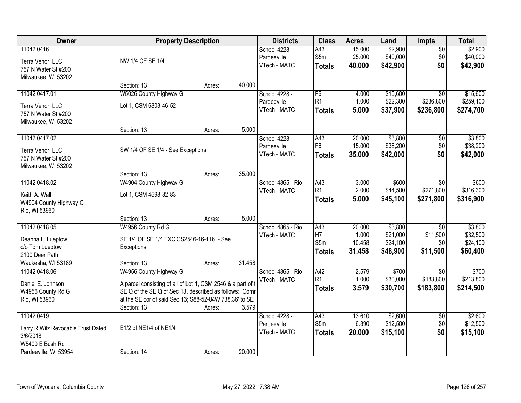| Owner                                                                                                    | <b>Property Description</b>                                                                                                                                                                                              |        |        | <b>Districts</b>                             | <b>Class</b>                                   | <b>Acres</b>                        | Land                                        | Impts                                          | <b>Total</b>                                |
|----------------------------------------------------------------------------------------------------------|--------------------------------------------------------------------------------------------------------------------------------------------------------------------------------------------------------------------------|--------|--------|----------------------------------------------|------------------------------------------------|-------------------------------------|---------------------------------------------|------------------------------------------------|---------------------------------------------|
| 11042 0416<br>Terra Venor, LLC<br>757 N Water St #200<br>Milwaukee, WI 53202                             | NW 1/4 OF SE 1/4                                                                                                                                                                                                         |        |        | School 4228 -<br>Pardeeville<br>VTech - MATC | A43<br>S5m<br><b>Totals</b>                    | 15.000<br>25.000<br>40.000          | \$2,900<br>\$40,000<br>\$42,900             | $\overline{50}$<br>\$0<br>\$0                  | \$2,900<br>\$40,000<br>\$42,900             |
|                                                                                                          | Section: 13                                                                                                                                                                                                              | Acres: | 40.000 |                                              |                                                |                                     |                                             |                                                |                                             |
| 11042 0417.01<br>Terra Venor, LLC<br>757 N Water St #200<br>Milwaukee, WI 53202                          | W5026 County Highway G<br>Lot 1, CSM 6303-46-52                                                                                                                                                                          |        |        | School 4228 -<br>Pardeeville<br>VTech - MATC | F6<br>R1<br><b>Totals</b>                      | 4.000<br>1.000<br>5.000             | \$15,600<br>\$22,300<br>\$37,900            | $\overline{30}$<br>\$236,800<br>\$236,800      | \$15,600<br>\$259,100<br>\$274,700          |
| 11042 0417.02                                                                                            | Section: 13                                                                                                                                                                                                              | Acres: | 5.000  | School 4228 -<br>Pardeeville                 | A43<br>F <sub>6</sub>                          | 20.000<br>15.000                    | \$3,800<br>\$38,200                         | $\overline{50}$<br>\$0                         | \$3,800<br>\$38,200                         |
| Terra Venor, LLC<br>757 N Water St #200<br>Milwaukee, WI 53202                                           | SW 1/4 OF SE 1/4 - See Exceptions                                                                                                                                                                                        |        |        | VTech - MATC                                 | <b>Totals</b>                                  | 35.000                              | \$42,000                                    | \$0                                            | \$42,000                                    |
| 11042 0418.02                                                                                            | Section: 13<br>W4904 County Highway G                                                                                                                                                                                    | Acres: | 35.000 | School 4865 - Rio                            | A43                                            | 3.000                               | \$600                                       | $\sqrt[6]{}$                                   | \$600                                       |
| Keith A. Wall<br>W4904 County Highway G<br>Rio, WI 53960                                                 | Lot 1, CSM 4598-32-83                                                                                                                                                                                                    |        |        | VTech - MATC                                 | R1<br><b>Totals</b>                            | 2.000<br>5.000                      | \$44,500<br>\$45,100                        | \$271,800<br>\$271,800                         | \$316,300<br>\$316,900                      |
|                                                                                                          | Section: 13                                                                                                                                                                                                              | Acres: | 5.000  |                                              |                                                |                                     |                                             |                                                |                                             |
| 11042 0418.05<br>Deanna L. Lueptow<br>c/o Tom Lueptow<br>2100 Deer Path<br>Waukesha, WI 53189            | W4956 County Rd G<br>SE 1/4 OF SE 1/4 EXC CS2546-16-116 - See<br>Exceptions<br>Section: 13                                                                                                                               | Acres: | 31.458 | School 4865 - Rio<br>VTech - MATC            | $\overline{A43}$<br>H7<br>S5m<br><b>Totals</b> | 20.000<br>1.000<br>10.458<br>31.458 | \$3,800<br>\$21,000<br>\$24,100<br>\$48,900 | $\overline{30}$<br>\$11,500<br>\$0<br>\$11,500 | \$3,800<br>\$32,500<br>\$24,100<br>\$60,400 |
| 11042 0418.06<br>Daniel E. Johnson<br>W4956 County Rd G<br>Rio, WI 53960                                 | W4956 County Highway G<br>A parcel consisting of all of Lot 1, CSM 2546 & a part of t<br>SE Q of the SE Q of Sec 13, described as follows: Comr<br>at the SE cor of said Sec 13; S88-52-04W 738.36' to SE<br>Section: 13 | Acres: | 3.579  | School 4865 - Rio<br>VTech - MATC            | A42<br>R <sub>1</sub><br><b>Totals</b>         | 2.579<br>1.000<br>3.579             | \$700<br>\$30,000<br>\$30,700               | $\overline{50}$<br>\$183,800<br>\$183,800      | \$700<br>\$213,800<br>\$214,500             |
| 11042 0419<br>Larry R Wilz Revocable Trust Dated<br>3/6/2018<br>W5400 E Bush Rd<br>Pardeeville, WI 53954 | E1/2 of NE1/4 of NE1/4<br>Section: 14                                                                                                                                                                                    | Acres: | 20.000 | School 4228 -<br>Pardeeville<br>VTech - MATC | A43<br>S5m<br><b>Totals</b>                    | 13.610<br>6.390<br>20.000           | \$2,600<br>\$12,500<br>\$15,100             | $\overline{50}$<br>\$0<br>\$0                  | \$2,600<br>\$12,500<br>\$15,100             |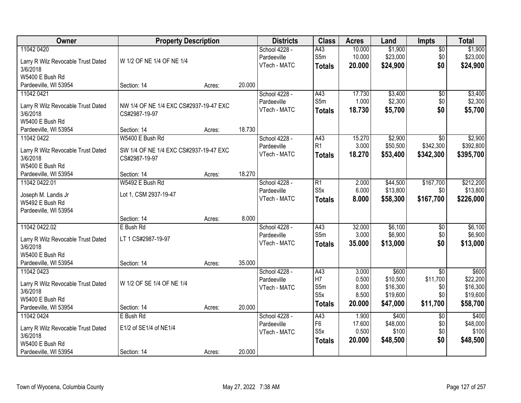| Owner                              | <b>Property Description</b>            |        |        | <b>Districts</b> | <b>Class</b>     | <b>Acres</b> | Land     | <b>Impts</b>    | <b>Total</b> |
|------------------------------------|----------------------------------------|--------|--------|------------------|------------------|--------------|----------|-----------------|--------------|
| 11042 0420                         |                                        |        |        | School 4228 -    | A43              | 10.000       | \$1,900  | $\overline{50}$ | \$1,900      |
| Larry R Wilz Revocable Trust Dated | W 1/2 OF NE 1/4 OF NE 1/4              |        |        | Pardeeville      | S5m              | 10.000       | \$23,000 | \$0             | \$23,000     |
| 3/6/2018                           |                                        |        |        | VTech - MATC     | <b>Totals</b>    | 20.000       | \$24,900 | \$0             | \$24,900     |
| W5400 E Bush Rd                    |                                        |        |        |                  |                  |              |          |                 |              |
| Pardeeville, WI 53954              | Section: 14                            | Acres: | 20.000 |                  |                  |              |          |                 |              |
| 11042 0421                         |                                        |        |        | School 4228 -    | A43              | 17.730       | \$3,400  | \$0             | \$3,400      |
|                                    |                                        |        |        | Pardeeville      | S5m              | 1.000        | \$2,300  | \$0             | \$2,300      |
| Larry R Wilz Revocable Trust Dated | NW 1/4 OF NE 1/4 EXC CS#2937-19-47 EXC |        |        | VTech - MATC     | <b>Totals</b>    | 18.730       | \$5,700  | \$0             | \$5,700      |
| 3/6/2018                           | CS#2987-19-97                          |        |        |                  |                  |              |          |                 |              |
| W5400 E Bush Rd                    |                                        |        |        |                  |                  |              |          |                 |              |
| Pardeeville, WI 53954              | Section: 14                            | Acres: | 18.730 |                  |                  |              |          |                 |              |
| 11042 0422                         | W5400 E Bush Rd                        |        |        | School 4228 -    | A43              | 15.270       | \$2,900  | \$0             | \$2,900      |
| Larry R Wilz Revocable Trust Dated | SW 1/4 OF NE 1/4 EXC CS#2937-19-47 EXC |        |        | Pardeeville      | R <sub>1</sub>   | 3.000        | \$50,500 | \$342,300       | \$392,800    |
| 3/6/2018                           | CS#2987-19-97                          |        |        | VTech - MATC     | <b>Totals</b>    | 18.270       | \$53,400 | \$342,300       | \$395,700    |
| W5400 E Bush Rd                    |                                        |        |        |                  |                  |              |          |                 |              |
| Pardeeville, WI 53954              | Section: 14                            | Acres: | 18.270 |                  |                  |              |          |                 |              |
| 11042 0422.01                      | W5492 E Bush Rd                        |        |        | School 4228 -    | R1               | 2.000        | \$44,500 | \$167,700       | \$212,200    |
|                                    |                                        |        |        | Pardeeville      | S <sub>5</sub> x | 6.000        | \$13,800 | \$0             | \$13,800     |
| Joseph M. Landis Jr                | Lot 1, CSM 2937-19-47                  |        |        | VTech - MATC     | <b>Totals</b>    | 8.000        | \$58,300 | \$167,700       | \$226,000    |
| W5492 E Bush Rd                    |                                        |        |        |                  |                  |              |          |                 |              |
| Pardeeville, WI 53954              | Section: 14                            |        | 8.000  |                  |                  |              |          |                 |              |
| 11042 0422.02                      | E Bush Rd                              | Acres: |        | School 4228 -    | $\overline{A43}$ | 32.000       | \$6,100  | $\overline{50}$ | \$6,100      |
|                                    |                                        |        |        | Pardeeville      | S5m              | 3.000        | \$6,900  | \$0             | \$6,900      |
| Larry R Wilz Revocable Trust Dated | LT 1 CS#2987-19-97                     |        |        | VTech - MATC     |                  | 35.000       | \$13,000 | \$0             | \$13,000     |
| 3/6/2018                           |                                        |        |        |                  | <b>Totals</b>    |              |          |                 |              |
| W5400 E Bush Rd                    |                                        |        |        |                  |                  |              |          |                 |              |
| Pardeeville, WI 53954              | Section: 14                            | Acres: | 35.000 |                  |                  |              |          |                 |              |
| 11042 0423                         |                                        |        |        | School 4228 -    | A43              | 3.000        | \$600    | $\overline{50}$ | \$600        |
| Larry R Wilz Revocable Trust Dated | W 1/2 OF SE 1/4 OF NE 1/4              |        |        | Pardeeville      | H7               | 0.500        | \$10,500 | \$11,700        | \$22,200     |
| 3/6/2018                           |                                        |        |        | VTech - MATC     | S5m              | 8.000        | \$16,300 | \$0             | \$16,300     |
| W5400 E Bush Rd                    |                                        |        |        |                  | S <sub>5</sub> x | 8.500        | \$19,600 | \$0             | \$19,600     |
| Pardeeville, WI 53954              | Section: 14                            | Acres: | 20.000 |                  | <b>Totals</b>    | 20.000       | \$47,000 | \$11,700        | \$58,700     |
| 11042 0424                         | E Bush Rd                              |        |        | School 4228 -    | A43              | 1.900        | \$400    | $\overline{50}$ | \$400        |
|                                    |                                        |        |        | Pardeeville      | F6               | 17.600       | \$48,000 | \$0             | \$48,000     |
| Larry R Wilz Revocable Trust Dated | E1/2 of SE1/4 of NE1/4                 |        |        | VTech - MATC     | S <sub>5</sub> x | 0.500        | \$100    | \$0             | \$100        |
| 3/6/2018                           |                                        |        |        |                  | <b>Totals</b>    | 20.000       | \$48,500 | \$0             | \$48,500     |
| W5400 E Bush Rd                    |                                        |        |        |                  |                  |              |          |                 |              |
| Pardeeville, WI 53954              | Section: 14                            | Acres: | 20.000 |                  |                  |              |          |                 |              |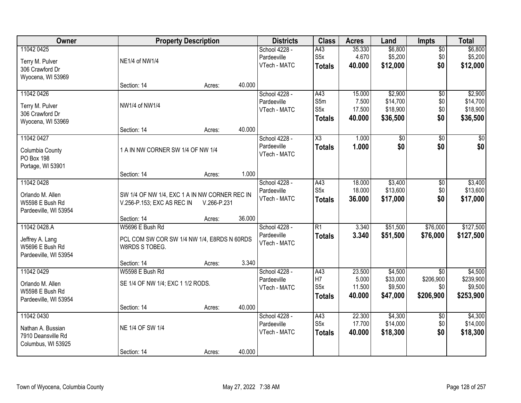| Owner                                    |                                               | <b>Property Description</b> |        | <b>Districts</b>             | <b>Class</b>                      | <b>Acres</b>    | Land                   | <b>Impts</b>           | <b>Total</b>            |
|------------------------------------------|-----------------------------------------------|-----------------------------|--------|------------------------------|-----------------------------------|-----------------|------------------------|------------------------|-------------------------|
| 11042 0425                               |                                               |                             |        | School 4228 -                | A43                               | 35.330          | \$6,800                | $\overline{50}$        | \$6,800                 |
| Terry M. Pulver                          | NE1/4 of NW1/4                                |                             |        | Pardeeville<br>VTech - MATC  | S <sub>5</sub> x<br><b>Totals</b> | 4.670<br>40.000 | \$5,200<br>\$12,000    | \$0<br>\$0             | \$5,200<br>\$12,000     |
| 306 Crawford Dr                          |                                               |                             |        |                              |                                   |                 |                        |                        |                         |
| Wyocena, WI 53969                        | Section: 14                                   | Acres:                      | 40.000 |                              |                                   |                 |                        |                        |                         |
| 11042 0426                               |                                               |                             |        | School 4228 -                | A43                               | 15.000          | \$2,900                | $\overline{50}$        | \$2,900                 |
| Terry M. Pulver                          | NW1/4 of NW1/4                                |                             |        | Pardeeville                  | S5m                               | 7.500           | \$14,700               | \$0                    | \$14,700                |
| 306 Crawford Dr                          |                                               |                             |        | VTech - MATC                 | S5x                               | 17.500          | \$18,900               | \$0                    | \$18,900                |
| Wyocena, WI 53969                        |                                               |                             |        |                              | <b>Totals</b>                     | 40.000          | \$36,500               | \$0                    | \$36,500                |
|                                          | Section: 14                                   | Acres:                      | 40.000 |                              |                                   |                 |                        |                        |                         |
| 11042 0427                               |                                               |                             |        | School 4228 -<br>Pardeeville | X3                                | 1.000<br>1.000  | $\overline{60}$<br>\$0 | $\overline{50}$<br>\$0 | $\overline{\$0}$<br>\$0 |
| Columbia County                          | 1 A IN NW CORNER SW 1/4 OF NW 1/4             |                             |        | VTech - MATC                 | <b>Totals</b>                     |                 |                        |                        |                         |
| PO Box 198<br>Portage, WI 53901          |                                               |                             |        |                              |                                   |                 |                        |                        |                         |
|                                          | Section: 14                                   | Acres:                      | 1.000  |                              |                                   |                 |                        |                        |                         |
| 11042 0428                               |                                               |                             |        | School 4228 -                | A43                               | 18.000          | \$3,400                | \$0                    | \$3,400                 |
| Orlando M. Allen                         | SW 1/4 OF NW 1/4, EXC 1 A IN NW CORNER REC IN |                             |        | Pardeeville                  | S <sub>5</sub> x                  | 18.000          | \$13,600               | \$0                    | \$13,600                |
| W5598 E Bush Rd                          | V.256-P.153; EXC AS REC IN                    | V.266-P.231                 |        | VTech - MATC                 | <b>Totals</b>                     | 36.000          | \$17,000               | \$0                    | \$17,000                |
| Pardeeville, WI 53954                    |                                               |                             |        |                              |                                   |                 |                        |                        |                         |
| 11042 0428.A                             | Section: 14<br>W5696 E Bush Rd                | Acres:                      | 36.000 |                              | $\overline{R1}$                   | 3.340           |                        | \$76,000               | \$127,500               |
|                                          |                                               |                             |        | School 4228 -<br>Pardeeville | <b>Totals</b>                     | 3.340           | \$51,500<br>\$51,500   | \$76,000               | \$127,500               |
| Jeffrey A. Lang                          | PCL COM SW COR SW 1/4 NW 1/4, E8RDS N 60RDS   |                             |        | VTech - MATC                 |                                   |                 |                        |                        |                         |
| W5696 E Bush Rd<br>Pardeeville, WI 53954 | W8RDS S TOBEG.                                |                             |        |                              |                                   |                 |                        |                        |                         |
|                                          | Section: 14                                   | Acres:                      | 3.340  |                              |                                   |                 |                        |                        |                         |
| 11042 0429                               | W5598 E Bush Rd                               |                             |        | School 4228 -                | A43                               | 23.500          | \$4,500                | $\overline{50}$        | \$4,500                 |
| Orlando M. Allen                         | SE 1/4 OF NW 1/4; EXC 1 1/2 RODS.             |                             |        | Pardeeville                  | H7<br>S <sub>5</sub> x            | 5.000<br>11.500 | \$33,000               | \$206,900<br>\$0       | \$239,900<br>\$9,500    |
| W5598 E Bush Rd                          |                                               |                             |        | VTech - MATC                 | <b>Totals</b>                     | 40.000          | \$9,500<br>\$47,000    | \$206,900              | \$253,900               |
| Pardeeville, WI 53954                    |                                               |                             |        |                              |                                   |                 |                        |                        |                         |
| 11042 0430                               | Section: 14                                   | Acres:                      | 40.000 | School 4228 -                | A43                               | 22.300          | \$4,300                | $\overline{50}$        | \$4,300                 |
|                                          |                                               |                             |        | Pardeeville                  | S <sub>5</sub> x                  | 17.700          | \$14,000               | \$0                    | \$14,000                |
| Nathan A. Bussian<br>7910 Deansville Rd  | NE 1/4 OF SW 1/4                              |                             |        | VTech - MATC                 | <b>Totals</b>                     | 40.000          | \$18,300               | \$0                    | \$18,300                |
| Columbus, WI 53925                       |                                               |                             |        |                              |                                   |                 |                        |                        |                         |
|                                          | Section: 14                                   | Acres:                      | 40.000 |                              |                                   |                 |                        |                        |                         |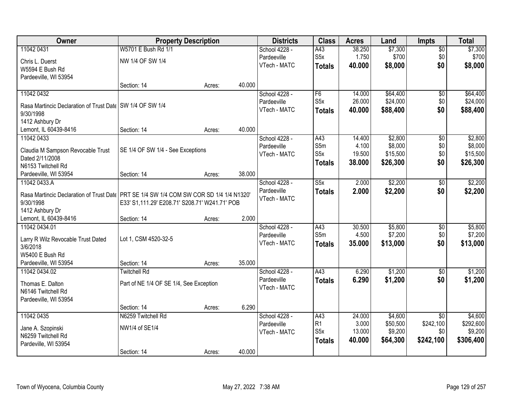| Owner                                                                                     |                                                | <b>Property Description</b> |        | <b>Districts</b> | <b>Class</b>            | <b>Acres</b> | Land     | Impts           | <b>Total</b> |
|-------------------------------------------------------------------------------------------|------------------------------------------------|-----------------------------|--------|------------------|-------------------------|--------------|----------|-----------------|--------------|
| 11042 0431                                                                                | W5701 E Bush Rd 1/1                            |                             |        | School 4228 -    | A43                     | 38.250       | \$7,300  | $\overline{50}$ | \$7,300      |
| Chris L. Duerst                                                                           | NW 1/4 OF SW 1/4                               |                             |        | Pardeeville      | S <sub>5</sub> x        | 1.750        | \$700    | \$0             | \$700        |
| W5594 E Bush Rd                                                                           |                                                |                             |        | VTech - MATC     | <b>Totals</b>           | 40.000       | \$8,000  | \$0             | \$8,000      |
| Pardeeville, WI 53954                                                                     |                                                |                             |        |                  |                         |              |          |                 |              |
|                                                                                           | Section: 14                                    | Acres:                      | 40.000 |                  |                         |              |          |                 |              |
| 11042 0432                                                                                |                                                |                             |        | School 4228 -    | F6                      | 14.000       | \$64,400 | $\overline{50}$ | \$64,400     |
| Rasa Martincic Declaration of Trust Date   SW 1/4 OF SW 1/4                               |                                                |                             |        | Pardeeville      | S <sub>5</sub> x        | 26.000       | \$24,000 | \$0             | \$24,000     |
| 9/30/1998                                                                                 |                                                |                             |        | VTech - MATC     | <b>Totals</b>           | 40.000       | \$88,400 | \$0             | \$88,400     |
| 1412 Ashbury Dr                                                                           |                                                |                             |        |                  |                         |              |          |                 |              |
| Lemont, IL 60439-8416                                                                     | Section: 14                                    | Acres:                      | 40.000 |                  |                         |              |          |                 |              |
| 11042 0433                                                                                |                                                |                             |        | School 4228 -    | A43                     | 14.400       | \$2,800  | $\overline{50}$ | \$2,800      |
|                                                                                           |                                                |                             |        | Pardeeville      | S5m                     | 4.100        | \$8,000  | \$0             | \$8,000      |
| Claudia M Sampson Revocable Trust<br>Dated 2/11/2008                                      | SE 1/4 OF SW 1/4 - See Exceptions              |                             |        | VTech - MATC     | S <sub>5</sub> x        | 19.500       | \$15,500 | \$0             | \$15,500     |
| N6153 Twitchell Rd                                                                        |                                                |                             |        |                  | <b>Totals</b>           | 38.000       | \$26,300 | \$0             | \$26,300     |
| Pardeeville, WI 53954                                                                     | Section: 14                                    | Acres:                      | 38.000 |                  |                         |              |          |                 |              |
| 11042 0433.A                                                                              |                                                |                             |        | School 4228 -    | $\overline{\text{S5x}}$ | 2.000        | \$2,200  | \$0             | \$2,200      |
|                                                                                           |                                                |                             |        | Pardeeville      | <b>Totals</b>           | 2.000        | \$2,200  | \$0             | \$2,200      |
| Rasa Martincic Declaration of Trust Date   PRT SE 1/4 SW 1/4 COM SW COR SD 1/4 1/4 N1320' |                                                |                             |        | VTech - MATC     |                         |              |          |                 |              |
| 9/30/1998                                                                                 | E33' S1,111.29' E208.71' S208.71' W241.71' POB |                             |        |                  |                         |              |          |                 |              |
| 1412 Ashbury Dr<br>Lemont, IL 60439-8416                                                  | Section: 14                                    |                             | 2.000  |                  |                         |              |          |                 |              |
| 11042 0434.01                                                                             |                                                | Acres:                      |        | School 4228 -    | $\overline{A43}$        | 30.500       | \$5,800  | $\overline{50}$ | \$5,800      |
|                                                                                           |                                                |                             |        | Pardeeville      | S <sub>5m</sub>         | 4.500        | \$7,200  | \$0             | \$7,200      |
| Larry R Wilz Revocable Trust Dated                                                        | Lot 1, CSM 4520-32-5                           |                             |        | VTech - MATC     | <b>Totals</b>           | 35.000       | \$13,000 | \$0             | \$13,000     |
| 3/6/2018                                                                                  |                                                |                             |        |                  |                         |              |          |                 |              |
| W5400 E Bush Rd                                                                           |                                                |                             |        |                  |                         |              |          |                 |              |
| Pardeeville, WI 53954                                                                     | Section: 14                                    | Acres:                      | 35.000 |                  |                         |              |          |                 |              |
| 11042 0434.02                                                                             | <b>Twitchell Rd</b>                            |                             |        | School 4228 -    | A43                     | 6.290        | \$1,200  | $\sqrt{6}$      | \$1,200      |
| Thomas E. Dalton                                                                          | Part of NE 1/4 OF SE 1/4, See Exception        |                             |        | Pardeeville      | <b>Totals</b>           | 6.290        | \$1,200  | \$0             | \$1,200      |
| N6146 Twitchell Rd                                                                        |                                                |                             |        | VTech - MATC     |                         |              |          |                 |              |
| Pardeeville, WI 53954                                                                     |                                                |                             |        |                  |                         |              |          |                 |              |
|                                                                                           | Section: 14                                    | Acres:                      | 6.290  |                  |                         |              |          |                 |              |
| 11042 0435                                                                                | N6259 Twitchell Rd                             |                             |        | School 4228 -    | A43                     | 24.000       | \$4,600  | $\overline{50}$ | \$4,600      |
| Jane A. Szopinski                                                                         | NW1/4 of SE1/4                                 |                             |        | Pardeeville      | R <sub>1</sub>          | 3.000        | \$50,500 | \$242,100       | \$292,600    |
| N6259 Twitchell Rd                                                                        |                                                |                             |        | VTech - MATC     | S <sub>5</sub> x        | 13.000       | \$9,200  | \$0             | \$9,200      |
| Pardeville, WI 53954                                                                      |                                                |                             |        |                  | <b>Totals</b>           | 40.000       | \$64,300 | \$242,100       | \$306,400    |
|                                                                                           | Section: 14                                    | Acres:                      | 40.000 |                  |                         |              |          |                 |              |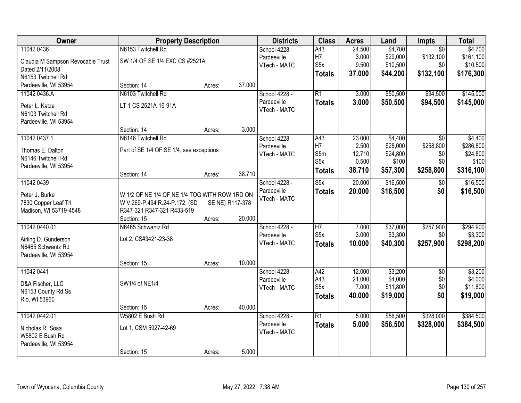| 11042 0436<br>N6153 Twitchell Rd<br>\$4,700<br>School 4228 -<br>A43<br>24.500<br>$\overline{50}$<br>\$4,700<br>H7<br>\$132,100<br>3.000<br>\$29,000<br>\$161,100<br>Pardeeville<br>SW 1/4 OF SE 1/4 EXC CS #2521A<br>Claudia M Sampson Revocable Trust<br>S <sub>5</sub> x<br>9.500<br>\$10,500<br>\$0<br>\$10,500<br>VTech - MATC<br>Dated 2/11/2008<br>\$132,100<br>37.000<br>\$44,200<br>\$176,300<br><b>Totals</b><br>N6153 Twitchell Rd<br>Pardeeville, WI 53954<br>Section: 14<br>37.000<br>Acres:<br>N6103 Twitchell Rd<br>$\overline{R1}$<br>\$50,500<br>\$94,500<br>11042 0436.A<br>School 4228 -<br>3.000<br>Pardeeville<br>3.000<br>\$50,500<br>\$94,500<br><b>Totals</b><br>LT 1 CS 2521A-16-91A<br>Peter L. Katze<br>VTech - MATC<br>N6103 Twitchell Rd<br>Pardeeville, WI 53954<br>3.000<br>Section: 14<br>Acres:<br>11042 0437.1<br>N6146 Twitchell Rd<br>School 4228 -<br>A43<br>23.000<br>\$4,400<br>\$0<br>H7<br>\$28,000<br>\$258,800<br>2.500<br>Pardeeville<br>Part of SE 1/4 OF SE 1/4, see exceptions<br>Thomas E. Dalton<br>S5m<br>\$24,800<br>12.710<br>\$0<br>VTech - MATC<br>N6146 Twitchell Rd | Owner | <b>Property Description</b> |  | <b>Districts</b> | <b>Class</b> | <b>Acres</b> | Land  | Impts | <b>Total</b> |
|----------------------------------------------------------------------------------------------------------------------------------------------------------------------------------------------------------------------------------------------------------------------------------------------------------------------------------------------------------------------------------------------------------------------------------------------------------------------------------------------------------------------------------------------------------------------------------------------------------------------------------------------------------------------------------------------------------------------------------------------------------------------------------------------------------------------------------------------------------------------------------------------------------------------------------------------------------------------------------------------------------------------------------------------------------------------------------------------------------------------------|-------|-----------------------------|--|------------------|--------------|--------------|-------|-------|--------------|
|                                                                                                                                                                                                                                                                                                                                                                                                                                                                                                                                                                                                                                                                                                                                                                                                                                                                                                                                                                                                                                                                                                                            |       |                             |  |                  |              |              |       |       |              |
|                                                                                                                                                                                                                                                                                                                                                                                                                                                                                                                                                                                                                                                                                                                                                                                                                                                                                                                                                                                                                                                                                                                            |       |                             |  |                  |              |              |       |       |              |
| \$145,000<br>\$145,000                                                                                                                                                                                                                                                                                                                                                                                                                                                                                                                                                                                                                                                                                                                                                                                                                                                                                                                                                                                                                                                                                                     |       |                             |  |                  |              |              |       |       |              |
|                                                                                                                                                                                                                                                                                                                                                                                                                                                                                                                                                                                                                                                                                                                                                                                                                                                                                                                                                                                                                                                                                                                            |       |                             |  |                  |              |              |       |       |              |
|                                                                                                                                                                                                                                                                                                                                                                                                                                                                                                                                                                                                                                                                                                                                                                                                                                                                                                                                                                                                                                                                                                                            |       |                             |  |                  |              |              |       |       |              |
|                                                                                                                                                                                                                                                                                                                                                                                                                                                                                                                                                                                                                                                                                                                                                                                                                                                                                                                                                                                                                                                                                                                            |       |                             |  |                  |              |              |       |       |              |
|                                                                                                                                                                                                                                                                                                                                                                                                                                                                                                                                                                                                                                                                                                                                                                                                                                                                                                                                                                                                                                                                                                                            |       |                             |  |                  |              |              |       |       |              |
| \$4,400<br>\$286,800<br>\$24,800                                                                                                                                                                                                                                                                                                                                                                                                                                                                                                                                                                                                                                                                                                                                                                                                                                                                                                                                                                                                                                                                                           |       |                             |  |                  |              |              |       |       |              |
|                                                                                                                                                                                                                                                                                                                                                                                                                                                                                                                                                                                                                                                                                                                                                                                                                                                                                                                                                                                                                                                                                                                            |       |                             |  |                  |              |              |       |       |              |
|                                                                                                                                                                                                                                                                                                                                                                                                                                                                                                                                                                                                                                                                                                                                                                                                                                                                                                                                                                                                                                                                                                                            |       |                             |  |                  |              |              |       |       |              |
|                                                                                                                                                                                                                                                                                                                                                                                                                                                                                                                                                                                                                                                                                                                                                                                                                                                                                                                                                                                                                                                                                                                            |       |                             |  |                  |              |              |       |       |              |
|                                                                                                                                                                                                                                                                                                                                                                                                                                                                                                                                                                                                                                                                                                                                                                                                                                                                                                                                                                                                                                                                                                                            |       |                             |  |                  |              |              |       |       |              |
|                                                                                                                                                                                                                                                                                                                                                                                                                                                                                                                                                                                                                                                                                                                                                                                                                                                                                                                                                                                                                                                                                                                            |       |                             |  |                  |              |              |       |       |              |
|                                                                                                                                                                                                                                                                                                                                                                                                                                                                                                                                                                                                                                                                                                                                                                                                                                                                                                                                                                                                                                                                                                                            |       |                             |  |                  | S5x          | 0.500        | \$100 | \$0   | \$100        |
| Pardeeville, WI 53954<br>\$258,800                                                                                                                                                                                                                                                                                                                                                                                                                                                                                                                                                                                                                                                                                                                                                                                                                                                                                                                                                                                                                                                                                         |       |                             |  |                  |              |              |       |       |              |
| 38.710<br>\$57,300<br>\$316,100<br><b>Totals</b><br>38.710<br>Section: 14<br>Acres:                                                                                                                                                                                                                                                                                                                                                                                                                                                                                                                                                                                                                                                                                                                                                                                                                                                                                                                                                                                                                                        |       |                             |  |                  |              |              |       |       |              |
| 11042 0439<br>20.000<br>\$16,500<br>\$16,500<br>School 4228 -<br>S5x<br>$\sqrt[6]{}$                                                                                                                                                                                                                                                                                                                                                                                                                                                                                                                                                                                                                                                                                                                                                                                                                                                                                                                                                                                                                                       |       |                             |  |                  |              |              |       |       |              |
| Pardeeville<br>\$0<br>20.000<br>\$16,500<br>\$16,500<br><b>Totals</b><br>Peter J. Burke<br>W 1/2 OF NE 1/4 OF NE 1/4 TOG WITH ROW 1RD ON                                                                                                                                                                                                                                                                                                                                                                                                                                                                                                                                                                                                                                                                                                                                                                                                                                                                                                                                                                                   |       |                             |  |                  |              |              |       |       |              |
| VTech - MATC<br>7830 Copper Leaf Trl<br>W V.269-P.494 R.24-P.172; (SD<br>SE NE) R117-378                                                                                                                                                                                                                                                                                                                                                                                                                                                                                                                                                                                                                                                                                                                                                                                                                                                                                                                                                                                                                                   |       |                             |  |                  |              |              |       |       |              |
| Madison, WI 53719-4548<br>R347-321 R347-321 R433-519                                                                                                                                                                                                                                                                                                                                                                                                                                                                                                                                                                                                                                                                                                                                                                                                                                                                                                                                                                                                                                                                       |       |                             |  |                  |              |              |       |       |              |
| 20.000<br>Section: 15<br>Acres:                                                                                                                                                                                                                                                                                                                                                                                                                                                                                                                                                                                                                                                                                                                                                                                                                                                                                                                                                                                                                                                                                            |       |                             |  |                  |              |              |       |       |              |
| \$294,900<br>11042 0440.01<br>N6465 Schwantz Rd<br>$\overline{H7}$<br>7.000<br>\$37,000<br>\$257,900<br>School 4228 -                                                                                                                                                                                                                                                                                                                                                                                                                                                                                                                                                                                                                                                                                                                                                                                                                                                                                                                                                                                                      |       |                             |  |                  |              |              |       |       |              |
| S <sub>5</sub> x<br>3.000<br>\$3,300<br>\$0<br>\$3,300<br>Pardeeville                                                                                                                                                                                                                                                                                                                                                                                                                                                                                                                                                                                                                                                                                                                                                                                                                                                                                                                                                                                                                                                      |       |                             |  |                  |              |              |       |       |              |
| Lot 2, CS#3421-23-38<br>Airling D. Gunderson<br>\$257,900<br>\$298,200<br>VTech - MATC<br>10.000<br>\$40,300<br><b>Totals</b>                                                                                                                                                                                                                                                                                                                                                                                                                                                                                                                                                                                                                                                                                                                                                                                                                                                                                                                                                                                              |       |                             |  |                  |              |              |       |       |              |
| N6465 Schwantz Rd                                                                                                                                                                                                                                                                                                                                                                                                                                                                                                                                                                                                                                                                                                                                                                                                                                                                                                                                                                                                                                                                                                          |       |                             |  |                  |              |              |       |       |              |
| Pardeeville, WI 53954                                                                                                                                                                                                                                                                                                                                                                                                                                                                                                                                                                                                                                                                                                                                                                                                                                                                                                                                                                                                                                                                                                      |       |                             |  |                  |              |              |       |       |              |
| 10.000<br>Section: 15<br>Acres:                                                                                                                                                                                                                                                                                                                                                                                                                                                                                                                                                                                                                                                                                                                                                                                                                                                                                                                                                                                                                                                                                            |       |                             |  |                  |              |              |       |       |              |
| 11042 0441<br>12.000<br>\$3,200<br>\$3,200<br>School 4228 -<br>A42<br>$\overline{50}$                                                                                                                                                                                                                                                                                                                                                                                                                                                                                                                                                                                                                                                                                                                                                                                                                                                                                                                                                                                                                                      |       |                             |  |                  |              |              |       |       |              |
| A43<br>\$4,000<br>\$0<br>\$4,000<br>21.000<br>Pardeeville<br>SW1/4 of NE1/4<br>D&A Fischer, LLC                                                                                                                                                                                                                                                                                                                                                                                                                                                                                                                                                                                                                                                                                                                                                                                                                                                                                                                                                                                                                            |       |                             |  |                  |              |              |       |       |              |
| S <sub>5</sub> x<br>\$11,800<br>\$0<br>\$11,800<br>7.000<br>VTech - MATC<br>N6153 County Rd Ss                                                                                                                                                                                                                                                                                                                                                                                                                                                                                                                                                                                                                                                                                                                                                                                                                                                                                                                                                                                                                             |       |                             |  |                  |              |              |       |       |              |
| \$19,000<br>\$0<br>\$19,000<br>40.000<br><b>Totals</b><br>Rio, WI 53960                                                                                                                                                                                                                                                                                                                                                                                                                                                                                                                                                                                                                                                                                                                                                                                                                                                                                                                                                                                                                                                    |       |                             |  |                  |              |              |       |       |              |
| 40.000<br>Section: 15<br>Acres:                                                                                                                                                                                                                                                                                                                                                                                                                                                                                                                                                                                                                                                                                                                                                                                                                                                                                                                                                                                                                                                                                            |       |                             |  |                  |              |              |       |       |              |
| 11042 0442.01<br>W5802 E Bush Rd<br>$\overline{R1}$<br>\$56,500<br>\$328,000<br>\$384,500<br>School 4228 -<br>5.000                                                                                                                                                                                                                                                                                                                                                                                                                                                                                                                                                                                                                                                                                                                                                                                                                                                                                                                                                                                                        |       |                             |  |                  |              |              |       |       |              |
| Pardeeville<br>5.000<br>\$328,000<br>\$56,500<br>\$384,500<br><b>Totals</b><br>Lot 1, CSM 5927-42-69<br>Nicholas R. Sosa                                                                                                                                                                                                                                                                                                                                                                                                                                                                                                                                                                                                                                                                                                                                                                                                                                                                                                                                                                                                   |       |                             |  |                  |              |              |       |       |              |
| VTech - MATC<br>W5802 E Bush Rd                                                                                                                                                                                                                                                                                                                                                                                                                                                                                                                                                                                                                                                                                                                                                                                                                                                                                                                                                                                                                                                                                            |       |                             |  |                  |              |              |       |       |              |
| Pardeeville, WI 53954                                                                                                                                                                                                                                                                                                                                                                                                                                                                                                                                                                                                                                                                                                                                                                                                                                                                                                                                                                                                                                                                                                      |       |                             |  |                  |              |              |       |       |              |
| 5.000<br>Section: 15<br>Acres:                                                                                                                                                                                                                                                                                                                                                                                                                                                                                                                                                                                                                                                                                                                                                                                                                                                                                                                                                                                                                                                                                             |       |                             |  |                  |              |              |       |       |              |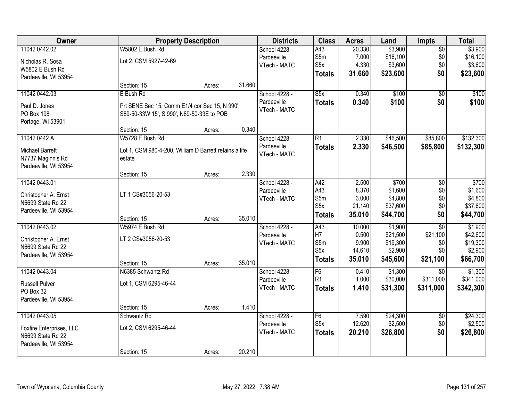| Owner                    |                                                        | <b>Property Description</b> |        | <b>Districts</b> | <b>Class</b>     | <b>Acres</b> | Land     | Impts           | <b>Total</b> |
|--------------------------|--------------------------------------------------------|-----------------------------|--------|------------------|------------------|--------------|----------|-----------------|--------------|
| 11042 0442.02            | W5802 E Bush Rd                                        |                             |        | School 4228 -    | A43              | 20.330       | \$3,900  | $\overline{50}$ | \$3,900      |
| Nicholas R. Sosa         | Lot 2, CSM 5927-42-69                                  |                             |        | Pardeeville      | S5m              | 7.000        | \$16,100 | \$0             | \$16,100     |
| W5802 E Bush Rd          |                                                        |                             |        | VTech - MATC     | S <sub>5</sub> x | 4.330        | \$3,600  | \$0             | \$3,600      |
| Pardeeville, WI 53954    |                                                        |                             |        |                  | <b>Totals</b>    | 31.660       | \$23,600 | \$0             | \$23,600     |
|                          | Section: 15                                            | Acres:                      | 31.660 |                  |                  |              |          |                 |              |
| 11042 0442.03            | E Bush Rd                                              |                             |        | School 4228 -    | S5x              | 0.340        | \$100    | $\overline{50}$ | \$100        |
| Paul D. Jones            | Prt SENE Sec 15, Comm E1/4 cor Sec 15, N 990',         |                             |        | Pardeeville      | <b>Totals</b>    | 0.340        | \$100    | \$0             | \$100        |
| <b>PO Box 198</b>        | S89-50-33W 15', S 990', N89-50-33E to POB              |                             |        | VTech - MATC     |                  |              |          |                 |              |
| Portage, WI 53901        |                                                        |                             |        |                  |                  |              |          |                 |              |
|                          | Section: 15                                            | Acres:                      | 0.340  |                  |                  |              |          |                 |              |
| 11042 0442.A             | W5728 E Bush Rd                                        |                             |        | School 4228 -    | $\overline{R1}$  | 2.330        | \$46,500 | \$85,800        | \$132,300    |
| <b>Michael Barrett</b>   | Lot 1, CSM 980-4-200, William D Barrett retains a life |                             |        | Pardeeville      | <b>Totals</b>    | 2.330        | \$46,500 | \$85,800        | \$132,300    |
| N7737 Maginnis Rd        | estate                                                 |                             |        | VTech - MATC     |                  |              |          |                 |              |
| Pardeeville, WI 53954    |                                                        |                             |        |                  |                  |              |          |                 |              |
|                          | Section: 15                                            | Acres:                      | 2.330  |                  |                  |              |          |                 |              |
| 11042 0443.01            |                                                        |                             |        | School 4228 -    | A42              | 2.500        | \$700    | \$0             | \$700        |
| Christopher A. Ernst     | LT 1 CS#3056-20-53                                     |                             |        | Pardeeville      | A43              | 8.370        | \$1,600  | \$0             | \$1,600      |
| N6699 State Rd 22        |                                                        |                             |        | VTech - MATC     | S5m              | 3.000        | \$4,800  | \$0             | \$4,800      |
| Pardeeville, WI 53954    |                                                        |                             |        |                  | S <sub>5</sub> x | 21.140       | \$37,600 | \$0             | \$37,600     |
|                          | Section: 15                                            | Acres:                      | 35.010 |                  | <b>Totals</b>    | 35.010       | \$44,700 | \$0             | \$44,700     |
| 11042 0443.02            | W5974 E Bush Rd                                        |                             |        | School 4228 -    | A43              | 10.000       | \$1,900  | $\overline{30}$ | \$1,900      |
| Christopher A. Ernst     | LT 2 CS#3056-20-53                                     |                             |        | Pardeeville      | H7               | 0.500        | \$21,500 | \$21,100        | \$42,600     |
| N6699 State Rd 22        |                                                        |                             |        | VTech - MATC     | S5m              | 9.900        | \$19,300 | \$0             | \$19,300     |
| Pardeeville, WI 53954    |                                                        |                             |        |                  | S <sub>5</sub> x | 14.610       | \$2,900  | \$0             | \$2,900      |
|                          | Section: 15                                            | Acres:                      | 35.010 |                  | <b>Totals</b>    | 35.010       | \$45,600 | \$21,100        | \$66,700     |
| 11042 0443.04            | N6385 Schwantz Rd                                      |                             |        | School 4228 -    | F6               | 0.410        | \$1,300  | $\overline{50}$ | \$1,300      |
| <b>Russell Pulver</b>    | Lot 1, CSM 6295-46-44                                  |                             |        | Pardeeville      | R <sub>1</sub>   | 1.000        | \$30,000 | \$311,000       | \$341,000    |
| PO Box 32                |                                                        |                             |        | VTech - MATC     | <b>Totals</b>    | 1.410        | \$31,300 | \$311,000       | \$342,300    |
| Pardeeville, WI 53954    |                                                        |                             |        |                  |                  |              |          |                 |              |
|                          | Section: 15                                            | Acres:                      | 1.410  |                  |                  |              |          |                 |              |
| 11042 0443.05            | Schwantz Rd                                            |                             |        | School 4228 -    | F6               | 7.590        | \$24,300 | $\overline{50}$ | \$24,300     |
| Foxfire Enterprises, LLC | Lot 2, CSM 6295-46-44                                  |                             |        | Pardeeville      | S <sub>5</sub> x | 12.620       | \$2,500  | \$0             | \$2,500      |
| N6699 State Rd 22        |                                                        |                             |        | VTech - MATC     | <b>Totals</b>    | 20.210       | \$26,800 | \$0             | \$26,800     |
| Pardeeville, WI 53954    |                                                        |                             |        |                  |                  |              |          |                 |              |
|                          | Section: 15                                            | Acres:                      | 20.210 |                  |                  |              |          |                 |              |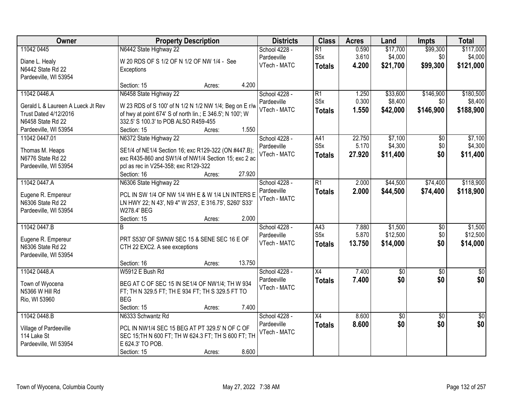| Owner                              | <b>Property Description</b>                               |                  | <b>Districts</b> | <b>Class</b>     | <b>Acres</b> | Land           | <b>Impts</b>    | <b>Total</b>    |
|------------------------------------|-----------------------------------------------------------|------------------|------------------|------------------|--------------|----------------|-----------------|-----------------|
| 11042 0445                         | N6442 State Highway 22                                    |                  | School 4228 -    | $\overline{R1}$  | 0.590        | \$17,700       | \$99,300        | \$117,000       |
| Diane L. Healy                     | W 20 RDS OF S 1/2 OF N 1/2 OF NW 1/4 - See                |                  | Pardeeville      | S <sub>5</sub> x | 3.610        | \$4,000        | \$0             | \$4,000         |
| N6442 State Rd 22                  | Exceptions                                                |                  | VTech - MATC     | <b>Totals</b>    | 4.200        | \$21,700       | \$99,300        | \$121,000       |
| Pardeeville, WI 53954              |                                                           |                  |                  |                  |              |                |                 |                 |
|                                    | Section: 15                                               | 4.200<br>Acres:  |                  |                  |              |                |                 |                 |
| 11042 0446.A                       | N6458 State Highway 22                                    |                  | School 4228 -    | $\overline{R1}$  | 1.250        | \$33,600       | \$146,900       | \$180,500       |
| Gerald L & Laureen A Lueck Jt Rev  | W 23 RDS of S 100' of N 1/2 N 1/2 NW 1/4; Beg on E r/w    |                  | Pardeeville      | S <sub>5</sub> x | 0.300        | \$8,400        | \$0             | \$8,400         |
| <b>Trust Dated 4/12/2016</b>       | of hwy at point 674' S of north lin.; E 346.5'; N 100'; W |                  | VTech - MATC     | <b>Totals</b>    | 1.550        | \$42,000       | \$146,900       | \$188,900       |
| N6458 State Rd 22                  | 332.5' S 100.3' to POB ALSO R459-455                      |                  |                  |                  |              |                |                 |                 |
| Pardeeville, WI 53954              | Section: 15                                               | 1.550<br>Acres:  |                  |                  |              |                |                 |                 |
| 11042 0447.01                      | N6372 State Highway 22                                    |                  | School 4228 -    | A41              | 22.750       | \$7,100        | $\overline{50}$ | \$7,100         |
|                                    |                                                           |                  | Pardeeville      | S <sub>5</sub> x | 5.170        | \$4,300        | \$0             | \$4,300         |
| Thomas M. Heaps                    | SE1/4 of NE1/4 Section 16; exc R129-322 (ON #447.B);      |                  | VTech - MATC     | <b>Totals</b>    | 27.920       | \$11,400       | \$0             | \$11,400        |
| N6776 State Rd 22                  | exc R435-860 and SW1/4 of NW1/4 Section 15; exc 2 ac      |                  |                  |                  |              |                |                 |                 |
| Pardeeville, WI 53954              | pcl as rec in V254-358; exc R129-322                      |                  |                  |                  |              |                |                 |                 |
|                                    | Section: 16                                               | 27.920<br>Acres: |                  |                  |              |                |                 |                 |
| 11042 0447.A                       | N6306 State Highway 22                                    |                  | School 4228 -    | $\overline{R1}$  | 2.000        | \$44,500       | \$74,400        | \$118,900       |
| Eugene R. Empereur                 | PCL IN SW 1/4 OF NW 1/4 WH E & W 1/4 LN INTERS E          |                  | Pardeeville      | <b>Totals</b>    | 2.000        | \$44,500       | \$74,400        | \$118,900       |
| N6306 State Rd 22                  | LN HWY 22; N 43', N9 4" W 253', E 316.75', S260' S33'     |                  | VTech - MATC     |                  |              |                |                 |                 |
| Pardeeville, WI 53954              | W278.4' BEG                                               |                  |                  |                  |              |                |                 |                 |
|                                    | Section: 15                                               | 2.000<br>Acres:  |                  |                  |              |                |                 |                 |
| 11042 0447.B                       | B                                                         |                  | School 4228 -    | $\overline{A43}$ | 7.880        | \$1,500        | \$0             | \$1,500         |
| Eugene R. Empereur                 | PRT S530' OF SWNW SEC 15 & SENE SEC 16 E OF               |                  | Pardeeville      | S5x              | 5.870        | \$12,500       | \$0             | \$12,500        |
| N6306 State Rd 22                  | CTH 22 EXC2. A see exceptions                             |                  | VTech - MATC     | <b>Totals</b>    | 13.750       | \$14,000       | \$0             | \$14,000        |
| Pardeeville, WI 53954              |                                                           |                  |                  |                  |              |                |                 |                 |
|                                    | Section: 16                                               | 13.750<br>Acres: |                  |                  |              |                |                 |                 |
| 11042 0448.A                       | W5912 E Bush Rd                                           |                  | School 4228 -    | $\overline{X4}$  | 7.400        | $\sqrt[6]{30}$ | $\overline{50}$ | $\frac{1}{6}$   |
|                                    | BEG AT C OF SEC 15 IN SE1/4 OF NW1/4; TH W 934            |                  | Pardeeville      | <b>Totals</b>    | 7.400        | \$0            | \$0             | \$0             |
| Town of Wyocena<br>N5366 W Hill Rd | FT; TH N 329.5 FT; TH E 934 FT; TH S 329.5 FT TO          |                  | VTech - MATC     |                  |              |                |                 |                 |
| Rio, WI 53960                      | <b>BEG</b>                                                |                  |                  |                  |              |                |                 |                 |
|                                    | Section: 15                                               | 7.400<br>Acres:  |                  |                  |              |                |                 |                 |
| 11042 0448.B                       | N6333 Schwantz Rd                                         |                  | School 4228 -    | $\overline{X4}$  | 8.600        | \$0            | $\overline{50}$ | $\overline{50}$ |
|                                    |                                                           |                  | Pardeeville      | <b>Totals</b>    | 8.600        | \$0            | \$0             | \$0             |
| Village of Pardeeville             | PCL IN NW1/4 SEC 15 BEG AT PT 329.5' N OF C OF            |                  | VTech - MATC     |                  |              |                |                 |                 |
| 114 Lake St                        | SEC 15; TH N 600 FT; TH W 624.3 FT; TH S 600 FT; TH       |                  |                  |                  |              |                |                 |                 |
| Pardeeville, WI 53954              | E 624.3' TO POB.                                          |                  |                  |                  |              |                |                 |                 |
|                                    | Section: 15                                               | 8.600<br>Acres:  |                  |                  |              |                |                 |                 |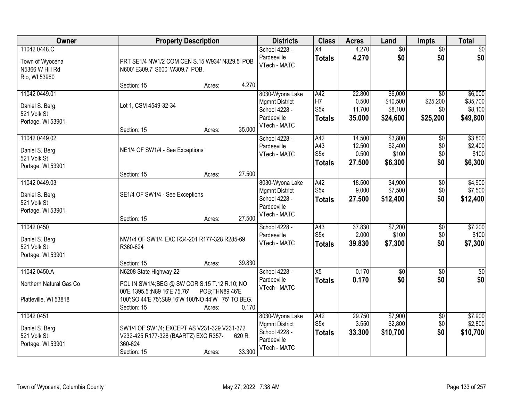| Owner                                                               | <b>Property Description</b>                                                                                                                                                               | <b>Districts</b>                                                                         | <b>Class</b>                                               | <b>Acres</b>                        | Land                                       | <b>Impts</b>                                   | <b>Total</b>                               |
|---------------------------------------------------------------------|-------------------------------------------------------------------------------------------------------------------------------------------------------------------------------------------|------------------------------------------------------------------------------------------|------------------------------------------------------------|-------------------------------------|--------------------------------------------|------------------------------------------------|--------------------------------------------|
| 11042 0448.C<br>Town of Wyocena<br>N5366 W Hill Rd<br>Rio, WI 53960 | PRT SE1/4 NW1/2 COM CEN S.15 W934' N329.5' POB<br>N600' E309.7' S600' W309.7' POB.                                                                                                        | School 4228 -<br>Pardeeville<br>VTech - MATC                                             | X4<br><b>Totals</b>                                        | 4.270<br>4.270                      | $\overline{50}$<br>\$0                     | $\overline{50}$<br>\$0                         | $\sqrt{50}$<br>\$0                         |
|                                                                     | 4.270<br>Section: 15<br>Acres:                                                                                                                                                            |                                                                                          |                                                            |                                     |                                            |                                                |                                            |
| 11042 0449.01<br>Daniel S. Berg<br>521 Volk St<br>Portage, WI 53901 | Lot 1, CSM 4549-32-34<br>35.000<br>Section: 15<br>Acres:                                                                                                                                  | 8030-Wyona Lake<br><b>Mgmnt District</b><br>School 4228 -<br>Pardeeville<br>VTech - MATC | A42<br>H <sub>7</sub><br>S <sub>5</sub> x<br><b>Totals</b> | 22.800<br>0.500<br>11.700<br>35.000 | \$6,000<br>\$10,500<br>\$8,100<br>\$24,600 | $\overline{50}$<br>\$25,200<br>\$0<br>\$25,200 | \$6,000<br>\$35,700<br>\$8,100<br>\$49,800 |
| 11042 0449.02<br>Daniel S. Berg<br>521 Volk St                      | NE1/4 OF SW1/4 - See Exceptions                                                                                                                                                           | School 4228 -<br>Pardeeville<br>VTech - MATC                                             | A42<br>A43<br>S <sub>5</sub> x<br><b>Totals</b>            | 14.500<br>12.500<br>0.500<br>27.500 | \$3,800<br>\$2,400<br>\$100<br>\$6,300     | \$0<br>\$0<br>\$0<br>\$0                       | \$3,800<br>\$2,400<br>\$100<br>\$6,300     |
| Portage, WI 53901                                                   | 27.500<br>Section: 15<br>Acres:                                                                                                                                                           |                                                                                          |                                                            |                                     |                                            |                                                |                                            |
| 11042 0449.03<br>Daniel S. Berg<br>521 Volk St<br>Portage, WI 53901 | SE1/4 OF SW1/4 - See Exceptions                                                                                                                                                           | 8030-Wyona Lake<br><b>Mgmnt District</b><br>School 4228 -<br>Pardeeville<br>VTech - MATC | A42<br>S5x<br><b>Totals</b>                                | 18.500<br>9.000<br>27.500           | \$4,900<br>\$7,500<br>\$12,400             | \$0<br>\$0<br>\$0                              | \$4,900<br>\$7,500<br>\$12,400             |
| 11042 0450<br>Daniel S. Berg<br>521 Volk St<br>Portage, WI 53901    | 27,500<br>Section: 15<br>Acres:<br>NW1/4 OF SW1/4 EXC R34-201 R177-328 R285-69<br>R360-624                                                                                                | School 4228 -<br>Pardeeville<br>VTech - MATC                                             | A43<br>S5x<br><b>Totals</b>                                | 37.830<br>2.000<br>39.830           | \$7,200<br>\$100<br>\$7,300                | $\overline{50}$<br>\$0<br>\$0                  | \$7,200<br>\$100<br>\$7,300                |
| 11042 0450.A                                                        | 39.830<br>Section: 15<br>Acres:<br>N6208 State Highway 22                                                                                                                                 | School 4228 -                                                                            | X5                                                         | 0.170                               | $\overline{50}$                            | $\sqrt{$0}$                                    | $\overline{30}$                            |
| Northern Natural Gas Co<br>Platteville, WI 53818                    | PCL IN SW1/4; BEG @ SW COR S.15 T.12 R.10; NO<br>00'E 1395.5'; N89 16'E 75.76'<br>POB;THN89 46'E<br>100'; SO 44'E 75'; S89 16'W 100'NO 44'W 75' TO BEG.<br>0.170<br>Section: 15<br>Acres: | Pardeeville<br>VTech - MATC                                                              | <b>Totals</b>                                              | 0.170                               | \$0                                        | \$0                                            | \$0                                        |
| 11042 0451<br>Daniel S. Berg<br>521 Volk St<br>Portage, WI 53901    | SW1/4 OF SW1/4; EXCEPT AS V231-329 V231-372<br>V232-425 R177-328 (BAARTZ) EXC R357-<br>620 R<br>360-624<br>33.300<br>Section: 15<br>Acres:                                                | 8030-Wyona Lake<br><b>Mgmnt District</b><br>School 4228 -<br>Pardeeville<br>VTech - MATC | A42<br>S5x<br><b>Totals</b>                                | 29.750<br>3.550<br>33.300           | \$7,900<br>\$2,800<br>\$10,700             | $\overline{60}$<br>\$0<br>\$0                  | \$7,900<br>\$2,800<br>\$10,700             |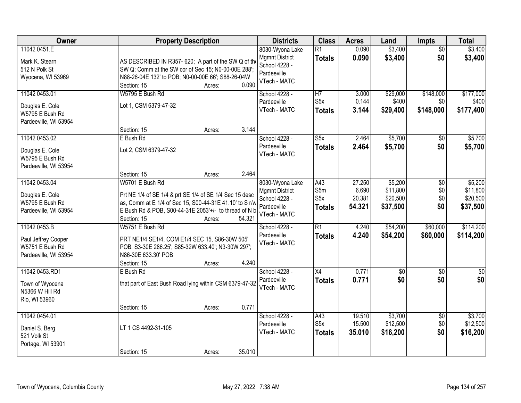| Owner                                                                           | <b>Property Description</b>                                                                                                                                                                                                       | <b>Districts</b>                                                                         | <b>Class</b>                                    | <b>Acres</b>                        | Land                                        | Impts                         | <b>Total</b>                                |
|---------------------------------------------------------------------------------|-----------------------------------------------------------------------------------------------------------------------------------------------------------------------------------------------------------------------------------|------------------------------------------------------------------------------------------|-------------------------------------------------|-------------------------------------|---------------------------------------------|-------------------------------|---------------------------------------------|
| 11042 0451.E<br>Mark K. Stearn<br>512 N Polk St<br>Wyocena, WI 53969            | AS DESCRIBED IN R357- 620; A part of the SW Q of th<br>SW Q; Comm at the SW cor of Sec 15; N0-00-00E 288';<br>N88-26-04E 132' to POB; N0-00-00E 66'; S88-26-04W<br>0.090<br>Section: 15<br>Acres:                                 | 8030-Wyona Lake<br><b>Mgmnt District</b><br>School 4228 -<br>Pardeeville<br>VTech - MATC | $\overline{R1}$<br><b>Totals</b>                | 0.090<br>0.090                      | \$3,400<br>\$3,400                          | $\overline{50}$<br>\$0        | \$3,400<br>\$3,400                          |
| 11042 0453.01<br>Douglas E. Cole<br>W5795 E Bush Rd<br>Pardeeville, WI 53954    | W5795 E Bush Rd<br>Lot 1, CSM 6379-47-32<br>3.144<br>Section: 15<br>Acres:                                                                                                                                                        | School 4228 -<br>Pardeeville<br>VTech - MATC                                             | $\overline{H7}$<br>S5x<br><b>Totals</b>         | 3.000<br>0.144<br>3.144             | \$29,000<br>\$400<br>\$29,400               | \$148,000<br>\$0<br>\$148,000 | \$177,000<br>\$400<br>\$177,400             |
| 11042 0453.02<br>Douglas E. Cole<br>W5795 E Bush Rd<br>Pardeeville, WI 53954    | E Bush Rd<br>Lot 2, CSM 6379-47-32<br>2.464<br>Section: 15<br>Acres:                                                                                                                                                              | School 4228 -<br>Pardeeville<br>VTech - MATC                                             | S5x<br><b>Totals</b>                            | 2.464<br>2.464                      | \$5,700<br>\$5,700                          | $\overline{50}$<br>\$0        | \$5,700<br>\$5,700                          |
| 11042 0453.04<br>Douglas E. Cole<br>W5795 E Bush Rd<br>Pardeeville, WI 53954    | W5701 E Bush Rd<br>Prt NE 1/4 of SE 1/4 & prt SE 1/4 of SE 1/4 Sec 15 desc<br>as, Comm at E 1/4 of Sec 15, S00-44-31E 41.10' to S r/w<br>E Bush Rd & POB, S00-44-31E 2053'+/- to thread of N b<br>54.321<br>Section: 15<br>Acres: | 8030-Wyona Lake<br><b>Mgmnt District</b><br>School 4228 -<br>Pardeeville<br>VTech - MATC | A43<br>S5m<br>S <sub>5</sub> x<br><b>Totals</b> | 27.250<br>6.690<br>20.381<br>54.321 | \$5,200<br>\$11,800<br>\$20,500<br>\$37,500 | \$0<br>\$0<br>\$0<br>\$0      | \$5,200<br>\$11,800<br>\$20,500<br>\$37,500 |
| 11042 0453.B<br>Paul Jeffrey Cooper<br>W5751 E Bush Rd<br>Pardeeville, WI 53954 | W5751 E Bush Rd<br>PRT NE1/4 SE1/4, COM E1/4 SEC 15, S86-30W 505'<br>POB. S3-30E 286.25'; S85-32W 633.40'; N3-30W 297';<br>N86-30E 633.30' POB<br>4.240<br>Section: 15<br>Acres:                                                  | School 4228 -<br>Pardeeville<br>VTech - MATC                                             | $\overline{R1}$<br><b>Totals</b>                | 4.240<br>4.240                      | \$54,200<br>\$54,200                        | \$60,000<br>\$60,000          | \$114,200<br>\$114,200                      |
| 11042 0453.RD1<br>Town of Wyocena<br>N5366 W Hill Rd<br>Rio, WI 53960           | E Bush Rd<br>that part of East Bush Road lying within CSM 6379-47-32<br>0.771<br>Section: 15<br>Acres:                                                                                                                            | School 4228 -<br>Pardeeville<br>VTech - MATC                                             | X4<br><b>Totals</b>                             | 0.771<br>0.771                      | $\sqrt{30}$<br>\$0                          | $\overline{50}$<br>\$0        | $\frac{6}{3}$<br>\$0                        |
| 11042 0454.01<br>Daniel S. Berg<br>521 Volk St<br>Portage, WI 53901             | LT 1 CS 4492-31-105<br>35.010<br>Section: 15<br>Acres:                                                                                                                                                                            | School 4228 -<br>Pardeeville<br>VTech - MATC                                             | A43<br>S <sub>5</sub> x<br><b>Totals</b>        | 19.510<br>15.500<br>35.010          | \$3,700<br>\$12,500<br>\$16,200             | $\overline{50}$<br>\$0<br>\$0 | \$3,700<br>\$12,500<br>\$16,200             |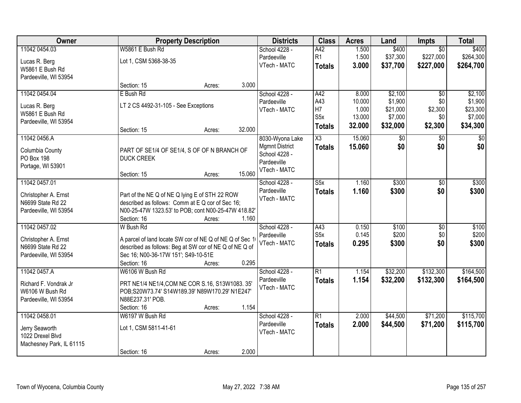| Owner                                                                               |                                                                                                                                                                                      | <b>Property Description</b> |        | <b>Districts</b>                                                                         | <b>Class</b>                                          | <b>Acres</b>                                 | Land                                                  | Impts                                   | <b>Total</b>                                          |
|-------------------------------------------------------------------------------------|--------------------------------------------------------------------------------------------------------------------------------------------------------------------------------------|-----------------------------|--------|------------------------------------------------------------------------------------------|-------------------------------------------------------|----------------------------------------------|-------------------------------------------------------|-----------------------------------------|-------------------------------------------------------|
| 11042 0454.03                                                                       | W5861 E Bush Rd                                                                                                                                                                      |                             |        | School 4228 -                                                                            | A42                                                   | 1.500                                        | \$400                                                 | $\overline{50}$                         | \$400                                                 |
| Lucas R. Berg<br>W5861 E Bush Rd<br>Pardeeville, WI 53954                           | Lot 1, CSM 5368-38-35                                                                                                                                                                |                             |        | Pardeeville<br>VTech - MATC                                                              | R <sub>1</sub><br><b>Totals</b>                       | 1.500<br>3.000                               | \$37,300<br>\$37,700                                  | \$227,000<br>\$227,000                  | \$264,300<br>\$264,700                                |
|                                                                                     | Section: 15                                                                                                                                                                          | Acres:                      | 3.000  |                                                                                          |                                                       |                                              |                                                       |                                         |                                                       |
| 11042 0454.04<br>Lucas R. Berg<br>W5861 E Bush Rd<br>Pardeeville, WI 53954          | E Bush Rd<br>LT 2 CS 4492-31-105 - See Exceptions<br>Section: 15                                                                                                                     | Acres:                      | 32.000 | School 4228 -<br>Pardeeville<br>VTech - MATC                                             | A42<br>A43<br>H7<br>S <sub>5</sub> x<br><b>Totals</b> | 8.000<br>10.000<br>1.000<br>13.000<br>32.000 | \$2,100<br>\$1,900<br>\$21,000<br>\$7,000<br>\$32,000 | \$0<br>\$0<br>\$2,300<br>\$0<br>\$2,300 | \$2,100<br>\$1,900<br>\$23,300<br>\$7,000<br>\$34,300 |
| 11042 0456.A<br>Columbia County<br>PO Box 198<br>Portage, WI 53901                  | PART OF SE1/4 OF SE1/4, S OF OF N BRANCH OF<br><b>DUCK CREEK</b><br>Section: 15                                                                                                      | Acres:                      | 15.060 | 8030-Wyona Lake<br><b>Mgmnt District</b><br>School 4228 -<br>Pardeeville<br>VTech - MATC | $\overline{\text{X3}}$<br><b>Totals</b>               | 15.060<br>15.060                             | $\sqrt[6]{}$<br>\$0                                   | \$0<br>\$0                              | \$0<br>\$0                                            |
| 11042 0457.01<br>Christopher A. Ernst<br>N6699 State Rd 22<br>Pardeeville, WI 53954 | Part of the NE Q of NE Q lying E of STH 22 ROW<br>described as follows: Comm at E Q cor of Sec 16;<br>N00-25-47W 1323.53' to POB; cont N00-25-47W 418.82'<br>Section: 16             | Acres:                      | 1.160  | School 4228 -<br>Pardeeville<br>VTech - MATC                                             | S5x<br><b>Totals</b>                                  | 1.160<br>1.160                               | \$300<br>\$300                                        | \$0<br>\$0                              | \$300<br>\$300                                        |
| 11042 0457.02<br>Christopher A. Ernst<br>N6699 State Rd 22<br>Pardeeville, WI 53954 | W Bush Rd<br>A parcel of land locate SW cor of NE Q of NE Q of Sec 1<br>described as follows: Beg at SW cor of NE Q of NE Q of<br>Sec 16; N00-36-17W 151'; S49-10-51E<br>Section: 16 | Acres:                      | 0.295  | School 4228 -<br>Pardeeville<br>VTech - MATC                                             | A43<br>S <sub>5</sub> x<br><b>Totals</b>              | 0.150<br>0.145<br>0.295                      | \$100<br>\$200<br>\$300                               | $\overline{50}$<br>\$0<br>\$0           | \$100<br>\$200<br>\$300                               |
| 11042 0457.A<br>Richard F. Vondrak Jr<br>W6106 W Bush Rd<br>Pardeeville, WI 53954   | W6106 W Bush Rd<br>PRT NE1/4 NE1/4, COM NE COR S.16, S13W1083. 35'<br>POB;S20W73.74' S14W189.39' N89W170.29' N1E247'<br>N88E237.31' POB.<br>Section: 16                              | Acres:                      | 1.154  | School 4228 -<br>Pardeeville<br>VTech - MATC                                             | $\overline{R1}$<br><b>Totals</b>                      | 1.154<br>1.154                               | \$32,200<br>\$32,200                                  | \$132,300<br>\$132,300                  | \$164,500<br>\$164,500                                |
| 11042 0458.01<br>Jerry Seaworth<br>1022 Drexel Blvd<br>Machesney Park, IL 61115     | W6197 W Bush Rd<br>Lot 1, CSM 5811-41-61<br>Section: 16                                                                                                                              | Acres:                      | 2.000  | School 4228 -<br>Pardeeville<br>VTech - MATC                                             | $\overline{R1}$<br><b>Totals</b>                      | 2.000<br>2.000                               | \$44,500<br>\$44,500                                  | \$71,200<br>\$71,200                    | \$115,700<br>\$115,700                                |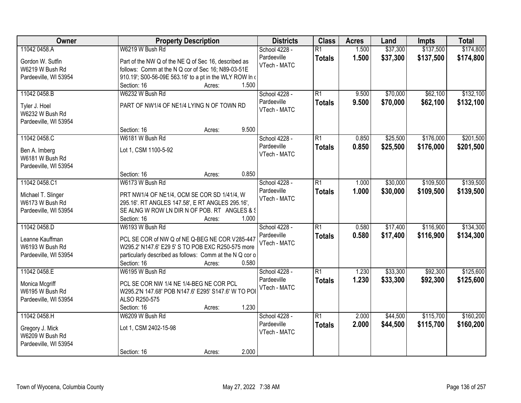| Owner                                 | <b>Property Description</b>                              | <b>Districts</b> | <b>Class</b>    | <b>Acres</b> | Land     | Impts     | <b>Total</b> |
|---------------------------------------|----------------------------------------------------------|------------------|-----------------|--------------|----------|-----------|--------------|
| 11042 0458.A                          | W6219 W Bush Rd                                          | School 4228 -    | $\overline{R1}$ | 1.500        | \$37,300 | \$137,500 | \$174,800    |
| Gordon W. Sutfin                      | Part of the NW Q of the NE Q of Sec 16, described as     | Pardeeville      | <b>Totals</b>   | 1.500        | \$37,300 | \$137,500 | \$174,800    |
| W6219 W Bush Rd                       | follows: Comm at the N Q cor of Sec 16; N89-03-51E       | VTech - MATC     |                 |              |          |           |              |
| Pardeeville, WI 53954                 | 910.19'; S00-56-09E 563.16' to a pt in the WLY ROW In a  |                  |                 |              |          |           |              |
|                                       | 1.500<br>Section: 16<br>Acres:                           |                  |                 |              |          |           |              |
| 11042 0458.B                          | W6232 W Bush Rd                                          | School 4228 -    | $\overline{R1}$ | 9.500        | \$70,000 | \$62,100  | \$132,100    |
|                                       |                                                          | Pardeeville      | <b>Totals</b>   | 9.500        | \$70,000 | \$62,100  | \$132,100    |
| Tyler J. Hoel                         | PART OF NW1/4 OF NE1/4 LYING N OF TOWN RD                | VTech - MATC     |                 |              |          |           |              |
| W6232 W Bush Rd                       |                                                          |                  |                 |              |          |           |              |
| Pardeeville, WI 53954                 |                                                          |                  |                 |              |          |           |              |
|                                       | 9.500<br>Section: 16<br>Acres:                           |                  |                 |              |          |           |              |
| 11042 0458.C                          | W6181 W Bush Rd                                          | School 4228 -    | $\overline{R1}$ | 0.850        | \$25,500 | \$176,000 | \$201,500    |
| Ben A. Imberg                         | Lot 1, CSM 1100-5-92                                     | Pardeeville      | <b>Totals</b>   | 0.850        | \$25,500 | \$176,000 | \$201,500    |
| W6181 W Bush Rd                       |                                                          | VTech - MATC     |                 |              |          |           |              |
| Pardeeville, WI 53954                 |                                                          |                  |                 |              |          |           |              |
|                                       | 0.850<br>Section: 16<br>Acres:                           |                  |                 |              |          |           |              |
| 11042 0458.C1                         | W6173 W Bush Rd                                          | School 4228 -    | $\overline{R1}$ | 1.000        | \$30,000 | \$109,500 | \$139,500    |
|                                       | PRT NW1/4 OF NE1/4, OCM SE COR SD 1/41/4, W              | Pardeeville      | <b>Totals</b>   | 1.000        | \$30,000 | \$109,500 | \$139,500    |
| Michael T. Slinger<br>W6173 W Bush Rd | 295.16'. RT ANGLES 147.58', E RT ANGLES 295.16',         | VTech - MATC     |                 |              |          |           |              |
| Pardeeville, WI 53954                 | SE ALNG W ROW LN DIR N OF POB. RT ANGLES & \$            |                  |                 |              |          |           |              |
|                                       | Section: 16<br>1.000<br>Acres:                           |                  |                 |              |          |           |              |
| 11042 0458.D                          | W6193 W Bush Rd                                          | School 4228 -    | $\overline{R1}$ | 0.580        | \$17,400 | \$116,900 | \$134,300    |
|                                       |                                                          | Pardeeville      | <b>Totals</b>   | 0.580        | \$17,400 | \$116,900 | \$134,300    |
| Leanne Kauffman                       | PCL SE COR of NW Q of NE Q-BEG NE COR V285-447           | VTech - MATC     |                 |              |          |           |              |
| W6193 W Bush Rd                       | W295.2' N147.6' E29 5' S TO POB EXC R250-575 more        |                  |                 |              |          |           |              |
| Pardeeville, WI 53954                 | particularly described as follows: Comm at the N Q cor o |                  |                 |              |          |           |              |
|                                       | 0.580<br>Section: 16<br>Acres:                           |                  |                 |              |          |           |              |
| 11042 0458.E                          | W6195 W Bush Rd                                          | School 4228 -    | $\overline{R1}$ | 1.230        | \$33,300 | \$92,300  | \$125,600    |
| Monica Mcgriff                        | PCL SE COR NW 1/4 NE 1/4-BEG NE COR PCL                  | Pardeeville      | <b>Totals</b>   | 1.230        | \$33,300 | \$92,300  | \$125,600    |
| W6195 W Bush Rd                       | W295.2'N 147.68' POB N147.6' E295' S147.6' W TO PO       | VTech - MATC     |                 |              |          |           |              |
| Pardeeville, WI 53954                 | ALSO R250-575                                            |                  |                 |              |          |           |              |
|                                       | 1.230<br>Section: 16<br>Acres:                           |                  |                 |              |          |           |              |
| 11042 0458.H                          | W6209 W Bush Rd                                          | School 4228 -    | $\overline{R1}$ | 2.000        | \$44,500 | \$115,700 | \$160,200    |
|                                       |                                                          | Pardeeville      | <b>Totals</b>   | 2.000        | \$44,500 | \$115,700 | \$160,200    |
| Gregory J. Mick<br>W6209 W Bush Rd    | Lot 1, CSM 2402-15-98                                    | VTech - MATC     |                 |              |          |           |              |
| Pardeeville, WI 53954                 |                                                          |                  |                 |              |          |           |              |
|                                       | 2.000<br>Section: 16<br>Acres:                           |                  |                 |              |          |           |              |
|                                       |                                                          |                  |                 |              |          |           |              |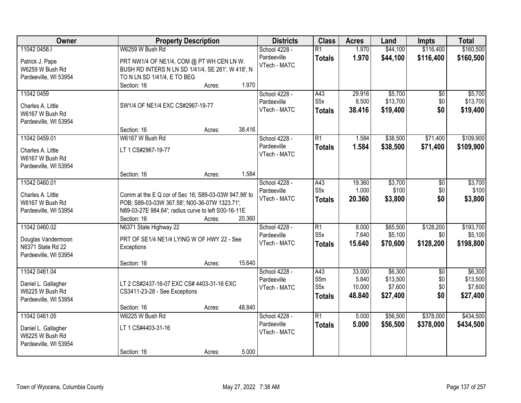| Owner                                                                            |                                                                                                                                                                             | <b>Property Description</b> |        | <b>Districts</b>                             | <b>Class</b>                                    | <b>Acres</b>                        | Land                                       | <b>Impts</b>                         | <b>Total</b>                               |
|----------------------------------------------------------------------------------|-----------------------------------------------------------------------------------------------------------------------------------------------------------------------------|-----------------------------|--------|----------------------------------------------|-------------------------------------------------|-------------------------------------|--------------------------------------------|--------------------------------------|--------------------------------------------|
| 11042 0458.1                                                                     | W6259 W Bush Rd                                                                                                                                                             |                             |        | School 4228 -                                | $\overline{R1}$                                 | 1.970                               | \$44,100                                   | \$116,400                            | \$160,500                                  |
| Patrick J. Pape<br>W6259 W Bush Rd<br>Pardeeville, WI 53954                      | PRT NW1/4 OF NE1/4, COM @ PT WH CEN LN W.<br>BUSH RD INTERS N LN SD 1/41/4, SE 261', W 418', N<br>TO N LN SD 1/41/4, E TO BEG                                               |                             |        | Pardeeville<br>VTech - MATC                  | <b>Totals</b>                                   | 1.970                               | \$44,100                                   | \$116,400                            | \$160,500                                  |
|                                                                                  | Section: 16                                                                                                                                                                 | Acres:                      | 1.970  |                                              |                                                 |                                     |                                            |                                      |                                            |
| 11042 0459<br>Charles A. Little<br>W6167 W Bush Rd<br>Pardeeville, WI 53954      | SW1/4 OF NE1/4 EXC CS#2967-19-77<br>Section: 16                                                                                                                             |                             | 38.416 | School 4228 -<br>Pardeeville<br>VTech - MATC | A43<br>S5x<br><b>Totals</b>                     | 29.916<br>8.500<br>38.416           | \$5,700<br>\$13,700<br>\$19,400            | \$0<br>\$0<br>\$0                    | \$5,700<br>\$13,700<br>\$19,400            |
| 11042 0459.01                                                                    | W6167 W Bush Rd                                                                                                                                                             | Acres:                      |        | School 4228 -                                | $\overline{R1}$                                 | 1.584                               | \$38,500                                   | \$71,400                             | \$109,900                                  |
| Charles A. Little<br>W6167 W Bush Rd<br>Pardeeville, WI 53954                    | LT 1 CS#2967-19-77                                                                                                                                                          |                             |        | Pardeeville<br>VTech - MATC                  | <b>Totals</b>                                   | 1.584                               | \$38,500                                   | \$71,400                             | \$109,900                                  |
|                                                                                  | Section: 16                                                                                                                                                                 | Acres:                      | 1.584  |                                              |                                                 |                                     |                                            |                                      |                                            |
| 11042 0460.01<br>Charles A. Little<br>W6167 W Bush Rd<br>Pardeeville, WI 53954   | Comm at the E Q cor of Sec 16; S89-03-03W 947.98' to<br>POB; S89-03-03W 367.58'; N00-36-07W 1323.71';<br>N89-03-27E 984.64'; radius curve to left S00-16-11E<br>Section: 16 | Acres:                      | 20.360 | School 4228 -<br>Pardeeville<br>VTech - MATC | A43<br>S <sub>5</sub> x<br><b>Totals</b>        | 19.360<br>1.000<br>20.360           | \$3,700<br>\$100<br>\$3,800                | \$0<br>\$0<br>\$0                    | \$3,700<br>\$100<br>\$3,800                |
| 11042 0460.02                                                                    | N6371 State Highway 22                                                                                                                                                      |                             |        | School 4228 -                                | $\overline{R1}$                                 | 8.000                               | \$65,500                                   | \$128,200                            | \$193,700                                  |
| Douglas Vandermoon<br>N6371 State Rd 22<br>Pardeeville, WI 53954                 | PRT OF SE1/4 NE1/4 LYING W OF HWY 22 - See<br>Exceptions                                                                                                                    |                             |        | Pardeeville<br>VTech - MATC                  | S <sub>5</sub> x<br><b>Totals</b>               | 7.640<br>15.640                     | \$5,100<br>\$70,600                        | \$0<br>\$128,200                     | \$5,100<br>\$198,800                       |
|                                                                                  | Section: 16                                                                                                                                                                 | Acres:                      | 15.640 |                                              |                                                 |                                     |                                            |                                      |                                            |
| 11042 0461.04<br>Daniel L. Gallagher<br>W6225 W Bush Rd<br>Pardeeville, WI 53954 | LT 2 CS#2437-16-07 EXC CS# 4403-31-16 EXC<br>CS3411-23-28 - See Exceptions                                                                                                  |                             |        | School 4228 -<br>Pardeeville<br>VTech - MATC | A43<br>S5m<br>S <sub>5</sub> x<br><b>Totals</b> | 33.000<br>5.840<br>10.000<br>48.840 | \$6,300<br>\$13,500<br>\$7,600<br>\$27,400 | $\overline{50}$<br>\$0<br>\$0<br>\$0 | \$6,300<br>\$13,500<br>\$7,600<br>\$27,400 |
|                                                                                  | Section: 16                                                                                                                                                                 | Acres:                      | 48.840 |                                              |                                                 |                                     |                                            |                                      |                                            |
| 11042 0461.05<br>Daniel L. Gallagher<br>W6225 W Bush Rd<br>Pardeeville, WI 53954 | W6225 W Bush Rd<br>LT 1 CS#4403-31-16<br>Section: 16                                                                                                                        | Acres:                      | 5.000  | School 4228 -<br>Pardeeville<br>VTech - MATC | $\overline{R1}$<br><b>Totals</b>                | 5.000<br>5.000                      | \$56,500<br>\$56,500                       | \$378,000<br>\$378,000               | \$434,500<br>\$434,500                     |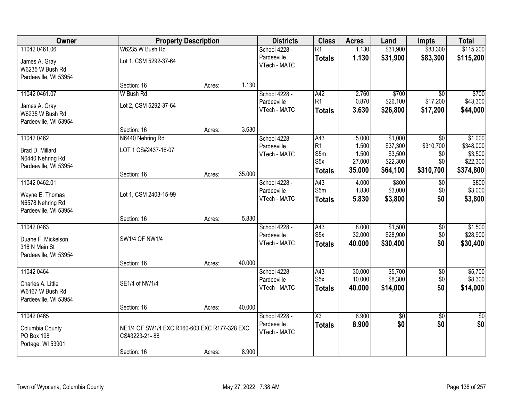| Owner                            | <b>Property Description</b>                  |        |        | <b>Districts</b>            | <b>Class</b>           | <b>Acres</b> | Land     | <b>Impts</b>    | <b>Total</b> |
|----------------------------------|----------------------------------------------|--------|--------|-----------------------------|------------------------|--------------|----------|-----------------|--------------|
| 11042 0461.06                    | W6235 W Bush Rd                              |        |        | School 4228 -               | $\overline{R1}$        | 1.130        | \$31,900 | \$83,300        | \$115,200    |
| James A. Gray<br>W6235 W Bush Rd | Lot 1, CSM 5292-37-64                        |        |        | Pardeeville<br>VTech - MATC | <b>Totals</b>          | 1.130        | \$31,900 | \$83,300        | \$115,200    |
| Pardeeville, WI 53954            |                                              |        |        |                             |                        |              |          |                 |              |
|                                  | Section: 16                                  | Acres: | 1.130  |                             |                        |              |          |                 |              |
| 11042 0461.07                    | W Bush Rd                                    |        |        | School 4228 -               | A42                    | 2.760        | \$700    | $\overline{30}$ | \$700        |
| James A. Gray                    | Lot 2, CSM 5292-37-64                        |        |        | Pardeeville                 | R1                     | 0.870        | \$26,100 | \$17,200        | \$43,300     |
| W6235 W Bush Rd                  |                                              |        |        | VTech - MATC                | <b>Totals</b>          | 3.630        | \$26,800 | \$17,200        | \$44,000     |
| Pardeeville, WI 53954            |                                              |        |        |                             |                        |              |          |                 |              |
|                                  | Section: 16                                  | Acres: | 3.630  |                             |                        |              |          |                 |              |
| 11042 0462                       | N6440 Nehring Rd                             |        |        | School 4228 -               | A43                    | 5.000        | \$1,000  | $\overline{50}$ | \$1,000      |
| Brad D. Millard                  | LOT 1 CS#2437-16-07                          |        |        | Pardeeville                 | R <sub>1</sub>         | 1.500        | \$37,300 | \$310,700       | \$348,000    |
| N6440 Nehring Rd                 |                                              |        |        | VTech - MATC                | S5m                    | 1.500        | \$3,500  | \$0             | \$3,500      |
| Pardeeville, WI 53954            |                                              |        |        |                             | S5x                    | 27.000       | \$22,300 | \$0             | \$22,300     |
|                                  | Section: 16                                  | Acres: | 35.000 |                             | <b>Totals</b>          | 35.000       | \$64,100 | \$310,700       | \$374,800    |
| 11042 0462.01                    |                                              |        |        | School 4228 -               | A43                    | 4.000        | \$800    | $\sqrt[6]{}$    | \$800        |
| Wayne E. Thomas                  | Lot 1, CSM 2403-15-99                        |        |        | Pardeeville                 | S5m                    | 1.830        | \$3,000  | \$0             | \$3,000      |
| N6578 Nehring Rd                 |                                              |        |        | VTech - MATC                | <b>Totals</b>          | 5.830        | \$3,800  | \$0             | \$3,800      |
| Pardeeville, WI 53954            |                                              |        |        |                             |                        |              |          |                 |              |
|                                  | Section: 16                                  | Acres: | 5.830  |                             |                        |              |          |                 |              |
| 11042 0463                       |                                              |        |        | School 4228 -               | $\overline{A43}$       | 8.000        | \$1,500  | $\overline{50}$ | \$1,500      |
| Duane F. Mickelson               | <b>SW1/4 OF NW1/4</b>                        |        |        | Pardeeville                 | S5x                    | 32.000       | \$28,900 | \$0             | \$28,900     |
| 316 N Main St                    |                                              |        |        | VTech - MATC                | <b>Totals</b>          | 40.000       | \$30,400 | \$0             | \$30,400     |
| Pardeeville, WI 53954            |                                              |        |        |                             |                        |              |          |                 |              |
|                                  | Section: 16                                  | Acres: | 40.000 |                             |                        |              |          |                 |              |
| 11042 0464                       |                                              |        |        | School 4228 -               | A43                    | 30.000       | \$5,700  | $\overline{60}$ | \$5,700      |
| Charles A. Little                | SE1/4 of NW1/4                               |        |        | Pardeeville                 | S <sub>5</sub> x       | 10.000       | \$8,300  | \$0             | \$8,300      |
| W6167 W Bush Rd                  |                                              |        |        | VTech - MATC                | <b>Totals</b>          | 40.000       | \$14,000 | \$0             | \$14,000     |
| Pardeeville, WI 53954            |                                              |        |        |                             |                        |              |          |                 |              |
|                                  | Section: 16                                  | Acres: | 40.000 |                             |                        |              |          |                 |              |
| 11042 0465                       |                                              |        |        | School 4228 -               | $\overline{\text{X3}}$ | 8.900        | \$0      | $\overline{50}$ | \$0          |
| Columbia County                  | NE1/4 OF SW1/4 EXC R160-603 EXC R177-328 EXC |        |        | Pardeeville                 | <b>Totals</b>          | 8.900        | \$0      | \$0             | \$0          |
| PO Box 198                       | CS#3223-21-88                                |        |        | VTech - MATC                |                        |              |          |                 |              |
| Portage, WI 53901                |                                              |        |        |                             |                        |              |          |                 |              |
|                                  | Section: 16                                  | Acres: | 8.900  |                             |                        |              |          |                 |              |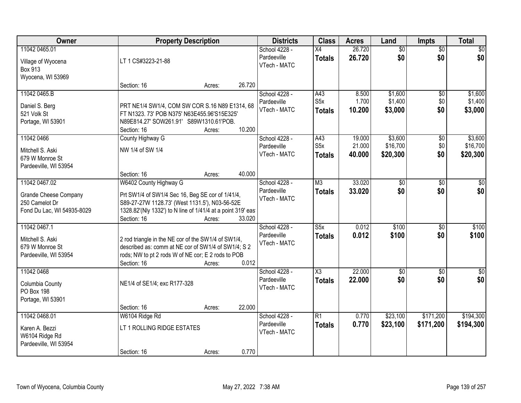| Owner                                                                                         |                                                                                                                                                                                                            | <b>Property Description</b> |        | <b>Districts</b>                             | <b>Class</b>                             | <b>Acres</b>               | Land                            | <b>Impts</b>           | <b>Total</b>                    |
|-----------------------------------------------------------------------------------------------|------------------------------------------------------------------------------------------------------------------------------------------------------------------------------------------------------------|-----------------------------|--------|----------------------------------------------|------------------------------------------|----------------------------|---------------------------------|------------------------|---------------------------------|
| 11042 0465.01<br>Village of Wyocena<br><b>Box 913</b>                                         | LT 1 CS#3223-21-88                                                                                                                                                                                         |                             |        | School 4228 -<br>Pardeeville<br>VTech - MATC | $\overline{X4}$<br><b>Totals</b>         | 26.720<br>26.720           | $\overline{50}$<br>\$0          | $\overline{50}$<br>\$0 | \$0<br>\$0                      |
| Wyocena, WI 53969                                                                             | Section: 16                                                                                                                                                                                                | Acres:                      | 26.720 |                                              |                                          |                            |                                 |                        |                                 |
| 11042 0465.B<br>Daniel S. Berg<br>521 Volk St<br>Portage, WI 53901                            | PRT NE1/4 SW1/4, COM SW COR S.16 N89 E1314, 68<br>FT N1323. 73' POB N375' N63E455.96'S15E325'<br>N89E814.27' SOW261.91' S89W1310.61'POB.<br>Section: 16                                                    | Acres:                      | 10.200 | School 4228 -<br>Pardeeville<br>VTech - MATC | A43<br>S <sub>5</sub> x<br><b>Totals</b> | 8.500<br>1.700<br>10.200   | \$1,600<br>\$1,400<br>\$3,000   | \$0<br>\$0<br>\$0      | \$1,600<br>\$1,400<br>\$3,000   |
| 11042 0466<br>Mitchell S. Aski<br>679 W Monroe St<br>Pardeeville, WI 53954                    | County Highway G<br>NW 1/4 of SW 1/4<br>Section: 16                                                                                                                                                        | Acres:                      | 40.000 | School 4228 -<br>Pardeeville<br>VTech - MATC | A43<br>S <sub>5</sub> x<br><b>Totals</b> | 19.000<br>21.000<br>40.000 | \$3,600<br>\$16,700<br>\$20,300 | \$0<br>\$0<br>\$0      | \$3,600<br>\$16,700<br>\$20,300 |
| 11042 0467.02<br><b>Grande Cheese Company</b><br>250 Camelot Dr<br>Fond Du Lac, WI 54935-8029 | W6402 County Highway G<br>Prt SW1/4 of SW1/4 Sec 16, Beg SE cor of 1/41/4,<br>S89-27-27W 1128.73' (West 1131.5'), N03-56-52E<br>1328.82'(Nly 1332') to N line of 1/41/4 at a point 319' eas<br>Section: 16 | Acres:                      | 33.020 | School 4228 -<br>Pardeeville<br>VTech - MATC | M3<br><b>Totals</b>                      | 33.020<br>33.020           | $\overline{50}$<br>\$0          | \$0<br>\$0             | $\sqrt{50}$<br>\$0              |
| 11042 0467.1<br>Mitchell S. Aski<br>679 W Monroe St<br>Pardeeville, WI 53954                  | 2 rod triangle in the NE cor of the SW1/4 of SW1/4,<br>described as: comm at NE cor of SW1/4 of SW1/4; S 2<br>rods; NW to pt 2 rods W of NE cor; E 2 rods to POB<br>Section: 16                            | Acres:                      | 0.012  | School 4228 -<br>Pardeeville<br>VTech - MATC | $\overline{\text{S5x}}$<br><b>Totals</b> | 0.012<br>0.012             | \$100<br>\$100                  | \$0<br>\$0             | \$100<br>\$100                  |
| 11042 0468<br>Columbia County<br>PO Box 198<br>Portage, WI 53901                              | NE1/4 of SE1/4; exc R177-328<br>Section: 16                                                                                                                                                                | Acres:                      | 22.000 | School 4228 -<br>Pardeeville<br>VTech - MATC | $\overline{\text{X3}}$<br><b>Totals</b>  | 22.000<br>22.000           | $\sqrt{$0}$<br>\$0              | \$0<br>\$0             | $\overline{\$0}$<br>\$0         |
| 11042 0468.01<br>Karen A. Bezzi<br>W6104 Ridge Rd<br>Pardeeville, WI 53954                    | W6104 Ridge Rd<br>LT 1 ROLLING RIDGE ESTATES<br>Section: 16                                                                                                                                                | Acres:                      | 0.770  | School 4228 -<br>Pardeeville<br>VTech - MATC | $\overline{R1}$<br><b>Totals</b>         | 0.770<br>0.770             | \$23,100<br>\$23,100            | \$171,200<br>\$171,200 | \$194,300<br>\$194,300          |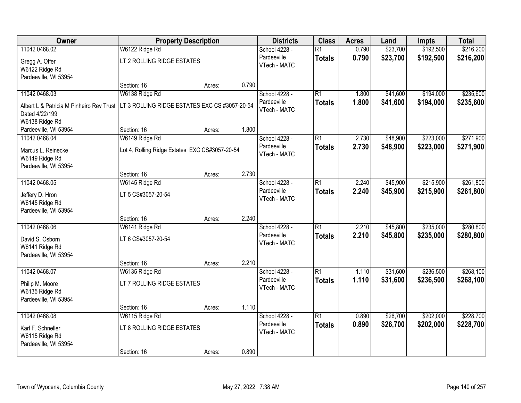| Owner                                    | <b>Property Description</b>                    |                 | <b>Districts</b> | <b>Class</b>    | <b>Acres</b> | Land     | <b>Impts</b> | <b>Total</b> |
|------------------------------------------|------------------------------------------------|-----------------|------------------|-----------------|--------------|----------|--------------|--------------|
| 11042 0468.02                            | W6122 Ridge Rd                                 |                 | School 4228 -    | $\overline{R1}$ | 0.790        | \$23,700 | \$192,500    | \$216,200    |
| Gregg A. Offer                           | LT 2 ROLLING RIDGE ESTATES                     |                 | Pardeeville      | <b>Totals</b>   | 0.790        | \$23,700 | \$192,500    | \$216,200    |
| W6122 Ridge Rd                           |                                                |                 | VTech - MATC     |                 |              |          |              |              |
| Pardeeville, WI 53954                    |                                                |                 |                  |                 |              |          |              |              |
|                                          | Section: 16                                    | 0.790<br>Acres: |                  |                 |              |          |              |              |
| 11042 0468.03                            | W6138 Ridge Rd                                 |                 | School 4228 -    | $\overline{R1}$ | 1.800        | \$41,600 | \$194,000    | \$235,600    |
| Albert L & Patricia M Pinheiro Rev Trust | LT 3 ROLLING RIDGE ESTATES EXC CS #3057-20-54  |                 | Pardeeville      | <b>Totals</b>   | 1.800        | \$41,600 | \$194,000    | \$235,600    |
| Dated 4/22/199                           |                                                |                 | VTech - MATC     |                 |              |          |              |              |
| W6138 Ridge Rd                           |                                                |                 |                  |                 |              |          |              |              |
| Pardeeville, WI 53954                    | Section: 16                                    | 1.800<br>Acres: |                  |                 |              |          |              |              |
| 11042 0468.04                            | W6149 Ridge Rd                                 |                 | School 4228 -    | $\overline{R1}$ | 2.730        | \$48,900 | \$223,000    | \$271,900    |
| Marcus L. Reinecke                       | Lot 4, Rolling Ridge Estates EXC CS#3057-20-54 |                 | Pardeeville      | <b>Totals</b>   | 2.730        | \$48,900 | \$223,000    | \$271,900    |
| W6149 Ridge Rd                           |                                                |                 | VTech - MATC     |                 |              |          |              |              |
| Pardeeville, WI 53954                    |                                                |                 |                  |                 |              |          |              |              |
|                                          | Section: 16                                    | 2.730<br>Acres: |                  |                 |              |          |              |              |
| 11042 0468.05                            | W6145 Ridge Rd                                 |                 | School 4228 -    | $\overline{R1}$ | 2.240        | \$45,900 | \$215,900    | \$261,800    |
| Jeffery D. Hron                          | LT 5 CS#3057-20-54                             |                 | Pardeeville      | <b>Totals</b>   | 2.240        | \$45,900 | \$215,900    | \$261,800    |
| W6145 Ridge Rd                           |                                                |                 | VTech - MATC     |                 |              |          |              |              |
| Pardeeville, WI 53954                    |                                                |                 |                  |                 |              |          |              |              |
|                                          | Section: 16                                    | 2.240<br>Acres: |                  |                 |              |          |              |              |
| 11042 0468.06                            | W6141 Ridge Rd                                 |                 | School 4228 -    | $\overline{R1}$ | 2.210        | \$45,800 | \$235,000    | \$280,800    |
| David S. Osborn                          | LT 6 CS#3057-20-54                             |                 | Pardeeville      | <b>Totals</b>   | 2.210        | \$45,800 | \$235,000    | \$280,800    |
| W6141 Ridge Rd                           |                                                |                 | VTech - MATC     |                 |              |          |              |              |
| Pardeeville, WI 53954                    |                                                |                 |                  |                 |              |          |              |              |
|                                          | Section: 16                                    | 2.210<br>Acres: |                  |                 |              |          |              |              |
| 11042 0468.07                            | W6135 Ridge Rd                                 |                 | School 4228 -    | $\overline{R1}$ | 1.110        | \$31,600 | \$236,500    | \$268,100    |
| Philip M. Moore                          | LT 7 ROLLING RIDGE ESTATES                     |                 | Pardeeville      | <b>Totals</b>   | 1.110        | \$31,600 | \$236,500    | \$268,100    |
| W6135 Ridge Rd                           |                                                |                 | VTech - MATC     |                 |              |          |              |              |
| Pardeeville, WI 53954                    |                                                |                 |                  |                 |              |          |              |              |
|                                          | Section: 16                                    | 1.110<br>Acres: |                  |                 |              |          |              |              |
| 11042 0468.08                            | W6115 Ridge Rd                                 |                 | School 4228 -    | $\overline{R1}$ | 0.890        | \$26,700 | \$202,000    | \$228,700    |
| Karl F. Schneller                        | LT 8 ROLLING RIDGE ESTATES                     |                 | Pardeeville      | <b>Totals</b>   | 0.890        | \$26,700 | \$202,000    | \$228,700    |
| W6115 Ridge Rd                           |                                                |                 | VTech - MATC     |                 |              |          |              |              |
| Pardeeville, WI 53954                    |                                                |                 |                  |                 |              |          |              |              |
|                                          | Section: 16                                    | 0.890<br>Acres: |                  |                 |              |          |              |              |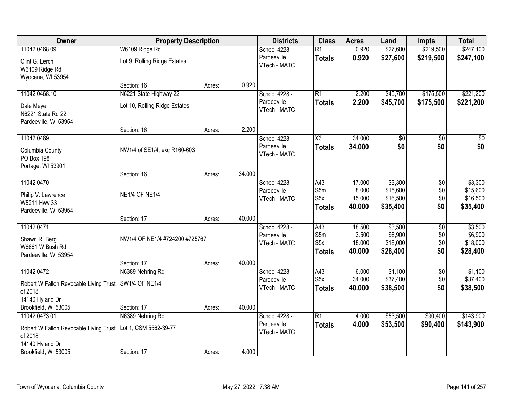| Owner                                                   | <b>Property Description</b>    |        |        | <b>Districts</b>             | <b>Class</b>        | <b>Acres</b> | Land            | <b>Impts</b>    | <b>Total</b>    |
|---------------------------------------------------------|--------------------------------|--------|--------|------------------------------|---------------------|--------------|-----------------|-----------------|-----------------|
| 11042 0468.09                                           | W6109 Ridge Rd                 |        |        | School 4228 -                | $\overline{R1}$     | 0.920        | \$27,600        | \$219,500       | \$247,100       |
| Clint G. Lerch                                          | Lot 9, Rolling Ridge Estates   |        |        | Pardeeville                  | <b>Totals</b>       | 0.920        | \$27,600        | \$219,500       | \$247,100       |
| W6109 Ridge Rd                                          |                                |        |        | VTech - MATC                 |                     |              |                 |                 |                 |
| Wyocena, WI 53954                                       |                                |        |        |                              |                     |              |                 |                 |                 |
|                                                         | Section: 16                    | Acres: | 0.920  |                              |                     |              |                 |                 |                 |
| 11042 0468.10                                           | N6221 State Highway 22         |        |        | School 4228 -                | R1                  | 2.200        | \$45,700        | \$175,500       | \$221,200       |
| Dale Meyer                                              | Lot 10, Rolling Ridge Estates  |        |        | Pardeeville<br>VTech - MATC  | <b>Totals</b>       | 2.200        | \$45,700        | \$175,500       | \$221,200       |
| N6221 State Rd 22                                       |                                |        |        |                              |                     |              |                 |                 |                 |
| Pardeeville, WI 53954                                   |                                |        |        |                              |                     |              |                 |                 |                 |
| 11042 0469                                              | Section: 16                    | Acres: | 2.200  | School 4228 -                | $\overline{\chi_3}$ | 34.000       | $\overline{50}$ |                 | $\overline{50}$ |
|                                                         |                                |        |        | Pardeeville                  | <b>Totals</b>       | 34.000       | \$0             | \$0<br>\$0      | \$0             |
| Columbia County                                         | NW1/4 of SE1/4; exc R160-603   |        |        | VTech - MATC                 |                     |              |                 |                 |                 |
| PO Box 198                                              |                                |        |        |                              |                     |              |                 |                 |                 |
| Portage, WI 53901                                       | Section: 16                    | Acres: | 34.000 |                              |                     |              |                 |                 |                 |
| 11042 0470                                              |                                |        |        | School 4228 -                | A43                 | 17.000       | \$3,300         | $\sqrt[6]{3}$   | \$3,300         |
|                                                         |                                |        |        | Pardeeville                  | S5m                 | 8.000        | \$15,600        | \$0             | \$15,600        |
| Philip V. Lawrence<br>W5211 Hwy 33                      | <b>NE1/4 OF NE1/4</b>          |        |        | VTech - MATC                 | S <sub>5</sub> x    | 15.000       | \$16,500        | \$0             | \$16,500        |
| Pardeeville, WI 53954                                   |                                |        |        |                              | <b>Totals</b>       | 40.000       | \$35,400        | \$0             | \$35,400        |
|                                                         | Section: 17                    | Acres: | 40.000 |                              |                     |              |                 |                 |                 |
| 11042 0471                                              |                                |        |        | School 4228 -                | A43                 | 18.500       | \$3,500         | $\overline{50}$ | \$3,500         |
| Shawn R. Berg                                           | NW1/4 OF NE1/4 #724200 #725767 |        |        | Pardeeville                  | S5m                 | 3.500        | \$6,900         | \$0             | \$6,900         |
| W6661 W Bush Rd                                         |                                |        |        | VTech - MATC                 | S <sub>5</sub> x    | 18.000       | \$18,000        | \$0             | \$18,000        |
| Pardeeville, WI 53954                                   |                                |        |        |                              | <b>Totals</b>       | 40.000       | \$28,400        | \$0             | \$28,400        |
|                                                         | Section: 17                    | Acres: | 40.000 |                              |                     |              |                 |                 |                 |
| 11042 0472                                              | N6389 Nehring Rd               |        |        | School 4228 -                | A43                 | 6.000        | \$1,100         | $\sqrt{$0}$     | \$1,100         |
| Robert W Fallon Revocable Living Trust   SW1/4 OF NE1/4 |                                |        |        | Pardeeville<br>VTech - MATC  | S <sub>5</sub> x    | 34.000       | \$37,400        | \$0             | \$37,400        |
| of 2018                                                 |                                |        |        |                              | <b>Totals</b>       | 40.000       | \$38,500        | \$0             | \$38,500        |
| 14140 Hyland Dr                                         |                                |        |        |                              |                     |              |                 |                 |                 |
| Brookfield, WI 53005                                    | Section: 17                    | Acres: | 40.000 |                              |                     |              |                 |                 |                 |
| 11042 0473.01                                           | N6389 Nehring Rd               |        |        | School 4228 -<br>Pardeeville | R1                  | 4.000        | \$53,500        | \$90,400        | \$143,900       |
| Robert W Fallon Revocable Living Trust                  | Lot 1, CSM 5562-39-77          |        |        | VTech - MATC                 | <b>Totals</b>       | 4.000        | \$53,500        | \$90,400        | \$143,900       |
| of 2018                                                 |                                |        |        |                              |                     |              |                 |                 |                 |
| 14140 Hyland Dr<br>Brookfield, WI 53005                 | Section: 17                    |        | 4.000  |                              |                     |              |                 |                 |                 |
|                                                         |                                | Acres: |        |                              |                     |              |                 |                 |                 |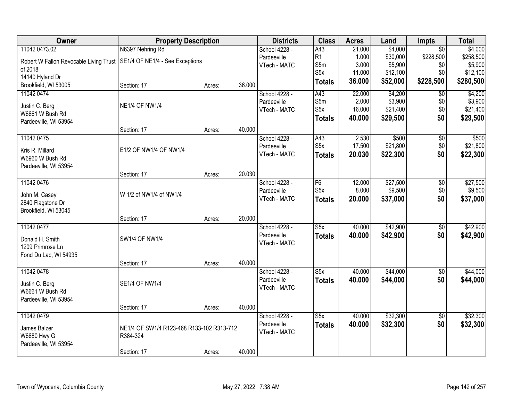| Owner                                                                    | <b>Property Description</b>               |        |        | <b>Districts</b> | <b>Class</b>            | <b>Acres</b> | Land     | <b>Impts</b>    | <b>Total</b> |
|--------------------------------------------------------------------------|-------------------------------------------|--------|--------|------------------|-------------------------|--------------|----------|-----------------|--------------|
| 11042 0473.02                                                            | N6397 Nehring Rd                          |        |        | School 4228 -    | A43                     | 21.000       | \$4,000  | $\overline{30}$ | \$4,000      |
| Robert W Fallon Revocable Living Trust   SE1/4 OF NE1/4 - See Exceptions |                                           |        |        | Pardeeville      | R1                      | 1.000        | \$30,000 | \$228,500       | \$258,500    |
| of 2018                                                                  |                                           |        |        | VTech - MATC     | S5m                     | 3.000        | \$5,900  | \$0             | \$5,900      |
| 14140 Hyland Dr                                                          |                                           |        |        |                  | S <sub>5</sub> x        | 11.000       | \$12,100 | \$0             | \$12,100     |
| Brookfield, WI 53005                                                     | Section: 17                               | Acres: | 36.000 |                  | <b>Totals</b>           | 36.000       | \$52,000 | \$228,500       | \$280,500    |
| 11042 0474                                                               |                                           |        |        | School 4228 -    | A43                     | 22.000       | \$4,200  | \$0             | \$4,200      |
|                                                                          | <b>NE1/4 OF NW1/4</b>                     |        |        | Pardeeville      | S5m                     | 2.000        | \$3,900  | \$0             | \$3,900      |
| Justin C. Berg<br>W6661 W Bush Rd                                        |                                           |        |        | VTech - MATC     | S <sub>5</sub> x        | 16.000       | \$21,400 | \$0             | \$21,400     |
| Pardeeville, WI 53954                                                    |                                           |        |        |                  | <b>Totals</b>           | 40.000       | \$29,500 | \$0             | \$29,500     |
|                                                                          | Section: 17                               | Acres: | 40.000 |                  |                         |              |          |                 |              |
| 11042 0475                                                               |                                           |        |        | School 4228 -    | A43                     | 2.530        | \$500    | $\overline{50}$ | \$500        |
|                                                                          |                                           |        |        | Pardeeville      | S <sub>5</sub> x        | 17.500       | \$21,800 | $\$0$           | \$21,800     |
| Kris R. Millard<br>W6960 W Bush Rd                                       | E1/2 OF NW1/4 OF NW1/4                    |        |        | VTech - MATC     | <b>Totals</b>           | 20.030       | \$22,300 | \$0             | \$22,300     |
| Pardeeville, WI 53954                                                    |                                           |        |        |                  |                         |              |          |                 |              |
|                                                                          | Section: 17                               | Acres: | 20.030 |                  |                         |              |          |                 |              |
| 11042 0476                                                               |                                           |        |        | School 4228 -    | F <sub>6</sub>          | 12.000       | \$27,500 | \$0             | \$27,500     |
|                                                                          |                                           |        |        | Pardeeville      | S <sub>5</sub> x        | 8.000        | \$9,500  | \$0             | \$9,500      |
| John M. Casey                                                            | W 1/2 of NW1/4 of NW1/4                   |        |        | VTech - MATC     | <b>Totals</b>           | 20.000       | \$37,000 | \$0             | \$37,000     |
| 2840 Flagstone Dr                                                        |                                           |        |        |                  |                         |              |          |                 |              |
| Brookfield, WI 53045                                                     | Section: 17                               | Acres: | 20.000 |                  |                         |              |          |                 |              |
| 11042 0477                                                               |                                           |        |        | School 4228 -    | $\overline{\text{S5x}}$ | 40.000       | \$42,900 | $\overline{50}$ | \$42,900     |
|                                                                          |                                           |        |        | Pardeeville      |                         | 40.000       | \$42,900 | \$0             | \$42,900     |
| Donald H. Smith                                                          | <b>SW1/4 OF NW1/4</b>                     |        |        | VTech - MATC     | <b>Totals</b>           |              |          |                 |              |
| 1209 Primrose Ln                                                         |                                           |        |        |                  |                         |              |          |                 |              |
| Fond Du Lac, WI 54935                                                    |                                           |        |        |                  |                         |              |          |                 |              |
|                                                                          | Section: 17                               | Acres: | 40.000 |                  |                         |              |          |                 |              |
| 11042 0478                                                               |                                           |        |        | School 4228 -    | $\overline{\text{S5x}}$ | 40.000       | \$44,000 | $\overline{60}$ | \$44,000     |
| Justin C. Berg                                                           | <b>SE1/4 OF NW1/4</b>                     |        |        | Pardeeville      | <b>Totals</b>           | 40.000       | \$44,000 | \$0             | \$44,000     |
| W6661 W Bush Rd                                                          |                                           |        |        | VTech - MATC     |                         |              |          |                 |              |
| Pardeeville, WI 53954                                                    |                                           |        |        |                  |                         |              |          |                 |              |
|                                                                          | Section: 17                               | Acres: | 40.000 |                  |                         |              |          |                 |              |
| 11042 0479                                                               |                                           |        |        | School 4228 -    | S5x                     | 40.000       | \$32,300 | $\overline{50}$ | \$32,300     |
| James Balzer                                                             | NE1/4 OF SW1/4 R123-468 R133-102 R313-712 |        |        | Pardeeville      | <b>Totals</b>           | 40.000       | \$32,300 | \$0             | \$32,300     |
| <b>W6680 Hwy G</b>                                                       | R384-324                                  |        |        | VTech - MATC     |                         |              |          |                 |              |
| Pardeeville, WI 53954                                                    |                                           |        |        |                  |                         |              |          |                 |              |
|                                                                          | Section: 17                               | Acres: | 40.000 |                  |                         |              |          |                 |              |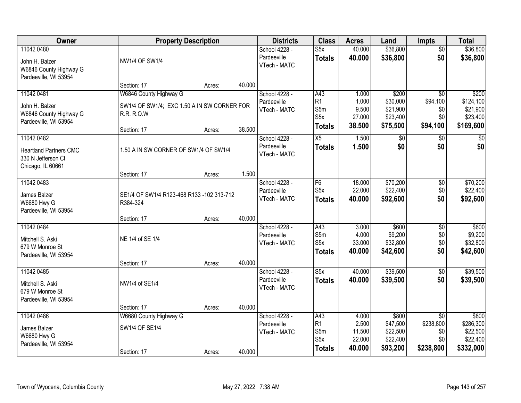| Owner                                                                           |                                                                                                           | <b>Property Description</b> |        | <b>Districts</b>                             | <b>Class</b>                                               | <b>Acres</b>                                | Land                                                  | <b>Impts</b>                                          | <b>Total</b>                                            |
|---------------------------------------------------------------------------------|-----------------------------------------------------------------------------------------------------------|-----------------------------|--------|----------------------------------------------|------------------------------------------------------------|---------------------------------------------|-------------------------------------------------------|-------------------------------------------------------|---------------------------------------------------------|
| 11042 0480<br>John H. Balzer<br>W6846 County Highway G<br>Pardeeville, WI 53954 | <b>NW1/4 OF SW1/4</b>                                                                                     |                             |        | School 4228 -<br>Pardeeville<br>VTech - MATC | S5x<br><b>Totals</b>                                       | 40.000<br>40.000                            | \$36,800<br>\$36,800                                  | $\overline{50}$<br>\$0                                | \$36,800<br>\$36,800                                    |
|                                                                                 | Section: 17                                                                                               | Acres:                      | 40.000 |                                              |                                                            |                                             |                                                       |                                                       |                                                         |
| 11042 0481<br>John H. Balzer<br>W6846 County Highway G<br>Pardeeville, WI 53954 | W6846 County Highway G<br>SW1/4 OF SW1/4; EXC 1.50 A IN SW CORNER FOR<br><b>R.R. R.O.W</b><br>Section: 17 | Acres:                      | 38.500 | School 4228 -<br>Pardeeville<br>VTech - MATC | A43<br>R1<br>S5m<br>S <sub>5</sub> x<br><b>Totals</b>      | 1.000<br>1.000<br>9.500<br>27.000<br>38.500 | \$200<br>\$30,000<br>\$21,900<br>\$23,400<br>\$75,500 | $\overline{30}$<br>\$94,100<br>\$0<br>\$0<br>\$94,100 | \$200<br>\$124,100<br>\$21,900<br>\$23,400<br>\$169,600 |
| 11042 0482                                                                      |                                                                                                           |                             |        | School 4228 -                                | X5                                                         | 1.500                                       | $\sqrt[6]{}$                                          | $\sqrt[6]{}$                                          | $\sqrt{50}$                                             |
| <b>Heartland Partners CMC</b><br>330 N Jefferson Ct<br>Chicago, IL 60661        | 1.50 A IN SW CORNER OF SW1/4 OF SW1/4                                                                     |                             |        | Pardeeville<br>VTech - MATC                  | <b>Totals</b>                                              | 1.500                                       | \$0                                                   | \$0                                                   | \$0                                                     |
|                                                                                 | Section: 17                                                                                               | Acres:                      | 1.500  |                                              |                                                            |                                             |                                                       |                                                       |                                                         |
| 11042 0483<br>James Balzer<br><b>W6680 Hwy G</b><br>Pardeeville, WI 53954       | SE1/4 OF SW1/4 R123-468 R133 -102 313-712<br>R384-324                                                     |                             |        | School 4228 -<br>Pardeeville<br>VTech - MATC | F6<br>S <sub>5</sub> x<br><b>Totals</b>                    | 18.000<br>22.000<br>40.000                  | \$70,200<br>\$22,400<br>\$92,600                      | \$0<br>\$0<br>\$0                                     | \$70,200<br>\$22,400<br>\$92,600                        |
|                                                                                 | Section: 17                                                                                               | Acres:                      | 40.000 |                                              |                                                            |                                             |                                                       |                                                       |                                                         |
| 11042 0484<br>Mitchell S. Aski<br>679 W Monroe St<br>Pardeeville, WI 53954      | NE 1/4 of SE 1/4<br>Section: 17                                                                           | Acres:                      | 40.000 | School 4228 -<br>Pardeeville<br>VTech - MATC | $\overline{A43}$<br>S5m<br>S5x<br><b>Totals</b>            | 3.000<br>4.000<br>33.000<br>40.000          | \$600<br>\$9,200<br>\$32,800<br>\$42,600              | \$0<br>\$0<br>\$0<br>\$0                              | \$600<br>\$9,200<br>\$32,800<br>\$42,600                |
| 11042 0485<br>Mitchell S. Aski<br>679 W Monroe St<br>Pardeeville, WI 53954      | NW1/4 of SE1/4<br>Section: 17                                                                             | Acres:                      | 40.000 | School 4228 -<br>Pardeeville<br>VTech - MATC | S5x<br><b>Totals</b>                                       | 40.000<br>40.000                            | \$39,500<br>\$39,500                                  | $\sqrt{6}$<br>\$0                                     | \$39,500<br>\$39,500                                    |
| 11042 0486                                                                      | W6680 County Highway G                                                                                    |                             |        | School 4228 -                                | A43                                                        | 4.000                                       | \$800                                                 | $\overline{50}$                                       | \$800                                                   |
| James Balzer<br><b>W6680 Hwy G</b><br>Pardeeville, WI 53954                     | SW1/4 OF SE1/4<br>Section: 17                                                                             | Acres:                      | 40.000 | Pardeeville<br>VTech - MATC                  | R <sub>1</sub><br>S5m<br>S <sub>5</sub> x<br><b>Totals</b> | 2.500<br>11.500<br>22.000<br>40.000         | \$47,500<br>\$22,500<br>\$22,400<br>\$93,200          | \$238,800<br>\$0<br>\$0<br>\$238,800                  | \$286,300<br>\$22,500<br>\$22,400<br>\$332,000          |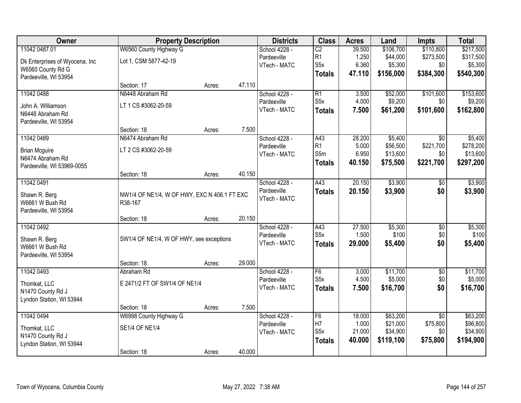| Owner                          |                                              | <b>Property Description</b> |              | <b>Districts</b> | <b>Class</b>     | <b>Acres</b> | Land      | <b>Impts</b>    | <b>Total</b> |
|--------------------------------|----------------------------------------------|-----------------------------|--------------|------------------|------------------|--------------|-----------|-----------------|--------------|
| 11042 0487.01                  | W6560 County Highway G                       |                             |              | School 4228 -    | $\overline{C2}$  | 39.500       | \$106,700 | \$110,800       | \$217,500    |
| Dk Enterprises of Wyocena, Inc | Lot 1, CSM 5877-42-19                        |                             |              | Pardeeville      | R1               | 1.250        | \$44,000  | \$273,500       | \$317,500    |
| W6560 County Rd G              |                                              |                             |              | VTech - MATC     | S <sub>5</sub> x | 6.360        | \$5,300   | \$0             | \$5,300      |
| Pardeeville, WI 53954          |                                              |                             |              |                  | <b>Totals</b>    | 47.110       | \$156,000 | \$384,300       | \$540,300    |
|                                | Section: 17                                  | Acres:                      | 47.110       |                  |                  |              |           |                 |              |
| 11042 0488                     | N6448 Abraham Rd                             |                             |              | School 4228 -    | $\overline{R1}$  | 3.500        | \$52,000  | \$101,600       | \$153,600    |
| John A. Williamson             | LT 1 CS #3062-20-59                          |                             |              | Pardeeville      | S <sub>5</sub> x | 4.000        | \$9,200   | \$0             | \$9,200      |
| N6448 Abraham Rd               |                                              |                             |              | VTech - MATC     | <b>Totals</b>    | 7.500        | \$61,200  | \$101,600       | \$162,800    |
| Pardeeville, WI 53954          |                                              |                             |              |                  |                  |              |           |                 |              |
|                                | Section: 18                                  | Acres:                      | 7.500        |                  |                  |              |           |                 |              |
| 11042 0489                     | N6474 Abraham Rd                             |                             |              | School 4228 -    | A43              | 28.200       | \$5,400   | \$0             | \$5,400      |
| <b>Brian Mcguire</b>           | LT 2 CS #3062-20-59                          |                             |              | Pardeeville      | R1               | 5.000        | \$56,500  | \$221,700       | \$278,200    |
| N6474 Abraham Rd               |                                              |                             |              | VTech - MATC     | S5m              | 6.950        | \$13,600  | \$0             | \$13,600     |
| Pardeeville, WI 53969-0055     |                                              |                             |              |                  | <b>Totals</b>    | 40.150       | \$75,500  | \$221,700       | \$297,200    |
|                                | Section: 18                                  | Acres:                      | 40.150       |                  |                  |              |           |                 |              |
| 11042 0491                     |                                              |                             |              | School 4228 -    | A43              | 20.150       | \$3,900   | \$0             | \$3,900      |
| Shawn R. Berg                  | NW1/4 OF NE1/4, W OF HWY, EXC N 406.1 FT EXC |                             |              | Pardeeville      | <b>Totals</b>    | 20.150       | \$3,900   | \$0             | \$3,900      |
| W6661 W Bush Rd                | R38-167                                      |                             | VTech - MATC |                  |                  |              |           |                 |              |
| Pardeeville, WI 53954          |                                              |                             |              |                  |                  |              |           |                 |              |
|                                | Section: 18                                  | Acres:                      | 20.150       |                  |                  |              |           |                 |              |
| 11042 0492                     |                                              |                             |              | School 4228 -    | A43              | 27.500       | \$5,300   | $\overline{50}$ | \$5,300      |
| Shawn R. Berg                  | SW1/4 OF NE1/4, W OF HWY, see exceptions     |                             |              | Pardeeville      | S <sub>5</sub> x | 1.500        | \$100     | \$0             | \$100        |
| W6661 W Bush Rd                |                                              |                             |              | VTech - MATC     | <b>Totals</b>    | 29.000       | \$5,400   | \$0             | \$5,400      |
| Pardeeville, WI 53954          |                                              |                             |              |                  |                  |              |           |                 |              |
|                                | Section: 18                                  | Acres:                      | 29.000       |                  |                  |              |           |                 |              |
| 11042 0493                     | Abraham Rd                                   |                             |              | School 4228 -    | F6               | 3.000        | \$11,700  | $\overline{50}$ | \$11,700     |
| Thomkat, LLC                   | E 2471/2 FT OF SW1/4 OF NE1/4                |                             |              | Pardeeville      | S <sub>5</sub> x | 4.500        | \$5,000   | \$0             | \$5,000      |
| N1470 County Rd J              |                                              |                             |              | VTech - MATC     | <b>Totals</b>    | 7.500        | \$16,700  | \$0             | \$16,700     |
| Lyndon Station, WI 53944       |                                              |                             |              |                  |                  |              |           |                 |              |
|                                | Section: 18                                  | Acres:                      | 7.500        |                  |                  |              |           |                 |              |
| 11042 0494                     | W6998 County Highway G                       |                             |              | School 4228 -    | F6               | 18,000       | \$63,200  | $\overline{30}$ | \$63,200     |
| Thomkat, LLC                   | <b>SE1/4 OF NE1/4</b>                        |                             |              | Pardeeville      | H7               | 1.000        | \$21,000  | \$75,800        | \$96,800     |
| N1470 County Rd J              |                                              |                             |              | VTech - MATC     | S <sub>5</sub> x | 21.000       | \$34,900  | \$0             | \$34,900     |
| Lyndon Station, WI 53944       |                                              |                             |              |                  | <b>Totals</b>    | 40.000       | \$119,100 | \$75,800        | \$194,900    |
|                                | Section: 18                                  | Acres:                      | 40.000       |                  |                  |              |           |                 |              |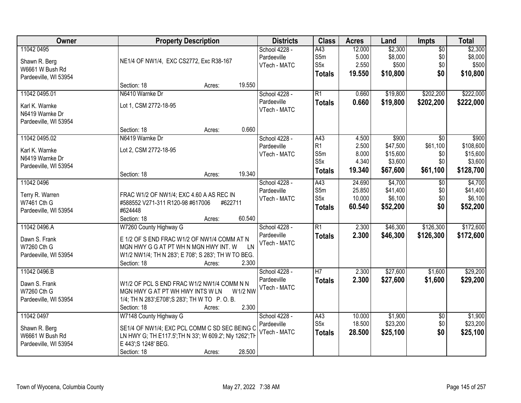| Owner                          | <b>Property Description</b>                             |         |                | <b>Districts</b>            | <b>Class</b>     | <b>Acres</b> | Land     | <b>Impts</b>    | <b>Total</b> |
|--------------------------------|---------------------------------------------------------|---------|----------------|-----------------------------|------------------|--------------|----------|-----------------|--------------|
| 11042 0495                     |                                                         |         |                | School 4228 -               | A43              | 12.000       | \$2,300  | $\overline{50}$ | \$2,300      |
| Shawn R. Berg                  | NE1/4 OF NW1/4, EXC CS2772, Exc R38-167                 |         |                | Pardeeville                 | S5m              | 5.000        | \$8,000  | \$0             | \$8,000      |
| W6661 W Bush Rd                |                                                         |         |                | VTech - MATC                | S5x              | 2.550        | \$500    | \$0             | \$500        |
| Pardeeville, WI 53954          |                                                         |         |                |                             | <b>Totals</b>    | 19.550       | \$10,800 | \$0             | \$10,800     |
|                                | Section: 18                                             | Acres:  | 19.550         |                             |                  |              |          |                 |              |
| 11042 0495.01                  | N6410 Warnke Dr                                         |         |                | School 4228 -               | R1               | 0.660        | \$19,800 | \$202,200       | \$222,000    |
| Karl K. Warnke                 | Lot 1, CSM 2772-18-95                                   |         |                | Pardeeville                 | <b>Totals</b>    | 0.660        | \$19,800 | \$202,200       | \$222,000    |
| N6419 Warnke Dr                |                                                         |         |                | VTech - MATC                |                  |              |          |                 |              |
| Pardeeville, WI 53954          |                                                         |         |                |                             |                  |              |          |                 |              |
|                                | Section: 18                                             | Acres:  | 0.660          |                             |                  |              |          |                 |              |
| 11042 0495.02                  | N6419 Warnke Dr                                         |         |                | School 4228 -               | A43              | 4.500        | \$900    | $\overline{50}$ | \$900        |
| Karl K. Warnke                 | Lot 2, CSM 2772-18-95                                   |         |                | Pardeeville                 | R1               | 2.500        | \$47,500 | \$61,100        | \$108,600    |
| N6419 Warnke Dr                |                                                         |         |                | VTech - MATC                | S5m              | 8.000        | \$15,600 | \$0             | \$15,600     |
| Pardeeville, WI 53954          |                                                         |         |                |                             | S5x              | 4.340        | \$3,600  | \$0             | \$3,600      |
|                                | Section: 18                                             | Acres:  | 19.340         |                             | <b>Totals</b>    | 19.340       | \$67,600 | \$61,100        | \$128,700    |
| 11042 0496                     |                                                         |         |                | School 4228 -               | A43              | 24.690       | \$4,700  | \$0             | \$4,700      |
|                                |                                                         |         |                | Pardeeville                 | S5m              | 25.850       | \$41,400 | \$0             | \$41,400     |
| Terry R. Warren<br>W7461 Cth G | FRAC W1/2 OF NW1/4; EXC 4.60 A AS REC IN                |         |                | VTech - MATC                | S <sub>5</sub> x | 10.000       | \$6,100  | \$0             | \$6,100      |
| Pardeeville, WI 53954          | #588552 V271-311 R120-98 #617006<br>#624448             | #622711 |                |                             | <b>Totals</b>    | 60.540       | \$52,200 | \$0             | \$52,200     |
|                                | Section: 18                                             | Acres:  | 60.540         |                             |                  |              |          |                 |              |
| 11042 0496.A                   | W7260 County Highway G                                  |         |                | School 4228 -               | $\overline{R1}$  | 2.300        | \$46,300 | \$126,300       | \$172,600    |
|                                |                                                         |         |                | Pardeeville                 | <b>Totals</b>    | 2.300        | \$46,300 | \$126,300       | \$172,600    |
| Dawn S. Frank                  | E 1/2 OF S END FRAC W1/2 OF NW1/4 COMM AT N             |         |                | VTech - MATC                |                  |              |          |                 |              |
| W7260 Cth G                    | MGN HWY G G AT PT WH N MGN HWY INT. W                   |         | LN             |                             |                  |              |          |                 |              |
| Pardeeville, WI 53954          | W1/2 NW1/4; TH N 283'; E 708'; S 283'; TH W TO BEG.     |         |                |                             |                  |              |          |                 |              |
|                                | Section: 18                                             | Acres:  | 2.300          |                             |                  |              |          |                 |              |
| 11042 0496.B                   |                                                         |         |                | School 4228 -               | H <sub>7</sub>   | 2.300        | \$27,600 | \$1,600         | \$29,200     |
| Dawn S. Frank                  | W1/2 OF PCL S END FRAC W1/2 NW1/4 COMM N N              |         |                | Pardeeville<br>VTech - MATC | <b>Totals</b>    | 2.300        | \$27,600 | \$1,600         | \$29,200     |
| W7260 Cth G                    | MGN HWY G AT PT WH HWY INTS W LN                        |         | <b>W1/2 NW</b> |                             |                  |              |          |                 |              |
| Pardeeville, WI 53954          | 1/4; TH N 283'; E708'; S 283'; TH W TO P.O.B.           |         |                |                             |                  |              |          |                 |              |
|                                | Section: 18                                             | Acres:  | 2.300          |                             |                  |              |          |                 |              |
| 11042 0497                     | W7148 County Highway G                                  |         |                | School 4228 -               | A43              | 10.000       | \$1,900  | \$0             | \$1,900      |
| Shawn R. Berg                  | SE1/4 OF NW1/4; EXC PCL COMM C SD SEC BEING C           |         |                | Pardeeville                 | S5x              | 18.500       | \$23,200 | \$0             | \$23,200     |
| W6661 W Bush Rd                | LN HWY G; TH E117.5'; TH N 33'; W 609.2'; Nly 1262'; TH |         |                | VTech - MATC                | <b>Totals</b>    | 28.500       | \$25,100 | \$0             | \$25,100     |
| Pardeeville, WI 53954          | E 443'; S 1248' BEG.                                    |         |                |                             |                  |              |          |                 |              |
|                                | Section: 18                                             | Acres:  | 28.500         |                             |                  |              |          |                 |              |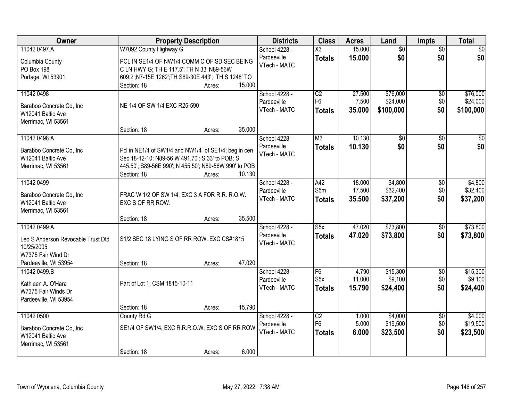| Owner                                         | <b>Property Description</b>                                                                             | <b>Districts</b> | <b>Class</b>                | <b>Acres</b>            | Land   | <b>Impts</b>    | <b>Total</b>    |                 |
|-----------------------------------------------|---------------------------------------------------------------------------------------------------------|------------------|-----------------------------|-------------------------|--------|-----------------|-----------------|-----------------|
| 11042 0497.A                                  | W7092 County Highway G                                                                                  |                  | School 4228 -               | $\overline{\text{X3}}$  | 15.000 | $\overline{50}$ | $\overline{50}$ | $\overline{30}$ |
| Columbia County                               | PCL IN SE1/4 OF NW1/4 COMM C OF SD SEC BEING                                                            |                  | Pardeeville<br>VTech - MATC | <b>Totals</b>           | 15.000 | \$0             | \$0             | \$0             |
| PO Box 198                                    | C LN HWY G; TH E 117.5'; TH N 33' N89-56W                                                               |                  |                             |                         |        |                 |                 |                 |
| Portage, WI 53901                             | 609.2'; N7-15E 1262'; TH S89-30E 443'; TH S 1248' TO                                                    |                  |                             |                         |        |                 |                 |                 |
|                                               | Section: 18<br>Acres:                                                                                   | 15.000           |                             |                         |        |                 |                 |                 |
| 11042 0498                                    |                                                                                                         |                  | School 4228 -               | $\overline{C2}$         | 27.500 | \$76,000        | \$0             | \$76,000        |
| Baraboo Concrete Co, Inc                      | NE 1/4 OF SW 1/4 EXC R25-590                                                                            |                  | Pardeeville                 | F <sub>6</sub>          | 7.500  | \$24,000        | \$0             | \$24,000        |
| W12041 Baltic Ave                             |                                                                                                         |                  | VTech - MATC                | <b>Totals</b>           | 35.000 | \$100,000       | \$0             | \$100,000       |
| Merrimac, WI 53561                            |                                                                                                         |                  |                             |                         |        |                 |                 |                 |
|                                               | Section: 18<br>Acres:                                                                                   | 35.000           |                             |                         |        |                 |                 |                 |
| 11042 0498.A                                  |                                                                                                         |                  | School 4228 -               | M3                      | 10.130 | \$0             | \$0             | \$0             |
|                                               |                                                                                                         |                  | Pardeeville                 | <b>Totals</b>           | 10.130 | \$0             | \$0             | \$0             |
| Baraboo Concrete Co, Inc<br>W12041 Baltic Ave | Pcl in NE1/4 of SW1/4 and NW1/4 of SE1/4; beg in cen<br>Sec 18-12-10; N89-56 W 491.70'; S 33' to POB; S |                  | VTech - MATC                |                         |        |                 |                 |                 |
| Merrimac, WI 53561                            | 445.50'; S89-56E 990'; N 455.50'; N89-56W 990' to POB                                                   |                  |                             |                         |        |                 |                 |                 |
|                                               | Section: 18<br>Acres:                                                                                   | 10.130           |                             |                         |        |                 |                 |                 |
| 11042 0499                                    |                                                                                                         |                  | School 4228 -               | A42                     | 18.000 | \$4,800         | \$0             | \$4,800         |
|                                               |                                                                                                         |                  | Pardeeville                 | S5m                     | 17.500 | \$32,400        | \$0             | \$32,400        |
| Baraboo Concrete Co, Inc                      | FRAC W 1/2 OF SW 1/4; EXC 3 A FOR R.R. R.O.W.                                                           |                  | VTech - MATC                | <b>Totals</b>           | 35.500 | \$37,200        | \$0             | \$37,200        |
| W12041 Baltic Ave                             | EXC S OF RR ROW.                                                                                        |                  |                             |                         |        |                 |                 |                 |
| Merrimac, WI 53561                            |                                                                                                         |                  |                             |                         |        |                 |                 |                 |
|                                               | Section: 18<br>Acres:                                                                                   | 35.500           |                             |                         |        |                 |                 |                 |
| 11042 0499.A                                  |                                                                                                         |                  | School 4228 -               | $\overline{\text{S5x}}$ | 47.020 | \$73,800        | $\overline{50}$ | \$73,800        |
| Leo S Anderson Revocable Trust Dtd            | S1/2 SEC 18 LYING S OF RR ROW. EXC CS#1815                                                              |                  | Pardeeville                 | <b>Totals</b>           | 47.020 | \$73,800        | \$0             | \$73,800        |
| 10/25/2005                                    |                                                                                                         |                  | VTech - MATC                |                         |        |                 |                 |                 |
| W7375 Fair Wind Dr                            |                                                                                                         |                  |                             |                         |        |                 |                 |                 |
| Pardeeville, WI 53954                         | Section: 18<br>Acres:                                                                                   | 47.020           |                             |                         |        |                 |                 |                 |
| 11042 0499.B                                  |                                                                                                         |                  | School 4228 -               | F6                      | 4.790  | \$15,300        | $\overline{50}$ | \$15,300        |
| Kathleen A. O'Hara                            | Part of Lot 1, CSM 1815-10-11                                                                           |                  | Pardeeville                 | S5x                     | 11.000 | \$9,100         | \$0             | \$9,100         |
| W7375 Fair Winds Dr                           |                                                                                                         |                  | VTech - MATC                | <b>Totals</b>           | 15.790 | \$24,400        | \$0             | \$24,400        |
| Pardeeville, WI 53954                         |                                                                                                         |                  |                             |                         |        |                 |                 |                 |
|                                               | Section: 18<br>Acres:                                                                                   | 15.790           |                             |                         |        |                 |                 |                 |
| 11042 0500                                    | County Rd G                                                                                             |                  | School 4228 -               | $\overline{C2}$         | 1.000  | \$4,000         | $\overline{50}$ | \$4,000         |
|                                               |                                                                                                         |                  | Pardeeville                 | F <sub>6</sub>          | 5.000  | \$19,500        | \$0             | \$19,500        |
| Baraboo Concrete Co, Inc                      | SE1/4 OF SW1/4, EXC R.R.R.O.W. EXC S OF RR ROW                                                          |                  | VTech - MATC                | <b>Totals</b>           | 6.000  | \$23,500        | \$0             | \$23,500        |
| W12041 Baltic Ave                             |                                                                                                         |                  |                             |                         |        |                 |                 |                 |
| Merrimac, WI 53561                            |                                                                                                         | 6.000            |                             |                         |        |                 |                 |                 |
|                                               | Section: 18<br>Acres:                                                                                   |                  |                             |                         |        |                 |                 |                 |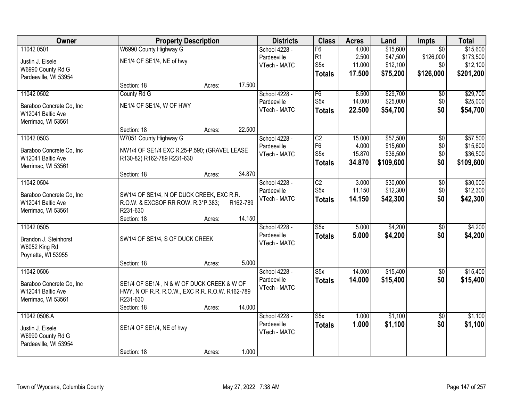| Owner                                         | <b>Property Description</b>                                                                   |        | <b>Districts</b> | <b>Class</b>  | <b>Acres</b>            | Land   | Impts     | <b>Total</b>    |           |
|-----------------------------------------------|-----------------------------------------------------------------------------------------------|--------|------------------|---------------|-------------------------|--------|-----------|-----------------|-----------|
| 11042 0501                                    | W6990 County Highway G                                                                        |        |                  | School 4228 - | F6                      | 4.000  | \$15,600  | $\overline{50}$ | \$15,600  |
| Justin J. Eisele                              | NE1/4 OF SE1/4, NE of hwy                                                                     |        |                  | Pardeeville   | R <sub>1</sub>          | 2.500  | \$47,500  | \$126,000       | \$173,500 |
| W6990 County Rd G                             |                                                                                               |        |                  | VTech - MATC  | S <sub>5</sub> x        | 11.000 | \$12,100  | \$0             | \$12,100  |
| Pardeeville, WI 53954                         |                                                                                               |        |                  |               | <b>Totals</b>           | 17.500 | \$75,200  | \$126,000       | \$201,200 |
|                                               | Section: 18                                                                                   | Acres: | 17.500           |               |                         |        |           |                 |           |
| 11042 0502                                    | County Rd G                                                                                   |        |                  | School 4228 - | F6                      | 8.500  | \$29,700  | \$0             | \$29,700  |
| Baraboo Concrete Co, Inc                      | NE1/4 OF SE1/4, W OF HWY                                                                      |        |                  | Pardeeville   | S5x                     | 14.000 | \$25,000  | \$0             | \$25,000  |
| W12041 Baltic Ave                             |                                                                                               |        |                  | VTech - MATC  | <b>Totals</b>           | 22.500 | \$54,700  | \$0             | \$54,700  |
| Merrimac, WI 53561                            |                                                                                               |        |                  |               |                         |        |           |                 |           |
|                                               | Section: 18                                                                                   | Acres: | 22.500           |               |                         |        |           |                 |           |
| 11042 0503                                    | W7051 County Highway G                                                                        |        |                  | School 4228 - | C2                      | 15.000 | \$57,500  | \$0             | \$57,500  |
| Baraboo Concrete Co, Inc                      | NW1/4 OF SE1/4 EXC R.25-P.590; (GRAVEL LEASE                                                  |        |                  | Pardeeville   | F <sub>6</sub>          | 4.000  | \$15,600  | \$0             | \$15,600  |
| W12041 Baltic Ave                             | R130-82) R162-789 R231-630                                                                    |        |                  | VTech - MATC  | S <sub>5</sub> x        | 15.870 | \$36,500  | \$0             | \$36,500  |
| Merrimac, WI 53561                            |                                                                                               |        |                  |               | <b>Totals</b>           | 34.870 | \$109,600 | \$0             | \$109,600 |
|                                               | Section: 18                                                                                   | Acres: | 34.870           |               |                         |        |           |                 |           |
| 11042 0504                                    |                                                                                               |        |                  | School 4228 - | C2                      | 3.000  | \$30,000  | \$0             | \$30,000  |
| Baraboo Concrete Co, Inc                      | SW1/4 OF SE1/4, N OF DUCK CREEK, EXC R.R.                                                     |        |                  | Pardeeville   | S <sub>5</sub> x        | 11.150 | \$12,300  | \$0             | \$12,300  |
| W12041 Baltic Ave                             | R.O.W. & EXCSOF RR ROW. R.3*P.383;                                                            |        | R162-789         | VTech - MATC  | <b>Totals</b>           | 14.150 | \$42,300  | \$0             | \$42,300  |
| Merrimac, WI 53561                            | R231-630                                                                                      |        |                  |               |                         |        |           |                 |           |
|                                               | Section: 18                                                                                   | Acres: | 14.150           |               |                         |        |           |                 |           |
| 11042 0505                                    |                                                                                               |        |                  | School 4228 - | $\overline{\text{S5x}}$ | 5.000  | \$4,200   | $\overline{50}$ | \$4,200   |
|                                               | SW1/4 OF SE1/4, S OF DUCK CREEK                                                               |        |                  | Pardeeville   | <b>Totals</b>           | 5.000  | \$4,200   | \$0             | \$4,200   |
| Brandon J. Steinhorst<br>W6052 King Rd        |                                                                                               |        |                  | VTech - MATC  |                         |        |           |                 |           |
| Poynette, WI 53955                            |                                                                                               |        |                  |               |                         |        |           |                 |           |
|                                               | Section: 18                                                                                   | Acres: | 5.000            |               |                         |        |           |                 |           |
| 11042 0506                                    |                                                                                               |        |                  | School 4228 - | S5x                     | 14.000 | \$15,400  | $\overline{50}$ | \$15,400  |
|                                               |                                                                                               |        |                  | Pardeeville   | <b>Totals</b>           | 14.000 | \$15,400  | \$0             | \$15,400  |
| Baraboo Concrete Co, Inc<br>W12041 Baltic Ave | SE1/4 OF SE1/4, N & W OF DUCK CREEK & W OF<br>HWY, N OF R.R. R.O.W., EXC R.R. R.O.W. R162-789 |        |                  | VTech - MATC  |                         |        |           |                 |           |
| Merrimac, WI 53561                            | R231-630                                                                                      |        |                  |               |                         |        |           |                 |           |
|                                               | Section: 18                                                                                   | Acres: | 14.000           |               |                         |        |           |                 |           |
| 11042 0506.A                                  |                                                                                               |        |                  | School 4228 - | S5x                     | 1.000  | \$1,100   | $\overline{50}$ | \$1,100   |
|                                               |                                                                                               |        |                  | Pardeeville   | <b>Totals</b>           | 1.000  | \$1,100   | \$0             | \$1,100   |
| Justin J. Eisele<br>W6990 County Rd G         | SE1/4 OF SE1/4, NE of hwy                                                                     |        |                  | VTech - MATC  |                         |        |           |                 |           |
| Pardeeville, WI 53954                         |                                                                                               |        |                  |               |                         |        |           |                 |           |
|                                               | Section: 18                                                                                   | Acres: | 1.000            |               |                         |        |           |                 |           |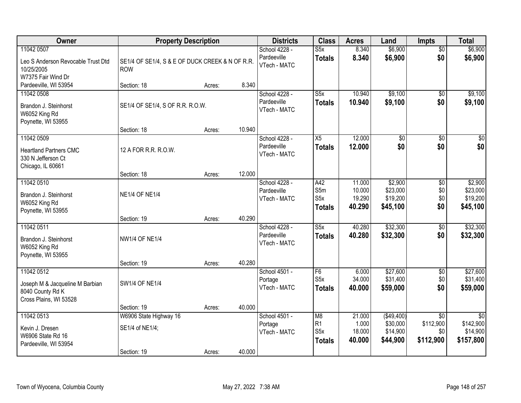| Owner                                                                                       | <b>Property Description</b>                                   |        |        | <b>Districts</b>                             | <b>Class</b>                                    | <b>Acres</b>                         | Land                                           | <b>Impts</b>                                     | <b>Total</b>                                          |
|---------------------------------------------------------------------------------------------|---------------------------------------------------------------|--------|--------|----------------------------------------------|-------------------------------------------------|--------------------------------------|------------------------------------------------|--------------------------------------------------|-------------------------------------------------------|
| 11042 0507<br>Leo S Anderson Revocable Trust Dtd<br>10/25/2005<br>W7375 Fair Wind Dr        | SE1/4 OF SE1/4, S & E OF DUCK CREEK & N OF R.R.<br><b>ROW</b> |        |        | School 4228 -<br>Pardeeville<br>VTech - MATC | S5x<br><b>Totals</b>                            | 8.340<br>8.340                       | \$6,900<br>\$6,900                             | $\overline{50}$<br>\$0                           | \$6,900<br>\$6,900                                    |
| Pardeeville, WI 53954                                                                       | Section: 18                                                   | Acres: | 8.340  |                                              |                                                 |                                      |                                                |                                                  |                                                       |
| 11042 0508<br>Brandon J. Steinhorst<br>W6052 King Rd<br>Poynette, WI 53955                  | SE1/4 OF SE1/4, S OF R.R. R.O.W.                              |        |        | School 4228 -<br>Pardeeville<br>VTech - MATC | $\overline{\text{S5x}}$<br><b>Totals</b>        | 10.940<br>10.940                     | \$9,100<br>\$9,100                             | \$0<br>\$0                                       | \$9,100<br>\$9,100                                    |
| 11042 0509                                                                                  | Section: 18                                                   | Acres: | 10.940 | School 4228 -                                | $\overline{X5}$                                 | 12.000                               | $\overline{50}$                                | $\overline{50}$                                  | $\overline{30}$                                       |
| <b>Heartland Partners CMC</b><br>330 N Jefferson Ct<br>Chicago, IL 60661                    | 12 A FOR R.R. R.O.W.                                          |        |        | Pardeeville<br>VTech - MATC                  | <b>Totals</b>                                   | 12.000                               | \$0                                            | \$0                                              | \$0                                                   |
|                                                                                             | Section: 18                                                   | Acres: | 12.000 |                                              |                                                 |                                      |                                                |                                                  |                                                       |
| 11042 0510<br>Brandon J. Steinhorst<br>W6052 King Rd<br>Poynette, WI 53955                  | <b>NE1/4 OF NE1/4</b>                                         |        |        | School 4228 -<br>Pardeeville<br>VTech - MATC | A42<br>S5m<br>S <sub>5</sub> x<br><b>Totals</b> | 11.000<br>10.000<br>19.290<br>40.290 | \$2,900<br>\$23,000<br>\$19,200<br>\$45,100    | \$0<br>\$0<br>\$0<br>\$0                         | \$2,900<br>\$23,000<br>\$19,200<br>\$45,100           |
|                                                                                             | Section: 19                                                   | Acres: | 40.290 |                                              |                                                 |                                      |                                                |                                                  |                                                       |
| 11042 0511<br>Brandon J. Steinhorst<br>W6052 King Rd<br>Poynette, WI 53955                  | <b>NW1/4 OF NE1/4</b>                                         |        |        | School 4228 -<br>Pardeeville<br>VTech - MATC | $\overline{\text{S5x}}$<br><b>Totals</b>        | 40.280<br>40.280                     | \$32,300<br>\$32,300                           | $\overline{50}$<br>\$0                           | \$32,300<br>\$32,300                                  |
|                                                                                             | Section: 19                                                   | Acres: | 40.280 |                                              |                                                 |                                      |                                                |                                                  |                                                       |
| 11042 0512<br>Joseph M & Jacqueline M Barbian<br>8040 County Rd K<br>Cross Plains, WI 53528 | <b>SW1/4 OF NE1/4</b>                                         |        |        | School 4501 -<br>Portage<br>VTech - MATC     | F <sub>6</sub><br>S5x<br><b>Totals</b>          | 6.000<br>34.000<br>40.000            | \$27,600<br>\$31,400<br>\$59,000               | $\sqrt{6}$<br>\$0<br>\$0                         | \$27,600<br>\$31,400<br>\$59,000                      |
|                                                                                             | Section: 19                                                   | Acres: | 40.000 |                                              |                                                 |                                      |                                                |                                                  |                                                       |
| 11042 0513<br>Kevin J. Dresen<br>W6906 State Rd 16<br>Pardeeville, WI 53954                 | W6906 State Highway 16<br>SE1/4 of NE1/4;<br>Section: 19      | Acres: | 40.000 | School 4501 -<br>Portage<br>VTech - MATC     | M <sub>8</sub><br> R1<br>S5x<br><b>Totals</b>   | 21.000<br>1.000<br>18.000<br>40.000  | (\$49,400)<br>\$30,000<br>\$14,900<br>\$44,900 | $\overline{50}$<br>\$112,900<br>\$0<br>\$112,900 | $\overline{50}$<br>\$142,900<br>\$14,900<br>\$157,800 |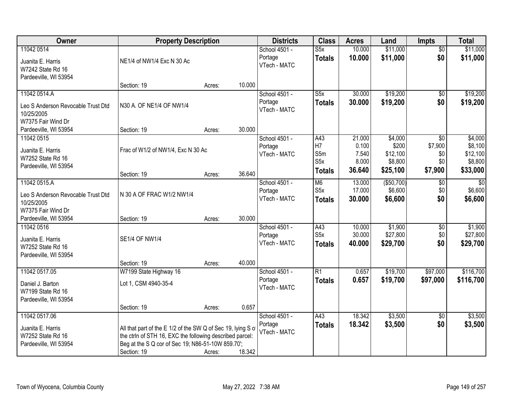| Owner                                                                                  | <b>Property Description</b>                                                                                                                                                                  |        |        | <b>Districts</b>                         | <b>Class</b>                                        | <b>Acres</b>                                | Land                                                | <b>Impts</b>                                        | <b>Total</b>                                          |
|----------------------------------------------------------------------------------------|----------------------------------------------------------------------------------------------------------------------------------------------------------------------------------------------|--------|--------|------------------------------------------|-----------------------------------------------------|---------------------------------------------|-----------------------------------------------------|-----------------------------------------------------|-------------------------------------------------------|
| 11042 0514<br>Juanita E. Harris<br>W7242 State Rd 16<br>Pardeeville, WI 53954          | NE1/4 of NW1/4 Exc N 30 Ac                                                                                                                                                                   |        |        | School 4501 -<br>Portage<br>VTech - MATC | S5x<br><b>Totals</b>                                | 10.000<br>10.000                            | \$11,000<br>\$11,000                                | $\overline{50}$<br>\$0                              | \$11,000<br>\$11,000                                  |
|                                                                                        | Section: 19                                                                                                                                                                                  | Acres: | 10.000 |                                          |                                                     |                                             |                                                     |                                                     |                                                       |
| 11042 0514.A<br>Leo S Anderson Revocable Trust Dtd<br>10/25/2005<br>W7375 Fair Wind Dr | N30 A. OF NE1/4 OF NW1/4                                                                                                                                                                     |        |        | School 4501 -<br>Portage<br>VTech - MATC | $\overline{\text{S5x}}$<br><b>Totals</b>            | 30.000<br>30.000                            | \$19,200<br>\$19,200                                | \$0<br>\$0                                          | \$19,200<br>\$19,200                                  |
| Pardeeville, WI 53954                                                                  | Section: 19                                                                                                                                                                                  | Acres: | 30.000 |                                          |                                                     |                                             |                                                     |                                                     |                                                       |
| 11042 0515<br>Juanita E. Harris<br>W7252 State Rd 16<br>Pardeeville, WI 53954          | Frac of W1/2 of NW1/4, Exc N 30 Ac                                                                                                                                                           |        |        | School 4501 -<br>Portage<br>VTech - MATC | A43<br>H7<br>S5m<br>S5x<br><b>Totals</b>            | 21.000<br>0.100<br>7.540<br>8.000<br>36.640 | \$4,000<br>\$200<br>\$12,100<br>\$8,800<br>\$25,100 | $\overline{50}$<br>\$7,900<br>\$0<br>\$0<br>\$7,900 | \$4,000<br>\$8,100<br>\$12,100<br>\$8,800<br>\$33,000 |
|                                                                                        | Section: 19                                                                                                                                                                                  | Acres: | 36.640 |                                          |                                                     |                                             |                                                     |                                                     |                                                       |
| 11042 0515.A<br>Leo S Anderson Revocable Trust Dtd<br>10/25/2005<br>W7375 Fair Wind Dr | N 30 A OF FRAC W1/2 NW1/4                                                                                                                                                                    |        |        | School 4501 -<br>Portage<br>VTech - MATC | M <sub>6</sub><br>S <sub>5</sub> x<br><b>Totals</b> | 13.000<br>17.000<br>30.000                  | (\$50,700)<br>\$6,600<br>\$6,600                    | \$0<br>\$0<br>\$0                                   | \$0<br>\$6,600<br>\$6,600                             |
| Pardeeville, WI 53954                                                                  | Section: 19                                                                                                                                                                                  | Acres: | 30.000 |                                          |                                                     |                                             |                                                     |                                                     |                                                       |
| 11042 0516<br>Juanita E. Harris<br>W7252 State Rd 16<br>Pardeeville, WI 53954          | <b>SE1/4 OF NW1/4</b>                                                                                                                                                                        |        |        | School 4501 -<br>Portage<br>VTech - MATC | A43<br>S5x<br><b>Totals</b>                         | 10.000<br>30.000<br>40.000                  | \$1,900<br>\$27,800<br>\$29,700                     | $\overline{50}$<br>\$0<br>\$0                       | \$1,900<br>\$27,800<br>\$29,700                       |
| 11042 0517.05                                                                          | Section: 19<br>W7199 State Highway 16                                                                                                                                                        | Acres: | 40.000 | School 4501 -                            | $\overline{R1}$                                     | 0.657                                       | \$19,700                                            | \$97,000                                            | \$116,700                                             |
| Daniel J. Barton<br>W7199 State Rd 16<br>Pardeeville, WI 53954                         | Lot 1, CSM 4940-35-4                                                                                                                                                                         |        |        | Portage<br>VTech - MATC                  | <b>Totals</b>                                       | 0.657                                       | \$19,700                                            | \$97,000                                            | \$116,700                                             |
|                                                                                        | Section: 19                                                                                                                                                                                  | Acres: | 0.657  |                                          |                                                     |                                             |                                                     |                                                     |                                                       |
| 11042 0517.06<br>Juanita E. Harris<br>W7252 State Rd 16<br>Pardeeville, WI 53954       | All that part of the E 1/2 of the SW Q of Sec 19, lying S of<br>the ctrln of STH 16, EXC the following described parcel:<br>Beg at the S Q cor of Sec 19; N86-51-10W 859.70';<br>Section: 19 | Acres: | 18.342 | School 4501 -<br>Portage<br>VTech - MATC | A43<br><b>Totals</b>                                | 18.342<br>18.342                            | \$3,500<br>\$3,500                                  | $\sqrt{6}$<br>\$0                                   | \$3,500<br>\$3,500                                    |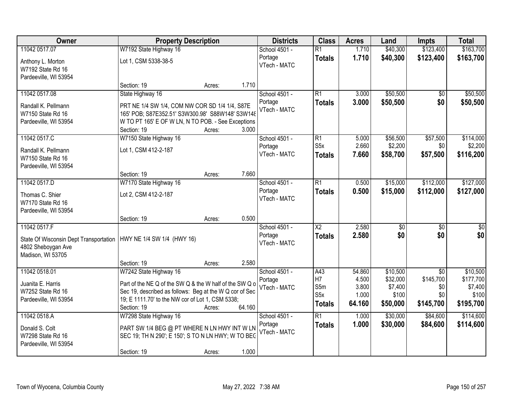| Owner                                                                                                                          | <b>Property Description</b>                                                                                                                                                                                     |        |        | <b>Districts</b>                         | <b>Class</b>                                  | <b>Acres</b>                                | Land                                                 | <b>Impts</b>                                            | <b>Total</b>                                           |
|--------------------------------------------------------------------------------------------------------------------------------|-----------------------------------------------------------------------------------------------------------------------------------------------------------------------------------------------------------------|--------|--------|------------------------------------------|-----------------------------------------------|---------------------------------------------|------------------------------------------------------|---------------------------------------------------------|--------------------------------------------------------|
| 11042 0517.07                                                                                                                  | W7192 State Highway 16                                                                                                                                                                                          |        |        | School 4501 -                            | $\overline{R1}$                               | 1.710                                       | \$40,300                                             | \$123,400                                               | \$163,700                                              |
| Anthony L. Morton<br>W7192 State Rd 16<br>Pardeeville, WI 53954                                                                | Lot 1, CSM 5338-38-5                                                                                                                                                                                            |        |        | Portage<br>VTech - MATC                  | <b>Totals</b>                                 | 1.710                                       | \$40,300                                             | \$123,400                                               | \$163,700                                              |
|                                                                                                                                | Section: 19                                                                                                                                                                                                     | Acres: | 1.710  |                                          |                                               |                                             |                                                      |                                                         |                                                        |
| 11042 0517.08<br>Randall K. Pellmann<br>W7150 State Rd 16<br>Pardeeville, WI 53954                                             | State Highway 16<br>PRT NE 1/4 SW 1/4, COM NW COR SD 1/4 1/4, S87E<br>165' POB; S87E352.51' S3W300.98' S88W148' S3W148<br>W TO PT 165' E OF W LN, N TO POB. - See Exceptions<br>Section: 19                     | Acres: | 3.000  | School 4501 -<br>Portage<br>VTech - MATC | $\overline{R1}$<br><b>Totals</b>              | 3.000<br>3.000                              | \$50,500<br>\$50,500                                 | $\overline{50}$<br>\$0                                  | \$50,500<br>\$50,500                                   |
| 11042 0517.C<br>Randall K. Pellmann<br>W7150 State Rd 16<br>Pardeeville, WI 53954                                              | W7150 State Highway 16<br>Lot 1, CSM 412-2-187                                                                                                                                                                  |        |        | School 4501 -<br>Portage<br>VTech - MATC | R1<br>S <sub>5</sub> x<br><b>Totals</b>       | 5.000<br>2.660<br>7.660                     | \$56,500<br>\$2,200<br>\$58,700                      | \$57,500<br>\$0<br>\$57,500                             | \$114,000<br>\$2,200<br>\$116,200                      |
| 11042 0517.D                                                                                                                   | Section: 19<br>W7170 State Highway 16                                                                                                                                                                           | Acres: | 7.660  | School 4501 -                            | R1                                            | 0.500                                       | \$15,000                                             | \$112,000                                               | \$127,000                                              |
| Thomas C. Shier<br>W7170 State Rd 16<br>Pardeeville, WI 53954                                                                  | Lot 2, CSM 412-2-187                                                                                                                                                                                            |        |        | Portage<br>VTech - MATC                  | <b>Totals</b>                                 | 0.500                                       | \$15,000                                             | \$112,000                                               | \$127,000                                              |
|                                                                                                                                | Section: 19                                                                                                                                                                                                     | Acres: | 0.500  |                                          |                                               |                                             |                                                      |                                                         |                                                        |
| 11042 0517.F<br>State Of Wisconsin Dept Transportation   HWY NE 1/4 SW 1/4 (HWY 16)<br>4802 Sheboygan Ave<br>Madison, WI 53705 |                                                                                                                                                                                                                 |        |        | School 4501 -<br>Portage<br>VTech - MATC | $\overline{\text{X2}}$<br><b>Totals</b>       | 2.580<br>2.580                              | $\overline{50}$<br>\$0                               | $\overline{30}$<br>\$0                                  | $\overline{\$0}$<br>\$0                                |
|                                                                                                                                | Section: 19                                                                                                                                                                                                     | Acres: | 2.580  |                                          |                                               |                                             |                                                      |                                                         |                                                        |
| 11042 0518.01<br>Juanita E. Harris<br>W7252 State Rd 16<br>Pardeeville, WI 53954                                               | W7242 State Highway 16<br>Part of the NE Q of the SW Q & the W half of the SW Q o<br>Sec 19, described as follows: Beg at the W Q cor of Sec<br>19; E 1111.70' to the NW cor of Lot 1, CSM 5338;<br>Section: 19 | Acres: | 64.160 | School 4501 -<br>Portage<br>VTech - MATC | A43<br>H <sub>7</sub><br>S5m<br>S5x<br>Totals | 54.860<br>4.500<br>3.800<br>1.000<br>64.160 | \$10,500<br>\$32,000<br>\$7,400<br>\$100<br>\$50,000 | $\overline{30}$<br>\$145,700<br>\$0<br>\$0<br>\$145,700 | \$10,500<br>\$177,700<br>\$7,400<br>\$100<br>\$195,700 |
| 11042 0518.A<br>Donald S. Colt<br>W7298 State Rd 16<br>Pardeeville, WI 53954                                                   | W7298 State Highway 16<br>PART SW 1/4 BEG @ PT WHERE N LN HWY INT W LN<br>SEC 19; TH N 290'; E 150'; S TO N LN HWY; W TO BEC<br>Section: 19                                                                     | Acres: | 1.000  | School 4501 -<br>Portage<br>VTech - MATC | $\overline{R1}$<br><b>Totals</b>              | 1.000<br>1.000                              | \$30,000<br>\$30,000                                 | \$84,600<br>\$84,600                                    | \$114,600<br>\$114,600                                 |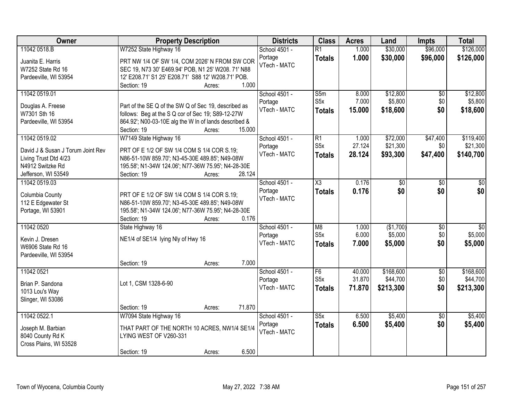| Owner                                | <b>Property Description</b>                                  | <b>Districts</b>        | <b>Class</b>     | <b>Acres</b> | Land       | <b>Impts</b>    | <b>Total</b>    |
|--------------------------------------|--------------------------------------------------------------|-------------------------|------------------|--------------|------------|-----------------|-----------------|
| 11042 0518.B                         | W7252 State Highway 16                                       | School 4501 -           | $\overline{R1}$  | 1.000        | \$30,000   | \$96,000        | \$126,000       |
| Juanita E. Harris                    | PRT NW 1/4 OF SW 1/4, COM 2026' N FROM SW COR                | Portage                 | <b>Totals</b>    | 1.000        | \$30,000   | \$96,000        | \$126,000       |
| W7252 State Rd 16                    | SEC 19, N73 30' E469.94' POB, N1 25' W208. 71' N88           | VTech - MATC            |                  |              |            |                 |                 |
| Pardeeville, WI 53954                | 12' E208.71' S1 25' E208.71' S88 12' W208.71' POB.           |                         |                  |              |            |                 |                 |
|                                      | 1.000<br>Section: 19<br>Acres:                               |                         |                  |              |            |                 |                 |
| 11042 0519.01                        |                                                              | School 4501 -           | S5m              | 8.000        | \$12,800   | $\overline{50}$ | \$12,800        |
|                                      | Part of the SE Q of the SW Q of Sec 19, described as         | Portage                 | S5x              | 7.000        | \$5,800    | \$0             | \$5,800         |
| Douglas A. Freese<br>W7301 Sth 16    | follows: Beg at the S Q cor of Sec 19; S89-12-27W            | VTech - MATC            | <b>Totals</b>    | 15.000       | \$18,600   | \$0             | \$18,600        |
| Pardeeville, WI 53954                | 864.92'; N00-03-10E alg the W In of lands described &        |                         |                  |              |            |                 |                 |
|                                      | 15.000<br>Section: 19<br>Acres:                              |                         |                  |              |            |                 |                 |
| 11042 0519.02                        | W7149 State Highway 16                                       | School 4501 -           | $\overline{R1}$  | 1.000        | \$72,000   | \$47,400        | \$119,400       |
|                                      |                                                              | Portage                 | S <sub>5</sub> x | 27.124       | \$21,300   | \$0             | \$21,300        |
| David J & Susan J Torum Joint Rev    | PRT OF E 1/2 OF SW 1/4 COM S 1/4 COR S.19;                   | VTech - MATC            | <b>Totals</b>    | 28.124       | \$93,300   | \$47,400        | \$140,700       |
| Living Trust Dtd 4/23                | N86-51-10W 859.70'; N3-45-30E 489.85'; N49-08W               |                         |                  |              |            |                 |                 |
| N4912 Switzke Rd                     | 195.58'; N1-34W 124.06'; N77-36W 75.95'; N4-28-30E<br>28.124 |                         |                  |              |            |                 |                 |
| Jefferson, WI 53549<br>11042 0519.03 | Section: 19<br>Acres:                                        | School 4501 -           | X3               | 0.176        |            |                 |                 |
|                                      |                                                              |                         |                  |              | \$0<br>\$0 | \$0<br>\$0      | \$0             |
| Columbia County                      | PRT OF E 1/2 OF SW 1/4 COM S 1/4 COR S.19;                   | Portage<br>VTech - MATC | <b>Totals</b>    | 0.176        |            |                 | \$0             |
| 112 E Edgewater St                   | N86-51-10W 859.70'; N3-45-30E 489.85'; N49-08W               |                         |                  |              |            |                 |                 |
| Portage, WI 53901                    | 195.58'; N1-34W 124.06'; N77-36W 75.95'; N4-28-30E           |                         |                  |              |            |                 |                 |
|                                      | Section: 19<br>0.176<br>Acres:                               |                         |                  |              |            |                 |                 |
| 11042 0520                           | State Highway 16                                             | School 4501 -           | M8               | 1.000        | (\$1,700)  | $\overline{50}$ | $\overline{50}$ |
| Kevin J. Dresen                      | NE1/4 of SE1/4 lying Nly of Hwy 16                           | Portage                 | S5x              | 6.000        | \$5,000    | \$0             | \$5,000         |
| W6906 State Rd 16                    |                                                              | VTech - MATC            | <b>Totals</b>    | 7.000        | \$5,000    | \$0             | \$5,000         |
| Pardeeville, WI 53954                |                                                              |                         |                  |              |            |                 |                 |
|                                      | 7.000<br>Section: 19<br>Acres:                               |                         |                  |              |            |                 |                 |
| 11042 0521                           |                                                              | School 4501 -           | F6               | 40.000       | \$168,600  | $\overline{60}$ | \$168,600       |
|                                      |                                                              | Portage                 | S <sub>5</sub> x | 31.870       | \$44,700   | \$0             | \$44,700        |
| Brian P. Sandona                     | Lot 1, CSM 1328-6-90                                         | VTech - MATC            | <b>Totals</b>    | 71.870       | \$213,300  | \$0             | \$213,300       |
| 1013 Lou's Way<br>Slinger, WI 53086  |                                                              |                         |                  |              |            |                 |                 |
|                                      | 71.870<br>Section: 19<br>Acres:                              |                         |                  |              |            |                 |                 |
| 11042 0522.1                         | W7094 State Highway 16                                       | School 4501 -           | S5x              | 6.500        | \$5,400    | $\overline{50}$ | \$5,400         |
|                                      |                                                              | Portage                 | <b>Totals</b>    | 6.500        | \$5,400    | \$0             | \$5,400         |
| Joseph M. Barbian                    | THAT PART OF THE NORTH 10 ACRES, NW1/4 SE1/4                 | VTech - MATC            |                  |              |            |                 |                 |
| 8040 County Rd K                     | LYING WEST OF V260-331                                       |                         |                  |              |            |                 |                 |
| Cross Plains, WI 53528               |                                                              |                         |                  |              |            |                 |                 |
|                                      | 6.500<br>Section: 19<br>Acres:                               |                         |                  |              |            |                 |                 |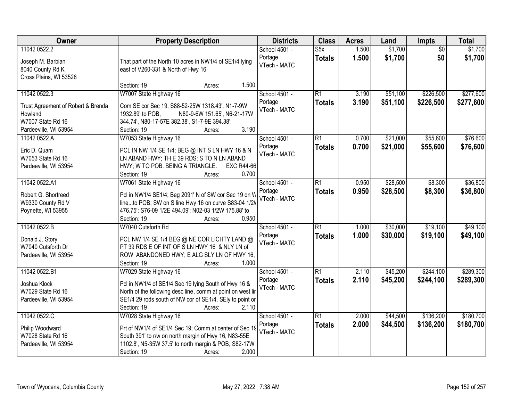| Owner                                                                              | <b>Property Description</b>                                                                                                                                                                                                                 | <b>Districts</b>                         | <b>Class</b>                     | <b>Acres</b>   | Land                 | Impts                  | <b>Total</b>           |
|------------------------------------------------------------------------------------|---------------------------------------------------------------------------------------------------------------------------------------------------------------------------------------------------------------------------------------------|------------------------------------------|----------------------------------|----------------|----------------------|------------------------|------------------------|
| 11042 0522.2<br>Joseph M. Barbian<br>8040 County Rd K<br>Cross Plains, WI 53528    | That part of the North 10 acres in NW1/4 of SE1/4 lying<br>east of V260-331 & North of Hwy 16                                                                                                                                               | School 4501 -<br>Portage<br>VTech - MATC | S5x<br><b>Totals</b>             | 1.500<br>1.500 | \$1,700<br>\$1,700   | $\overline{50}$<br>\$0 | \$1,700<br>\$1,700     |
|                                                                                    | Section: 19<br>1.500<br>Acres:                                                                                                                                                                                                              |                                          |                                  |                |                      |                        |                        |
| 11042 0522.3<br>Trust Agreement of Robert & Brenda<br>Howland<br>W7007 State Rd 16 | W7007 State Highway 16<br>Com SE cor Sec 19, S88-52-25W 1318.43', N1-7-9W<br>1932.89' to POB,<br>N80-9-6W 151.65', N6-21-17W<br>344.74', N80-17-57E 382.38', S1-7-9E 394.38',                                                               | School 4501 -<br>Portage<br>VTech - MATC | $\overline{R1}$<br><b>Totals</b> | 3.190<br>3.190 | \$51,100<br>\$51,100 | \$226,500<br>\$226,500 | \$277,600<br>\$277,600 |
| Pardeeville, WI 53954                                                              | 3.190<br>Section: 19<br>Acres:                                                                                                                                                                                                              |                                          |                                  |                |                      |                        |                        |
| 11042 0522.A<br>Eric D. Quam<br>W7053 State Rd 16<br>Pardeeville, WI 53954         | W7053 State Highway 16<br>PCL IN NW 1/4 SE 1/4; BEG @ INT S LN HWY 16 & N<br>LN ABAND HWY; TH E 39 RDS; S TO N LN ABAND<br>HWY; W TO POB. BEING A TRIANGLE.<br><b>EXC R44-66</b><br>Section: 19<br>0.700<br>Acres:                          | School 4501 -<br>Portage<br>VTech - MATC | $\overline{R1}$<br><b>Totals</b> | 0.700<br>0.700 | \$21,000<br>\$21,000 | \$55,600<br>\$55,600   | \$76,600<br>\$76,600   |
| 11042 0522.A1                                                                      | W7061 State Highway 16                                                                                                                                                                                                                      | School 4501 -                            | $\overline{R1}$                  | 0.950          | \$28,500             | \$8,300                | \$36,800               |
| Robert G. Shortreed<br>W9330 County Rd V<br>Poynette, WI 53955                     | Pcl in NW1/4 SE1/4; Beg 2091' N of SW cor Sec 19 on W<br>lineto POB; SW on S line Hwy 16 on curve S83-04 1/2V<br>476.75'; S76-09 1/2E 494.09'; N02-03 1/2W 175.88' to<br>0.950<br>Section: 19<br>Acres:                                     | Portage<br>VTech - MATC                  | <b>Totals</b>                    | 0.950          | \$28,500             | \$8,300                | \$36,800               |
| 11042 0522.B<br>Donald J. Story<br>W7040 Cutsforth Dr<br>Pardeeville, WI 53954     | W7040 Cutsforth Rd<br>PCL NW 1/4 SE 1/4 BEG @ NE COR LICHTY LAND @<br>PT 39 RDS E OF INT OF S LN HWY 16 & NLY LN of<br>ROW ABANDONED HWY; E ALG SLY LN OF HWY 16,<br>Section: 19<br>1.000<br>Acres:                                         | School 4501 -<br>Portage<br>VTech - MATC | $\overline{R1}$<br><b>Totals</b> | 1.000<br>1.000 | \$30,000<br>\$30,000 | \$19,100<br>\$19,100   | \$49,100<br>\$49,100   |
| 11042 0522.B1<br>Joshua Klock<br>W7029 State Rd 16<br>Pardeeville, WI 53954        | W7029 State Highway 16<br>Pcl in NW1/4 of SE1/4 Sec 19 lying South of Hwy 16 &<br>North of the following desc line, comm at point on west lir<br>SE1/4 29 rods south of NW cor of SE1/4, SEly to point or<br>2.110<br>Section: 19<br>Acres: | School 4501 -<br>Portage<br>VTech - MATC | $\overline{R1}$<br><b>Totals</b> | 2.110<br>2.110 | \$45,200<br>\$45,200 | \$244,100<br>\$244,100 | \$289,300<br>\$289,300 |
| 11042 0522.C<br>Philip Woodward<br>W7028 State Rd 16<br>Pardeeville, WI 53954      | W7028 State Highway 16<br>Prt of NW1/4 of SE1/4 Sec 19; Comm at center of Sec 19<br>South 391' to r/w on north margin of Hwy 16, N83-55E<br>1102.8', N5-35W 37.5' to north margin & POB, S82-17W<br>2.000<br>Section: 19<br>Acres:          | School 4501 -<br>Portage<br>VTech - MATC | $\overline{R1}$<br><b>Totals</b> | 2.000<br>2.000 | \$44,500<br>\$44,500 | \$136,200<br>\$136,200 | \$180,700<br>\$180,700 |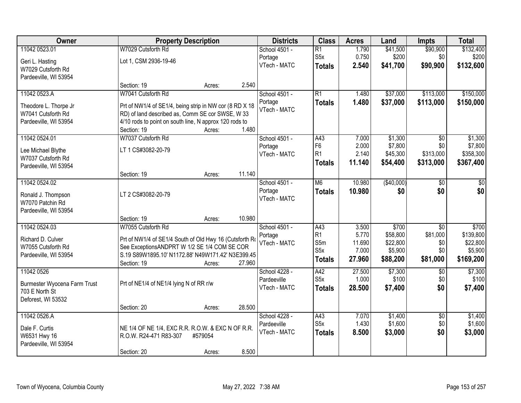| Owner                        | <b>Property Description</b>                              |         |        | <b>Districts</b>             | <b>Class</b>                     | <b>Acres</b>    | Land                 | <b>Impts</b>           | <b>Total</b>          |
|------------------------------|----------------------------------------------------------|---------|--------|------------------------------|----------------------------------|-----------------|----------------------|------------------------|-----------------------|
| 11042 0523.01                | W7029 Cutsforth Rd                                       |         |        | School 4501 -                | $\overline{R1}$                  | 1.790           | \$41,500             | \$90,900               | \$132,400             |
| Geri L. Hasting              | Lot 1, CSM 2936-19-46                                    |         |        | Portage                      | S <sub>5</sub> x                 | 0.750           | \$200                | \$0                    | \$200                 |
| W7029 Cutsforth Rd           |                                                          |         |        | VTech - MATC                 | <b>Totals</b>                    | 2.540           | \$41,700             | \$90,900               | \$132,600             |
| Pardeeville, WI 53954        |                                                          |         |        |                              |                                  |                 |                      |                        |                       |
|                              | Section: 19                                              | Acres:  | 2.540  |                              |                                  |                 |                      |                        |                       |
| 11042 0523.A                 | W7041 Cutsforth Rd                                       |         |        | School 4501 -                | $\overline{R1}$                  | 1.480           | \$37,000             | \$113,000              | \$150,000             |
| Theodore L. Thorpe Jr        | Prt of NW1/4 of SE1/4, being strip in NW cor (8 RD X 18) |         |        | Portage                      | <b>Totals</b>                    | 1.480           | \$37,000             | \$113,000              | \$150,000             |
| W7041 Cutsforth Rd           | RD) of land described as, Comm SE cor SWSE, W 33         |         |        | VTech - MATC                 |                                  |                 |                      |                        |                       |
| Pardeeville, WI 53954        | 4/10 rods to point on south line, N approx 120 rods to   |         |        |                              |                                  |                 |                      |                        |                       |
|                              | Section: 19                                              | Acres:  | 1.480  |                              |                                  |                 |                      |                        |                       |
| 11042 0524.01                | W7037 Cutsforth Rd                                       |         |        | School 4501 -                | A43                              | 7.000           | \$1,300              | $\overline{50}$        | \$1,300               |
| Lee Michael Blythe           | LT 1 CS#3082-20-79                                       |         |        | Portage<br>VTech - MATC      | F <sub>6</sub><br>R <sub>1</sub> | 2.000<br>2.140  | \$7,800<br>\$45,300  | \$0<br>\$313,000       | \$7,800<br>\$358,300  |
| W7037 Cutsforth Rd           |                                                          |         |        |                              | <b>Totals</b>                    | 11.140          | \$54,400             | \$313,000              | \$367,400             |
| Pardeeville, WI 53954        |                                                          |         |        |                              |                                  |                 |                      |                        |                       |
|                              | Section: 19                                              | Acres:  | 11.140 |                              |                                  |                 |                      |                        |                       |
| 11042 0524.02                |                                                          |         |        | School 4501 -                | M <sub>6</sub>                   | 10.980          | ( \$40,000)          | \$0                    | \$0                   |
| Ronald J. Thompson           | LT 2 CS#3082-20-79                                       |         |        | Portage<br>VTech - MATC      | <b>Totals</b>                    | 10.980          | \$0                  | \$0                    | \$0                   |
| W7070 Patchin Rd             |                                                          |         |        |                              |                                  |                 |                      |                        |                       |
| Pardeeville, WI 53954        |                                                          |         |        |                              |                                  |                 |                      |                        |                       |
|                              | Section: 19                                              | Acres:  | 10.980 |                              |                                  |                 |                      |                        |                       |
| 11042 0524.03                | W7055 Cutsforth Rd                                       |         |        | School 4501 -                | A43                              | 3.500           | \$700                | $\overline{50}$        | \$700                 |
| Richard D. Culver            | Prt of NW1/4 of SE1/4 South of Old Hwy 16 (Cutsforth Ro  |         |        | Portage<br>VTech - MATC      | R <sub>1</sub><br>S5m            | 5.770<br>11.690 | \$58,800<br>\$22,800 | \$81,000<br>\$0        | \$139,800<br>\$22,800 |
| W7055 Cutsforth Rd           | See ExceptionsANDPRT W 1/2 SE 1/4 COM SE COR             |         |        |                              | S <sub>5</sub> x                 | 7.000           | \$5,900              | \$0                    | \$5,900               |
| Pardeeville, WI 53954        | S.19 S89W1895.10' N1172.88' N49W171.42' N3E399.45        |         |        |                              | <b>Totals</b>                    | 27.960          | \$88,200             | \$81,000               | \$169,200             |
|                              | Section: 19                                              | Acres:  | 27.960 |                              |                                  |                 |                      |                        |                       |
| 11042 0526                   |                                                          |         |        | School 4228 -                | A42<br>S <sub>5</sub> x          | 27.500<br>1.000 | \$7,300<br>\$100     | $\sqrt{6}$<br>\$0      | \$7,300<br>\$100      |
| Burmester Wyocena Farm Trust | Prt of NE1/4 of NE1/4 lying N of RR r/w                  |         |        | Pardeeville<br>VTech - MATC  |                                  | 28.500          | \$7,400              | \$0                    | \$7,400               |
| 703 E North St               |                                                          |         |        |                              | <b>Totals</b>                    |                 |                      |                        |                       |
| Deforest, WI 53532           |                                                          |         |        |                              |                                  |                 |                      |                        |                       |
|                              | Section: 20                                              | Acres:  | 28.500 |                              |                                  |                 |                      |                        |                       |
| 11042 0526.A                 |                                                          |         |        | School 4228 -<br>Pardeeville | A43<br>S <sub>5</sub> x          | 7.070<br>1.430  | \$1,400<br>\$1,600   | $\overline{50}$<br>\$0 | \$1,400<br>\$1,600    |
| Dale F. Curtis               | NE 1/4 OF NE 1/4, EXC R.R. R.O.W. & EXC N OF R.R.        |         |        | VTech - MATC                 |                                  | 8.500           | \$3,000              | \$0                    | \$3,000               |
| W6531 Hwy 16                 | R.O.W. R24-471 R83-307                                   | #579054 |        |                              | <b>Totals</b>                    |                 |                      |                        |                       |
| Pardeeville, WI 53954        |                                                          |         |        |                              |                                  |                 |                      |                        |                       |
|                              | Section: 20                                              | Acres:  | 8.500  |                              |                                  |                 |                      |                        |                       |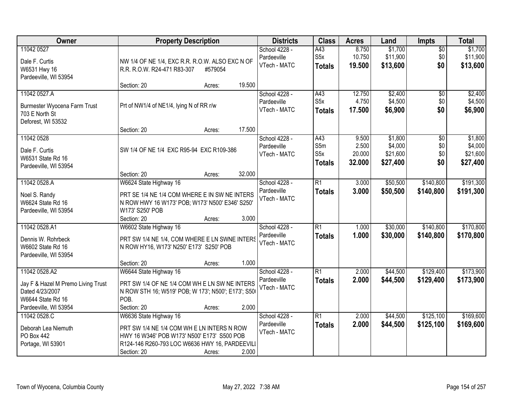| Owner                                                                                       | <b>Property Description</b>                                                                                                                                                                    |        | <b>Districts</b>                             | <b>Class</b>                             | <b>Acres</b>                       | Land                                       | <b>Impts</b>                         | <b>Total</b>                               |
|---------------------------------------------------------------------------------------------|------------------------------------------------------------------------------------------------------------------------------------------------------------------------------------------------|--------|----------------------------------------------|------------------------------------------|------------------------------------|--------------------------------------------|--------------------------------------|--------------------------------------------|
| 11042 0527<br>Dale F. Curtis<br>W6531 Hwy 16<br>Pardeeville, WI 53954                       | NW 1/4 OF NE 1/4, EXC R.R. R.O.W. ALSO EXC N OF<br>R.R. R.O.W. R24-471 R83-307<br>#579054                                                                                                      |        | School 4228 -<br>Pardeeville<br>VTech - MATC | A43<br>S <sub>5</sub> x<br><b>Totals</b> | 8.750<br>10.750<br>19.500          | \$1,700<br>\$11,900<br>\$13,600            | $\overline{50}$<br>\$0<br>\$0        | \$1,700<br>\$11,900<br>\$13,600            |
|                                                                                             | Section: 20<br>Acres:                                                                                                                                                                          | 19.500 |                                              |                                          |                                    |                                            |                                      |                                            |
| 11042 0527.A<br>Burmester Wyocena Farm Trust<br>703 E North St<br>Deforest, WI 53532        | Prt of NW1/4 of NE1/4, lying N of RR r/w                                                                                                                                                       |        | School 4228 -<br>Pardeeville<br>VTech - MATC | A43<br>S5x<br><b>Totals</b>              | 12.750<br>4.750<br>17.500          | \$2,400<br>\$4,500<br>\$6,900              | \$0<br>\$0<br>\$0                    | \$2,400<br>\$4,500<br>\$6,900              |
|                                                                                             | Section: 20<br>Acres:                                                                                                                                                                          | 17.500 |                                              |                                          |                                    |                                            |                                      |                                            |
| 11042 0528<br>Dale F. Curtis<br>W6531 State Rd 16<br>Pardeeville, WI 53954                  | SW 1/4 OF NE 1/4 EXC R95-94 EXC R109-386                                                                                                                                                       |        | School 4228 -<br>Pardeeville<br>VTech - MATC | A43<br>S5m<br>S5x<br><b>Totals</b>       | 9.500<br>2.500<br>20.000<br>32.000 | \$1,800<br>\$4,000<br>\$21,600<br>\$27,400 | $\overline{50}$<br>\$0<br>\$0<br>\$0 | \$1,800<br>\$4,000<br>\$21,600<br>\$27,400 |
|                                                                                             | Section: 20<br>Acres:                                                                                                                                                                          | 32.000 |                                              |                                          |                                    |                                            |                                      |                                            |
| 11042 0528.A<br>Noel S. Randy<br>W6624 State Rd 16<br>Pardeeville, WI 53954                 | W6624 State Highway 16<br>PRT SE 1/4 NE 1/4 COM WHERE E IN SW NE INTERS<br>N ROW HWY 16 W173' POB; W173' N500' E346' S250'<br>W173' S250' POB                                                  |        | School 4228 -<br>Pardeeville<br>VTech - MATC | $\overline{R1}$<br><b>Totals</b>         | 3.000<br>3.000                     | \$50,500<br>\$50,500                       | \$140,800<br>\$140,800               | \$191,300<br>\$191,300                     |
| 11042 0528.A1                                                                               | Section: 20<br>Acres:<br>W6602 State Highway 16                                                                                                                                                | 3.000  | School 4228 -                                | $\overline{R1}$                          | 1.000                              | \$30,000                                   | \$140,800                            | \$170,800                                  |
| Dennis W. Rohrbeck<br>W6602 State Rd 16<br>Pardeeville, WI 53954                            | PRT SW 1/4 NE 1/4, COM WHERE E LN SWNE INTERS<br>N ROW HY16, W173' N250' E173' S250' POB                                                                                                       |        | Pardeeville<br>VTech - MATC                  | <b>Totals</b>                            | 1.000                              | \$30,000                                   | \$140,800                            | \$170,800                                  |
|                                                                                             | Section: 20<br>Acres:                                                                                                                                                                          | 1.000  |                                              |                                          |                                    |                                            |                                      |                                            |
| 11042 0528.A2<br>Jay F & Hazel M Premo Living Trust<br>Dated 4/23/2007<br>W6644 State Rd 16 | W6644 State Highway 16<br>PRT SW 1/4 OF NE 1/4 COM WH E LN SW NE INTERS<br>N ROW STH 16; W519' POB; W 173'; N500'; E173'; S50<br>POB.                                                          |        | School 4228 -<br>Pardeeville<br>VTech - MATC | $\overline{R1}$<br><b>Totals</b>         | 2.000<br>2.000                     | \$44,500<br>\$44,500                       | \$129,400<br>\$129,400               | \$173,900<br>\$173,900                     |
| Pardeeville, WI 53954                                                                       | Section: 20<br>Acres:                                                                                                                                                                          | 2.000  |                                              |                                          |                                    |                                            |                                      |                                            |
| 11042 0528.C<br>Deborah Lea Niemuth<br>PO Box 442<br>Portage, WI 53901                      | W6636 State Highway 16<br>PRT SW 1/4 NE 1/4 COM WH E LN INTERS N ROW<br>HWY 16 W346' POB W173' N500' E173' S500 POB<br>R124-146 R260-793 LOC W6636 HWY 16, PARDEEVILI<br>Section: 20<br>Acres: | 2.000  | School 4228 -<br>Pardeeville<br>VTech - MATC | R1<br><b>Totals</b>                      | 2.000<br>2.000                     | \$44,500<br>\$44,500                       | \$125,100<br>\$125,100               | \$169,600<br>\$169,600                     |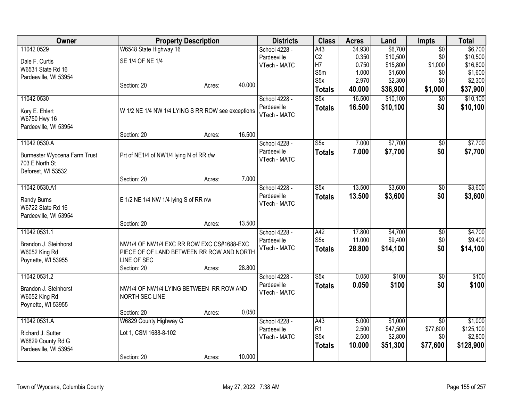| Owner                        | <b>Property Description</b>                       |        |        | <b>Districts</b>            | <b>Class</b>            | <b>Acres</b>   | Land               | <b>Impts</b>    | <b>Total</b>       |
|------------------------------|---------------------------------------------------|--------|--------|-----------------------------|-------------------------|----------------|--------------------|-----------------|--------------------|
| 11042 0529                   | W6548 State Highway 16                            |        |        | School 4228 -               | A43                     | 34.930         | \$6,700            | $\overline{50}$ | \$6,700            |
| Dale F. Curtis               | SE 1/4 OF NE 1/4                                  |        |        | Pardeeville                 | C2                      | 0.350          | \$10,500           | \$0             | \$10,500           |
| W6531 State Rd 16            |                                                   |        |        | VTech - MATC                | H7                      | 0.750          | \$15,800           | \$1,000         | \$16,800           |
| Pardeeville, WI 53954        |                                                   |        |        |                             | S5m<br>S5x              | 1.000<br>2.970 | \$1,600<br>\$2,300 | \$0<br>\$0      | \$1,600<br>\$2,300 |
|                              | Section: 20                                       | Acres: | 40.000 |                             |                         | 40.000         |                    |                 |                    |
|                              |                                                   |        |        |                             | <b>Totals</b>           |                | \$36,900           | \$1,000         | \$37,900           |
| 11042 0530                   |                                                   |        |        | School 4228 -               | $\overline{\text{S5x}}$ | 16.500         | \$10,100           | $\overline{50}$ | \$10,100           |
| Kory E. Ehlert               | W 1/2 NE 1/4 NW 1/4 LYING S RR ROW see exceptions |        |        | Pardeeville<br>VTech - MATC | <b>Totals</b>           | 16.500         | \$10,100           | \$0             | \$10,100           |
| W6750 Hwy 16                 |                                                   |        |        |                             |                         |                |                    |                 |                    |
| Pardeeville, WI 53954        |                                                   |        |        |                             |                         |                |                    |                 |                    |
|                              | Section: 20                                       | Acres: | 16.500 |                             |                         |                |                    |                 |                    |
| 11042 0530.A                 |                                                   |        |        | School 4228 -               | $\overline{\text{S5x}}$ | 7.000          | \$7,700            | $\sqrt{$0}$     | \$7,700            |
| Burmester Wyocena Farm Trust | Prt of NE1/4 of NW1/4 lying N of RR r/w           |        |        | Pardeeville<br>VTech - MATC | <b>Totals</b>           | 7.000          | \$7,700            | \$0             | \$7,700            |
| 703 E North St               |                                                   |        |        |                             |                         |                |                    |                 |                    |
| Deforest, WI 53532           |                                                   |        |        |                             |                         |                |                    |                 |                    |
|                              | Section: 20                                       | Acres: | 7.000  |                             |                         |                |                    |                 |                    |
| 11042 0530.A1                |                                                   |        |        | School 4228 -               | S5x                     | 13.500         | \$3,600            | \$0             | \$3,600            |
| Randy Burns                  | E 1/2 NE 1/4 NW 1/4 lying S of RR r/w             |        |        | Pardeeville                 | <b>Totals</b>           | 13.500         | \$3,600            | \$0             | \$3,600            |
| W6722 State Rd 16            |                                                   |        |        | VTech - MATC                |                         |                |                    |                 |                    |
| Pardeeville, WI 53954        |                                                   |        |        |                             |                         |                |                    |                 |                    |
|                              | Section: 20                                       | Acres: | 13.500 |                             |                         |                |                    |                 |                    |
| 11042 0531.1                 |                                                   |        |        | School 4228 -               | A42                     | 17.800         | \$4,700            | \$0             | \$4,700            |
| Brandon J. Steinhorst        | NW1/4 OF NW1/4 EXC RR ROW EXC CS#1688-EXC         |        |        | Pardeeville                 | S5x                     | 11.000         | \$9,400            | \$0             | \$9,400            |
| W6052 King Rd                | PIECE OF OF LAND BETWEEN RR ROW AND NORTH         |        |        | VTech - MATC                | <b>Totals</b>           | 28.800         | \$14,100           | \$0             | \$14,100           |
| Poynette, WI 53955           | LINE OF SEC                                       |        |        |                             |                         |                |                    |                 |                    |
|                              | Section: 20                                       | Acres: | 28.800 |                             |                         |                |                    |                 |                    |
| 11042 0531.2                 |                                                   |        |        | School 4228 -               | S5x                     | 0.050          | \$100              | $\sqrt{6}$      | \$100              |
| Brandon J. Steinhorst        | NW1/4 OF NW1/4 LYING BETWEEN RR ROW AND           |        |        | Pardeeville                 | <b>Totals</b>           | 0.050          | \$100              | \$0             | \$100              |
| W6052 King Rd                | NORTH SEC LINE                                    |        |        | VTech - MATC                |                         |                |                    |                 |                    |
| Poynette, WI 53955           |                                                   |        |        |                             |                         |                |                    |                 |                    |
|                              | Section: 20                                       | Acres: | 0.050  |                             |                         |                |                    |                 |                    |
| 11042 0531.A                 | W6829 County Highway G                            |        |        | School 4228 -               | A43                     | 5.000          | \$1,000            | \$0             | \$1,000            |
| Richard J. Sutter            | Lot 1, CSM 1688-8-102                             |        |        | Pardeeville                 | R1                      | 2.500          | \$47,500           | \$77,600        | \$125,100          |
| W6829 County Rd G            |                                                   |        |        | VTech - MATC                | S <sub>5x</sub>         | 2.500          | \$2,800            | \$0             | \$2,800            |
| Pardeeville, WI 53954        |                                                   |        |        |                             | <b>Totals</b>           | 10.000         | \$51,300           | \$77,600        | \$128,900          |
|                              | Section: 20                                       | Acres: | 10.000 |                             |                         |                |                    |                 |                    |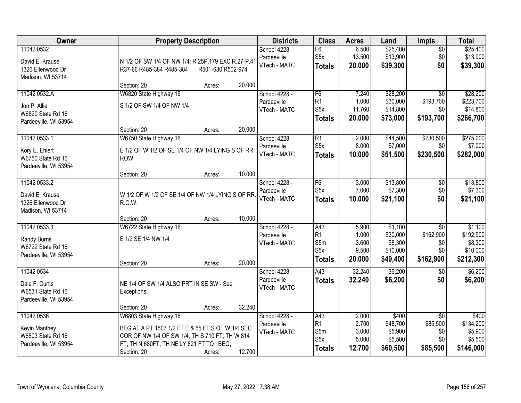| Owner                                                                      | <b>Property Description</b>                                                                                                                                                                                | <b>Districts</b>                             | <b>Class</b>                                                          | <b>Acres</b>                               | Land                                                   | <b>Impts</b>                                            | <b>Total</b>                                             |
|----------------------------------------------------------------------------|------------------------------------------------------------------------------------------------------------------------------------------------------------------------------------------------------------|----------------------------------------------|-----------------------------------------------------------------------|--------------------------------------------|--------------------------------------------------------|---------------------------------------------------------|----------------------------------------------------------|
| 11042 0532<br>David E. Krause<br>1326 Ellenwood Dr<br>Madison, WI 53714    | N 1/2 OF SW 1/4 OF NW 1/4; R.25P.179 EXC R.27-P.41<br>R37-66 R485-384 R485-384<br>R501-630 R502-974                                                                                                        | School 4228 -<br>Pardeeville<br>VTech - MATC | F6<br>S <sub>5</sub> x<br><b>Totals</b>                               | 6.500<br>13.500<br>20.000                  | \$25,400<br>\$13,900<br>\$39,300                       | $\overline{50}$<br>\$0<br>\$0                           | \$25,400<br>\$13,900<br>\$39,300                         |
|                                                                            | 20.000<br>Section: 20<br>Acres:                                                                                                                                                                            |                                              |                                                                       |                                            |                                                        |                                                         |                                                          |
| 11042 0532.A<br>Jon P. Allie<br>W6820 State Rd 16<br>Pardeeville, WI 53954 | W6820 State Highway 16<br>S 1/2 OF SW 1/4 OF NW 1/4                                                                                                                                                        | School 4228 -<br>Pardeeville<br>VTech - MATC | F <sub>6</sub><br>R <sub>1</sub><br>S <sub>5</sub> x<br><b>Totals</b> | 7.240<br>1.000<br>11.760<br>20.000         | \$28,200<br>\$30,000<br>\$14,800<br>\$73,000           | $\overline{30}$<br>\$193,700<br>\$0<br>\$193,700        | \$28,200<br>\$223,700<br>\$14,800<br>\$266,700           |
| 11042 0533.1                                                               | 20.000<br>Section: 20<br>Acres:<br>W6750 State Highway 16                                                                                                                                                  | School 4228 -                                | $\overline{R1}$                                                       | 2.000                                      | \$44,500                                               | \$230,500                                               | \$275,000                                                |
| Kory E. Ehlert<br>W6750 State Rd 16<br>Pardeeville, WI 53954               | E 1/2 OF W 1/2 OF SE 1/4 OF NW 1/4 LYING S OF RR<br><b>ROW</b>                                                                                                                                             | Pardeeville<br>VTech - MATC                  | S <sub>5</sub> x<br>Totals                                            | 8.000<br>10.000                            | \$7,000<br>\$51,500                                    | \$0<br>\$230,500                                        | \$7,000<br>\$282,000                                     |
|                                                                            | 10.000<br>Section: 20<br>Acres:                                                                                                                                                                            |                                              |                                                                       |                                            |                                                        |                                                         |                                                          |
| 11042 0533.2<br>David E. Krause<br>1326 Ellenwood Dr<br>Madison, WI 53714  | W 1/2 OF W 1/2 OF SE 1/4 OF NW 1/4 LYING S OF RR.<br>R.O.W.                                                                                                                                                | School 4228 -<br>Pardeeville<br>VTech - MATC | F6<br>S <sub>5</sub> x<br><b>Totals</b>                               | 3.000<br>7.000<br>10.000                   | \$13,800<br>\$7,300<br>\$21,100                        | \$0<br>\$0<br>\$0                                       | \$13,800<br>\$7,300<br>\$21,100                          |
|                                                                            | 10.000<br>Section: 20<br>Acres:                                                                                                                                                                            |                                              |                                                                       |                                            |                                                        |                                                         |                                                          |
| 11042 0533.3<br>Randy Burns<br>W6722 State Rd 16<br>Pardeeville, WI 53954  | W6722 State Highway 16<br>E 1/2 SE 1/4 NW 1/4<br>20.000<br>Section: 20<br>Acres:                                                                                                                           | School 4228 -<br>Pardeeville<br>VTech - MATC | A43<br>R <sub>1</sub><br>S5m<br>S <sub>5</sub> x<br><b>Totals</b>     | 5.900<br>1.000<br>3.600<br>9.500<br>20.000 | \$1,100<br>\$30,000<br>\$8,300<br>\$10,000<br>\$49,400 | $\overline{30}$<br>\$162,900<br>\$0<br>\$0<br>\$162,900 | \$1,100<br>\$192,900<br>\$8,300<br>\$10,000<br>\$212,300 |
| 11042 0534<br>Dale F. Curtis<br>W6531 State Rd 16<br>Pardeeville, WI 53954 | NE 1/4 OF SW 1/4 ALSO PRT IN SE SW - See<br>Exceptions<br>32.240<br>Section: 20<br>Acres:                                                                                                                  | School 4228 -<br>Pardeeville<br>VTech - MATC | $\overline{A43}$<br><b>Totals</b>                                     | 32.240<br>32.240                           | \$6,200<br>\$6,200                                     | $\overline{50}$<br>\$0                                  | \$6,200<br>\$6,200                                       |
| 11042 0536<br>Kevin Manthey<br>W6803 State Rd 16<br>Pardeeville, WI 53954  | W6803 State Highway 16<br>BEG AT A PT 1507 1/2 FT E & 55 FT S OF W 1/4 SEC<br>COR OF NW 1/4 OF SW 1/4; TH S 710 FT; TH W 814<br>FT; TH N 680FT; TH NE'LY 821 FT TO BEG;<br>12.700<br>Section: 20<br>Acres: | School 4228 -<br>Pardeeville<br>VTech - MATC | A43<br> R1<br>S5m<br>S <sub>5</sub> x<br><b>Totals</b>                | 2.000<br>2.700<br>3.000<br>5.000<br>12.700 | \$400<br>\$48,700<br>\$5,900<br>\$5,500<br>\$60,500    | $\overline{30}$<br>\$85,500<br>\$0<br>\$0<br>\$85,500   | \$400<br>\$134,200<br>\$5,900<br>\$5,500<br>\$146,000    |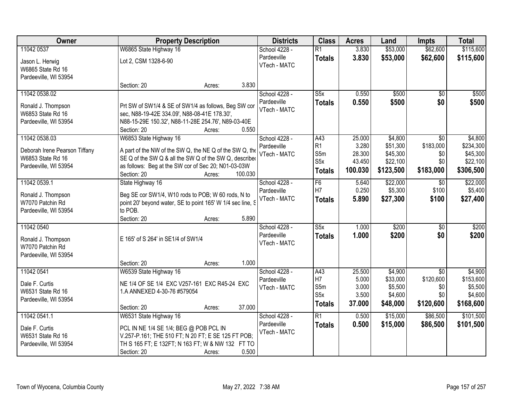| Owner                         |                                              | <b>Property Description</b>                                | <b>Districts</b> | <b>Class</b>            | <b>Acres</b> | Land      | <b>Impts</b>    | <b>Total</b> |
|-------------------------------|----------------------------------------------|------------------------------------------------------------|------------------|-------------------------|--------------|-----------|-----------------|--------------|
| 11042 0537                    | W6865 State Highway 16                       |                                                            | School 4228 -    | $\overline{R1}$         | 3.830        | \$53,000  | \$62,600        | \$115,600    |
| Jason L. Herwig               | Lot 2, CSM 1328-6-90                         |                                                            | Pardeeville      | <b>Totals</b>           | 3.830        | \$53,000  | \$62,600        | \$115,600    |
| W6865 State Rd 16             |                                              |                                                            | VTech - MATC     |                         |              |           |                 |              |
| Pardeeville, WI 53954         |                                              |                                                            |                  |                         |              |           |                 |              |
|                               | Section: 20                                  | Acres:                                                     | 3.830            |                         |              |           |                 |              |
| 11042 0538.02                 |                                              |                                                            | School 4228 -    | S5x                     | 0.550        | \$500     | $\overline{50}$ | \$500        |
| Ronald J. Thompson            |                                              | Prt SW of SW1/4 & SE of SW1/4 as follows, Beg SW cor       | Pardeeville      | <b>Totals</b>           | 0.550        | \$500     | \$0             | \$500        |
| W6853 State Rd 16             | sec, N88-19-42E 334.09', N88-08-41E 178.30', |                                                            | VTech - MATC     |                         |              |           |                 |              |
| Pardeeville, WI 53954         |                                              | N88-15-29E 150.32', N88-11-28E 254.76', N89-03-40E         |                  |                         |              |           |                 |              |
|                               | Section: 20                                  | Acres:                                                     | 0.550            |                         |              |           |                 |              |
| 11042 0538.03                 | W6853 State Highway 16                       |                                                            | School 4228 -    | A43                     | 25.000       | \$4,800   | $\overline{30}$ | \$4,800      |
| Deborah Irene Pearson Tiffany |                                              | A part of the NW of the SW Q, the NE Q of the SW Q, the    | Pardeeville      | R1                      | 3.280        | \$51,300  | \$183,000       | \$234,300    |
| W6853 State Rd 16             |                                              | SE Q of the SW Q & all the SW Q of the SW Q, described     | VTech - MATC     | S5m                     | 28.300       | \$45,300  | \$0             | \$45,300     |
| Pardeeville, WI 53954         |                                              | as follows: Beg at the SW cor of Sec 20; N01-03-03W        |                  | S5x                     | 43.450       | \$22,100  | \$0             | \$22,100     |
|                               | Section: 20                                  | Acres:                                                     | 100.030          | <b>Totals</b>           | 100.030      | \$123,500 | \$183,000       | \$306,500    |
| 11042 0539.1                  | State Highway 16                             |                                                            | School 4228 -    | F6                      | 5.640        | \$22,000  | \$0             | \$22,000     |
| Ronald J. Thompson            |                                              | Beg SE cor SW1/4, W10 rods to POB; W 60 rods, N to         | Pardeeville      | H7                      | 0.250        | \$5,300   | \$100           | \$5,400      |
| W7070 Patchin Rd              |                                              | point 20' beyond water, SE to point 165' W 1/4 sec line, S | VTech - MATC     | <b>Totals</b>           | 5.890        | \$27,300  | \$100           | \$27,400     |
| Pardeeville, WI 53954         | to POB.                                      |                                                            |                  |                         |              |           |                 |              |
|                               | Section: 20                                  | Acres:                                                     | 5.890            |                         |              |           |                 |              |
| 11042 0540                    |                                              |                                                            | School 4228 -    | $\overline{\text{S5x}}$ | 1.000        | \$200     | $\overline{50}$ | \$200        |
| Ronald J. Thompson            | E 165' of S 264' in SE1/4 of SW1/4           |                                                            | Pardeeville      | <b>Totals</b>           | 1.000        | \$200     | \$0             | \$200        |
| W7070 Patchin Rd              |                                              |                                                            | VTech - MATC     |                         |              |           |                 |              |
| Pardeeville, WI 53954         |                                              |                                                            |                  |                         |              |           |                 |              |
|                               | Section: 20                                  | Acres:                                                     | 1.000            |                         |              |           |                 |              |
| 11042 0541                    | W6539 State Highway 16                       |                                                            | School 4228 -    | A43                     | 25.500       | \$4,900   | $\overline{50}$ | \$4,900      |
| Dale F. Curtis                |                                              | NE 1/4 OF SE 1/4 EXC V257-161 EXC R45-24 EXC               | Pardeeville      | H7                      | 5.000        | \$33,000  | \$120,600       | \$153,600    |
| W6531 State Rd 16             | 1.A ANNEXED 4-30-76 #579054                  |                                                            | VTech - MATC     | S5m                     | 3.000        | \$5,500   | \$0             | \$5,500      |
| Pardeeville, WI 53954         |                                              |                                                            |                  | S5x                     | 3.500        | \$4,600   | \$0             | \$4,600      |
|                               | Section: 20                                  | Acres:                                                     | 37.000           | <b>Totals</b>           | 37.000       | \$48,000  | \$120,600       | \$168,600    |
| 11042 0541.1                  | W6531 State Highway 16                       |                                                            | School 4228 -    | $\overline{R1}$         | 0.500        | \$15,000  | \$86,500        | \$101,500    |
| Dale F. Curtis                | PCL IN NE 1/4 SE 1/4; BEG @ POB PCL IN       |                                                            | Pardeeville      | <b>Totals</b>           | 0.500        | \$15,000  | \$86,500        | \$101,500    |
| W6531 State Rd 16             |                                              | V.257-P.161; THE 510 FT; N 20 FT; E SE 125 FT POB;         | VTech - MATC     |                         |              |           |                 |              |
| Pardeeville, WI 53954         |                                              | TH S 165 FT; E 132FT; N 163 FT; W & NW 132 FT TO           |                  |                         |              |           |                 |              |
|                               | Section: 20                                  | Acres:                                                     | 0.500            |                         |              |           |                 |              |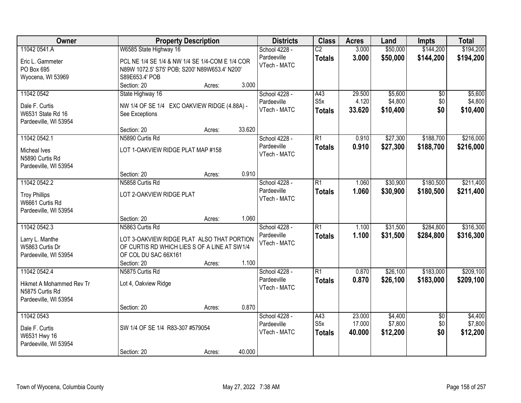| Owner                    | <b>Property Description</b>                     |                  | <b>Districts</b> | <b>Class</b>     | <b>Acres</b> | Land     | <b>Impts</b>    | <b>Total</b> |
|--------------------------|-------------------------------------------------|------------------|------------------|------------------|--------------|----------|-----------------|--------------|
| 11042 0541.A             | W6585 State Highway 16                          |                  | School 4228 -    | $\overline{C2}$  | 3.000        | \$50,000 | \$144,200       | \$194,200    |
| Eric L. Gammeter         | PCL NE 1/4 SE 1/4 & NW 1/4 SE 1/4-COM E 1/4 COR |                  | Pardeeville      | <b>Totals</b>    | 3.000        | \$50,000 | \$144,200       | \$194,200    |
| PO Box 695               | N89W 1072.5' S75' POB; S200' N89W653.4' N200'   |                  | VTech - MATC     |                  |              |          |                 |              |
| Wyocena, WI 53969        | S89E653.4' POB                                  |                  |                  |                  |              |          |                 |              |
|                          | Section: 20                                     | 3.000<br>Acres:  |                  |                  |              |          |                 |              |
| 11042 0542               | State Highway 16                                |                  | School 4228 -    | A43              | 29.500       | \$5,600  | \$0             | \$5,600      |
| Dale F. Curtis           | NW 1/4 OF SE 1/4 EXC OAKVIEW RIDGE (4.88A) -    |                  | Pardeeville      | S <sub>5</sub> x | 4.120        | \$4,800  | \$0             | \$4,800      |
| W6531 State Rd 16        | See Exceptions                                  |                  | VTech - MATC     | <b>Totals</b>    | 33.620       | \$10,400 | \$0             | \$10,400     |
| Pardeeville, WI 53954    |                                                 |                  |                  |                  |              |          |                 |              |
|                          | Section: 20                                     | 33.620<br>Acres: |                  |                  |              |          |                 |              |
| 11042 0542.1             | N5890 Curtis Rd                                 |                  | School 4228 -    | R1               | 0.910        | \$27,300 | \$188,700       | \$216,000    |
| <b>Micheal Ives</b>      | LOT 1-OAKVIEW RIDGE PLAT MAP #158               |                  | Pardeeville      | <b>Totals</b>    | 0.910        | \$27,300 | \$188,700       | \$216,000    |
| N5890 Curtis Rd          |                                                 |                  | VTech - MATC     |                  |              |          |                 |              |
| Pardeeville, WI 53954    |                                                 |                  |                  |                  |              |          |                 |              |
|                          | Section: 20                                     | 0.910<br>Acres:  |                  |                  |              |          |                 |              |
| 11042 0542.2             | N5858 Curtis Rd                                 |                  | School 4228 -    | $\overline{R1}$  | 1.060        | \$30,900 | \$180,500       | \$211,400    |
| <b>Troy Phillips</b>     | LOT 2-OAKVIEW RIDGE PLAT                        |                  | Pardeeville      | <b>Totals</b>    | 1.060        | \$30,900 | \$180,500       | \$211,400    |
| W6661 Curtis Rd          |                                                 |                  | VTech - MATC     |                  |              |          |                 |              |
| Pardeeville, WI 53954    |                                                 |                  |                  |                  |              |          |                 |              |
|                          | Section: 20                                     | 1.060<br>Acres:  |                  |                  |              |          |                 |              |
| 11042 0542.3             | N5863 Curtis Rd                                 |                  | School 4228 -    | $\overline{R1}$  | 1.100        | \$31,500 | \$284,800       | \$316,300    |
| Larry L. Manthe          | LOT 3-OAKVIEW RIDGE PLAT ALSO THAT PORTION      |                  | Pardeeville      | <b>Totals</b>    | 1.100        | \$31,500 | \$284,800       | \$316,300    |
| W5863 Curtis Dr          | OF CURTIS RD WHICH LIES S OF A LINE AT SW1/4    |                  | VTech - MATC     |                  |              |          |                 |              |
| Pardeeville, WI 53954    | OF COL DU SAC 66X161                            |                  |                  |                  |              |          |                 |              |
|                          | Section: 20                                     | 1.100<br>Acres:  |                  |                  |              |          |                 |              |
| 11042 0542.4             | N5875 Curtis Rd                                 |                  | School 4228 -    | $\overline{R1}$  | 0.870        | \$26,100 | \$183,000       | \$209,100    |
| Hikmet A Mohammed Rev Tr | Lot 4, Oakview Ridge                            |                  | Pardeeville      | <b>Totals</b>    | 0.870        | \$26,100 | \$183,000       | \$209,100    |
| N5875 Curtis Rd          |                                                 |                  | VTech - MATC     |                  |              |          |                 |              |
| Pardeeville, WI 53954    |                                                 |                  |                  |                  |              |          |                 |              |
|                          | Section: 20                                     | 0.870<br>Acres:  |                  |                  |              |          |                 |              |
| 11042 0543               |                                                 |                  | School 4228 -    | A43              | 23.000       | \$4,400  | $\overline{50}$ | \$4,400      |
| Dale F. Curtis           | SW 1/4 OF SE 1/4 R83-307 #579054                |                  | Pardeeville      | S <sub>5x</sub>  | 17.000       | \$7,800  | \$0             | \$7,800      |
| W6531 Hwy 16             |                                                 |                  | VTech - MATC     | <b>Totals</b>    | 40.000       | \$12,200 | \$0             | \$12,200     |
| Pardeeville, WI 53954    |                                                 |                  |                  |                  |              |          |                 |              |
|                          | Section: 20                                     | 40.000<br>Acres: |                  |                  |              |          |                 |              |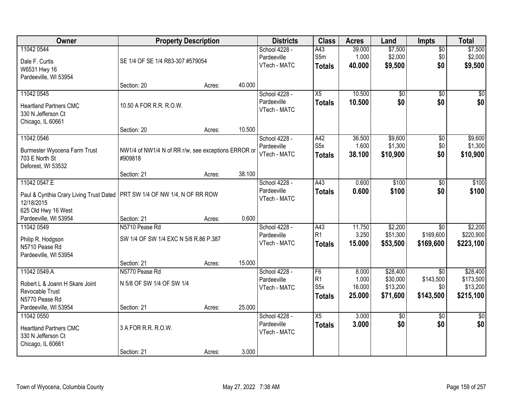| Owner                                                                                                                            | <b>Property Description</b>                                    |        |        | <b>Districts</b>                             | <b>Class</b>                                        | <b>Acres</b>                       | Land                                         | Impts                                            | <b>Total</b>                                   |
|----------------------------------------------------------------------------------------------------------------------------------|----------------------------------------------------------------|--------|--------|----------------------------------------------|-----------------------------------------------------|------------------------------------|----------------------------------------------|--------------------------------------------------|------------------------------------------------|
| 11042 0544<br>Dale F. Curtis<br>W6531 Hwy 16<br>Pardeeville, WI 53954                                                            | SE 1/4 OF SE 1/4 R83-307 #579054                               |        |        | School 4228 -<br>Pardeeville<br>VTech - MATC | A43<br>S5m<br><b>Totals</b>                         | 39.000<br>1.000<br>40.000          | \$7,500<br>\$2,000<br>\$9,500                | $\overline{50}$<br>\$0<br>\$0                    | \$7,500<br>\$2,000<br>\$9,500                  |
|                                                                                                                                  | Section: 20                                                    | Acres: | 40.000 |                                              |                                                     |                                    |                                              |                                                  |                                                |
| 11042 0545<br><b>Heartland Partners CMC</b><br>330 N Jefferson Ct<br>Chicago, IL 60661                                           | 10.50 A FOR R.R. R.O.W.                                        |        |        | School 4228 -<br>Pardeeville<br>VTech - MATC | $\overline{X5}$<br><b>Totals</b>                    | 10.500<br>10.500                   | \$0<br>\$0                                   | $\overline{50}$<br>\$0                           | \$0<br>\$0                                     |
|                                                                                                                                  | Section: 20                                                    | Acres: | 10.500 |                                              |                                                     |                                    |                                              |                                                  |                                                |
| 11042 0546<br>Burmester Wyocena Farm Trust<br>703 E North St<br>Deforest, WI 53532                                               | NW1/4 of NW1/4 N of RR r/w, see exceptions ERROR or<br>#909818 |        |        | School 4228 -<br>Pardeeville<br>VTech - MATC | A42<br>S <sub>5</sub> x<br><b>Totals</b>            | 36.500<br>1.600<br>38.100          | \$9,600<br>\$1,300<br>\$10,900               | $\overline{50}$<br>\$0<br>\$0                    | \$9,600<br>\$1,300<br>\$10,900                 |
|                                                                                                                                  | Section: 21                                                    | Acres: | 38.100 |                                              |                                                     |                                    |                                              |                                                  |                                                |
| 11042 0547.E<br>Paul & Cynthia Crary Living Trust Dated   PRT SW 1/4 OF NW 1/4, N OF RR ROW<br>12/18/2015<br>625 Old Hwy 16 West |                                                                |        |        | School 4228 -<br>Pardeeville<br>VTech - MATC | A43<br><b>Totals</b>                                | 0.600<br>0.600                     | \$100<br>\$100                               | \$0<br>\$0                                       | \$100<br>\$100                                 |
| Pardeeville, WI 53954                                                                                                            | Section: 21                                                    | Acres: | 0.600  |                                              |                                                     |                                    |                                              |                                                  |                                                |
| 11042 0549<br>Philip R. Hodgson<br>N5710 Pease Rd<br>Pardeeville, WI 53954                                                       | N5710 Pease Rd<br>SW 1/4 OF SW 1/4 EXC N 5/8 R.86 P.387        |        |        | School 4228 -<br>Pardeeville<br>VTech - MATC | A43<br>R1<br><b>Totals</b>                          | 11.750<br>3.250<br>15.000          | \$2,200<br>\$51,300<br>\$53,500              | $\overline{50}$<br>\$169,600<br>\$169,600        | \$2,200<br>\$220,900<br>\$223,100              |
| 11042 0549.A                                                                                                                     | Section: 21<br>N5770 Pease Rd                                  | Acres: | 15.000 |                                              | F6                                                  |                                    |                                              |                                                  |                                                |
| Robert L & Joann H Skare Joint<br>Revocable Trust<br>N5770 Pease Rd                                                              | N 5/8 OF SW 1/4 OF SW 1/4                                      |        |        | School 4228 -<br>Pardeeville<br>VTech - MATC | R <sub>1</sub><br>S <sub>5</sub> x<br><b>Totals</b> | 8.000<br>1.000<br>16.000<br>25.000 | \$28,400<br>\$30,000<br>\$13,200<br>\$71,600 | $\overline{50}$<br>\$143,500<br>\$0<br>\$143,500 | \$28,400<br>\$173,500<br>\$13,200<br>\$215,100 |
| Pardeeville, WI 53954<br>11042 0550                                                                                              | Section: 21                                                    | Acres: | 25.000 | School 4228 -                                | $\overline{X5}$                                     | 3.000                              | \$0                                          | $\overline{50}$                                  | $\overline{50}$                                |
| <b>Heartland Partners CMC</b><br>330 N Jefferson Ct<br>Chicago, IL 60661                                                         | 3 A FOR R.R. R.O.W.                                            |        |        | Pardeeville<br>VTech - MATC                  | <b>Totals</b>                                       | 3.000                              | \$0                                          | \$0                                              | \$0                                            |
|                                                                                                                                  | Section: 21                                                    | Acres: | 3.000  |                                              |                                                     |                                    |                                              |                                                  |                                                |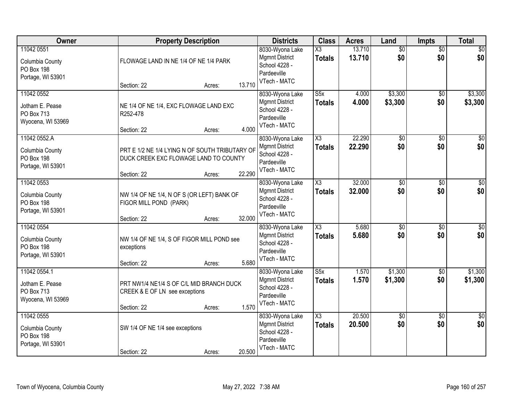| Owner                                                            | <b>Property Description</b>                                                               | <b>Districts</b> | <b>Class</b>                                                                             | <b>Acres</b>                             | Land             | <b>Impts</b>           | <b>Total</b>           |                    |
|------------------------------------------------------------------|-------------------------------------------------------------------------------------------|------------------|------------------------------------------------------------------------------------------|------------------------------------------|------------------|------------------------|------------------------|--------------------|
| 11042 0551<br>Columbia County<br>PO Box 198<br>Portage, WI 53901 | FLOWAGE LAND IN NE 1/4 OF NE 1/4 PARK                                                     |                  | 8030-Wyona Lake<br><b>Mgmnt District</b><br>School 4228 -<br>Pardeeville<br>VTech - MATC | X3<br><b>Totals</b>                      | 13.710<br>13.710 | $\overline{50}$<br>\$0 | $\overline{50}$<br>\$0 | $\sqrt{50}$<br>\$0 |
|                                                                  | Section: 22                                                                               | 13.710<br>Acres: |                                                                                          |                                          |                  |                        |                        |                    |
| 11042 0552<br>Jotham E. Pease<br>PO Box 713<br>Wyocena, WI 53969 | NE 1/4 OF NE 1/4, EXC FLOWAGE LAND EXC<br>R252-478<br>Section: 22                         | 4.000<br>Acres:  | 8030-Wyona Lake<br><b>Mgmnt District</b><br>School 4228 -<br>Pardeeville<br>VTech - MATC | $\overline{\text{S5x}}$<br><b>Totals</b> | 4.000<br>4.000   | \$3,300<br>\$3,300     | $\overline{50}$<br>\$0 | \$3,300<br>\$3,300 |
| 11042 0552.A                                                     |                                                                                           |                  | 8030-Wyona Lake                                                                          | $\overline{\chi_3}$                      | 22.290           | \$0                    | $\overline{50}$        | $\overline{\$0}$   |
| Columbia County<br>PO Box 198<br>Portage, WI 53901               | PRT E 1/2 NE 1/4 LYING N OF SOUTH TRIBUTARY OF<br>DUCK CREEK EXC FLOWAGE LAND TO COUNTY   |                  | <b>Mgmnt District</b><br>School 4228 -<br>Pardeeville                                    | <b>Totals</b>                            | 22.290           | \$0                    | \$0                    | \$0                |
|                                                                  | Section: 22                                                                               | 22.290<br>Acres: | VTech - MATC                                                                             |                                          |                  |                        |                        |                    |
| 11042 0553<br>Columbia County<br>PO Box 198<br>Portage, WI 53901 | NW 1/4 OF NE 1/4, N OF S (OR LEFT) BANK OF<br>FIGOR MILL POND (PARK)                      |                  | 8030-Wyona Lake<br><b>Mgmnt District</b><br>School 4228 -<br>Pardeeville<br>VTech - MATC | $\overline{\chi_3}$<br><b>Totals</b>     | 32.000<br>32.000 | $\overline{60}$<br>\$0 | \$0<br>\$0             | $\sqrt{50}$<br>\$0 |
|                                                                  | Section: 22                                                                               | 32.000<br>Acres: |                                                                                          |                                          |                  |                        |                        |                    |
| 11042 0554<br>Columbia County<br>PO Box 198<br>Portage, WI 53901 | NW 1/4 OF NE 1/4, S OF FIGOR MILL POND see<br>exceptions<br>Section: 22                   | 5.680<br>Acres:  | 8030-Wyona Lake<br><b>Mgmnt District</b><br>School 4228 -<br>Pardeeville<br>VTech - MATC | $\overline{\text{X3}}$<br><b>Totals</b>  | 5.680<br>5.680   | $\overline{50}$<br>\$0 | $\overline{50}$<br>\$0 | \$0<br>\$0         |
| 11042 0554.1                                                     |                                                                                           |                  | 8030-Wyona Lake                                                                          | $\overline{\text{S5x}}$                  | 1.570            | \$1,300                | $\sqrt{$0}$            | \$1,300            |
| Jotham E. Pease<br>PO Box 713<br>Wyocena, WI 53969               | PRT NW1/4 NE1/4 S OF C/L MID BRANCH DUCK<br>CREEK & E OF LN see exceptions<br>Section: 22 | 1.570<br>Acres:  | <b>Mgmnt District</b><br>School 4228 -<br>Pardeeville<br>VTech - MATC                    | <b>Totals</b>                            | 1.570            | \$1,300                | \$0                    | \$1,300            |
| 11042 0555                                                       |                                                                                           |                  | 8030-Wyona Lake                                                                          | $\overline{\text{X3}}$                   | 20.500           | $\overline{30}$        | $\overline{50}$        | $\overline{30}$    |
| Columbia County<br>PO Box 198<br>Portage, WI 53901               | SW 1/4 OF NE 1/4 see exceptions<br>Section: 22                                            | 20.500<br>Acres: | <b>Mgmnt District</b><br>School 4228 -<br>Pardeeville<br>VTech - MATC                    | <b>Totals</b>                            | 20.500           | \$0                    | \$0                    | \$0                |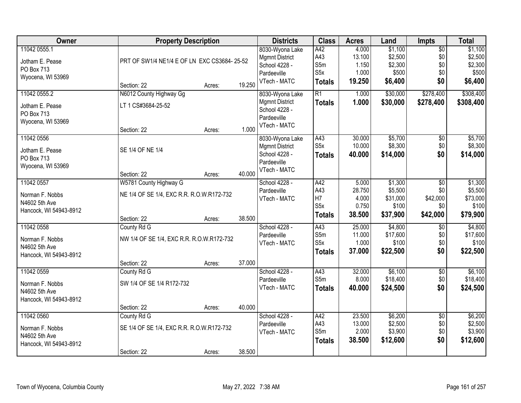| Owner                  | <b>Property Description</b>                 |        |        | <b>Districts</b>      | <b>Class</b>     | <b>Acres</b> | Land     | <b>Impts</b>    | <b>Total</b> |
|------------------------|---------------------------------------------|--------|--------|-----------------------|------------------|--------------|----------|-----------------|--------------|
| 11042 0555.1           |                                             |        |        | 8030-Wyona Lake       | A42              | 4.000        | \$1,100  | $\overline{50}$ | \$1,100      |
| Jotham E. Pease        | PRT OF SW1/4 NE1/4 E OF LN EXC CS3684-25-52 |        |        | <b>Mgmnt District</b> | A43              | 13.100       | \$2,500  | \$0             | \$2,500      |
| PO Box 713             |                                             |        |        | School 4228 -         | S5m              | 1.150        | \$2,300  | \$0             | \$2,300      |
| Wyocena, WI 53969      |                                             |        |        | Pardeeville           | S <sub>5</sub> x | 1.000        | \$500    | \$0             | \$500        |
|                        | Section: 22                                 | Acres: | 19.250 | VTech - MATC          | <b>Totals</b>    | 19.250       | \$6,400  | \$0             | \$6,400      |
| 11042 0555.2           | N6012 County Highway Gg                     |        |        | 8030-Wyona Lake       | $\overline{R1}$  | 1.000        | \$30,000 | \$278,400       | \$308,400    |
| Jotham E. Pease        | LT 1 CS#3684-25-52                          |        |        | <b>Mgmnt District</b> | <b>Totals</b>    | 1.000        | \$30,000 | \$278,400       | \$308,400    |
| PO Box 713             |                                             |        |        | School 4228 -         |                  |              |          |                 |              |
| Wyocena, WI 53969      |                                             |        |        | Pardeeville           |                  |              |          |                 |              |
|                        | Section: 22                                 | Acres: | 1.000  | VTech - MATC          |                  |              |          |                 |              |
| 11042 0556             |                                             |        |        | 8030-Wyona Lake       | A43              | 30.000       | \$5,700  | \$0             | \$5,700      |
| Jotham E. Pease        | SE 1/4 OF NE 1/4                            |        |        | <b>Mgmnt District</b> | S <sub>5</sub> x | 10.000       | \$8,300  | \$0             | \$8,300      |
| PO Box 713             |                                             |        |        | School 4228 -         | <b>Totals</b>    | 40.000       | \$14,000 | \$0             | \$14,000     |
| Wyocena, WI 53969      |                                             |        |        | Pardeeville           |                  |              |          |                 |              |
|                        | Section: 22                                 | Acres: | 40.000 | VTech - MATC          |                  |              |          |                 |              |
| 11042 0557             | W5781 County Highway G                      |        |        | School 4228 -         | A42              | 5.000        | \$1,300  | $\overline{50}$ | \$1,300      |
|                        | NE 1/4 OF SE 1/4, EXC R.R. R.O.W.R172-732   |        |        | Pardeeville           | A43              | 28.750       | \$5,500  | \$0             | \$5,500      |
| Norman F. Nobbs        |                                             |        |        | VTech - MATC          | H7               | 4.000        | \$31,000 | \$42,000        | \$73,000     |
| N4602 5th Ave          |                                             |        |        |                       | S <sub>5</sub> x | 0.750        | \$100    | \$0             | \$100        |
| Hancock, WI 54943-8912 | Section: 22                                 | Acres: | 38.500 |                       | <b>Totals</b>    | 38.500       | \$37,900 | \$42,000        | \$79,900     |
| 11042 0558             | County Rd G                                 |        |        | School 4228 -         | A43              | 25.000       | \$4,800  | $\overline{50}$ | \$4,800      |
|                        |                                             |        |        | Pardeeville           | S5m              | 11.000       | \$17,600 | \$0             | \$17,600     |
| Norman F. Nobbs        | NW 1/4 OF SE 1/4, EXC R.R. R.O.W.R172-732   |        |        | VTech - MATC          | S5x              | 1.000        | \$100    | \$0             | \$100        |
| N4602 5th Ave          |                                             |        |        |                       | <b>Totals</b>    | 37.000       | \$22,500 | \$0             | \$22,500     |
| Hancock, WI 54943-8912 | Section: 22                                 | Acres: | 37.000 |                       |                  |              |          |                 |              |
| 11042 0559             | County Rd G                                 |        |        | School 4228 -         | A43              | 32.000       | \$6,100  | $\overline{50}$ | \$6,100      |
|                        |                                             |        |        | Pardeeville           | S5m              | 8.000        | \$18,400 | \$0             | \$18,400     |
| Norman F. Nobbs        | SW 1/4 OF SE 1/4 R172-732                   |        |        | VTech - MATC          | <b>Totals</b>    | 40.000       | \$24,500 | \$0             | \$24,500     |
| N4602 5th Ave          |                                             |        |        |                       |                  |              |          |                 |              |
| Hancock, WI 54943-8912 |                                             |        |        |                       |                  |              |          |                 |              |
|                        | Section: 22                                 | Acres: | 40.000 |                       |                  |              |          |                 |              |
| 11042 0560             | County Rd G                                 |        |        | School 4228 -         | A42              | 23.500       | \$6,200  | $\overline{30}$ | \$6,200      |
| Norman F. Nobbs        | SE 1/4 OF SE 1/4, EXC R.R. R.O.W.R172-732   |        |        | Pardeeville           | A43              | 13.000       | \$2,500  | \$0             | \$2,500      |
| N4602 5th Ave          |                                             |        |        | VTech - MATC          | S5m              | 2.000        | \$3,900  | \$0             | \$3,900      |
| Hancock, WI 54943-8912 |                                             |        |        |                       | <b>Totals</b>    | 38.500       | \$12,600 | \$0             | \$12,600     |
|                        | Section: 22                                 | Acres: | 38.500 |                       |                  |              |          |                 |              |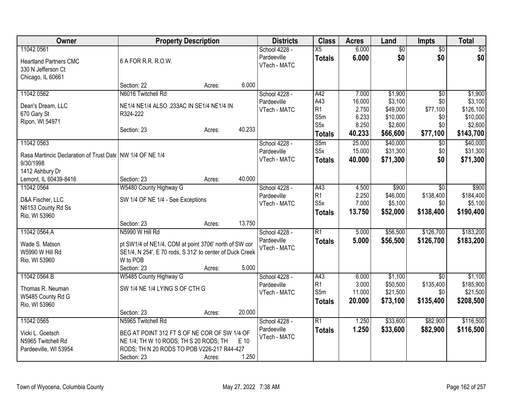| Owner                                                       | <b>Property Description</b>                              |        |        | <b>Districts</b>             | <b>Class</b>          | <b>Acres</b>    | Land                 | <b>Impts</b>     | <b>Total</b>          |
|-------------------------------------------------------------|----------------------------------------------------------|--------|--------|------------------------------|-----------------------|-----------------|----------------------|------------------|-----------------------|
| 11042 0561                                                  |                                                          |        |        | School 4228 -                | $\overline{X5}$       | 6.000           | $\overline{60}$      | $\overline{50}$  | \$0                   |
| <b>Heartland Partners CMC</b>                               | 6 A FOR R.R. R.O.W.                                      |        |        | Pardeeville                  | <b>Totals</b>         | 6.000           | \$0                  | \$0              | \$0                   |
| 330 N Jefferson Ct                                          |                                                          |        |        | VTech - MATC                 |                       |                 |                      |                  |                       |
| Chicago, IL 60661                                           |                                                          |        |        |                              |                       |                 |                      |                  |                       |
|                                                             | Section: 22                                              | Acres: | 6.000  |                              |                       |                 |                      |                  |                       |
| 11042 0562                                                  | N6016 Twitchell Rd                                       |        |        | School 4228 -                | A42                   | 7.000           | \$1,900              | $\overline{50}$  | \$1,900               |
| Dean's Dream, LLC                                           | NE1/4 NE1/4 ALSO .233AC IN SE1/4 NE1/4 IN                |        |        | Pardeeville<br>VTech - MATC  | A43<br>R1             | 16.000<br>2.750 | \$3,100<br>\$49,000  | \$0<br>\$77,100  | \$3,100<br>\$126,100  |
| 670 Gary St                                                 | R324-222                                                 |        |        |                              | S5m                   | 6.233           | \$10,000             | \$0              | \$10,000              |
| Ripon, WI 54971                                             |                                                          |        |        |                              | S <sub>5</sub> x      | 8.250           | \$2,600              | \$0              | \$2,600               |
|                                                             | Section: 23                                              | Acres: | 40.233 |                              | <b>Totals</b>         | 40.233          | \$66,600             | \$77,100         | \$143,700             |
| 11042 0563                                                  |                                                          |        |        | School 4228 -                | S5m                   | 25.000          | \$40,000             | $\overline{50}$  | \$40,000              |
| Rasa Martincic Declaration of Trust Date   NW 1/4 OF NE 1/4 |                                                          |        |        | Pardeeville                  | S5x                   | 15.000          | \$31,300             | \$0              | \$31,300              |
| 9/30/1998                                                   |                                                          |        |        | VTech - MATC                 | <b>Totals</b>         | 40.000          | \$71,300             | \$0              | \$71,300              |
| 1412 Ashbury Dr                                             |                                                          |        |        |                              |                       |                 |                      |                  |                       |
| Lemont, IL 60439-8416                                       | Section: 23                                              | Acres: | 40.000 |                              |                       |                 |                      |                  |                       |
| 11042 0564                                                  | W5480 County Highway G                                   |        |        | School 4228 -                | A43                   | 4.500           | \$900                | $\overline{50}$  | \$900                 |
| D&A Fischer, LLC                                            | SW 1/4 OF NE 1/4 - See Exceptions                        |        |        | Pardeeville                  | R1                    | 2.250           | \$46,000             | \$138,400        | \$184,400             |
| N6153 County Rd Ss                                          |                                                          |        |        | VTech - MATC                 | S5x                   | 7.000           | \$5,100              | \$0              | \$5,100               |
| Rio, WI 53960                                               |                                                          |        |        |                              | <b>Totals</b>         | 13.750          | \$52,000             | \$138,400        | \$190,400             |
|                                                             | Section: 23                                              | Acres: | 13.750 |                              |                       |                 |                      |                  |                       |
| 11042 0564.A                                                | N5990 W Hill Rd                                          |        |        | School 4228 -                | R1                    | 5.000           | \$56,500             | \$126,700        | \$183,200             |
| Wade S. Matson                                              | pt SW1/4 of NE1/4, COM at point 3706' north of SW cor    |        |        | Pardeeville                  | <b>Totals</b>         | 5.000           | \$56,500             | \$126,700        | \$183,200             |
| W5990 W Hill Rd                                             | SE1/4, N 254', E 70 rods, S 312' to center of Duck Creek |        |        | VTech - MATC                 |                       |                 |                      |                  |                       |
| Rio, WI 53960                                               | W to POB                                                 |        |        |                              |                       |                 |                      |                  |                       |
|                                                             | Section: 23                                              | Acres: | 5.000  |                              |                       |                 |                      |                  |                       |
| 11042 0564.B                                                | W5485 County Highway G                                   |        |        | School 4228 -                | A43                   | 6.000           | \$1,100              | $\sqrt{6}$       | \$1,100               |
| Thomas R. Neuman                                            | SW 1/4 NE 1/4 LYING S OF CTH G                           |        |        | Pardeeville<br>VTech - MATC  | R <sub>1</sub><br>S5m | 3.000<br>11.000 | \$50,500<br>\$21,500 | \$135,400<br>\$0 | \$185,900<br>\$21,500 |
| W5485 County Rd G                                           |                                                          |        |        |                              | <b>Totals</b>         | 20.000          | \$73,100             | \$135,400        | \$208,500             |
| Rio, WI 53960                                               |                                                          |        |        |                              |                       |                 |                      |                  |                       |
|                                                             | Section: 23                                              | Acres: | 20.000 |                              |                       |                 | \$33,600             |                  | \$116,500             |
| 11042 0565                                                  | N5965 Twitchell Rd                                       |        |        | School 4228 -<br>Pardeeville | $\overline{R1}$       | 1.250           |                      | \$82,900         |                       |
| Vicki L. Goetsch                                            | BEG AT POINT 312 FT S OF NE COR OF SW 1/4 OF             |        |        | VTech - MATC                 | <b>Totals</b>         | 1.250           | \$33,600             | \$82,900         | \$116,500             |
| N5965 Twitchell Rd                                          | NE 1/4; TH W 10 RODS; TH S 20 RODS; TH                   |        | E 10   |                              |                       |                 |                      |                  |                       |
| Pardeeville, WI 53954                                       | RODS; TH N 20 RODS TO POB V226-217 R44-427               |        |        |                              |                       |                 |                      |                  |                       |
|                                                             | Section: 23                                              | Acres: | 1.250  |                              |                       |                 |                      |                  |                       |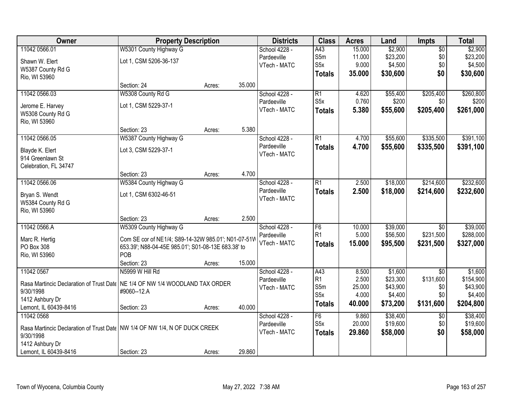| Owner                                                                                     | <b>Property Description</b>                         |        |        | <b>Districts</b> | <b>Class</b>     | <b>Acres</b> | Land     | Impts           | <b>Total</b> |
|-------------------------------------------------------------------------------------------|-----------------------------------------------------|--------|--------|------------------|------------------|--------------|----------|-----------------|--------------|
| 11042 0566.01                                                                             | W5301 County Highway G                              |        |        | School 4228 -    | A43              | 15.000       | \$2,900  | $\overline{50}$ | \$2,900      |
| Shawn W. Elert                                                                            | Lot 1, CSM 5206-36-137                              |        |        | Pardeeville      | S5m              | 11.000       | \$23,200 | \$0             | \$23,200     |
| W5387 County Rd G                                                                         |                                                     |        |        | VTech - MATC     | S <sub>5</sub> x | 9.000        | \$4,500  | \$0             | \$4,500      |
| Rio, WI 53960                                                                             |                                                     |        |        |                  | <b>Totals</b>    | 35.000       | \$30,600 | \$0             | \$30,600     |
|                                                                                           | Section: 24                                         | Acres: | 35.000 |                  |                  |              |          |                 |              |
| 11042 0566.03                                                                             | W5308 County Rd G                                   |        |        | School 4228 -    | $\overline{R1}$  | 4.620        | \$55,400 | \$205,400       | \$260,800    |
| Jerome E. Harvey                                                                          | Lot 1, CSM 5229-37-1                                |        |        | Pardeeville      | S <sub>5</sub> x | 0.760        | \$200    | \$0             | \$200        |
| W5308 County Rd G                                                                         |                                                     |        |        | VTech - MATC     | <b>Totals</b>    | 5.380        | \$55,600 | \$205,400       | \$261,000    |
| Rio, WI 53960                                                                             |                                                     |        |        |                  |                  |              |          |                 |              |
|                                                                                           | Section: 23                                         | Acres: | 5.380  |                  |                  |              |          |                 |              |
| 11042 0566.05                                                                             | W5387 County Highway G                              |        |        | School 4228 -    | $\overline{R1}$  | 4.700        | \$55,600 | \$335,500       | \$391,100    |
| Blayde K. Elert                                                                           | Lot 3, CSM 5229-37-1                                |        |        | Pardeeville      | <b>Totals</b>    | 4.700        | \$55,600 | \$335,500       | \$391,100    |
| 914 Greenlawn St                                                                          |                                                     |        |        | VTech - MATC     |                  |              |          |                 |              |
| Celebration, FL 34747                                                                     |                                                     |        |        |                  |                  |              |          |                 |              |
|                                                                                           | Section: 23                                         | Acres: | 4.700  |                  |                  |              |          |                 |              |
| 11042 0566.06                                                                             | W5384 County Highway G                              |        |        | School 4228 -    | $\overline{R1}$  | 2.500        | \$18,000 | \$214,600       | \$232,600    |
| Bryan S. Wendt                                                                            | Lot 1, CSM 6302-46-51                               |        |        | Pardeeville      | <b>Totals</b>    | 2.500        | \$18,000 | \$214,600       | \$232,600    |
| W5384 County Rd G                                                                         |                                                     |        |        | VTech - MATC     |                  |              |          |                 |              |
| Rio, WI 53960                                                                             |                                                     |        |        |                  |                  |              |          |                 |              |
|                                                                                           | Section: 23                                         | Acres: | 2.500  |                  |                  |              |          |                 |              |
| 11042 0566.A                                                                              | W5309 County Highway G                              |        |        | School 4228 -    | F6               | 10.000       | \$39,000 | $\overline{30}$ | \$39,000     |
| Marc R. Hertig                                                                            | Com SE cor of NE1/4; S89-14-32W 985.01'; N01-07-51W |        |        | Pardeeville      | R <sub>1</sub>   | 5.000        | \$56,500 | \$231,500       | \$288,000    |
| PO Box 308                                                                                | 653.39'; N88-04-45E 985.01'; S01-08-13E 683.38' to  |        |        | VTech - MATC     | <b>Totals</b>    | 15.000       | \$95,500 | \$231,500       | \$327,000    |
| Rio, WI 53960                                                                             | POB                                                 |        |        |                  |                  |              |          |                 |              |
|                                                                                           | Section: 23                                         | Acres: | 15.000 |                  |                  |              |          |                 |              |
| 11042 0567                                                                                | N5999 W Hill Rd                                     |        |        | School 4228 -    | A43              | 8.500        | \$1,600  | $\overline{50}$ | \$1,600      |
| Rasa Martincic Declaration of Trust Date   NE 1/4 OF NW 1/4 WOODLAND TAX ORDER            |                                                     |        |        | Pardeeville      | R <sub>1</sub>   | 2.500        | \$23,300 | \$131,600       | \$154,900    |
| 9/30/1998                                                                                 | #9060--12.A                                         |        |        | VTech - MATC     | S5m              | 25.000       | \$43,900 | \$0             | \$43,900     |
| 1412 Ashbury Dr                                                                           |                                                     |        |        |                  | S <sub>5</sub> x | 4.000        | \$4,400  | \$0             | \$4,400      |
| Lemont, IL 60439-8416                                                                     | Section: 23                                         | Acres: | 40.000 |                  | <b>Totals</b>    | 40.000       | \$73,200 | \$131,600       | \$204,800    |
| 11042 0568                                                                                |                                                     |        |        | School 4228 -    | F6               | 9.860        | \$38,400 | $\overline{50}$ | \$38,400     |
|                                                                                           |                                                     |        |        | Pardeeville      | S <sub>5</sub> x | 20.000       | \$19,600 | \$0             | \$19,600     |
| Rasa Martincic Declaration of Trust Date   NW 1/4 OF NW 1/4, N OF DUCK CREEK<br>9/30/1998 |                                                     |        |        | VTech - MATC     | <b>Totals</b>    | 29.860       | \$58,000 | \$0             | \$58,000     |
| 1412 Ashbury Dr                                                                           |                                                     |        |        |                  |                  |              |          |                 |              |
| Lemont, IL 60439-8416                                                                     | Section: 23                                         | Acres: | 29.860 |                  |                  |              |          |                 |              |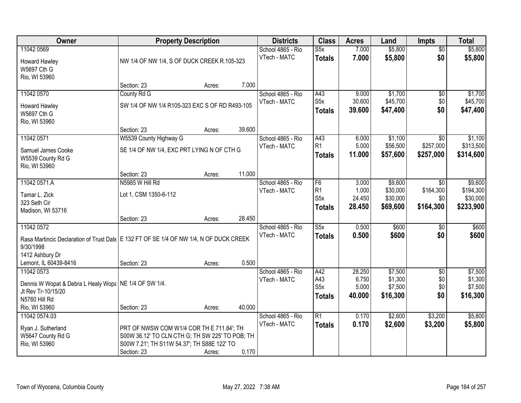| Owner                                                                                  |                                                 | <b>Property Description</b> |        | <b>Districts</b>                  | <b>Class</b>            | <b>Acres</b>   | Land               | <b>Impts</b>           | <b>Total</b>       |
|----------------------------------------------------------------------------------------|-------------------------------------------------|-----------------------------|--------|-----------------------------------|-------------------------|----------------|--------------------|------------------------|--------------------|
| 11042 0569                                                                             |                                                 |                             |        | School 4865 - Rio<br>VTech - MATC | S5x<br><b>Totals</b>    | 7.000<br>7.000 | \$5,800<br>\$5,800 | $\overline{50}$<br>\$0 | \$5,800<br>\$5,800 |
| Howard Hawley<br>W5697 Cth G                                                           | NW 1/4 OF NW 1/4, S OF DUCK CREEK R.105-323     |                             |        |                                   |                         |                |                    |                        |                    |
| Rio, WI 53960                                                                          |                                                 |                             |        |                                   |                         |                |                    |                        |                    |
|                                                                                        | Section: 23                                     | Acres:                      | 7.000  |                                   |                         |                |                    |                        |                    |
| 11042 0570                                                                             | County Rd G                                     |                             |        | School 4865 - Rio                 | A43                     | 9.000          | \$1,700            | $\overline{50}$        | \$1,700            |
| Howard Hawley                                                                          | SW 1/4 OF NW 1/4 R105-323 EXC S OF RD R493-105  |                             |        | VTech - MATC                      | S <sub>5</sub> x        | 30.600         | \$45,700           | \$0                    | \$45,700           |
| W5697 Cth G                                                                            |                                                 |                             |        |                                   | <b>Totals</b>           | 39.600         | \$47,400           | \$0                    | \$47,400           |
| Rio, WI 53960                                                                          |                                                 |                             |        |                                   |                         |                |                    |                        |                    |
| 11042 0571                                                                             | Section: 23<br>W5539 County Highway G           | Acres:                      | 39.600 | School 4865 - Rio                 | A43                     | 6.000          | \$1,100            | $\overline{50}$        | \$1,100            |
|                                                                                        |                                                 |                             |        | VTech - MATC                      | R1                      | 5.000          | \$56,500           | \$257,000              | \$313,500          |
| Samuel James Cooke                                                                     | SE 1/4 OF NW 1/4, EXC PRT LYING N OF CTH G      |                             |        |                                   | <b>Totals</b>           | 11.000         | \$57,600           | \$257,000              | \$314,600          |
| W5539 County Rd G<br>Rio, WI 53960                                                     |                                                 |                             |        |                                   |                         |                |                    |                        |                    |
|                                                                                        | Section: 23                                     | Acres:                      | 11.000 |                                   |                         |                |                    |                        |                    |
| 11042 0571.A                                                                           | N5985 W Hill Rd                                 |                             |        | School 4865 - Rio                 | F6                      | 3.000          | \$9,600            | $\sqrt{6}$             | \$9,600            |
| Tamar L. Zick                                                                          | Lot 1, CSM 1350-6-112                           |                             |        | VTech - MATC                      | R <sub>1</sub>          | 1.000          | \$30,000           | \$164,300              | \$194,300          |
| 323 Seth Cir                                                                           |                                                 |                             |        |                                   | S <sub>5</sub> x        | 24.450         | \$30,000           | \$0                    | \$30,000           |
| Madison, WI 53716                                                                      |                                                 |                             |        |                                   | <b>Totals</b>           | 28.450         | \$69,600           | \$164,300              | \$233,900          |
|                                                                                        | Section: 23                                     | Acres:                      | 28.450 |                                   |                         |                |                    |                        |                    |
| 11042 0572                                                                             |                                                 |                             |        | School 4865 - Rio                 | $\overline{\text{S5x}}$ | 0.500          | \$600              | \$0                    | \$600              |
| Rasa Martincic Declaration of Trust Date E 132 FT OF SE 1/4 OF NW 1/4, N OF DUCK CREEK |                                                 |                             |        | VTech - MATC                      | <b>Totals</b>           | 0.500          | \$600              | \$0                    | \$600              |
| 9/30/1998                                                                              |                                                 |                             |        |                                   |                         |                |                    |                        |                    |
| 1412 Ashbury Dr<br>Lemont, IL 60439-8416                                               |                                                 |                             | 0.500  |                                   |                         |                |                    |                        |                    |
| 11042 0573                                                                             | Section: 23                                     | Acres:                      |        | School 4865 - Rio                 | A42                     | 28.250         | \$7,500            | $\overline{60}$        | \$7,500            |
|                                                                                        |                                                 |                             |        | VTech - MATC                      | A43                     | 6.750          | \$1,300            | \$0                    | \$1,300            |
| Dennis W Wopat & Debra L Healy Wopa   NE 1/4 OF SW 1/4.                                |                                                 |                             |        |                                   | S <sub>5</sub> x        | 5.000          | \$7,500            | \$0                    | \$7,500            |
| Jt Rev Tr-10/15/20<br>N5760 Hill Rd                                                    |                                                 |                             |        |                                   | <b>Totals</b>           | 40.000         | \$16,300           | \$0                    | \$16,300           |
| Rio, WI 53960                                                                          | Section: 23                                     | Acres:                      | 40.000 |                                   |                         |                |                    |                        |                    |
| 11042 0574.03                                                                          |                                                 |                             |        | School 4865 - Rio                 | $\overline{R1}$         | 0.170          | \$2,600            | \$3,200                | \$5,800            |
| Ryan J. Sutherland                                                                     | PRT OF NWSW COM W1/4 COR TH E 711.84'; TH       |                             |        | VTech - MATC                      | <b>Totals</b>           | 0.170          | \$2,600            | \$3,200                | \$5,800            |
| W5647 County Rd G                                                                      | S00W 36.12' TO CLN CTH G; TH SW 225' TO POB; TH |                             |        |                                   |                         |                |                    |                        |                    |
| Rio, WI 53960                                                                          | S00W 7.21'; TH S11W 54.37'; TH S88E 122' TO     |                             |        |                                   |                         |                |                    |                        |                    |
|                                                                                        | Section: 23                                     | Acres:                      | 0.170  |                                   |                         |                |                    |                        |                    |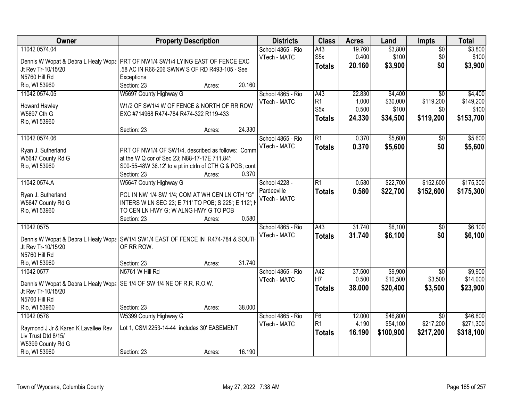| Owner                                                                    | <b>Property Description</b>                                                         | <b>Districts</b>  | <b>Class</b>     | <b>Acres</b> | Land      | <b>Impts</b>                 | <b>Total</b> |
|--------------------------------------------------------------------------|-------------------------------------------------------------------------------------|-------------------|------------------|--------------|-----------|------------------------------|--------------|
| 11042 0574.04                                                            |                                                                                     | School 4865 - Rio | A43              | 19.760       | \$3,800   | $\overline{$0}$              | \$3,800      |
|                                                                          | Dennis W Wopat & Debra L Healy Wopa PRT OF NW1/4 SW1/4 LYING EAST OF FENCE EXC      | VTech - MATC      | S <sub>5</sub> x | 0.400        | \$100     | \$0                          | \$100        |
| Jt Rev Tr-10/15/20                                                       | .58 AC IN R66-206 SWNW S OF RD R493-105 - See                                       |                   | <b>Totals</b>    | 20.160       | \$3,900   | \$0                          | \$3,900      |
| N5760 Hill Rd                                                            | Exceptions                                                                          |                   |                  |              |           |                              |              |
| Rio, WI 53960                                                            | 20.160<br>Section: 23<br>Acres:                                                     |                   |                  |              |           |                              |              |
| 11042 0574.05                                                            | W5697 County Highway G                                                              | School 4865 - Rio | A43              | 22.830       | \$4,400   | $\overline{50}$              | \$4,400      |
| Howard Hawley                                                            | W1/2 OF SW1/4 W OF FENCE & NORTH OF RR ROW                                          | VTech - MATC      | R <sub>1</sub>   | 1.000        | \$30,000  | \$119,200                    | \$149,200    |
| W5697 Cth G                                                              | EXC #714968 R474-784 R474-322 R119-433                                              |                   | S <sub>5</sub> x | 0.500        | \$100     | \$0                          | \$100        |
| Rio, WI 53960                                                            |                                                                                     |                   | <b>Totals</b>    | 24.330       | \$34,500  | \$119,200                    | \$153,700    |
|                                                                          | 24.330<br>Section: 23<br>Acres:                                                     |                   |                  |              |           |                              |              |
| 11042 0574.06                                                            |                                                                                     | School 4865 - Rio | $\overline{R1}$  | 0.370        | \$5,600   | \$0                          | \$5,600      |
| Ryan J. Sutherland                                                       | PRT OF NW1/4 OF SW1/4, described as follows: Comm                                   | VTech - MATC      | <b>Totals</b>    | 0.370        | \$5,600   | \$0                          | \$5,600      |
| W5647 County Rd G                                                        | at the W Q cor of Sec 23; N88-17-17E 711.84';                                       |                   |                  |              |           |                              |              |
| Rio, WI 53960                                                            | S00-55-48W 36.12' to a pt in ctrln of CTH G & POB; cont                             |                   |                  |              |           |                              |              |
|                                                                          | 0.370<br>Section: 23<br>Acres:                                                      |                   |                  |              |           |                              |              |
| 11042 0574.A                                                             | W5647 County Highway G                                                              | School 4228 -     | R1               | 0.580        | \$22,700  | \$152,600                    | \$175,300    |
| Ryan J. Sutherland                                                       | PCL IN NW 1/4 SW 1/4; COM AT WH CEN LN CTH "G"                                      | Pardeeville       | <b>Totals</b>    | 0.580        | \$22,700  | \$152,600                    | \$175,300    |
| W5647 County Rd G                                                        | INTERS W LN SEC 23; E 711' TO POB; S 225'; E 112'; N                                | VTech - MATC      |                  |              |           |                              |              |
| Rio, WI 53960                                                            | TO CEN LN HWY G; W ALNG HWY G TO POB                                                |                   |                  |              |           |                              |              |
|                                                                          | 0.580<br>Section: 23<br>Acres:                                                      |                   |                  |              |           |                              |              |
| 11042 0575                                                               |                                                                                     | School 4865 - Rio | A43              | 31.740       | \$6,100   | $\overline{30}$              | \$6,100      |
|                                                                          |                                                                                     | VTech - MATC      | <b>Totals</b>    | 31.740       | \$6,100   | \$0                          | \$6,100      |
|                                                                          | Dennis W Wopat & Debra L Healy Wopa   SW1/4 SW1/4 EAST OF FENCE IN R474-784 & SOUTH |                   |                  |              |           |                              |              |
| Jt Rev Tr-10/15/20<br>N5760 Hill Rd                                      | OF RR ROW.                                                                          |                   |                  |              |           |                              |              |
| Rio, WI 53960                                                            | 31.740<br>Section: 23<br>Acres:                                                     |                   |                  |              |           |                              |              |
| 11042 0577                                                               | N5761 W Hill Rd                                                                     | School 4865 - Rio | A42              | 37.500       | \$9,900   | \$0                          | \$9,900      |
|                                                                          |                                                                                     | VTech - MATC      | H7               | 0.500        | \$10,500  | \$3,500                      | \$14,000     |
| Dennis W Wopat & Debra L Healy Wopa   SE 1/4 OF SW 1/4 NE OF R.R. R.O.W. |                                                                                     |                   | <b>Totals</b>    | 38.000       | \$20,400  | \$3,500                      | \$23,900     |
| Jt Rev Tr-10/15/20                                                       |                                                                                     |                   |                  |              |           |                              |              |
| N5760 Hill Rd                                                            |                                                                                     |                   |                  |              |           |                              |              |
| Rio, WI 53960<br>11042 0578                                              | 38.000<br>Section: 23<br>Acres:                                                     | School 4865 - Rio | F6               | 12.000       | \$46,800  |                              | \$46,800     |
|                                                                          | W5399 County Highway G                                                              | VTech - MATC      | R <sub>1</sub>   | 4.190        | \$54,100  | $\overline{50}$<br>\$217,200 | \$271,300    |
| Raymond J Jr & Karen K Lavallee Rev                                      | Lot 1, CSM 2253-14-44 includes 30' EASEMENT                                         |                   |                  | 16.190       | \$100,900 | \$217,200                    | \$318,100    |
| Liv Trust Dtd 8/15/                                                      |                                                                                     |                   | <b>Totals</b>    |              |           |                              |              |
| W5399 County Rd G                                                        |                                                                                     |                   |                  |              |           |                              |              |
| Rio, WI 53960                                                            | 16.190<br>Section: 23<br>Acres:                                                     |                   |                  |              |           |                              |              |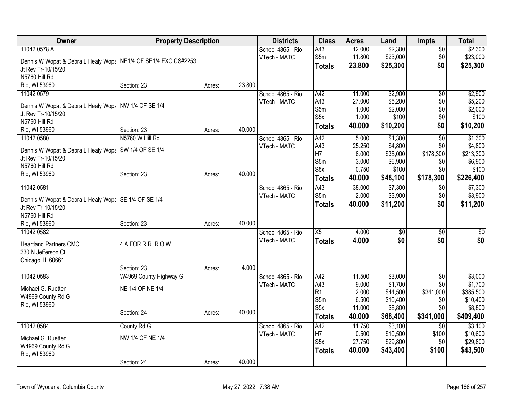| Owner                                                            | <b>Property Description</b> |        |        | <b>Districts</b>  | <b>Class</b>     | <b>Acres</b> | Land     | <b>Impts</b>    | <b>Total</b> |
|------------------------------------------------------------------|-----------------------------|--------|--------|-------------------|------------------|--------------|----------|-----------------|--------------|
| 11042 0578.A                                                     |                             |        |        | School 4865 - Rio | A43              | 12.000       | \$2,300  | $\sqrt{6}$      | \$2,300      |
| Dennis W Wopat & Debra L Healy Wopa   NE1/4 OF SE1/4 EXC CS#2253 |                             |        |        | VTech - MATC      | S5m              | 11.800       | \$23,000 | \$0             | \$23,000     |
| Jt Rev Tr-10/15/20                                               |                             |        |        |                   | <b>Totals</b>    | 23.800       | \$25,300 | \$0             | \$25,300     |
| N5760 Hill Rd                                                    |                             |        |        |                   |                  |              |          |                 |              |
| Rio, WI 53960                                                    | Section: 23                 | Acres: | 23.800 |                   |                  |              |          |                 |              |
| 11042 0579                                                       |                             |        |        | School 4865 - Rio | A42              | 11.000       | \$2,900  | $\overline{50}$ | \$2,900      |
| Dennis W Wopat & Debra L Healy Wopa NW 1/4 OF SE 1/4             |                             |        |        | VTech - MATC      | A43              | 27.000       | \$5,200  | \$0             | \$5,200      |
| Jt Rev Tr-10/15/20                                               |                             |        |        |                   | S5m              | 1.000        | \$2,000  | \$0             | \$2,000      |
| N5760 Hill Rd                                                    |                             |        |        |                   | S <sub>5x</sub>  | 1.000        | \$100    | \$0             | \$100        |
| Rio, WI 53960                                                    | Section: 23                 | Acres: | 40.000 |                   | <b>Totals</b>    | 40.000       | \$10,200 | \$0             | \$10,200     |
| 11042 0580                                                       | N5760 W Hill Rd             |        |        | School 4865 - Rio | A42              | 5.000        | \$1,300  | $\overline{50}$ | \$1,300      |
|                                                                  |                             |        |        | VTech - MATC      | A43              | 25.250       | \$4,800  | \$0             | \$4,800      |
| Dennis W Wopat & Debra L Healy Wopa   SW 1/4 OF SE 1/4           |                             |        |        |                   | H7               | 6.000        | \$35,000 | \$178,300       | \$213,300    |
| Jt Rev Tr-10/15/20                                               |                             |        |        |                   | S5m              | 3.000        | \$6,900  | \$0             | \$6,900      |
| N5760 Hill Rd                                                    |                             |        |        |                   | S <sub>5</sub> x | 0.750        | \$100    | \$0             | \$100        |
| Rio, WI 53960                                                    | Section: 23                 | Acres: | 40.000 |                   | <b>Totals</b>    | 40.000       | \$48,100 | \$178,300       | \$226,400    |
| 11042 0581                                                       |                             |        |        | School 4865 - Rio | A43              | 38.000       | \$7,300  | $\overline{60}$ | \$7,300      |
|                                                                  |                             |        |        | VTech - MATC      | S5m              | 2.000        | \$3,900  | \$0             | \$3,900      |
| Dennis W Wopat & Debra L Healy Wopa   SE 1/4 OF SE 1/4           |                             |        |        |                   | <b>Totals</b>    | 40.000       | \$11,200 | \$0             | \$11,200     |
| Jt Rev Tr-10/15/20                                               |                             |        |        |                   |                  |              |          |                 |              |
| N5760 Hill Rd<br>Rio, WI 53960                                   |                             |        | 40.000 |                   |                  |              |          |                 |              |
|                                                                  | Section: 23                 | Acres: |        |                   | X5               | 4.000        |          |                 |              |
| 11042 0582                                                       |                             |        |        | School 4865 - Rio |                  |              | \$0      | \$0             | \$0          |
| <b>Heartland Partners CMC</b>                                    | 4 A FOR R.R. R.O.W.         |        |        | VTech - MATC      | <b>Totals</b>    | 4.000        | \$0      | \$0             | \$0          |
| 330 N Jefferson Ct                                               |                             |        |        |                   |                  |              |          |                 |              |
| Chicago, IL 60661                                                |                             |        |        |                   |                  |              |          |                 |              |
|                                                                  | Section: 23                 | Acres: | 4.000  |                   |                  |              |          |                 |              |
| 11042 0583                                                       | W4969 County Highway G      |        |        | School 4865 - Rio | A42              | 11.500       | \$3,000  | \$0             | \$3,000      |
| Michael G. Ruetten                                               | NE 1/4 OF NE 1/4            |        |        | VTech - MATC      | A43              | 9.000        | \$1,700  | \$0             | \$1,700      |
| W4969 County Rd G                                                |                             |        |        |                   | R1               | 2.000        | \$44,500 | \$341,000       | \$385,500    |
| Rio, WI 53960                                                    |                             |        |        |                   | S5m              | 6.500        | \$10,400 | \$0             | \$10,400     |
|                                                                  | Section: 24                 | Acres: | 40.000 |                   | S <sub>5x</sub>  | 11.000       | \$8,800  | \$0             | \$8,800      |
|                                                                  |                             |        |        |                   | <b>Totals</b>    | 40.000       | \$68,400 | \$341,000       | \$409,400    |
| 11042 0584                                                       | County Rd G                 |        |        | School 4865 - Rio | A42              | 11.750       | \$3,100  | $\overline{50}$ | \$3,100      |
| Michael G. Ruetten                                               | NW 1/4 OF NE 1/4            |        |        | VTech - MATC      | H7               | 0.500        | \$10,500 | \$100           | \$10,600     |
| W4969 County Rd G                                                |                             |        |        |                   | S <sub>5</sub> x | 27.750       | \$29,800 | \$0             | \$29,800     |
| Rio, WI 53960                                                    |                             |        |        |                   | <b>Totals</b>    | 40.000       | \$43,400 | \$100           | \$43,500     |
|                                                                  | Section: 24                 | Acres: | 40.000 |                   |                  |              |          |                 |              |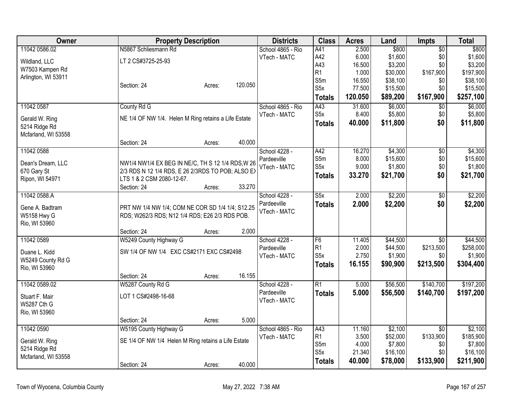| Owner               | <b>Property Description</b>                          | <b>Districts</b>  | <b>Class</b>     | <b>Acres</b>     | Land                 | <b>Impts</b>    | <b>Total</b>         |
|---------------------|------------------------------------------------------|-------------------|------------------|------------------|----------------------|-----------------|----------------------|
| 11042 0586.02       | N5867 Schliesmann Rd                                 | School 4865 - Rio | A41              | 2.500            | \$800                | $\overline{50}$ | \$800                |
| Wildland, LLC       | LT 2 CS#3725-25-93                                   | VTech - MATC      | A42              | 6.000            | \$1,600              | \$0             | \$1,600              |
| W7503 Kampen Rd     |                                                      |                   | A43              | 16.500           | \$3,200              | \$0             | \$3,200              |
| Arlington, WI 53911 |                                                      |                   | R1               | 1.000            | \$30,000             | \$167,900       | \$197,900            |
|                     | 120.050<br>Section: 24<br>Acres:                     |                   | S5m<br>S5x       | 16.550<br>77.500 | \$38,100<br>\$15,500 | \$0<br>\$0      | \$38,100<br>\$15,500 |
|                     |                                                      |                   |                  | 120.050          | \$89,200             | \$167,900       |                      |
|                     |                                                      |                   | <b>Totals</b>    |                  |                      |                 | \$257,100            |
| 11042 0587          | County Rd G                                          | School 4865 - Rio | A43              | 31.600           | \$6,000              | \$0             | \$6,000              |
| Gerald W. Ring      | NE 1/4 OF NW 1/4. Helen M Ring retains a Life Estate | VTech - MATC      | S <sub>5</sub> x | 8.400            | \$5,800              | \$0             | \$5,800              |
| 5214 Ridge Rd       |                                                      |                   | Totals           | 40.000           | \$11,800             | \$0             | \$11,800             |
| Mcfarland, WI 53558 |                                                      |                   |                  |                  |                      |                 |                      |
|                     | 40.000<br>Section: 24<br>Acres:                      |                   |                  |                  |                      |                 |                      |
| 11042 0588          |                                                      | School 4228 -     | A42              | 16.270           | \$4,300              | $\overline{30}$ | \$4,300              |
| Dean's Dream, LLC   | NW1/4 NW1/4 EX BEG IN NE/C, TH S 12 1/4 RDS, W 26    | Pardeeville       | S5m              | 8.000            | \$15,600             | \$0             | \$15,600             |
| 670 Gary St         | 2/3 RDS N 12 1/4 RDS, E 26 2/3RDS TO POB; ALSO EX    | VTech - MATC      | S5x              | 9.000            | \$1,800              | \$0             | \$1,800              |
| Ripon, WI 54971     | LTS 1 & 2 CSM 2080-12-67.                            |                   | <b>Totals</b>    | 33.270           | \$21,700             | \$0             | \$21,700             |
|                     | 33.270<br>Section: 24<br>Acres:                      |                   |                  |                  |                      |                 |                      |
| 11042 0588.A        |                                                      | School 4228 -     | S5x              | 2.000            | \$2,200              | \$0             | \$2,200              |
| Gene A. Badtram     | PRT NW 1/4 NW 1/4; COM NE COR SD 1/4 1/4; S12.25     | Pardeeville       | <b>Totals</b>    | 2.000            | \$2,200              | \$0             | \$2,200              |
| <b>W5158 Hwy G</b>  | RDS; W262/3 RDS; N12 1/4 RDS; E26 2/3 RDS POB.       | VTech - MATC      |                  |                  |                      |                 |                      |
| Rio, WI 53960       |                                                      |                   |                  |                  |                      |                 |                      |
|                     | 2.000<br>Section: 24<br>Acres:                       |                   |                  |                  |                      |                 |                      |
| 11042 0589          | W5249 County Highway G                               | School 4228 -     | F <sub>6</sub>   | 11.405           | \$44,500             | $\overline{50}$ | \$44,500             |
|                     |                                                      | Pardeeville       | R <sub>1</sub>   | 2.000            | \$44,500             | \$213,500       | \$258,000            |
| Duane L. Kidd       | SW 1/4 OF NW 1/4 EXC CS#2171 EXC CS#2498             | VTech - MATC      | S <sub>5</sub> x | 2.750            | \$1,900              | \$0             | \$1,900              |
| W5249 County Rd G   |                                                      |                   | <b>Totals</b>    | 16.155           | \$90,900             | \$213,500       | \$304,400            |
| Rio, WI 53960       | 16.155<br>Section: 24<br>Acres:                      |                   |                  |                  |                      |                 |                      |
| 11042 0589.02       | W5287 County Rd G                                    | School 4228 -     | R1               | 5.000            | \$56,500             | \$140,700       | \$197,200            |
|                     |                                                      | Pardeeville       | <b>Totals</b>    | 5.000            | \$56,500             | \$140,700       | \$197,200            |
| Stuart F. Mair      | LOT 1 CS#2498-16-68                                  | VTech - MATC      |                  |                  |                      |                 |                      |
| W5287 Cth G         |                                                      |                   |                  |                  |                      |                 |                      |
| Rio, WI 53960       | 5.000                                                |                   |                  |                  |                      |                 |                      |
| 11042 0590          | Section: 24<br>Acres:<br>W5195 County Highway G      | School 4865 - Rio | A43              | 11.160           | \$2,100              | $\overline{30}$ | \$2,100              |
|                     |                                                      | VTech - MATC      | R <sub>1</sub>   | 3.500            | \$52,000             | \$133,900       | \$185,900            |
| Gerald W. Ring      | SE 1/4 OF NW 1/4 Helen M Ring retains a Life Estate  |                   | S5m              | 4.000            | \$7,800              | \$0             | \$7,800              |
| 5214 Ridge Rd       |                                                      |                   | S <sub>5</sub> x | 21.340           | \$16,100             | \$0             | \$16,100             |
| Mcfarland, WI 53558 |                                                      |                   | <b>Totals</b>    | 40.000           | \$78,000             | \$133,900       | \$211,900            |
|                     | 40.000<br>Section: 24<br>Acres:                      |                   |                  |                  |                      |                 |                      |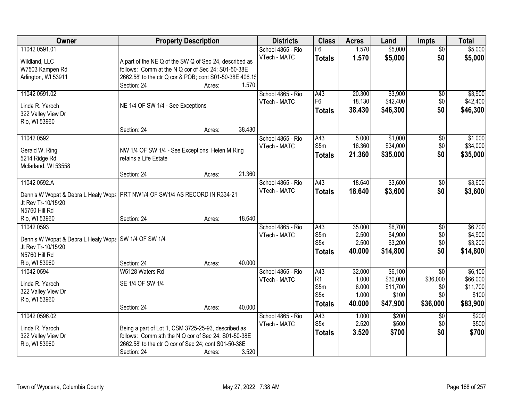| Owner                                                                         |                                                         | <b>Property Description</b> |        | <b>Districts</b>  | <b>Class</b>     | <b>Acres</b>   | Land               | <b>Impts</b>    | <b>Total</b>       |
|-------------------------------------------------------------------------------|---------------------------------------------------------|-----------------------------|--------|-------------------|------------------|----------------|--------------------|-----------------|--------------------|
| 11042 0591.01                                                                 |                                                         |                             |        | School 4865 - Rio | F6               | 1.570          | \$5,000            | $\overline{50}$ | \$5,000            |
| Wildland, LLC                                                                 | A part of the NE Q of the SW Q of Sec 24, described as  |                             |        | VTech - MATC      | <b>Totals</b>    | 1.570          | \$5,000            | \$0             | \$5,000            |
| W7503 Kampen Rd                                                               | follows: Comm at the N Q cor of Sec 24; S01-50-38E      |                             |        |                   |                  |                |                    |                 |                    |
| Arlington, WI 53911                                                           | 2662.58' to the ctr Q cor & POB; cont S01-50-38E 406.15 |                             |        |                   |                  |                |                    |                 |                    |
|                                                                               | Section: 24                                             | Acres:                      | 1.570  |                   |                  |                |                    |                 |                    |
| 11042 0591.02                                                                 |                                                         |                             |        | School 4865 - Rio | A43              | 20.300         | \$3,900            | $\overline{50}$ | \$3,900            |
| Linda R. Yaroch                                                               | NE 1/4 OF SW 1/4 - See Exceptions                       |                             |        | VTech - MATC      | F <sub>6</sub>   | 18.130         | \$42,400           | \$0             | \$42,400           |
| 322 Valley View Dr                                                            |                                                         |                             |        |                   | <b>Totals</b>    | 38.430         | \$46,300           | \$0             | \$46,300           |
| Rio, WI 53960                                                                 |                                                         |                             |        |                   |                  |                |                    |                 |                    |
|                                                                               | Section: 24                                             | Acres:                      | 38.430 |                   |                  |                |                    |                 |                    |
| 11042 0592                                                                    |                                                         |                             |        | School 4865 - Rio | A43              | 5.000          | \$1,000            | \$0             | \$1,000            |
|                                                                               |                                                         |                             |        | VTech - MATC      | S5m              | 16.360         | \$34,000           | \$0             | \$34,000           |
| Gerald W. Ring                                                                | NW 1/4 OF SW 1/4 - See Exceptions Helen M Ring          |                             |        |                   | <b>Totals</b>    | 21.360         | \$35,000           | \$0             | \$35,000           |
| 5214 Ridge Rd<br>Mcfarland, WI 53558                                          | retains a Life Estate                                   |                             |        |                   |                  |                |                    |                 |                    |
|                                                                               | Section: 24                                             | Acres:                      | 21.360 |                   |                  |                |                    |                 |                    |
| 11042 0592.A                                                                  |                                                         |                             |        | School 4865 - Rio | A43              | 18.640         | \$3,600            | \$0             | \$3,600            |
|                                                                               |                                                         |                             |        | VTech - MATC      | <b>Totals</b>    | 18.640         | \$3,600            | \$0             | \$3,600            |
| Dennis W Wopat & Debra L Healy Wopa   PRT NW1/4 OF SW1/4 AS RECORD IN R334-21 |                                                         |                             |        |                   |                  |                |                    |                 |                    |
| Jt Rev Tr-10/15/20                                                            |                                                         |                             |        |                   |                  |                |                    |                 |                    |
| N5760 Hill Rd                                                                 |                                                         |                             |        |                   |                  |                |                    |                 |                    |
| Rio, WI 53960                                                                 | Section: 24                                             | Acres:                      | 18.640 |                   |                  |                |                    |                 |                    |
| 11042 0593                                                                    |                                                         |                             |        | School 4865 - Rio | A43<br>S5m       | 35.000         | \$6,700            | $\overline{30}$ | \$6,700            |
| Dennis W Wopat & Debra L Healy Wopa   SW 1/4 OF SW 1/4                        |                                                         |                             |        | VTech - MATC      | S <sub>5x</sub>  | 2.500<br>2.500 | \$4,900<br>\$3,200 | \$0<br>\$0      | \$4,900<br>\$3,200 |
| Jt Rev Tr-10/15/20                                                            |                                                         |                             |        |                   |                  | 40.000         | \$14,800           | \$0             | \$14,800           |
| N5760 Hill Rd                                                                 |                                                         |                             |        |                   | <b>Totals</b>    |                |                    |                 |                    |
| Rio, WI 53960                                                                 | Section: 24                                             | Acres:                      | 40.000 |                   |                  |                |                    |                 |                    |
| 11042 0594                                                                    | W5128 Waters Rd                                         |                             |        | School 4865 - Rio | A43              | 32.000         | \$6,100            | $\overline{50}$ | \$6,100            |
| Linda R. Yaroch                                                               | SE 1/4 OF SW 1/4                                        |                             |        | VTech - MATC      | R1               | 1.000          | \$30,000           | \$36,000        | \$66,000           |
| 322 Valley View Dr                                                            |                                                         |                             |        |                   | S5m              | 6.000          | \$11,700           | \$0             | \$11,700           |
| Rio, WI 53960                                                                 |                                                         |                             |        |                   | S <sub>5</sub> x | 1.000          | \$100              | \$0             | \$100              |
|                                                                               | Section: 24                                             | Acres:                      | 40.000 |                   | <b>Totals</b>    | 40.000         | \$47,900           | \$36,000        | \$83,900           |
| 11042 0596.02                                                                 |                                                         |                             |        | School 4865 - Rio | A43              | 1.000          | \$200              | $\overline{50}$ | \$200              |
| Linda R. Yaroch                                                               | Being a part of Lot 1, CSM 3725-25-93, described as     |                             |        | VTech - MATC      | S <sub>5x</sub>  | 2.520          | \$500              | \$0             | \$500              |
| 322 Valley View Dr                                                            | follows: Comm ath the N Q cor of Sec 24; S01-50-38E     |                             |        |                   | <b>Totals</b>    | 3.520          | \$700              | \$0             | \$700              |
| Rio, WI 53960                                                                 | 2662.58' to the ctr Q cor of Sec 24; cont S01-50-38E    |                             |        |                   |                  |                |                    |                 |                    |
|                                                                               | Section: 24                                             | Acres:                      | 3.520  |                   |                  |                |                    |                 |                    |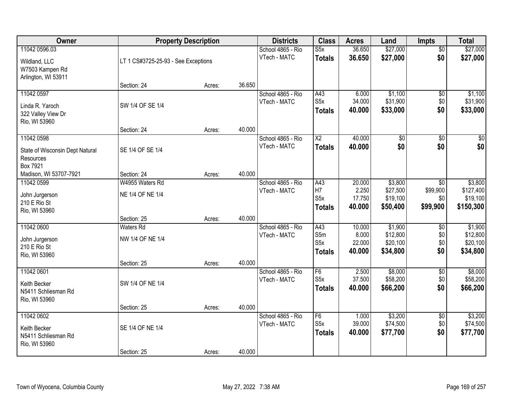| Owner                                                                    |                                      | <b>Property Description</b> |        | <b>Districts</b>                  | <b>Class</b>                                    | <b>Acres</b>                        | Land                                        | Impts                              | <b>Total</b>                                  |
|--------------------------------------------------------------------------|--------------------------------------|-----------------------------|--------|-----------------------------------|-------------------------------------------------|-------------------------------------|---------------------------------------------|------------------------------------|-----------------------------------------------|
| 11042 0596.03<br>Wildland, LLC<br>W7503 Kampen Rd<br>Arlington, WI 53911 | LT 1 CS#3725-25-93 - See Exceptions  |                             |        | School 4865 - Rio<br>VTech - MATC | S5x<br><b>Totals</b>                            | 36.650<br>36.650                    | \$27,000<br>\$27,000                        | $\overline{50}$<br>\$0             | \$27,000<br>\$27,000                          |
|                                                                          | Section: 24                          | Acres:                      | 36.650 |                                   |                                                 |                                     |                                             |                                    |                                               |
| 11042 0597<br>Linda R. Yaroch<br>322 Valley View Dr<br>Rio, WI 53960     | SW 1/4 OF SE 1/4                     |                             |        | School 4865 - Rio<br>VTech - MATC | A43<br>S <sub>5</sub> x<br><b>Totals</b>        | 6.000<br>34.000<br>40.000           | \$1,100<br>\$31,900<br>\$33,000             | \$0<br>\$0<br>\$0                  | \$1,100<br>\$31,900<br>\$33,000               |
|                                                                          | Section: 24                          | Acres:                      | 40.000 |                                   |                                                 |                                     |                                             |                                    |                                               |
| 11042 0598<br>State of Wisconsin Dept Natural<br>Resources<br>Box 7921   | SE 1/4 OF SE 1/4                     |                             |        | School 4865 - Rio<br>VTech - MATC | $\overline{\text{X2}}$<br><b>Totals</b>         | 40.000<br>40.000                    | \$0 <br>\$0                                 | $\overline{50}$<br>\$0             | $\sqrt{50}$<br>\$0                            |
| Madison, WI 53707-7921                                                   | Section: 24                          | Acres:                      | 40.000 |                                   |                                                 |                                     |                                             |                                    |                                               |
| 11042 0599<br>John Jurgerson<br>210 E Rio St<br>Rio, WI 53960            | W4955 Waters Rd<br>NE 1/4 OF NE 1/4  |                             |        | School 4865 - Rio<br>VTech - MATC | A43<br>H7<br>S <sub>5</sub> x<br><b>Totals</b>  | 20.000<br>2.250<br>17.750<br>40.000 | \$3,800<br>\$27,500<br>\$19,100<br>\$50,400 | \$0<br>\$99,900<br>\$0<br>\$99,900 | \$3,800<br>\$127,400<br>\$19,100<br>\$150,300 |
|                                                                          | Section: 25                          | Acres:                      | 40.000 |                                   |                                                 |                                     |                                             |                                    |                                               |
| 11042 0600<br>John Jurgerson<br>210 E Rio St<br>Rio, WI 53960            | <b>Waters Rd</b><br>NW 1/4 OF NE 1/4 |                             |        | School 4865 - Rio<br>VTech - MATC | A43<br>S5m<br>S <sub>5</sub> x<br><b>Totals</b> | 10.000<br>8.000<br>22.000<br>40.000 | \$1,900<br>\$12,800<br>\$20,100<br>\$34,800 | \$0<br>\$0<br>\$0<br>\$0           | \$1,900<br>\$12,800<br>\$20,100<br>\$34,800   |
| 11042 0601                                                               | Section: 25                          | Acres:                      | 40.000 | School 4865 - Rio                 | F6                                              | 2.500                               | \$8,000                                     | $\overline{50}$                    | \$8,000                                       |
| Keith Becker<br>N5411 Schliesman Rd<br>Rio, WI 53960                     | SW 1/4 OF NE 1/4                     |                             |        | VTech - MATC                      | S <sub>5</sub> x<br><b>Totals</b>               | 37.500<br>40.000                    | \$58,200<br>\$66,200                        | \$0<br>\$0                         | \$58,200<br>\$66,200                          |
|                                                                          | Section: 25                          | Acres:                      | 40.000 |                                   |                                                 |                                     |                                             |                                    |                                               |
| 11042 0602<br>Keith Becker<br>N5411 Schliesman Rd<br>Rio, WI 53960       | SE 1/4 OF NE 1/4                     |                             |        | School 4865 - Rio<br>VTech - MATC | F6<br>S <sub>5</sub> x<br><b>Totals</b>         | 1.000<br>39.000<br>40.000           | \$3,200<br>\$74,500<br>\$77,700             | $\overline{50}$<br>\$0<br>\$0      | \$3,200<br>\$74,500<br>\$77,700               |
|                                                                          | Section: 25                          | Acres:                      | 40.000 |                                   |                                                 |                                     |                                             |                                    |                                               |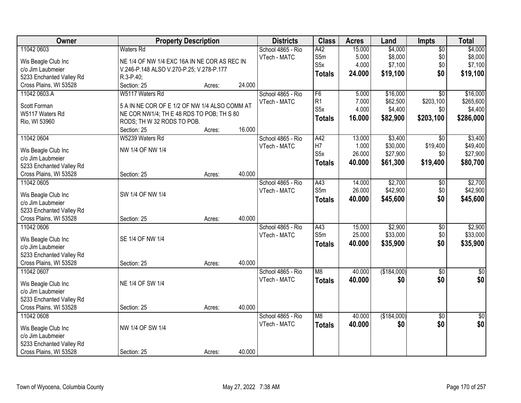| Owner                    | <b>Property Description</b>                   |        |        | <b>Districts</b>  | <b>Class</b>     | <b>Acres</b> | Land        | Impts           | <b>Total</b>  |
|--------------------------|-----------------------------------------------|--------|--------|-------------------|------------------|--------------|-------------|-----------------|---------------|
| 11042 0603               | <b>Waters Rd</b>                              |        |        | School 4865 - Rio | A42              | 15.000       | \$4,000     | $\overline{50}$ | \$4,000       |
| Wis Beagle Club Inc      | NE 1/4 OF NW 1/4 EXC 16A IN NE COR AS REC IN  |        |        | VTech - MATC      | S5m              | 5.000        | \$8,000     | \$0             | \$8,000       |
| c/o Jim Laubmeier        | V.246-P.148 ALSO V.270-P.25; V.278-P.177      |        |        |                   | S <sub>5</sub> x | 4.000        | \$7,100     | \$0             | \$7,100       |
| 5233 Enchanted Valley Rd | R.3-P.40;                                     |        |        |                   | <b>Totals</b>    | 24.000       | \$19,100    | \$0             | \$19,100      |
| Cross Plains, WI 53528   | Section: 25                                   | Acres: | 24.000 |                   |                  |              |             |                 |               |
| 11042 0603.A             | W5117 Waters Rd                               |        |        | School 4865 - Rio | F6               | 5.000        | \$16,000    | $\overline{30}$ | \$16,000      |
|                          |                                               |        |        | VTech - MATC      | R1               | 7.000        | \$62,500    | \$203,100       | \$265,600     |
| Scott Forman             | 5 A IN NE COR OF E 1/2 OF NW 1/4 ALSO COMM AT |        |        |                   | S <sub>5</sub> x | 4.000        | \$4,400     | \$0             | \$4,400       |
| W5117 Waters Rd          | NE COR NW1/4; TH E 48 RDS TO POB; TH S 80     |        |        |                   | <b>Totals</b>    | 16.000       | \$82,900    | \$203,100       | \$286,000     |
| Rio, WI 53960            | RODS; TH W 32 RODS TO POB.                    |        |        |                   |                  |              |             |                 |               |
|                          | Section: 25                                   | Acres: | 16.000 |                   |                  |              |             |                 |               |
| 11042 0604               | W5239 Waters Rd                               |        |        | School 4865 - Rio | A42              | 13.000       | \$3,400     | $\overline{50}$ | \$3,400       |
| Wis Beagle Club Inc      | NW 1/4 OF NW 1/4                              |        |        | VTech - MATC      | H7               | 1.000        | \$30,000    | \$19,400        | \$49,400      |
| c/o Jim Laubmeier        |                                               |        |        |                   | S <sub>5</sub> x | 26.000       | \$27,900    | \$0             | \$27,900      |
| 5233 Enchanted Valley Rd |                                               |        |        |                   | <b>Totals</b>    | 40.000       | \$61,300    | \$19,400        | \$80,700      |
| Cross Plains, WI 53528   | Section: 25                                   | Acres: | 40.000 |                   |                  |              |             |                 |               |
| 11042 0605               |                                               |        |        | School 4865 - Rio | A43              | 14.000       | \$2,700     | $\frac{1}{20}$  | \$2,700       |
|                          |                                               |        |        | VTech - MATC      | S5m              | 26.000       | \$42,900    | \$0             | \$42,900      |
| Wis Beagle Club Inc      | SW 1/4 OF NW 1/4                              |        |        |                   | <b>Totals</b>    | 40.000       | \$45,600    | \$0             | \$45,600      |
| c/o Jim Laubmeier        |                                               |        |        |                   |                  |              |             |                 |               |
| 5233 Enchanted Valley Rd |                                               |        |        |                   |                  |              |             |                 |               |
| Cross Plains, WI 53528   | Section: 25                                   | Acres: | 40.000 |                   |                  |              |             |                 |               |
| 11042 0606               |                                               |        |        | School 4865 - Rio | $\overline{A43}$ | 15.000       | \$2,900     | $\overline{50}$ | \$2,900       |
| Wis Beagle Club Inc      | SE 1/4 OF NW 1/4                              |        |        | VTech - MATC      | S5m              | 25.000       | \$33,000    | \$0             | \$33,000      |
| c/o Jim Laubmeier        |                                               |        |        |                   | <b>Totals</b>    | 40.000       | \$35,900    | \$0             | \$35,900      |
| 5233 Enchanted Valley Rd |                                               |        |        |                   |                  |              |             |                 |               |
| Cross Plains, WI 53528   | Section: 25                                   | Acres: | 40.000 |                   |                  |              |             |                 |               |
| 11042 0607               |                                               |        |        | School 4865 - Rio | M8               | 40.000       | (\$184,000) | $\sqrt{6}$      | $\frac{6}{3}$ |
|                          |                                               |        |        | VTech - MATC      | <b>Totals</b>    | 40.000       | \$0         | \$0             | \$0           |
| Wis Beagle Club Inc      | NE 1/4 OF SW 1/4                              |        |        |                   |                  |              |             |                 |               |
| c/o Jim Laubmeier        |                                               |        |        |                   |                  |              |             |                 |               |
| 5233 Enchanted Valley Rd |                                               |        |        |                   |                  |              |             |                 |               |
| Cross Plains, WI 53528   | Section: 25                                   | Acres: | 40.000 |                   |                  |              |             |                 |               |
| 11042 0608               |                                               |        |        | School 4865 - Rio | M8               | 40.000       | (\$184,000) | $\overline{50}$ | $\sqrt{50}$   |
| Wis Beagle Club Inc      | NW 1/4 OF SW 1/4                              |        |        | VTech - MATC      | <b>Totals</b>    | 40.000       | \$0         | \$0             | \$0           |
| c/o Jim Laubmeier        |                                               |        |        |                   |                  |              |             |                 |               |
| 5233 Enchanted Valley Rd |                                               |        |        |                   |                  |              |             |                 |               |
| Cross Plains, WI 53528   | Section: 25                                   |        | 40.000 |                   |                  |              |             |                 |               |
|                          |                                               | Acres: |        |                   |                  |              |             |                 |               |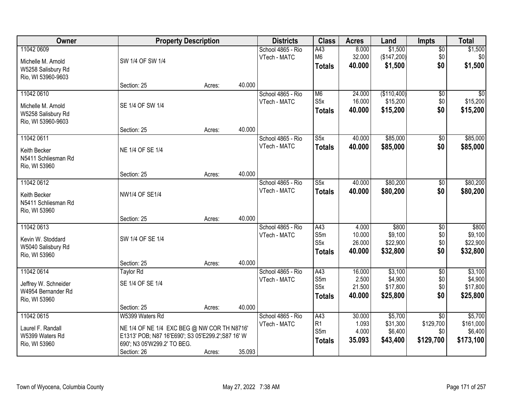| Owner                                                                        |                                                                                                                                                                    | <b>Property Description</b> |        | <b>Districts</b>                  | <b>Class</b>                                    | <b>Acres</b>                        | Land                                       | <b>Impts</b>                                     | <b>Total</b>                                 |
|------------------------------------------------------------------------------|--------------------------------------------------------------------------------------------------------------------------------------------------------------------|-----------------------------|--------|-----------------------------------|-------------------------------------------------|-------------------------------------|--------------------------------------------|--------------------------------------------------|----------------------------------------------|
| 11042 0609<br>Michelle M. Arnold<br>W5258 Salisbury Rd<br>Rio, WI 53960-9603 | SW 1/4 OF SW 1/4                                                                                                                                                   |                             |        | School 4865 - Rio<br>VTech - MATC | A43<br>M <sub>6</sub><br><b>Totals</b>          | 8.000<br>32.000<br>40.000           | \$1,500<br>(\$147,200)<br>\$1,500          | $\overline{$0}$<br>\$0<br>\$0                    | \$1,500<br>\$0<br>\$1,500                    |
|                                                                              | Section: 25                                                                                                                                                        | Acres:                      | 40.000 |                                   |                                                 |                                     |                                            |                                                  |                                              |
| 11042 0610<br>Michelle M. Arnold<br>W5258 Salisbury Rd<br>Rio, WI 53960-9603 | SE 1/4 OF SW 1/4                                                                                                                                                   |                             |        | School 4865 - Rio<br>VTech - MATC | M <sub>6</sub><br>S5x<br><b>Totals</b>          | 24.000<br>16.000<br>40.000          | (\$110,400)<br>\$15,200<br>\$15,200        | $\overline{50}$<br>\$0<br>\$0                    | \$0<br>\$15,200<br>\$15,200                  |
|                                                                              | Section: 25                                                                                                                                                        | Acres:                      | 40.000 |                                   |                                                 |                                     |                                            |                                                  |                                              |
| 11042 0611<br>Keith Becker<br>N5411 Schliesman Rd<br>Rio, WI 53960           | NE 1/4 OF SE 1/4                                                                                                                                                   |                             |        | School 4865 - Rio<br>VTech - MATC | S5x<br><b>Totals</b>                            | 40.000<br>40.000                    | \$85,000<br>\$85,000                       | $\sqrt[6]{}$<br>\$0                              | \$85,000<br>\$85,000                         |
|                                                                              | Section: 25                                                                                                                                                        | Acres:                      | 40.000 |                                   |                                                 |                                     |                                            |                                                  |                                              |
| 11042 0612<br>Keith Becker<br>N5411 Schliesman Rd<br>Rio, WI 53960           | <b>NW1/4 OF SE1/4</b>                                                                                                                                              |                             |        | School 4865 - Rio<br>VTech - MATC | $\overline{\text{S5x}}$<br><b>Totals</b>        | 40.000<br>40.000                    | \$80,200<br>\$80,200                       | \$0<br>\$0                                       | \$80,200<br>\$80,200                         |
|                                                                              | Section: 25                                                                                                                                                        | Acres:                      | 40.000 |                                   |                                                 |                                     |                                            |                                                  |                                              |
| 11042 0613<br>Kevin W. Stoddard<br>W5040 Salisbury Rd<br>Rio, WI 53960       | SW 1/4 OF SE 1/4                                                                                                                                                   |                             |        | School 4865 - Rio<br>VTech - MATC | A43<br>S5m<br>S <sub>5</sub> x<br><b>Totals</b> | 4.000<br>10.000<br>26.000<br>40.000 | \$800<br>\$9,100<br>\$22,900<br>\$32,800   | \$0<br>\$0<br>\$0<br>\$0                         | \$800<br>\$9,100<br>\$22,900<br>\$32,800     |
| 11042 0614                                                                   | Section: 25<br>Taylor Rd                                                                                                                                           | Acres:                      | 40.000 | School 4865 - Rio                 | A43                                             | 16.000                              | \$3,100                                    | $\overline{50}$                                  | \$3,100                                      |
| Jeffrey W. Schneider<br>W4954 Bernander Rd<br>Rio, WI 53960                  | SE 1/4 OF SE 1/4                                                                                                                                                   |                             |        | VTech - MATC                      | S5m<br>S5x<br><b>Totals</b>                     | 2.500<br>21.500<br>40.000           | \$4,900<br>\$17,800<br>\$25,800            | \$0<br>\$0<br>\$0                                | \$4,900<br>\$17,800<br>\$25,800              |
|                                                                              | Section: 25                                                                                                                                                        | Acres:                      | 40.000 |                                   |                                                 |                                     |                                            |                                                  |                                              |
| 11042 0615<br>Laurel F. Randall<br>W5399 Waters Rd<br>Rio, WI 53960          | W5399 Waters Rd<br>NE 1/4 OF NE 1/4 EXC BEG @ NW COR TH N8716'<br>E1313' POB; N87 16'E690'; S3 05'E299.2'; S87 16' W<br>690'; N3 05'W299.2' TO BEG.<br>Section: 26 | Acres:                      | 35.093 | School 4865 - Rio<br>VTech - MATC | A43<br>R1<br>S5m<br><b>Totals</b>               | 30.000<br>1.093<br>4.000<br>35.093  | \$5,700<br>\$31,300<br>\$6,400<br>\$43,400 | $\overline{50}$<br>\$129,700<br>\$0<br>\$129,700 | \$5,700<br>\$161,000<br>\$6,400<br>\$173,100 |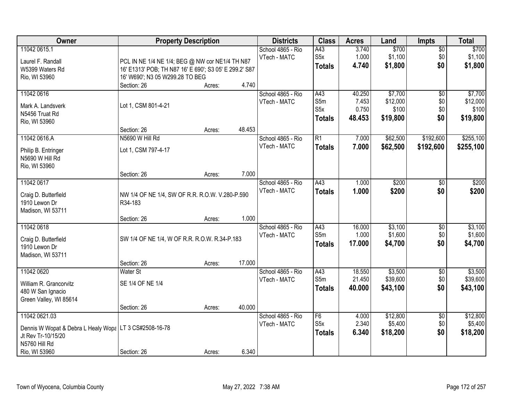| Owner                                                                                                                             |                                                                                                                                              | <b>Property Description</b> |        | <b>Districts</b>                  | <b>Class</b>                                    | <b>Acres</b>                       | Land                                     | Impts                                | <b>Total</b>                             |
|-----------------------------------------------------------------------------------------------------------------------------------|----------------------------------------------------------------------------------------------------------------------------------------------|-----------------------------|--------|-----------------------------------|-------------------------------------------------|------------------------------------|------------------------------------------|--------------------------------------|------------------------------------------|
| 11042 0615.1<br>Laurel F. Randall<br>W5399 Waters Rd<br>Rio, WI 53960                                                             | PCL IN NE 1/4 NE 1/4; BEG @ NW cor NE1/4 TH N87<br>16' E1313' POB; TH N87 16' E 690'; S3 05' E 299.2' S87<br>16' W690'; N3 05 W299.28 TO BEG |                             |        | School 4865 - Rio<br>VTech - MATC | A43<br>S <sub>5</sub> x<br><b>Totals</b>        | 3.740<br>1.000<br>4.740            | \$700<br>\$1,100<br>\$1,800              | $\overline{50}$<br>\$0<br>\$0        | \$700<br>\$1,100<br>\$1,800              |
|                                                                                                                                   | Section: 26                                                                                                                                  | Acres:                      | 4.740  |                                   |                                                 |                                    |                                          |                                      |                                          |
| 11042 0616<br>Mark A. Landsverk<br>N5456 Truat Rd<br>Rio, WI 53960                                                                | Lot 1, CSM 801-4-21<br>Section: 26                                                                                                           | Acres:                      | 48.453 | School 4865 - Rio<br>VTech - MATC | A43<br>S5m<br>S <sub>5</sub> x<br><b>Totals</b> | 40.250<br>7.453<br>0.750<br>48.453 | \$7,700<br>\$12,000<br>\$100<br>\$19,800 | $\overline{60}$<br>\$0<br>\$0<br>\$0 | \$7,700<br>\$12,000<br>\$100<br>\$19,800 |
| 11042 0616.A                                                                                                                      | N5690 W Hill Rd                                                                                                                              |                             |        | School 4865 - Rio                 | $\overline{R1}$                                 | 7.000                              | \$62,500                                 | \$192,600                            | \$255,100                                |
| Philip B. Entringer<br>N5690 W Hill Rd<br>Rio, WI 53960                                                                           | Lot 1, CSM 797-4-17                                                                                                                          |                             |        | VTech - MATC                      | <b>Totals</b>                                   | 7.000                              | \$62,500                                 | \$192,600                            | \$255,100                                |
|                                                                                                                                   | Section: 26                                                                                                                                  | Acres:                      | 7.000  |                                   |                                                 |                                    |                                          |                                      |                                          |
| 11042 0617<br>Craig D. Butterfield<br>1910 Lewon Dr<br>Madison, WI 53711                                                          | NW 1/4 OF NE 1/4, SW OF R.R. R.O.W. V.280-P.590<br>R34-183                                                                                   |                             |        | School 4865 - Rio<br>VTech - MATC | A43<br><b>Totals</b>                            | 1.000<br>1.000                     | \$200<br>\$200                           | \$0<br>\$0                           | \$200<br>\$200                           |
|                                                                                                                                   | Section: 26                                                                                                                                  | Acres:                      | 1.000  |                                   |                                                 |                                    |                                          |                                      |                                          |
| 11042 0618<br>Craig D. Butterfield<br>1910 Lewon Dr<br>Madison, WI 53711                                                          | SW 1/4 OF NE 1/4, W OF R.R. R.O.W. R.34-P.183                                                                                                |                             |        | School 4865 - Rio<br>VTech - MATC | A43<br>S <sub>5m</sub><br><b>Totals</b>         | 16.000<br>1.000<br>17.000          | \$3,100<br>\$1,600<br>\$4,700            | $\overline{50}$<br>\$0<br>\$0        | \$3,100<br>\$1,600<br>\$4,700            |
|                                                                                                                                   | Section: 26                                                                                                                                  | Acres:                      | 17.000 |                                   |                                                 |                                    |                                          |                                      |                                          |
| 11042 0620<br>William R. Grancorvitz<br>480 W San Ignacio<br>Green Valley, WI 85614                                               | <b>Water St</b><br>SE 1/4 OF NE 1/4                                                                                                          |                             |        | School 4865 - Rio<br>VTech - MATC | A43<br>S5m<br><b>Totals</b>                     | 18.550<br>21.450<br>40.000         | \$3,500<br>\$39,600<br>\$43,100          | $\sqrt{6}$<br>\$0<br>\$0             | \$3,500<br>\$39,600<br>\$43,100          |
|                                                                                                                                   | Section: 26                                                                                                                                  | Acres:                      | 40.000 |                                   |                                                 |                                    |                                          |                                      |                                          |
| 11042 0621.03<br>Dennis W Wopat & Debra L Healy Wopa   LT 3 CS#2508-16-78<br>Jt Rev Tr-10/15/20<br>N5760 Hill Rd<br>Rio, WI 53960 | Section: 26                                                                                                                                  | Acres:                      | 6.340  | School 4865 - Rio<br>VTech - MATC | F6<br>S <sub>5</sub> x<br><b>Totals</b>         | 4.000<br>2.340<br>6.340            | \$12,800<br>\$5,400<br>\$18,200          | $\overline{50}$<br>\$0<br>\$0        | \$12,800<br>\$5,400<br>\$18,200          |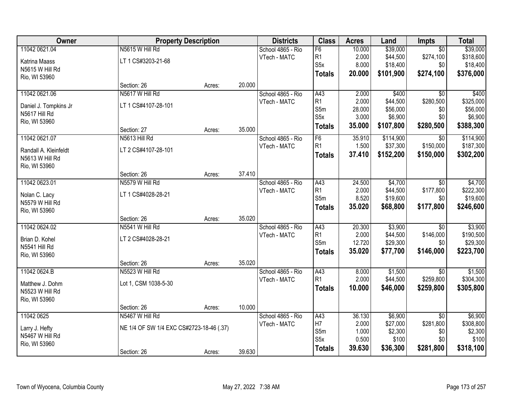| Owner                                    |                                          | <b>Property Description</b> |        | <b>Districts</b>  | <b>Class</b>                       | <b>Acres</b>    | Land                | <b>Impts</b>                 | <b>Total</b>         |
|------------------------------------------|------------------------------------------|-----------------------------|--------|-------------------|------------------------------------|-----------------|---------------------|------------------------------|----------------------|
| 11042 0621.04                            | N5615 W Hill Rd                          |                             |        | School 4865 - Rio | F6                                 | 10.000          | \$39,000            | $\overline{30}$              | \$39,000             |
| Katrina Maass                            | LT 1 CS#3203-21-68                       |                             |        | VTech - MATC      | R <sub>1</sub>                     | 2.000           | \$44,500            | \$274,100                    | \$318,600            |
| N5615 W Hill Rd                          |                                          |                             |        |                   | S <sub>5</sub> x                   | 8.000           | \$18,400            | \$0                          | \$18,400             |
| Rio, WI 53960                            |                                          |                             |        |                   | <b>Totals</b>                      | 20.000          | \$101,900           | \$274,100                    | \$376,000            |
|                                          | Section: 26                              | Acres:                      | 20.000 |                   |                                    |                 |                     |                              |                      |
| 11042 0621.06                            | N5617 W Hill Rd                          |                             |        | School 4865 - Rio | A43                                | 2.000           | \$400               | $\overline{50}$              | \$400                |
|                                          | LT 1 CS#4107-28-101                      |                             |        | VTech - MATC      | R1                                 | 2.000           | \$44,500            | \$280,500                    | \$325,000            |
| Daniel J. Tompkins Jr<br>N5617 Hill Rd   |                                          |                             |        |                   | S5m                                | 28.000          | \$56,000            | \$0                          | \$56,000             |
| Rio, WI 53960                            |                                          |                             |        |                   | S <sub>5</sub> x                   | 3.000           | \$6,900             | \$0                          | \$6,900              |
|                                          | Section: 27                              | Acres:                      | 35.000 |                   | <b>Totals</b>                      | 35.000          | \$107,800           | \$280,500                    | \$388,300            |
| 11042 0621.07                            | N5613 Hill Rd                            |                             |        | School 4865 - Rio | F6                                 | 35.910          | \$114,900           | \$0                          | \$114,900            |
|                                          | LT 2 CS#4107-28-101                      |                             |        | VTech - MATC      | R <sub>1</sub>                     | 1.500           | \$37,300            | \$150,000                    | \$187,300            |
| Randall A. Kleinfeldt<br>N5613 W Hill Rd |                                          |                             |        |                   | <b>Totals</b>                      | 37.410          | \$152,200           | \$150,000                    | \$302,200            |
| Rio, WI 53960                            |                                          |                             |        |                   |                                    |                 |                     |                              |                      |
|                                          | Section: 26                              | Acres:                      | 37.410 |                   |                                    |                 |                     |                              |                      |
| 11042 0623.01                            | N5579 W Hill Rd                          |                             |        | School 4865 - Rio | A43                                | 24.500          | \$4,700             | \$0                          | \$4,700              |
|                                          |                                          |                             |        | VTech - MATC      | R1                                 | 2.000           | \$44,500            | \$177,800                    | \$222,300            |
| Nolan C. Lacy                            | LT 1 CS#4028-28-21                       |                             |        |                   | S5m                                | 8.520           | \$19,600            | \$0                          | \$19,600             |
| N5579 W Hill Rd                          |                                          |                             |        |                   | <b>Totals</b>                      | 35.020          | \$68,800            | \$177,800                    | \$246,600            |
| Rio, WI 53960                            |                                          |                             | 35.020 |                   |                                    |                 |                     |                              |                      |
|                                          | Section: 26                              | Acres:                      |        |                   |                                    |                 |                     |                              |                      |
| 11042 0624.02                            | N5541 W Hill Rd                          |                             |        | School 4865 - Rio | $\overline{A43}$<br>R <sub>1</sub> | 20.300<br>2.000 | \$3,900<br>\$44,500 | $\overline{50}$<br>\$146,000 | \$3,900<br>\$190,500 |
| Brian D. Kohel                           | LT 2 CS#4028-28-21                       |                             |        | VTech - MATC      | S5m                                | 12.720          | \$29,300            | \$0                          | \$29,300             |
| N5541 Hill Rd                            |                                          |                             |        |                   |                                    | 35.020          | \$77,700            | \$146,000                    | \$223,700            |
| Rio, WI 53960                            |                                          |                             |        |                   | <b>Totals</b>                      |                 |                     |                              |                      |
|                                          | Section: 26                              | Acres:                      | 35.020 |                   |                                    |                 |                     |                              |                      |
| 11042 0624.B                             | N5523 W Hill Rd                          |                             |        | School 4865 - Rio | A43                                | 8.000           | \$1,500             | \$0                          | \$1,500              |
| Matthew J. Dohm                          | Lot 1, CSM 1038-5-30                     |                             |        | VTech - MATC      | R <sub>1</sub>                     | 2.000           | \$44,500            | \$259,800                    | \$304,300            |
| N5523 W Hill Rd                          |                                          |                             |        |                   | <b>Totals</b>                      | 10.000          | \$46,000            | \$259,800                    | \$305,800            |
| Rio, WI 53960                            |                                          |                             |        |                   |                                    |                 |                     |                              |                      |
|                                          | Section: 26                              | Acres:                      | 10.000 |                   |                                    |                 |                     |                              |                      |
| 11042 0625                               | N5467 W Hill Rd                          |                             |        | School 4865 - Rio | A43                                | 36.130          | \$6,900             | $\overline{50}$              | \$6,900              |
| Larry J. Hefty                           | NE 1/4 OF SW 1/4 EXC CS#2723-18-46 (.37) |                             |        | VTech - MATC      | H7                                 | 2.000           | \$27,000            | \$281,800                    | \$308,800            |
| N5467 W Hill Rd                          |                                          |                             |        |                   | S5m                                | 1.000           | \$2,300             | \$0                          | \$2,300              |
| Rio, WI 53960                            |                                          |                             |        |                   | S <sub>5</sub> x                   | 0.500           | \$100               | \$0                          | \$100                |
|                                          | Section: 26                              | Acres:                      | 39.630 |                   | <b>Totals</b>                      | 39.630          | \$36,300            | \$281,800                    | \$318,100            |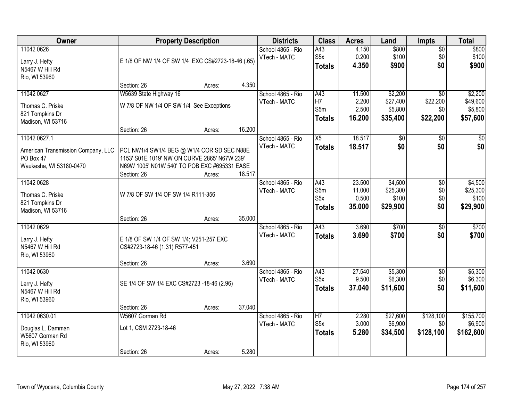| Owner                                                                      |                                                                                                                                                           | <b>Property Description</b> |        | <b>Districts</b>                  | <b>Class</b>                             | <b>Acres</b>                        | Land                                       | <b>Impts</b>                                   | <b>Total</b>                               |
|----------------------------------------------------------------------------|-----------------------------------------------------------------------------------------------------------------------------------------------------------|-----------------------------|--------|-----------------------------------|------------------------------------------|-------------------------------------|--------------------------------------------|------------------------------------------------|--------------------------------------------|
| 11042 0626<br>Larry J. Hefty<br>N5467 W Hill Rd<br>Rio, WI 53960           | E 1/8 OF NW 1/4 OF SW 1/4 EXC CS#2723-18-46 (.65)                                                                                                         |                             |        | School 4865 - Rio<br>VTech - MATC | A43<br>S5x<br><b>Totals</b>              | 4.150<br>0.200<br>4.350             | \$800<br>\$100<br>\$900                    | $\overline{50}$<br>\$0<br>\$0                  | \$800<br>\$100<br>\$900                    |
|                                                                            | Section: 26                                                                                                                                               | Acres:                      | 4.350  |                                   |                                          |                                     |                                            |                                                |                                            |
| 11042 0627<br>Thomas C. Priske<br>821 Tompkins Dr<br>Madison, WI 53716     | W5639 State Highway 16<br>W 7/8 OF NW 1/4 OF SW 1/4 See Exceptions<br>Section: 26                                                                         | Acres:                      | 16.200 | School 4865 - Rio<br>VTech - MATC | A43<br>H7<br>S5m<br><b>Totals</b>        | 11.500<br>2.200<br>2.500<br>16.200  | \$2,200<br>\$27,400<br>\$5,800<br>\$35,400 | $\overline{50}$<br>\$22,200<br>\$0<br>\$22,200 | \$2,200<br>\$49,600<br>\$5,800<br>\$57,600 |
| 11042 0627.1                                                               |                                                                                                                                                           |                             |        | School 4865 - Rio                 | X5                                       | 18.517                              | $\overline{50}$                            | $\overline{50}$                                | $\overline{30}$                            |
| American Transmission Company, LLC<br>PO Box 47<br>Waukesha, WI 53180-0470 | PCL NW1/4 SW1/4 BEG @ W1/4 COR SD SEC N88E<br>1153' S01E 1019' NW ON CURVE 2865' N67W 239'<br>N69W 1005' N01W 540' TO POB EXC #695331 EASE<br>Section: 26 | Acres:                      | 18.517 | VTech - MATC                      | <b>Totals</b>                            | 18.517                              | \$0                                        | \$0                                            | \$0                                        |
| 11042 0628<br>Thomas C. Priske<br>821 Tompkins Dr<br>Madison, WI 53716     | W 7/8 OF SW 1/4 OF SW 1/4 R111-356                                                                                                                        |                             |        | School 4865 - Rio<br>VTech - MATC | A43<br>S5m<br>S5x<br><b>Totals</b>       | 23.500<br>11.000<br>0.500<br>35.000 | \$4,500<br>\$25,300<br>\$100<br>\$29,900   | \$0<br>\$0<br>\$0<br>\$0                       | \$4,500<br>\$25,300<br>\$100<br>\$29,900   |
|                                                                            | Section: 26                                                                                                                                               | Acres:                      | 35.000 |                                   |                                          |                                     |                                            |                                                |                                            |
| 11042 0629<br>Larry J. Hefty<br>N5467 W Hill Rd<br>Rio, WI 53960           | E 1/8 OF SW 1/4 OF SW 1/4; V251-257 EXC<br>CS#2723-18-46 (1.31) R577-451<br>Section: 26                                                                   | Acres:                      | 3.690  | School 4865 - Rio<br>VTech - MATC | $\overline{A43}$<br>Totals               | 3.690<br>3.690                      | \$700<br>\$700                             | $\overline{30}$<br>\$0                         | \$700<br>\$700                             |
| 11042 0630<br>Larry J. Hefty<br>N5467 W Hill Rd<br>Rio, WI 53960           | SE 1/4 OF SW 1/4 EXC CS#2723 -18-46 (2.96)                                                                                                                |                             |        | School 4865 - Rio<br>VTech - MATC | A43<br>S <sub>5</sub> x<br><b>Totals</b> | 27.540<br>9.500<br>37.040           | \$5,300<br>\$6,300<br>\$11,600             | $\overline{50}$<br>\$0<br>\$0                  | \$5,300<br>\$6,300<br>\$11,600             |
| 11042 0630.01                                                              | Section: 26<br>W5607 Gorman Rd                                                                                                                            | Acres:                      | 37.040 | School 4865 - Rio                 | H <sub>7</sub>                           | 2.280                               | \$27,600                                   | \$128,100                                      | \$155,700                                  |
| Douglas L. Damman<br>W5607 Gorman Rd<br>Rio, WI 53960                      | Lot 1, CSM 2723-18-46<br>Section: 26                                                                                                                      | Acres:                      | 5.280  | VTech - MATC                      | S <sub>5</sub> x<br><b>Totals</b>        | 3.000<br>5.280                      | \$6,900<br>\$34,500                        | \$0<br>\$128,100                               | \$6,900<br>\$162,600                       |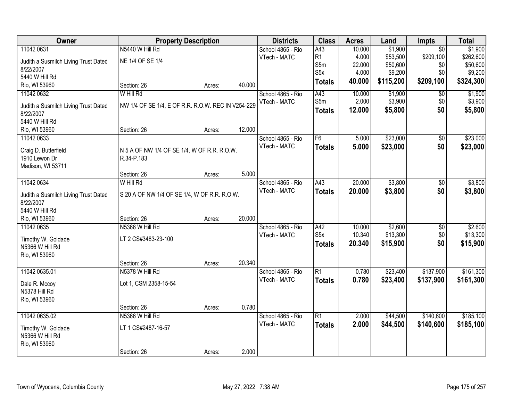| Owner                                 |                                                    | <b>Property Description</b> |        | <b>Districts</b>  | <b>Class</b>   | <b>Acres</b> | Land      | <b>Impts</b>    | <b>Total</b> |
|---------------------------------------|----------------------------------------------------|-----------------------------|--------|-------------------|----------------|--------------|-----------|-----------------|--------------|
| 11042 0631                            | N5440 W Hill Rd                                    |                             |        | School 4865 - Rio | A43            | 10.000       | \$1,900   | $\overline{50}$ | \$1,900      |
| Judith a Susmilch Living Trust Dated  | NE 1/4 OF SE 1/4                                   |                             |        | VTech - MATC      | R <sub>1</sub> | 4.000        | \$53,500  | \$209,100       | \$262,600    |
| 8/22/2007                             |                                                    |                             |        |                   | S5m            | 22.000       | \$50,600  | \$0             | \$50,600     |
| 5440 W Hill Rd                        |                                                    |                             |        |                   | S5x            | 4.000        | \$9,200   | \$0             | \$9,200      |
| Rio, WI 53960                         | Section: 26                                        | Acres:                      | 40.000 |                   | <b>Totals</b>  | 40.000       | \$115,200 | \$209,100       | \$324,300    |
| 11042 0632                            | W Hill Rd                                          |                             |        | School 4865 - Rio | A43            | 10.000       | \$1,900   | \$0             | \$1,900      |
|                                       |                                                    |                             |        | VTech - MATC      | S5m            | 2.000        | \$3,900   | \$0             | \$3,900      |
| Judith a Susmilch Living Trust Dated  | NW 1/4 OF SE 1/4, E OF R.R. R.O.W. REC IN V254-229 |                             |        |                   | <b>Totals</b>  | 12.000       | \$5,800   | \$0             | \$5,800      |
| 8/22/2007<br>5440 W Hill Rd           |                                                    |                             |        |                   |                |              |           |                 |              |
| Rio, WI 53960                         | Section: 26                                        | Acres:                      | 12.000 |                   |                |              |           |                 |              |
| 11042 0633                            |                                                    |                             |        | School 4865 - Rio | F <sub>6</sub> | 5.000        | \$23,000  | \$0             | \$23,000     |
|                                       |                                                    |                             |        | VTech - MATC      |                |              |           | \$0             |              |
| Craig D. Butterfield                  | N 5 A OF NW 1/4 OF SE 1/4, W OF R.R. R.O.W.        |                             |        |                   | <b>Totals</b>  | 5.000        | \$23,000  |                 | \$23,000     |
| 1910 Lewon Dr                         | R.34-P.183                                         |                             |        |                   |                |              |           |                 |              |
| Madison, WI 53711                     |                                                    |                             |        |                   |                |              |           |                 |              |
|                                       | Section: 26                                        | Acres:                      | 5.000  |                   |                |              |           |                 |              |
| 11042 0634                            | W Hill Rd                                          |                             |        | School 4865 - Rio | A43            | 20.000       | \$3,800   | \$0             | \$3,800      |
| Judith a Susmilch Living Trust Dated  | S 20 A OF NW 1/4 OF SE 1/4, W OF R.R. R.O.W.       |                             |        | VTech - MATC      | <b>Totals</b>  | 20.000       | \$3,800   | \$0             | \$3,800      |
| 8/22/2007                             |                                                    |                             |        |                   |                |              |           |                 |              |
| 5440 W Hill Rd                        |                                                    |                             |        |                   |                |              |           |                 |              |
| Rio, WI 53960                         | Section: 26                                        | Acres:                      | 20.000 |                   |                |              |           |                 |              |
| 11042 0635                            | N5366 W Hill Rd                                    |                             |        | School 4865 - Rio | A42            | 10.000       | \$2,600   | \$0             | \$2,600      |
|                                       |                                                    |                             |        | VTech - MATC      | S5x            | 10.340       | \$13,300  | \$0             | \$13,300     |
| Timothy W. Goldade<br>N5366 W Hill Rd | LT 2 CS#3483-23-100                                |                             |        |                   | <b>Totals</b>  | 20.340       | \$15,900  | \$0             | \$15,900     |
| Rio, WI 53960                         |                                                    |                             |        |                   |                |              |           |                 |              |
|                                       | Section: 26                                        | Acres:                      | 20.340 |                   |                |              |           |                 |              |
| 11042 0635.01                         | N5378 W Hill Rd                                    |                             |        | School 4865 - Rio | R1             | 0.780        | \$23,400  | \$137,900       | \$161,300    |
|                                       |                                                    |                             |        | VTech - MATC      | <b>Totals</b>  | 0.780        | \$23,400  | \$137,900       | \$161,300    |
| Dale R. Mccoy                         | Lot 1, CSM 2358-15-54                              |                             |        |                   |                |              |           |                 |              |
| N5378 Hill Rd                         |                                                    |                             |        |                   |                |              |           |                 |              |
| Rio, WI 53960                         |                                                    |                             |        |                   |                |              |           |                 |              |
|                                       | Section: 26                                        | Acres:                      | 0.780  |                   |                |              |           |                 |              |
| 11042 0635.02                         | N5366 W Hill Rd                                    |                             |        | School 4865 - Rio | R1             | 2.000        | \$44,500  | \$140,600       | \$185,100    |
| Timothy W. Goldade                    | LT 1 CS#2487-16-57                                 |                             |        | VTech - MATC      | <b>Totals</b>  | 2.000        | \$44,500  | \$140,600       | \$185,100    |
| N5366 W Hill Rd                       |                                                    |                             |        |                   |                |              |           |                 |              |
| Rio, WI 53960                         |                                                    |                             |        |                   |                |              |           |                 |              |
|                                       | Section: 26                                        | Acres:                      | 2.000  |                   |                |              |           |                 |              |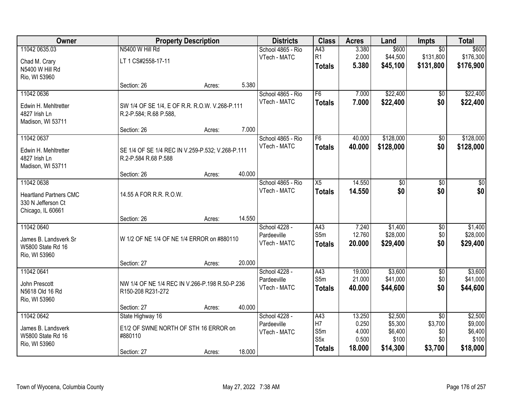| Owner                                   |                                                  | <b>Property Description</b> |        | <b>Districts</b>                  | <b>Class</b>     | <b>Acres</b>   | Land               | Impts           | <b>Total</b>       |
|-----------------------------------------|--------------------------------------------------|-----------------------------|--------|-----------------------------------|------------------|----------------|--------------------|-----------------|--------------------|
| 11042 0635.03                           | N5400 W Hill Rd                                  |                             |        | School 4865 - Rio                 | A43              | 3.380          | \$600              | $\overline{50}$ | \$600              |
| Chad M. Crary                           | LT 1 CS#2558-17-11                               |                             |        | VTech - MATC                      | R1               | 2.000          | \$44,500           | \$131,800       | \$176,300          |
| N5400 W Hill Rd                         |                                                  |                             |        |                                   | <b>Totals</b>    | 5.380          | \$45,100           | \$131,800       | \$176,900          |
| Rio, WI 53960                           |                                                  |                             |        |                                   |                  |                |                    |                 |                    |
|                                         | Section: 26                                      | Acres:                      | 5.380  |                                   |                  |                |                    |                 |                    |
| 11042 0636                              |                                                  |                             |        | School 4865 - Rio                 | F6               | 7.000          | \$22,400           | $\overline{50}$ | \$22,400           |
| Edwin H. Mehltretter                    | SW 1/4 OF SE 1/4, E OF R.R. R.O.W. V.268-P.111   |                             |        | VTech - MATC                      | <b>Totals</b>    | 7.000          | \$22,400           | \$0             | \$22,400           |
| 4827 Irish Ln                           | R.2-P.584; R.68 P.588,                           |                             |        |                                   |                  |                |                    |                 |                    |
| Madison, WI 53711                       |                                                  |                             |        |                                   |                  |                |                    |                 |                    |
|                                         | Section: 26                                      | Acres:                      | 7.000  |                                   |                  |                |                    |                 |                    |
| 11042 0637                              |                                                  |                             |        | School 4865 - Rio<br>VTech - MATC | F6               | 40.000         | \$128,000          | \$0<br>\$0      | \$128,000          |
| Edwin H. Mehltretter                    | SE 1/4 OF SE 1/4 REC IN V.259-P.532; V.268-P.111 |                             |        |                                   | <b>Totals</b>    | 40.000         | \$128,000          |                 | \$128,000          |
| 4827 Irish Ln                           | R.2-P.584 R.68 P.588                             |                             |        |                                   |                  |                |                    |                 |                    |
| Madison, WI 53711                       | Section: 26                                      | Acres:                      | 40.000 |                                   |                  |                |                    |                 |                    |
| 11042 0638                              |                                                  |                             |        | School 4865 - Rio                 | $\overline{X5}$  | 14.550         | \$0                | \$0             | \$0                |
|                                         |                                                  |                             |        | VTech - MATC                      | <b>Totals</b>    | 14.550         | \$0                | \$0             | \$0                |
| <b>Heartland Partners CMC</b>           | 14.55 A FOR R.R. R.O.W.                          |                             |        |                                   |                  |                |                    |                 |                    |
| 330 N Jefferson Ct<br>Chicago, IL 60661 |                                                  |                             |        |                                   |                  |                |                    |                 |                    |
|                                         | Section: 26                                      | Acres:                      | 14.550 |                                   |                  |                |                    |                 |                    |
| 11042 0640                              |                                                  |                             |        | School 4228 -                     | A43              | 7.240          | \$1,400            | $\overline{50}$ | \$1,400            |
| James B. Landsverk Sr                   | W 1/2 OF NE 1/4 OF NE 1/4 ERROR on #880110       |                             |        | Pardeeville                       | S5m              | 12.760         | \$28,000           | \$0             | \$28,000           |
| W5800 State Rd 16                       |                                                  |                             |        | VTech - MATC                      | <b>Totals</b>    | 20.000         | \$29,400           | \$0             | \$29,400           |
| Rio, WI 53960                           |                                                  |                             |        |                                   |                  |                |                    |                 |                    |
|                                         | Section: 27                                      | Acres:                      | 20.000 |                                   |                  |                |                    |                 |                    |
| 11042 0641                              |                                                  |                             |        | School 4228 -                     | A43              | 19.000         | \$3,600            | $\overline{60}$ | \$3,600            |
| John Prescott                           | NW 1/4 OF NE 1/4 REC IN V.266-P.198 R.50-P.236   |                             |        | Pardeeville                       | S5m              | 21.000         | \$41,000           | \$0             | \$41,000           |
| N5618 Old 16 Rd                         | R150-208 R231-272                                |                             |        | VTech - MATC                      | <b>Totals</b>    | 40.000         | \$44,600           | \$0             | \$44,600           |
| Rio, WI 53960                           |                                                  |                             |        |                                   |                  |                |                    |                 |                    |
|                                         | Section: 27                                      | Acres:                      | 40.000 |                                   |                  |                |                    |                 |                    |
| 11042 0642                              | State Highway 16                                 |                             |        | School 4228 -                     | A43              | 13.250         | \$2,500            | $\overline{50}$ | \$2,500            |
| James B. Landsverk                      | E1/2 OF SWNE NORTH OF STH 16 ERROR on            |                             |        | Pardeeville                       | H7<br>S5m        | 0.250<br>4.000 | \$5,300<br>\$6,400 | \$3,700<br>\$0  | \$9,000<br>\$6,400 |
| W5800 State Rd 16                       | #880110                                          |                             |        | VTech - MATC                      | S <sub>5</sub> x | 0.500          | \$100              | \$0             | \$100              |
| Rio, WI 53960                           |                                                  |                             |        |                                   | <b>Totals</b>    | 18.000         | \$14,300           | \$3,700         | \$18,000           |
|                                         | Section: 27                                      | Acres:                      | 18.000 |                                   |                  |                |                    |                 |                    |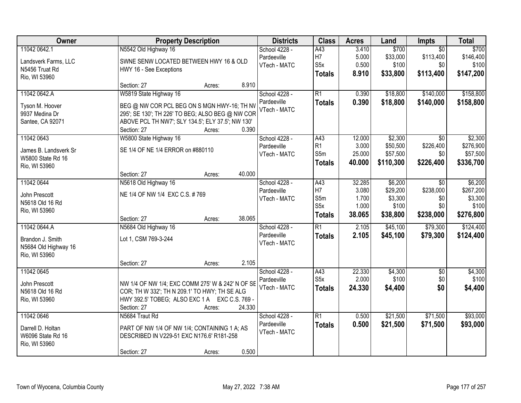| Owner                                                                     | <b>Property Description</b>                                                                                                                                                                                      | <b>Districts</b>                             | <b>Class</b>                                   | <b>Acres</b>                        | Land                                         | Impts                                            | <b>Total</b>                                  |
|---------------------------------------------------------------------------|------------------------------------------------------------------------------------------------------------------------------------------------------------------------------------------------------------------|----------------------------------------------|------------------------------------------------|-------------------------------------|----------------------------------------------|--------------------------------------------------|-----------------------------------------------|
| 11042 0642.1<br>Landsverk Farms, LLC<br>N5456 Truat Rd<br>Rio, WI 53960   | N5542 Old Highway 16<br>SWNE SENW LOCATED BETWEEN HWY 16 & OLD<br>HWY 16 - See Exceptions                                                                                                                        | School 4228 -<br>Pardeeville<br>VTech - MATC | A43<br>H7<br>S <sub>5</sub> x<br><b>Totals</b> | 3.410<br>5.000<br>0.500<br>8.910    | \$700<br>\$33,000<br>\$100<br>\$33,800       | $\overline{50}$<br>\$113,400<br>\$0<br>\$113,400 | \$700<br>\$146,400<br>\$100<br>\$147,200      |
|                                                                           | 8.910<br>Section: 27<br>Acres:                                                                                                                                                                                   |                                              |                                                |                                     |                                              |                                                  |                                               |
| 11042 0642.A<br>Tyson M. Hoover<br>9937 Medina Dr<br>Santee, CA 92071     | W5819 State Highway 16<br>BEG @ NW COR PCL BEG ON S MGN HWY-16; TH NV<br>295'; SE 130'; TH 226' TO BEG; ALSO BEG @ NW COR<br>ABOVE PCL TH NW7'; SLY 134.5'; ELY 37.5'; NW 130'<br>0.390<br>Section: 27<br>Acres: | School 4228 -<br>Pardeeville<br>VTech - MATC | $\overline{R1}$<br><b>Totals</b>               | 0.390<br>0.390                      | \$18,800<br>\$18,800                         | \$140,000<br>\$140,000                           | \$158,800<br>\$158,800                        |
| 11042 0643<br>James B. Landsverk Sr<br>W5800 State Rd 16<br>Rio, WI 53960 | W5800 State Highway 16<br>SE 1/4 OF NE 1/4 ERROR on #880110<br>40.000                                                                                                                                            | School 4228 -<br>Pardeeville<br>VTech - MATC | A43<br>R <sub>1</sub><br>S5m<br><b>Totals</b>  | 12.000<br>3.000<br>25.000<br>40.000 | \$2,300<br>\$50,500<br>\$57,500<br>\$110,300 | \$0<br>\$226,400<br>\$0<br>\$226,400             | \$2,300<br>\$276,900<br>\$57,500<br>\$336,700 |
| 11042 0644<br>John Prescott<br>N5618 Old 16 Rd                            | Section: 27<br>Acres:<br>N5618 Old Highway 16<br>NE 1/4 OF NW 1/4 EXC C.S. #769                                                                                                                                  | School 4228 -<br>Pardeeville<br>VTech - MATC | A43<br>H7<br>S5m<br>S <sub>5</sub> x           | 32.285<br>3.080<br>1.700<br>1.000   | \$6,200<br>\$29,200<br>\$3,300<br>\$100      | $\sqrt{6}$<br>\$238,000<br>\$0<br>\$0            | \$6,200<br>\$267,200<br>\$3,300<br>\$100      |
| Rio, WI 53960                                                             | 38.065<br>Section: 27<br>Acres:                                                                                                                                                                                  |                                              | <b>Totals</b>                                  | 38.065                              | \$38,800                                     | \$238,000                                        | \$276,800                                     |
| 11042 0644.A<br>Brandon J. Smith<br>N5684 Old Highway 16<br>Rio, WI 53960 | N5684 Old Highway 16<br>Lot 1, CSM 769-3-244<br>2.105<br>Section: 27<br>Acres:                                                                                                                                   | School 4228 -<br>Pardeeville<br>VTech - MATC | $\overline{R1}$<br><b>Totals</b>               | 2.105<br>2.105                      | \$45,100<br>\$45,100                         | \$79,300<br>\$79,300                             | \$124,400<br>\$124,400                        |
| 11042 0645<br>John Prescott<br>N5618 Old 16 Rd<br>Rio, WI 53960           | NW 1/4 OF NW 1/4; EXC COMM 275' W & 242' N OF SE<br>COR; TH W 332'; TH N 209.1' TO HWY; TH SE ALG<br>HWY 392.5' TOBEG; ALSO EXC 1 A EXC C.S. 769 -<br>24.330<br>Section: 27<br>Acres:                            | School 4228 -<br>Pardeeville<br>VTech - MATC | A43<br>S <sub>5</sub> x<br><b>Totals</b>       | 22.330<br>2.000<br>24.330           | \$4,300<br>\$100<br>\$4,400                  | $\overline{50}$<br>\$0<br>\$0                    | \$4,300<br>\$100<br>\$4,400                   |
| 11042 0646<br>Darrell D. Holtan<br>W6096 State Rd 16<br>Rio, WI 53960     | N5684 Traut Rd<br>PART OF NW 1/4 OF NW 1/4; CONTAINING 1 A; AS<br>DESCRIBED IN V229-51 EXC N176.6' R181-258<br>0.500<br>Section: 27<br>Acres:                                                                    | School 4228 -<br>Pardeeville<br>VTech - MATC | $\overline{R1}$<br><b>Totals</b>               | 0.500<br>0.500                      | \$21,500<br>\$21,500                         | \$71,500<br>\$71,500                             | \$93,000<br>\$93,000                          |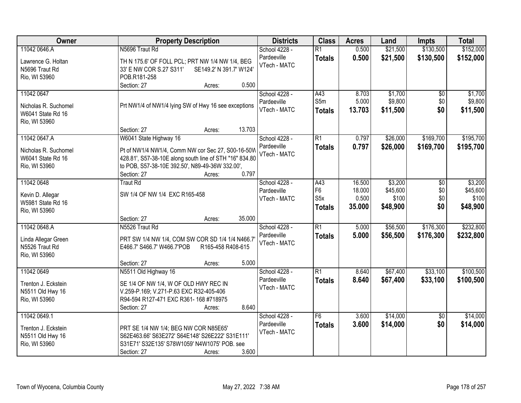| Owner                | <b>Property Description</b>                             | <b>Districts</b>             | <b>Class</b>     | <b>Acres</b> | Land     | <b>Impts</b>    | <b>Total</b> |
|----------------------|---------------------------------------------------------|------------------------------|------------------|--------------|----------|-----------------|--------------|
| 11042 0646.A         | N5696 Traut Rd                                          | School 4228 -                | $\overline{R1}$  | 0.500        | \$21,500 | \$130,500       | \$152,000    |
| Lawrence G. Holtan   | TH N 175.6' OF FOLL PCL; PRT NW 1/4 NW 1/4, BEG         | Pardeeville                  | <b>Totals</b>    | 0.500        | \$21,500 | \$130,500       | \$152,000    |
| N5696 Traut Rd       | 33' E NW COR S.27 S311'<br>SE149.2' N 391.7' W124'      | VTech - MATC                 |                  |              |          |                 |              |
| Rio, WI 53960        | POB.R181-258                                            |                              |                  |              |          |                 |              |
|                      | 0.500<br>Section: 27<br>Acres:                          |                              |                  |              |          |                 |              |
| 11042 0647           |                                                         | School 4228 -                | A43              | 8.703        | \$1,700  | \$0             | \$1,700      |
|                      |                                                         | Pardeeville                  | S5m              | 5.000        | \$9,800  | \$0             | \$9,800      |
| Nicholas R. Suchomel | Prt NW1/4 of NW1/4 lying SW of Hwy 16 see exceptions    | VTech - MATC                 | <b>Totals</b>    | 13.703       | \$11,500 | \$0             | \$11,500     |
| W6041 State Rd 16    |                                                         |                              |                  |              |          |                 |              |
| Rio, WI 53960        | 13.703<br>Section: 27<br>Acres:                         |                              |                  |              |          |                 |              |
| 11042 0647.A         | W6041 State Highway 16                                  | School 4228 -                | $\overline{R1}$  | 0.797        | \$26,000 | \$169,700       | \$195,700    |
|                      |                                                         | Pardeeville                  |                  |              |          |                 |              |
| Nicholas R. Suchomel | Pt of NW1/4 NW1/4, Comm NW cor Sec 27, S00-16-50W       | VTech - MATC                 | <b>Totals</b>    | 0.797        | \$26,000 | \$169,700       | \$195,700    |
| W6041 State Rd 16    | 428.81', S57-38-10E along south line of STH "16" 834.80 |                              |                  |              |          |                 |              |
| Rio, WI 53960        | to POB, S57-38-10E 392.50', N89-49-36W 332.00',         |                              |                  |              |          |                 |              |
|                      | 0.797<br>Section: 27<br>Acres:                          |                              |                  |              |          |                 |              |
| 11042 0648           | <b>Traut Rd</b>                                         | School 4228 -                | A43              | 16.500       | \$3,200  | \$0             | \$3,200      |
| Kevin D. Allegar     | SW 1/4 OF NW 1/4 EXC R165-458                           | Pardeeville                  | F <sub>6</sub>   | 18.000       | \$45,600 | \$0             | \$45,600     |
| W5981 State Rd 16    |                                                         | VTech - MATC                 | S <sub>5</sub> x | 0.500        | \$100    | \$0             | \$100        |
| Rio, WI 53960        |                                                         |                              | <b>Totals</b>    | 35.000       | \$48,900 | \$0             | \$48,900     |
|                      | Section: 27<br>35.000<br>Acres:                         |                              |                  |              |          |                 |              |
| 11042 0648.A         | N5526 Traut Rd                                          | School 4228 -                | $\overline{R1}$  | 5.000        | \$56,500 | \$176,300       | \$232,800    |
|                      |                                                         | Pardeeville                  | <b>Totals</b>    | 5.000        | \$56,500 | \$176,300       | \$232,800    |
| Linda Allegar Green  | PRT SW 1/4 NW 1/4, COM SW COR SD 1/4 1/4 N466.7         | VTech - MATC                 |                  |              |          |                 |              |
| N5526 Traut Rd       | E466.7' S466.7' W466.7'POB<br>R165-458 R408-615         |                              |                  |              |          |                 |              |
| Rio, WI 53960        |                                                         |                              |                  |              |          |                 |              |
|                      | 5.000<br>Section: 27<br>Acres:                          |                              | $\overline{R1}$  |              |          |                 |              |
| 11042 0649           | N5511 Old Highway 16                                    | School 4228 -<br>Pardeeville |                  | 8.640        | \$67,400 | \$33,100        | \$100,500    |
| Trenton J. Eckstein  | SE 1/4 OF NW 1/4, W OF OLD HWY REC IN                   | VTech - MATC                 | <b>Totals</b>    | 8.640        | \$67,400 | \$33,100        | \$100,500    |
| N5511 Old Hwy 16     | V.259-P.169; V.271-P.63 EXC R32-405-406                 |                              |                  |              |          |                 |              |
| Rio, WI 53960        | R94-594 R127-471 EXC R361- 168 #718975                  |                              |                  |              |          |                 |              |
|                      | 8.640<br>Section: 27<br>Acres:                          |                              |                  |              |          |                 |              |
| 11042 0649.1         |                                                         | School 4228 -                | F6               | 3.600        | \$14,000 | $\overline{50}$ | \$14,000     |
| Trenton J. Eckstein  | PRT SE 1/4 NW 1/4; BEG NW COR N85E65'                   | Pardeeville                  | <b>Totals</b>    | 3.600        | \$14,000 | \$0             | \$14,000     |
| N5511 Old Hwy 16     | S62E463.66' S63E272' S64E148' S26E222' S31E111'         | VTech - MATC                 |                  |              |          |                 |              |
| Rio, WI 53960        | S31E71' S32E135' S78W1059' N4W1075' POB. see            |                              |                  |              |          |                 |              |
|                      | 3.600<br>Section: 27<br>Acres:                          |                              |                  |              |          |                 |              |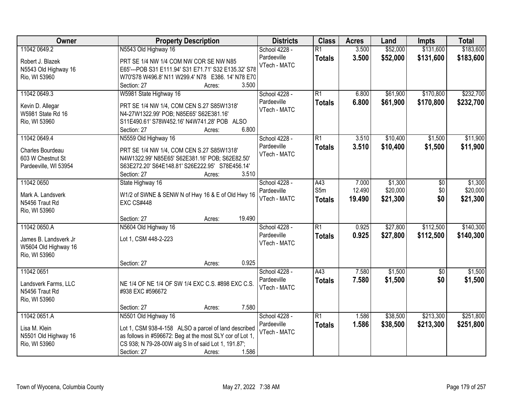| <b>Owner</b>          | <b>Property Description</b>                              | <b>Districts</b> | <b>Class</b>     | <b>Acres</b> | Land     | <b>Impts</b>    | <b>Total</b> |
|-----------------------|----------------------------------------------------------|------------------|------------------|--------------|----------|-----------------|--------------|
| 11042 0649.2          | N5543 Old Highway 16                                     | School 4228 -    | $\overline{R1}$  | 3.500        | \$52,000 | \$131,600       | \$183,600    |
| Robert J. Blazek      | PRT SE 1/4 NW 1/4 COM NW COR SE NW N85                   | Pardeeville      | <b>Totals</b>    | 3.500        | \$52,000 | \$131,600       | \$183,600    |
| N5543 Old Highway 16  | E65'--- POB S31 E111.94' S31 E71.71' S32 E135.32' S78    | VTech - MATC     |                  |              |          |                 |              |
| Rio, WI 53960         | W70'S78 W496.8' N11 W299.4' N78 E386. 14' N78 E70        |                  |                  |              |          |                 |              |
|                       | 3.500<br>Section: 27<br>Acres:                           |                  |                  |              |          |                 |              |
| 11042 0649.3          | W5981 State Highway 16                                   | School 4228 -    | $\overline{R1}$  | 6.800        | \$61,900 | \$170,800       | \$232,700    |
|                       |                                                          | Pardeeville      | <b>Totals</b>    | 6.800        | \$61,900 | \$170,800       | \$232,700    |
| Kevin D. Allegar      | PRT SE 1/4 NW 1/4, COM CEN S.27 S85W1318'                | VTech - MATC     |                  |              |          |                 |              |
| W5981 State Rd 16     | N4-27W1322.99' POB; N85E65' S62E381.16'                  |                  |                  |              |          |                 |              |
| Rio, WI 53960         | S11E490.61' S78W452.16' N4W741.28' POB ALSO              |                  |                  |              |          |                 |              |
|                       | 6.800<br>Section: 27<br>Acres:                           |                  |                  |              |          |                 |              |
| 11042 0649.4          | N5559 Old Highway 16                                     | School 4228 -    | $\overline{R1}$  | 3.510        | \$10,400 | \$1,500         | \$11,900     |
| Charles Bourdeau      | PRT SE 1/4 NW 1/4, COM CEN S.27 S85W1318'                | Pardeeville      | <b>Totals</b>    | 3.510        | \$10,400 | \$1,500         | \$11,900     |
| 603 W Chestnut St     | N4W1322.99' N85E65' S62E381.16' POB; S62E82.50'          | VTech - MATC     |                  |              |          |                 |              |
| Pardeeville, WI 53954 | S63E272.20' S64E148.81' S26E222.95' S78E456.14'          |                  |                  |              |          |                 |              |
|                       | Section: 27<br>3.510<br>Acres:                           |                  |                  |              |          |                 |              |
| 11042 0650            | State Highway 16                                         | School 4228 -    | A43              | 7.000        | \$1,300  | \$0             | \$1,300      |
|                       |                                                          | Pardeeville      | S5m              | 12.490       | \$20,000 | \$0             | \$20,000     |
| Mark A. Landsverk     | W1/2 of SWNE & SENW N of Hwy 16 & E of Old Hwy 16        | VTech - MATC     | <b>Totals</b>    | 19.490       | \$21,300 | \$0             | \$21,300     |
| N5456 Traut Rd        | <b>EXC CS#448</b>                                        |                  |                  |              |          |                 |              |
| Rio, WI 53960         |                                                          |                  |                  |              |          |                 |              |
|                       | 19.490<br>Section: 27<br>Acres:                          |                  | $\overline{R1}$  |              |          |                 |              |
| 11042 0650.A          | N5604 Old Highway 16                                     | School 4228 -    |                  | 0.925        | \$27,800 | \$112,500       | \$140,300    |
| James B. Landsverk Jr | Lot 1, CSM 448-2-223                                     | Pardeeville      | <b>Totals</b>    | 0.925        | \$27,800 | \$112,500       | \$140,300    |
| W5604 Old Highway 16  |                                                          | VTech - MATC     |                  |              |          |                 |              |
| Rio, WI 53960         |                                                          |                  |                  |              |          |                 |              |
|                       | 0.925<br>Section: 27<br>Acres:                           |                  |                  |              |          |                 |              |
| 11042 0651            |                                                          | School 4228 -    | $\overline{A43}$ | 7.580        | \$1,500  | $\overline{60}$ | \$1,500      |
| Landsverk Farms, LLC  | NE 1/4 OF NE 1/4 OF SW 1/4 EXC C.S. #898 EXC C.S.        | Pardeeville      | <b>Totals</b>    | 7.580        | \$1,500  | \$0             | \$1,500      |
| N5456 Traut Rd        | #938 EXC #596672                                         | VTech - MATC     |                  |              |          |                 |              |
|                       |                                                          |                  |                  |              |          |                 |              |
| Rio, WI 53960         | 7.580<br>Section: 27<br>Acres:                           |                  |                  |              |          |                 |              |
| 11042 0651.A          | N5501 Old Highway 16                                     | School 4228 -    | $\overline{R1}$  | 1.586        | \$38,500 | \$213,300       | \$251,800    |
|                       |                                                          | Pardeeville      |                  |              |          |                 |              |
| Lisa M. Klein         | Lot 1, CSM 938-4-158 ALSO a parcel of land described     | VTech - MATC     | <b>Totals</b>    | 1.586        | \$38,500 | \$213,300       | \$251,800    |
| N5501 Old Highway 16  | as follows in #596672: Beg at the most SLY cor of Lot 1, |                  |                  |              |          |                 |              |
| Rio, WI 53960         | CS 938; N 79-28-00W alg S In of said Lot 1, 191.87';     |                  |                  |              |          |                 |              |
|                       | 1.586<br>Section: 27<br>Acres:                           |                  |                  |              |          |                 |              |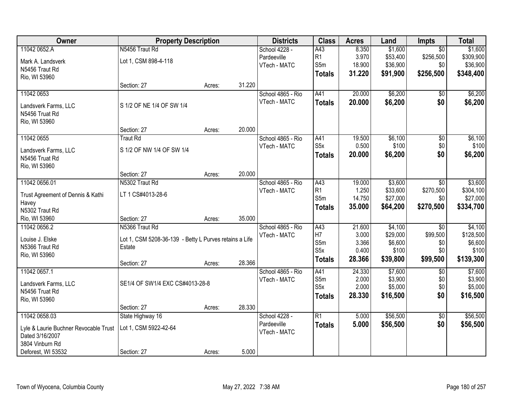| Owner                                 | <b>Property Description</b>                            |        |        | <b>Districts</b>  | <b>Class</b>     | <b>Acres</b> | Land     | <b>Impts</b>    | <b>Total</b> |
|---------------------------------------|--------------------------------------------------------|--------|--------|-------------------|------------------|--------------|----------|-----------------|--------------|
| 11042 0652.A                          | N5456 Traut Rd                                         |        |        | School 4228 -     | A43              | 8.350        | \$1,600  | $\overline{50}$ | \$1,600      |
| Mark A. Landsverk                     | Lot 1, CSM 898-4-118                                   |        |        | Pardeeville       | R1               | 3.970        | \$53,400 | \$256,500       | \$309,900    |
| N5456 Traut Rd                        |                                                        |        |        | VTech - MATC      | S5m              | 18.900       | \$36,900 | \$0             | \$36,900     |
| Rio, WI 53960                         |                                                        |        |        |                   | <b>Totals</b>    | 31.220       | \$91,900 | \$256,500       | \$348,400    |
|                                       | Section: 27                                            | Acres: | 31.220 |                   |                  |              |          |                 |              |
| 11042 0653                            |                                                        |        |        | School 4865 - Rio | A41              | 20.000       | \$6,200  | \$0             | \$6,200      |
| Landsverk Farms, LLC                  | S 1/2 OF NE 1/4 OF SW 1/4                              |        |        | VTech - MATC      | <b>Totals</b>    | 20.000       | \$6,200  | \$0             | \$6,200      |
| N5456 Truat Rd                        |                                                        |        |        |                   |                  |              |          |                 |              |
| Rio, WI 53960                         |                                                        |        |        |                   |                  |              |          |                 |              |
|                                       | Section: 27                                            | Acres: | 20.000 |                   |                  |              |          |                 |              |
| 11042 0655                            | <b>Traut Rd</b>                                        |        |        | School 4865 - Rio | A41              | 19.500       | \$6,100  | $\overline{50}$ | \$6,100      |
| Landsverk Farms, LLC                  | S 1/2 OF NW 1/4 OF SW 1/4                              |        |        | VTech - MATC      | S <sub>5</sub> x | 0.500        | \$100    | \$0             | \$100        |
| N5456 Truat Rd                        |                                                        |        |        |                   | <b>Totals</b>    | 20.000       | \$6,200  | \$0             | \$6,200      |
| Rio, WI 53960                         |                                                        |        |        |                   |                  |              |          |                 |              |
|                                       | Section: 27                                            | Acres: | 20.000 |                   |                  |              |          |                 |              |
| 11042 0656.01                         | N5302 Traut Rd                                         |        |        | School 4865 - Rio | A43              | 19.000       | \$3,600  | \$0             | \$3,600      |
| Trust Agreement of Dennis & Kathi     | LT 1 CS#4013-28-6                                      |        |        | VTech - MATC      | R1               | 1.250        | \$33,600 | \$270,500       | \$304,100    |
| Havey                                 |                                                        |        |        |                   | S5m              | 14.750       | \$27,000 | \$0             | \$27,000     |
| N5302 Traut Rd                        |                                                        |        |        |                   | <b>Totals</b>    | 35.000       | \$64,200 | \$270,500       | \$334,700    |
| Rio, WI 53960                         | Section: 27                                            | Acres: | 35.000 |                   |                  |              |          |                 |              |
| 11042 0656.2                          | N5366 Traut Rd                                         |        |        | School 4865 - Rio | A43              | 21.600       | \$4,100  | \$0             | \$4,100      |
| Louise J. Elske                       | Lot 1, CSM 5208-36-139 - Betty L Purves retains a Life |        |        | VTech - MATC      | H7               | 3.000        | \$29,000 | \$99,500        | \$128,500    |
| N5366 Traut Rd                        | Estate                                                 |        |        |                   | S5m              | 3.366        | \$6,600  | \$0             | \$6,600      |
| Rio, WI 53960                         |                                                        |        |        |                   | S <sub>5</sub> x | 0.400        | \$100    | \$0             | \$100        |
|                                       | Section: 27                                            | Acres: | 28.366 |                   | <b>Totals</b>    | 28.366       | \$39,800 | \$99,500        | \$139,300    |
| 11042 0657.1                          |                                                        |        |        | School 4865 - Rio | A41              | 24.330       | \$7,600  | $\sqrt{6}$      | \$7,600      |
| Landsverk Farms, LLC                  | SE1/4 OF SW1/4 EXC CS#4013-28-8                        |        |        | VTech - MATC      | S5m              | 2.000        | \$3,900  | \$0             | \$3,900      |
| N5456 Truat Rd                        |                                                        |        |        |                   | S <sub>5</sub> x | 2.000        | \$5,000  | \$0             | \$5,000      |
| Rio, WI 53960                         |                                                        |        |        |                   | <b>Totals</b>    | 28.330       | \$16,500 | \$0             | \$16,500     |
|                                       | Section: 27                                            | Acres: | 28.330 |                   |                  |              |          |                 |              |
| 11042 0658.03                         | State Highway 16                                       |        |        | School 4228 -     | $\overline{R1}$  | 5.000        | \$56,500 | $\overline{30}$ | \$56,500     |
| Lyle & Laurie Buchner Revocable Trust | Lot 1, CSM 5922-42-64                                  |        |        | Pardeeville       | <b>Totals</b>    | 5.000        | \$56,500 | \$0             | \$56,500     |
| Dated 3/16/2007                       |                                                        |        |        | VTech - MATC      |                  |              |          |                 |              |
| 3804 Vinburn Rd                       |                                                        |        |        |                   |                  |              |          |                 |              |
| Deforest, WI 53532                    | Section: 27                                            | Acres: | 5.000  |                   |                  |              |          |                 |              |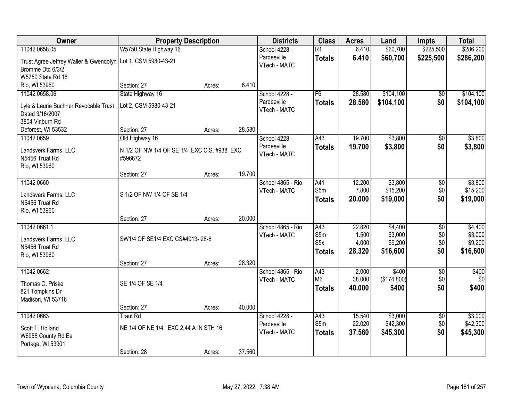| Owner                                                          | <b>Property Description</b>                 |        |        | <b>Districts</b>  | <b>Class</b>     | <b>Acres</b> | Land        | <b>Impts</b>    | <b>Total</b> |
|----------------------------------------------------------------|---------------------------------------------|--------|--------|-------------------|------------------|--------------|-------------|-----------------|--------------|
| 11042 0658.05                                                  | W5750 State Highway 16                      |        |        | School 4228 -     | $\overline{R1}$  | 6.410        | \$60,700    | \$225,500       | \$286,200    |
| Trust Agree Jeffrey Waller & Gwendolyn   Lot 1, CSM 5980-43-21 |                                             |        |        | Pardeeville       | <b>Totals</b>    | 6.410        | \$60,700    | \$225,500       | \$286,200    |
| Bromme Dtd 6/3/2                                               |                                             |        |        | VTech - MATC      |                  |              |             |                 |              |
| W5750 State Rd 16                                              |                                             |        |        |                   |                  |              |             |                 |              |
| Rio, WI 53960                                                  | Section: 27                                 | Acres: | 6.410  |                   |                  |              |             |                 |              |
| 11042 0658.06                                                  | State Highway 16                            |        |        | School 4228 -     | F6               | 28.580       | \$104,100   | \$0             | \$104,100    |
| Lyle & Laurie Buchner Revocable Trust                          | Lot 2, CSM 5980-43-21                       |        |        | Pardeeville       | <b>Totals</b>    | 28.580       | \$104,100   | \$0             | \$104,100    |
| Dated 3/16/2007                                                |                                             |        |        | VTech - MATC      |                  |              |             |                 |              |
| 3804 Vinburn Rd                                                |                                             |        |        |                   |                  |              |             |                 |              |
| Deforest, WI 53532                                             | Section: 27                                 | Acres: | 28.580 |                   |                  |              |             |                 |              |
| 11042 0659                                                     | Old Highway 16                              |        |        | School 4228 -     | A43              | 19.700       | \$3,800     | $\overline{50}$ | \$3,800      |
| Landsverk Farms, LLC                                           | N 1/2 OF NW 1/4 OF SE 1/4 EXC C.S. #938 EXC |        |        | Pardeeville       | <b>Totals</b>    | 19.700       | \$3,800     | \$0             | \$3,800      |
| N5456 Truat Rd                                                 | #596672                                     |        |        | VTech - MATC      |                  |              |             |                 |              |
| Rio, WI 53960                                                  |                                             |        |        |                   |                  |              |             |                 |              |
|                                                                | Section: 27                                 | Acres: | 19.700 |                   |                  |              |             |                 |              |
| 11042 0660                                                     |                                             |        |        | School 4865 - Rio | A41              | 12.200       | \$3,800     | \$0             | \$3,800      |
| Landsverk Farms, LLC                                           | S 1/2 OF NW 1/4 OF SE 1/4                   |        |        | VTech - MATC      | S5m              | 7.800        | \$15,200    | \$0             | \$15,200     |
| N5456 Truat Rd                                                 |                                             |        |        |                   | <b>Totals</b>    | 20.000       | \$19,000    | \$0             | \$19,000     |
| Rio, WI 53960                                                  |                                             |        |        |                   |                  |              |             |                 |              |
|                                                                | Section: 27                                 | Acres: | 20.000 |                   |                  |              |             |                 |              |
| 11042 0661.1                                                   |                                             |        |        | School 4865 - Rio | A43              | 22.820       | \$4,400     | $\overline{50}$ | \$4,400      |
|                                                                |                                             |        |        | VTech - MATC      | S5m              | 1.500        | \$3,000     | \$0             | \$3,000      |
| Landsverk Farms, LLC<br>N5456 Truat Rd                         | SW1/4 OF SE1/4 EXC CS#4013-28-8             |        |        |                   | S <sub>5</sub> x | 4.000        | \$9,200     | \$0             | \$9,200      |
| Rio, WI 53960                                                  |                                             |        |        |                   | <b>Totals</b>    | 28.320       | \$16,600    | \$0             | \$16,600     |
|                                                                | Section: 27                                 | Acres: | 28.320 |                   |                  |              |             |                 |              |
| 11042 0662                                                     |                                             |        |        | School 4865 - Rio | A43              | 2.000        | \$400       | $\overline{50}$ | \$400        |
|                                                                |                                             |        |        | VTech - MATC      | M <sub>6</sub>   | 38.000       | (\$174,800) | \$0             | \$0          |
| Thomas C. Priske<br>821 Tompkins Dr                            | SE 1/4 OF SE 1/4                            |        |        |                   | <b>Totals</b>    | 40.000       | \$400       | \$0             | \$400        |
| Madison, WI 53716                                              |                                             |        |        |                   |                  |              |             |                 |              |
|                                                                | Section: 27                                 | Acres: | 40.000 |                   |                  |              |             |                 |              |
| 11042 0663                                                     | <b>Traut Rd</b>                             |        |        | School 4228 -     | A43              | 15.540       | \$3,000     | $\overline{50}$ | \$3,000      |
|                                                                |                                             |        |        | Pardeeville       | S5m              | 22.020       | \$42,300    | \$0             | \$42,300     |
| Scott T. Holland                                               | NE 1/4 OF NE 1/4 EXC 2.44 A IN STH 16       |        |        | VTech - MATC      | <b>Totals</b>    | 37.560       | \$45,300    | \$0             | \$45,300     |
| W6955 County Rd Ee<br>Portage, WI 53901                        |                                             |        |        |                   |                  |              |             |                 |              |
|                                                                | Section: 28                                 | Acres: | 37.560 |                   |                  |              |             |                 |              |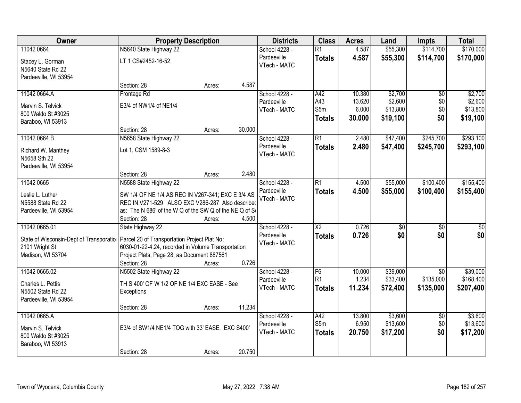| Owner                                   | <b>Property Description</b>                             |        |        | <b>Districts</b>             | <b>Class</b>    | <b>Acres</b> | Land            | <b>Impts</b>    | <b>Total</b>     |
|-----------------------------------------|---------------------------------------------------------|--------|--------|------------------------------|-----------------|--------------|-----------------|-----------------|------------------|
| 11042 0664                              | N5640 State Highway 22                                  |        |        | School 4228 -                | $\overline{R1}$ | 4.587        | \$55,300        | \$114,700       | \$170,000        |
| Stacey L. Gorman<br>N5640 State Rd 22   | LT 1 CS#2452-16-52                                      |        |        | Pardeeville<br>VTech - MATC  | <b>Totals</b>   | 4.587        | \$55,300        | \$114,700       | \$170,000        |
| Pardeeville, WI 53954                   | Section: 28                                             | Acres: | 4.587  |                              |                 |              |                 |                 |                  |
| 11042 0664.A                            | Frontage Rd                                             |        |        | School 4228 -                | A42             | 10.380       | \$2,700         | $\overline{60}$ | \$2,700          |
|                                         |                                                         |        |        | Pardeeville                  | A43             | 13.620       | \$2,600         | \$0             | \$2,600          |
| Marvin S. Telvick                       | E3/4 of NW1/4 of NE1/4                                  |        |        | VTech - MATC                 | S5m             | 6.000        | \$13,800        | \$0             | \$13,800         |
| 800 Waldo St #3025                      |                                                         |        |        |                              | <b>Totals</b>   | 30.000       | \$19,100        | \$0             | \$19,100         |
| Baraboo, WI 53913                       | Section: 28                                             | Acres: | 30.000 |                              |                 |              |                 |                 |                  |
| 11042 0664.B                            | N5658 State Highway 22                                  |        |        | School 4228 -                | $\overline{R1}$ | 2.480        | \$47,400        | \$245,700       | \$293,100        |
|                                         |                                                         |        |        | Pardeeville                  | <b>Totals</b>   | 2.480        | \$47,400        | \$245,700       | \$293,100        |
| Richard W. Manthey                      | Lot 1, CSM 1589-8-3                                     |        |        | VTech - MATC                 |                 |              |                 |                 |                  |
| N5658 Sth 22                            |                                                         |        |        |                              |                 |              |                 |                 |                  |
| Pardeeville, WI 53954                   |                                                         |        |        |                              |                 |              |                 |                 |                  |
|                                         | Section: 28                                             | Acres: | 2.480  |                              |                 |              |                 |                 |                  |
| 11042 0665                              | N5588 State Highway 22                                  |        |        | School 4228 -<br>Pardeeville | $\overline{R1}$ | 4.500        | \$55,000        | \$100,400       | \$155,400        |
| Leslie L. Luther                        | SW 1/4 OF NE 1/4 AS REC IN V267-341; EXC E 3/4 AS       |        |        | VTech - MATC                 | <b>Totals</b>   | 4.500        | \$55,000        | \$100,400       | \$155,400        |
| N5588 State Rd 22                       | REC IN V271-529 ALSO EXC V286-287 Also described        |        |        |                              |                 |              |                 |                 |                  |
| Pardeeville, WI 53954                   | as: The N 686' of the W Q of the SW Q of the NE Q of So |        |        |                              |                 |              |                 |                 |                  |
|                                         | Section: 28                                             | Acres: | 4.500  |                              |                 |              |                 |                 |                  |
| 11042 0665.01                           | State Highway 22                                        |        |        | School 4228 -                | $\overline{X2}$ | 0.726        | $\overline{50}$ | $\overline{50}$ | $\overline{\$0}$ |
| State of Wisconsin-Dept of Transporatio | Parcel 20 of Transportation Project Plat No:            |        |        | Pardeeville                  | <b>Totals</b>   | 0.726        | \$0             | \$0             | \$0              |
| 2101 Wright St                          | 6030-01-22-4.24, recorded in Volume Transportation      |        |        | VTech - MATC                 |                 |              |                 |                 |                  |
| Madison, WI 53704                       | Project Plats, Page 28, as Document 887561              |        |        |                              |                 |              |                 |                 |                  |
|                                         | Section: 28                                             | Acres: | 0.726  |                              |                 |              |                 |                 |                  |
| 11042 0665.02                           | N5502 State Highway 22                                  |        |        | School 4228 -                | F6              | 10.000       | \$39,000        | $\overline{50}$ | \$39,000         |
| Charles L. Pettis                       | TH S 400' OF W 1/2 OF NE 1/4 EXC EASE - See             |        |        | Pardeeville                  | R <sub>1</sub>  | 1.234        | \$33,400        | \$135,000       | \$168,400        |
| N5502 State Rd 22                       | Exceptions                                              |        |        | VTech - MATC                 | <b>Totals</b>   | 11.234       | \$72,400        | \$135,000       | \$207,400        |
| Pardeeville, WI 53954                   |                                                         |        |        |                              |                 |              |                 |                 |                  |
|                                         | Section: 28                                             | Acres: | 11.234 |                              |                 |              |                 |                 |                  |
| 11042 0665.A                            |                                                         |        |        | School 4228 -                | A42             | 13.800       | \$3,600         | $\overline{50}$ | \$3,600          |
| Marvin S. Telvick                       | E3/4 of SW1/4 NE1/4 TOG with 33' EASE. EXC S400'        |        |        | Pardeeville                  | S5m             | 6.950        | \$13,600        | \$0             | \$13,600         |
| 800 Waldo St #3025                      |                                                         |        |        | VTech - MATC                 | <b>Totals</b>   | 20.750       | \$17,200        | \$0             | \$17,200         |
| Baraboo, WI 53913                       |                                                         |        |        |                              |                 |              |                 |                 |                  |
|                                         | Section: 28                                             | Acres: | 20.750 |                              |                 |              |                 |                 |                  |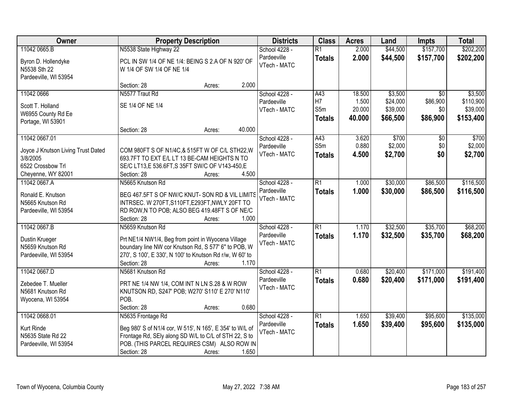| <b>Owner</b>                                                 |                                                                                | <b>Property Description</b> |        | <b>Districts</b>            | <b>Class</b>    | <b>Acres</b> | Land     | <b>Impts</b>    | <b>Total</b> |
|--------------------------------------------------------------|--------------------------------------------------------------------------------|-----------------------------|--------|-----------------------------|-----------------|--------------|----------|-----------------|--------------|
| 11042 0665.B                                                 | N5538 State Highway 22                                                         |                             |        | School 4228 -               | $\overline{R1}$ | 2.000        | \$44,500 | \$157,700       | \$202,200    |
| Byron D. Hollendyke<br>N5538 Sth 22<br>Pardeeville, WI 53954 | PCL IN SW 1/4 OF NE 1/4: BEING S 2.A OF N 920' OF<br>W 1/4 OF SW 1/4 OF NE 1/4 |                             |        | Pardeeville<br>VTech - MATC | <b>Totals</b>   | 2.000        | \$44,500 | \$157,700       | \$202,200    |
|                                                              | Section: 28                                                                    | Acres:                      | 2.000  |                             |                 |              |          |                 |              |
| 11042 0666                                                   | N5577 Traut Rd                                                                 |                             |        | School 4228 -               | A43             | 18.500       | \$3,500  | $\overline{50}$ | \$3,500      |
| Scott T. Holland                                             | SE 1/4 OF NE 1/4                                                               |                             |        | Pardeeville                 | H7              | 1.500        | \$24,000 | \$86,900        | \$110,900    |
| W6955 County Rd Ee                                           |                                                                                |                             |        | VTech - MATC                | S5m             | 20.000       | \$39,000 | \$0             | \$39,000     |
| Portage, WI 53901                                            |                                                                                |                             |        |                             | <b>Totals</b>   | 40.000       | \$66,500 | \$86,900        | \$153,400    |
|                                                              | Section: 28                                                                    | Acres:                      | 40.000 |                             |                 |              |          |                 |              |
| 11042 0667.01                                                |                                                                                |                             |        | School 4228 -               | A43             | 3.620        | \$700    | \$0             | \$700        |
| Joyce J Knutson Living Trust Dated                           | COM 980FT S OF N1/4C,& 515FT W OF C/L STH22, W                                 |                             |        | Pardeeville                 | S5m             | 0.880        | \$2,000  | \$0             | \$2,000      |
| 3/8/2005                                                     | 693.7FT TO EXT E/L LT 13 BE-CAM HEIGHTS N TO                                   |                             |        | VTech - MATC                | <b>Totals</b>   | 4.500        | \$2,700  | \$0             | \$2,700      |
| 6522 Crossbow Trl                                            | SE/C LT13,E 536.6FT,S 35FT SW/C OF V143-450,E                                  |                             |        |                             |                 |              |          |                 |              |
| Cheyenne, WY 82001                                           | Section: 28                                                                    | Acres:                      | 4.500  |                             |                 |              |          |                 |              |
| 11042 0667.A                                                 | N5665 Knutson Rd                                                               |                             |        | School 4228 -               | $\overline{R1}$ | 1.000        | \$30,000 | \$86,500        | \$116,500    |
| Ronald E. Knutson                                            | BEG 467.5FT S OF NW/C KNUT- SON RD & VIL LIMITS                                |                             |        | Pardeeville                 | <b>Totals</b>   | 1.000        | \$30,000 | \$86,500        | \$116,500    |
| N5665 Knutson Rd                                             | INTRSEC. W 270FT, S110FT, E293FT, NWLY 20FT TO                                 |                             |        | VTech - MATC                |                 |              |          |                 |              |
| Pardeeville, WI 53954                                        | RD ROW, N TO POB; ALSO BEG 419.48FT S OF NE/C                                  |                             |        |                             |                 |              |          |                 |              |
|                                                              | Section: 28                                                                    | Acres:                      | 1.000  |                             |                 |              |          |                 |              |
| 11042 0667.B                                                 | N5659 Knutson Rd                                                               |                             |        | School 4228 -               | $\overline{R1}$ | 1.170        | \$32,500 | \$35,700        | \$68,200     |
| Dustin Krueger                                               | Prt NE1/4 NW1/4, Beg from point in Wyocena Village                             |                             |        | Pardeeville                 | <b>Totals</b>   | 1.170        | \$32,500 | \$35,700        | \$68,200     |
| N5659 Knutson Rd                                             | boundary line NW cor Knutson Rd, S 577' 6" to POB, W                           |                             |        | VTech - MATC                |                 |              |          |                 |              |
| Pardeeville, WI 53954                                        | 270', S 100', E 330', N 100' to Knutson Rd r/w, W 60' to                       |                             |        |                             |                 |              |          |                 |              |
|                                                              | Section: 28                                                                    | Acres:                      | 1.170  |                             |                 |              |          |                 |              |
| 11042 0667.D                                                 | N5681 Knutson Rd                                                               |                             |        | School 4228 -               | $\overline{R1}$ | 0.680        | \$20,400 | \$171,000       | \$191,400    |
| Zebedee T. Mueller                                           | PRT NE 1/4 NW 1/4, COM INT N LN S.28 & W ROW                                   |                             |        | Pardeeville                 | <b>Totals</b>   | 0.680        | \$20,400 | \$171,000       | \$191,400    |
| N5681 Knutson Rd                                             | KNUTSON RD, S247' POB; W270' S110' E 270' N110'                                |                             |        | VTech - MATC                |                 |              |          |                 |              |
| Wyocena, WI 53954                                            | POB.                                                                           |                             |        |                             |                 |              |          |                 |              |
|                                                              | Section: 28                                                                    | Acres:                      | 0.680  |                             |                 |              |          |                 |              |
| 11042 0668.01                                                | N5635 Frontage Rd                                                              |                             |        | School 4228 -               | $\overline{R1}$ | 1.650        | \$39,400 | \$95,600        | \$135,000    |
| Kurt Rinde                                                   | Beg 980' S of N1/4 cor, W 515', N 165', E 354' to W/L of                       |                             |        | Pardeeville                 | <b>Totals</b>   | 1.650        | \$39,400 | \$95,600        | \$135,000    |
| N5635 State Rd 22                                            | Frontage Rd, SEly along SD W/L to C/L of STH 22, S to                          |                             |        | VTech - MATC                |                 |              |          |                 |              |
| Pardeeville, WI 53954                                        | POB. (THIS PARCEL REQUIRES CSM) ALSO ROW IN                                    |                             |        |                             |                 |              |          |                 |              |
|                                                              | Section: 28                                                                    | Acres:                      | 1.650  |                             |                 |              |          |                 |              |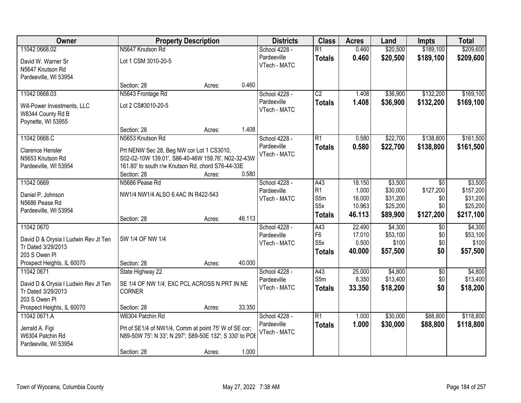| Owner                                                      |                                                         | <b>Property Description</b> |        | <b>Districts</b>            | <b>Class</b>     | <b>Acres</b> | Land     | <b>Impts</b>    | <b>Total</b> |
|------------------------------------------------------------|---------------------------------------------------------|-----------------------------|--------|-----------------------------|------------------|--------------|----------|-----------------|--------------|
| 11042 0668.02                                              | N5647 Knutson Rd                                        |                             |        | School 4228 -               | $\overline{R1}$  | 0.460        | \$20,500 | \$189,100       | \$209,600    |
| David W. Warner Sr<br>N5647 Knutson Rd                     | Lot 1 CSM 3010-20-5                                     |                             |        | Pardeeville<br>VTech - MATC | <b>Totals</b>    | 0.460        | \$20,500 | \$189,100       | \$209,600    |
| Pardeeville, WI 53954                                      |                                                         |                             |        |                             |                  |              |          |                 |              |
|                                                            | Section: 28                                             | Acres:                      | 0.460  |                             |                  |              |          |                 |              |
| 11042 0668.03                                              | N5643 Frontage Rd                                       |                             |        | School 4228 -               | $\overline{C2}$  | 1.408        | \$36,900 | \$132,200       | \$169,100    |
| Will-Power Investments, LLC<br>W8344 County Rd B           | Lot 2 CS#3010-20-5                                      |                             |        | Pardeeville<br>VTech - MATC | <b>Totals</b>    | 1.408        | \$36,900 | \$132,200       | \$169,100    |
| Poynette, WI 53955                                         |                                                         |                             |        |                             |                  |              |          |                 |              |
|                                                            | Section: 28                                             | Acres:                      | 1.408  |                             |                  |              |          |                 |              |
| 11042 0668.C                                               | N5653 Knutson Rd                                        |                             |        | School 4228 -               | $\overline{R1}$  | 0.580        | \$22,700 | \$138,800       | \$161,500    |
| Clarence Hensler                                           | Prt NENW Sec 28, Beg NW cor Lot 1 CS3010,               |                             |        | Pardeeville                 | <b>Totals</b>    | 0.580        | \$22,700 | \$138,800       | \$161,500    |
| N5653 Knutson Rd                                           | S02-02-10W 139.01', S86-40-46W 159.76', N02-32-43W      |                             |        | VTech - MATC                |                  |              |          |                 |              |
| Pardeeville, WI 53954                                      | 161.80' to south r/w Knutson Rd, chord S76-44-33E       |                             |        |                             |                  |              |          |                 |              |
|                                                            | Section: 28                                             | Acres:                      | 0.580  |                             |                  |              |          |                 |              |
| 11042 0669                                                 | N5686 Pease Rd                                          |                             |        | School 4228 -               | A43              | 18.150       | \$3,500  | $\sqrt{6}$      | \$3,500      |
| Daniel P. Johnson                                          | NW1/4 NW1/4 ALSO 6.4AC IN R422-543                      |                             |        | Pardeeville                 | R1               | 1.000        | \$30,000 | \$127,200       | \$157,200    |
| N5686 Pease Rd                                             |                                                         |                             |        | VTech - MATC                | S5m              | 16.000       | \$31,200 | \$0             | \$31,200     |
| Pardeeville, WI 53954                                      |                                                         |                             |        |                             | S <sub>5</sub> x | 10.963       | \$25,200 | \$0             | \$25,200     |
|                                                            | Section: 28                                             | Acres:                      | 46.113 |                             | <b>Totals</b>    | 46.113       | \$89,900 | \$127,200       | \$217,100    |
| 11042 0670                                                 |                                                         |                             |        | School 4228 -               | A43              | 22.490       | \$4,300  | $\overline{50}$ | \$4,300      |
| David D & Orysia I Ludwin Rev Jt Ten                       | SW 1/4 OF NW 1/4                                        |                             |        | Pardeeville                 | F <sub>6</sub>   | 17.010       | \$53,100 | \$0             | \$53,100     |
| Tr Dated 3/29/2013                                         |                                                         |                             |        | VTech - MATC                | S <sub>5</sub> x | 0.500        | \$100    | \$0             | \$100        |
| 203 S Owen PI                                              |                                                         |                             |        |                             | <b>Totals</b>    | 40.000       | \$57,500 | \$0             | \$57,500     |
| Prospect Heights, IL 60070                                 | Section: 28                                             | Acres:                      | 40.000 |                             |                  |              |          |                 |              |
| 11042 0671                                                 | State Highway 22                                        |                             |        | School 4228 -               | A43              | 25.000       | \$4,800  | $\sqrt{6}$      | \$4,800      |
|                                                            | SE 1/4 OF NW 1/4; EXC PCL ACROSS N PRT IN NE            |                             |        | Pardeeville                 | S5m              | 8.350        | \$13,400 | \$0             | \$13,400     |
| David D & Orysia I Ludwin Rev Jt Ten<br>Tr Dated 3/29/2013 | <b>CORNER</b>                                           |                             |        | VTech - MATC                | <b>Totals</b>    | 33.350       | \$18,200 | \$0             | \$18,200     |
| 203 S Owen Pl                                              |                                                         |                             |        |                             |                  |              |          |                 |              |
| Prospect Heights, IL 60070                                 | Section: 28                                             | Acres:                      | 33.350 |                             |                  |              |          |                 |              |
| 11042 0671.A                                               | W6304 Patchin Rd                                        |                             |        | School 4228 -               | R1               | 1.000        | \$30,000 | \$88,800        | \$118,800    |
| Jerrald A. Figi                                            | Prt of SE1/4 of NW1/4, Comm at point 75' W of SE cor;   |                             |        | Pardeeville                 | <b>Totals</b>    | 1.000        | \$30,000 | \$88,800        | \$118,800    |
| W6304 Patchin Rd                                           | N89-50W 75': N 33'; N 297'; S89-50E 132'; S 330' to POE |                             |        | VTech - MATC                |                  |              |          |                 |              |
| Pardeeville, WI 53954                                      |                                                         |                             |        |                             |                  |              |          |                 |              |
|                                                            | Section: 28                                             | Acres:                      | 1.000  |                             |                  |              |          |                 |              |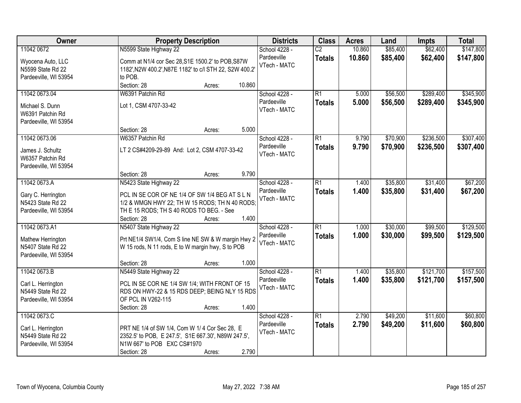| Owner                 | <b>Property Description</b>                                      | <b>Districts</b> | <b>Class</b>    | <b>Acres</b> | Land     | <b>Impts</b> | <b>Total</b> |
|-----------------------|------------------------------------------------------------------|------------------|-----------------|--------------|----------|--------------|--------------|
| 11042 0672            | N5599 State Highway 22                                           | School 4228 -    | $\overline{C2}$ | 10.860       | \$85,400 | \$62,400     | \$147,800    |
| Wyocena Auto, LLC     | Comm at N1/4 cor Sec 28, S1E 1500.2' to POB, S87W                | Pardeeville      | <b>Totals</b>   | 10.860       | \$85,400 | \$62,400     | \$147,800    |
| N5599 State Rd 22     | 1182', N2W 400.2', N87E 1182' to c/l STH 22, S2W 400.2'          | VTech - MATC     |                 |              |          |              |              |
| Pardeeville, WI 53954 | to POB.                                                          |                  |                 |              |          |              |              |
|                       | 10.860<br>Section: 28<br>Acres:                                  |                  |                 |              |          |              |              |
| 11042 0673.04         | W6391 Patchin Rd                                                 | School 4228 -    | $\overline{R1}$ | 5.000        | \$56,500 | \$289,400    | \$345,900    |
| Michael S. Dunn       | Lot 1, CSM 4707-33-42                                            | Pardeeville      | <b>Totals</b>   | 5.000        | \$56,500 | \$289,400    | \$345,900    |
| W6391 Patchin Rd      |                                                                  | VTech - MATC     |                 |              |          |              |              |
| Pardeeville, WI 53954 |                                                                  |                  |                 |              |          |              |              |
|                       | 5.000<br>Section: 28<br>Acres:                                   |                  |                 |              |          |              |              |
| 11042 0673.06         | W6357 Patchin Rd                                                 | School 4228 -    | $\overline{R1}$ | 9.790        | \$70,900 | \$236,500    | \$307,400    |
| James J. Schultz      | LT 2 CS#4209-29-89 And: Lot 2, CSM 4707-33-42                    | Pardeeville      | <b>Totals</b>   | 9.790        | \$70,900 | \$236,500    | \$307,400    |
| W6357 Patchin Rd      |                                                                  | VTech - MATC     |                 |              |          |              |              |
| Pardeeville, WI 53954 |                                                                  |                  |                 |              |          |              |              |
|                       | 9.790<br>Section: 28<br>Acres:                                   |                  |                 |              |          |              |              |
| 11042 0673.A          | N5423 State Highway 22                                           | School 4228 -    | $\overline{R1}$ | 1.400        | \$35,800 | \$31,400     | \$67,200     |
|                       |                                                                  | Pardeeville      | <b>Totals</b>   | 1.400        | \$35,800 | \$31,400     | \$67,200     |
| Gary C. Herrington    | PCL IN SE COR OF NE 1/4 OF SW 1/4 BEG AT S L N                   | VTech - MATC     |                 |              |          |              |              |
| N5423 State Rd 22     | 1/2 & WMGN HWY 22; TH W 15 RODS; TH N 40 RODS;                   |                  |                 |              |          |              |              |
| Pardeeville, WI 53954 | TH E 15 RODS; TH S 40 RODS TO BEG. - See<br>1.400<br>Section: 28 |                  |                 |              |          |              |              |
| 11042 0673.A1         | Acres:<br>N5407 State Highway 22                                 | School 4228 -    | $\overline{R1}$ | 1.000        | \$30,000 | \$99,500     | \$129,500    |
|                       |                                                                  | Pardeeville      |                 |              |          |              |              |
| Mathew Herrington     | Prt NE1/4 SW1/4, Com S line NE SW & W margin Hwy 2               | VTech - MATC     | <b>Totals</b>   | 1.000        | \$30,000 | \$99,500     | \$129,500    |
| N5407 State Rd 22     | W 15 rods, N 11 rods, E to W margin hwy, S to POB                |                  |                 |              |          |              |              |
| Pardeeville, WI 53954 |                                                                  |                  |                 |              |          |              |              |
|                       | 1.000<br>Section: 28<br>Acres:                                   |                  |                 |              |          |              |              |
| 11042 0673.B          | N5449 State Highway 22                                           | School 4228 -    | $\overline{R1}$ | 1.400        | \$35,800 | \$121,700    | \$157,500    |
| Carl L. Herrington    | PCL IN SE COR NE 1/4 SW 1/4; WITH FRONT OF 15                    | Pardeeville      | <b>Totals</b>   | 1.400        | \$35,800 | \$121,700    | \$157,500    |
| N5449 State Rd 22     | RDS ON HWY-22 & 15 RDS DEEP; BEING NLY 15 RDS                    | VTech - MATC     |                 |              |          |              |              |
| Pardeeville, WI 53954 | OF PCL IN V262-115                                               |                  |                 |              |          |              |              |
|                       | 1.400<br>Section: 28<br>Acres:                                   |                  |                 |              |          |              |              |
| 11042 0673.C          |                                                                  | School 4228 -    | $\overline{R1}$ | 2.790        | \$49,200 | \$11,600     | \$60,800     |
| Carl L. Herrington    | PRT NE 1/4 of SW 1/4, Com W 1/4 Cor Sec 28, E                    | Pardeeville      | <b>Totals</b>   | 2.790        | \$49,200 | \$11,600     | \$60,800     |
| N5449 State Rd 22     | 2352.5' to POB, E 247.5', S1E 667.30', N89W 247.5',              | VTech - MATC     |                 |              |          |              |              |
| Pardeeville, WI 53954 | N1W 667' to POB EXC CS#1970                                      |                  |                 |              |          |              |              |
|                       | 2.790<br>Section: 28<br>Acres:                                   |                  |                 |              |          |              |              |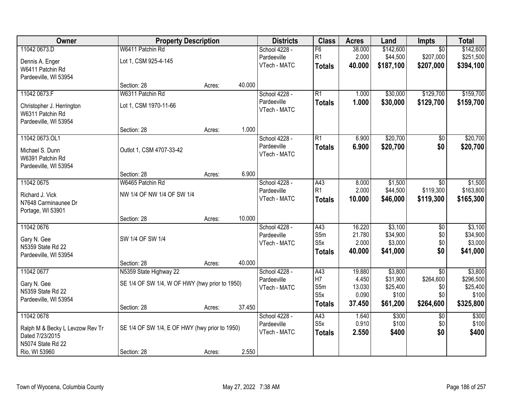| Owner                           | <b>Property Description</b>                    |        |        | <b>Districts</b> | <b>Class</b>     | <b>Acres</b>    | Land              | Impts           | <b>Total</b>      |
|---------------------------------|------------------------------------------------|--------|--------|------------------|------------------|-----------------|-------------------|-----------------|-------------------|
| 11042 0673.D                    | W6411 Patchin Rd                               |        |        | School 4228 -    | F6               | 38.000          | \$142,600         | $\overline{50}$ | \$142,600         |
| Dennis A. Enger                 | Lot 1, CSM 925-4-145                           |        |        | Pardeeville      | R1               | 2.000           | \$44,500          | \$207,000       | \$251,500         |
| W6411 Patchin Rd                |                                                |        |        | VTech - MATC     | <b>Totals</b>    | 40.000          | \$187,100         | \$207,000       | \$394,100         |
| Pardeeville, WI 53954           |                                                |        |        |                  |                  |                 |                   |                 |                   |
|                                 | Section: 28                                    | Acres: | 40.000 |                  |                  |                 |                   |                 |                   |
| 11042 0673.F                    | W6311 Patchin Rd                               |        |        | School 4228 -    | $\overline{R1}$  | 1.000           | \$30,000          | \$129,700       | \$159,700         |
| Christopher J. Herrington       | Lot 1, CSM 1970-11-66                          |        |        | Pardeeville      | <b>Totals</b>    | 1.000           | \$30,000          | \$129,700       | \$159,700         |
| W6311 Patchin Rd                |                                                |        |        | VTech - MATC     |                  |                 |                   |                 |                   |
| Pardeeville, WI 53954           |                                                |        |        |                  |                  |                 |                   |                 |                   |
|                                 | Section: 28                                    | Acres: | 1.000  |                  |                  |                 |                   |                 |                   |
| 11042 0673.OL1                  |                                                |        |        | School 4228 -    | $\overline{R1}$  | 6.900           | \$20,700          | $\overline{50}$ | \$20,700          |
| Michael S. Dunn                 | Outlot 1, CSM 4707-33-42                       |        |        | Pardeeville      | <b>Totals</b>    | 6.900           | \$20,700          | \$0             | \$20,700          |
| W6391 Patchin Rd                |                                                |        |        | VTech - MATC     |                  |                 |                   |                 |                   |
| Pardeeville, WI 53954           |                                                |        |        |                  |                  |                 |                   |                 |                   |
|                                 | Section: 28                                    | Acres: | 6.900  |                  |                  |                 |                   |                 |                   |
| 11042 0675                      | W6465 Patchin Rd                               |        |        | School 4228 -    | A43              | 8.000           | \$1,500           | $\sqrt[6]{}$    | \$1,500           |
| Richard J. Vick                 | NW 1/4 OF NW 1/4 OF SW 1/4                     |        |        | Pardeeville      | R <sub>1</sub>   | 2.000           | \$44,500          | \$119,300       | \$163,800         |
| N7648 Carminaunee Dr            |                                                |        |        | VTech - MATC     | <b>Totals</b>    | 10.000          | \$46,000          | \$119,300       | \$165,300         |
| Portage, WI 53901               |                                                |        |        |                  |                  |                 |                   |                 |                   |
|                                 | Section: 28                                    | Acres: | 10.000 |                  |                  |                 |                   |                 |                   |
| 11042 0676                      |                                                |        |        | School 4228 -    | A43              | 16.220          | \$3,100           | $\overline{50}$ | \$3,100           |
| Gary N. Gee                     | SW 1/4 OF SW 1/4                               |        |        | Pardeeville      | S5m              | 21.780          | \$34,900          | \$0             | \$34,900          |
| N5359 State Rd 22               |                                                |        |        | VTech - MATC     | S <sub>5</sub> x | 2.000           | \$3,000           | \$0<br>\$0      | \$3,000           |
| Pardeeville, WI 53954           |                                                |        |        |                  | <b>Totals</b>    | 40.000          | \$41,000          |                 | \$41,000          |
|                                 | Section: 28                                    | Acres: | 40.000 |                  |                  |                 |                   |                 |                   |
| 11042 0677                      | N5359 State Highway 22                         |        |        | School 4228 -    | A43              | 19.880          | \$3,800           | $\overline{50}$ | \$3,800           |
| Gary N. Gee                     | SE 1/4 OF SW 1/4, W OF HWY (hwy prior to 1950) |        |        | Pardeeville      | H7               | 4.450           | \$31,900          | \$264,600       | \$296,500         |
| N5359 State Rd 22               |                                                |        |        | VTech - MATC     | S5m<br>S5x       | 13.030<br>0.090 | \$25,400<br>\$100 | \$0<br>\$0      | \$25,400<br>\$100 |
| Pardeeville, WI 53954           |                                                |        |        |                  | <b>Totals</b>    | 37.450          | \$61,200          | \$264,600       | \$325,800         |
|                                 | Section: 28                                    | Acres: | 37.450 |                  |                  |                 |                   |                 |                   |
| 11042 0678                      |                                                |        |        | School 4228 -    | A43              | 1.640           | \$300             | $\overline{50}$ | \$300             |
| Ralph M & Becky L Levzow Rev Tr | SE 1/4 OF SW 1/4, E OF HWY (hwy prior to 1950) |        |        | Pardeeville      | S <sub>5</sub> x | 0.910           | \$100             | \$0             | \$100             |
| Dated 7/23/2015                 |                                                |        |        | VTech - MATC     | <b>Totals</b>    | 2.550           | \$400             | \$0             | \$400             |
| N5074 State Rd 22               |                                                |        |        |                  |                  |                 |                   |                 |                   |
| Rio, WI 53960                   | Section: 28                                    | Acres: | 2.550  |                  |                  |                 |                   |                 |                   |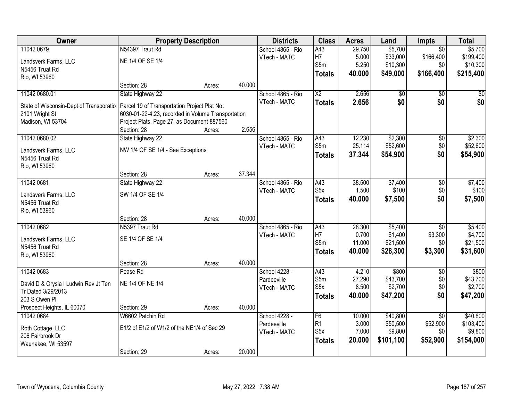| Owner                                   |                                                    | <b>Property Description</b> |        | <b>Districts</b>  | <b>Class</b>           | <b>Acres</b> | Land      | Impts           | <b>Total</b>    |
|-----------------------------------------|----------------------------------------------------|-----------------------------|--------|-------------------|------------------------|--------------|-----------|-----------------|-----------------|
| 11042 0679                              | N54397 Traut Rd                                    |                             |        | School 4865 - Rio | A43                    | 29.750       | \$5,700   | $\overline{50}$ | \$5,700         |
| Landsverk Farms, LLC                    | NE 1/4 OF SE 1/4                                   |                             |        | VTech - MATC      | H7                     | 5.000        | \$33,000  | \$166,400       | \$199,400       |
| N5456 Truat Rd                          |                                                    |                             |        |                   | S5m                    | 5.250        | \$10,300  | \$0             | \$10,300        |
| Rio, WI 53960                           |                                                    |                             |        |                   | <b>Totals</b>          | 40.000       | \$49,000  | \$166,400       | \$215,400       |
|                                         | Section: 28                                        | Acres:                      | 40.000 |                   |                        |              |           |                 |                 |
| 11042 0680.01                           | State Highway 22                                   |                             |        | School 4865 - Rio | $\overline{\text{X2}}$ | 2.656        | \$0       | $\overline{50}$ | $\overline{50}$ |
| State of Wisconsin-Dept of Transporatio | Parcel 19 of Transportation Project Plat No:       |                             |        | VTech - MATC      | <b>Totals</b>          | 2.656        | \$0       | \$0             | \$0             |
| 2101 Wright St                          | 6030-01-22-4.23, recorded in Volume Transportation |                             |        |                   |                        |              |           |                 |                 |
| Madison, WI 53704                       | Project Plats, Page 27, as Document 887560         |                             |        |                   |                        |              |           |                 |                 |
|                                         | Section: 28                                        | Acres:                      | 2.656  |                   |                        |              |           |                 |                 |
| 11042 0680.02                           | State Highway 22                                   |                             |        | School 4865 - Rio | A43                    | 12.230       | \$2,300   | \$0             | \$2,300         |
| Landsverk Farms, LLC                    | NW 1/4 OF SE 1/4 - See Exceptions                  |                             |        | VTech - MATC      | S5m                    | 25.114       | \$52,600  | \$0             | \$52,600        |
| N5456 Truat Rd                          |                                                    |                             |        |                   | <b>Totals</b>          | 37.344       | \$54,900  | \$0             | \$54,900        |
| Rio, WI 53960                           |                                                    |                             |        |                   |                        |              |           |                 |                 |
|                                         | Section: 28                                        | Acres:                      | 37.344 |                   |                        |              |           |                 |                 |
| 11042 0681                              | State Highway 22                                   |                             |        | School 4865 - Rio | A43                    | 38.500       | \$7,400   | $\sqrt[6]{3}$   | \$7,400         |
| Landsverk Farms, LLC                    | SW 1/4 OF SE 1/4                                   |                             |        | VTech - MATC      | S <sub>5</sub> x       | 1.500        | \$100     | \$0             | \$100           |
| N5456 Truat Rd                          |                                                    |                             |        |                   | <b>Totals</b>          | 40.000       | \$7,500   | \$0             | \$7,500         |
| Rio, WI 53960                           |                                                    |                             |        |                   |                        |              |           |                 |                 |
|                                         | Section: 28                                        | Acres:                      | 40.000 |                   |                        |              |           |                 |                 |
| 11042 0682                              | N5397 Traut Rd                                     |                             |        | School 4865 - Rio | $\overline{A43}$       | 28.300       | \$5,400   | $\overline{30}$ | \$5,400         |
| Landsverk Farms, LLC                    | SE 1/4 OF SE 1/4                                   |                             |        | VTech - MATC      | H7                     | 0.700        | \$1,400   | \$3,300         | \$4,700         |
| N5456 Truat Rd                          |                                                    |                             |        |                   | S5m                    | 11.000       | \$21,500  | \$0             | \$21,500        |
| Rio, WI 53960                           |                                                    |                             |        |                   | <b>Totals</b>          | 40.000       | \$28,300  | \$3,300         | \$31,600        |
|                                         | Section: 28                                        | Acres:                      | 40.000 |                   |                        |              |           |                 |                 |
| 11042 0683                              | Pease Rd                                           |                             |        | School 4228 -     | A43                    | 4.210        | \$800     | $\overline{60}$ | \$800           |
| David D & Orysia I Ludwin Rev Jt Ten    | NE 1/4 OF NE 1/4                                   |                             |        | Pardeeville       | S5m                    | 27.290       | \$43,700  | \$0             | \$43,700        |
| Tr Dated 3/29/2013                      |                                                    |                             |        | VTech - MATC      | S <sub>5</sub> x       | 8.500        | \$2,700   | \$0             | \$2,700         |
| 203 S Owen PI                           |                                                    |                             |        |                   | <b>Totals</b>          | 40.000       | \$47,200  | \$0             | \$47,200        |
| Prospect Heights, IL 60070              | Section: 29                                        | Acres:                      | 40.000 |                   |                        |              |           |                 |                 |
| 11042 0684                              | W6602 Patchin Rd                                   |                             |        | School 4228 -     | F6                     | 10.000       | \$40,800  | $\overline{50}$ | \$40,800        |
| Roth Cottage, LLC                       | E1/2 of E1/2 of W1/2 of the NE1/4 of Sec 29        |                             |        | Pardeeville       | R1                     | 3.000        | \$50,500  | \$52,900        | \$103,400       |
| 206 Fairbrook Dr                        |                                                    |                             |        | VTech - MATC      | S <sub>5</sub> x       | 7.000        | \$9,800   | \$0             | \$9,800         |
| Waunakee, WI 53597                      |                                                    |                             |        |                   | <b>Totals</b>          | 20.000       | \$101,100 | \$52,900        | \$154,000       |
|                                         | Section: 29                                        | Acres:                      | 20.000 |                   |                        |              |           |                 |                 |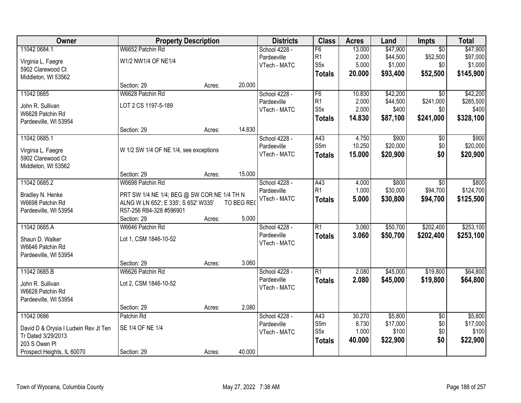| Owner                                |                                                                                     | <b>Property Description</b> |            | <b>Districts</b>            | <b>Class</b>     | <b>Acres</b> | Land     | Impts           | <b>Total</b> |
|--------------------------------------|-------------------------------------------------------------------------------------|-----------------------------|------------|-----------------------------|------------------|--------------|----------|-----------------|--------------|
| 11042 0684.1                         | W6652 Patchin Rd                                                                    |                             |            | School 4228 -               | F6               | 13.000       | \$47,900 | $\overline{50}$ | \$47,900     |
| Virginia L. Faegre                   | W1/2 NW1/4 OF NE1/4                                                                 |                             |            | Pardeeville                 | R1               | 2.000        | \$44,500 | \$52,500        | \$97,000     |
| 5902 Clarewood Ct                    |                                                                                     |                             |            | VTech - MATC                | S <sub>5</sub> x | 5.000        | \$1,000  | \$0             | \$1,000      |
| Middleton, WI 53562                  |                                                                                     |                             |            |                             | <b>Totals</b>    | 20.000       | \$93,400 | \$52,500        | \$145,900    |
|                                      | Section: 29                                                                         | Acres:                      | 20.000     |                             |                  |              |          |                 |              |
| 11042 0685                           | W6628 Patchin Rd                                                                    |                             |            | School 4228 -               | F6               | 10.830       | \$42,200 | $\overline{30}$ | \$42,200     |
| John R. Sullivan                     | LOT 2 CS 1197-5-189                                                                 |                             |            | Pardeeville                 | R1               | 2.000        | \$44,500 | \$241,000       | \$285,500    |
| W6628 Patchin Rd                     |                                                                                     |                             |            | VTech - MATC                | S <sub>5</sub> x | 2.000        | \$400    | \$0             | \$400        |
| Pardeeville, WI 53954                |                                                                                     |                             |            |                             | <b>Totals</b>    | 14.830       | \$87,100 | \$241,000       | \$328,100    |
|                                      | Section: 29                                                                         | Acres:                      | 14.830     |                             |                  |              |          |                 |              |
| 11042 0685.1                         |                                                                                     |                             |            | School 4228 -               | A43              | 4.750        | \$900    | $\overline{50}$ | \$900        |
| Virginia L. Faegre                   | W 1/2 SW 1/4 OF NE 1/4, see exceptions                                              |                             |            | Pardeeville                 | S5m              | 10.250       | \$20,000 | \$0             | \$20,000     |
| 5902 Clarewood Ct                    |                                                                                     |                             |            | VTech - MATC                | <b>Totals</b>    | 15.000       | \$20,900 | \$0             | \$20,900     |
| Middleton, WI 53562                  |                                                                                     |                             |            |                             |                  |              |          |                 |              |
|                                      | Section: 29                                                                         | Acres:                      | 15.000     |                             |                  |              |          |                 |              |
| 11042 0685.2                         | W6698 Patchin Rd                                                                    |                             |            | School 4228 -               | A43              | 4.000        | \$800    | $\sqrt[6]{}$    | \$800        |
|                                      |                                                                                     |                             |            | Pardeeville                 | R1               | 1.000        | \$30,000 | \$94,700        | \$124,700    |
| Bradley N. Henke<br>W6698 Patchin Rd | PRT SW 1/4 NE 1/4; BEG @ SW COR NE 1/4 TH N<br>ALNG W LN 652'; E 335'; S 652' W335' |                             | TO BEG REO | VTech - MATC                | <b>Totals</b>    | 5.000        | \$30,800 | \$94,700        | \$125,500    |
| Pardeeville, WI 53954                | R57-256 R84-328 #596901                                                             |                             |            |                             |                  |              |          |                 |              |
|                                      | Section: 29                                                                         | Acres:                      | 5.000      |                             |                  |              |          |                 |              |
| 11042 0685.A                         | W6646 Patchin Rd                                                                    |                             |            | School 4228 -               | $\overline{R1}$  | 3.060        | \$50,700 | \$202,400       | \$253,100    |
|                                      |                                                                                     |                             |            | Pardeeville                 | <b>Totals</b>    | 3.060        | \$50,700 | \$202,400       | \$253,100    |
| Shaun D. Walker                      | Lot 1, CSM 1846-10-52                                                               |                             |            | VTech - MATC                |                  |              |          |                 |              |
| W6646 Patchin Rd                     |                                                                                     |                             |            |                             |                  |              |          |                 |              |
| Pardeeville, WI 53954                |                                                                                     |                             |            |                             |                  |              |          |                 |              |
|                                      | Section: 29                                                                         | Acres:                      | 3.060      |                             |                  |              |          |                 |              |
| 11042 0685.B                         | W6626 Patchin Rd                                                                    |                             |            | School 4228 -               | $\overline{R1}$  | 2.080        | \$45,000 | \$19,800        | \$64,800     |
| John R. Sullivan                     | Lot 2, CSM 1846-10-52                                                               |                             |            | Pardeeville<br>VTech - MATC | <b>Totals</b>    | 2.080        | \$45,000 | \$19,800        | \$64,800     |
| W6628 Patchin Rd                     |                                                                                     |                             |            |                             |                  |              |          |                 |              |
| Pardeeville, WI 53954                |                                                                                     |                             |            |                             |                  |              |          |                 |              |
|                                      | Section: 29                                                                         | Acres:                      | 2.080      |                             |                  |              |          |                 |              |
| 11042 0686                           | Patchin Rd                                                                          |                             |            | School 4228 -               | A43              | 30.270       | \$5,800  | $\overline{50}$ | \$5,800      |
| David D & Orysia I Ludwin Rev Jt Ten | SE 1/4 OF NE 1/4                                                                    |                             |            | Pardeeville                 | S5m              | 8.730        | \$17,000 | \$0             | \$17,000     |
| Tr Dated 3/29/2013                   |                                                                                     |                             |            | VTech - MATC                | S <sub>5</sub> x | 1.000        | \$100    | \$0             | \$100        |
| 203 S Owen Pl                        |                                                                                     |                             |            |                             | <b>Totals</b>    | 40.000       | \$22,900 | \$0             | \$22,900     |
| Prospect Heights, IL 60070           | Section: 29                                                                         | Acres:                      | 40.000     |                             |                  |              |          |                 |              |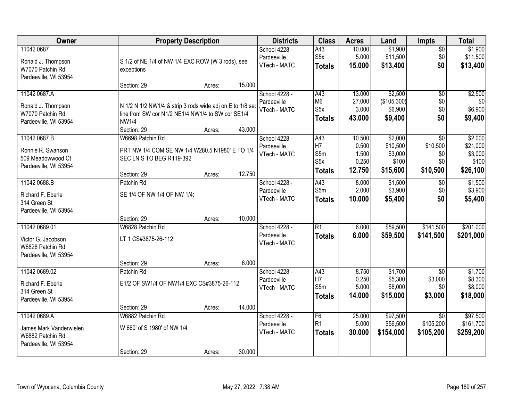| Owner                                                                                | <b>Property Description</b>                                                                                                                             |        | <b>Districts</b>                             | <b>Class</b>                                               | <b>Acres</b>                                | Land                                                | <b>Impts</b>                                 | <b>Total</b>                                        |
|--------------------------------------------------------------------------------------|---------------------------------------------------------------------------------------------------------------------------------------------------------|--------|----------------------------------------------|------------------------------------------------------------|---------------------------------------------|-----------------------------------------------------|----------------------------------------------|-----------------------------------------------------|
| 11042 0687<br>Ronald J. Thompson<br>W7070 Patchin Rd<br>Pardeeville, WI 53954        | S 1/2 of NE 1/4 of NW 1/4 EXC ROW (W 3 rods), see<br>exceptions                                                                                         |        | School 4228 -<br>Pardeeville<br>VTech - MATC | A43<br>S <sub>5</sub> x<br><b>Totals</b>                   | 10.000<br>5.000<br>15.000                   | \$1,900<br>\$11,500<br>\$13,400                     | $\sqrt{$0}$<br>\$0<br>\$0                    | \$1,900<br>\$11,500<br>\$13,400                     |
|                                                                                      | Section: 29<br>Acres:                                                                                                                                   | 15.000 |                                              |                                                            |                                             |                                                     |                                              |                                                     |
| 11042 0687.A<br>Ronald J. Thompson<br>W7070 Patchin Rd<br>Pardeeville, WI 53954      | N 1/2 N 1/2 NW1/4 & strip 3 rods wide adj on E to 1/8 ser<br>line from SW cor N1/2 NE1/4 NW1/4 to SW cor SE1/4<br><b>NW1/4</b><br>Section: 29<br>Acres: | 43.000 | School 4228 -<br>Pardeeville<br>VTech - MATC | A43<br>M <sub>6</sub><br>S <sub>5</sub> x<br><b>Totals</b> | 13.000<br>27.000<br>3.000<br>43.000         | \$2,500<br>(\$105,300)<br>\$6,900<br>\$9,400        | $\overline{50}$<br>\$0<br>\$0<br>\$0         | \$2,500<br>\$0<br>\$6,900<br>\$9,400                |
| 11042 0687.B<br>Ronnie R. Swanson<br>509 Meadowwood Ct<br>Pardeeville, WI 53954      | W6698 Patchin Rd<br>PRT NW 1/4 COM SE NW 1/4 W280.5 N1980' E TO 1/4<br>SEC LN S TO BEG R119-392<br>Section: 29<br>Acres:                                | 12.750 | School 4228 -<br>Pardeeville<br>VTech - MATC | A43<br>H <sub>7</sub><br>S5m<br>S5x<br><b>Totals</b>       | 10.500<br>0.500<br>1.500<br>0.250<br>12.750 | \$2,000<br>\$10,500<br>\$3,000<br>\$100<br>\$15,600 | \$0<br>\$10,500<br>\$0<br>\$0<br>\$10,500    | \$2,000<br>\$21,000<br>\$3,000<br>\$100<br>\$26,100 |
| 11042 0688.B<br>Richard F. Eberle<br>314 Green St<br>Pardeeville, WI 53954           | Patchin Rd<br>SE 1/4 OF NW 1/4 OF NW 1/4;<br>Section: 29                                                                                                | 10.000 | School 4228 -<br>Pardeeville<br>VTech - MATC | A43<br>S5m<br><b>Totals</b>                                | 8.000<br>2.000<br>10.000                    | \$1,500<br>\$3,900<br>\$5,400                       | $\sqrt[6]{3}$<br>\$0<br>\$0                  | \$1,500<br>\$3,900<br>\$5,400                       |
| 11042 0689.01<br>Victor G. Jacobson<br>W6828 Patchin Rd<br>Pardeeville, WI 53954     | Acres:<br>W6828 Patchin Rd<br>LT 1 CS#3875-26-112<br>Section: 29<br>Acres:                                                                              | 6.000  | School 4228 -<br>Pardeeville<br>VTech - MATC | $\overline{R1}$<br><b>Totals</b>                           | 6.000<br>6.000                              | \$59,500<br>\$59,500                                | \$141,500<br>\$141,500                       | \$201,000<br>\$201,000                              |
| 11042 0689.02<br>Richard F. Eberle<br>314 Green St<br>Pardeeville, WI 53954          | Patchin Rd<br>E1/2 OF SW1/4 OF NW1/4 EXC CS#3875-26-112<br>Section: 29<br>Acres:                                                                        | 14.000 | School 4228 -<br>Pardeeville<br>VTech - MATC | A43<br>H <sub>7</sub><br>S5m<br>Totals                     | 8.750<br>0.250<br>5.000<br>14.000           | \$1,700<br>\$5,300<br>\$8,000<br>\$15,000           | $\overline{30}$<br>\$3,000<br>\$0<br>\$3,000 | \$1,700<br>\$8,300<br>\$8,000<br>\$18,000           |
| 11042 0689.A<br>James Mark Vanderwielen<br>W6882 Patchin Rd<br>Pardeeville, WI 53954 | W6882 Patchin Rd<br>W 660' of S 1980' of NW 1/4<br>Section: 29<br>Acres:                                                                                | 30.000 | School 4228 -<br>Pardeeville<br>VTech - MATC | F <sub>6</sub><br>R <sub>1</sub><br><b>Totals</b>          | 25.000<br>5.000<br>30.000                   | \$97,500<br>\$56,500<br>\$154,000                   | $\overline{30}$<br>\$105,200<br>\$105,200    | \$97,500<br>\$161,700<br>\$259,200                  |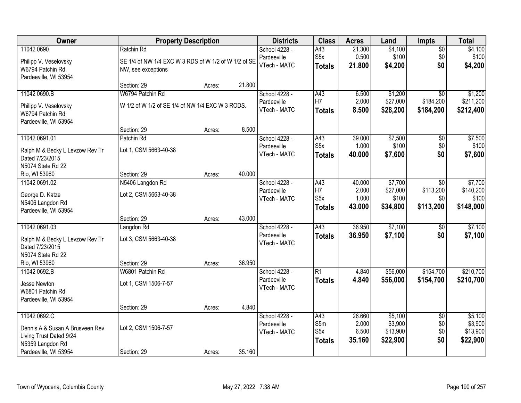| Owner                           |                                                      | <b>Property Description</b> |        | <b>Districts</b> | <b>Class</b>     | <b>Acres</b> | Land     | Impts           | <b>Total</b> |
|---------------------------------|------------------------------------------------------|-----------------------------|--------|------------------|------------------|--------------|----------|-----------------|--------------|
| 11042 0690                      | Ratchin Rd                                           |                             |        | School 4228 -    | A43              | 21.300       | \$4,100  | $\overline{50}$ | \$4,100      |
| Philipp V. Veselovsky           | SE 1/4 of NW 1/4 EXC W 3 RDS of W 1/2 of W 1/2 of SE |                             |        | Pardeeville      | S <sub>5</sub> x | 0.500        | \$100    | \$0             | \$100        |
| W6794 Patchin Rd                | NW, see exceptions                                   |                             |        | VTech - MATC     | <b>Totals</b>    | 21.800       | \$4,200  | \$0             | \$4,200      |
| Pardeeville, WI 53954           |                                                      |                             |        |                  |                  |              |          |                 |              |
|                                 | Section: 29                                          | Acres:                      | 21.800 |                  |                  |              |          |                 |              |
| 11042 0690.B                    | W6794 Patchin Rd                                     |                             |        | School 4228 -    | A43              | 6.500        | \$1,200  | $\overline{30}$ | \$1,200      |
| Philipp V. Veselovsky           | W 1/2 of W 1/2 of SE 1/4 of NW 1/4 EXC W 3 RODS.     |                             |        | Pardeeville      | H7               | 2.000        | \$27,000 | \$184,200       | \$211,200    |
| W6794 Patchin Rd                |                                                      |                             |        | VTech - MATC     | <b>Totals</b>    | 8.500        | \$28,200 | \$184,200       | \$212,400    |
| Pardeeville, WI 53954           |                                                      |                             |        |                  |                  |              |          |                 |              |
|                                 | Section: 29                                          | Acres:                      | 8.500  |                  |                  |              |          |                 |              |
| 11042 0691.01                   | Patchin Rd                                           |                             |        | School 4228 -    | A43              | 39.000       | \$7,500  | $\overline{50}$ | \$7,500      |
| Ralph M & Becky L Levzow Rev Tr | Lot 1, CSM 5663-40-38                                |                             |        | Pardeeville      | S <sub>5</sub> x | 1.000        | \$100    | \$0             | \$100        |
| Dated 7/23/2015                 |                                                      |                             |        | VTech - MATC     | <b>Totals</b>    | 40.000       | \$7,600  | \$0             | \$7,600      |
| N5074 State Rd 22               |                                                      |                             |        |                  |                  |              |          |                 |              |
| Rio, WI 53960                   | Section: 29                                          | Acres:                      | 40.000 |                  |                  |              |          |                 |              |
| 11042 0691.02                   | N5406 Langdon Rd                                     |                             |        | School 4228 -    | A43              | 40.000       | \$7,700  | \$0             | \$7,700      |
| George D. Katze                 | Lot 2, CSM 5663-40-38                                |                             |        | Pardeeville      | H7               | 2.000        | \$27,000 | \$113,200       | \$140,200    |
| N5406 Langdon Rd                |                                                      |                             |        | VTech - MATC     | S <sub>5</sub> x | 1.000        | \$100    | \$0             | \$100        |
| Pardeeville, WI 53954           |                                                      |                             |        |                  | <b>Totals</b>    | 43.000       | \$34,800 | \$113,200       | \$148,000    |
|                                 | Section: 29                                          | Acres:                      | 43.000 |                  |                  |              |          |                 |              |
| 11042 0691.03                   | Langdon Rd                                           |                             |        | School 4228 -    | $\overline{A43}$ | 36.950       | \$7,100  | \$0             | \$7,100      |
| Ralph M & Becky L Levzow Rev Tr | Lot 3, CSM 5663-40-38                                |                             |        | Pardeeville      | <b>Totals</b>    | 36,950       | \$7,100  | \$0             | \$7,100      |
| Dated 7/23/2015                 |                                                      |                             |        | VTech - MATC     |                  |              |          |                 |              |
| N5074 State Rd 22               |                                                      |                             |        |                  |                  |              |          |                 |              |
| Rio, WI 53960                   | Section: 29                                          | Acres:                      | 36.950 |                  |                  |              |          |                 |              |
| 11042 0692.B                    | W6801 Patchin Rd                                     |                             |        | School 4228 -    | $\overline{R1}$  | 4.840        | \$56,000 | \$154,700       | \$210,700    |
| Jesse Newton                    | Lot 1, CSM 1506-7-57                                 |                             |        | Pardeeville      | <b>Totals</b>    | 4.840        | \$56,000 | \$154,700       | \$210,700    |
| W6801 Patchin Rd                |                                                      |                             |        | VTech - MATC     |                  |              |          |                 |              |
| Pardeeville, WI 53954           |                                                      |                             |        |                  |                  |              |          |                 |              |
|                                 | Section: 29                                          | Acres:                      | 4.840  |                  |                  |              |          |                 |              |
| 11042 0692.C                    |                                                      |                             |        | School 4228 -    | A43              | 26.660       | \$5,100  | $\overline{30}$ | \$5,100      |
| Dennis A & Susan A Brusveen Rev | Lot 2, CSM 1506-7-57                                 |                             |        | Pardeeville      | S5m              | 2.000        | \$3,900  | \$0             | \$3,900      |
| Living Trust Dated 9/24         |                                                      |                             |        | VTech - MATC     | S <sub>5</sub> x | 6.500        | \$13,900 | \$0             | \$13,900     |
| N5359 Langdon Rd                |                                                      |                             |        |                  | <b>Totals</b>    | 35.160       | \$22,900 | \$0             | \$22,900     |
| Pardeeville, WI 53954           | Section: 29                                          | Acres:                      | 35.160 |                  |                  |              |          |                 |              |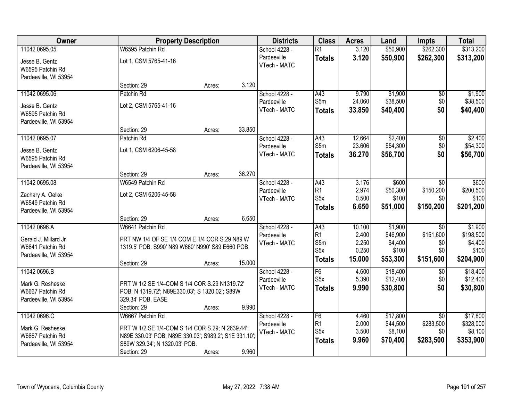| Owner                 | <b>Property Description</b>                           |        |        | <b>Districts</b> | <b>Class</b>     | <b>Acres</b> | Land     | <b>Impts</b>    | <b>Total</b> |
|-----------------------|-------------------------------------------------------|--------|--------|------------------|------------------|--------------|----------|-----------------|--------------|
| 11042 0695.05         | W6595 Patchin Rd                                      |        |        | School 4228 -    | $\overline{R1}$  | 3.120        | \$50,900 | \$262,300       | \$313,200    |
| Jesse B. Gentz        | Lot 1, CSM 5765-41-16                                 |        |        | Pardeeville      | <b>Totals</b>    | 3.120        | \$50,900 | \$262,300       | \$313,200    |
| W6595 Patchin Rd      |                                                       |        |        | VTech - MATC     |                  |              |          |                 |              |
| Pardeeville, WI 53954 |                                                       |        |        |                  |                  |              |          |                 |              |
|                       | Section: 29                                           | Acres: | 3.120  |                  |                  |              |          |                 |              |
| 11042 0695.06         | Patchin Rd                                            |        |        | School 4228 -    | A43              | 9.790        | \$1,900  | \$0             | \$1,900      |
| Jesse B. Gentz        | Lot 2, CSM 5765-41-16                                 |        |        | Pardeeville      | S5m              | 24.060       | \$38,500 | \$0             | \$38,500     |
| W6595 Patchin Rd      |                                                       |        |        | VTech - MATC     | <b>Totals</b>    | 33.850       | \$40,400 | \$0             | \$40,400     |
| Pardeeville, WI 53954 |                                                       |        |        |                  |                  |              |          |                 |              |
|                       | Section: 29                                           | Acres: | 33.850 |                  |                  |              |          |                 |              |
| 11042 0695.07         | Patchin Rd                                            |        |        | School 4228 -    | A43              | 12.664       | \$2,400  | $\overline{50}$ | \$2,400      |
| Jesse B. Gentz        | Lot 1, CSM 6206-45-58                                 |        |        | Pardeeville      | S5m              | 23.606       | \$54,300 | \$0             | \$54,300     |
| W6595 Patchin Rd      |                                                       |        |        | VTech - MATC     | <b>Totals</b>    | 36.270       | \$56,700 | \$0             | \$56,700     |
| Pardeeville, WI 53954 |                                                       |        |        |                  |                  |              |          |                 |              |
|                       | Section: 29                                           | Acres: | 36.270 |                  |                  |              |          |                 |              |
| 11042 0695.08         | W6549 Patchin Rd                                      |        |        | School 4228 -    | A43              | 3.176        | \$600    | $\sqrt[6]{}$    | \$600        |
| Zachary A. Oelke      | Lot 2, CSM 6206-45-58                                 |        |        | Pardeeville      | R <sub>1</sub>   | 2.974        | \$50,300 | \$150,200       | \$200,500    |
| W6549 Patchin Rd      |                                                       |        |        | VTech - MATC     | S <sub>5</sub> x | 0.500        | \$100    | \$0             | \$100        |
| Pardeeville, WI 53954 |                                                       |        |        |                  | <b>Totals</b>    | 6.650        | \$51,000 | \$150,200       | \$201,200    |
|                       | Section: 29                                           | Acres: | 6.650  |                  |                  |              |          |                 |              |
| 11042 0696.A          | W6641 Patchin Rd                                      |        |        | School 4228 -    | A43              | 10.100       | \$1,900  | $\overline{30}$ | \$1,900      |
| Gerald J. Millard Jr  | PRT NW 1/4 OF SE 1/4 COM E 1/4 COR S.29 N89 W         |        |        | Pardeeville      | R <sub>1</sub>   | 2.400        | \$46,900 | \$151,600       | \$198,500    |
| W6641 Patchin Rd      | 1319.5' POB: S990' N89 W660' N990' S89 E660 POB       |        |        | VTech - MATC     | S5m              | 2.250        | \$4,400  | \$0             | \$4,400      |
| Pardeeville, WI 53954 |                                                       |        |        |                  | S <sub>5</sub> x | 0.250        | \$100    | \$0             | \$100        |
|                       | Section: 29                                           | Acres: | 15.000 |                  | <b>Totals</b>    | 15.000       | \$53,300 | \$151,600       | \$204,900    |
| 11042 0696.B          |                                                       |        |        | School 4228 -    | F6               | 4.600        | \$18,400 | $\sqrt{6}$      | \$18,400     |
| Mark G. Resheske      | PRT W 1/2 SE 1/4-COM S 1/4 COR S.29 N1319.72'         |        |        | Pardeeville      | S <sub>5</sub> x | 5.390        | \$12,400 | \$0             | \$12,400     |
| W6667 Patchin Rd      | POB; N 1319.72'; N89E330.03'; S 1320.02'; S89W        |        |        | VTech - MATC     | <b>Totals</b>    | 9.990        | \$30,800 | \$0             | \$30,800     |
| Pardeeville, WI 53954 | 329.34' POB. EASE                                     |        |        |                  |                  |              |          |                 |              |
|                       | Section: 29                                           | Acres: | 9.990  |                  |                  |              |          |                 |              |
| 11042 0696.C          | W6667 Patchin Rd                                      |        |        | School 4228 -    | F6               | 4.460        | \$17,800 | $\overline{50}$ | \$17,800     |
| Mark G. Resheske      | PRT W 1/2 SE 1/4-COM S 1/4 COR S.29; N 2639.44';      |        |        | Pardeeville      | R1               | 2.000        | \$44,500 | \$283,500       | \$328,000    |
| W6667 Patchin Rd      | N89E 330.03' POB; N89E 330.03'; S989.2'; S1E 331.10'; |        |        | VTech - MATC     | S <sub>5</sub> x | 3.500        | \$8,100  | \$0             | \$8,100      |
| Pardeeville, WI 53954 | S89W 329.34'; N 1320.03' POB.                         |        |        |                  | <b>Totals</b>    | 9.960        | \$70,400 | \$283,500       | \$353,900    |
|                       | Section: 29                                           | Acres: | 9.960  |                  |                  |              |          |                 |              |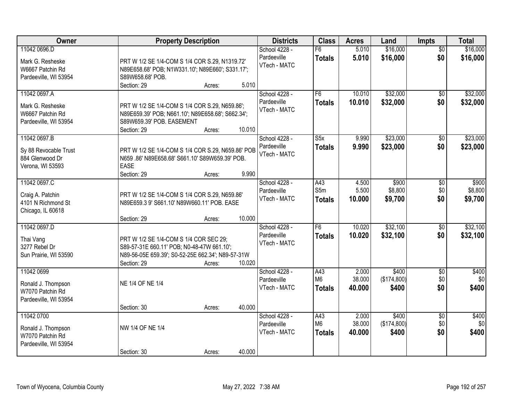| Owner                                                                         | <b>Property Description</b>                                                                                                                                                                           | <b>Districts</b>                             | <b>Class</b>                           | <b>Acres</b>              | Land                          | <b>Impts</b>                  | <b>Total</b>                |
|-------------------------------------------------------------------------------|-------------------------------------------------------------------------------------------------------------------------------------------------------------------------------------------------------|----------------------------------------------|----------------------------------------|---------------------------|-------------------------------|-------------------------------|-----------------------------|
| 11042 0696.D<br>Mark G. Resheske<br>W6667 Patchin Rd<br>Pardeeville, WI 53954 | PRT W 1/2 SE 1/4-COM S 1/4 COR S.29, N1319.72'<br>N89E658.68' POB; N1W331.10'; N89E660'; S331.17';<br>S89W658.68' POB.                                                                                | School 4228 -<br>Pardeeville<br>VTech - MATC | F6<br><b>Totals</b>                    | 5.010<br>5.010            | \$16,000<br>\$16,000          | $\overline{50}$<br>\$0        | \$16,000<br>\$16,000        |
| 11042 0697.A<br>Mark G. Resheske<br>W6667 Patchin Rd<br>Pardeeville, WI 53954 | Section: 29<br>5.010<br>Acres:<br>PRT W 1/2 SE 1/4-COM S 1/4 COR S.29, N659.86';<br>N89E659.39' POB; N661.10'; N89E658.68'; S662.34';<br>S89W659.39' POB. EASEMENT<br>10.010<br>Section: 29<br>Acres: | School 4228 -<br>Pardeeville<br>VTech - MATC | F <sub>6</sub><br><b>Totals</b>        | 10.010<br>10.010          | \$32,000<br>\$32,000          | \$0<br>\$0                    | \$32,000<br>\$32,000        |
| 11042 0697.B<br>Sy 88 Revocable Trust<br>884 Glenwood Dr<br>Verona, WI 53593  | PRT W 1/2 SE 1/4-COM S 1/4 COR S.29, N659.86' POB<br>N659.86' N89E658.68' S661.10' S89W659.39' POB.<br><b>EASE</b><br>9.990<br>Section: 29<br>Acres:                                                  | School 4228 -<br>Pardeeville<br>VTech - MATC | S5x<br><b>Totals</b>                   | 9.990<br>9.990            | \$23,000<br>\$23,000          | \$0<br>\$0                    | \$23,000<br>\$23,000        |
| 11042 0697.C<br>Craig A. Patchin<br>4101 N Richmond St<br>Chicago, IL 60618   | PRT W 1/2 SE 1/4-COM S 1/4 COR S.29, N659.86'<br>N89E659.3 9' S661.10' N89W660.11' POB. EASE<br>10.000<br>Section: 29<br>Acres:                                                                       | School 4228 -<br>Pardeeville<br>VTech - MATC | A43<br>S5m<br><b>Totals</b>            | 4.500<br>5.500<br>10.000  | \$900<br>\$8,800<br>\$9,700   | $\sqrt[6]{3}$<br>\$0<br>\$0   | \$900<br>\$8,800<br>\$9,700 |
| 11042 0697.D<br>Thai Vang<br>3277 Rebel Dr<br>Sun Prairie, WI 53590           | PRT W 1/2 SE 1/4-COM S 1/4 COR SEC 29;<br>S89-57-31E 660.11' POB; N0-48-47W 661.10';<br>N89-56-05E 659.39'; S0-52-25E 662.34'; N89-57-31W<br>Section: 29<br>10.020<br>Acres:                          | School 4228 -<br>Pardeeville<br>VTech - MATC | F6<br><b>Totals</b>                    | 10.020<br>10.020          | \$32,100<br>\$32,100          | $\overline{50}$<br>\$0        | \$32,100<br>\$32,100        |
| 11042 0699<br>Ronald J. Thompson<br>W7070 Patchin Rd<br>Pardeeville, WI 53954 | NE 1/4 OF NE 1/4<br>40.000<br>Section: 30<br>Acres:                                                                                                                                                   | School 4228 -<br>Pardeeville<br>VTech - MATC | A43<br>M <sub>6</sub><br><b>Totals</b> | 2.000<br>38.000<br>40,000 | \$400<br>(\$174,800)<br>\$400 | $\overline{50}$<br>\$0<br>\$0 | \$400<br>\$0<br>\$400       |
| 11042 0700<br>Ronald J. Thompson<br>W7070 Patchin Rd<br>Pardeeville, WI 53954 | NW 1/4 OF NE 1/4<br>40.000<br>Section: 30<br>Acres:                                                                                                                                                   | School 4228 -<br>Pardeeville<br>VTech - MATC | A43<br>M <sub>6</sub><br><b>Totals</b> | 2.000<br>38.000<br>40.000 | \$400<br>(\$174,800)<br>\$400 | $\overline{50}$<br>\$0<br>\$0 | \$400<br>\$0<br>\$400       |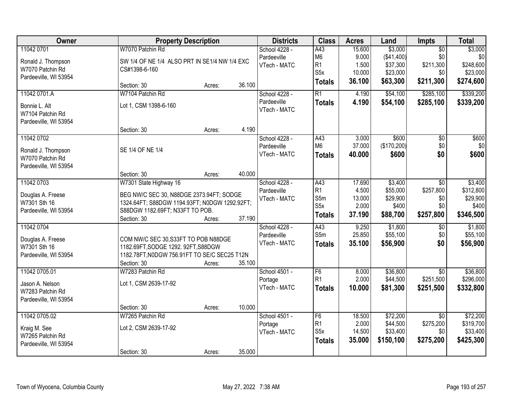| Owner                 | <b>Property Description</b>                   |        |        | <b>Districts</b> | <b>Class</b>     | <b>Acres</b> | Land        | <b>Impts</b>    | <b>Total</b> |
|-----------------------|-----------------------------------------------|--------|--------|------------------|------------------|--------------|-------------|-----------------|--------------|
| 11042 0701            | W7070 Patchin Rd                              |        |        | School 4228 -    | A43              | 15.600       | \$3,000     | $\overline{50}$ | \$3,000      |
| Ronald J. Thompson    | SW 1/4 OF NE 1/4 ALSO PRT IN SE1/4 NW 1/4 EXC |        |        | Pardeeville      | M <sub>6</sub>   | 9.000        | (\$41,400)  | \$0             | \$0          |
| W7070 Patchin Rd      | CS#1398-6-160                                 |        |        | VTech - MATC     | R1               | 1.500        | \$37,300    | \$211,300       | \$248,600    |
| Pardeeville, WI 53954 |                                               |        |        |                  | S <sub>5</sub> x | 10.000       | \$23,000    | \$0             | \$23,000     |
|                       | Section: 30                                   | Acres: | 36.100 |                  | <b>Totals</b>    | 36.100       | \$63,300    | \$211,300       | \$274,600    |
| 11042 0701.A          | W7104 Patchin Rd                              |        |        | School 4228 -    | $\overline{R1}$  | 4.190        | \$54,100    | \$285,100       | \$339,200    |
| Bonnie L. Alt         | Lot 1, CSM 1398-6-160                         |        |        | Pardeeville      | <b>Totals</b>    | 4.190        | \$54,100    | \$285,100       | \$339,200    |
| W7104 Patchin Rd      |                                               |        |        | VTech - MATC     |                  |              |             |                 |              |
| Pardeeville, WI 53954 |                                               |        |        |                  |                  |              |             |                 |              |
|                       | Section: 30                                   | Acres: | 4.190  |                  |                  |              |             |                 |              |
| 11042 0702            |                                               |        |        | School 4228 -    | A43              | 3.000        | \$600       | $\overline{50}$ | \$600        |
| Ronald J. Thompson    | SE 1/4 OF NE 1/4                              |        |        | Pardeeville      | M <sub>6</sub>   | 37.000       | (\$170,200) | \$0             | \$0          |
| W7070 Patchin Rd      |                                               |        |        | VTech - MATC     | <b>Totals</b>    | 40.000       | \$600       | \$0             | \$600        |
| Pardeeville, WI 53954 |                                               |        |        |                  |                  |              |             |                 |              |
|                       | Section: 30                                   | Acres: | 40.000 |                  |                  |              |             |                 |              |
| 11042 0703            | W7301 State Highway 16                        |        |        | School 4228 -    | A43              | 17.690       | \$3,400     | \$0             | \$3,400      |
| Douglas A. Freese     | BEG NW/C SEC 30, N88DGE 2373.94FT; SODGE      |        |        | Pardeeville      | R <sub>1</sub>   | 4.500        | \$55,000    | \$257,800       | \$312,800    |
| W7301 Sth 16          | 1324.64FT; S88DGW 1194.93FT; N0DGW 1292.92FT; |        |        | VTech - MATC     | S5m              | 13.000       | \$29,900    | \$0             | \$29,900     |
| Pardeeville, WI 53954 | S88DGW 1182.69FT; N33FT TO POB.               |        |        |                  | S <sub>5</sub> x | 2.000        | \$400       | \$0             | \$400        |
|                       | Section: 30                                   | Acres: | 37.190 |                  | <b>Totals</b>    | 37.190       | \$88,700    | \$257,800       | \$346,500    |
| 11042 0704            |                                               |        |        | School 4228 -    | A43              | 9.250        | \$1,800     | $\overline{50}$ | \$1,800      |
| Douglas A. Freese     | COM NW/C SEC 30, S33FT TO POB N88DGE          |        |        | Pardeeville      | S5m              | 25.850       | \$55,100    | \$0             | \$55,100     |
| W7301 Sth 16          | 1182.69FT, SODGE 1292. 92FT, S88DGW           |        |        | VTech - MATC     | <b>Totals</b>    | 35.100       | \$56,900    | \$0             | \$56,900     |
| Pardeeville, WI 53954 | 1182.78FT, N0DGW 756.91FT TO SE/C SEC25 T12N  |        |        |                  |                  |              |             |                 |              |
|                       | Section: 30                                   | Acres: | 35.100 |                  |                  |              |             |                 |              |
| 11042 0705.01         | W7283 Patchin Rd                              |        |        | School 4501 -    | F6               | 8.000        | \$36,800    | $\overline{50}$ | \$36,800     |
| Jason A. Nelson       | Lot 1, CSM 2639-17-92                         |        |        | Portage          | R1               | 2.000        | \$44,500    | \$251,500       | \$296,000    |
| W7283 Patchin Rd      |                                               |        |        | VTech - MATC     | <b>Totals</b>    | 10.000       | \$81,300    | \$251,500       | \$332,800    |
| Pardeeville, WI 53954 |                                               |        |        |                  |                  |              |             |                 |              |
|                       | Section: 30                                   | Acres: | 10.000 |                  |                  |              |             |                 |              |
| 11042 0705.02         | W7265 Patchin Rd                              |        |        | School 4501 -    | F6               | 18.500       | \$72,200    | $\overline{50}$ | \$72,200     |
| Kraig M. See          | Lot 2, CSM 2639-17-92                         |        |        | Portage          | R1               | 2.000        | \$44,500    | \$275,200       | \$319,700    |
| W7265 Patchin Rd      |                                               |        |        | VTech - MATC     | S <sub>5</sub> x | 14.500       | \$33,400    | \$0             | \$33,400     |
| Pardeeville, WI 53954 |                                               |        |        |                  | <b>Totals</b>    | 35.000       | \$150,100   | \$275,200       | \$425,300    |
|                       | Section: 30                                   | Acres: | 35.000 |                  |                  |              |             |                 |              |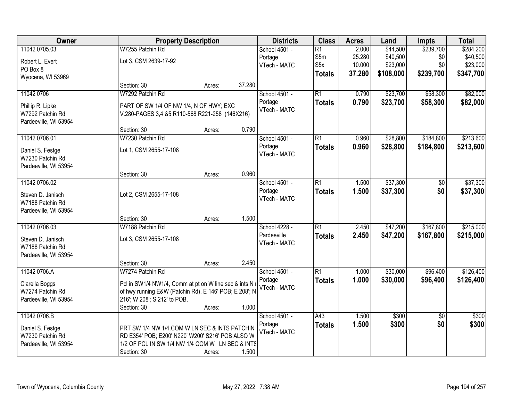| Owner                 | <b>Property Description</b>                            |        |        | <b>Districts</b> | <b>Class</b>    | <b>Acres</b> | Land      | <b>Impts</b>    | <b>Total</b> |
|-----------------------|--------------------------------------------------------|--------|--------|------------------|-----------------|--------------|-----------|-----------------|--------------|
| 11042 0705.03         | W7255 Patchin Rd                                       |        |        | School 4501 -    | $\overline{R1}$ | 2.000        | \$44,500  | \$239,700       | \$284,200    |
| Robert L. Evert       | Lot 3, CSM 2639-17-92                                  |        |        | Portage          | S5m             | 25.280       | \$40,500  | \$0             | \$40,500     |
| PO Box 8              |                                                        |        |        | VTech - MATC     | S5x             | 10.000       | \$23,000  | \$0             | \$23,000     |
| Wyocena, WI 53969     |                                                        |        |        |                  | <b>Totals</b>   | 37.280       | \$108,000 | \$239,700       | \$347,700    |
|                       | Section: 30                                            | Acres: | 37.280 |                  |                 |              |           |                 |              |
| 11042 0706            | W7292 Patchin Rd                                       |        |        | School 4501 -    | $\overline{R1}$ | 0.790        | \$23,700  | \$58,300        | \$82,000     |
| Phillip R. Lipke      | PART OF SW 1/4 OF NW 1/4, N OF HWY; EXC                |        |        | Portage          | <b>Totals</b>   | 0.790        | \$23,700  | \$58,300        | \$82,000     |
| W7292 Patchin Rd      | V.280-PAGES 3,4 &5 R110-568 R221-258 (146X216)         |        |        | VTech - MATC     |                 |              |           |                 |              |
| Pardeeville, WI 53954 |                                                        |        |        |                  |                 |              |           |                 |              |
|                       | Section: 30                                            | Acres: | 0.790  |                  |                 |              |           |                 |              |
| 11042 0706.01         | W7230 Patchin Rd                                       |        |        | School 4501 -    | $\overline{R1}$ | 0.960        | \$28,800  | \$184,800       | \$213,600    |
| Daniel S. Festge      | Lot 1, CSM 2655-17-108                                 |        |        | Portage          | <b>Totals</b>   | 0.960        | \$28,800  | \$184,800       | \$213,600    |
| W7230 Patchin Rd      |                                                        |        |        | VTech - MATC     |                 |              |           |                 |              |
| Pardeeville, WI 53954 |                                                        |        |        |                  |                 |              |           |                 |              |
|                       | Section: 30                                            | Acres: | 0.960  |                  |                 |              |           |                 |              |
| 11042 0706.02         |                                                        |        |        | School 4501 -    | R1              | 1.500        | \$37,300  | $\frac{1}{6}$   | \$37,300     |
| Steven D. Janisch     | Lot 2, CSM 2655-17-108                                 |        |        | Portage          | <b>Totals</b>   | 1.500        | \$37,300  | \$0             | \$37,300     |
| W7188 Patchin Rd      |                                                        |        |        | VTech - MATC     |                 |              |           |                 |              |
| Pardeeville, WI 53954 |                                                        |        |        |                  |                 |              |           |                 |              |
|                       | Section: 30                                            | Acres: | 1.500  |                  |                 |              |           |                 |              |
| 11042 0706.03         | W7188 Patchin Rd                                       |        |        | School 4228 -    | $\overline{R1}$ | 2.450        | \$47,200  | \$167,800       | \$215,000    |
| Steven D. Janisch     | Lot 3, CSM 2655-17-108                                 |        |        | Pardeeville      | <b>Totals</b>   | 2.450        | \$47,200  | \$167,800       | \$215,000    |
| W7188 Patchin Rd      |                                                        |        |        | VTech - MATC     |                 |              |           |                 |              |
| Pardeeville, WI 53954 |                                                        |        |        |                  |                 |              |           |                 |              |
|                       | Section: 30                                            | Acres: | 2.450  |                  |                 |              |           |                 |              |
| 11042 0706.A          | W7274 Patchin Rd                                       |        |        | School 4501 -    | $\overline{R1}$ | 1.000        | \$30,000  | \$96,400        | \$126,400    |
| Clarella Boggs        | Pcl in SW1/4 NW1/4, Comm at pt on W line sec & ints N  |        |        | Portage          | <b>Totals</b>   | 1.000        | \$30,000  | \$96,400        | \$126,400    |
| W7274 Patchin Rd      | of hwy running E&W (Patchin Rd), E 146' POB; E 208'; N |        |        | VTech - MATC     |                 |              |           |                 |              |
| Pardeeville, WI 53954 | 216'; W 208'; S 212' to POB.                           |        |        |                  |                 |              |           |                 |              |
|                       | Section: 30                                            | Acres: | 1.000  |                  |                 |              |           |                 |              |
| 11042 0706.B          |                                                        |        |        | School 4501 -    | A43             | 1.500        | \$300     | $\overline{30}$ | \$300        |
| Daniel S. Festge      | PRT SW 1/4 NW 1/4, COM W LN SEC & INTS PATCHIN         |        |        | Portage          | <b>Totals</b>   | 1.500        | \$300     | \$0             | \$300        |
| W7230 Patchin Rd      | RD E354' POB; E200' N220' W200' S216' POB ALSO W       |        |        | VTech - MATC     |                 |              |           |                 |              |
| Pardeeville, WI 53954 | 1/2 OF PCL IN SW 1/4 NW 1/4 COM W LN SEC & INTS        |        |        |                  |                 |              |           |                 |              |
|                       | Section: 30                                            | Acres: | 1.500  |                  |                 |              |           |                 |              |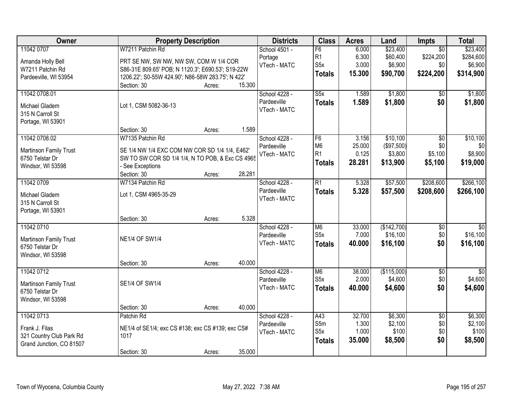| Owner                         | <b>Property Description</b>                       |        | <b>Districts</b> | <b>Class</b>            | <b>Acres</b> | Land        | <b>Impts</b>    | <b>Total</b>    |
|-------------------------------|---------------------------------------------------|--------|------------------|-------------------------|--------------|-------------|-----------------|-----------------|
| 11042 0707                    | W7211 Patchin Rd                                  |        | School 4501 -    | F6                      | 6.000        | \$23,400    | $\overline{50}$ | \$23,400        |
| Amanda Holly Bell             | PRT SE NW, SW NW, NW SW, COM W 1/4 COR            |        | Portage          | R <sub>1</sub>          | 6.300        | \$60,400    | \$224,200       | \$284,600       |
| W7211 Patchin Rd              | S86-31E 809.65' POB; N 1120.3'; E690.53'; S19-22W |        | VTech - MATC     | S <sub>5</sub> x        | 3.000        | \$6,900     | \$0             | \$6,900         |
| Pardeeville, WI 53954         | 1206.22'; S0-55W 424.90'; N86-58W 283.75'; N 422' |        |                  | <b>Totals</b>           | 15.300       | \$90,700    | \$224,200       | \$314,900       |
|                               | Section: 30<br>Acres:                             | 15.300 |                  |                         |              |             |                 |                 |
| 11042 0708.01                 |                                                   |        | School 4228 -    | $\overline{\text{S5x}}$ | 1.589        | \$1,800     | \$0             | \$1,800         |
| Michael Gladem                | Lot 1, CSM 5082-36-13                             |        | Pardeeville      | <b>Totals</b>           | 1.589        | \$1,800     | \$0             | \$1,800         |
| 315 N Carroll St              |                                                   |        | VTech - MATC     |                         |              |             |                 |                 |
| Portage, WI 53901             |                                                   |        |                  |                         |              |             |                 |                 |
|                               | Section: 30<br>Acres:                             | 1.589  |                  |                         |              |             |                 |                 |
| 11042 0708.02                 | W7135 Patchin Rd                                  |        | School 4228 -    | F6                      | 3.156        | \$10,100    | $\overline{50}$ | \$10,100        |
|                               |                                                   |        | Pardeeville      | M <sub>6</sub>          | 25.000       | (\$97,500)  | \$0             | \$0             |
| <b>Martinson Family Trust</b> | SE 1/4 NW 1/4 EXC COM NW COR SD 1/4 1/4, E462'    |        | VTech - MATC     | R1                      | 0.125        | \$3,800     | \$5,100         | \$8,900         |
| 6750 Telstar Dr               | SW TO SW COR SD 1/4 1/4, N TO POB, & Exc CS 4965  |        |                  | <b>Totals</b>           | 28.281       | \$13,900    | \$5,100         | \$19,000        |
| Windsor, WI 53598             | - See Exceptions<br>Section: 30<br>Acres:         | 28.281 |                  |                         |              |             |                 |                 |
| 11042 0709                    | W7134 Patchin Rd                                  |        | School 4228 -    | R1                      | 5.328        | \$57,500    | \$208,600       | \$266,100       |
|                               |                                                   |        | Pardeeville      | <b>Totals</b>           | 5.328        | \$57,500    | \$208,600       | \$266,100       |
| Michael Gladem                | Lot 1, CSM 4965-35-29                             |        | VTech - MATC     |                         |              |             |                 |                 |
| 315 N Carroll St              |                                                   |        |                  |                         |              |             |                 |                 |
| Portage, WI 53901             |                                                   |        |                  |                         |              |             |                 |                 |
|                               | Section: 30<br>Acres:                             | 5.328  |                  |                         |              |             |                 |                 |
| 11042 0710                    |                                                   |        | School 4228 -    | M <sub>6</sub>          | 33.000       | (\$142,700) | \$0             | $\overline{50}$ |
| Martinson Family Trust        | <b>NE1/4 OF SW1/4</b>                             |        | Pardeeville      | S <sub>5</sub> x        | 7.000        | \$16,100    | \$0             | \$16,100        |
| 6750 Telstar Dr               |                                                   |        | VTech - MATC     | <b>Totals</b>           | 40.000       | \$16,100    | \$0             | \$16,100        |
| Windsor, WI 53598             |                                                   |        |                  |                         |              |             |                 |                 |
|                               | Section: 30<br>Acres:                             | 40.000 |                  |                         |              |             |                 |                 |
| 11042 0712                    |                                                   |        | School 4228 -    | M6                      | 38.000       | (\$115,000) | $\overline{50}$ | $\overline{30}$ |
| <b>Martinson Family Trust</b> | SE1/4 OF SW1/4                                    |        | Pardeeville      | S <sub>5</sub> x        | 2.000        | \$4,600     | \$0             | \$4,600         |
| 6750 Telstar Dr               |                                                   |        | VTech - MATC     | <b>Totals</b>           | 40.000       | \$4,600     | \$0             | \$4,600         |
| Windsor, WI 53598             |                                                   |        |                  |                         |              |             |                 |                 |
|                               | Section: 30<br>Acres:                             | 40.000 |                  |                         |              |             |                 |                 |
| 11042 0713                    | Patchin Rd                                        |        | School 4228 -    | A43                     | 32.700       | \$6,300     | $\overline{50}$ | \$6,300         |
| Frank J. Filas                | NE1/4 of SE1/4; exc CS #138; exc CS #139; exc CS# |        | Pardeeville      | S5m                     | 1.300        | \$2,100     | \$0             | \$2,100         |
| 321 Country Club Park Rd      | 1017                                              |        | VTech - MATC     | S <sub>5</sub> x        | 1.000        | \$100       | \$0             | \$100           |
| Grand Junction, CO 81507      |                                                   |        |                  | <b>Totals</b>           | 35.000       | \$8,500     | \$0             | \$8,500         |
|                               | Section: 30<br>Acres:                             | 35.000 |                  |                         |              |             |                 |                 |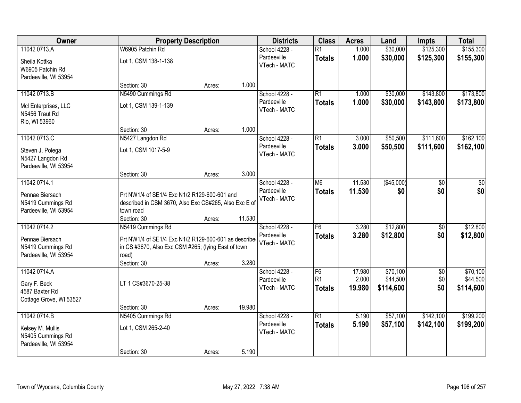| Owner                                                                     |                                                                                                                      | <b>Property Description</b> |        | <b>Districts</b>                             | <b>Class</b>                          | <b>Acres</b>              | Land                              | <b>Impts</b>              | <b>Total</b>                      |
|---------------------------------------------------------------------------|----------------------------------------------------------------------------------------------------------------------|-----------------------------|--------|----------------------------------------------|---------------------------------------|---------------------------|-----------------------------------|---------------------------|-----------------------------------|
| 11042 0713.A                                                              | W6905 Patchin Rd                                                                                                     |                             |        | School 4228 -                                | $\overline{R1}$                       | 1.000                     | \$30,000                          | \$125,300                 | \$155,300                         |
| Sheila Kottka<br>W6905 Patchin Rd<br>Pardeeville, WI 53954                | Lot 1, CSM 138-1-138                                                                                                 |                             |        | Pardeeville<br>VTech - MATC                  | <b>Totals</b>                         | 1.000                     | \$30,000                          | \$125,300                 | \$155,300                         |
|                                                                           | Section: 30                                                                                                          | Acres:                      | 1.000  |                                              |                                       |                           |                                   |                           |                                   |
| 11042 0713.B                                                              | N5490 Cummings Rd                                                                                                    |                             |        | School 4228 -                                | $\overline{R1}$                       | 1.000                     | \$30,000                          | \$143,800                 | \$173,800                         |
| McI Enterprises, LLC<br>N5456 Traut Rd<br>Rio, WI 53960                   | Lot 1, CSM 139-1-139                                                                                                 |                             |        | Pardeeville<br>VTech - MATC                  | <b>Totals</b>                         | 1.000                     | \$30,000                          | \$143,800                 | \$173,800                         |
|                                                                           | Section: 30                                                                                                          | Acres:                      | 1.000  |                                              |                                       |                           |                                   |                           |                                   |
| 11042 0713.C                                                              | N5427 Langdon Rd                                                                                                     |                             |        | School 4228 -                                | $\overline{R1}$                       | 3.000                     | \$50,500                          | \$111,600                 | \$162,100                         |
| Steven J. Polega<br>N5427 Langdon Rd<br>Pardeeville, WI 53954             | Lot 1, CSM 1017-5-9                                                                                                  |                             |        | Pardeeville<br>VTech - MATC                  | <b>Totals</b>                         | 3.000                     | \$50,500                          | \$111,600                 | \$162,100                         |
|                                                                           | Section: 30                                                                                                          | Acres:                      | 3.000  |                                              |                                       |                           |                                   |                           |                                   |
| 11042 0714.1                                                              |                                                                                                                      |                             |        | School 4228 -                                | M <sub>6</sub>                        | 11.530                    | (\$45,000)                        | \$0                       | \$0                               |
| Pennae Biersach<br>N5419 Cummings Rd<br>Pardeeville, WI 53954             | Prt NW1/4 of SE1/4 Exc N1/2 R129-600-601 and<br>described in CSM 3670, Also Exc CS#265, Also Exc E of<br>town road   |                             |        | Pardeeville<br>VTech - MATC                  | <b>Totals</b>                         | 11.530                    | \$0                               | \$0                       | \$0                               |
|                                                                           | Section: 30                                                                                                          | Acres:                      | 11.530 |                                              |                                       |                           |                                   |                           |                                   |
| 11042 0714.2                                                              | N5419 Cummings Rd                                                                                                    |                             |        | School 4228 -<br>Pardeeville                 | F6                                    | 3.280                     | \$12,800                          | $\overline{50}$           | \$12,800                          |
| Pennae Biersach<br>N5419 Cummings Rd<br>Pardeeville, WI 53954             | Prt NW1/4 of SE1/4 Exc N1/2 R129-600-601 as describe<br>in CS #3670, Also Exc CSM #265; (lying East of town<br>road) |                             |        | VTech - MATC                                 | <b>Totals</b>                         | 3.280                     | \$12,800                          | \$0                       | \$12,800                          |
|                                                                           | Section: 30                                                                                                          | Acres:                      | 3.280  |                                              |                                       |                           |                                   |                           |                                   |
| 11042 0714.A<br>Gary F. Beck<br>4587 Baxter Rd<br>Cottage Grove, WI 53527 | LT 1 CS#3670-25-38                                                                                                   |                             |        | School 4228 -<br>Pardeeville<br>VTech - MATC | F6<br>R <sub>1</sub><br><b>Totals</b> | 17.980<br>2.000<br>19.980 | \$70,100<br>\$44,500<br>\$114,600 | $\sqrt{6}$<br>\$0 <br>\$0 | \$70,100<br>\$44,500<br>\$114,600 |
|                                                                           | Section: 30                                                                                                          | Acres:                      | 19.980 |                                              |                                       |                           |                                   |                           |                                   |
| 11042 0714.B                                                              | N5405 Cummings Rd                                                                                                    |                             |        | School 4228 -                                | $\overline{R1}$                       | 5.190                     | \$57,100                          | \$142,100                 | \$199,200                         |
| Kelsey M. Mullis<br>N5405 Cummings Rd<br>Pardeeville, WI 53954            | Lot 1, CSM 265-2-40                                                                                                  |                             |        | Pardeeville<br>VTech - MATC                  | <b>Totals</b>                         | 5.190                     | \$57,100                          | \$142,100                 | \$199,200                         |
|                                                                           | Section: 30                                                                                                          | Acres:                      | 5.190  |                                              |                                       |                           |                                   |                           |                                   |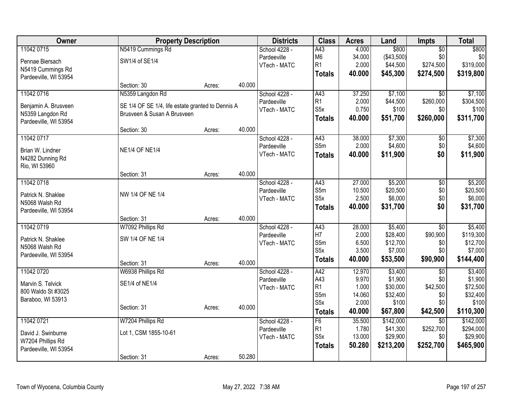| Owner                 |                                                                                  | <b>Property Description</b> |        | <b>Districts</b> | <b>Class</b>     | <b>Acres</b> | Land       | <b>Impts</b>    | <b>Total</b> |
|-----------------------|----------------------------------------------------------------------------------|-----------------------------|--------|------------------|------------------|--------------|------------|-----------------|--------------|
| 11042 0715            | N5419 Cummings Rd                                                                |                             |        | School 4228 -    | A43              | 4.000        | \$800      | $\overline{50}$ | \$800        |
| Pennae Biersach       | SW1/4 of SE1/4                                                                   |                             |        | Pardeeville      | M <sub>6</sub>   | 34.000       | (\$43,500) | \$0             | \$0          |
| N5419 Cummings Rd     |                                                                                  |                             |        | VTech - MATC     | R1               | 2.000        | \$44,500   | \$274,500       | \$319,000    |
| Pardeeville, WI 53954 |                                                                                  |                             |        |                  | <b>Totals</b>    | 40,000       | \$45,300   | \$274,500       | \$319,800    |
|                       | Section: 30                                                                      | Acres:                      | 40.000 |                  |                  |              |            |                 |              |
| 11042 0716            | N5359 Langdon Rd                                                                 |                             |        | School 4228 -    | A43              | 37.250       | \$7,100    | $\overline{30}$ | \$7,100      |
| Benjamin A. Brusveen  |                                                                                  |                             |        | Pardeeville      | R <sub>1</sub>   | 2.000        | \$44,500   | \$260,000       | \$304,500    |
| N5359 Langdon Rd      | SE 1/4 OF SE 1/4, life estate granted to Dennis A<br>Brusveen & Susan A Brusveen |                             |        | VTech - MATC     | S <sub>5</sub> x | 0.750        | \$100      | \$0             | \$100        |
| Pardeeville, WI 53954 |                                                                                  |                             |        |                  | <b>Totals</b>    | 40.000       | \$51,700   | \$260,000       | \$311,700    |
|                       | Section: 30                                                                      | Acres:                      | 40.000 |                  |                  |              |            |                 |              |
| 11042 0717            |                                                                                  |                             |        | School 4228 -    | A43              | 38.000       | \$7,300    | \$0             | \$7,300      |
|                       |                                                                                  |                             |        | Pardeeville      | S5m              | 2.000        | \$4,600    | \$0             | \$4,600      |
| Brian W. Lindner      | <b>NE1/4 OF NE1/4</b>                                                            |                             |        | VTech - MATC     | <b>Totals</b>    | 40.000       | \$11,900   | \$0             | \$11,900     |
| N4282 Dunning Rd      |                                                                                  |                             |        |                  |                  |              |            |                 |              |
| Rio, WI 53960         | Section: 31                                                                      |                             | 40.000 |                  |                  |              |            |                 |              |
| 11042 0718            |                                                                                  | Acres:                      |        | School 4228 -    | A43              | 27.000       | \$5,200    | $\overline{50}$ | \$5,200      |
|                       |                                                                                  |                             |        | Pardeeville      | S5m              | 10.500       | \$20,500   | \$0             | \$20,500     |
| Patrick N. Shaklee    | NW 1/4 OF NE 1/4                                                                 |                             |        | VTech - MATC     | S <sub>5</sub> x | 2.500        | \$6,000    | \$0             | \$6,000      |
| N5068 Walsh Rd        |                                                                                  |                             |        |                  |                  | 40.000       | \$31,700   | \$0             | \$31,700     |
| Pardeeville, WI 53954 |                                                                                  |                             |        |                  | <b>Totals</b>    |              |            |                 |              |
|                       | Section: 31                                                                      | Acres:                      | 40.000 |                  |                  |              |            |                 |              |
| 11042 0719            | W7092 Phillips Rd                                                                |                             |        | School 4228 -    | $\overline{A43}$ | 28.000       | \$5,400    | $\overline{30}$ | \$5,400      |
| Patrick N. Shaklee    | SW 1/4 OF NE 1/4                                                                 |                             |        | Pardeeville      | H7               | 2.000        | \$28,400   | \$90,900        | \$119,300    |
| N5068 Walsh Rd        |                                                                                  |                             |        | VTech - MATC     | S5m              | 6.500        | \$12,700   | \$0             | \$12,700     |
| Pardeeville, WI 53954 |                                                                                  |                             |        |                  | S <sub>5</sub> x | 3.500        | \$7,000    | \$0             | \$7,000      |
|                       | Section: 31                                                                      | Acres:                      | 40.000 |                  | <b>Totals</b>    | 40.000       | \$53,500   | \$90,900        | \$144,400    |
| 11042 0720            | W6938 Phillips Rd                                                                |                             |        | School 4228 -    | A42              | 12.970       | \$3,400    | $\overline{50}$ | \$3,400      |
| Marvin S. Telvick     | SE1/4 of NE1/4                                                                   |                             |        | Pardeeville      | A43              | 9.970        | \$1,900    | \$0             | \$1,900      |
| 800 Waldo St #3025    |                                                                                  |                             |        | VTech - MATC     | R1               | 1.000        | \$30,000   | \$42,500        | \$72,500     |
| Baraboo, WI 53913     |                                                                                  |                             |        |                  | S5m              | 14.060       | \$32,400   | \$0             | \$32,400     |
|                       | Section: 31                                                                      | Acres:                      | 40.000 |                  | S <sub>5</sub> x | 2.000        | \$100      | \$0             | \$100        |
|                       |                                                                                  |                             |        |                  | <b>Totals</b>    | 40.000       | \$67,800   | \$42,500        | \$110,300    |
| 11042 0721            | W7204 Phillips Rd                                                                |                             |        | School 4228 -    | F6               | 35.500       | \$142,000  | $\overline{50}$ | \$142,000    |
| David J. Swinburne    | Lot 1, CSM 1855-10-61                                                            |                             |        | Pardeeville      | R <sub>1</sub>   | 1.780        | \$41,300   | \$252,700       | \$294,000    |
| W7204 Phillips Rd     |                                                                                  |                             |        | VTech - MATC     | S <sub>5</sub> x | 13.000       | \$29,900   | \$0             | \$29,900     |
| Pardeeville, WI 53954 |                                                                                  |                             |        |                  | <b>Totals</b>    | 50.280       | \$213,200  | \$252,700       | \$465,900    |
|                       | Section: 31                                                                      | Acres:                      | 50.280 |                  |                  |              |            |                 |              |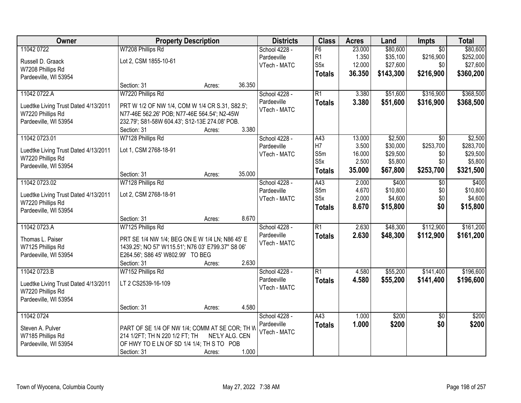| Owner                                                     | <b>Property Description</b>                        |                |        | <b>Districts</b>            | <b>Class</b>            | <b>Acres</b>   | Land                | Impts           | <b>Total</b>        |
|-----------------------------------------------------------|----------------------------------------------------|----------------|--------|-----------------------------|-------------------------|----------------|---------------------|-----------------|---------------------|
| 11042 0722                                                | W7208 Phillips Rd                                  |                |        | School 4228 -               | F6                      | 23.000         | \$80,600            | $\overline{50}$ | \$80,600            |
| Russell D. Graack                                         | Lot 2, CSM 1855-10-61                              |                |        | Pardeeville                 | R <sub>1</sub>          | 1.350          | \$35,100            | \$216,900       | \$252,000           |
| W7208 Phillips Rd                                         |                                                    |                |        | VTech - MATC                | S <sub>5</sub> x        | 12.000         | \$27,600            | \$0             | \$27,600            |
| Pardeeville, WI 53954                                     |                                                    |                |        |                             | <b>Totals</b>           | 36.350         | \$143,300           | \$216,900       | \$360,200           |
|                                                           | Section: 31                                        | Acres:         | 36.350 |                             |                         |                |                     |                 |                     |
| 11042 0722.A                                              | W7220 Phillips Rd                                  |                |        | School 4228 -               | $\overline{R1}$         | 3.380          | \$51,600            | \$316,900       | \$368,500           |
|                                                           | PRT W 1/2 OF NW 1/4, COM W 1/4 CR S.31, S82.5';    |                |        | Pardeeville                 | <b>Totals</b>           | 3.380          | \$51,600            | \$316,900       | \$368,500           |
| Luedtke Living Trust Dated 4/13/2011<br>W7220 Phillips Rd | N77-46E 562.26' POB; N77-46E 564.54'; N2-45W       |                |        | VTech - MATC                |                         |                |                     |                 |                     |
| Pardeeville, WI 53954                                     | 232.79'; S81-58W 604.43'; S12-13E 274.08' POB.     |                |        |                             |                         |                |                     |                 |                     |
|                                                           | Section: 31                                        | Acres:         | 3.380  |                             |                         |                |                     |                 |                     |
| 11042 0723.01                                             | W7128 Phillips Rd                                  |                |        | School 4228 -               | A43                     | 13.000         | \$2,500             | $\overline{50}$ | \$2,500             |
|                                                           |                                                    |                |        | Pardeeville                 | H7                      | 3.500          | \$30,000            | \$253,700       | \$283,700           |
| Luedtke Living Trust Dated 4/13/2011                      | Lot 1, CSM 2768-18-91                              |                |        | VTech - MATC                | S5m                     | 16.000         | \$29,500            | \$0             | \$29,500            |
| W7220 Phillips Rd                                         |                                                    |                |        |                             | S <sub>5</sub> x        | 2.500          | \$5,800             | \$0             | \$5,800             |
| Pardeeville, WI 53954                                     |                                                    |                |        |                             | <b>Totals</b>           | 35.000         | \$67,800            | \$253,700       | \$321,500           |
|                                                           | Section: 31                                        | Acres:         | 35.000 |                             |                         |                |                     |                 |                     |
| 11042 0723.02                                             | W7128 Phillips Rd                                  |                |        | School 4228 -               | A43                     | 2.000          | \$400               | \$0             | \$400               |
| Luedtke Living Trust Dated 4/13/2011                      | Lot 2, CSM 2768-18-91                              |                |        | Pardeeville<br>VTech - MATC | S5m<br>S <sub>5</sub> x | 4.670<br>2.000 | \$10,800<br>\$4,600 | \$0<br>\$0      | \$10,800<br>\$4,600 |
| W7220 Phillips Rd                                         |                                                    |                |        |                             |                         |                |                     | \$0             |                     |
| Pardeeville, WI 53954                                     |                                                    |                |        |                             | <b>Totals</b>           | 8.670          | \$15,800            |                 | \$15,800            |
|                                                           | Section: 31                                        | Acres:         | 8.670  |                             |                         |                |                     |                 |                     |
| 11042 0723.A                                              | W7125 Phillips Rd                                  |                |        | School 4228 -               | $\overline{R1}$         | 2.630          | \$48,300            | \$112,900       | \$161,200           |
| Thomas L. Paiser                                          | PRT SE 1/4 NW 1/4; BEG ON E W 1/4 LN; N86 45' E    |                |        | Pardeeville                 | <b>Totals</b>           | 2.630          | \$48,300            | \$112,900       | \$161,200           |
| W7125 Phillips Rd                                         | 1439.25'; NO 57' W115.51'; N76 03' E799.37" S8 06' |                |        | VTech - MATC                |                         |                |                     |                 |                     |
| Pardeeville, WI 53954                                     | E264.56'; S86 45' W802.99' TO BEG                  |                |        |                             |                         |                |                     |                 |                     |
|                                                           | Section: 31                                        | Acres:         | 2.630  |                             |                         |                |                     |                 |                     |
| 11042 0723.B                                              | W7152 Phillips Rd                                  |                |        | School 4228 -               | $\overline{R1}$         | 4.580          | \$55,200            | \$141,400       | \$196,600           |
| Luedtke Living Trust Dated 4/13/2011                      | LT 2 CS2539-16-109                                 |                |        | Pardeeville                 | <b>Totals</b>           | 4.580          | \$55,200            | \$141,400       | \$196,600           |
| W7220 Phillips Rd                                         |                                                    |                |        | VTech - MATC                |                         |                |                     |                 |                     |
| Pardeeville, WI 53954                                     |                                                    |                |        |                             |                         |                |                     |                 |                     |
|                                                           | Section: 31                                        | Acres:         | 4.580  |                             |                         |                |                     |                 |                     |
| 11042 0724                                                |                                                    |                |        | School 4228 -               | A43                     | 1.000          | \$200               | $\overline{50}$ | \$200               |
|                                                           |                                                    |                |        | Pardeeville                 | <b>Totals</b>           | 1.000          | \$200               | \$0             | \$200               |
| Steven A. Pulver                                          | PART OF SE 1/4 OF NW 1/4; COMM AT SE COR; TH W     |                |        | VTech - MATC                |                         |                |                     |                 |                     |
| W7185 Phillips Rd                                         | 214 1/2FT; TH N 220 1/2 FT; TH                     | NE'LY ALG. CEN |        |                             |                         |                |                     |                 |                     |
| Pardeeville, WI 53954                                     | OF HWY TO E LN OF SD 1/4 1/4; TH S TO POB          |                |        |                             |                         |                |                     |                 |                     |
|                                                           | Section: 31                                        | Acres:         | 1.000  |                             |                         |                |                     |                 |                     |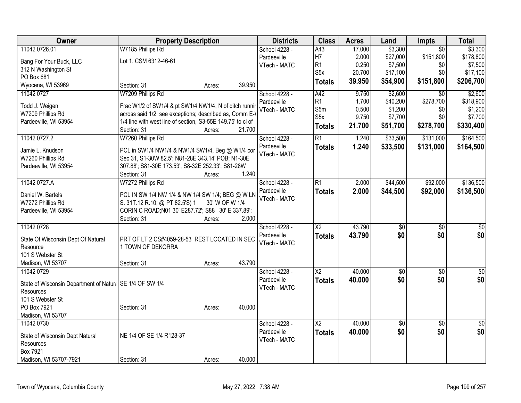| Owner                                                     | <b>Property Description</b>                                 |                |        | <b>Districts</b> | <b>Class</b>             | <b>Acres</b> | Land     | Impts           | <b>Total</b>    |
|-----------------------------------------------------------|-------------------------------------------------------------|----------------|--------|------------------|--------------------------|--------------|----------|-----------------|-----------------|
| 11042 0726.01                                             | W7185 Phillips Rd                                           |                |        | School 4228 -    | A43                      | 17.000       | \$3,300  | $\overline{50}$ | \$3,300         |
| Bang For Your Buck, LLC                                   | Lot 1, CSM 6312-46-61                                       |                |        | Pardeeville      | H7                       | 2.000        | \$27,000 | \$151,800       | \$178,800       |
| 312 N Washington St                                       |                                                             |                |        | VTech - MATC     | R <sub>1</sub>           | 0.250        | \$7,500  | \$0             | \$7,500         |
| PO Box 681                                                |                                                             |                |        |                  | S <sub>5</sub> x         | 20.700       | \$17,100 | \$0             | \$17,100        |
| Wyocena, WI 53969                                         | Section: 31                                                 | Acres:         | 39.950 |                  | <b>Totals</b>            | 39.950       | \$54,900 | \$151,800       | \$206,700       |
| 11042 0727                                                | W7209 Phillips Rd                                           |                |        | School 4228 -    | A42                      | 9.750        | \$2,600  | $\overline{30}$ | \$2,600         |
|                                                           |                                                             |                |        | Pardeeville      | R1                       | 1.700        | \$40,200 | \$278,700       | \$318,900       |
| Todd J. Weigen                                            | Frac W1/2 of SW1/4 & pt SW1/4 NW1/4, N of ditch running     |                |        | VTech - MATC     | S5m                      | 0.500        | \$1,200  | \$0             | \$1,200         |
| W7209 Phillips Rd                                         | across said 1/2 see exceptions; described as, Comm E-1      |                |        |                  | S <sub>5</sub> x         | 9.750        | \$7,700  | \$0             | \$7,700         |
| Pardeeville, WI 53954                                     | 1/4 line with west line of section, S3-55E 149.75' to cl of |                |        |                  | <b>Totals</b>            | 21.700       | \$51,700 | \$278,700       | \$330,400       |
|                                                           | Section: 31                                                 | Acres:         | 21.700 |                  |                          |              |          |                 |                 |
| 11042 0727.2                                              | W7260 Phillips Rd                                           |                |        | School 4228 -    | $\overline{R1}$          | 1.240        | \$33,500 | \$131,000       | \$164,500       |
| Jamie L. Knudson                                          | PCL in SW1/4 NW1/4 & NW1/4 SW1/4, Beg @ W1/4 cor            |                |        | Pardeeville      | <b>Totals</b>            | 1.240        | \$33,500 | \$131,000       | \$164,500       |
| W7260 Phillips Rd                                         | Sec 31, S1-30W 82.5'; N81-28E 343.14' POB; N1-30E           |                |        | VTech - MATC     |                          |              |          |                 |                 |
| Pardeeville, WI 53954                                     | 307.88'; S81-30E 173.53', S8-32E 252.33'; S81-28W           |                |        |                  |                          |              |          |                 |                 |
|                                                           | Section: 31                                                 | Acres:         | 1.240  |                  |                          |              |          |                 |                 |
| 11042 0727.A                                              | W7272 Phillips Rd                                           |                |        | School 4228 -    | $\overline{R1}$          | 2.000        | \$44,500 | \$92,000        | \$136,500       |
|                                                           |                                                             |                |        | Pardeeville      | <b>Totals</b>            | 2.000        | \$44,500 | \$92,000        | \$136,500       |
| Daniel W. Bartels                                         | PCL IN SW 1/4 NW 1/4 & NW 1/4 SW 1/4; BEG @ W LN            |                |        | VTech - MATC     |                          |              |          |                 |                 |
| W7272 Phillips Rd                                         | S. 31T.12 R.10; @ PT 82.5'S) 1                              | 30' W OF W 1/4 |        |                  |                          |              |          |                 |                 |
| Pardeeville, WI 53954                                     | CORIN C ROAD; N01 30' E287.72'; S88 30' E 337.89';          |                |        |                  |                          |              |          |                 |                 |
|                                                           | Section: 31                                                 | Acres:         | 2.000  |                  |                          |              |          |                 |                 |
| 11042 0728                                                |                                                             |                |        | School 4228 -    | $\overline{\text{X2}}$   | 43.790       | \$0      | $\overline{50}$ | \$0             |
| State Of Wisconsin Dept Of Natural                        | PRT OF LT 2 CS#4059-28-53 REST LOCATED IN SEC               |                |        | Pardeeville      | <b>Totals</b>            | 43.790       | \$0      | \$0             | \$0             |
| Resource                                                  | 1 TOWN OF DEKORRA                                           |                |        | VTech - MATC     |                          |              |          |                 |                 |
| 101 S Webster St                                          |                                                             |                |        |                  |                          |              |          |                 |                 |
| Madison, WI 53707                                         | Section: 31                                                 | Acres:         | 43.790 |                  |                          |              |          |                 |                 |
| 11042 0729                                                |                                                             |                |        | School 4228 -    | $\overline{\mathsf{X2}}$ | 40.000       | \$0      | $\overline{30}$ | \$0             |
|                                                           |                                                             |                |        | Pardeeville      |                          | 40.000       | \$0      | \$0             | \$0             |
| State of Wisconsin Department of Natural SE 1/4 OF SW 1/4 |                                                             |                |        | VTech - MATC     | <b>Totals</b>            |              |          |                 |                 |
| Resources                                                 |                                                             |                |        |                  |                          |              |          |                 |                 |
| 101 S Webster St                                          |                                                             |                |        |                  |                          |              |          |                 |                 |
| PO Box 7921                                               | Section: 31                                                 | Acres:         | 40.000 |                  |                          |              |          |                 |                 |
| Madison, WI 53707                                         |                                                             |                |        |                  |                          |              |          |                 |                 |
| 11042 0730                                                |                                                             |                |        | School 4228 -    | $\overline{\text{X2}}$   | 40.000       | \$0      | $\overline{50}$ | $\overline{50}$ |
|                                                           |                                                             |                |        | Pardeeville      | <b>Totals</b>            | 40.000       | \$0      | \$0             | \$0             |
| State of Wisconsin Dept Natural                           | NE 1/4 OF SE 1/4 R128-37                                    |                |        | VTech - MATC     |                          |              |          |                 |                 |
| Resources                                                 |                                                             |                |        |                  |                          |              |          |                 |                 |
| Box 7921                                                  |                                                             |                |        |                  |                          |              |          |                 |                 |
| Madison, WI 53707-7921                                    | Section: 31                                                 | Acres:         | 40.000 |                  |                          |              |          |                 |                 |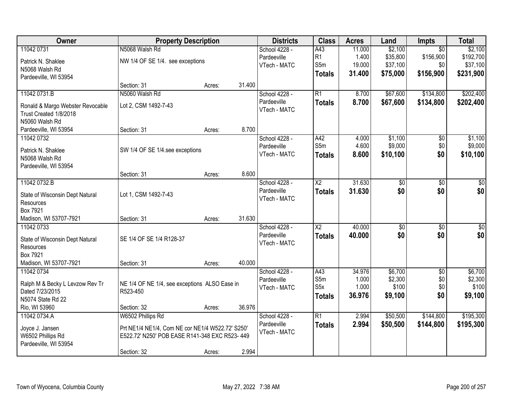| Owner                                                      |                                                  | <b>Property Description</b> |        | <b>Districts</b> | <b>Class</b>     | <b>Acres</b> | Land            | Impts           | <b>Total</b>     |
|------------------------------------------------------------|--------------------------------------------------|-----------------------------|--------|------------------|------------------|--------------|-----------------|-----------------|------------------|
| 11042 0731                                                 | N5068 Walsh Rd                                   |                             |        | School 4228 -    | A43              | 11.000       | \$2,100         | $\overline{50}$ | \$2,100          |
| Patrick N. Shaklee                                         | NW 1/4 OF SE 1/4. see exceptions                 |                             |        | Pardeeville      | R1               | 1.400        | \$35,800        | \$156,900       | \$192,700        |
| N5068 Walsh Rd                                             |                                                  |                             |        | VTech - MATC     | S5m              | 19.000       | \$37,100        | \$0             | \$37,100         |
| Pardeeville, WI 53954                                      |                                                  |                             |        |                  | <b>Totals</b>    | 31.400       | \$75,000        | \$156,900       | \$231,900        |
|                                                            | Section: 31                                      | Acres:                      | 31.400 |                  |                  |              |                 |                 |                  |
| 11042 0731.B                                               | N5060 Walsh Rd                                   |                             |        | School 4228 -    | $\overline{R1}$  | 8.700        | \$67,600        | \$134,800       | \$202,400        |
|                                                            | Lot 2, CSM 1492-7-43                             |                             |        | Pardeeville      | <b>Totals</b>    | 8.700        | \$67,600        | \$134,800       | \$202,400        |
| Ronald & Margo Webster Revocable<br>Trust Created 1/8/2018 |                                                  |                             |        | VTech - MATC     |                  |              |                 |                 |                  |
| N5060 Walsh Rd                                             |                                                  |                             |        |                  |                  |              |                 |                 |                  |
| Pardeeville, WI 53954                                      | Section: 31                                      | Acres:                      | 8.700  |                  |                  |              |                 |                 |                  |
| 11042 0732                                                 |                                                  |                             |        | School 4228 -    | A42              | 4.000        | \$1,100         | $\overline{50}$ | \$1,100          |
|                                                            |                                                  |                             |        | Pardeeville      | S5m              | 4.600        | \$9,000         | \$0             | \$9,000          |
| Patrick N. Shaklee                                         | SW 1/4 OF SE 1/4.see exceptions                  |                             |        | VTech - MATC     | <b>Totals</b>    | 8.600        | \$10,100        | \$0             | \$10,100         |
| N5068 Walsh Rd                                             |                                                  |                             |        |                  |                  |              |                 |                 |                  |
| Pardeeville, WI 53954                                      | Section: 31                                      | Acres:                      | 8.600  |                  |                  |              |                 |                 |                  |
| 11042 0732.B                                               |                                                  |                             |        | School 4228 -    | $\overline{X2}$  | 31.630       | \$0             | \$0             | \$0              |
|                                                            |                                                  |                             |        | Pardeeville      | <b>Totals</b>    | 31.630       | \$0             | \$0             | \$0              |
| State of Wisconsin Dept Natural                            | Lot 1, CSM 1492-7-43                             |                             |        | VTech - MATC     |                  |              |                 |                 |                  |
| Resources                                                  |                                                  |                             |        |                  |                  |              |                 |                 |                  |
| Box 7921                                                   |                                                  |                             |        |                  |                  |              |                 |                 |                  |
| Madison, WI 53707-7921                                     | Section: 31                                      | Acres:                      | 31.630 |                  |                  |              |                 |                 |                  |
| 11042 0733                                                 |                                                  |                             |        | School 4228 -    | $\overline{X2}$  | 40.000       | $\overline{50}$ | $\overline{50}$ | $\overline{\$0}$ |
| State of Wisconsin Dept Natural                            | SE 1/4 OF SE 1/4 R128-37                         |                             |        | Pardeeville      | <b>Totals</b>    | 40.000       | \$0             | \$0             | \$0              |
| Resources                                                  |                                                  |                             |        | VTech - MATC     |                  |              |                 |                 |                  |
| <b>Box 7921</b>                                            |                                                  |                             |        |                  |                  |              |                 |                 |                  |
| Madison, WI 53707-7921                                     | Section: 31                                      | Acres:                      | 40.000 |                  |                  |              |                 |                 |                  |
| 11042 0734                                                 |                                                  |                             |        | School 4228 -    | A43              | 34.976       | \$6,700         | $\overline{60}$ | \$6,700          |
| Ralph M & Becky L Levzow Rev Tr                            | NE 1/4 OF NE 1/4, see exceptions ALSO Ease in    |                             |        | Pardeeville      | S5m              | 1.000        | \$2,300         | \$0             | \$2,300          |
| Dated 7/23/2015                                            | R523-450                                         |                             |        | VTech - MATC     | S <sub>5</sub> x | 1.000        | \$100           | \$0             | \$100            |
| N5074 State Rd 22                                          |                                                  |                             |        |                  | <b>Totals</b>    | 36.976       | \$9,100         | \$0             | \$9,100          |
| Rio, WI 53960                                              | Section: 32                                      | Acres:                      | 36.976 |                  |                  |              |                 |                 |                  |
| 11042 0734.A                                               | W6502 Phillips Rd                                |                             |        | School 4228 -    | $\overline{R1}$  | 2.994        | \$50,500        | \$144,800       | \$195,300        |
| Joyce J. Jansen                                            | Prt NE1/4 NE1/4, Com NE cor NE1/4 W522.72' S250' |                             |        | Pardeeville      | <b>Totals</b>    | 2.994        | \$50,500        | \$144,800       | \$195,300        |
| W6502 Phillips Rd                                          | E522.72' N250' POB EASE R141-348 EXC R523-449    |                             |        | VTech - MATC     |                  |              |                 |                 |                  |
| Pardeeville, WI 53954                                      |                                                  |                             |        |                  |                  |              |                 |                 |                  |
|                                                            | Section: 32                                      | Acres:                      | 2.994  |                  |                  |              |                 |                 |                  |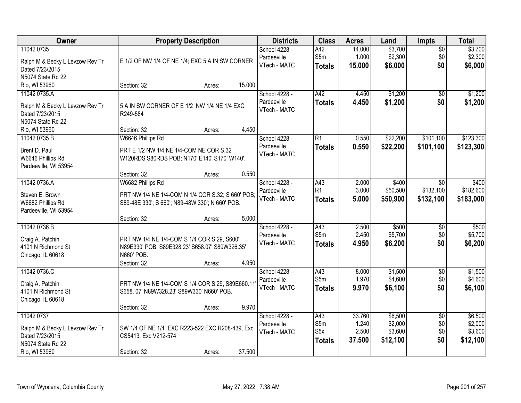| Owner                                                                                                  | <b>Property Description</b>                                                                                                                                 | <b>Districts</b>                             | <b>Class</b>                           | <b>Acres</b>                       | Land                                      | <b>Impts</b>                         | <b>Total</b>                              |
|--------------------------------------------------------------------------------------------------------|-------------------------------------------------------------------------------------------------------------------------------------------------------------|----------------------------------------------|----------------------------------------|------------------------------------|-------------------------------------------|--------------------------------------|-------------------------------------------|
| 11042 0735<br>Ralph M & Becky L Levzow Rev Tr<br>Dated 7/23/2015<br>N5074 State Rd 22                  | E 1/2 OF NW 1/4 OF NE 1/4; EXC 5 A IN SW CORNER                                                                                                             | School 4228 -<br>Pardeeville<br>VTech - MATC | A42<br>S5m<br><b>Totals</b>            | 14.000<br>1.000<br>15.000          | \$3,700<br>\$2,300<br>\$6,000             | \$0<br>\$0<br>\$0                    | \$3,700<br>\$2,300<br>\$6,000             |
| Rio, WI 53960                                                                                          | 15.000<br>Section: 32<br>Acres:                                                                                                                             |                                              |                                        |                                    |                                           |                                      |                                           |
| 11042 0735.A<br>Ralph M & Becky L Levzow Rev Tr<br>Dated 7/23/2015<br>N5074 State Rd 22                | 5 A IN SW CORNER OF E 1/2 NW 1/4 NE 1/4 EXC<br>R249-584                                                                                                     | School 4228 -<br>Pardeeville<br>VTech - MATC | A42<br><b>Totals</b>                   | 4.450<br>4.450                     | \$1,200<br>\$1,200                        | \$0<br>\$0                           | \$1,200<br>\$1,200                        |
| Rio, WI 53960                                                                                          | 4.450<br>Section: 32<br>Acres:                                                                                                                              |                                              |                                        |                                    |                                           |                                      |                                           |
| 11042 0735.B<br>Brent D. Paul<br>W6646 Phillips Rd<br>Pardeeville, WI 53954                            | W6646 Phillips Rd<br>PRT E 1/2 NW 1/4 NE 1/4-COM NE COR S.32<br>W120RDS S80RDS POB; N170' E140' S170' W140'.<br>0.550<br>Section: 32<br>Acres:              | School 4228 -<br>Pardeeville<br>VTech - MATC | $\overline{R1}$<br><b>Totals</b>       | 0.550<br>0.550                     | \$22,200<br>\$22,200                      | \$101,100<br>\$101,100               | \$123,300<br>\$123,300                    |
| 11042 0736.A<br>Steven E. Brown<br>W6682 Phillips Rd<br>Pardeeville, WI 53954                          | W6682 Phillips Rd<br>PRT NW 1/4 NE 1/4-COM N 1/4 COR S.32; S 660' POB;<br>S89-48E 330'; S 660'; N89-48W 330'; N 660' POB.<br>5.000<br>Section: 32<br>Acres: | School 4228 -<br>Pardeeville<br>VTech - MATC | A43<br>R <sub>1</sub><br><b>Totals</b> | 2.000<br>3.000<br>5.000            | \$400<br>\$50,500<br>\$50,900             | \$0<br>\$132,100<br>\$132,100        | \$400<br>\$182,600<br>\$183,000           |
| 11042 0736.B<br>Craig A. Patchin<br>4101 N Richmond St<br>Chicago, IL 60618                            | PRT NW 1/4 NE 1/4-COM S 1/4 COR S.29, S600'<br>N89E330' POB; S89E328.23' S658.07' S89W326.35'<br>N660' POB.<br>4.950<br>Section: 32<br>Acres:               | School 4228 -<br>Pardeeville<br>VTech - MATC | A43<br>S5m<br>Totals                   | 2.500<br>2.450<br>4.950            | \$500<br>\$5,700<br>\$6,200               | \$0<br>\$0<br>\$0                    | \$500<br>\$5,700<br>\$6,200               |
| 11042 0736.C<br>Craig A. Patchin<br>4101 N Richmond St<br>Chicago, IL 60618                            | PRT NW 1/4 NE 1/4-COM S 1/4 COR S.29, S89E660.11<br>S658. 07' N89W328.23' S89W330' N660' POB.<br>9.970<br>Section: 32<br>Acres:                             | School 4228 -<br>Pardeeville<br>VTech - MATC | A43<br>S5m<br><b>Totals</b>            | 8.000<br>1.970<br>9.970            | \$1,500<br>\$4,600<br>\$6,100             | $\overline{60}$<br>\$0<br>\$0        | \$1,500<br>\$4,600<br>\$6,100             |
| 11042 0737<br>Ralph M & Becky L Levzow Rev Tr<br>Dated 7/23/2015<br>N5074 State Rd 22<br>Rio, WI 53960 | SW 1/4 OF NE 1/4 EXC R223-522 EXC R208-439, Exc<br>CS5413, Exc V212-574<br>37.500<br>Section: 32<br>Acres:                                                  | School 4228 -<br>Pardeeville<br>VTech - MATC | A43<br>S5m<br>S5x<br><b>Totals</b>     | 33.760<br>1.240<br>2.500<br>37.500 | \$6,500<br>\$2,000<br>\$3,600<br>\$12,100 | $\overline{50}$<br>\$0<br>\$0<br>\$0 | \$6,500<br>\$2,000<br>\$3,600<br>\$12,100 |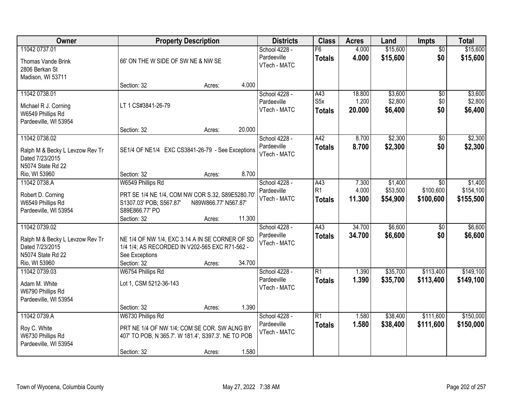| Owner                                                                                                     | <b>Property Description</b>                                                                                                                       |                      |                  | <b>Districts</b>                             | <b>Class</b>                      | <b>Acres</b>              | Land                            | Impts                                | <b>Total</b>                      |
|-----------------------------------------------------------------------------------------------------------|---------------------------------------------------------------------------------------------------------------------------------------------------|----------------------|------------------|----------------------------------------------|-----------------------------------|---------------------------|---------------------------------|--------------------------------------|-----------------------------------|
| 11042 0737.01<br>Thomas Vande Brink<br>2806 Berkan St<br>Madison, WI 53711                                | 66' ON THE W SIDE OF SW NE & NW SE                                                                                                                |                      |                  | School 4228 -<br>Pardeeville<br>VTech - MATC | F6<br><b>Totals</b>               | 4.000<br>4.000            | \$15,600<br>\$15,600            | $\overline{50}$<br>\$0               | \$15,600<br>\$15,600              |
|                                                                                                           | Section: 32                                                                                                                                       | Acres:               | 4.000            |                                              |                                   |                           |                                 |                                      |                                   |
| 11042 0738.01<br>Michael R J. Corning<br>W6549 Phillips Rd<br>Pardeeville, WI 53954                       | LT 1 CS#3841-26-79                                                                                                                                |                      |                  | School 4228 -<br>Pardeeville<br>VTech - MATC | A43<br>S5x<br><b>Totals</b>       | 18.800<br>1.200<br>20.000 | \$3,600<br>\$2,800<br>\$6,400   | $\overline{50}$<br>\$0<br>\$0        | \$3,600<br>\$2,800<br>\$6,400     |
|                                                                                                           | Section: 32                                                                                                                                       | Acres:               | 20.000           |                                              |                                   |                           |                                 |                                      |                                   |
| 11042 0738.02<br>Ralph M & Becky L Levzow Rev Tr<br>Dated 7/23/2015<br>N5074 State Rd 22                  | SE1/4 OF NE1/4 EXC CS3841-26-79 - See Exceptions                                                                                                  |                      |                  | School 4228 -<br>Pardeeville<br>VTech - MATC | A42<br><b>Totals</b>              | 8.700<br>8.700            | \$2,300<br>\$2,300              | $\overline{50}$<br>\$0               | \$2,300<br>\$2,300                |
| Rio, WI 53960                                                                                             | Section: 32                                                                                                                                       | Acres:               | 8.700            |                                              |                                   |                           |                                 |                                      |                                   |
| 11042 0738.A<br>Robert D. Corning<br>W6549 Phillips Rd<br>Pardeeville, WI 53954                           | W6549 Phillips Rd<br>PRT SE 1/4 NE 1/4, COM NW COR S.32, S89E5280.70'<br>S1307.03' POB; S567.87'<br>S89E866.77' PO                                | N89W866.77' N567.87' |                  | School 4228 -<br>Pardeeville<br>VTech - MATC | A43<br>R1<br><b>Totals</b>        | 7.300<br>4.000<br>11.300  | \$1,400<br>\$53,500<br>\$54,900 | $\sqrt{6}$<br>\$100,600<br>\$100,600 | \$1,400<br>\$154,100<br>\$155,500 |
| 11042 0739.02<br>Ralph M & Becky L Levzow Rev Tr<br>Dated 7/23/2015<br>N5074 State Rd 22<br>Rio, WI 53960 | Section: 32<br>NE 1/4 OF NW 1/4, EXC 3.14 A IN SE CORNER OF SD<br>1/4 1/4; AS RECORDED IN V202-565 EXC R71-562 -<br>See Exceptions<br>Section: 32 | Acres:<br>Acres:     | 11.300<br>34.700 | School 4228 -<br>Pardeeville<br>VTech - MATC | $\overline{A43}$<br><b>Totals</b> | 34.700<br>34.700          | \$6,600<br>\$6,600              | $\overline{50}$<br>\$0               | \$6,600<br>\$6,600                |
| 11042 0739.03<br>Adam M. White<br>W6790 Phillips Rd<br>Pardeeville, WI 53954                              | W6754 Phillips Rd<br>Lot 1, CSM 5212-36-143<br>Section: 32                                                                                        | Acres:               | 1.390            | School 4228 -<br>Pardeeville<br>VTech - MATC | $\overline{R1}$<br><b>Totals</b>  | 1.390<br>1.390            | \$35,700<br>\$35,700            | \$113,400<br>\$113,400               | \$149,100<br>\$149,100            |
| 11042 0739.A<br>Roy C. White<br>W6730 Phillips Rd<br>Pardeeville, WI 53954                                | W6730 Phillips Rd<br>PRT NE 1/4 OF NW 1/4; COM SE COR. SW ALNG BY<br>407' TO POB, N 365.7'. W 181.4', S397.3'. NE TO POB<br>Section: 32           | Acres:               | 1.580            | School 4228 -<br>Pardeeville<br>VTech - MATC | $\overline{R1}$<br><b>Totals</b>  | 1.580<br>1.580            | \$38,400<br>\$38,400            | \$111,600<br>\$111,600               | \$150,000<br>\$150,000            |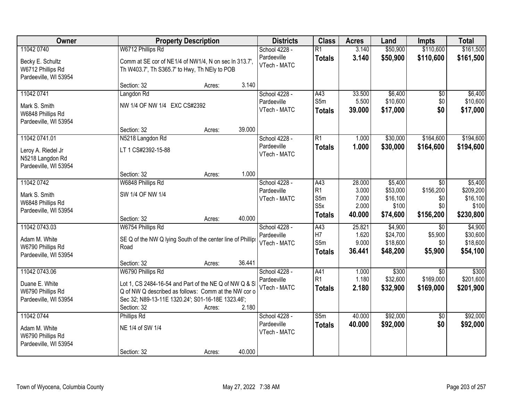| Owner                                                           |                                                                                                                                                                                   | <b>Property Description</b> |        | <b>Districts</b>            | <b>Class</b>                              | <b>Acres</b>            | Land                          | <b>Impts</b>            | <b>Total</b>                   |
|-----------------------------------------------------------------|-----------------------------------------------------------------------------------------------------------------------------------------------------------------------------------|-----------------------------|--------|-----------------------------|-------------------------------------------|-------------------------|-------------------------------|-------------------------|--------------------------------|
| 11042 0740                                                      | W6712 Phillips Rd                                                                                                                                                                 |                             |        | School 4228 -               | $\overline{R1}$                           | 3.140                   | \$50,900                      | \$110,600               | \$161,500                      |
| Becky E. Schultz<br>W6712 Phillips Rd<br>Pardeeville, WI 53954  | Comm at SE cor of NE1/4 of NW1/4, N on sec In 313.7',<br>Th W403.7', Th S365.7' to Hwy, Th NEly to POB                                                                            |                             |        | Pardeeville<br>VTech - MATC | <b>Totals</b>                             | 3.140                   | \$50,900                      | \$110,600               | \$161,500                      |
|                                                                 | Section: 32                                                                                                                                                                       | Acres:                      | 3.140  |                             |                                           |                         |                               |                         |                                |
| 11042 0741                                                      | Langdon Rd                                                                                                                                                                        |                             |        | School 4228 -               | A43                                       | 33.500                  | \$6,400                       | \$0                     | \$6,400                        |
| Mark S. Smith<br>W6848 Phillips Rd<br>Pardeeville, WI 53954     | NW 1/4 OF NW 1/4 EXC CS#2392                                                                                                                                                      |                             |        | Pardeeville<br>VTech - MATC | S5m<br><b>Totals</b>                      | 5.500<br>39.000         | \$10,600<br>\$17,000          | \$0<br>\$0              | \$10,600<br>\$17,000           |
|                                                                 | Section: 32                                                                                                                                                                       | Acres:                      | 39.000 |                             |                                           |                         |                               |                         |                                |
| 11042 0741.01                                                   | N5218 Langdon Rd                                                                                                                                                                  |                             |        | School 4228 -               | $\overline{R1}$                           | 1.000                   | \$30,000                      | \$164,600               | \$194,600                      |
| Leroy A. Riedel Jr<br>N5218 Langdon Rd<br>Pardeeville, WI 53954 | LT 1 CS#2392-15-88                                                                                                                                                                |                             |        | Pardeeville<br>VTech - MATC | <b>Totals</b>                             | 1.000                   | \$30,000                      | \$164,600               | \$194,600                      |
|                                                                 | Section: 32                                                                                                                                                                       | Acres:                      | 1.000  |                             |                                           |                         |                               |                         |                                |
| 11042 0742                                                      | W6848 Phillips Rd                                                                                                                                                                 |                             |        | School 4228 -               | A43                                       | 28.000                  | \$5,400                       | $\overline{30}$         | \$5,400                        |
| Mark S. Smith<br>W6848 Phillips Rd<br>Pardeeville, WI 53954     | SW 1/4 OF NW 1/4                                                                                                                                                                  |                             |        | Pardeeville<br>VTech - MATC | R <sub>1</sub><br>S5m<br>S <sub>5</sub> x | 3.000<br>7.000<br>2.000 | \$53,000<br>\$16,100<br>\$100 | \$156,200<br>\$0<br>\$0 | \$209,200<br>\$16,100<br>\$100 |
|                                                                 | Section: 32                                                                                                                                                                       | Acres:                      | 40.000 |                             | <b>Totals</b>                             | 40.000                  | \$74,600                      | \$156,200               | \$230,800                      |
| 11042 0743.03                                                   | W6754 Phillips Rd                                                                                                                                                                 |                             |        | School 4228 -               | A43                                       | 25.821                  | \$4,900                       | $\overline{50}$         | \$4,900                        |
| Adam M. White                                                   | SE Q of the NW Q lying South of the center line of Phillips                                                                                                                       |                             |        | Pardeeville                 | H7                                        | 1.620                   | \$24,700                      | \$5,900                 | \$30,600                       |
| W6790 Phillips Rd                                               | Road                                                                                                                                                                              |                             |        | VTech - MATC                | S5m                                       | 9.000                   | \$18,600                      | \$0                     | \$18,600                       |
| Pardeeville, WI 53954                                           |                                                                                                                                                                                   |                             |        |                             | <b>Totals</b>                             | 36.441                  | \$48,200                      | \$5,900                 | \$54,100                       |
|                                                                 | Section: 32                                                                                                                                                                       | Acres:                      | 36.441 |                             |                                           |                         |                               |                         |                                |
| 11042 0743.06                                                   | W6790 Phillips Rd                                                                                                                                                                 |                             |        | School 4228 -               | A41                                       | 1.000                   | \$300                         | $\overline{30}$         | \$300                          |
| Duane E. White<br>W6790 Phillips Rd<br>Pardeeville, WI 53954    | Lot 1, CS 2484-16-54 and Part of the NE Q of NW Q & S<br>Q of NW Q described as follows: Comm at the NW cor o<br>Sec 32; N89-13-11E 1320.24'; S01-16-18E 1323.46';<br>Section: 32 | Acres:                      | 2.180  | Pardeeville<br>VTech - MATC | R <sub>1</sub><br><b>Totals</b>           | 1.180<br>2.180          | \$32,600<br>\$32,900          | \$169,000<br>\$169,000  | \$201,600<br>\$201,900         |
| 11042 0744                                                      | Phillips Rd                                                                                                                                                                       |                             |        | School 4228 -               | S5m                                       | 40.000                  | \$92,000                      | $\overline{50}$         | \$92,000                       |
| Adam M. White<br>W6790 Phillips Rd<br>Pardeeville, WI 53954     | NE 1/4 of SW 1/4                                                                                                                                                                  |                             |        | Pardeeville<br>VTech - MATC | <b>Totals</b>                             | 40.000                  | \$92,000                      | \$0                     | \$92,000                       |
|                                                                 | Section: 32                                                                                                                                                                       | Acres:                      | 40.000 |                             |                                           |                         |                               |                         |                                |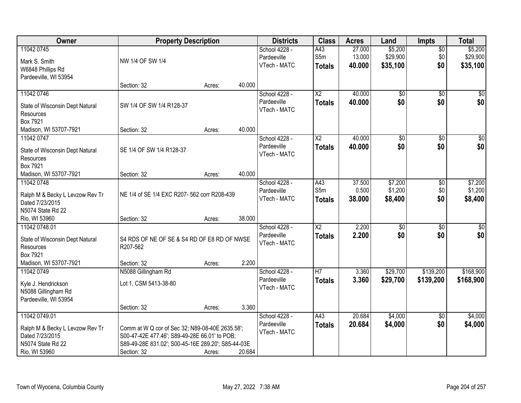| Owner                                      | <b>Property Description</b>                        |        |        | <b>Districts</b> | <b>Class</b>           | <b>Acres</b> | Land            | <b>Impts</b>    | <b>Total</b>     |
|--------------------------------------------|----------------------------------------------------|--------|--------|------------------|------------------------|--------------|-----------------|-----------------|------------------|
| 11042 0745                                 |                                                    |        |        | School 4228 -    | A43                    | 27.000       | \$5,200         | $\sqrt{6}$      | \$5,200          |
| Mark S. Smith                              | NW 1/4 OF SW 1/4                                   |        |        | Pardeeville      | S5m                    | 13.000       | \$29,900        | \$0             | \$29,900         |
| W6848 Phillips Rd                          |                                                    |        |        | VTech - MATC     | <b>Totals</b>          | 40.000       | \$35,100        | \$0             | \$35,100         |
| Pardeeville, WI 53954                      |                                                    |        |        |                  |                        |              |                 |                 |                  |
|                                            | Section: 32                                        | Acres: | 40.000 |                  |                        |              |                 |                 |                  |
| 11042 0746                                 |                                                    |        |        | School 4228 -    | $\overline{X2}$        | 40.000       | \$0             | $\overline{50}$ | \$0              |
|                                            | SW 1/4 OF SW 1/4 R128-37                           |        |        | Pardeeville      | <b>Totals</b>          | 40.000       | \$0             | \$0             | \$0              |
| State of Wisconsin Dept Natural            |                                                    |        |        | VTech - MATC     |                        |              |                 |                 |                  |
| Resources<br>Box 7921                      |                                                    |        |        |                  |                        |              |                 |                 |                  |
| Madison, WI 53707-7921                     | Section: 32                                        | Acres: | 40.000 |                  |                        |              |                 |                 |                  |
| 11042 0747                                 |                                                    |        |        | School 4228 -    | X2                     | 40.000       | \$0             | \$0             | $\overline{\$0}$ |
|                                            |                                                    |        |        | Pardeeville      | <b>Totals</b>          | 40.000       | \$0             | \$0             | \$0              |
| State of Wisconsin Dept Natural            | SE 1/4 OF SW 1/4 R128-37                           |        |        | VTech - MATC     |                        |              |                 |                 |                  |
| Resources                                  |                                                    |        |        |                  |                        |              |                 |                 |                  |
| Box 7921                                   |                                                    |        |        |                  |                        |              |                 |                 |                  |
| Madison, WI 53707-7921                     | Section: 32                                        | Acres: | 40.000 |                  |                        |              |                 |                 |                  |
| 11042 0748                                 |                                                    |        |        | School 4228 -    | A43                    | 37.500       | \$7,200         | \$0             | \$7,200          |
| Ralph M & Becky L Levzow Rev Tr            | NE 1/4 of SE 1/4 EXC R207-562 corr R208-439        |        |        | Pardeeville      | S5m                    | 0.500        | \$1,200         | \$0             | \$1,200          |
| Dated 7/23/2015                            |                                                    |        |        | VTech - MATC     | <b>Totals</b>          | 38.000       | \$8,400         | \$0             | \$8,400          |
| N5074 State Rd 22                          |                                                    |        |        |                  |                        |              |                 |                 |                  |
| Rio, WI 53960                              | Section: 32                                        | Acres: | 38.000 |                  |                        |              |                 |                 |                  |
| 11042 0748.01                              |                                                    |        |        | School 4228 -    | $\overline{\text{X2}}$ | 2.200        | $\overline{50}$ | $\overline{30}$ | \$0              |
| State of Wisconsin Dept Natural            | S4 RDS OF NE OF SE & S4 RD OF E8 RD OF NWSE        |        |        | Pardeeville      | <b>Totals</b>          | 2.200        | \$0             | \$0             | \$0              |
| Resources                                  | R207-562                                           |        |        | VTech - MATC     |                        |              |                 |                 |                  |
| Box 7921                                   |                                                    |        |        |                  |                        |              |                 |                 |                  |
| Madison, WI 53707-7921                     | Section: 32                                        | Acres: | 2.200  |                  |                        |              |                 |                 |                  |
| 11042 0749                                 | N5088 Gillingham Rd                                |        |        | School 4228 -    | $\overline{H}$         | 3.360        | \$29,700        | \$139,200       | \$168,900        |
|                                            |                                                    |        |        | Pardeeville      | <b>Totals</b>          | 3.360        | \$29,700        | \$139,200       | \$168,900        |
| Kyle J. Hendrickson<br>N5088 Gillingham Rd | Lot 1, CSM 5413-38-80                              |        |        | VTech - MATC     |                        |              |                 |                 |                  |
| Pardeeville, WI 53954                      |                                                    |        |        |                  |                        |              |                 |                 |                  |
|                                            | Section: 32                                        | Acres: | 3.360  |                  |                        |              |                 |                 |                  |
| 11042 0749.01                              |                                                    |        |        | School 4228 -    | A43                    | 20.684       | \$4,000         | $\overline{30}$ | \$4,000          |
|                                            |                                                    |        |        | Pardeeville      | <b>Totals</b>          | 20.684       | \$4,000         | \$0             | \$4,000          |
| Ralph M & Becky L Levzow Rev Tr            | Comm at W Q cor of Sec 32; N89-08-40E 2635.58';    |        |        | VTech - MATC     |                        |              |                 |                 |                  |
| Dated 7/23/2015                            | S00-47-42E 477.46'; S89-49-28E 66.01' to POB;      |        |        |                  |                        |              |                 |                 |                  |
| N5074 State Rd 22                          | S89-49-28E 831.02'; S00-45-16E 289.20'; S85-44-03E |        |        |                  |                        |              |                 |                 |                  |
| Rio, WI 53960                              | Section: 32                                        | Acres: | 20.684 |                  |                        |              |                 |                 |                  |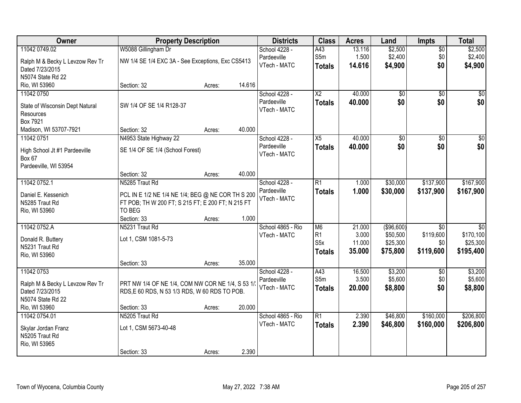| Owner                           |                                                   | <b>Property Description</b> |        | <b>Districts</b>            | <b>Class</b>           | <b>Acres</b> | Land            | <b>Impts</b>    | <b>Total</b>    |
|---------------------------------|---------------------------------------------------|-----------------------------|--------|-----------------------------|------------------------|--------------|-----------------|-----------------|-----------------|
| 11042 0749.02                   | W5088 Gillingham Dr                               |                             |        | School 4228 -               | A43                    | 13.116       | \$2,500         | $\overline{30}$ | \$2,500         |
| Ralph M & Becky L Levzow Rev Tr | NW 1/4 SE 1/4 EXC 3A - See Exceptions, Exc CS5413 |                             |        | Pardeeville                 | S5m                    | 1.500        | \$2,400         | \$0             | \$2,400         |
| Dated 7/23/2015                 |                                                   |                             |        | VTech - MATC                | <b>Totals</b>          | 14.616       | \$4,900         | \$0             | \$4,900         |
| N5074 State Rd 22               |                                                   |                             |        |                             |                        |              |                 |                 |                 |
| Rio, WI 53960                   | Section: 32                                       | Acres:                      | 14.616 |                             |                        |              |                 |                 |                 |
| 11042 0750                      |                                                   |                             |        | School 4228 -               | $\overline{\text{X2}}$ | 40.000       | $\overline{50}$ | $\overline{50}$ | $\sqrt{50}$     |
|                                 |                                                   |                             |        | Pardeeville                 | <b>Totals</b>          | 40.000       | \$0             | \$0             | \$0             |
| State of Wisconsin Dept Natural | SW 1/4 OF SE 1/4 R128-37                          |                             |        | VTech - MATC                |                        |              |                 |                 |                 |
| Resources                       |                                                   |                             |        |                             |                        |              |                 |                 |                 |
| <b>Box 7921</b>                 |                                                   |                             |        |                             |                        |              |                 |                 |                 |
| Madison, WI 53707-7921          | Section: 32                                       | Acres:                      | 40.000 |                             |                        |              |                 |                 |                 |
| 11042 0751                      | N4953 State Highway 22                            |                             |        | School 4228 -               | $\overline{X5}$        | 40.000       | \$0             | \$0             | $\overline{30}$ |
| High School Jt #1 Pardeeville   | SE 1/4 OF SE 1/4 (School Forest)                  |                             |        | Pardeeville<br>VTech - MATC | <b>Totals</b>          | 40.000       | \$0             | \$0             | \$0             |
| <b>Box 67</b>                   |                                                   |                             |        |                             |                        |              |                 |                 |                 |
| Pardeeville, WI 53954           |                                                   |                             |        |                             |                        |              |                 |                 |                 |
|                                 | Section: 32                                       | Acres:                      | 40.000 |                             |                        |              |                 |                 |                 |
| 11042 0752.1                    | N5285 Traut Rd                                    |                             |        | School 4228 -               | $\overline{R1}$        | 1.000        | \$30,000        | \$137,900       | \$167,900       |
| Daniel E. Kessenich             | PCL IN E 1/2 NE 1/4 NE 1/4; BEG @ NE COR TH S 200 |                             |        | Pardeeville                 | <b>Totals</b>          | 1.000        | \$30,000        | \$137,900       | \$167,900       |
| N5285 Traut Rd                  | FT POB; TH W 200 FT; S 215 FT; E 200 FT; N 215 FT |                             |        | VTech - MATC                |                        |              |                 |                 |                 |
| Rio, WI 53960                   | TO BEG                                            |                             |        |                             |                        |              |                 |                 |                 |
|                                 | Section: 33                                       | Acres:                      | 1.000  |                             |                        |              |                 |                 |                 |
| 11042 0752.A                    | N5231 Traut Rd                                    |                             |        | School 4865 - Rio           | M <sub>6</sub>         | 21.000       | (\$96,600)      | $\overline{50}$ | $\overline{50}$ |
|                                 |                                                   |                             |        | VTech - MATC                | R1                     | 3.000        | \$50,500        | \$119,600       | \$170,100       |
| Donald R. Buttery               | Lot 1, CSM 1081-5-73                              |                             |        |                             | S5x                    | 11.000       | \$25,300        | \$0             | \$25,300        |
| N5231 Traut Rd                  |                                                   |                             |        |                             | <b>Totals</b>          | 35.000       | \$75,800        | \$119,600       | \$195,400       |
| Rio, WI 53960                   |                                                   |                             |        |                             |                        |              |                 |                 |                 |
|                                 | Section: 33                                       | Acres:                      | 35.000 |                             |                        |              |                 |                 |                 |
| 11042 0753                      |                                                   |                             |        | School 4228 -               | A43                    | 16.500       | \$3,200         | \$0             | \$3,200         |
| Ralph M & Becky L Levzow Rev Tr | PRT NW 1/4 OF NE 1/4, COM NW COR NE 1/4, S 53 1/  |                             |        | Pardeeville                 | S5m                    | 3.500        | \$5,600         | \$0             | \$5,600         |
| Dated 7/23/2015                 | RDS, E 60 RDS, N 53 1/3 RDS, W 60 RDS TO POB.     |                             |        | VTech - MATC                | <b>Totals</b>          | 20.000       | \$8,800         | \$0             | \$8,800         |
| N5074 State Rd 22               |                                                   |                             |        |                             |                        |              |                 |                 |                 |
| Rio, WI 53960                   | Section: 33                                       | Acres:                      | 20.000 |                             |                        |              |                 |                 |                 |
| 11042 0754.01                   | N5205 Traut Rd                                    |                             |        | School 4865 - Rio           | R1                     | 2.390        | \$46,800        | \$160,000       | \$206,800       |
| Skylar Jordan Franz             | Lot 1, CSM 5673-40-48                             |                             |        | VTech - MATC                | <b>Totals</b>          | 2.390        | \$46,800        | \$160,000       | \$206,800       |
| N5205 Traut Rd                  |                                                   |                             |        |                             |                        |              |                 |                 |                 |
| Rio, WI 53965                   |                                                   |                             |        |                             |                        |              |                 |                 |                 |
|                                 | Section: 33                                       | Acres:                      | 2.390  |                             |                        |              |                 |                 |                 |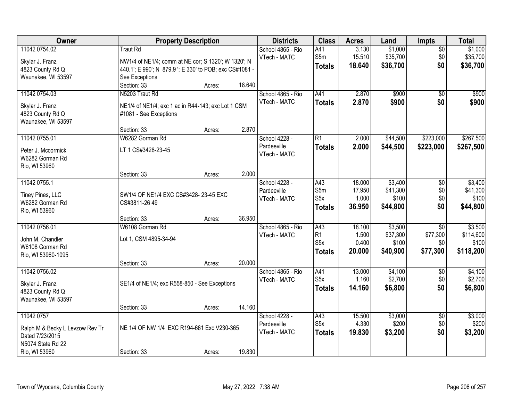| Owner                                                                                                  | <b>Property Description</b>                                                                                                                         |                  |                | <b>Districts</b>                             | <b>Class</b>                                               | <b>Acres</b>                        | Land                                     | <b>Impts</b>                                   | <b>Total</b>                               |
|--------------------------------------------------------------------------------------------------------|-----------------------------------------------------------------------------------------------------------------------------------------------------|------------------|----------------|----------------------------------------------|------------------------------------------------------------|-------------------------------------|------------------------------------------|------------------------------------------------|--------------------------------------------|
| 11042 0754.02<br>Skylar J. Franz<br>4823 County Rd Q<br>Waunakee, WI 53597                             | <b>Traut Rd</b><br>NW1/4 of NE1/4; comm at NE cor; S 1320'; W 1320'; N<br>440.1'; E 990'; N 879.9 '; E 330' to POB; exc CS#1081 -<br>See Exceptions |                  |                | School 4865 - Rio<br>VTech - MATC            | A41<br>S5m<br><b>Totals</b>                                | 3.130<br>15.510<br>18.640           | \$1,000<br>\$35,700<br>\$36,700          | $\overline{50}$<br>\$0<br>\$0                  | \$1,000<br>\$35,700<br>\$36,700            |
| 11042 0754.03<br>Skylar J. Franz<br>4823 County Rd Q<br>Waunakee, WI 53597                             | Section: 33<br>N5203 Traut Rd<br>NE1/4 of NE1/4; exc 1 ac in R44-143; exc Lot 1 CSM<br>#1081 - See Exceptions                                       | Acres:           | 18.640         | School 4865 - Rio<br>VTech - MATC            | A41<br><b>Totals</b>                                       | 2.870<br>2.870                      | \$900<br>\$900                           | $\overline{50}$<br>\$0                         | \$900<br>\$900                             |
| 11042 0755.01<br>Peter J. Mccormick<br>W6282 Gorman Rd<br>Rio, WI 53960                                | Section: 33<br>W6282 Gorman Rd<br>LT 1 CS#3428-23-45                                                                                                | Acres:           | 2.870<br>2.000 | School 4228 -<br>Pardeeville<br>VTech - MATC | $\overline{R1}$<br><b>Totals</b>                           | 2.000<br>2.000                      | \$44,500<br>\$44,500                     | \$223,000<br>\$223,000                         | \$267,500<br>\$267,500                     |
| 11042 0755.1<br>Tiney Pines, LLC<br>W6282 Gorman Rd<br>Rio, WI 53960                                   | Section: 33<br>SW1/4 OF NE1/4 EXC CS#3428-23-45 EXC<br>CS#3811-26 49<br>Section: 33                                                                 | Acres:<br>Acres: | 36.950         | School 4228 -<br>Pardeeville<br>VTech - MATC | A43<br>S5m<br>S <sub>5</sub> x<br><b>Totals</b>            | 18.000<br>17.950<br>1.000<br>36.950 | \$3,400<br>\$41,300<br>\$100<br>\$44,800 | \$0<br>\$0<br>\$0<br>\$0                       | \$3,400<br>\$41,300<br>\$100<br>\$44,800   |
| 11042 0756.01<br>John M. Chandler<br>W6108 Gorman Rd<br>Rio, WI 53960-1095                             | W6108 Gorman Rd<br>Lot 1, CSM 4895-34-94<br>Section: 33                                                                                             | Acres:           | 20.000         | School 4865 - Rio<br>VTech - MATC            | A43<br>R <sub>1</sub><br>S <sub>5</sub> x<br><b>Totals</b> | 18.100<br>1.500<br>0.400<br>20.000  | \$3,500<br>\$37,300<br>\$100<br>\$40,900 | $\overline{50}$<br>\$77,300<br>\$0<br>\$77,300 | \$3,500<br>\$114,600<br>\$100<br>\$118,200 |
| 11042 0756.02<br>Skylar J. Franz<br>4823 County Rd Q<br>Waunakee, WI 53597                             | SE1/4 of NE1/4; exc R558-850 - See Exceptions<br>Section: 33                                                                                        | Acres:           | 14.160         | School 4865 - Rio<br>VTech - MATC            | A41<br>S <sub>5</sub> x<br><b>Totals</b>                   | 13.000<br>1.160<br>14.160           | \$4,100<br>\$2,700<br>\$6,800            | $\overline{50}$<br>\$0<br>\$0                  | \$4,100<br>\$2,700<br>\$6,800              |
| 11042 0757<br>Ralph M & Becky L Levzow Rev Tr<br>Dated 7/23/2015<br>N5074 State Rd 22<br>Rio, WI 53960 | NE 1/4 OF NW 1/4 EXC R194-661 Exc V230-365<br>Section: 33                                                                                           | Acres:           | 19.830         | School 4228 -<br>Pardeeville<br>VTech - MATC | A43<br>S <sub>5</sub> x<br><b>Totals</b>                   | 15.500<br>4.330<br>19.830           | \$3,000<br>\$200<br>\$3,200              | $\overline{50}$<br>\$0<br>\$0                  | \$3,000<br>\$200<br>\$3,200                |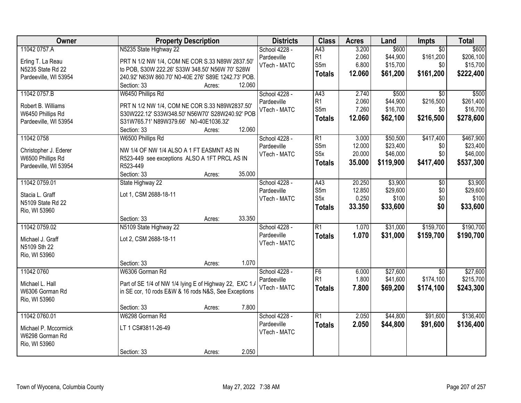| Owner                                      | <b>Property Description</b>                             | <b>Districts</b>             | <b>Class</b>     | <b>Acres</b> | Land      | <b>Impts</b>    | <b>Total</b> |
|--------------------------------------------|---------------------------------------------------------|------------------------------|------------------|--------------|-----------|-----------------|--------------|
| 11042 0757.A                               | N5235 State Highway 22                                  | School 4228 -                | A43              | 3.200        | \$600     | $\overline{50}$ | \$600        |
| Erling T. La Reau                          | PRT N 1/2 NW 1/4, COM NE COR S.33 N89W 2837.50'         | Pardeeville                  | R <sub>1</sub>   | 2.060        | \$44,900  | \$161,200       | \$206,100    |
| N5235 State Rd 22                          | to POB, S30W 222.26' S33W 348.50' N56W 70' S28W         | VTech - MATC                 | S5m              | 6.800        | \$15,700  | \$0             | \$15,700     |
| Pardeeville, WI 53954                      | 240.92' N63W 860.70' N0-40E 276' S89E 1242.73' POB.     |                              | <b>Totals</b>    | 12.060       | \$61,200  | \$161,200       | \$222,400    |
|                                            | 12.060<br>Section: 33<br>Acres:                         |                              |                  |              |           |                 |              |
| 11042 0757.B                               | W6450 Phillips Rd                                       | School 4228 -                | A43              | 2.740        | \$500     | $\overline{50}$ | \$500        |
| Robert B. Williams                         | PRT N 1/2 NW 1/4, COM NE COR S.33 N89W2837.50'          | Pardeeville                  | R <sub>1</sub>   | 2.060        | \$44,900  | \$216,500       | \$261,400    |
| W6450 Phillips Rd                          | S30W222.12' S33W348.50' N56W70' S28W240.92' POB         | VTech - MATC                 | S5m              | 7.260        | \$16,700  | \$0             | \$16,700     |
| Pardeeville, WI 53954                      | S31W765.71' N89W379.66' N0-40E1036.32'                  |                              | <b>Totals</b>    | 12.060       | \$62,100  | \$216,500       | \$278,600    |
|                                            | 12.060<br>Section: 33<br>Acres:                         |                              |                  |              |           |                 |              |
| 11042 0758                                 | W6500 Phillips Rd                                       | School 4228 -                | R1               | 3.000        | \$50,500  | \$417,400       | \$467,900    |
|                                            | NW 1/4 OF NW 1/4 ALSO A 1 FT EASMNT AS IN               | Pardeeville                  | S5m              | 12.000       | \$23,400  | \$0             | \$23,400     |
| Christopher J. Ederer<br>W6500 Phillips Rd | R523-449 see exceptions ALSO A 1FT PRCL AS IN           | VTech - MATC                 | S <sub>5</sub> x | 20.000       | \$46,000  | \$0             | \$46,000     |
| Pardeeville, WI 53954                      | R523-449                                                |                              | <b>Totals</b>    | 35.000       | \$119,900 | \$417,400       | \$537,300    |
|                                            | Section: 33<br>35.000<br>Acres:                         |                              |                  |              |           |                 |              |
| 11042 0759.01                              | State Highway 22                                        | School 4228 -                | A43              | 20.250       | \$3,900   | $\sqrt[6]{}$    | \$3,900      |
|                                            |                                                         | Pardeeville                  | S5m              | 12.850       | \$29,600  | \$0             | \$29,600     |
| Stacia L. Graff                            | Lot 1, CSM 2688-18-11                                   | VTech - MATC                 | S <sub>5</sub> x | 0.250        | \$100     | \$0             | \$100        |
| N5109 State Rd 22                          |                                                         |                              | <b>Totals</b>    | 33.350       | \$33,600  | \$0             | \$33,600     |
| Rio, WI 53960                              | 33.350<br>Section: 33                                   |                              |                  |              |           |                 |              |
| 11042 0759.02                              | Acres:<br>N5109 State Highway 22                        |                              | $\overline{R1}$  | 1.070        | \$31,000  | \$159,700       | \$190,700    |
|                                            |                                                         | School 4228 -<br>Pardeeville |                  |              |           |                 |              |
| Michael J. Graff                           | Lot 2, CSM 2688-18-11                                   | VTech - MATC                 | <b>Totals</b>    | 1.070        | \$31,000  | \$159,700       | \$190,700    |
| N5109 Sth 22                               |                                                         |                              |                  |              |           |                 |              |
| Rio, WI 53960                              |                                                         |                              |                  |              |           |                 |              |
|                                            | 1.070<br>Section: 33<br>Acres:                          |                              |                  |              |           |                 |              |
| 11042 0760                                 | W6306 Gorman Rd                                         | School 4228 -                | F6               | 6.000        | \$27,600  | $\overline{50}$ | \$27,600     |
| Michael L. Hall                            | Part of SE 1/4 of NW 1/4 lying E of Highway 22, EXC 1./ | Pardeeville                  | R1               | 1.800        | \$41,600  | \$174,100       | \$215,700    |
| W6306 Gorman Rd                            | in SE cor, 10 rods E&W & 16 rods N&S, See Exceptions    | VTech - MATC                 | <b>Totals</b>    | 7.800        | \$69,200  | \$174,100       | \$243,300    |
| Rio, WI 53960                              |                                                         |                              |                  |              |           |                 |              |
|                                            | Section: 33<br>7.800<br>Acres:                          |                              |                  |              |           |                 |              |
| 11042 0760.01                              | W6298 Gorman Rd                                         | School 4228 -                | $\overline{R1}$  | 2.050        | \$44,800  | \$91,600        | \$136,400    |
| Michael P. Mccormick                       | LT 1 CS#3811-26-49                                      | Pardeeville                  | <b>Totals</b>    | 2.050        | \$44,800  | \$91,600        | \$136,400    |
| W6298 Gorman Rd                            |                                                         | VTech - MATC                 |                  |              |           |                 |              |
| Rio, WI 53960                              |                                                         |                              |                  |              |           |                 |              |
|                                            | 2.050<br>Section: 33<br>Acres:                          |                              |                  |              |           |                 |              |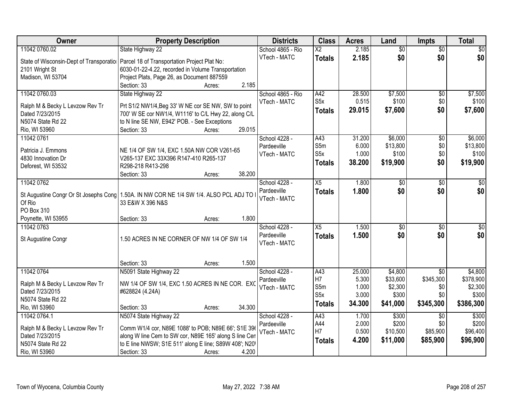| Owner                                    | <b>Property Description</b>                                     | <b>Districts</b>            | <b>Class</b>           | <b>Acres</b> | Land            | <b>Impts</b>    | <b>Total</b>    |
|------------------------------------------|-----------------------------------------------------------------|-----------------------------|------------------------|--------------|-----------------|-----------------|-----------------|
| 11042 0760.02                            | State Highway 22                                                | School 4865 - Rio           | $\overline{\text{X2}}$ | 2.185        | $\overline{50}$ | $\overline{50}$ | \$0             |
| State of Wisconsin-Dept of Transporation | Parcel 18 of Transportation Project Plat No:                    | VTech - MATC                | <b>Totals</b>          | 2.185        | \$0             | \$0             | \$0             |
| 2101 Wright St                           | 6030-01-22-4.22, recorded in Volume Transportation              |                             |                        |              |                 |                 |                 |
| Madison, WI 53704                        | Project Plats, Page 26, as Document 887559                      |                             |                        |              |                 |                 |                 |
|                                          | 2.185<br>Section: 33<br>Acres:                                  |                             |                        |              |                 |                 |                 |
| 11042 0760.03                            | State Highway 22                                                | School 4865 - Rio           | A42                    | 28.500       | \$7,500         | $\overline{50}$ | \$7,500         |
| Ralph M & Becky L Levzow Rev Tr          | Prt S1/2 NW1/4, Beg 33' W NE cor SE NW, SW to point             | VTech - MATC                | S <sub>5</sub> x       | 0.515        | \$100           | \$0             | \$100           |
| Dated 7/23/2015                          | 700' W SE cor NW1/4, W1116' to C/L Hwy 22, along C/L            |                             | <b>Totals</b>          | 29.015       | \$7,600         | \$0             | \$7,600         |
| N5074 State Rd 22                        | to N line SE NW, E942' POB. - See Exceptions                    |                             |                        |              |                 |                 |                 |
| Rio, WI 53960                            | 29.015<br>Section: 33<br>Acres:                                 |                             |                        |              |                 |                 |                 |
| 11042 0761                               |                                                                 | School 4228 -               | A43                    | 31.200       | \$6,000         | \$0             | \$6,000         |
|                                          |                                                                 | Pardeeville                 | S5m                    | 6.000        | \$13,800        | \$0             | \$13,800        |
| Patricia J. Emmons                       | NE 1/4 OF SW 1/4, EXC 1.50A NW COR V261-65                      | VTech - MATC                | S5x                    | 1.000        | \$100           | \$0             | \$100           |
| 4830 Innovation Dr                       | V265-137 EXC 33X396 R147-410 R265-137                           |                             | <b>Totals</b>          | 38.200       | \$19,900        | \$0             | \$19,900        |
| Deforest, WI 53532                       | R298-218 R413-298<br>38.200                                     |                             |                        |              |                 |                 |                 |
| 11042 0762                               | Section: 33<br>Acres:                                           |                             |                        | 1.800        |                 |                 |                 |
|                                          |                                                                 | School 4228 -               | X5                     |              | \$0             | \$0             | $\sqrt{50}$     |
| St Augustine Congr Or St Josephs Cong    | 1.50A. IN NW COR NE 1/4 SW 1/4. ALSO PCL ADJ TO                 | Pardeeville<br>VTech - MATC | <b>Totals</b>          | 1.800        | \$0             | \$0             | \$0             |
| Of Rio                                   | 33 E&W X 396 N&S                                                |                             |                        |              |                 |                 |                 |
| PO Box 310                               |                                                                 |                             |                        |              |                 |                 |                 |
| Poynette, WI 53955                       | 1.800<br>Section: 33<br>Acres:                                  |                             |                        |              |                 |                 |                 |
| 11042 0763                               |                                                                 | School 4228 -               | $\overline{X5}$        | 1.500        | $\overline{50}$ | \$0             | $\overline{50}$ |
| St Augustine Congr                       | 1.50 ACRES IN NE CORNER OF NW 1/4 OF SW 1/4                     | Pardeeville                 | <b>Totals</b>          | 1.500        | \$0             | \$0             | \$0             |
|                                          |                                                                 | VTech - MATC                |                        |              |                 |                 |                 |
|                                          |                                                                 |                             |                        |              |                 |                 |                 |
|                                          | 1.500<br>Section: 33<br>Acres:                                  |                             |                        |              |                 |                 |                 |
| 11042 0764                               | N5091 State Highway 22                                          | School 4228 -               | A43                    | 25.000       | \$4,800         | $\overline{50}$ | \$4,800         |
| Ralph M & Becky L Levzow Rev Tr          | NW 1/4 OF SW 1/4, EXC 1.50 ACRES IN NE COR. EXC                 | Pardeeville                 | H7                     | 5.300        | \$33,600        | \$345,300       | \$378,900       |
| Dated 7/23/2015                          | #628824 (4.24A)                                                 | VTech - MATC                | S5m                    | 1.000        | \$2,300         | \$0             | \$2,300         |
| N5074 State Rd 22                        |                                                                 |                             | S <sub>5</sub> x       | 3.000        | \$300           | \$0             | \$300           |
| Rio, WI 53960                            | 34.300<br>Section: 33<br>Acres:                                 |                             | <b>Totals</b>          | 34.300       | \$41,000        | \$345,300       | \$386,300       |
| 11042 0764.1                             | N5074 State Highway 22                                          | School 4228 -               | A43                    | 1.700        | \$300           | \$0             | \$300           |
|                                          |                                                                 | Pardeeville                 | A44                    | 2.000        | \$200           | \$0             | \$200           |
| Ralph M & Becky L Levzow Rev Tr          | Comm W1/4 cor, N89E 1088' to POB; N89E 66'; S1E 396             | VTech - MATC                | H7                     | 0.500        | \$10,500        | \$85,900        | \$96,400        |
| Dated 7/23/2015                          | along W line Cem to SW cor, N89E 165' along S line Cen          |                             | <b>Totals</b>          | 4.200        | \$11,000        | \$85,900        | \$96,900        |
| N5074 State Rd 22                        | to E line NWSW; S1E 511' along E line; S89W 408'; N20'<br>4.200 |                             |                        |              |                 |                 |                 |
| Rio, WI 53960                            | Section: 33<br>Acres:                                           |                             |                        |              |                 |                 |                 |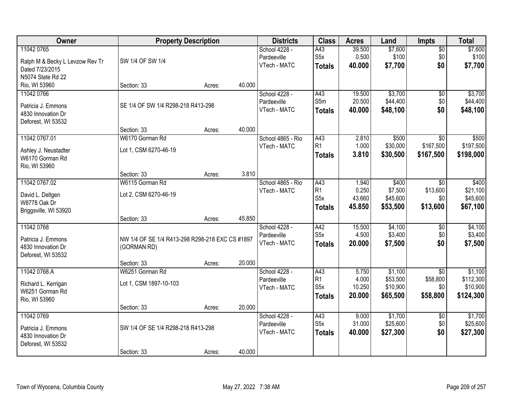| Owner                           | <b>Property Description</b>                     |        |        | <b>Districts</b>  | <b>Class</b>     | <b>Acres</b> | Land     | Impts           | <b>Total</b> |
|---------------------------------|-------------------------------------------------|--------|--------|-------------------|------------------|--------------|----------|-----------------|--------------|
| 11042 0765                      |                                                 |        |        | School 4228 -     | A43              | 39.500       | \$7,600  | $\overline{50}$ | \$7,600      |
| Ralph M & Becky L Levzow Rev Tr | SW 1/4 OF SW 1/4                                |        |        | Pardeeville       | S <sub>5</sub> x | 0.500        | \$100    | \$0             | \$100        |
| Dated 7/23/2015                 |                                                 |        |        | VTech - MATC      | <b>Totals</b>    | 40.000       | \$7,700  | \$0             | \$7,700      |
| N5074 State Rd 22               |                                                 |        |        |                   |                  |              |          |                 |              |
| Rio, WI 53960                   | Section: 33                                     | Acres: | 40.000 |                   |                  |              |          |                 |              |
| 11042 0766                      |                                                 |        |        | School 4228 -     | A43              | 19.500       | \$3,700  | \$0             | \$3,700      |
| Patricia J. Emmons              | SE 1/4 OF SW 1/4 R298-218 R413-298              |        |        | Pardeeville       | S5m              | 20.500       | \$44,400 | \$0             | \$44,400     |
| 4830 Innovation Dr              |                                                 |        |        | VTech - MATC      | <b>Totals</b>    | 40.000       | \$48,100 | \$0             | \$48,100     |
| Deforest, WI 53532              |                                                 |        |        |                   |                  |              |          |                 |              |
|                                 | Section: 33                                     | Acres: | 40.000 |                   |                  |              |          |                 |              |
| 11042 0767.01                   | W6170 Gorman Rd                                 |        |        | School 4865 - Rio | A43              | 2.810        | \$500    | $\overline{50}$ | \$500        |
| Ashley J. Neustadter            | Lot 1, CSM 6270-46-19                           |        |        | VTech - MATC      | R1               | 1.000        | \$30,000 | \$167,500       | \$197,500    |
| W6170 Gorman Rd                 |                                                 |        |        |                   | <b>Totals</b>    | 3.810        | \$30,500 | \$167,500       | \$198,000    |
| Rio, WI 53960                   |                                                 |        |        |                   |                  |              |          |                 |              |
|                                 | Section: 33                                     | Acres: | 3.810  |                   |                  |              |          |                 |              |
| 11042 0767.02                   | W6115 Gorman Rd                                 |        |        | School 4865 - Rio | A43              | 1.940        | \$400    | \$0             | \$400        |
| David L. Deltgen                | Lot 2, CSM 6270-46-19                           |        |        | VTech - MATC      | R1               | 0.250        | \$7,500  | \$13,600        | \$21,100     |
| W8778 Oak Dr                    |                                                 |        |        |                   | S <sub>5</sub> x | 43.660       | \$45,600 | \$0             | \$45,600     |
| Briggsville, WI 53920           |                                                 |        |        |                   | <b>Totals</b>    | 45.850       | \$53,500 | \$13,600        | \$67,100     |
|                                 | Section: 33                                     | Acres: | 45.850 |                   |                  |              |          |                 |              |
| 11042 0768                      |                                                 |        |        | School 4228 -     | A42              | 15.500       | \$4,100  | \$0             | \$4,100      |
| Patricia J. Emmons              | NW 1/4 OF SE 1/4 R413-298 R298-218 EXC CS #1897 |        |        | Pardeeville       | S <sub>5</sub> x | 4.500        | \$3,400  | \$0             | \$3,400      |
| 4830 Innovation Dr              | (GORMAN RD)                                     |        |        | VTech - MATC      | <b>Totals</b>    | 20.000       | \$7,500  | \$0             | \$7,500      |
| Deforest, WI 53532              |                                                 |        |        |                   |                  |              |          |                 |              |
|                                 | Section: 33                                     | Acres: | 20.000 |                   |                  |              |          |                 |              |
| 11042 0768.A                    | W6251 Gorman Rd                                 |        |        | School 4228 -     | A43              | 5.750        | \$1,100  | $\overline{50}$ | \$1,100      |
| Richard L. Kerrigan             | Lot 1, CSM 1897-10-103                          |        |        | Pardeeville       | R <sub>1</sub>   | 4.000        | \$53,500 | \$58,800        | \$112,300    |
| W6251 Gorman Rd                 |                                                 |        |        | VTech - MATC      | S <sub>5</sub> x | 10.250       | \$10,900 | \$0             | \$10,900     |
| Rio, WI 53960                   |                                                 |        |        |                   | <b>Totals</b>    | 20.000       | \$65,500 | \$58,800        | \$124,300    |
|                                 | Section: 33                                     | Acres: | 20.000 |                   |                  |              |          |                 |              |
| 11042 0769                      |                                                 |        |        | School 4228 -     | A43              | 9.000        | \$1,700  | $\overline{50}$ | \$1,700      |
| Patricia J. Emmons              | SW 1/4 OF SE 1/4 R298-218 R413-298              |        |        | Pardeeville       | S <sub>5</sub> x | 31.000       | \$25,600 | \$0             | \$25,600     |
| 4830 Innovation Dr              |                                                 |        |        | VTech - MATC      | <b>Totals</b>    | 40.000       | \$27,300 | \$0             | \$27,300     |
| Deforest, WI 53532              |                                                 |        |        |                   |                  |              |          |                 |              |
|                                 | Section: 33                                     | Acres: | 40.000 |                   |                  |              |          |                 |              |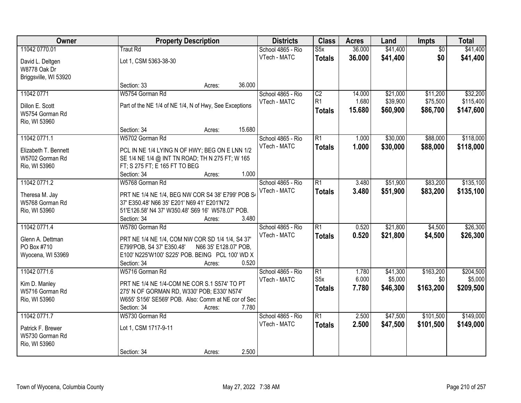| Owner                                   | <b>Property Description</b>                            |                       | <b>Districts</b>  | <b>Class</b>    | <b>Acres</b> | Land     | <b>Impts</b>    | <b>Total</b> |
|-----------------------------------------|--------------------------------------------------------|-----------------------|-------------------|-----------------|--------------|----------|-----------------|--------------|
| 11042 0770.01                           | <b>Traut Rd</b>                                        |                       | School 4865 - Rio | S5x             | 36.000       | \$41,400 | $\overline{50}$ | \$41,400     |
| David L. Deltgen<br>W8778 Oak Dr        | Lot 1, CSM 5363-38-30                                  |                       | VTech - MATC      | <b>Totals</b>   | 36.000       | \$41,400 | \$0             | \$41,400     |
| Briggsville, WI 53920                   |                                                        |                       |                   |                 |              |          |                 |              |
|                                         | Section: 33<br>Acres:                                  | 36.000                |                   |                 |              |          |                 |              |
| 11042 0771                              | W5754 Gorman Rd                                        |                       | School 4865 - Rio | $\overline{C2}$ | 14.000       | \$21,000 | \$11,200        | \$32,200     |
| Dillon E. Scott                         | Part of the NE 1/4 of NE 1/4, N of Hwy, See Exceptions |                       | VTech - MATC      | R <sub>1</sub>  | 1.680        | \$39,900 | \$75,500        | \$115,400    |
| W5754 Gorman Rd                         |                                                        |                       |                   | <b>Totals</b>   | 15.680       | \$60,900 | \$86,700        | \$147,600    |
| Rio, WI 53960                           |                                                        |                       |                   |                 |              |          |                 |              |
|                                         | Section: 34<br>Acres:                                  | 15.680                |                   |                 |              |          |                 |              |
| 11042 0771.1                            | W5702 Gorman Rd                                        |                       | School 4865 - Rio | $\overline{R1}$ | 1.000        | \$30,000 | \$88,000        | \$118,000    |
|                                         | PCL IN NE 1/4 LYING N OF HWY; BEG ON E LNN 1/2         |                       | VTech - MATC      | <b>Totals</b>   | 1.000        | \$30,000 | \$88,000        | \$118,000    |
| Elizabeth T. Bennett<br>W5702 Gorman Rd | SE 1/4 NE 1/4 @ INT TN ROAD; TH N 275 FT; W 165        |                       |                   |                 |              |          |                 |              |
| Rio, WI 53960                           | FT; S 275 FT; E 165 FT TO BEG                          |                       |                   |                 |              |          |                 |              |
|                                         | Section: 34<br>Acres:                                  | 1.000                 |                   |                 |              |          |                 |              |
| 11042 0771.2                            | W5768 Gorman Rd                                        |                       | School 4865 - Rio | $\overline{R1}$ | 3.480        | \$51,900 | \$83,200        | \$135,100    |
|                                         |                                                        |                       | VTech - MATC      | <b>Totals</b>   | 3.480        | \$51,900 | \$83,200        | \$135,100    |
| Theresa M. Jay                          | PRT NE 1/4 NE 1/4, BEG NW COR S4 38' E799' POB S4      |                       |                   |                 |              |          |                 |              |
| W5768 Gorman Rd                         | 37' E350.48' N66 35' E201' N69 41' E201'N72            |                       |                   |                 |              |          |                 |              |
| Rio, WI 53960                           | 51'E126.58' N4 37' W350.48' S69 16' W578.07' POB.      | 3.480                 |                   |                 |              |          |                 |              |
| 11042 0771.4                            | Section: 34<br>Acres:<br>W5780 Gorman Rd               |                       | School 4865 - Rio | $\overline{R1}$ | 0.520        | \$21,800 | \$4,500         | \$26,300     |
|                                         |                                                        |                       | VTech - MATC      |                 | 0.520        |          |                 |              |
| Glenn A. Dettman                        | PRT NE 1/4 NE 1/4, COM NW COR SD 1/4 1/4, S4 37'       |                       |                   | <b>Totals</b>   |              | \$21,800 | \$4,500         | \$26,300     |
| PO Box #710                             | E799'POB, S4 37' E350.48'                              | N66 35' E128.07' POB. |                   |                 |              |          |                 |              |
| Wyocena, WI 53969                       | E100' N225'W100' S225' POB. BEING PCL 100' WD X        |                       |                   |                 |              |          |                 |              |
|                                         | Section: 34<br>Acres:                                  | 0.520                 |                   |                 |              |          |                 |              |
| 11042 0771.6                            | W5716 Gorman Rd                                        |                       | School 4865 - Rio | $\overline{R1}$ | 1.780        | \$41,300 | \$163,200       | \$204,500    |
| Kim D. Manley                           | PRT NE 1/4 NE 1/4-COM NE COR S.1 S574' TO PT           |                       | VTech - MATC      | S <sub>5x</sub> | 6.000        | \$5,000  | \$0             | \$5,000      |
| W5716 Gorman Rd                         | 275' N OF GORMAN RD, W330' POB; E330' N574'            |                       |                   | <b>Totals</b>   | 7.780        | \$46,300 | \$163,200       | \$209,500    |
| Rio, WI 53960                           | W655' S156' SE569' POB. Also: Comm at NE cor of Sec    |                       |                   |                 |              |          |                 |              |
|                                         | Section: 34<br>Acres:                                  | 7.780                 |                   |                 |              |          |                 |              |
| 11042 0771.7                            | W5730 Gorman Rd                                        |                       | School 4865 - Rio | $\overline{R1}$ | 2.500        | \$47,500 | \$101,500       | \$149,000    |
| Patrick F. Brewer                       | Lot 1, CSM 1717-9-11                                   |                       | VTech - MATC      | <b>Totals</b>   | 2.500        | \$47,500 | \$101,500       | \$149,000    |
| W5730 Gorman Rd                         |                                                        |                       |                   |                 |              |          |                 |              |
| Rio, WI 53960                           |                                                        |                       |                   |                 |              |          |                 |              |
|                                         | Section: 34<br>Acres:                                  | 2.500                 |                   |                 |              |          |                 |              |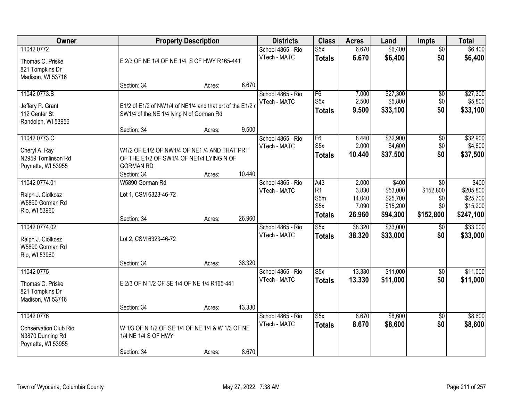| Owner                                                                                |                                                                                                                             | <b>Property Description</b> |        | <b>Districts</b>                  | <b>Class</b>                                   | <b>Acres</b>                       | Land                                         | Impts                                | <b>Total</b>                                   |
|--------------------------------------------------------------------------------------|-----------------------------------------------------------------------------------------------------------------------------|-----------------------------|--------|-----------------------------------|------------------------------------------------|------------------------------------|----------------------------------------------|--------------------------------------|------------------------------------------------|
| 11042 0772<br>Thomas C. Priske<br>821 Tompkins Dr<br>Madison, WI 53716               | E 2/3 OF NE 1/4 OF NE 1/4, S OF HWY R165-441                                                                                |                             |        | School 4865 - Rio<br>VTech - MATC | S5x<br><b>Totals</b>                           | 6.670<br>6.670                     | \$6,400<br>\$6,400                           | $\overline{50}$<br>\$0               | \$6,400<br>\$6,400                             |
|                                                                                      | Section: 34                                                                                                                 | Acres:                      | 6.670  |                                   |                                                |                                    |                                              |                                      |                                                |
| 11042 0773.B<br>Jeffery P. Grant<br>112 Center St<br>Randolph, WI 53956              | E1/2 of E1/2 of NW1/4 of NE1/4 and that prt of the E1/2 of<br>SW1/4 of the NE 1/4 lying N of Gorman Rd<br>Section: 34       | Acres:                      | 9.500  | School 4865 - Rio<br>VTech - MATC | F6<br>S <sub>5</sub> x<br><b>Totals</b>        | 7.000<br>2.500<br>9.500            | \$27,300<br>\$5,800<br>\$33,100              | $\overline{50}$<br>\$0<br>\$0        | \$27,300<br>\$5,800<br>\$33,100                |
| 11042 0773.C                                                                         |                                                                                                                             |                             |        | School 4865 - Rio                 | $\overline{F6}$                                | 8.440                              | \$32,900                                     | $\overline{50}$                      | \$32,900                                       |
| Cheryl A. Ray<br>N2959 Tomlinson Rd<br>Poynette, WI 53955                            | W1/2 OF E1/2 OF NW1/4 OF NE1 /4 AND THAT PRT<br>OF THE E1/2 OF SW1/4 OF NE1/4 LYING N OF<br><b>GORMAN RD</b><br>Section: 34 | Acres:                      | 10.440 | VTech - MATC                      | S <sub>5</sub> x<br><b>Totals</b>              | 2.000<br>10.440                    | \$4,600<br>\$37,500                          | \$0<br>\$0                           | \$4,600<br>\$37,500                            |
| 11042 0774.01                                                                        | W5890 Gorman Rd                                                                                                             |                             |        | School 4865 - Rio                 | A43                                            | 2.000                              | \$400                                        | \$0                                  | \$400                                          |
| Ralph J. Ciolkosz<br>W5890 Gorman Rd<br>Rio, WI 53960                                | Lot 1, CSM 6323-46-72<br>Section: 34                                                                                        | Acres:                      | 26.960 | VTech - MATC                      | R1<br>S5m<br>S <sub>5</sub> x<br><b>Totals</b> | 3.830<br>14.040<br>7.090<br>26.960 | \$53,000<br>\$25,700<br>\$15,200<br>\$94,300 | \$152,800<br>\$0<br>\$0<br>\$152,800 | \$205,800<br>\$25,700<br>\$15,200<br>\$247,100 |
| 11042 0774.02                                                                        |                                                                                                                             |                             |        | School 4865 - Rio                 | $\overline{\text{S5x}}$                        | 38.320                             | \$33,000                                     | $\overline{50}$                      | \$33,000                                       |
| Ralph J. Ciolkosz<br>W5890 Gorman Rd<br>Rio, WI 53960                                | Lot 2, CSM 6323-46-72                                                                                                       |                             |        | VTech - MATC                      | <b>Totals</b>                                  | 38.320                             | \$33,000                                     | \$0                                  | \$33,000                                       |
| 11042 0775                                                                           | Section: 34                                                                                                                 | Acres:                      | 38.320 | School 4865 - Rio                 | S5x                                            | 13.330                             | \$11,000                                     | $\sqrt{6}$                           | \$11,000                                       |
| Thomas C. Priske<br>821 Tompkins Dr<br>Madison, WI 53716                             | E 2/3 OF N 1/2 OF SE 1/4 OF NE 1/4 R165-441                                                                                 |                             |        | VTech - MATC                      | <b>Totals</b>                                  | 13.330                             | \$11,000                                     | \$0                                  | \$11,000                                       |
|                                                                                      | Section: 34                                                                                                                 | Acres:                      | 13.330 |                                   |                                                |                                    |                                              |                                      |                                                |
| 11042 0776<br><b>Conservation Club Rio</b><br>N3870 Dunning Rd<br>Poynette, WI 53955 | W 1/3 OF N 1/2 OF SE 1/4 OF NE 1/4 & W 1/3 OF NE<br>1/4 NE 1/4 S OF HWY<br>Section: 34                                      | Acres:                      | 8.670  | School 4865 - Rio<br>VTech - MATC | S5x<br><b>Totals</b>                           | 8.670<br>8.670                     | \$8,600<br>\$8,600                           | $\overline{50}$<br>\$0               | \$8,600<br>\$8,600                             |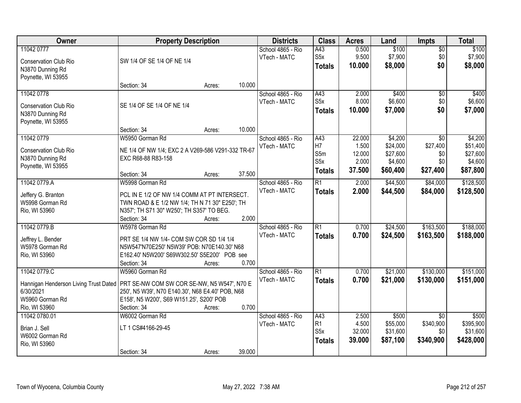| Owner                                 | <b>Property Description</b>                                                                 |        |        | <b>Districts</b>  | <b>Class</b>          | <b>Acres</b>   | Land              | Impts                        | <b>Total</b>       |
|---------------------------------------|---------------------------------------------------------------------------------------------|--------|--------|-------------------|-----------------------|----------------|-------------------|------------------------------|--------------------|
| 11042 0777                            |                                                                                             |        |        | School 4865 - Rio | A43                   | 0.500          | \$100             | $\overline{50}$              | \$100              |
| <b>Conservation Club Rio</b>          | SW 1/4 OF SE 1/4 OF NE 1/4                                                                  |        |        | VTech - MATC      | S <sub>5x</sub>       | 9.500          | \$7,900           | \$0                          | \$7,900            |
| N3870 Dunning Rd                      |                                                                                             |        |        |                   | <b>Totals</b>         | 10.000         | \$8,000           | \$0                          | \$8,000            |
| Poynette, WI 53955                    |                                                                                             |        |        |                   |                       |                |                   |                              |                    |
|                                       | Section: 34                                                                                 | Acres: | 10.000 |                   |                       |                |                   |                              |                    |
| 11042 0778                            |                                                                                             |        |        | School 4865 - Rio | A43                   | 2.000          | \$400             | $\overline{50}$              | \$400              |
| <b>Conservation Club Rio</b>          | SE 1/4 OF SE 1/4 OF NE 1/4                                                                  |        |        | VTech - MATC      | S5x                   | 8.000          | \$6,600           | \$0                          | \$6,600            |
| N3870 Dunning Rd                      |                                                                                             |        |        |                   | <b>Totals</b>         | 10.000         | \$7,000           | \$0                          | \$7,000            |
| Poynette, WI 53955                    |                                                                                             |        |        |                   |                       |                |                   |                              |                    |
|                                       | Section: 34                                                                                 | Acres: | 10.000 |                   |                       |                |                   |                              |                    |
| 11042 0779                            | W5950 Gorman Rd                                                                             |        |        | School 4865 - Rio | A43                   | 22.000         | \$4,200           | \$0                          | \$4,200            |
| <b>Conservation Club Rio</b>          | NE 1/4 OF NW 1/4; EXC 2 A V269-586 V291-332 TR-67                                           |        |        | VTech - MATC      | H7                    | 1.500          | \$24,000          | \$27,400                     | \$51,400           |
| N3870 Dunning Rd                      | EXC R68-88 R83-158                                                                          |        |        |                   | S5m                   | 12.000         | \$27,600          | \$0                          | \$27,600           |
| Poynette, WI 53955                    |                                                                                             |        |        |                   | S5x                   | 2.000          | \$4,600           | \$0                          | \$4,600            |
|                                       | Section: 34                                                                                 | Acres: | 37.500 |                   | <b>Totals</b>         | 37.500         | \$60,400          | \$27,400                     | \$87,800           |
| 11042 0779.A                          | W5998 Gorman Rd                                                                             |        |        | School 4865 - Rio | $\overline{R1}$       | 2.000          | \$44,500          | \$84,000                     | \$128,500          |
| Jeffery G. Branton                    | PCL IN E 1/2 OF NW 1/4 COMM AT PT INTERSECT.                                                |        |        | VTech - MATC      | <b>Totals</b>         | 2.000          | \$44,500          | \$84,000                     | \$128,500          |
| W5998 Gorman Rd                       | TWN ROAD & E 1/2 NW 1/4; TH N 71 30" E250'; TH                                              |        |        |                   |                       |                |                   |                              |                    |
| Rio, WI 53960                         | N357'; TH S71 30" W250'; TH S357' TO BEG.                                                   |        |        |                   |                       |                |                   |                              |                    |
|                                       | Section: 34                                                                                 | Acres: | 2.000  |                   |                       |                |                   |                              |                    |
| 11042 0779.B                          | W5978 Gorman Rd                                                                             |        |        | School 4865 - Rio | $\overline{R1}$       | 0.700          | \$24,500          | \$163,500                    | \$188,000          |
|                                       |                                                                                             |        |        | VTech - MATC      | <b>Totals</b>         | 0.700          | \$24,500          | \$163,500                    | \$188,000          |
| Jeffrey L. Bender                     | PRT SE 1/4 NW 1/4- COM SW COR SD 1/4 1/4                                                    |        |        |                   |                       |                |                   |                              |                    |
| W5978 Gorman Rd<br>Rio, WI 53960      | N5W547'N70E250' N5W39' POB: N70E140.30' N68<br>E162.40' N5W200' S69W302.50' S5E200' POB see |        |        |                   |                       |                |                   |                              |                    |
|                                       | Section: 34                                                                                 | Acres: | 0.700  |                   |                       |                |                   |                              |                    |
| 11042 0779.C                          | W5960 Gorman Rd                                                                             |        |        | School 4865 - Rio | $\overline{R1}$       | 0.700          | \$21,000          | \$130,000                    | \$151,000          |
|                                       |                                                                                             |        |        | VTech - MATC      | <b>Totals</b>         | 0.700          | \$21,000          | \$130,000                    | \$151,000          |
| Hannigan Henderson Living Trust Dated | PRT SE-NW COM SW COR SE-NW, N5 W547', N70 E                                                 |        |        |                   |                       |                |                   |                              |                    |
| 6/30/2021                             | 250', N5 W39', N70 E140.30', N68 E4.40' POB, N68                                            |        |        |                   |                       |                |                   |                              |                    |
| W5960 Gorman Rd                       | E158', N5 W200', S69 W151.25', S200' POB                                                    |        |        |                   |                       |                |                   |                              |                    |
| Rio, WI 53960                         | Section: 34                                                                                 | Acres: | 0.700  |                   |                       |                |                   |                              |                    |
| 11042 0780.01                         | W6002 Gorman Rd                                                                             |        |        | School 4865 - Rio | A43<br>R <sub>1</sub> | 2.500<br>4.500 | \$500<br>\$55,000 | $\overline{30}$<br>\$340,900 | \$500<br>\$395,900 |
| Brian J. Sell                         | LT 1 CS#4166-29-45                                                                          |        |        | VTech - MATC      | S <sub>5</sub> x      | 32.000         | \$31,600          | \$0                          | \$31,600           |
| W6002 Gorman Rd                       |                                                                                             |        |        |                   | <b>Totals</b>         | 39.000         | \$87,100          | \$340,900                    | \$428,000          |
| Rio, WI 53960                         |                                                                                             |        |        |                   |                       |                |                   |                              |                    |
|                                       | Section: 34                                                                                 | Acres: | 39.000 |                   |                       |                |                   |                              |                    |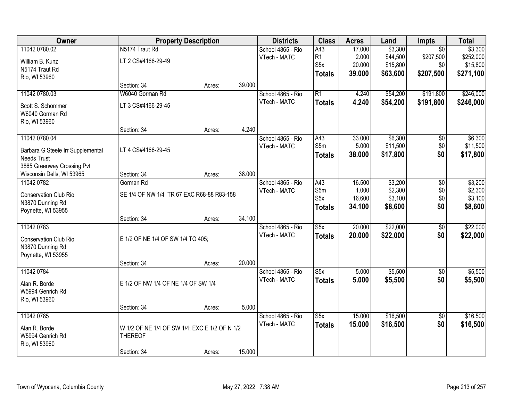| Owner                                  |                                               | <b>Property Description</b> |        | <b>Districts</b>                  | <b>Class</b>            | <b>Acres</b>    | Land                 | Impts           | <b>Total</b>         |
|----------------------------------------|-----------------------------------------------|-----------------------------|--------|-----------------------------------|-------------------------|-----------------|----------------------|-----------------|----------------------|
| 11042 0780.02                          | N5174 Traut Rd                                |                             |        | School 4865 - Rio                 | A43                     | 17.000          | \$3,300              | $\overline{50}$ | \$3,300              |
| William B. Kunz                        | LT 2 CS#4166-29-49                            |                             |        | VTech - MATC                      | R <sub>1</sub>          | 2.000           | \$44,500             | \$207,500       | \$252,000            |
| N5174 Traut Rd                         |                                               |                             |        |                                   | S <sub>5</sub> x        | 20.000          | \$15,800             | \$0             | \$15,800             |
| Rio, WI 53960                          |                                               |                             |        |                                   | <b>Totals</b>           | 39.000          | \$63,600             | \$207,500       | \$271,100            |
|                                        | Section: 34                                   | Acres:                      | 39.000 |                                   |                         |                 |                      |                 |                      |
| 11042 0780.03                          | W6040 Gorman Rd                               |                             |        | School 4865 - Rio                 | $\overline{R1}$         | 4.240           | \$54,200             | \$191,800       | \$246,000            |
| Scott S. Schommer                      | LT 3 CS#4166-29-45                            |                             |        | VTech - MATC                      | <b>Totals</b>           | 4.240           | \$54,200             | \$191,800       | \$246,000            |
| W6040 Gorman Rd                        |                                               |                             |        |                                   |                         |                 |                      |                 |                      |
| Rio, WI 53960                          |                                               |                             |        |                                   |                         |                 |                      |                 |                      |
|                                        | Section: 34                                   | Acres:                      | 4.240  |                                   |                         |                 |                      |                 |                      |
| 11042 0780.04                          |                                               |                             |        | School 4865 - Rio                 | A43                     | 33.000          | \$6,300              | $\overline{50}$ | \$6,300              |
| Barbara G Steele Irr Supplemental      | LT 4 CS#4166-29-45                            |                             |        | VTech - MATC                      | S5m                     | 5.000<br>38.000 | \$11,500<br>\$17,800 | \$0<br>\$0      | \$11,500<br>\$17,800 |
| <b>Needs Trust</b>                     |                                               |                             |        |                                   | <b>Totals</b>           |                 |                      |                 |                      |
| 3865 Greenway Crossing Pvt             |                                               |                             |        |                                   |                         |                 |                      |                 |                      |
| Wisconsin Dells, WI 53965              | Section: 34<br>Gorman Rd                      | Acres:                      | 38.000 |                                   |                         |                 |                      |                 |                      |
| 11042 0782                             |                                               |                             |        | School 4865 - Rio<br>VTech - MATC | A43<br>S5m              | 16.500<br>1.000 | \$3,200<br>\$2,300   | \$0<br>\$0      | \$3,200<br>\$2,300   |
| Conservation Club Rio                  | SE 1/4 OF NW 1/4 TR 67 EXC R68-88 R83-158     |                             |        |                                   | S <sub>5</sub> x        | 16.600          | \$3,100              | \$0             | \$3,100              |
| N3870 Dunning Rd                       |                                               |                             |        |                                   | <b>Totals</b>           | 34.100          | \$8,600              | \$0             | \$8,600              |
| Poynette, WI 53955                     |                                               |                             | 34.100 |                                   |                         |                 |                      |                 |                      |
| 11042 0783                             | Section: 34                                   | Acres:                      |        | School 4865 - Rio                 | $\overline{\text{S5x}}$ | 20.000          | \$22,000             | $\overline{50}$ | \$22,000             |
|                                        |                                               |                             |        | VTech - MATC                      | <b>Totals</b>           | 20.000          | \$22,000             | \$0             | \$22,000             |
| Conservation Club Rio                  | E 1/2 OF NE 1/4 OF SW 1/4 TO 405;             |                             |        |                                   |                         |                 |                      |                 |                      |
| N3870 Dunning Rd<br>Poynette, WI 53955 |                                               |                             |        |                                   |                         |                 |                      |                 |                      |
|                                        | Section: 34                                   | Acres:                      | 20.000 |                                   |                         |                 |                      |                 |                      |
| 11042 0784                             |                                               |                             |        | School 4865 - Rio                 | S5x                     | 5.000           | \$5,500              | $\sqrt{6}$      | \$5,500              |
|                                        |                                               |                             |        | VTech - MATC                      | <b>Totals</b>           | 5.000           | \$5,500              | \$0             | \$5,500              |
| Alan R. Borde<br>W5994 Genrich Rd      | E 1/2 OF NW 1/4 OF NE 1/4 OF SW 1/4           |                             |        |                                   |                         |                 |                      |                 |                      |
| Rio, WI 53960                          |                                               |                             |        |                                   |                         |                 |                      |                 |                      |
|                                        | Section: 34                                   | Acres:                      | 5.000  |                                   |                         |                 |                      |                 |                      |
| 11042 0785                             |                                               |                             |        | School 4865 - Rio                 | S5x                     | 15.000          | \$16,500             | $\overline{50}$ | \$16,500             |
| Alan R. Borde                          | W 1/2 OF NE 1/4 OF SW 1/4; EXC E 1/2 OF N 1/2 |                             |        | VTech - MATC                      | <b>Totals</b>           | 15.000          | \$16,500             | \$0             | \$16,500             |
| W5994 Genrich Rd                       | <b>THEREOF</b>                                |                             |        |                                   |                         |                 |                      |                 |                      |
| Rio, WI 53960                          |                                               |                             |        |                                   |                         |                 |                      |                 |                      |
|                                        | Section: 34                                   | Acres:                      | 15.000 |                                   |                         |                 |                      |                 |                      |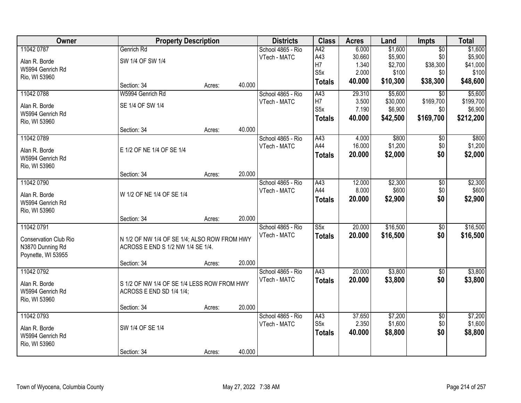| Owner                 |                                              | <b>Property Description</b> |        | <b>Districts</b>  | <b>Class</b>            | <b>Acres</b> | Land     | Impts           | <b>Total</b> |
|-----------------------|----------------------------------------------|-----------------------------|--------|-------------------|-------------------------|--------------|----------|-----------------|--------------|
| 11042 0787            | Genrich Rd                                   |                             |        | School 4865 - Rio | A42                     | 6.000        | \$1,600  | $\overline{50}$ | \$1,600      |
| Alan R. Borde         | SW 1/4 OF SW 1/4                             |                             |        | VTech - MATC      | A43                     | 30.660       | \$5,900  | \$0             | \$5,900      |
| W5994 Genrich Rd      |                                              |                             |        |                   | H7                      | 1.340        | \$2,700  | \$38,300        | \$41,000     |
| Rio, WI 53960         |                                              |                             |        |                   | S5x                     | 2.000        | \$100    | \$0             | \$100        |
|                       | Section: 34                                  | Acres:                      | 40.000 |                   | <b>Totals</b>           | 40.000       | \$10,300 | \$38,300        | \$48,600     |
| 11042 0788            | W5994 Genrich Rd                             |                             |        | School 4865 - Rio | A43                     | 29.310       | \$5,600  | $\overline{50}$ | \$5,600      |
| Alan R. Borde         | SE 1/4 OF SW 1/4                             |                             |        | VTech - MATC      | H7                      | 3.500        | \$30,000 | \$169,700       | \$199,700    |
| W5994 Genrich Rd      |                                              |                             |        |                   | S <sub>5</sub> x        | 7.190        | \$6,900  | \$0             | \$6,900      |
| Rio, WI 53960         |                                              |                             |        |                   | <b>Totals</b>           | 40.000       | \$42,500 | \$169,700       | \$212,200    |
|                       | Section: 34                                  | Acres:                      | 40.000 |                   |                         |              |          |                 |              |
| 11042 0789            |                                              |                             |        | School 4865 - Rio | A43                     | 4.000        | \$800    | \$0             | \$800        |
| Alan R. Borde         | E 1/2 OF NE 1/4 OF SE 1/4                    |                             |        | VTech - MATC      | A44                     | 16.000       | \$1,200  | \$0             | \$1,200      |
| W5994 Genrich Rd      |                                              |                             |        |                   | <b>Totals</b>           | 20.000       | \$2,000  | \$0             | \$2,000      |
| Rio, WI 53960         |                                              |                             |        |                   |                         |              |          |                 |              |
|                       | Section: 34                                  | Acres:                      | 20.000 |                   |                         |              |          |                 |              |
| 11042 0790            |                                              |                             |        | School 4865 - Rio | A43                     | 12.000       | \$2,300  | \$0             | \$2,300      |
| Alan R. Borde         | W 1/2 OF NE 1/4 OF SE 1/4                    |                             |        | VTech - MATC      | A44                     | 8.000        | \$600    | \$0             | \$600        |
| W5994 Genrich Rd      |                                              |                             |        |                   | <b>Totals</b>           | 20.000       | \$2,900  | \$0             | \$2,900      |
| Rio, WI 53960         |                                              |                             |        |                   |                         |              |          |                 |              |
|                       | Section: 34                                  | Acres:                      | 20.000 |                   |                         |              |          |                 |              |
| 11042 0791            |                                              |                             |        | School 4865 - Rio | $\overline{\text{S5x}}$ | 20.000       | \$16,500 | $\overline{50}$ | \$16,500     |
| Conservation Club Rio | N 1/2 OF NW 1/4 OF SE 1/4; ALSO ROW FROM HWY |                             |        | VTech - MATC      | <b>Totals</b>           | 20.000       | \$16,500 | \$0             | \$16,500     |
| N3870 Dunning Rd      | ACROSS E END S 1/2 NW 1/4 SE 1/4.            |                             |        |                   |                         |              |          |                 |              |
| Poynette, WI 53955    |                                              |                             |        |                   |                         |              |          |                 |              |
|                       | Section: 34                                  | Acres:                      | 20.000 |                   |                         |              |          |                 |              |
| 11042 0792            |                                              |                             |        | School 4865 - Rio | $\overline{A43}$        | 20.000       | \$3,800  | $\overline{60}$ | \$3,800      |
| Alan R. Borde         | S 1/2 OF NW 1/4 OF SE 1/4 LESS ROW FROM HWY  |                             |        | VTech - MATC      | <b>Totals</b>           | 20.000       | \$3,800  | \$0             | \$3,800      |
| W5994 Genrich Rd      | ACROSS E END SD 1/4 1/4;                     |                             |        |                   |                         |              |          |                 |              |
| Rio, WI 53960         |                                              |                             |        |                   |                         |              |          |                 |              |
|                       | Section: 34                                  | Acres:                      | 20.000 |                   |                         |              |          |                 |              |
| 11042 0793            |                                              |                             |        | School 4865 - Rio | A43                     | 37.650       | \$7,200  | $\overline{50}$ | \$7,200      |
| Alan R. Borde         | SW 1/4 OF SE 1/4                             |                             |        | VTech - MATC      | S <sub>5</sub> x        | 2.350        | \$1,600  | \$0             | \$1,600      |
| W5994 Genrich Rd      |                                              |                             |        |                   | <b>Totals</b>           | 40.000       | \$8,800  | \$0             | \$8,800      |
| Rio, WI 53960         |                                              |                             |        |                   |                         |              |          |                 |              |
|                       | Section: 34                                  | Acres:                      | 40.000 |                   |                         |              |          |                 |              |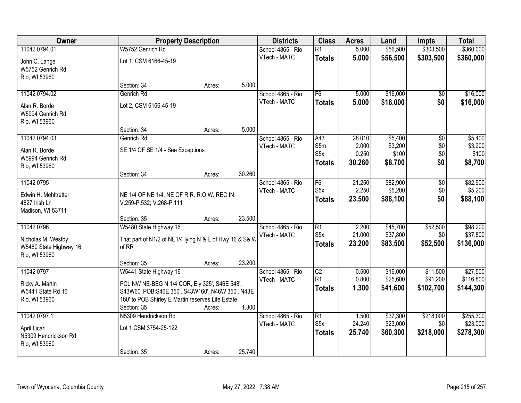| Owner                                              |                                                         | <b>Property Description</b> |        | <b>Districts</b>  | <b>Class</b>                        | <b>Acres</b>    | Land                 | <b>Impts</b>     | <b>Total</b>          |
|----------------------------------------------------|---------------------------------------------------------|-----------------------------|--------|-------------------|-------------------------------------|-----------------|----------------------|------------------|-----------------------|
| 11042 0794.01                                      | W5752 Genrich Rd                                        |                             |        | School 4865 - Rio | $\overline{R1}$                     | 5.000           | \$56,500             | \$303,500        | \$360,000             |
| John C. Lange<br>W5752 Genrich Rd                  | Lot 1, CSM 6166-45-19                                   |                             |        | VTech - MATC      | <b>Totals</b>                       | 5.000           | \$56,500             | \$303,500        | \$360,000             |
| Rio, WI 53960                                      |                                                         |                             |        |                   |                                     |                 |                      |                  |                       |
|                                                    | Section: 34                                             | Acres:                      | 5.000  |                   |                                     |                 |                      |                  |                       |
| 11042 0794.02                                      | Genrich Rd                                              |                             |        | School 4865 - Rio | F6                                  | 5.000           | \$16,000             | \$0              | \$16,000              |
| Alan R. Borde<br>W5994 Genrich Rd<br>Rio, WI 53960 | Lot 2, CSM 6166-45-19                                   |                             |        | VTech - MATC      | <b>Totals</b>                       | 5.000           | \$16,000             | \$0              | \$16,000              |
|                                                    | Section: 34                                             | Acres:                      | 5.000  |                   |                                     |                 |                      |                  |                       |
| 11042 0794.03                                      | Genrich Rd                                              |                             |        | School 4865 - Rio | A43                                 | 28.010          | \$5,400              | $\overline{50}$  | \$5,400               |
| Alan R. Borde                                      | SE 1/4 OF SE 1/4 - See Exceptions                       |                             |        | VTech - MATC      | S5m                                 | 2.000           | \$3,200              | \$0              | \$3,200               |
| W5994 Genrich Rd                                   |                                                         |                             |        |                   | S <sub>5</sub> x                    | 0.250           | \$100                | \$0              | \$100                 |
| Rio, WI 53960                                      |                                                         |                             |        |                   | <b>Totals</b>                       | 30.260          | \$8,700              | \$0              | \$8,700               |
|                                                    | Section: 34                                             | Acres:                      | 30.260 |                   |                                     |                 |                      |                  |                       |
| 11042 0795                                         |                                                         |                             |        | School 4865 - Rio | F6                                  | 21.250          | \$82,900             | $\overline{50}$  | \$82,900              |
| Edwin H. Mehltretter                               | NE 1/4 OF NE 1/4; NE OF R.R. R.O.W. REC IN              |                             |        | VTech - MATC      | S <sub>5</sub> x                    | 2.250           | \$5,200              | \$0              | \$5,200               |
| 4827 Irish Ln                                      | V.259-P.532; V.268-P.111                                |                             |        |                   | <b>Totals</b>                       | 23.500          | \$88,100             | \$0              | \$88,100              |
| Madison, WI 53711                                  |                                                         |                             |        |                   |                                     |                 |                      |                  |                       |
|                                                    | Section: 35                                             | Acres:                      | 23.500 |                   |                                     |                 |                      |                  |                       |
| 11042 0796                                         | W5480 State Highway 16                                  |                             |        | School 4865 - Rio | $\overline{R1}$                     | 2.200           | \$45,700             | \$52,500         | \$98,200              |
| Nicholas M. Westby                                 | That part of N1/2 of NE1/4 lying N & E of Hwy 16 & S& W |                             |        | VTech - MATC      | S <sub>5</sub> x                    | 21.000          | \$37,800             | \$0              | \$37,800              |
| W5480 State Highway 16                             | of RR                                                   |                             |        |                   | <b>Totals</b>                       | 23.200          | \$83,500             | \$52,500         | \$136,000             |
| Rio, WI 53960                                      |                                                         |                             |        |                   |                                     |                 |                      |                  |                       |
|                                                    | Section: 35                                             | Acres:                      | 23.200 |                   |                                     |                 |                      |                  |                       |
| 11042 0797                                         | W5441 State Highway 16                                  |                             |        | School 4865 - Rio | $\overline{C2}$                     | 0.500           | \$16,000             | \$11,500         | \$27,500              |
| Ricky A. Martin                                    | PCL NW NE-BEG N 1/4 COR, Ely 325', S46E 548',           |                             |        | VTech - MATC      | R <sub>1</sub>                      | 0.800<br>1.300  | \$25,600             | \$91,200         | \$116,800             |
| W5441 State Rd 16                                  | S43W60' POB;S46E 350', S43W160', N46W 350', N43E        |                             |        |                   | <b>Totals</b>                       |                 | \$41,600             | \$102,700        | \$144,300             |
| Rio, WI 53960                                      | 160' to POB Shirley E Martin reserves Life Estate       |                             |        |                   |                                     |                 |                      |                  |                       |
|                                                    | Section: 35                                             | Acres:                      | 1.300  |                   |                                     |                 |                      |                  |                       |
| 11042 0797.1                                       | N5309 Hendrickson Rd                                    |                             |        | School 4865 - Rio | $\overline{R1}$<br>S <sub>5</sub> x | 1.500<br>24.240 | \$37,300<br>\$23,000 | \$218,000<br>\$0 | \$255,300<br>\$23,000 |
| April Licari                                       | Lot 1 CSM 3754-25-122                                   |                             |        | VTech - MATC      |                                     | 25.740          | \$60,300             | \$218,000        |                       |
| N5309 Hendrickson Rd                               |                                                         |                             |        |                   | <b>Totals</b>                       |                 |                      |                  | \$278,300             |
| Rio, WI 53960                                      |                                                         |                             |        |                   |                                     |                 |                      |                  |                       |
|                                                    | Section: 35                                             | Acres:                      | 25.740 |                   |                                     |                 |                      |                  |                       |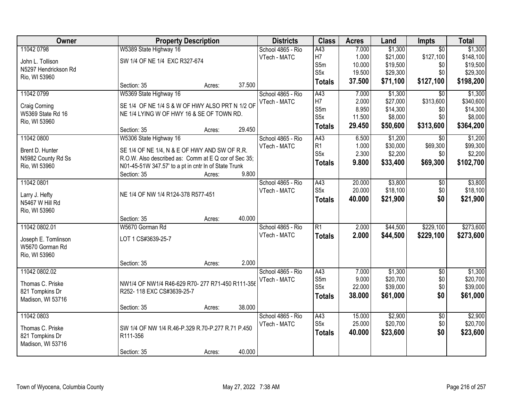| Owner                | <b>Property Description</b>                          |        |        | <b>Districts</b>  | <b>Class</b>     | <b>Acres</b> | Land     | Impts           | <b>Total</b> |
|----------------------|------------------------------------------------------|--------|--------|-------------------|------------------|--------------|----------|-----------------|--------------|
| 11042 0798           | W5389 State Highway 16                               |        |        | School 4865 - Rio | A43              | 7.000        | \$1,300  | $\overline{50}$ | \$1,300      |
| John L. Tollison     | SW 1/4 OF NE 1/4 EXC R327-674                        |        |        | VTech - MATC      | H <sub>7</sub>   | 1.000        | \$21,000 | \$127,100       | \$148,100    |
| N5297 Hendrickson Rd |                                                      |        |        |                   | S5m              | 10.000       | \$19,500 | \$0             | \$19,500     |
| Rio, WI 53960        |                                                      |        |        |                   | S <sub>5</sub> x | 19.500       | \$29,300 | \$0             | \$29,300     |
|                      | Section: 35                                          | Acres: | 37.500 |                   | <b>Totals</b>    | 37.500       | \$71,100 | \$127,100       | \$198,200    |
| 11042 0799           | W5369 State Highway 16                               |        |        | School 4865 - Rio | A43              | 7.000        | \$1,300  | $\overline{30}$ | \$1,300      |
| Craig Corning        | SE 1/4 OF NE 1/4 S & W OF HWY ALSO PRT N 1/2 OF      |        |        | VTech - MATC      | H7               | 2.000        | \$27,000 | \$313,600       | \$340,600    |
| W5369 State Rd 16    | NE 1/4 LYING W OF HWY 16 & SE OF TOWN RD.            |        |        |                   | S5m              | 8.950        | \$14,300 | \$0             | \$14,300     |
| Rio, WI 53960        |                                                      |        |        |                   | S <sub>5</sub> x | 11.500       | \$8,000  | \$0             | \$8,000      |
|                      | Section: 35                                          | Acres: | 29.450 |                   | <b>Totals</b>    | 29.450       | \$50,600 | \$313,600       | \$364,200    |
| 11042 0800           | W5306 State Highway 16                               |        |        | School 4865 - Rio | A43              | 6.500        | \$1,200  | $\overline{30}$ | \$1,200      |
| Brent D. Hunter      | SE 1/4 OF NE 1/4, N & E OF HWY AND SW OF R.R.        |        |        | VTech - MATC      | R1               | 1.000        | \$30,000 | \$69,300        | \$99,300     |
| N5982 County Rd Ss   | R.O.W. Also described as: Comm at E Q cor of Sec 35; |        |        |                   | S <sub>5</sub> x | 2.300        | \$2,200  | \$0             | \$2,200      |
| Rio, WI 53960        | N01-45-51W 347.57' to a pt in cntr In of State Trunk |        |        |                   | <b>Totals</b>    | 9.800        | \$33,400 | \$69,300        | \$102,700    |
|                      | Section: 35                                          | Acres: | 9.800  |                   |                  |              |          |                 |              |
| 11042 0801           |                                                      |        |        | School 4865 - Rio | A43              | 20.000       | \$3,800  | \$0             | \$3,800      |
| Larry J. Hefty       | NE 1/4 OF NW 1/4 R124-378 R577-451                   |        |        | VTech - MATC      | S <sub>5</sub> x | 20.000       | \$18,100 | \$0             | \$18,100     |
| N5467 W Hill Rd      |                                                      |        |        |                   | <b>Totals</b>    | 40.000       | \$21,900 | \$0             | \$21,900     |
| Rio, WI 53960        |                                                      |        |        |                   |                  |              |          |                 |              |
|                      | Section: 35                                          | Acres: | 40.000 |                   |                  |              |          |                 |              |
| 11042 0802.01        | W5670 Gorman Rd                                      |        |        | School 4865 - Rio | $\overline{R1}$  | 2.000        | \$44,500 | \$229,100       | \$273,600    |
| Joseph E. Tomlinson  | LOT 1 CS#3639-25-7                                   |        |        | VTech - MATC      | <b>Totals</b>    | 2.000        | \$44,500 | \$229,100       | \$273,600    |
| W5670 Gorman Rd      |                                                      |        |        |                   |                  |              |          |                 |              |
| Rio, WI 53960        |                                                      |        |        |                   |                  |              |          |                 |              |
|                      | Section: 35                                          | Acres: | 2.000  |                   |                  |              |          |                 |              |
| 11042 0802.02        |                                                      |        |        | School 4865 - Rio | A43              | 7.000        | \$1,300  | $\overline{50}$ | \$1,300      |
| Thomas C. Priske     | NW1/4 OF NW1/4 R46-629 R70-277 R71-450 R111-356      |        |        | VTech - MATC      | S5m              | 9.000        | \$20,700 | \$0             | \$20,700     |
| 821 Tompkins Dr      | R252-118 EXC CS#3639-25-7                            |        |        |                   | S <sub>5</sub> x | 22.000       | \$39,000 | \$0             | \$39,000     |
| Madison, WI 53716    |                                                      |        |        |                   | <b>Totals</b>    | 38.000       | \$61,000 | \$0             | \$61,000     |
|                      | Section: 35                                          | Acres: | 38.000 |                   |                  |              |          |                 |              |
| 11042 0803           |                                                      |        |        | School 4865 - Rio | A43              | 15.000       | \$2,900  | $\overline{50}$ | \$2,900      |
| Thomas C. Priske     | SW 1/4 OF NW 1/4 R.46-P.329 R.70-P.277 R.71 P.450    |        |        | VTech - MATC      | S <sub>5</sub> x | 25.000       | \$20,700 | \$0             | \$20,700     |
| 821 Tompkins Dr      | R111-356                                             |        |        |                   | <b>Totals</b>    | 40.000       | \$23,600 | \$0             | \$23,600     |
| Madison, WI 53716    |                                                      |        |        |                   |                  |              |          |                 |              |
|                      | Section: 35                                          | Acres: | 40.000 |                   |                  |              |          |                 |              |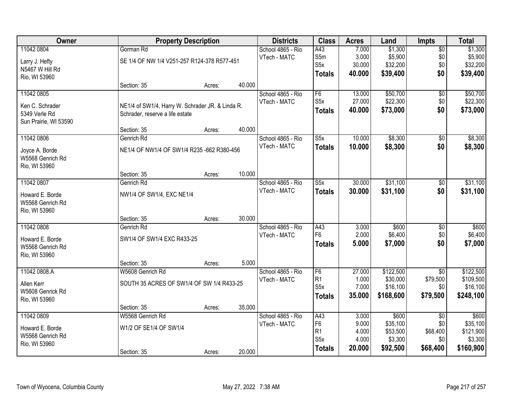| Owner                 |                                                  | <b>Property Description</b> |        |                   | <b>Class</b>     | <b>Acres</b> | Land      | <b>Impts</b>    | <b>Total</b> |
|-----------------------|--------------------------------------------------|-----------------------------|--------|-------------------|------------------|--------------|-----------|-----------------|--------------|
| 11042 0804            | Gorman Rd                                        |                             |        | School 4865 - Rio | A43              | 7.000        | \$1,300   | $\overline{50}$ | \$1,300      |
| Larry J. Hefty        | SE 1/4 OF NW 1/4 V251-257 R124-378 R577-451      |                             |        | VTech - MATC      | S5m              | 3.000        | \$5,900   | \$0             | \$5,900      |
| N5467 W Hill Rd       |                                                  |                             |        |                   | S <sub>5</sub> x | 30.000       | \$32,200  | \$0             | \$32,200     |
| Rio, WI 53960         |                                                  |                             |        |                   | <b>Totals</b>    | 40.000       | \$39,400  | \$0             | \$39,400     |
|                       | Section: 35                                      | Acres:                      | 40.000 |                   |                  |              |           |                 |              |
| 11042 0805            |                                                  |                             |        | School 4865 - Rio | F6               | 13.000       | \$50,700  | $\overline{50}$ | \$50,700     |
| Ken C. Schrader       | NE1/4 of SW1/4, Harry W. Schrader JR. & Linda R. |                             |        | VTech - MATC      | S <sub>5</sub> x | 27.000       | \$22,300  | \$0             | \$22,300     |
| 5349 Verle Rd         | Schrader, reserve a life estate                  |                             |        |                   | <b>Totals</b>    | 40.000       | \$73,000  | \$0             | \$73,000     |
| Sun Prairie, WI 53590 |                                                  |                             |        |                   |                  |              |           |                 |              |
|                       | Section: 35                                      | Acres:                      | 40.000 |                   |                  |              |           |                 |              |
| 11042 0806            | Genrich Rd                                       |                             |        | School 4865 - Rio | S5x              | 10.000       | \$8,300   | $\sqrt[6]{30}$  | \$8,300      |
| Joyce A. Borde        | NE1/4 OF NW1/4 OF SW1/4 R235 -662 R380-456       |                             |        | VTech - MATC      | <b>Totals</b>    | 10.000       | \$8,300   | \$0             | \$8,300      |
| W5568 Genrich Rd      |                                                  |                             |        |                   |                  |              |           |                 |              |
| Rio, WI 53960         |                                                  |                             |        |                   |                  |              |           |                 |              |
|                       | Section: 35                                      | Acres:                      | 10.000 |                   |                  |              |           |                 |              |
| 11042 0807            | Genrich Rd                                       |                             |        | School 4865 - Rio | S5x              | 30.000       | \$31,100  | \$0             | \$31,100     |
| Howard E. Borde       | NW1/4 OF SW1/4, EXC NE1/4                        |                             |        | VTech - MATC      | <b>Totals</b>    | 30.000       | \$31,100  | \$0             | \$31,100     |
| W5568 Genrich Rd      |                                                  |                             |        |                   |                  |              |           |                 |              |
| Rio, WI 53960         |                                                  |                             |        |                   |                  |              |           |                 |              |
|                       | Section: 35                                      | Acres:                      | 30.000 |                   |                  |              |           |                 |              |
| 11042 0808            | Genrich Rd                                       |                             |        | School 4865 - Rio | A43              | 3.000        | \$600     | $\overline{30}$ | \$600        |
| Howard E. Borde       | SW1/4 OF SW1/4 EXC R433-25                       |                             |        | VTech - MATC      | F <sub>6</sub>   | 2.000        | \$6,400   | \$0             | \$6,400      |
| W5568 Genrich Rd      |                                                  |                             |        |                   | <b>Totals</b>    | 5.000        | \$7,000   | \$0             | \$7,000      |
| Rio, WI 53960         |                                                  |                             |        |                   |                  |              |           |                 |              |
|                       | Section: 35                                      | Acres:                      | 5.000  |                   |                  |              |           |                 |              |
| 11042 0808.A          | W5608 Genrich Rd                                 |                             |        | School 4865 - Rio | F <sub>6</sub>   | 27.000       | \$122,500 | $\overline{50}$ | \$122,500    |
| Allen Kerr            | SOUTH 35 ACRES OF SW1/4 OF SW 1/4 R433-25        |                             |        | VTech - MATC      | R1               | 1.000        | \$30,000  | \$79,500        | \$109,500    |
| W5608 Genrick Rd      |                                                  |                             |        |                   | S5x              | 7.000        | \$16,100  | \$0             | \$16,100     |
| Rio, WI 53960         |                                                  |                             |        |                   | Totals           | 35.000       | \$168,600 | \$79,500        | \$248,100    |
|                       | Section: 35                                      | Acres:                      | 35.000 |                   |                  |              |           |                 |              |
| 11042 0809            | W5568 Genrich Rd                                 |                             |        | School 4865 - Rio | A43              | 3.000        | \$600     | $\overline{50}$ | \$600        |
| Howard E. Borde       | W1/2 OF SE1/4 OF SW1/4                           |                             |        | VTech - MATC      | F <sub>6</sub>   | 9.000        | \$35,100  | \$0             | \$35,100     |
| W5568 Genrich Rd      |                                                  |                             |        |                   | R <sub>1</sub>   | 4.000        | \$53,500  | \$68,400        | \$121,900    |
| Rio, WI 53960         |                                                  |                             |        |                   | S5x              | 4.000        | \$3,300   | \$0             | \$3,300      |
|                       | Section: 35                                      | Acres:                      | 20.000 |                   | <b>Totals</b>    | 20.000       | \$92,500  | \$68,400        | \$160,900    |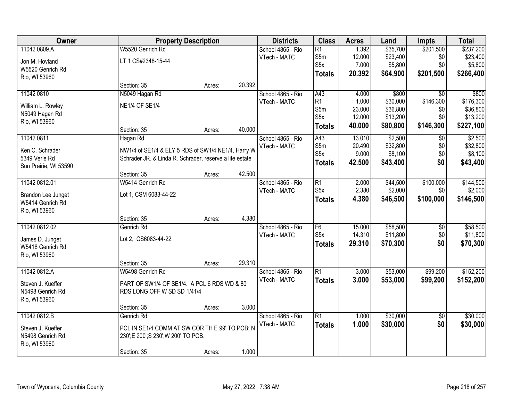| Owner                 |                                                         | <b>Property Description</b> |        | <b>Districts</b>  | <b>Class</b>             | <b>Acres</b> | Land     | <b>Impts</b>    | <b>Total</b> |
|-----------------------|---------------------------------------------------------|-----------------------------|--------|-------------------|--------------------------|--------------|----------|-----------------|--------------|
| 11042 0809.A          | W5520 Genrich Rd                                        |                             |        | School 4865 - Rio | $\overline{R1}$          | 1.392        | \$35,700 | \$201,500       | \$237,200    |
| Jon M. Hovland        | LT 1 CS#2348-15-44                                      |                             |        | VTech - MATC      | S5m                      | 12.000       | \$23,400 | \$0             | \$23,400     |
| W5520 Genrich Rd      |                                                         |                             |        |                   | S <sub>5</sub> x         | 7.000        | \$5,800  | \$0             | \$5,800      |
| Rio, WI 53960         |                                                         |                             |        |                   | Totals                   | 20.392       | \$64,900 | \$201,500       | \$266,400    |
|                       | Section: 35                                             | Acres:                      | 20.392 |                   |                          |              |          |                 |              |
| 11042 0810            | N5049 Hagan Rd                                          |                             |        | School 4865 - Rio | A43                      | 4.000        | \$800    | $\overline{50}$ | \$800        |
| William L. Rowley     | <b>NE1/4 OF SE1/4</b>                                   |                             |        | VTech - MATC      | R <sub>1</sub>           | 1.000        | \$30,000 | \$146,300       | \$176,300    |
| N5049 Hagan Rd        |                                                         |                             |        |                   | S5m                      | 23.000       | \$36,800 | \$0             | \$36,800     |
| Rio, WI 53960         |                                                         |                             |        |                   | S <sub>5</sub> x         | 12.000       | \$13,200 | \$0             | \$13,200     |
|                       | Section: 35                                             | Acres:                      | 40.000 |                   | <b>Totals</b>            | 40.000       | \$80,800 | \$146,300       | \$227,100    |
| 11042 0811            | Hagan Rd                                                |                             |        | School 4865 - Rio | A43                      | 13.010       | \$2,500  | \$0             | \$2,500      |
| Ken C. Schrader       | NW1/4 of SE1/4 & ELY 5 RDS of SW1/4 NE1/4, Harry W      |                             |        | VTech - MATC      | S5m                      | 20.490       | \$32,800 | \$0             | \$32,800     |
| 5349 Verle Rd         | Schrader JR. & Linda R. Schrader, reserve a life estate |                             |        |                   | S5x                      | 9.000        | \$8,100  | \$0             | \$8,100      |
| Sun Prairie, WI 53590 |                                                         |                             |        |                   | Totals                   | 42.500       | \$43,400 | \$0             | \$43,400     |
|                       | Section: 35                                             | Acres:                      | 42.500 |                   |                          |              |          |                 |              |
| 11042 0812.01         | W5414 Genrich Rd                                        |                             |        | School 4865 - Rio | R1                       | 2.000        | \$44,500 | \$100,000       | \$144,500    |
| Brandon Lee Junget    | Lot 1, CSM 6083-44-22                                   |                             |        | VTech - MATC      | S5x                      | 2.380        | \$2,000  | \$0             | \$2,000      |
| W5414 Genrich Rd      |                                                         |                             |        |                   | <b>Totals</b>            | 4.380        | \$46,500 | \$100,000       | \$146,500    |
| Rio, WI 53960         |                                                         |                             |        |                   |                          |              |          |                 |              |
|                       | Section: 35                                             | Acres:                      | 4.380  |                   |                          |              |          |                 |              |
| 11042 0812.02         | Genrich Rd                                              |                             |        | School 4865 - Rio | F6                       | 15.000       | \$58,500 | \$0             | \$58,500     |
|                       |                                                         |                             |        | VTech - MATC      | S <sub>5x</sub>          | 14.310       | \$11,800 | \$0             | \$11,800     |
| James D. Junget       | Lot 2, CS6083-44-22                                     |                             |        |                   | <b>Totals</b>            | 29.310       | \$70,300 | \$0             | \$70,300     |
| W5418 Genrich Rd      |                                                         |                             |        |                   |                          |              |          |                 |              |
| Rio, WI 53960         | Section: 35                                             |                             | 29.310 |                   |                          |              |          |                 |              |
| 11042 0812.A          | W5498 Genrich Rd                                        | Acres:                      |        | School 4865 - Rio | $\overline{\mathsf{R}1}$ | 3.000        | \$53,000 | \$99,200        | \$152,200    |
|                       |                                                         |                             |        | VTech - MATC      | <b>Totals</b>            | 3.000        | \$53,000 | \$99,200        | \$152,200    |
| Steven J. Kueffer     | PART OF SW1/4 OF SE1/4. A PCL 6 RDS WD & 80             |                             |        |                   |                          |              |          |                 |              |
| N5498 Genrich Rd      | RDS LONG OFF W SD SD 1/41/4                             |                             |        |                   |                          |              |          |                 |              |
| Rio, WI 53960         |                                                         |                             |        |                   |                          |              |          |                 |              |
|                       | Section: 35                                             | Acres:                      | 3.000  |                   |                          |              |          |                 |              |
| 11042 0812.B          | Genrich Rd                                              |                             |        | School 4865 - Rio | R1                       | 1.000        | \$30,000 | $\overline{50}$ | \$30,000     |
| Steven J. Kueffer     | PCL IN SE1/4 COMM AT SW COR THE 99' TO POB; N           |                             |        | VTech - MATC      | <b>Totals</b>            | 1.000        | \$30,000 | \$0             | \$30,000     |
| N5498 Genrich Rd      | 230';E 200';S 230';W 200' TO POB.                       |                             |        |                   |                          |              |          |                 |              |
| Rio, WI 53960         |                                                         |                             |        |                   |                          |              |          |                 |              |
|                       | Section: 35                                             | Acres:                      | 1.000  |                   |                          |              |          |                 |              |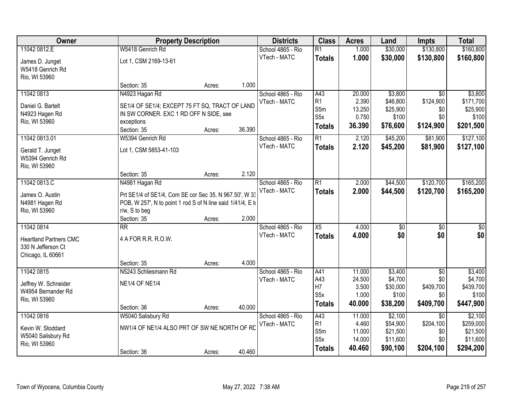| Owner                             |                                                                                                                       | <b>Property Description</b> |        |                   | <b>Class</b>     | <b>Acres</b>     | Land                 | <b>Impts</b>    | <b>Total</b>         |
|-----------------------------------|-----------------------------------------------------------------------------------------------------------------------|-----------------------------|--------|-------------------|------------------|------------------|----------------------|-----------------|----------------------|
| 11042 0812.E                      | W5418 Genrich Rd                                                                                                      |                             |        | School 4865 - Rio | $\overline{R1}$  | 1.000            | \$30,000             | \$130,800       | \$160,800            |
| James D. Junget                   | Lot 1, CSM 2169-13-61                                                                                                 |                             |        | VTech - MATC      | <b>Totals</b>    | 1.000            | \$30,000             | \$130,800       | \$160,800            |
| W5418 Genrich Rd                  |                                                                                                                       |                             |        |                   |                  |                  |                      |                 |                      |
| Rio, WI 53960                     |                                                                                                                       |                             |        |                   |                  |                  |                      |                 |                      |
|                                   | Section: 35                                                                                                           | Acres:                      | 1.000  |                   |                  |                  |                      |                 |                      |
| 11042 0813                        | N4923 Hagan Rd                                                                                                        |                             |        | School 4865 - Rio | A43              | 20.000           | \$3,800              | $\overline{50}$ | \$3,800              |
| Daniel G. Bartelt                 | SE1/4 OF SE1/4; EXCEPT 75 FT SQ, TRACT OF LAND                                                                        |                             |        | VTech - MATC      | R1               | 2.390            | \$46,800             | \$124,900       | \$171,700            |
| N4923 Hagen Rd                    | IN SW CORNER. EXC 1 RD OFF N SIDE, see                                                                                |                             |        |                   | S5m              | 13.250           | \$25,900             | \$0             | \$25,900             |
| Rio, WI 53960                     | exceptions                                                                                                            |                             |        |                   | S <sub>5</sub> x | 0.750            | \$100                | \$0             | \$100                |
|                                   | Section: 35                                                                                                           | Acres:                      | 36.390 |                   | <b>Totals</b>    | 36.390           | \$76,600             | \$124,900       | \$201,500            |
| 11042 0813.01                     | W5394 Genrich Rd                                                                                                      |                             |        | School 4865 - Rio | $\overline{R1}$  | 2.120            | \$45,200             | \$81,900        | \$127,100            |
| Gerald T. Junget                  | Lot 1, CSM 5853-41-103                                                                                                |                             |        | VTech - MATC      | <b>Totals</b>    | 2.120            | \$45,200             | \$81,900        | \$127,100            |
| W5394 Genrich Rd                  |                                                                                                                       |                             |        |                   |                  |                  |                      |                 |                      |
| Rio, WI 53960                     |                                                                                                                       |                             |        |                   |                  |                  |                      |                 |                      |
|                                   | Section: 35                                                                                                           | Acres:                      | 2.120  |                   |                  |                  |                      |                 |                      |
| 11042 0813.C                      | N4981 Hagan Rd                                                                                                        |                             |        | School 4865 - Rio | R1               | 2.000            | \$44,500             | \$120,700       | \$165,200            |
|                                   |                                                                                                                       |                             |        | VTech - MATC      | <b>Totals</b>    | 2.000            | \$44,500             | \$120,700       | \$165,200            |
| James O. Austin<br>N4981 Hagen Rd | Prt SE1/4 of SE1/4, Com SE cor Sec 35, N 967.50', W 33<br>POB, W 257', N to point 1 rod S of N line said 1/41/4, E to |                             |        |                   |                  |                  |                      |                 |                      |
| Rio, WI 53960                     | r/w, S to beg                                                                                                         |                             |        |                   |                  |                  |                      |                 |                      |
|                                   | Section: 35                                                                                                           | Acres:                      | 2.000  |                   |                  |                  |                      |                 |                      |
| 11042 0814                        | $\overline{\text{RR}}$                                                                                                |                             |        | School 4865 - Rio | $\overline{X5}$  | 4.000            | $\overline{50}$      | $\overline{50}$ | $\overline{50}$      |
|                                   |                                                                                                                       |                             |        | VTech - MATC      | <b>Totals</b>    | 4.000            | \$0                  | \$0             | \$0                  |
| <b>Heartland Partners CMC</b>     | 4 A FOR R.R. R.O.W.                                                                                                   |                             |        |                   |                  |                  |                      |                 |                      |
| 330 N Jefferson Ct                |                                                                                                                       |                             |        |                   |                  |                  |                      |                 |                      |
| Chicago, IL 60661                 |                                                                                                                       |                             | 4.000  |                   |                  |                  |                      |                 |                      |
| 11042 0815                        | Section: 35<br>N5243 Schliesmann Rd                                                                                   | Acres:                      |        | School 4865 - Rio | A41              | 11.000           | \$3,400              | $\overline{50}$ | \$3,400              |
|                                   |                                                                                                                       |                             |        | VTech - MATC      | A43              | 24.500           | \$4,700              | \$0             | \$4,700              |
| Jeffrey W. Schneider              | <b>NE1/4 OF NE1/4</b>                                                                                                 |                             |        |                   | H7               | 3.500            | \$30,000             | \$409,700       | \$439,700            |
| W4954 Bernander Rd                |                                                                                                                       |                             |        |                   | S <sub>5</sub> x | 1.000            | \$100                | \$0             | \$100                |
| Rio, WI 53960                     |                                                                                                                       |                             |        |                   | <b>Totals</b>    | 40.000           | \$38,200             | \$409,700       | \$447,900            |
|                                   | Section: 36                                                                                                           | Acres:                      | 40.000 |                   |                  |                  |                      |                 |                      |
| 11042 0816                        | W5040 Salisbury Rd                                                                                                    |                             |        | School 4865 - Rio | A43              | 11.000           | \$2,100              | $\overline{30}$ | \$2,100              |
| Kevin W. Stoddard                 | NW1/4 OF NE1/4 ALSO PRT OF SW NE NORTH OF RD                                                                          |                             |        | VTech - MATC      | R1<br>S5m        | 4.460            | \$54,900             | \$204,100       | \$259,000            |
| W5040 Salisbury Rd                |                                                                                                                       |                             |        |                   | S <sub>5</sub> x | 11.000<br>14.000 | \$21,500<br>\$11,600 | \$0<br>\$0      | \$21,500<br>\$11,600 |
| Rio, WI 53960                     |                                                                                                                       |                             |        |                   |                  | 40.460           | \$90,100             | \$204,100       | \$294,200            |
|                                   | Section: 36                                                                                                           | Acres:                      | 40.460 |                   | <b>Totals</b>    |                  |                      |                 |                      |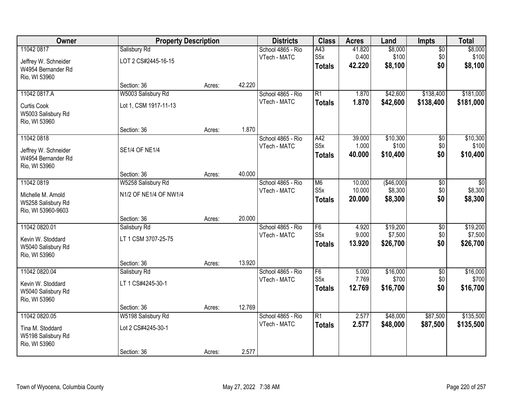| Owner                                                                        | <b>Property Description</b>                             |        | <b>Districts</b> | <b>Class</b>                      | <b>Acres</b>                                        | Land                       | <b>Impts</b>                     | <b>Total</b>                  |                                 |
|------------------------------------------------------------------------------|---------------------------------------------------------|--------|------------------|-----------------------------------|-----------------------------------------------------|----------------------------|----------------------------------|-------------------------------|---------------------------------|
| 11042 0817<br>Jeffrey W. Schneider<br>W4954 Bernander Rd<br>Rio, WI 53960    | Salisbury Rd<br>LOT 2 CS#2445-16-15                     |        |                  | School 4865 - Rio<br>VTech - MATC | A43<br>S5x<br><b>Totals</b>                         | 41.820<br>0.400<br>42.220  | \$8,000<br>\$100<br>\$8,100      | $\overline{50}$<br>\$0<br>\$0 | \$8,000<br>\$100<br>\$8,100     |
|                                                                              | Section: 36                                             | Acres: | 42.220           |                                   |                                                     |                            |                                  |                               |                                 |
| 11042 0817.A<br>Curtis Cook<br>W5003 Salisbury Rd<br>Rio, WI 53960           | W5003 Salisbury Rd<br>Lot 1, CSM 1917-11-13             |        |                  | School 4865 - Rio<br>VTech - MATC | $\overline{R1}$<br><b>Totals</b>                    | 1.870<br>1.870             | \$42,600<br>\$42,600             | \$138,400<br>\$138,400        | \$181,000<br>\$181,000          |
| 11042 0818                                                                   | Section: 36                                             | Acres: | 1.870            | School 4865 - Rio                 | A42                                                 | 39.000                     | \$10,300                         |                               | \$10,300                        |
| Jeffrey W. Schneider<br>W4954 Bernander Rd<br>Rio, WI 53960                  | <b>SE1/4 OF NE1/4</b>                                   |        |                  | VTech - MATC                      | S <sub>5</sub> x<br><b>Totals</b>                   | 1.000<br>40.000            | \$100<br>\$10,400                | \$0<br>\$0<br>\$0             | \$100<br>\$10,400               |
|                                                                              | Section: 36                                             | Acres: | 40.000           |                                   |                                                     |                            |                                  |                               |                                 |
| 11042 0819<br>Michelle M. Arnold<br>W5258 Salisbury Rd<br>Rio, WI 53960-9603 | W5258 Salisbury Rd<br>N1/2 OF NE1/4 OF NW1/4            |        |                  | School 4865 - Rio<br>VTech - MATC | M <sub>6</sub><br>S <sub>5</sub> x<br><b>Totals</b> | 10.000<br>10.000<br>20.000 | (\$46,000)<br>\$8,300<br>\$8,300 | \$0<br>\$0<br>\$0             | \$0<br>\$8,300<br>\$8,300       |
|                                                                              | Section: 36                                             | Acres: | 20.000           |                                   |                                                     |                            |                                  |                               |                                 |
| 11042 0820.01<br>Kevin W. Stoddard<br>W5040 Salisbury Rd<br>Rio, WI 53960    | Salisbury Rd<br>LT 1 CSM 3707-25-75                     |        |                  | School 4865 - Rio<br>VTech - MATC | F6<br>S5x<br><b>Totals</b>                          | 4.920<br>9.000<br>13.920   | \$19,200<br>\$7,500<br>\$26,700  | \$0<br>\$0<br>\$0             | \$19,200<br>\$7,500<br>\$26,700 |
|                                                                              | Section: 36                                             | Acres: | 13.920           |                                   |                                                     |                            |                                  |                               |                                 |
| 11042 0820.04<br>Kevin W. Stoddard<br>W5040 Salisbury Rd<br>Rio, WI 53960    | Salisbury Rd<br>LT 1 CS#4245-30-1                       |        |                  | School 4865 - Rio<br>VTech - MATC | F6<br>S5x<br>Totals                                 | 5.000<br>7.769<br>12.769   | \$16,000<br>\$700<br>\$16,700    | $\sqrt{6}$<br>\$0<br>\$0      | \$16,000<br>\$700<br>\$16,700   |
|                                                                              | Section: 36                                             | Acres: | 12.769           |                                   |                                                     |                            |                                  |                               |                                 |
| 11042 0820.05<br>Tina M. Stoddard<br>W5198 Salisbury Rd<br>Rio, WI 53960     | W5198 Salisbury Rd<br>Lot 2 CS#4245-30-1<br>Section: 36 | Acres: | 2.577            | School 4865 - Rio<br>VTech - MATC | $\overline{R1}$<br><b>Totals</b>                    | 2.577<br>2.577             | \$48,000<br>\$48,000             | \$87,500<br>\$87,500          | \$135,500<br>\$135,500          |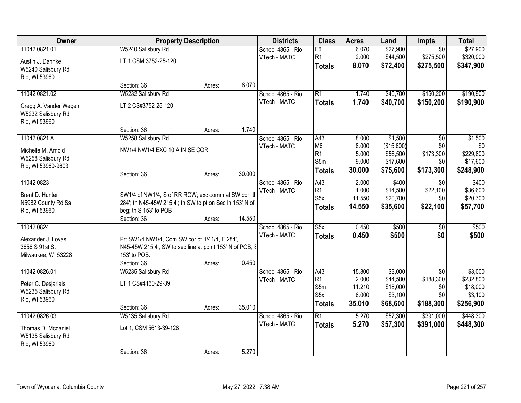| Owner                                                                          |                                                                                                                                                         | <b>Property Description</b> |                 | <b>Districts</b>                  | <b>Class</b>                                          | <b>Acres</b>                                 | Land                                                      | <b>Impts</b>                                            | <b>Total</b>                                             |
|--------------------------------------------------------------------------------|---------------------------------------------------------------------------------------------------------------------------------------------------------|-----------------------------|-----------------|-----------------------------------|-------------------------------------------------------|----------------------------------------------|-----------------------------------------------------------|---------------------------------------------------------|----------------------------------------------------------|
| 11042 0821.01<br>Austin J. Dahnke<br>W5240 Salisbury Rd                        | W5240 Salisbury Rd<br>LT 1 CSM 3752-25-120                                                                                                              |                             |                 | School 4865 - Rio<br>VTech - MATC | F6<br>R1<br><b>Totals</b>                             | 6.070<br>2.000<br>8.070                      | \$27,900<br>\$44,500<br>\$72,400                          | $\overline{50}$<br>\$275,500<br>\$275,500               | \$27,900<br>\$320,000<br>\$347,900                       |
| Rio, WI 53960                                                                  | Section: 36                                                                                                                                             | Acres:                      | 8.070           |                                   |                                                       |                                              |                                                           |                                                         |                                                          |
| 11042 0821.02<br>Gregg A. Vander Wegen<br>W5232 Salisbury Rd<br>Rio, WI 53960  | W5232 Salisbury Rd<br>LT 2 CS#3752-25-120                                                                                                               |                             |                 | School 4865 - Rio<br>VTech - MATC | $\overline{R1}$<br><b>Totals</b>                      | 1.740<br>1.740                               | \$40,700<br>\$40,700                                      | \$150,200<br>\$150,200                                  | \$190,900<br>\$190,900                                   |
| 11042 0821.A<br>Michelle M. Arnold<br>W5258 Salisbury Rd<br>Rio, WI 53960-9603 | Section: 36<br>W5258 Salisbury Rd<br>NW1/4 NW1/4 EXC 10.A IN SE COR<br>Section: 36                                                                      | Acres:<br>Acres:            | 1.740<br>30.000 | School 4865 - Rio<br>VTech - MATC | A43<br>M <sub>6</sub><br>R1<br>S5m<br><b>Totals</b>   | 8.000<br>8.000<br>5.000<br>9.000<br>30.000   | \$1,500<br>(\$15,600)<br>\$56,500<br>\$17,600<br>\$75,600 | $\overline{50}$<br>\$0<br>\$173,300<br>\$0<br>\$173,300 | \$1,500<br>\$0<br>\$229,800<br>\$17,600<br>\$248,900     |
| 11042 0823<br>Brent D. Hunter<br>N5982 County Rd Ss<br>Rio, WI 53960           | SW1/4 of NW1/4, S of RR ROW; exc comm at SW cor; th<br>284'; th N45-45W 215.4'; th SW to pt on Sec In 153' N of<br>beg; th S 153' to POB<br>Section: 36 | Acres:                      | 14.550          | School 4865 - Rio<br>VTech - MATC | A43<br>R1<br>S <sub>5</sub> x<br><b>Totals</b>        | 2.000<br>1.000<br>11.550<br>14.550           | \$400<br>\$14,500<br>\$20,700<br>\$35,600                 | \$0<br>\$22,100<br>\$0<br>\$22,100                      | \$400<br>\$36,600<br>\$20,700<br>\$57,700                |
| 11042 0824<br>Alexander J. Lovas<br>3656 S 91st St<br>Milwaukee, WI 53228      | Prt SW1/4 NW1/4, Com SW cor of 1/41/4, E 284',<br>N45-45W 215.4', SW to sec line at point 153' N of POB, §<br>153' to POB.<br>Section: 36               | Acres:                      | 0.450           | School 4865 - Rio<br>VTech - MATC | $\overline{\text{S5x}}$<br><b>Totals</b>              | 0.450<br>0.450                               | \$500<br>\$500                                            | $\overline{50}$<br>\$0                                  | \$500<br>\$500                                           |
| 11042 0826.01<br>Peter C. Desjarlais<br>W5235 Salisbury Rd<br>Rio, WI 53960    | W5235 Salisbury Rd<br>LT 1 CS#4160-29-39<br>Section: 36                                                                                                 | Acres:                      | 35.010          | School 4865 - Rio<br>VTech - MATC | A43<br>R1<br>S5m<br>S <sub>5</sub> x<br><b>Totals</b> | 15.800<br>2.000<br>11.210<br>6.000<br>35.010 | \$3,000<br>\$44,500<br>\$18,000<br>\$3,100<br>\$68,600    | $\overline{50}$<br>\$188,300<br>\$0<br>\$0<br>\$188,300 | \$3,000<br>\$232,800<br>\$18,000<br>\$3,100<br>\$256,900 |
| 11042 0826.03<br>Thomas D. Mcdaniel<br>W5135 Salisbury Rd<br>Rio, WI 53960     | W5135 Salisbury Rd<br>Lot 1, CSM 5613-39-128<br>Section: 36                                                                                             | Acres:                      | 5.270           | School 4865 - Rio<br>VTech - MATC | $\overline{R1}$<br><b>Totals</b>                      | 5.270<br>5.270                               | \$57,300<br>\$57,300                                      | \$391,000<br>\$391,000                                  | \$448,300<br>\$448,300                                   |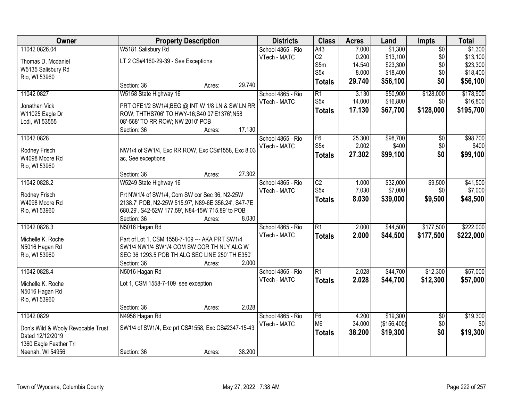| Owner                                                  | <b>Property Description</b>                         |        |        | <b>Districts</b>  | <b>Class</b>     | <b>Acres</b> | Land        | Impts           | <b>Total</b> |
|--------------------------------------------------------|-----------------------------------------------------|--------|--------|-------------------|------------------|--------------|-------------|-----------------|--------------|
| 11042 0826.04                                          | W5181 Salisbury Rd                                  |        |        | School 4865 - Rio | A43              | 7.000        | \$1,300     | $\overline{50}$ | \$1,300      |
| Thomas D. Mcdaniel                                     | LT 2 CS#4160-29-39 - See Exceptions                 |        |        | VTech - MATC      | C2               | 0.200        | \$13,100    | \$0             | \$13,100     |
| W5135 Salisbury Rd                                     |                                                     |        |        |                   | S5m              | 14.540       | \$23,300    | \$0             | \$23,300     |
| Rio, WI 53960                                          |                                                     |        |        |                   | S <sub>5</sub> x | 8.000        | \$18,400    | \$0             | \$18,400     |
|                                                        | Section: 36                                         | Acres: | 29.740 |                   | <b>Totals</b>    | 29.740       | \$56,100    | \$0             | \$56,100     |
| 11042 0827                                             | W5158 State Highway 16                              |        |        | School 4865 - Rio | $\overline{R1}$  | 3.130        | \$50,900    | \$128,000       | \$178,900    |
| Jonathan Vick                                          | PRT OFE1/2 SW1/4; BEG @ INT W 1/8 LN & SW LN RR     |        |        | VTech - MATC      | S <sub>5</sub> x | 14.000       | \$16,800    | \$0             | \$16,800     |
| W11025 Eagle Dr                                        | ROW; THTHS706' TO HWY-16;S40 07'E1376';N58          |        |        |                   | <b>Totals</b>    | 17.130       | \$67,700    | \$128,000       | \$195,700    |
| Lodi, WI 53555                                         | 08'-568' TO RR ROW; NW 2010' POB                    |        |        |                   |                  |              |             |                 |              |
|                                                        | Section: 36                                         | Acres: | 17.130 |                   |                  |              |             |                 |              |
| 11042 0828                                             |                                                     |        |        | School 4865 - Rio | $\overline{F6}$  | 25.300       | \$98,700    | $\overline{50}$ | \$98,700     |
| Rodney Frisch                                          | NW1/4 of SW1/4, Exc RR ROW, Exc CS#1558, Exc 8.03   |        |        | VTech - MATC      | S <sub>5</sub> x | 2.002        | \$400       | \$0             | \$400        |
| W4098 Moore Rd                                         | ac, See exceptions                                  |        |        |                   | <b>Totals</b>    | 27.302       | \$99,100    | \$0             | \$99,100     |
| Rio, WI 53960                                          |                                                     |        |        |                   |                  |              |             |                 |              |
|                                                        | Section: 36                                         | Acres: | 27.302 |                   |                  |              |             |                 |              |
| 11042 0828.2                                           | W5249 State Highway 16                              |        |        | School 4865 - Rio | $\overline{C2}$  | 1.000        | \$32,000    | \$9,500         | \$41,500     |
|                                                        |                                                     |        |        | VTech - MATC      | S <sub>5</sub> x | 7.030        | \$7,000     | \$0             | \$7,000      |
| Rodney Frisch                                          | Prt NW1/4 of SW1/4, Com SW cor Sec 36, N2-25W       |        |        |                   | <b>Totals</b>    | 8.030        | \$39,000    | \$9,500         | \$48,500     |
| W4098 Moore Rd                                         | 2138.7' POB, N2-25W 515.97', N89-6E 356.24', S47-7E |        |        |                   |                  |              |             |                 |              |
| Rio, WI 53960                                          | 680.29', S42-52W 177.59', N84-15W 715.89' to POB    |        |        |                   |                  |              |             |                 |              |
|                                                        | Section: 36                                         | Acres: | 8.030  |                   |                  |              |             |                 |              |
| 11042 0828.3                                           | N5016 Hagan Rd                                      |        |        | School 4865 - Rio | $\overline{R1}$  | 2.000        | \$44,500    | \$177,500       | \$222,000    |
| Michelle K. Roche                                      | Part of Lot 1, CSM 1558-7-109 --- AKA PRT SW1/4     |        |        | VTech - MATC      | <b>Totals</b>    | 2.000        | \$44,500    | \$177,500       | \$222,000    |
| N5016 Hagan Rd                                         | SW1/4 NW1/4 SW1/4 COM SW COR TH NLY ALG W           |        |        |                   |                  |              |             |                 |              |
| Rio, WI 53960                                          | SEC 36 1293.5 POB TH ALG SEC LINE 250' TH E350'     |        |        |                   |                  |              |             |                 |              |
|                                                        | Section: 36                                         | Acres: | 2.000  |                   |                  |              |             |                 |              |
| 11042 0828.4                                           | N5016 Hagan Rd                                      |        |        | School 4865 - Rio | $\overline{R1}$  | 2.028        | \$44,700    | \$12,300        | \$57,000     |
| Michelle K. Roche                                      | Lot 1, CSM 1558-7-109 see exception                 |        |        | VTech - MATC      | <b>Totals</b>    | 2.028        | \$44,700    | \$12,300        | \$57,000     |
| N5016 Hagan Rd                                         |                                                     |        |        |                   |                  |              |             |                 |              |
| Rio, WI 53960                                          |                                                     |        |        |                   |                  |              |             |                 |              |
|                                                        | Section: 36                                         | Acres: | 2.028  |                   |                  |              |             |                 |              |
| 11042 0829                                             | N4956 Hagan Rd                                      |        |        | School 4865 - Rio | F6               | 4.200        | \$19,300    | $\overline{50}$ | \$19,300     |
|                                                        | SW1/4 of SW1/4, Exc prt CS#1558, Exc CS#2347-15-43  |        |        | VTech - MATC      | M <sub>6</sub>   | 34.000       | (\$156,400) | \$0             | \$0          |
| Don's Wild & Wooly Revocable Trust<br>Dated 12/12/2019 |                                                     |        |        |                   | <b>Totals</b>    | 38.200       | \$19,300    | \$0             | \$19,300     |
| 1360 Eagle Feather Trl                                 |                                                     |        |        |                   |                  |              |             |                 |              |
| Neenah, WI 54956                                       | Section: 36                                         | Acres: | 38.200 |                   |                  |              |             |                 |              |
|                                                        |                                                     |        |        |                   |                  |              |             |                 |              |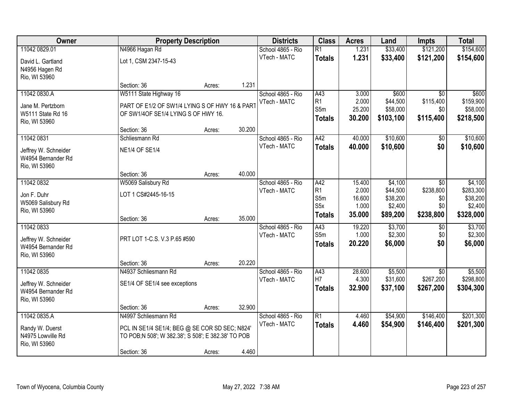| Owner                                                                     |                                                                                                                              | <b>Property Description</b> |        | <b>Districts</b>                  | <b>Class</b>                                  | <b>Acres</b>                       | Land                                       | <b>Impts</b>                              | <b>Total</b>                                |
|---------------------------------------------------------------------------|------------------------------------------------------------------------------------------------------------------------------|-----------------------------|--------|-----------------------------------|-----------------------------------------------|------------------------------------|--------------------------------------------|-------------------------------------------|---------------------------------------------|
| 11042 0829.01                                                             | N4966 Hagan Rd                                                                                                               |                             |        | School 4865 - Rio                 | R1                                            | 1.231                              | \$33,400                                   | \$121,200                                 | \$154,600                                   |
| David L. Gartland<br>N4956 Hagen Rd<br>Rio, WI 53960                      | Lot 1, CSM 2347-15-43                                                                                                        |                             |        | VTech - MATC                      | <b>Totals</b>                                 | 1.231                              | \$33,400                                   | \$121,200                                 | \$154,600                                   |
|                                                                           | Section: 36                                                                                                                  | Acres:                      | 1.231  |                                   |                                               |                                    |                                            |                                           |                                             |
| 11042 0830.A<br>Jane M. Pertzborn<br>W5111 State Rd 16                    | W5111 State Highway 16<br>PART OF E1/2 OF SW1/4 LYING S OF HWY 16 & PART<br>OF SW1/4OF SE1/4 LYING S OF HWY 16.              |                             |        | School 4865 - Rio<br>VTech - MATC | A43<br>R <sub>1</sub><br>S5m<br><b>Totals</b> | 3.000<br>2.000<br>25.200<br>30.200 | \$600<br>\$44,500<br>\$58,000<br>\$103,100 | \$0<br>\$115,400<br>\$0<br>\$115,400      | \$600<br>\$159,900<br>\$58,000<br>\$218,500 |
| Rio, WI 53960                                                             |                                                                                                                              |                             |        |                                   |                                               |                                    |                                            |                                           |                                             |
| 11042 0831                                                                | Section: 36<br>Schliesmann Rd                                                                                                | Acres:                      | 30.200 | School 4865 - Rio                 | A42                                           | 40.000                             | \$10,600                                   | $\sqrt[6]{3}$                             | \$10,600                                    |
| Jeffrey W. Schneider<br>W4954 Bernander Rd<br>Rio, WI 53960               | <b>NE1/4 OF SE1/4</b>                                                                                                        |                             |        | VTech - MATC                      | <b>Totals</b>                                 | 40.000                             | \$10,600                                   | \$0                                       | \$10,600                                    |
|                                                                           | Section: 36                                                                                                                  | Acres:                      | 40.000 |                                   |                                               |                                    |                                            |                                           |                                             |
| 11042 0832<br>Jon F. Duhr<br>W5069 Salisbury Rd<br>Rio, WI 53960          | W5069 Salisbury Rd<br>LOT 1 CS#2445-16-15                                                                                    |                             |        | School 4865 - Rio<br>VTech - MATC | A42<br>R1<br>S5m<br>S <sub>5</sub> x          | 15.400<br>2.000<br>16.600<br>1.000 | \$4,100<br>\$44,500<br>\$38,200<br>\$2,400 | $\sqrt{6}$<br>\$238,800<br>\$0<br>\$0     | \$4,100<br>\$283,300<br>\$38,200<br>\$2,400 |
|                                                                           | Section: 36                                                                                                                  | Acres:                      | 35.000 |                                   | <b>Totals</b>                                 | 35.000                             | \$89,200                                   | \$238,800                                 | \$328,000                                   |
| 11042 0833<br>Jeffrey W. Schneider<br>W4954 Bernander Rd<br>Rio, WI 53960 | PRT LOT 1-C.S. V.3 P.65 #590                                                                                                 |                             |        | School 4865 - Rio<br>VTech - MATC | A43<br>S5m<br><b>Totals</b>                   | 19.220<br>1.000<br>20.220          | \$3,700<br>\$2,300<br>\$6,000              | \$0<br>\$0<br>\$0                         | \$3,700<br>\$2,300<br>\$6,000               |
|                                                                           | Section: 36                                                                                                                  | Acres:                      | 20.220 |                                   |                                               |                                    |                                            |                                           |                                             |
| 11042 0835<br>Jeffrey W. Schneider<br>W4954 Bernander Rd<br>Rio, WI 53960 | N4937 Schliesmann Rd<br>SE1/4 OF SE1/4 see exceptions                                                                        |                             |        | School 4865 - Rio<br>VTech - MATC | A43<br>H7<br><b>Totals</b>                    | 28.600<br>4.300<br>32.900          | \$5,500<br>\$31,600<br>\$37,100            | $\overline{50}$<br>\$267,200<br>\$267,200 | \$5,500<br>\$298,800<br>\$304,300           |
|                                                                           | Section: 36                                                                                                                  | Acres:                      | 32.900 |                                   |                                               |                                    |                                            |                                           |                                             |
| 11042 0835.A<br>Randy W. Duerst<br>N4975 Lowville Rd<br>Rio, WI 53960     | N4997 Schliesmann Rd<br>PCL IN SE1/4 SE1/4; BEG @ SE COR SD SEC; N824'<br>TO POB;N 508'; W 382.38'; S 508'; E 382.38' TO POB |                             |        | School 4865 - Rio<br>VTech - MATC | R1<br><b>Totals</b>                           | 4.460<br>4.460                     | \$54,900<br>\$54,900                       | \$146,400<br>\$146,400                    | \$201,300<br>\$201,300                      |
|                                                                           | Section: 36                                                                                                                  | Acres:                      | 4.460  |                                   |                                               |                                    |                                            |                                           |                                             |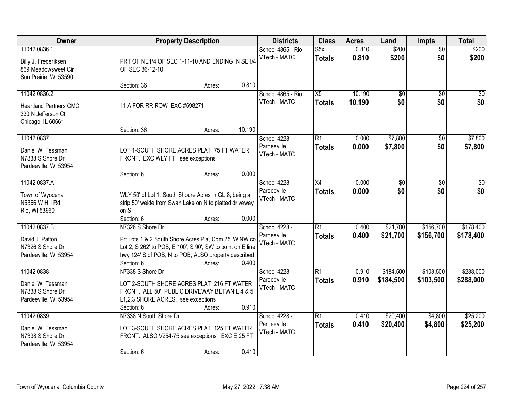| Owner                                                                                    | <b>Property Description</b>                                                                                                                                                                                                      | <b>Districts</b>                             | <b>Class</b>                              | <b>Acres</b>     | Land                   | <b>Impts</b>           | <b>Total</b>           |
|------------------------------------------------------------------------------------------|----------------------------------------------------------------------------------------------------------------------------------------------------------------------------------------------------------------------------------|----------------------------------------------|-------------------------------------------|------------------|------------------------|------------------------|------------------------|
| 11042 0836.1<br>Billy J. Frederiksen<br>869 Meadowsweet Cir<br>Sun Prairie, WI 53590     | PRT OF NE1/4 OF SEC 1-11-10 AND ENDING IN SE1/4<br>OF SEC 36-12-10                                                                                                                                                               | School 4865 - Rio<br>VTech - MATC            | S5x<br><b>Totals</b>                      | 0.810<br>0.810   | \$200<br>\$200         | $\overline{50}$<br>\$0 | \$200<br>\$200         |
|                                                                                          | 0.810<br>Section: 36<br>Acres:                                                                                                                                                                                                   |                                              |                                           |                  |                        |                        |                        |
| 11042 0836.2<br><b>Heartland Partners CMC</b><br>330 N Jefferson Ct<br>Chicago, IL 60661 | 11 A FOR RR ROW EXC #698271<br>10.190<br>Section: 36<br>Acres:                                                                                                                                                                   | School 4865 - Rio<br>VTech - MATC            | X5<br><b>Totals</b>                       | 10.190<br>10.190 | $\overline{50}$<br>\$0 | $\overline{30}$<br>\$0 | $\sqrt{50}$<br>\$0     |
| 11042 0837                                                                               |                                                                                                                                                                                                                                  | School 4228 -                                | R1                                        | 0.000            | \$7,800                | \$0                    | \$7,800                |
| Daniel W. Tessman<br>N7338 S Shore Dr<br>Pardeeville, WI 53954                           | LOT 1-SOUTH SHORE ACRES PLAT; 75 FT WATER<br>FRONT. EXC WLY FT see exceptions                                                                                                                                                    | Pardeeville<br>VTech - MATC                  | <b>Totals</b>                             | 0.000            | \$7,800                | \$0                    | \$7,800                |
|                                                                                          | 0.000<br>Section: 6<br>Acres:                                                                                                                                                                                                    |                                              |                                           |                  |                        |                        |                        |
| 11042 0837.A<br>Town of Wyocena<br>N5366 W Hill Rd<br>Rio, WI 53960                      | WLY 50' of Lot 1, South Shoure Acres in GL 8; being a<br>strip 50' weide from Swan Lake on N to platted driveway<br>on S<br>0.000<br>Section: 6<br>Acres:                                                                        | School 4228 -<br>Pardeeville<br>VTech - MATC | X4<br><b>Totals</b>                       | 0.000<br>0.000   | $\overline{50}$<br>\$0 | \$0<br>\$0             | \$0<br>\$0             |
| 11042 0837.B<br>David J. Patton<br>N7326 S Shore Dr<br>Pardeeville, WI 53954             | N7326 S Shore Dr<br>Prt Lots 1 & 2 South Shore Acres Pla, Com 25' W NW co<br>Lot 2, S 262' to POB, E 100', S 90', SW to point on E line<br>hwy 124' S of POB, N to POB; ALSO property described<br>0.400<br>Section: 6<br>Acres: | School 4228 -<br>Pardeeville<br>VTech - MATC | $\overline{R1}$<br><b>Totals</b>          | 0.400<br>0.400   | \$21,700<br>\$21,700   | \$156,700<br>\$156,700 | \$178,400<br>\$178,400 |
| 11042 0838<br>Daniel W. Tessman<br>N7338 S Shore Dr<br>Pardeeville, WI 53954             | N7338 S Shore Dr<br>LOT 2-SOUTH SHORE ACRES PLAT. 216 FT WATER<br>FRONT. ALL 50' PUBLIC DRIVEWAY BETWN L 4 & 5<br>L1,2,3 SHORE ACRES. see exceptions<br>0.910<br>Section: 6<br>Acres:                                            | School 4228 -<br>Pardeeville<br>VTech - MATC | $\overline{\mathsf{R}1}$<br><b>Totals</b> | 0.910<br>0.910   | \$184,500<br>\$184,500 | \$103,500<br>\$103,500 | \$288,000<br>\$288,000 |
| 11042 0839<br>Daniel W. Tessman<br>N7338 S Shore Dr<br>Pardeeville, WI 53954             | N7338 N South Shore Dr<br>LOT 3-SOUTH SHORE ACRES PLAT; 125 FT WATER<br>FRONT. ALSO V254-75 see exceptions EXC E 25 FT<br>0.410<br>Section: 6<br>Acres:                                                                          | School 4228 -<br>Pardeeville<br>VTech - MATC | R1<br><b>Totals</b>                       | 0.410<br>0.410   | \$20,400<br>\$20,400   | \$4,800<br>\$4,800     | \$25,200<br>\$25,200   |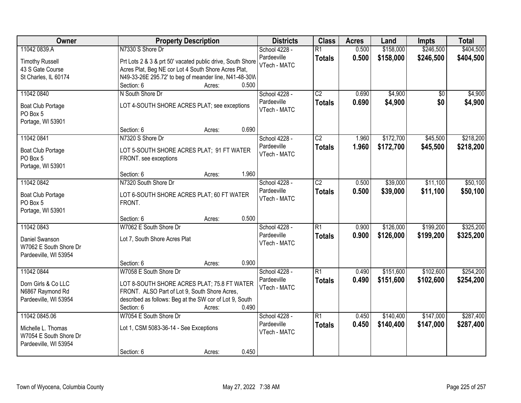| <b>Owner</b>                                 | <b>Property Description</b>                                | <b>Districts</b> | <b>Class</b>    | <b>Acres</b> | Land      | <b>Impts</b> | <b>Total</b> |
|----------------------------------------------|------------------------------------------------------------|------------------|-----------------|--------------|-----------|--------------|--------------|
| 11042 0839.A                                 | N7330 S Shore Dr                                           | School 4228 -    | $\overline{R1}$ | 0.500        | \$158,000 | \$246,500    | \$404,500    |
| <b>Timothy Russell</b>                       | Prt Lots 2 & 3 & prt 50' vacated public drive, South Shore | Pardeeville      | <b>Totals</b>   | 0.500        | \$158,000 | \$246,500    | \$404,500    |
| 43 S Gate Course                             | Acres Plat, Beg NE cor Lot 4 South Shore Acres Plat,       | VTech - MATC     |                 |              |           |              |              |
| St Charles, IL 60174                         | N49-33-26E 295.72' to beg of meander line, N41-48-30W      |                  |                 |              |           |              |              |
|                                              | 0.500<br>Section: 6<br>Acres:                              |                  |                 |              |           |              |              |
| 11042 0840                                   | N South Shore Dr                                           | School 4228 -    | $\overline{C2}$ | 0.690        | \$4,900   | \$0          | \$4,900      |
|                                              |                                                            | Pardeeville      | <b>Totals</b>   | 0.690        | \$4,900   | \$0          | \$4,900      |
| <b>Boat Club Portage</b>                     | LOT 4-SOUTH SHORE ACRES PLAT; see exceptions               | VTech - MATC     |                 |              |           |              |              |
| PO Box 5                                     |                                                            |                  |                 |              |           |              |              |
| Portage, WI 53901                            |                                                            |                  |                 |              |           |              |              |
|                                              | Section: 6<br>0.690<br>Acres:                              |                  |                 |              |           |              |              |
| 11042 0841                                   | N7320 S Shore Dr                                           | School 4228 -    | $\overline{C2}$ | 1.960        | \$172,700 | \$45,500     | \$218,200    |
| <b>Boat Club Portage</b>                     | LOT 5-SOUTH SHORE ACRES PLAT; 91 FT WATER                  | Pardeeville      | <b>Totals</b>   | 1.960        | \$172,700 | \$45,500     | \$218,200    |
| PO Box 5                                     | FRONT. see exceptions                                      | VTech - MATC     |                 |              |           |              |              |
| Portage, WI 53901                            |                                                            |                  |                 |              |           |              |              |
|                                              | 1.960<br>Section: 6<br>Acres:                              |                  |                 |              |           |              |              |
| 11042 0842                                   | N7320 South Shore Dr                                       | School 4228 -    | $\overline{C2}$ | 0.500        | \$39,000  | \$11,100     | \$50,100     |
|                                              | LOT 6-SOUTH SHORE ACRES PLAT; 60 FT WATER                  | Pardeeville      | <b>Totals</b>   | 0.500        | \$39,000  | \$11,100     | \$50,100     |
| <b>Boat Club Portage</b><br>PO Box 5         | FRONT.                                                     | VTech - MATC     |                 |              |           |              |              |
| Portage, WI 53901                            |                                                            |                  |                 |              |           |              |              |
|                                              | 0.500<br>Section: 6<br>Acres:                              |                  |                 |              |           |              |              |
| 11042 0843                                   | W7062 E South Shore Dr                                     | School 4228 -    | $\overline{R1}$ | 0.900        | \$126,000 | \$199,200    | \$325,200    |
|                                              |                                                            | Pardeeville      | <b>Totals</b>   | 0.900        | \$126,000 | \$199,200    | \$325,200    |
| Daniel Swanson                               | Lot 7, South Shore Acres Plat                              | VTech - MATC     |                 |              |           |              |              |
| W7062 E South Shore Dr                       |                                                            |                  |                 |              |           |              |              |
| Pardeeville, WI 53954                        |                                                            |                  |                 |              |           |              |              |
|                                              | 0.900<br>Section: 6<br>Acres:                              |                  |                 |              |           |              |              |
| 11042 0844                                   | W7058 E South Shore Dr                                     | School 4228 -    | $\overline{R1}$ | 0.490        | \$151,600 | \$102,600    | \$254,200    |
| Dorn Girls & Co LLC                          | LOT 8-SOUTH SHORE ACRES PLAT; 75.8 FT WATER                | Pardeeville      | <b>Totals</b>   | 0.490        | \$151,600 | \$102,600    | \$254,200    |
| N6867 Raymond Rd                             | FRONT. ALSO Part of Lot 9, South Shore Acres,              | VTech - MATC     |                 |              |           |              |              |
| Pardeeville, WI 53954                        | described as follows: Beg at the SW cor of Lot 9, South    |                  |                 |              |           |              |              |
|                                              | 0.490<br>Section: 6<br>Acres:                              |                  |                 |              |           |              |              |
| 11042 0845.06                                | W7054 E South Shore Dr                                     | School 4228 -    | $\overline{R1}$ | 0.450        | \$140,400 | \$147,000    | \$287,400    |
|                                              |                                                            | Pardeeville      | <b>Totals</b>   | 0.450        | \$140,400 | \$147,000    | \$287,400    |
| Michelle L. Thomas<br>W7054 E South Shore Dr | Lot 1, CSM 5083-36-14 - See Exceptions                     | VTech - MATC     |                 |              |           |              |              |
| Pardeeville, WI 53954                        |                                                            |                  |                 |              |           |              |              |
|                                              | 0.450<br>Section: 6<br>Acres:                              |                  |                 |              |           |              |              |
|                                              |                                                            |                  |                 |              |           |              |              |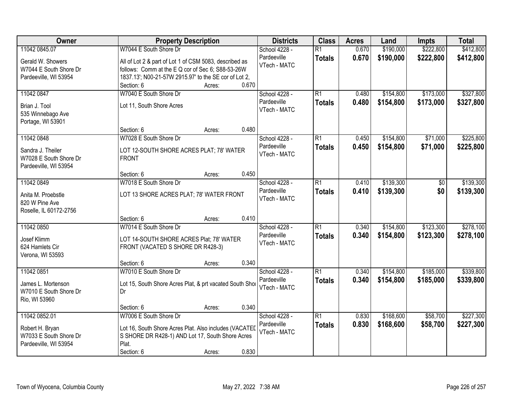| Owner                                | <b>Property Description</b>                              | <b>Districts</b> | <b>Class</b>    | <b>Acres</b> | Land      | <b>Impts</b> | <b>Total</b> |
|--------------------------------------|----------------------------------------------------------|------------------|-----------------|--------------|-----------|--------------|--------------|
| 11042 0845.07                        | W7044 E South Shore Dr                                   | School 4228 -    | $\overline{R1}$ | 0.670        | \$190,000 | \$222,800    | \$412,800    |
| Gerald W. Showers                    | All of Lot 2 & part of Lot 1 of CSM 5083, described as   | Pardeeville      | <b>Totals</b>   | 0.670        | \$190,000 | \$222,800    | \$412,800    |
| W7044 E South Shore Dr               | follows: Comm at the E Q cor of Sec 6; S88-53-26W        | VTech - MATC     |                 |              |           |              |              |
| Pardeeville, WI 53954                | 1837.13'; N00-21-57W 2915.97' to the SE cor of Lot 2,    |                  |                 |              |           |              |              |
|                                      | 0.670<br>Section: 6<br>Acres:                            |                  |                 |              |           |              |              |
| 11042 0847                           | W7040 E South Shore Dr                                   | School 4228 -    | $\overline{R1}$ | 0.480        | \$154,800 | \$173,000    | \$327,800    |
| Brian J. Tool                        | Lot 11, South Shore Acres                                | Pardeeville      | <b>Totals</b>   | 0.480        | \$154,800 | \$173,000    | \$327,800    |
| 535 Winnebago Ave                    |                                                          | VTech - MATC     |                 |              |           |              |              |
| Portage, WI 53901                    |                                                          |                  |                 |              |           |              |              |
|                                      | 0.480<br>Section: 6<br>Acres:                            |                  |                 |              |           |              |              |
| 11042 0848                           | W7028 E South Shore Dr                                   | School 4228 -    | $\overline{R1}$ | 0.450        | \$154,800 | \$71,000     | \$225,800    |
| Sandra J. Theiler                    | LOT 12-SOUTH SHORE ACRES PLAT; 78' WATER                 | Pardeeville      | <b>Totals</b>   | 0.450        | \$154,800 | \$71,000     | \$225,800    |
| W7028 E South Shore Dr               | <b>FRONT</b>                                             | VTech - MATC     |                 |              |           |              |              |
| Pardeeville, WI 53954                |                                                          |                  |                 |              |           |              |              |
|                                      | 0.450<br>Section: 6<br>Acres:                            |                  |                 |              |           |              |              |
| 11042 0849                           | W7018 E South Shore Dr                                   | School 4228 -    | $\overline{R1}$ | 0.410        | \$139,300 | \$0          | \$139,300    |
|                                      |                                                          | Pardeeville      | <b>Totals</b>   | 0.410        | \$139,300 | \$0          | \$139,300    |
| Anita M. Proebstle<br>820 W Pine Ave | LOT 13 SHORE ACRES PLAT; 78' WATER FRONT                 | VTech - MATC     |                 |              |           |              |              |
| Roselle, IL 60172-2756               |                                                          |                  |                 |              |           |              |              |
|                                      | 0.410<br>Section: 6<br>Acres:                            |                  |                 |              |           |              |              |
| 11042 0850                           | W7014 E South Shore Dr                                   | School 4228 -    | $\overline{R1}$ | 0.340        | \$154,800 | \$123,300    | \$278,100    |
|                                      |                                                          | Pardeeville      | <b>Totals</b>   | 0.340        | \$154,800 | \$123,300    | \$278,100    |
| Josef Klimm                          | LOT 14-SOUTH SHORE ACRES Plat; 78' WATER                 | VTech - MATC     |                 |              |           |              |              |
| 624 Hamlets Cir<br>Verona, WI 53593  | FRONT (VACATED S SHORE DR R428-3)                        |                  |                 |              |           |              |              |
|                                      | 0.340<br>Section: 6<br>Acres:                            |                  |                 |              |           |              |              |
| 11042 0851                           | W7010 E South Shore Dr                                   | School 4228 -    | $\overline{R1}$ | 0.340        | \$154,800 | \$185,000    | \$339,800    |
|                                      |                                                          | Pardeeville      | <b>Totals</b>   | 0.340        | \$154,800 | \$185,000    | \$339,800    |
| James L. Mortenson                   | Lot 15, South Shore Acres Plat, & prt vacated South Shor | VTech - MATC     |                 |              |           |              |              |
| W7010 E South Shore Dr               | Dr                                                       |                  |                 |              |           |              |              |
| Rio, WI 53960                        | 0.340<br>Section: 6                                      |                  |                 |              |           |              |              |
| 11042 0852.01                        | Acres:<br>W7006 E South Shore Dr                         | School 4228 -    | $\overline{R1}$ | 0.830        | \$168,600 | \$58,700     | \$227,300    |
|                                      |                                                          | Pardeeville      | <b>Totals</b>   | 0.830        | \$168,600 | \$58,700     | \$227,300    |
| Robert H. Bryan                      | Lot 16, South Shore Acres Plat. Also includes (VACATED   | VTech - MATC     |                 |              |           |              |              |
| W7033 E South Shore Dr               | S SHORE DR R428-1) AND Lot 17, South Shore Acres         |                  |                 |              |           |              |              |
| Pardeeville, WI 53954                | Plat.                                                    |                  |                 |              |           |              |              |
|                                      | 0.830<br>Section: 6<br>Acres:                            |                  |                 |              |           |              |              |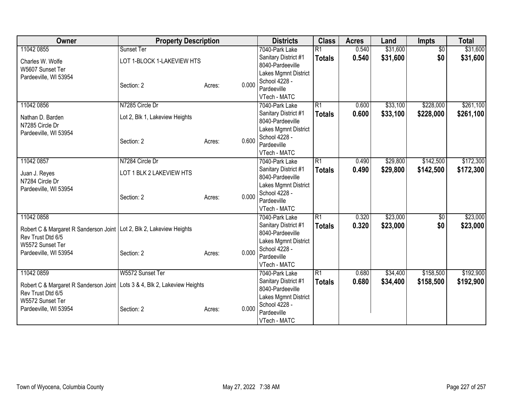| Owner                                                                       | <b>Property Description</b>    |                 | <b>Districts</b>             | <b>Class</b>    | <b>Acres</b> | Land     | <b>Impts</b>    | <b>Total</b> |
|-----------------------------------------------------------------------------|--------------------------------|-----------------|------------------------------|-----------------|--------------|----------|-----------------|--------------|
| 11042 0855                                                                  | Sunset Ter                     |                 | 7040-Park Lake               | $\overline{R1}$ | 0.540        | \$31,600 | $\overline{50}$ | \$31,600     |
| Charles W. Wolfe                                                            | LOT 1-BLOCK 1-LAKEVIEW HTS     |                 | Sanitary District #1         | <b>Totals</b>   | 0.540        | \$31,600 | \$0             | \$31,600     |
| W5607 Sunset Ter                                                            |                                |                 | 8040-Pardeeville             |                 |              |          |                 |              |
| Pardeeville, WI 53954                                                       |                                |                 | Lakes Mgmnt District         |                 |              |          |                 |              |
|                                                                             | Section: 2                     | 0.000<br>Acres: | School 4228 -                |                 |              |          |                 |              |
|                                                                             |                                |                 | Pardeeville                  |                 |              |          |                 |              |
|                                                                             |                                |                 | VTech - MATC                 |                 |              |          |                 |              |
| 11042 0856                                                                  | N7285 Circle Dr                |                 | 7040-Park Lake               | $\overline{R1}$ | 0.600        | \$33,100 | \$228,000       | \$261,100    |
| Nathan D. Barden                                                            | Lot 2, Blk 1, Lakeview Heights |                 | Sanitary District #1         | <b>Totals</b>   | 0.600        | \$33,100 | \$228,000       | \$261,100    |
| N7285 Circle Dr                                                             |                                |                 | 8040-Pardeeville             |                 |              |          |                 |              |
| Pardeeville, WI 53954                                                       |                                |                 | Lakes Mgmnt District         |                 |              |          |                 |              |
|                                                                             | Section: 2                     | 0.600<br>Acres: | School 4228 -<br>Pardeeville |                 |              |          |                 |              |
|                                                                             |                                |                 | VTech - MATC                 |                 |              |          |                 |              |
| 11042 0857                                                                  | N7284 Circle Dr                |                 | 7040-Park Lake               | $\overline{R1}$ | 0.490        | \$29,800 | \$142,500       | \$172,300    |
|                                                                             |                                |                 | Sanitary District #1         |                 | 0.490        | \$29,800 |                 |              |
| Juan J. Reyes                                                               | LOT 1 BLK 2 LAKEVIEW HTS       |                 | 8040-Pardeeville             | <b>Totals</b>   |              |          | \$142,500       | \$172,300    |
| N7284 Circle Dr                                                             |                                |                 | Lakes Mgmnt District         |                 |              |          |                 |              |
| Pardeeville, WI 53954                                                       |                                |                 | School 4228 -                |                 |              |          |                 |              |
|                                                                             | Section: 2                     | 0.000<br>Acres: | Pardeeville                  |                 |              |          |                 |              |
|                                                                             |                                |                 | VTech - MATC                 |                 |              |          |                 |              |
| 11042 0858                                                                  |                                |                 | 7040-Park Lake               | R1              | 0.320        | \$23,000 | $\overline{50}$ | \$23,000     |
|                                                                             |                                |                 | Sanitary District #1         | <b>Totals</b>   | 0.320        | \$23,000 | \$0             | \$23,000     |
| Robert C & Margaret R Sanderson Joint   Lot 2, Blk 2, Lakeview Heights      |                                |                 | 8040-Pardeeville             |                 |              |          |                 |              |
| Rev Trust Dtd 6/5                                                           |                                |                 | Lakes Mgmnt District         |                 |              |          |                 |              |
| W5572 Sunset Ter                                                            |                                |                 | School 4228 -                |                 |              |          |                 |              |
| Pardeeville, WI 53954                                                       | Section: 2                     | 0.000<br>Acres: | Pardeeville                  |                 |              |          |                 |              |
|                                                                             |                                |                 | VTech - MATC                 |                 |              |          |                 |              |
| 11042 0859                                                                  | W5572 Sunset Ter               |                 | 7040-Park Lake               | R1              | 0.680        | \$34,400 | \$158,500       | \$192,900    |
| Robert C & Margaret R Sanderson Joint   Lots 3 & 4, Blk 2, Lakeview Heights |                                |                 | Sanitary District #1         | <b>Totals</b>   | 0.680        | \$34,400 | \$158,500       | \$192,900    |
| Rev Trust Dtd 6/5                                                           |                                |                 | 8040-Pardeeville             |                 |              |          |                 |              |
| W5572 Sunset Ter                                                            |                                |                 | Lakes Mgmnt District         |                 |              |          |                 |              |
| Pardeeville, WI 53954                                                       | Section: 2                     | 0.000<br>Acres: | School 4228 -                |                 |              |          |                 |              |
|                                                                             |                                |                 | Pardeeville                  |                 |              |          |                 |              |
|                                                                             |                                |                 | VTech - MATC                 |                 |              |          |                 |              |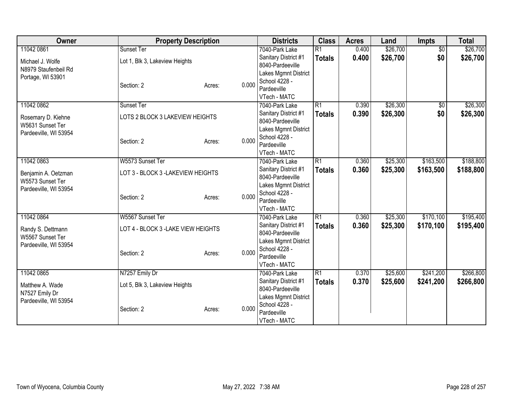| Owner                 | <b>Property Description</b>         |                                   | <b>Districts</b>                       | <b>Class</b>                     | <b>Acres</b> | Land     | Impts           | <b>Total</b> |
|-----------------------|-------------------------------------|-----------------------------------|----------------------------------------|----------------------------------|--------------|----------|-----------------|--------------|
| 11042 0861            | Sunset Ter                          |                                   | 7040-Park Lake                         | $\overline{R1}$                  | 0.400        | \$26,700 | $\overline{50}$ | \$26,700     |
| Michael J. Wolfe      | Lot 1, Blk 3, Lakeview Heights      |                                   | Sanitary District #1                   | <b>Totals</b>                    | 0.400        | \$26,700 | \$0             | \$26,700     |
| N8979 Staufenbeil Rd  |                                     |                                   | 8040-Pardeeville                       |                                  |              |          |                 |              |
| Portage, WI 53901     |                                     |                                   | Lakes Mgmnt District                   |                                  |              |          |                 |              |
|                       | Section: 2                          | 0.000<br>Acres:                   | School 4228 -                          |                                  |              |          |                 |              |
|                       |                                     |                                   | Pardeeville                            |                                  |              |          |                 |              |
|                       |                                     |                                   | VTech - MATC                           |                                  |              |          |                 |              |
| 11042 0862            | Sunset Ter                          |                                   | 7040-Park Lake                         | $\overline{R1}$                  | 0.390        | \$26,300 | \$0             | \$26,300     |
| Rosemary D. Kiehne    | LOTS 2 BLOCK 3 LAKEVIEW HEIGHTS     |                                   | Sanitary District #1                   | <b>Totals</b>                    | 0.390        | \$26,300 | \$0             | \$26,300     |
| W5631 Sunset Ter      |                                     |                                   | 8040-Pardeeville                       |                                  |              |          |                 |              |
| Pardeeville, WI 53954 |                                     |                                   | Lakes Mgmnt District                   |                                  |              |          |                 |              |
|                       | Section: 2                          | 0.000<br>Acres:                   | School 4228 -                          |                                  |              |          |                 |              |
|                       |                                     |                                   | Pardeeville                            |                                  |              |          |                 |              |
|                       |                                     |                                   | VTech - MATC                           |                                  |              |          |                 |              |
| 11042 0863            | W5573 Sunset Ter                    |                                   | 7040-Park Lake<br>Sanitary District #1 | $\overline{R1}$<br><b>Totals</b> | 0.360        | \$25,300 | \$163,500       | \$188,800    |
| Benjamin A. Oetzman   |                                     | LOT 3 - BLOCK 3 -LAKEVIEW HEIGHTS |                                        |                                  | 0.360        | \$25,300 | \$163,500       | \$188,800    |
| W5573 Sunset Ter      |                                     | 8040-Pardeeville                  |                                        |                                  |              |          |                 |              |
| Pardeeville, WI 53954 |                                     |                                   | Lakes Mgmnt District                   |                                  |              |          |                 |              |
|                       | Section: 2                          | 0.000<br>Acres:                   | School 4228 -                          |                                  |              |          |                 |              |
|                       |                                     |                                   | Pardeeville                            |                                  |              |          |                 |              |
|                       |                                     |                                   | VTech - MATC                           |                                  |              |          |                 |              |
| 11042 0864            | W5567 Sunset Ter                    |                                   | 7040-Park Lake                         | R1                               | 0.360        | \$25,300 | \$170,100       | \$195,400    |
| Randy S. Dettmann     | LOT 4 - BLOCK 3 - LAKE VIEW HEIGHTS |                                   | Sanitary District #1                   | <b>Totals</b>                    | 0.360        | \$25,300 | \$170,100       | \$195,400    |
| W5567 Sunset Ter      |                                     |                                   | 8040-Pardeeville                       |                                  |              |          |                 |              |
| Pardeeville, WI 53954 |                                     |                                   | Lakes Mgmnt District                   |                                  |              |          |                 |              |
|                       | Section: 2                          | 0.000<br>Acres:                   | School 4228 -                          |                                  |              |          |                 |              |
|                       |                                     |                                   | Pardeeville                            |                                  |              |          |                 |              |
|                       |                                     |                                   | VTech - MATC                           |                                  |              |          |                 |              |
| 11042 0865            | N7257 Emily Dr                      |                                   | 7040-Park Lake                         | $\overline{R1}$                  | 0.370        | \$25,600 | \$241,200       | \$266,800    |
| Matthew A. Wade       | Lot 5, Blk 3, Lakeview Heights      |                                   | Sanitary District #1                   | <b>Totals</b>                    | 0.370        | \$25,600 | \$241,200       | \$266,800    |
| N7527 Emily Dr        |                                     |                                   | 8040-Pardeeville                       |                                  |              |          |                 |              |
| Pardeeville, WI 53954 |                                     |                                   | Lakes Mgmnt District                   |                                  |              |          |                 |              |
|                       | Section: 2                          | 0.000<br>Acres:                   | School 4228 -                          |                                  |              |          |                 |              |
|                       |                                     |                                   | Pardeeville                            |                                  |              |          |                 |              |
|                       |                                     |                                   | VTech - MATC                           |                                  |              |          |                 |              |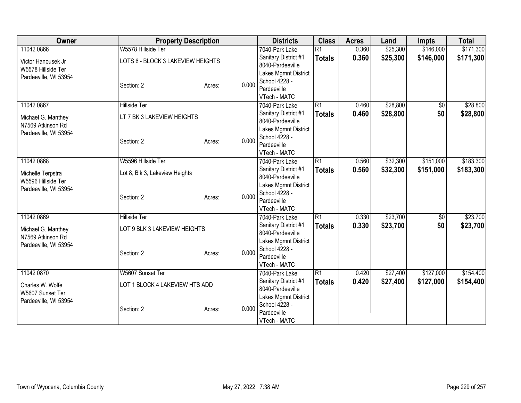| Owner                 | <b>Property Description</b>       |        |       | <b>Districts</b>                         | <b>Class</b>    | <b>Acres</b> | Land     | <b>Impts</b> | <b>Total</b> |
|-----------------------|-----------------------------------|--------|-------|------------------------------------------|-----------------|--------------|----------|--------------|--------------|
| 11042 0866            | W5578 Hillside Ter                |        |       | 7040-Park Lake                           | $\overline{R1}$ | 0.360        | \$25,300 | \$146,000    | \$171,300    |
| Victor Hanousek Jr    | LOTS 6 - BLOCK 3 LAKEVIEW HEIGHTS |        |       | Sanitary District #1                     | <b>Totals</b>   | 0.360        | \$25,300 | \$146,000    | \$171,300    |
| W5578 Hillside Ter    |                                   |        |       | 8040-Pardeeville                         |                 |              |          |              |              |
| Pardeeville, WI 53954 |                                   |        |       | Lakes Mgmnt District                     |                 |              |          |              |              |
|                       | Section: 2                        | Acres: | 0.000 | School 4228 -                            |                 |              |          |              |              |
|                       |                                   |        |       | Pardeeville                              |                 |              |          |              |              |
|                       |                                   |        |       | VTech - MATC                             |                 |              |          |              |              |
| 11042 0867            | <b>Hillside Ter</b>               |        |       | 7040-Park Lake                           | $\overline{R1}$ | 0.460        | \$28,800 | \$0          | \$28,800     |
| Michael G. Manthey    | LT 7 BK 3 LAKEVIEW HEIGHTS        |        |       | Sanitary District #1<br>8040-Pardeeville | <b>Totals</b>   | 0.460        | \$28,800 | \$0          | \$28,800     |
| N7569 Atkinson Rd     |                                   |        |       | Lakes Mgmnt District                     |                 |              |          |              |              |
| Pardeeville, WI 53954 |                                   |        |       | School 4228 -                            |                 |              |          |              |              |
|                       | Section: 2                        | Acres: | 0.000 | Pardeeville                              |                 |              |          |              |              |
|                       |                                   |        |       | VTech - MATC                             |                 |              |          |              |              |
| 11042 0868            | W5596 Hillside Ter                |        |       | 7040-Park Lake                           | $\overline{R1}$ | 0.560        | \$32,300 | \$151,000    | \$183,300    |
|                       |                                   |        |       | Sanitary District #1                     | <b>Totals</b>   | 0.560        | \$32,300 | \$151,000    | \$183,300    |
| Michelle Terpstra     | Lot 8, Blk 3, Lakeview Heights    |        |       | 8040-Pardeeville                         |                 |              |          |              |              |
| W5596 Hillside Ter    |                                   |        |       | Lakes Mgmnt District                     |                 |              |          |              |              |
| Pardeeville, WI 53954 |                                   |        |       | School 4228 -                            |                 |              |          |              |              |
|                       | Section: 2                        | Acres: | 0.000 | Pardeeville                              |                 |              |          |              |              |
|                       |                                   |        |       | VTech - MATC                             |                 |              |          |              |              |
| 11042 0869            | <b>Hillside Ter</b>               |        |       | 7040-Park Lake                           | R1              | 0.330        | \$23,700 | \$0          | \$23,700     |
| Michael G. Manthey    | LOT 9 BLK 3 LAKEVIEW HEIGHTS      |        |       | Sanitary District #1                     | <b>Totals</b>   | 0.330        | \$23,700 | \$0          | \$23,700     |
| N7569 Atkinson Rd     |                                   |        |       | 8040-Pardeeville                         |                 |              |          |              |              |
| Pardeeville, WI 53954 |                                   |        |       | Lakes Mgmnt District                     |                 |              |          |              |              |
|                       | Section: 2                        | Acres: | 0.000 | School 4228 -                            |                 |              |          |              |              |
|                       |                                   |        |       | Pardeeville                              |                 |              |          |              |              |
|                       |                                   |        |       | VTech - MATC                             |                 |              |          |              |              |
| 11042 0870            | W5607 Sunset Ter                  |        |       | 7040-Park Lake                           | $\overline{R1}$ | 0.420        | \$27,400 | \$127,000    | \$154,400    |
| Charles W. Wolfe      | LOT 1 BLOCK 4 LAKEVIEW HTS ADD    |        |       | Sanitary District #1<br>8040-Pardeeville | <b>Totals</b>   | 0.420        | \$27,400 | \$127,000    | \$154,400    |
| W5607 Sunset Ter      |                                   |        |       | Lakes Mgmnt District                     |                 |              |          |              |              |
| Pardeeville, WI 53954 |                                   |        |       | School 4228 -                            |                 |              |          |              |              |
|                       | Section: 2                        | Acres: | 0.000 | Pardeeville                              |                 |              |          |              |              |
|                       |                                   |        |       | VTech - MATC                             |                 |              |          |              |              |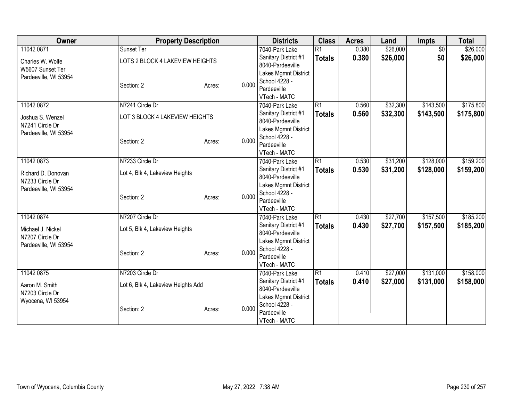| Owner                 | <b>Property Description</b>        |        |       | <b>Districts</b>                         | <b>Class</b>    | <b>Acres</b> | Land     | Impts           | <b>Total</b> |
|-----------------------|------------------------------------|--------|-------|------------------------------------------|-----------------|--------------|----------|-----------------|--------------|
| 11042 0871            | Sunset Ter                         |        |       | 7040-Park Lake                           | $\overline{R1}$ | 0.380        | \$26,000 | $\overline{50}$ | \$26,000     |
| Charles W. Wolfe      | LOTS 2 BLOCK 4 LAKEVIEW HEIGHTS    |        |       | Sanitary District #1                     | <b>Totals</b>   | 0.380        | \$26,000 | \$0             | \$26,000     |
| W5607 Sunset Ter      |                                    |        |       | 8040-Pardeeville                         |                 |              |          |                 |              |
| Pardeeville, WI 53954 |                                    |        |       | Lakes Mgmnt District                     |                 |              |          |                 |              |
|                       | Section: 2                         | Acres: | 0.000 | School 4228 -                            |                 |              |          |                 |              |
|                       |                                    |        |       | Pardeeville                              |                 |              |          |                 |              |
|                       |                                    |        |       | VTech - MATC                             |                 |              |          |                 |              |
| 11042 0872            | N7241 Circle Dr                    |        |       | 7040-Park Lake                           | $\overline{R1}$ | 0.560        | \$32,300 | \$143,500       | \$175,800    |
| Joshua S. Wenzel      | LOT 3 BLOCK 4 LAKEVIEW HEIGHTS     |        |       | Sanitary District #1                     | <b>Totals</b>   | 0.560        | \$32,300 | \$143,500       | \$175,800    |
| N7241 Circle Dr       |                                    |        |       | 8040-Pardeeville                         |                 |              |          |                 |              |
| Pardeeville, WI 53954 |                                    |        |       | Lakes Mgmnt District<br>School 4228 -    |                 |              |          |                 |              |
|                       | Section: 2                         | Acres: | 0.000 | Pardeeville                              |                 |              |          |                 |              |
|                       |                                    |        |       | VTech - MATC                             |                 |              |          |                 |              |
| 11042 0873            | N7233 Circle Dr                    |        |       | 7040-Park Lake                           | $\overline{R1}$ | 0.530        | \$31,200 | \$128,000       | \$159,200    |
|                       |                                    |        |       | Sanitary District #1                     | <b>Totals</b>   | 0.530        | \$31,200 | \$128,000       | \$159,200    |
| Richard D. Donovan    | Lot 4, Blk 4, Lakeview Heights     |        |       | 8040-Pardeeville                         |                 |              |          |                 |              |
| N7233 Circle Dr       |                                    |        |       | Lakes Mgmnt District                     |                 |              |          |                 |              |
| Pardeeville, WI 53954 |                                    |        |       | School 4228 -                            |                 |              |          |                 |              |
|                       | Section: 2                         | Acres: | 0.000 | Pardeeville                              |                 |              |          |                 |              |
|                       |                                    |        |       | VTech - MATC                             |                 |              |          |                 |              |
| 11042 0874            | N7207 Circle Dr                    |        |       | 7040-Park Lake                           | R1              | 0.430        | \$27,700 | \$157,500       | \$185,200    |
| Michael J. Nickel     | Lot 5, Blk 4, Lakeview Heights     |        |       | Sanitary District #1                     | <b>Totals</b>   | 0.430        | \$27,700 | \$157,500       | \$185,200    |
| N7207 Circle Dr       |                                    |        |       | 8040-Pardeeville                         |                 |              |          |                 |              |
| Pardeeville, WI 53954 |                                    |        |       | Lakes Mgmnt District                     |                 |              |          |                 |              |
|                       | Section: 2                         | Acres: | 0.000 | School 4228 -                            |                 |              |          |                 |              |
|                       |                                    |        |       | Pardeeville                              |                 |              |          |                 |              |
|                       |                                    |        |       | VTech - MATC                             |                 |              |          |                 |              |
| 11042 0875            | N7203 Circle Dr                    |        |       | 7040-Park Lake                           | $\overline{R1}$ | 0.410        | \$27,000 | \$131,000       | \$158,000    |
| Aaron M. Smith        | Lot 6, Blk 4, Lakeview Heights Add |        |       | Sanitary District #1<br>8040-Pardeeville | <b>Totals</b>   | 0.410        | \$27,000 | \$131,000       | \$158,000    |
| N7203 Circle Dr       |                                    |        |       | Lakes Mgmnt District                     |                 |              |          |                 |              |
| Wyocena, WI 53954     |                                    |        |       | School 4228 -                            |                 |              |          |                 |              |
|                       | Section: 2                         | Acres: | 0.000 | Pardeeville                              |                 |              |          |                 |              |
|                       |                                    |        |       | VTech - MATC                             |                 |              |          |                 |              |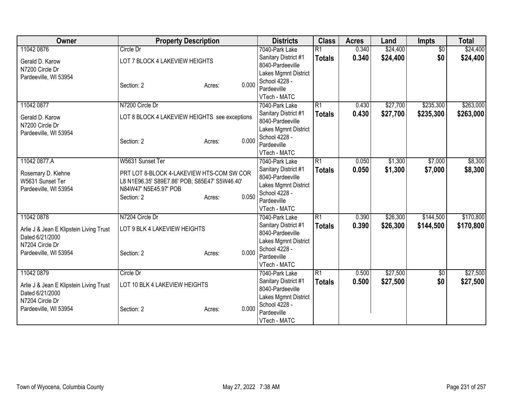| Owner                                                      | <b>Property Description</b>                   |        |       | <b>Districts</b>     | <b>Class</b>    | <b>Acres</b> | Land     | Impts           | <b>Total</b> |
|------------------------------------------------------------|-----------------------------------------------|--------|-------|----------------------|-----------------|--------------|----------|-----------------|--------------|
| 11042 0876                                                 | Circle Dr                                     |        |       | 7040-Park Lake       | $\overline{R1}$ | 0.340        | \$24,400 | $\overline{50}$ | \$24,400     |
| Gerald D. Karow                                            | LOT 7 BLOCK 4 LAKEVIEW HEIGHTS                |        |       | Sanitary District #1 | <b>Totals</b>   | 0.340        | \$24,400 | \$0             | \$24,400     |
| N7200 Circle Dr                                            |                                               |        |       | 8040-Pardeeville     |                 |              |          |                 |              |
| Pardeeville, WI 53954                                      |                                               |        |       | Lakes Mgmnt District |                 |              |          |                 |              |
|                                                            | Section: 2                                    | Acres: | 0.000 | School 4228 -        |                 |              |          |                 |              |
|                                                            |                                               |        |       | Pardeeville          |                 |              |          |                 |              |
|                                                            |                                               |        |       | VTech - MATC         |                 |              |          |                 |              |
| 11042 0877                                                 | N7200 Circle Dr                               |        |       | 7040-Park Lake       | $\overline{R1}$ | 0.430        | \$27,700 | \$235,300       | \$263,000    |
| Gerald D. Karow                                            | LOT 8 BLOCK 4 LAKEVIEW HEIGHTS see exceptions |        |       | Sanitary District #1 | <b>Totals</b>   | 0.430        | \$27,700 | \$235,300       | \$263,000    |
| N7200 Circle Dr                                            |                                               |        |       | 8040-Pardeeville     |                 |              |          |                 |              |
| Pardeeville, WI 53954                                      |                                               |        |       | Lakes Mgmnt District |                 |              |          |                 |              |
|                                                            | Section: 2                                    | Acres: | 0.000 | School 4228 -        |                 |              |          |                 |              |
|                                                            |                                               |        |       | Pardeeville          |                 |              |          |                 |              |
|                                                            |                                               |        |       | VTech - MATC         |                 |              |          |                 |              |
| 11042 0877.A                                               | W5631 Sunset Ter                              |        |       | 7040-Park Lake       | $\overline{R1}$ | 0.050        | \$1,300  | \$7,000         | \$8,300      |
| Rosemary D. Kiehne                                         | PRT LOT 8-BLOCK 4-LAKEVIEW HTS-COM SW COR     |        |       | Sanitary District #1 | <b>Totals</b>   | 0.050        | \$1,300  | \$7,000         | \$8,300      |
| W5631 Sunset Ter                                           | L8 N1E96.35' S89E7.86' POB; S85E47' S5W46.40' |        |       | 8040-Pardeeville     |                 |              |          |                 |              |
| Pardeeville, WI 53954                                      | N84W47' N5E45.97' POB                         |        |       | Lakes Mgmnt District |                 |              |          |                 |              |
|                                                            |                                               |        | 0.050 | School 4228 -        |                 |              |          |                 |              |
|                                                            | Section: 2                                    | Acres: |       | Pardeeville          |                 |              |          |                 |              |
|                                                            |                                               |        |       | VTech - MATC         |                 |              |          |                 |              |
| 11042 0878                                                 | N7204 Circle Dr                               |        |       | 7040-Park Lake       | $\overline{R1}$ | 0.390        | \$26,300 | \$144,500       | \$170,800    |
|                                                            | LOT 9 BLK 4 LAKEVIEW HEIGHTS                  |        |       | Sanitary District #1 | <b>Totals</b>   | 0.390        | \$26,300 | \$144,500       | \$170,800    |
| Arlie J & Jean E Klipstein Living Trust<br>Dated 6/21/2000 |                                               |        |       | 8040-Pardeeville     |                 |              |          |                 |              |
| N7204 Circle Dr                                            |                                               |        |       | Lakes Mgmnt District |                 |              |          |                 |              |
|                                                            | Section: 2                                    |        | 0.000 | School 4228 -        |                 |              |          |                 |              |
| Pardeeville, WI 53954                                      |                                               | Acres: |       | Pardeeville          |                 |              |          |                 |              |
|                                                            |                                               |        |       | VTech - MATC         |                 |              |          |                 |              |
| 11042 0879                                                 | Circle Dr                                     |        |       | 7040-Park Lake       | $\overline{R1}$ | 0.500        | \$27,500 | $\sqrt{6}$      | \$27,500     |
|                                                            | LOT 10 BLK 4 LAKEVIEW HEIGHTS                 |        |       | Sanitary District #1 | <b>Totals</b>   | 0.500        | \$27,500 | \$0             | \$27,500     |
| Arlie J & Jean E Klipstein Living Trust                    |                                               |        |       | 8040-Pardeeville     |                 |              |          |                 |              |
| Dated 6/21/2000<br>N7204 Circle Dr                         |                                               |        |       | Lakes Mgmnt District |                 |              |          |                 |              |
|                                                            |                                               |        | 0.000 | School 4228 -        |                 |              |          |                 |              |
| Pardeeville, WI 53954                                      | Section: 2                                    | Acres: |       | Pardeeville          |                 |              |          |                 |              |
|                                                            |                                               |        |       | VTech - MATC         |                 |              |          |                 |              |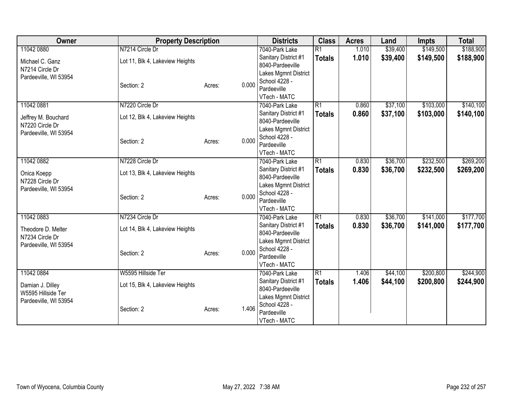| Owner                 | <b>Property Description</b>     |                 | <b>Districts</b>     | <b>Class</b>    | <b>Acres</b> | Land     | <b>Impts</b> | <b>Total</b> |
|-----------------------|---------------------------------|-----------------|----------------------|-----------------|--------------|----------|--------------|--------------|
| 11042 0880            | N7214 Circle Dr                 |                 | 7040-Park Lake       | $\overline{R1}$ | 1.010        | \$39,400 | \$149,500    | \$188,900    |
| Michael C. Ganz       | Lot 11, Blk 4, Lakeview Heights |                 | Sanitary District #1 | <b>Totals</b>   | 1.010        | \$39,400 | \$149,500    | \$188,900    |
| N7214 Circle Dr       |                                 |                 | 8040-Pardeeville     |                 |              |          |              |              |
| Pardeeville, WI 53954 |                                 |                 | Lakes Mgmnt District |                 |              |          |              |              |
|                       | Section: 2                      | 0.000<br>Acres: | School 4228 -        |                 |              |          |              |              |
|                       |                                 |                 | Pardeeville          |                 |              |          |              |              |
|                       |                                 |                 | VTech - MATC         |                 |              |          |              |              |
| 11042 0881            | N7220 Circle Dr                 |                 | 7040-Park Lake       | $\overline{R1}$ | 0.860        | \$37,100 | \$103,000    | \$140,100    |
| Jeffrey M. Bouchard   | Lot 12, Blk 4, Lakeview Heights |                 | Sanitary District #1 | <b>Totals</b>   | 0.860        | \$37,100 | \$103,000    | \$140,100    |
| N7220 Circle Dr       |                                 |                 | 8040-Pardeeville     |                 |              |          |              |              |
| Pardeeville, WI 53954 |                                 |                 | Lakes Mgmnt District |                 |              |          |              |              |
|                       | Section: 2                      | 0.000<br>Acres: | School 4228 -        |                 |              |          |              |              |
|                       |                                 |                 | Pardeeville          |                 |              |          |              |              |
|                       |                                 |                 | VTech - MATC         |                 |              |          |              |              |
| 11042 0882            | N7228 Circle Dr                 |                 | 7040-Park Lake       | $\overline{R1}$ | 0.830        | \$36,700 | \$232,500    | \$269,200    |
| Onica Koepp           | Lot 13, Blk 4, Lakeview Heights |                 | Sanitary District #1 | <b>Totals</b>   | 0.830        | \$36,700 | \$232,500    | \$269,200    |
| N7228 Circle Dr       |                                 |                 | 8040-Pardeeville     |                 |              |          |              |              |
| Pardeeville, WI 53954 |                                 |                 | Lakes Mgmnt District |                 |              |          |              |              |
|                       | Section: 2                      | 0.000<br>Acres: | School 4228 -        |                 |              |          |              |              |
|                       |                                 |                 | Pardeeville          |                 |              |          |              |              |
|                       |                                 |                 | VTech - MATC         |                 |              |          |              |              |
| 11042 0883            | N7234 Circle Dr                 |                 | 7040-Park Lake       | R1              | 0.830        | \$36,700 | \$141,000    | \$177,700    |
| Theodore D. Melter    | Lot 14, Blk 4, Lakeview Heights |                 | Sanitary District #1 | <b>Totals</b>   | 0.830        | \$36,700 | \$141,000    | \$177,700    |
| N7234 Circle Dr       |                                 |                 | 8040-Pardeeville     |                 |              |          |              |              |
| Pardeeville, WI 53954 |                                 |                 | Lakes Mgmnt District |                 |              |          |              |              |
|                       | Section: 2                      | 0.000<br>Acres: | School 4228 -        |                 |              |          |              |              |
|                       |                                 |                 | Pardeeville          |                 |              |          |              |              |
|                       |                                 |                 | VTech - MATC         |                 |              |          |              |              |
| 11042 0884            | W5595 Hillside Ter              |                 | 7040-Park Lake       | $\overline{R1}$ | 1.406        | \$44,100 | \$200,800    | \$244,900    |
| Damian J. Dilley      | Lot 15, Blk 4, Lakeview Heights |                 | Sanitary District #1 | <b>Totals</b>   | 1.406        | \$44,100 | \$200,800    | \$244,900    |
| W5595 Hillside Ter    |                                 |                 | 8040-Pardeeville     |                 |              |          |              |              |
| Pardeeville, WI 53954 |                                 |                 | Lakes Mgmnt District |                 |              |          |              |              |
|                       | Section: 2                      | 1.406<br>Acres: | School 4228 -        |                 |              |          |              |              |
|                       |                                 |                 | Pardeeville          |                 |              |          |              |              |
|                       |                                 |                 | VTech - MATC         |                 |              |          |              |              |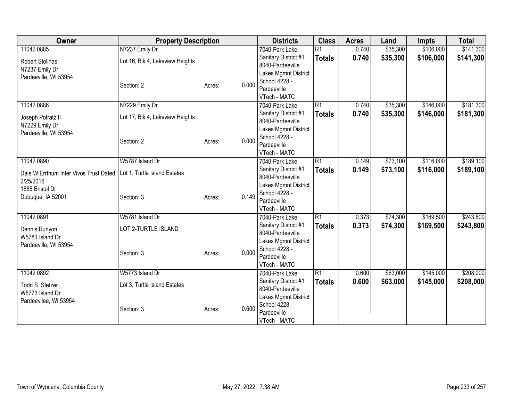| Owner                                  | <b>Property Description</b>     |        |       | <b>Districts</b>                         | <b>Class</b>    | <b>Acres</b> | Land     | <b>Impts</b> | <b>Total</b> |
|----------------------------------------|---------------------------------|--------|-------|------------------------------------------|-----------------|--------------|----------|--------------|--------------|
| 11042 0885                             | N7237 Emily Dr                  |        |       | 7040-Park Lake                           | $\overline{R1}$ | 0.740        | \$35,300 | \$106,000    | \$141,300    |
| <b>Robert Stolinas</b>                 | Lot 16, Blk 4, Lakeview Heights |        |       | Sanitary District #1                     | <b>Totals</b>   | 0.740        | \$35,300 | \$106,000    | \$141,300    |
| N7237 Emily Dr                         |                                 |        |       | 8040-Pardeeville                         |                 |              |          |              |              |
| Pardeeville, WI 53954                  |                                 |        |       | Lakes Mgmnt District                     |                 |              |          |              |              |
|                                        | Section: 2                      | Acres: | 0.000 | School 4228 -                            |                 |              |          |              |              |
|                                        |                                 |        |       | Pardeeville                              |                 |              |          |              |              |
|                                        |                                 |        |       | VTech - MATC                             |                 |              |          |              |              |
| 11042 0886                             | N7229 Emily Dr                  |        |       | 7040-Park Lake                           | $\overline{R1}$ | 0.740        | \$35,300 | \$146,000    | \$181,300    |
| Joseph Potratz II                      | Lot 17, Blk 4, Lakeview Heights |        |       | Sanitary District #1<br>8040-Pardeeville | <b>Totals</b>   | 0.740        | \$35,300 | \$146,000    | \$181,300    |
| N7229 Emily Dr                         |                                 |        |       | Lakes Mgmnt District                     |                 |              |          |              |              |
| Pardeeville, WI 53954                  |                                 |        |       | School 4228 -                            |                 |              |          |              |              |
|                                        | Section: 2                      | Acres: | 0.000 | Pardeeville                              |                 |              |          |              |              |
|                                        |                                 |        |       | VTech - MATC                             |                 |              |          |              |              |
| 11042 0890                             | W5787 Island Dr                 |        |       | 7040-Park Lake                           | $\overline{R1}$ | 0.149        | \$73,100 | \$116,000    | \$189,100    |
|                                        |                                 |        |       | Sanitary District #1                     | <b>Totals</b>   | 0.149        | \$73,100 | \$116,000    | \$189,100    |
| Dale W Errthum Inter Vivos Trust Dated | Lot 1, Turtle Island Estates    |        |       | 8040-Pardeeville                         |                 |              |          |              |              |
| 2/25/2016                              |                                 |        |       | Lakes Mgmnt District                     |                 |              |          |              |              |
| 1885 Bristol Dr                        |                                 |        | 0.149 | School 4228 -                            |                 |              |          |              |              |
| Dubuque, IA 52001                      | Section: 3                      | Acres: |       | Pardeeville                              |                 |              |          |              |              |
|                                        |                                 |        |       | VTech - MATC                             |                 |              |          |              |              |
| 11042 0891                             | W5781 Island Dr                 |        |       | 7040-Park Lake                           | $\overline{R1}$ | 0.373        | \$74,300 | \$169,500    | \$243,800    |
| Dennis Runyon                          | LOT 2-TURTLE ISLAND             |        |       | Sanitary District #1                     | <b>Totals</b>   | 0.373        | \$74,300 | \$169,500    | \$243,800    |
| W5781 Island Dr                        |                                 |        |       | 8040-Pardeeville                         |                 |              |          |              |              |
| Pardeeville, WI 53954                  |                                 |        |       | Lakes Mgmnt District                     |                 |              |          |              |              |
|                                        | Section: 3                      | Acres: | 0.000 | School 4228 -                            |                 |              |          |              |              |
|                                        |                                 |        |       | Pardeeville                              |                 |              |          |              |              |
|                                        |                                 |        |       | VTech - MATC                             |                 |              |          |              |              |
| 11042 0892                             | W5773 Island Dr                 |        |       | 7040-Park Lake                           | $\overline{R1}$ | 0.600        | \$63,000 | \$145,000    | \$208,000    |
| Todd S. Stetzer                        | Lot 3, Turtle Island Estates    |        |       | Sanitary District #1<br>8040-Pardeeville | <b>Totals</b>   | 0.600        | \$63,000 | \$145,000    | \$208,000    |
| W5773 Island Dr                        |                                 |        |       | Lakes Mgmnt District                     |                 |              |          |              |              |
| Pardeevilee, WI 53954                  |                                 |        |       | School 4228 -                            |                 |              |          |              |              |
|                                        | Section: 3                      | Acres: | 0.600 | Pardeeville                              |                 |              |          |              |              |
|                                        |                                 |        |       | VTech - MATC                             |                 |              |          |              |              |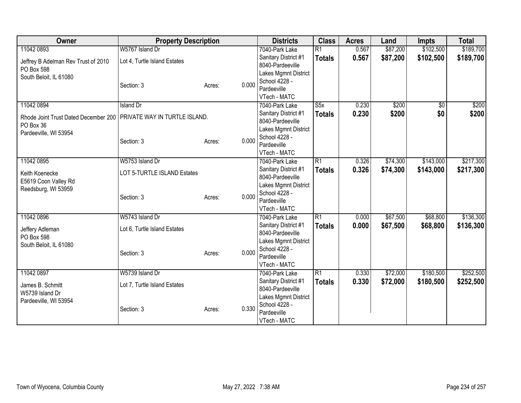| Owner                                | <b>Property Description</b>   |        |       | <b>Districts</b>                         | <b>Class</b>    | <b>Acres</b> | Land     | <b>Impts</b> | <b>Total</b> |
|--------------------------------------|-------------------------------|--------|-------|------------------------------------------|-----------------|--------------|----------|--------------|--------------|
| 11042 0893                           | W5767 Island Dr               |        |       | 7040-Park Lake                           | $\overline{R1}$ | 0.567        | \$87,200 | \$102,500    | \$189,700    |
| Jeffrey B Adelman Rev Trust of 2010  | Lot 4, Turtle Island Estates  |        |       | Sanitary District #1                     | <b>Totals</b>   | 0.567        | \$87,200 | \$102,500    | \$189,700    |
| PO Box 598                           |                               |        |       | 8040-Pardeeville                         |                 |              |          |              |              |
| South Beloit, IL 61080               |                               |        |       | Lakes Mgmnt District                     |                 |              |          |              |              |
|                                      | Section: 3                    | Acres: | 0.000 | School 4228 -                            |                 |              |          |              |              |
|                                      |                               |        |       | Pardeeville                              |                 |              |          |              |              |
|                                      |                               |        |       | VTech - MATC                             |                 |              |          |              |              |
| 11042 0894                           | <b>Island Dr</b>              |        |       | 7040-Park Lake                           | S5x             | 0.230        | \$200    | $\sqrt{6}$   | \$200        |
| Rhode Joint Trust Dated December 200 | PRIVATE WAY IN TURTLE ISLAND. |        |       | Sanitary District #1                     | <b>Totals</b>   | 0.230        | \$200    | \$0          | \$200        |
| PO Box 36                            |                               |        |       | 8040-Pardeeville                         |                 |              |          |              |              |
| Pardeeville, WI 53954                |                               |        |       | Lakes Mgmnt District<br>School 4228 -    |                 |              |          |              |              |
|                                      | Section: 3                    | Acres: | 0.000 | Pardeeville                              |                 |              |          |              |              |
|                                      |                               |        |       | VTech - MATC                             |                 |              |          |              |              |
| 11042 0895                           | W5753 Island Dr               |        |       | 7040-Park Lake                           | R1              | 0.326        | \$74,300 | \$143,000    | \$217,300    |
|                                      |                               |        |       | Sanitary District #1                     | <b>Totals</b>   | 0.326        | \$74,300 | \$143,000    | \$217,300    |
| Keith Koenecke                       | LOT 5-TURTLE ISLAND Estates   |        |       | 8040-Pardeeville                         |                 |              |          |              |              |
| E5619 Coon Valley Rd                 |                               |        |       | Lakes Mgmnt District                     |                 |              |          |              |              |
| Reedsburg, WI 53959                  |                               |        | 0.000 | School 4228 -                            |                 |              |          |              |              |
|                                      | Section: 3                    | Acres: |       | Pardeeville                              |                 |              |          |              |              |
|                                      |                               |        |       | VTech - MATC                             |                 |              |          |              |              |
| 11042 0896                           | W5743 Island Dr               |        |       | 7040-Park Lake                           | $\overline{R1}$ | 0.000        | \$67,500 | \$68,800     | \$136,300    |
| Jeffery Adleman                      | Lot 6, Turtle Island Estates  |        |       | Sanitary District #1                     | <b>Totals</b>   | 0.000        | \$67,500 | \$68,800     | \$136,300    |
| PO Box 598                           |                               |        |       | 8040-Pardeeville                         |                 |              |          |              |              |
| South Beloit, IL 61080               |                               |        |       | Lakes Mgmnt District                     |                 |              |          |              |              |
|                                      | Section: 3                    | Acres: | 0.000 | School 4228 -                            |                 |              |          |              |              |
|                                      |                               |        |       | Pardeeville                              |                 |              |          |              |              |
|                                      |                               |        |       | VTech - MATC                             |                 |              |          |              |              |
| 11042 0897                           | W5739 Island Dr               |        |       | 7040-Park Lake                           | $\overline{R1}$ | 0.330        | \$72,000 | \$180,500    | \$252,500    |
| James B. Schmitt                     | Lot 7, Turtle Island Estates  |        |       | Sanitary District #1<br>8040-Pardeeville | <b>Totals</b>   | 0.330        | \$72,000 | \$180,500    | \$252,500    |
| W5739 Island Dr                      |                               |        |       | Lakes Mgmnt District                     |                 |              |          |              |              |
| Pardeeville, WI 53954                |                               |        |       | School 4228 -                            |                 |              |          |              |              |
|                                      | Section: 3                    | Acres: | 0.330 | Pardeeville                              |                 |              |          |              |              |
|                                      |                               |        |       | VTech - MATC                             |                 |              |          |              |              |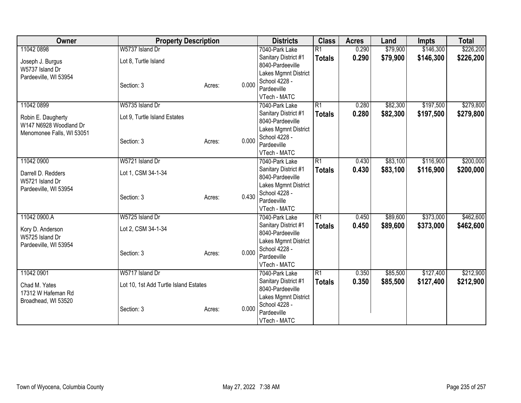| Owner                     | <b>Property Description</b>           |        |       | <b>Districts</b>                       | <b>Class</b>    | <b>Acres</b> | Land     | <b>Impts</b> | <b>Total</b> |
|---------------------------|---------------------------------------|--------|-------|----------------------------------------|-----------------|--------------|----------|--------------|--------------|
| 11042 0898                | W5737 Island Dr                       |        |       | 7040-Park Lake                         | $\overline{R1}$ | 0.290        | \$79,900 | \$146,300    | \$226,200    |
| Joseph J. Burgus          | Lot 8, Turtle Island                  |        |       | Sanitary District #1                   | <b>Totals</b>   | 0.290        | \$79,900 | \$146,300    | \$226,200    |
| W5737 Island Dr           |                                       |        |       | 8040-Pardeeville                       |                 |              |          |              |              |
| Pardeeville, WI 53954     |                                       |        |       | Lakes Mgmnt District                   |                 |              |          |              |              |
|                           | Section: 3                            | Acres: | 0.000 | School 4228 -                          |                 |              |          |              |              |
|                           |                                       |        |       | Pardeeville                            |                 |              |          |              |              |
| 11042 0899                | W5735 Island Dr                       |        |       | VTech - MATC                           | $\overline{R1}$ | 0.280        | \$82,300 | \$197,500    | \$279,800    |
|                           |                                       |        |       | 7040-Park Lake<br>Sanitary District #1 |                 |              |          |              |              |
| Robin E. Daugherty        | Lot 9, Turtle Island Estates          |        |       | 8040-Pardeeville                       | <b>Totals</b>   | 0.280        | \$82,300 | \$197,500    | \$279,800    |
| W147 N6928 Woodland Dr    |                                       |        |       | Lakes Mgmnt District                   |                 |              |          |              |              |
| Menomonee Falls, WI 53051 |                                       |        |       | School 4228 -                          |                 |              |          |              |              |
|                           | Section: 3                            | Acres: | 0.000 | Pardeeville                            |                 |              |          |              |              |
|                           |                                       |        |       | VTech - MATC                           |                 |              |          |              |              |
| 11042 0900                | W5721 Island Dr                       |        |       | 7040-Park Lake                         | R1              | 0.430        | \$83,100 | \$116,900    | \$200,000    |
| Darrell D. Redders        | Lot 1, CSM 34-1-34                    |        |       | Sanitary District #1                   | <b>Totals</b>   | 0.430        | \$83,100 | \$116,900    | \$200,000    |
| W5721 Island Dr           |                                       |        |       | 8040-Pardeeville                       |                 |              |          |              |              |
| Pardeeville, WI 53954     |                                       |        |       | Lakes Mgmnt District                   |                 |              |          |              |              |
|                           | Section: 3                            | Acres: | 0.430 | School 4228 -                          |                 |              |          |              |              |
|                           |                                       |        |       | Pardeeville                            |                 |              |          |              |              |
|                           |                                       |        |       | VTech - MATC                           |                 |              |          |              |              |
| 11042 0900.A              | W5725 Island Dr                       |        |       | 7040-Park Lake                         | R1              | 0.450        | \$89,600 | \$373,000    | \$462,600    |
| Kory D. Anderson          | Lot 2, CSM 34-1-34                    |        |       | Sanitary District #1                   | <b>Totals</b>   | 0.450        | \$89,600 | \$373,000    | \$462,600    |
| W5725 Island Dr           |                                       |        |       | 8040-Pardeeville                       |                 |              |          |              |              |
| Pardeeville, WI 53954     |                                       |        |       | Lakes Mgmnt District<br>School 4228 -  |                 |              |          |              |              |
|                           | Section: 3                            | Acres: | 0.000 | Pardeeville                            |                 |              |          |              |              |
|                           |                                       |        |       | VTech - MATC                           |                 |              |          |              |              |
| 11042 0901                | W5717 Island Dr                       |        |       | 7040-Park Lake                         | $\overline{R1}$ | 0.350        | \$85,500 | \$127,400    | \$212,900    |
| Chad M. Yates             |                                       |        |       | Sanitary District #1                   | <b>Totals</b>   | 0.350        | \$85,500 | \$127,400    | \$212,900    |
| 17312 W Hafeman Rd        | Lot 10, 1st Add Turtle Island Estates |        |       | 8040-Pardeeville                       |                 |              |          |              |              |
| Broadhead, WI 53520       |                                       |        |       | Lakes Mgmnt District                   |                 |              |          |              |              |
|                           | Section: 3                            | Acres: | 0.000 | School 4228 -                          |                 |              |          |              |              |
|                           |                                       |        |       | Pardeeville                            |                 |              |          |              |              |
|                           |                                       |        |       | VTech - MATC                           |                 |              |          |              |              |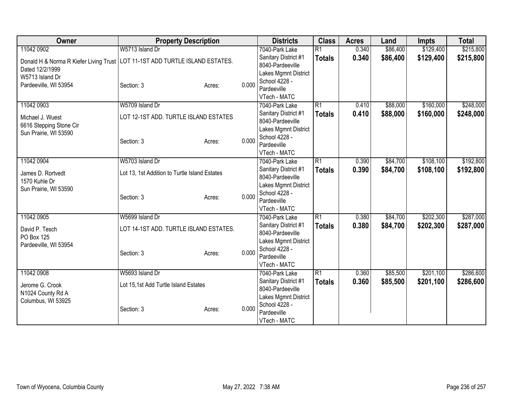| Owner                                                                          | <b>Property Description</b>                   |                 | <b>Districts</b>                      | <b>Class</b>    | <b>Acres</b> | Land     | <b>Impts</b> | <b>Total</b> |
|--------------------------------------------------------------------------------|-----------------------------------------------|-----------------|---------------------------------------|-----------------|--------------|----------|--------------|--------------|
| 11042 0902                                                                     | W5713 Island Dr                               |                 | 7040-Park Lake                        | $\overline{R1}$ | 0.340        | \$86,400 | \$129,400    | \$215,800    |
| Donald H & Norma R Kiefer Living Trust   LOT 11-1ST ADD TURTLE ISLAND ESTATES. |                                               |                 | Sanitary District #1                  | <b>Totals</b>   | 0.340        | \$86,400 | \$129,400    | \$215,800    |
| Dated 12/2/1999                                                                |                                               |                 | 8040-Pardeeville                      |                 |              |          |              |              |
| W5713 Island Dr                                                                |                                               |                 | Lakes Mgmnt District                  |                 |              |          |              |              |
| Pardeeville, WI 53954                                                          | Section: 3                                    | 0.000<br>Acres: | School 4228 -                         |                 |              |          |              |              |
|                                                                                |                                               |                 | Pardeeville                           |                 |              |          |              |              |
|                                                                                |                                               |                 | VTech - MATC                          |                 |              |          |              |              |
| 11042 0903                                                                     | W5709 Island Dr                               |                 | 7040-Park Lake                        | $\overline{R1}$ | 0.410        | \$88,000 | \$160,000    | \$248,000    |
| Michael J. Wuest                                                               | LOT 12-1ST ADD. TURTLE ISLAND ESTATES         |                 | Sanitary District #1                  | <b>Totals</b>   | 0.410        | \$88,000 | \$160,000    | \$248,000    |
| 6616 Stepping Stone Cir                                                        |                                               |                 | 8040-Pardeeville                      |                 |              |          |              |              |
| Sun Prairie, WI 53590                                                          |                                               |                 | Lakes Mgmnt District<br>School 4228 - |                 |              |          |              |              |
|                                                                                | Section: 3                                    | 0.000<br>Acres: | Pardeeville                           |                 |              |          |              |              |
|                                                                                |                                               |                 | VTech - MATC                          |                 |              |          |              |              |
| 11042 0904                                                                     | W5703 Island Dr                               |                 | 7040-Park Lake                        | R1              | 0.390        | \$84,700 | \$108,100    | \$192,800    |
|                                                                                |                                               |                 | Sanitary District #1                  | <b>Totals</b>   | 0.390        | \$84,700 | \$108,100    | \$192,800    |
| James D. Rortvedt                                                              | Lot 13, 1st Addition to Turtle Island Estates |                 | 8040-Pardeeville                      |                 |              |          |              |              |
| 1570 Kuhle Dr                                                                  |                                               |                 | Lakes Mgmnt District                  |                 |              |          |              |              |
| Sun Prairie, WI 53590                                                          |                                               |                 | School 4228 -                         |                 |              |          |              |              |
|                                                                                | Section: 3                                    | 0.000<br>Acres: | Pardeeville                           |                 |              |          |              |              |
|                                                                                |                                               |                 | VTech - MATC                          |                 |              |          |              |              |
| 11042 0905                                                                     | W5699 Island Dr                               |                 | 7040-Park Lake                        | $\overline{R1}$ | 0.380        | \$84,700 | \$202,300    | \$287,000    |
| David P. Tesch                                                                 | LOT 14-1ST ADD. TURTLE ISLAND ESTATES.        |                 | Sanitary District #1                  | <b>Totals</b>   | 0.380        | \$84,700 | \$202,300    | \$287,000    |
| PO Box 125                                                                     |                                               |                 | 8040-Pardeeville                      |                 |              |          |              |              |
| Pardeeville, WI 53954                                                          |                                               |                 | Lakes Mgmnt District                  |                 |              |          |              |              |
|                                                                                | Section: 3                                    | 0.000<br>Acres: | School 4228 -                         |                 |              |          |              |              |
|                                                                                |                                               |                 | Pardeeville                           |                 |              |          |              |              |
|                                                                                |                                               |                 | VTech - MATC                          |                 |              |          |              |              |
| 11042 0908                                                                     | W5693 Island Dr                               |                 | 7040-Park Lake                        | $\overline{R1}$ | 0.360        | \$85,500 | \$201,100    | \$286,600    |
| Jerome G. Crook                                                                | Lot 15,1st Add Turtle Island Estates          |                 | Sanitary District #1                  | <b>Totals</b>   | 0.360        | \$85,500 | \$201,100    | \$286,600    |
| N1024 County Rd A                                                              |                                               |                 | 8040-Pardeeville                      |                 |              |          |              |              |
| Columbus, WI 53925                                                             |                                               |                 | Lakes Mgmnt District                  |                 |              |          |              |              |
|                                                                                | Section: 3                                    | 0.000<br>Acres: | School 4228 -<br>Pardeeville          |                 |              |          |              |              |
|                                                                                |                                               |                 | VTech - MATC                          |                 |              |          |              |              |
|                                                                                |                                               |                 |                                       |                 |              |          |              |              |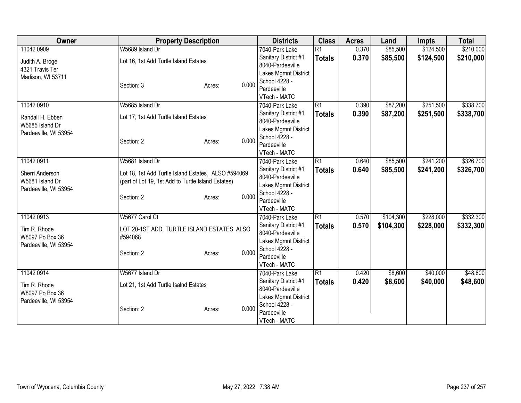| Owner                 | <b>Property Description</b>                         |                 | <b>Districts</b>                      | <b>Class</b>    | <b>Acres</b> | Land      | <b>Impts</b> | <b>Total</b> |
|-----------------------|-----------------------------------------------------|-----------------|---------------------------------------|-----------------|--------------|-----------|--------------|--------------|
| 11042 0909            | W5689 Island Dr                                     |                 | 7040-Park Lake                        | $\overline{R1}$ | 0.370        | \$85,500  | \$124,500    | \$210,000    |
| Judith A. Broge       | Lot 16, 1st Add Turtle Island Estates               |                 | Sanitary District #1                  | <b>Totals</b>   | 0.370        | \$85,500  | \$124,500    | \$210,000    |
| 4321 Travis Ter       |                                                     |                 | 8040-Pardeeville                      |                 |              |           |              |              |
| Madison, WI 53711     |                                                     |                 | Lakes Mgmnt District                  |                 |              |           |              |              |
|                       | Section: 3                                          | 0.000<br>Acres: | School 4228 -                         |                 |              |           |              |              |
|                       |                                                     |                 | Pardeeville                           |                 |              |           |              |              |
|                       |                                                     |                 | VTech - MATC                          |                 |              |           |              |              |
| 11042 0910            | W5685 Island Dr                                     |                 | 7040-Park Lake                        | $\overline{R1}$ | 0.390        | \$87,200  | \$251,500    | \$338,700    |
| Randall H. Ebben      | Lot 17, 1st Add Turtle Island Estates               |                 | Sanitary District #1                  | <b>Totals</b>   | 0.390        | \$87,200  | \$251,500    | \$338,700    |
| W5685 Island Dr       |                                                     |                 | 8040-Pardeeville                      |                 |              |           |              |              |
| Pardeeville, WI 53954 |                                                     |                 | Lakes Mgmnt District<br>School 4228 - |                 |              |           |              |              |
|                       | Section: 2                                          | 0.000<br>Acres: | Pardeeville                           |                 |              |           |              |              |
|                       |                                                     |                 | VTech - MATC                          |                 |              |           |              |              |
| 11042 0911            | W5681 Island Dr                                     |                 | 7040-Park Lake                        | $\overline{R1}$ | 0.640        | \$85,500  | \$241,200    | \$326,700    |
|                       |                                                     |                 | Sanitary District #1                  | <b>Totals</b>   | 0.640        | \$85,500  | \$241,200    | \$326,700    |
| Sherri Anderson       | Lot 18, 1st Add Turtle Island Estates, ALSO #594069 |                 | 8040-Pardeeville                      |                 |              |           |              |              |
| W5681 Island Dr       | (part of Lot 19, 1st Add to Turtle Island Estates)  |                 | Lakes Mgmnt District                  |                 |              |           |              |              |
| Pardeeville, WI 53954 |                                                     |                 | School 4228 -                         |                 |              |           |              |              |
|                       | Section: 2                                          | 0.000<br>Acres: | Pardeeville                           |                 |              |           |              |              |
|                       |                                                     |                 | VTech - MATC                          |                 |              |           |              |              |
| 11042 0913            | W5677 Carol Ct                                      |                 | 7040-Park Lake                        | R1              | 0.570        | \$104,300 | \$228,000    | \$332,300    |
| Tim R. Rhode          | LOT 20-1ST ADD. TURTLE ISLAND ESTATES ALSO          |                 | Sanitary District #1                  | <b>Totals</b>   | 0.570        | \$104,300 | \$228,000    | \$332,300    |
| W8097 Po Box 36       | #594068                                             |                 | 8040-Pardeeville                      |                 |              |           |              |              |
| Pardeeville, WI 53954 |                                                     |                 | Lakes Mgmnt District                  |                 |              |           |              |              |
|                       | Section: 2                                          | 0.000<br>Acres: | School 4228 -                         |                 |              |           |              |              |
|                       |                                                     |                 | Pardeeville                           |                 |              |           |              |              |
|                       |                                                     |                 | VTech - MATC                          |                 |              |           |              |              |
| 11042 0914            | W5677 Island Dr                                     |                 | 7040-Park Lake                        | $\overline{R1}$ | 0.420        | \$8,600   | \$40,000     | \$48,600     |
| Tim R. Rhode          | Lot 21, 1st Add Turtle Isalnd Estates               |                 | Sanitary District #1                  | <b>Totals</b>   | 0.420        | \$8,600   | \$40,000     | \$48,600     |
| W8097 Po Box 36       |                                                     |                 | 8040-Pardeeville                      |                 |              |           |              |              |
| Pardeeville, WI 53954 |                                                     |                 | Lakes Mgmnt District<br>School 4228 - |                 |              |           |              |              |
|                       | Section: 2                                          | 0.000<br>Acres: | Pardeeville                           |                 |              |           |              |              |
|                       |                                                     |                 | VTech - MATC                          |                 |              |           |              |              |
|                       |                                                     |                 |                                       |                 |              |           |              |              |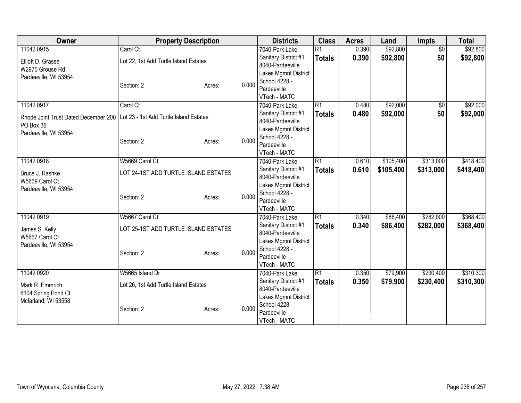| Owner                                | <b>Property Description</b>            |        |       | <b>Districts</b>     | <b>Class</b>    | <b>Acres</b> | Land      | Impts           | <b>Total</b> |
|--------------------------------------|----------------------------------------|--------|-------|----------------------|-----------------|--------------|-----------|-----------------|--------------|
| 11042 0915                           | Carol Ct                               |        |       | 7040-Park Lake       | $\overline{R1}$ | 0.390        | \$92,800  | $\overline{50}$ | \$92,800     |
| Elliott D. Grasse                    | Lot 22, 1st Add Turtle Island Estates  |        |       | Sanitary District #1 | <b>Totals</b>   | 0.390        | \$92,800  | \$0             | \$92,800     |
| W2970 Grouse Rd                      |                                        |        |       | 8040-Pardeeville     |                 |              |           |                 |              |
| Pardeeville, WI 53954                |                                        |        |       | Lakes Mgmnt District |                 |              |           |                 |              |
|                                      | Section: 2                             | Acres: | 0.000 | School 4228 -        |                 |              |           |                 |              |
|                                      |                                        |        |       | Pardeeville          |                 |              |           |                 |              |
|                                      |                                        |        |       | VTech - MATC         |                 |              |           |                 |              |
| 11042 0917                           | Carol Ct                               |        |       | 7040-Park Lake       | $\overline{R1}$ | 0.480        | \$92,000  | $\overline{50}$ | \$92,000     |
| Rhode Joint Trust Dated December 200 | Lot 23 - 1st Add Turtle Island Estates |        |       | Sanitary District #1 | <b>Totals</b>   | 0.480        | \$92,000  | \$0             | \$92,000     |
| PO Box 36                            |                                        |        |       | 8040-Pardeeville     |                 |              |           |                 |              |
| Pardeeville, WI 53954                |                                        |        |       | Lakes Mgmnt District |                 |              |           |                 |              |
|                                      | Section: 2                             | Acres: | 0.000 | School 4228 -        |                 |              |           |                 |              |
|                                      |                                        |        |       | Pardeeville          |                 |              |           |                 |              |
|                                      |                                        |        |       | VTech - MATC         |                 |              |           |                 |              |
| 11042 0918                           | W5669 Carol Ct                         |        |       | 7040-Park Lake       | $\overline{R1}$ | 0.610        | \$105,400 | \$313,000       | \$418,400    |
| Bruce J. Rashke                      | LOT 24-1ST ADD TURTLE ISLAND ESTATES   |        |       | Sanitary District #1 | <b>Totals</b>   | 0.610        | \$105,400 | \$313,000       | \$418,400    |
| W5669 Carol Ct                       |                                        |        |       | 8040-Pardeeville     |                 |              |           |                 |              |
| Pardeeville, WI 53954                |                                        |        |       | Lakes Mgmnt District |                 |              |           |                 |              |
|                                      | Section: 2                             | Acres: | 0.000 | School 4228 -        |                 |              |           |                 |              |
|                                      |                                        |        |       | Pardeeville          |                 |              |           |                 |              |
|                                      |                                        |        |       | VTech - MATC         |                 |              |           |                 |              |
| 11042 0919                           | W5667 Carol Ct                         |        |       | 7040-Park Lake       | $\overline{R1}$ | 0.340        | \$86,400  | \$282,000       | \$368,400    |
| James S. Kelly                       | LOT 25-1ST ADD TURTLE ISLAND ESTATES   |        |       | Sanitary District #1 | <b>Totals</b>   | 0.340        | \$86,400  | \$282,000       | \$368,400    |
| W5667 Carol Ct                       |                                        |        |       | 8040-Pardeeville     |                 |              |           |                 |              |
| Pardeeville, WI 53954                |                                        |        |       | Lakes Mgmnt District |                 |              |           |                 |              |
|                                      | Section: 2                             | Acres: | 0.000 | School 4228 -        |                 |              |           |                 |              |
|                                      |                                        |        |       | Pardeeville          |                 |              |           |                 |              |
|                                      |                                        |        |       | VTech - MATC         |                 |              |           |                 |              |
| 11042 0920                           | W5665 Island Dr                        |        |       | 7040-Park Lake       | $\overline{R1}$ | 0.350        | \$79,900  | \$230,400       | \$310,300    |
| Mark R. Emmrich                      | Lot 26, 1st Add Turtle Island Estates  |        |       | Sanitary District #1 | <b>Totals</b>   | 0.350        | \$79,900  | \$230,400       | \$310,300    |
| 6104 Spring Pond Ct                  |                                        |        |       | 8040-Pardeeville     |                 |              |           |                 |              |
| Mcfarland, WI 53558                  |                                        |        |       | Lakes Mgmnt District |                 |              |           |                 |              |
|                                      | Section: 2                             | Acres: | 0.000 | School 4228 -        |                 |              |           |                 |              |
|                                      |                                        |        |       | Pardeeville          |                 |              |           |                 |              |
|                                      |                                        |        |       | VTech - MATC         |                 |              |           |                 |              |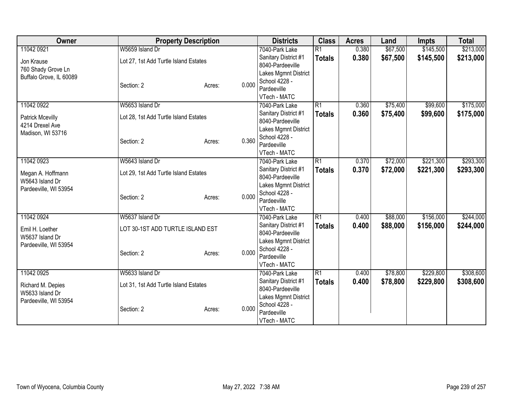| Owner                   |                                       | <b>Property Description</b> |       | <b>Districts</b>                         | <b>Class</b>    | <b>Acres</b> | Land     | <b>Impts</b> | <b>Total</b> |
|-------------------------|---------------------------------------|-----------------------------|-------|------------------------------------------|-----------------|--------------|----------|--------------|--------------|
| 11042 0921              | W5659 Island Dr                       |                             |       | 7040-Park Lake                           | $\overline{R1}$ | 0.380        | \$67,500 | \$145,500    | \$213,000    |
| Jon Krause              | Lot 27, 1st Add Turtle Island Estates |                             |       | Sanitary District #1                     | <b>Totals</b>   | 0.380        | \$67,500 | \$145,500    | \$213,000    |
| 760 Shady Grove Ln      |                                       |                             |       | 8040-Pardeeville                         |                 |              |          |              |              |
| Buffalo Grove, IL 60089 |                                       |                             |       | Lakes Mgmnt District                     |                 |              |          |              |              |
|                         | Section: 2                            | Acres:                      | 0.000 | School 4228 -                            |                 |              |          |              |              |
|                         |                                       |                             |       | Pardeeville                              |                 |              |          |              |              |
|                         |                                       |                             |       | VTech - MATC                             |                 |              |          |              |              |
| 11042 0922              | W5653 Island Dr                       |                             |       | 7040-Park Lake                           | $\overline{R1}$ | 0.360        | \$75,400 | \$99,600     | \$175,000    |
| <b>Patrick Mcevilly</b> | Lot 28, 1st Add Turtle Island Estates |                             |       | Sanitary District #1                     | <b>Totals</b>   | 0.360        | \$75,400 | \$99,600     | \$175,000    |
| 4214 Drexel Ave         |                                       |                             |       | 8040-Pardeeville                         |                 |              |          |              |              |
| Madison, WI 53716       |                                       |                             |       | Lakes Mgmnt District                     |                 |              |          |              |              |
|                         | Section: 2                            | Acres:                      | 0.360 | School 4228 -<br>Pardeeville             |                 |              |          |              |              |
|                         |                                       |                             |       | VTech - MATC                             |                 |              |          |              |              |
| 11042 0923              | W5643 Island Dr                       |                             |       | 7040-Park Lake                           | $\overline{R1}$ | 0.370        | \$72,000 | \$221,300    | \$293,300    |
|                         |                                       |                             |       | Sanitary District #1                     |                 | 0.370        | \$72,000 | \$221,300    | \$293,300    |
| Megan A. Hoffmann       | Lot 29, 1st Add Turtle Island Estates |                             |       |                                          | <b>Totals</b>   |              |          |              |              |
| W5643 Island Dr         |                                       |                             |       | 8040-Pardeeville<br>Lakes Mgmnt District |                 |              |          |              |              |
| Pardeeville, WI 53954   |                                       |                             |       | School 4228 -                            |                 |              |          |              |              |
|                         | Section: 2                            | Acres:                      | 0.000 | Pardeeville                              |                 |              |          |              |              |
|                         |                                       |                             |       | VTech - MATC                             |                 |              |          |              |              |
| 11042 0924              | W5637 Island Dr                       |                             |       | 7040-Park Lake                           | $\overline{R1}$ | 0.400        | \$88,000 | \$156,000    | \$244,000    |
|                         |                                       |                             |       | Sanitary District #1                     | <b>Totals</b>   | 0.400        | \$88,000 | \$156,000    | \$244,000    |
| Emil H. Loether         | LOT 30-1ST ADD TURTLE ISLAND EST      |                             |       | 8040-Pardeeville                         |                 |              |          |              |              |
| W5637 Island Dr         |                                       |                             |       | Lakes Mgmnt District                     |                 |              |          |              |              |
| Pardeeville, WI 53954   | Section: 2                            |                             | 0.000 | School 4228 -                            |                 |              |          |              |              |
|                         |                                       | Acres:                      |       | Pardeeville                              |                 |              |          |              |              |
|                         |                                       |                             |       | VTech - MATC                             |                 |              |          |              |              |
| 11042 0925              | W5633 Island Dr                       |                             |       | 7040-Park Lake                           | $\overline{R1}$ | 0.400        | \$78,800 | \$229,800    | \$308,600    |
| Richard M. Depies       | Lot 31, 1st Add Turtle Island Estates |                             |       | Sanitary District #1                     | <b>Totals</b>   | 0.400        | \$78,800 | \$229,800    | \$308,600    |
| W5633 Island Dr         |                                       |                             |       | 8040-Pardeeville                         |                 |              |          |              |              |
| Pardeeville, WI 53954   |                                       |                             |       | Lakes Mgmnt District                     |                 |              |          |              |              |
|                         | Section: 2                            | Acres:                      | 0.000 | School 4228 -                            |                 |              |          |              |              |
|                         |                                       |                             |       | Pardeeville                              |                 |              |          |              |              |
|                         |                                       |                             |       | VTech - MATC                             |                 |              |          |              |              |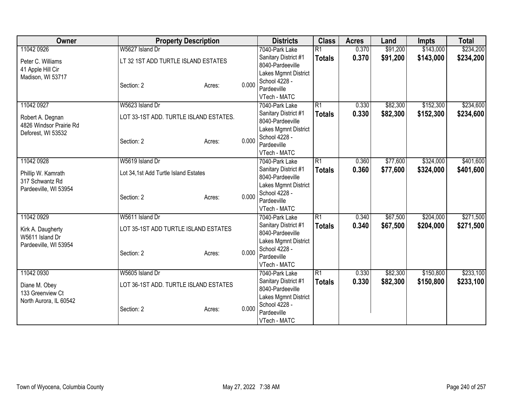| Owner                             | <b>Property Description</b>            |        |                      | <b>Districts</b>                         | <b>Class</b>    | <b>Acres</b> | Land     | <b>Impts</b> | <b>Total</b> |
|-----------------------------------|----------------------------------------|--------|----------------------|------------------------------------------|-----------------|--------------|----------|--------------|--------------|
| 11042 0926                        | W5627 Island Dr                        |        |                      | 7040-Park Lake                           | $\overline{R1}$ | 0.370        | \$91,200 | \$143,000    | \$234,200    |
| Peter C. Williams                 | LT 32 1ST ADD TURTLE ISLAND ESTATES    |        |                      | Sanitary District #1                     | <b>Totals</b>   | 0.370        | \$91,200 | \$143,000    | \$234,200    |
| 41 Apple Hill Cir                 |                                        |        |                      | 8040-Pardeeville                         |                 |              |          |              |              |
| Madison, WI 53717                 |                                        |        |                      | Lakes Mgmnt District                     |                 |              |          |              |              |
|                                   | Section: 2                             | Acres: | 0.000                | School 4228 -                            |                 |              |          |              |              |
|                                   |                                        |        |                      | Pardeeville<br>VTech - MATC              |                 |              |          |              |              |
| 11042 0927                        | W5623 Island Dr                        |        |                      | 7040-Park Lake                           | $\overline{R1}$ | 0.330        | \$82,300 | \$152,300    | \$234,600    |
|                                   |                                        |        |                      | Sanitary District #1                     |                 | 0.330        | \$82,300 | \$152,300    | \$234,600    |
| Robert A. Degnan                  | LOT 33-1ST ADD. TURTLE ISLAND ESTATES. |        |                      | 8040-Pardeeville                         | <b>Totals</b>   |              |          |              |              |
| 4826 Windsor Prairie Rd           |                                        |        |                      | Lakes Mgmnt District                     |                 |              |          |              |              |
| Deforest, WI 53532                |                                        |        |                      | School 4228 -                            |                 |              |          |              |              |
|                                   | Section: 2                             | Acres: | 0.000                | Pardeeville                              |                 |              |          |              |              |
|                                   |                                        |        |                      | VTech - MATC                             |                 |              |          |              |              |
| 11042 0928                        | W5619 Island Dr                        |        |                      | 7040-Park Lake                           | $\overline{R1}$ | 0.360        | \$77,600 | \$324,000    | \$401,600    |
| Phillip W. Kamrath                | Lot 34,1st Add Turtle Island Estates   |        | Sanitary District #1 |                                          | <b>Totals</b>   | 0.360        | \$77,600 | \$324,000    | \$401,600    |
| 317 Schwantz Rd                   |                                        |        |                      | 8040-Pardeeville                         |                 |              |          |              |              |
| Pardeeville, WI 53954             |                                        |        |                      | Lakes Mgmnt District                     |                 |              |          |              |              |
|                                   | Section: 2                             | Acres: | 0.000                | School 4228 -                            |                 |              |          |              |              |
|                                   |                                        |        |                      | Pardeeville                              |                 |              |          |              |              |
|                                   |                                        |        |                      | VTech - MATC                             |                 |              |          |              |              |
| 11042 0929                        | W5611 Island Dr                        |        |                      | 7040-Park Lake                           | $\overline{R1}$ | 0.340        | \$67,500 | \$204,000    | \$271,500    |
| Kirk A. Daugherty                 | LOT 35-1ST ADD TURTLE ISLAND ESTATES   |        |                      | Sanitary District #1<br>8040-Pardeeville | <b>Totals</b>   | 0.340        | \$67,500 | \$204,000    | \$271,500    |
| W5611 Island Dr                   |                                        |        |                      | Lakes Mgmnt District                     |                 |              |          |              |              |
| Pardeeville, WI 53954             |                                        |        |                      | School 4228 -                            |                 |              |          |              |              |
|                                   | Section: 2                             | Acres: | 0.000                | Pardeeville                              |                 |              |          |              |              |
|                                   |                                        |        |                      | VTech - MATC                             |                 |              |          |              |              |
| 11042 0930                        | W5605 Island Dr                        |        |                      | 7040-Park Lake                           | $\overline{R1}$ | 0.330        | \$82,300 | \$150,800    | \$233,100    |
|                                   | LOT 36-1ST ADD. TURTLE ISLAND ESTATES  |        |                      | Sanitary District #1                     | <b>Totals</b>   | 0.330        | \$82,300 | \$150,800    | \$233,100    |
| Diane M. Obey<br>133 Greenview Ct |                                        |        |                      | 8040-Pardeeville                         |                 |              |          |              |              |
| North Aurora, IL 60542            |                                        |        |                      | Lakes Mgmnt District                     |                 |              |          |              |              |
|                                   | Section: 2                             | Acres: | 0.000                | School 4228 -                            |                 |              |          |              |              |
|                                   |                                        |        |                      | Pardeeville                              |                 |              |          |              |              |
|                                   |                                        |        |                      | VTech - MATC                             |                 |              |          |              |              |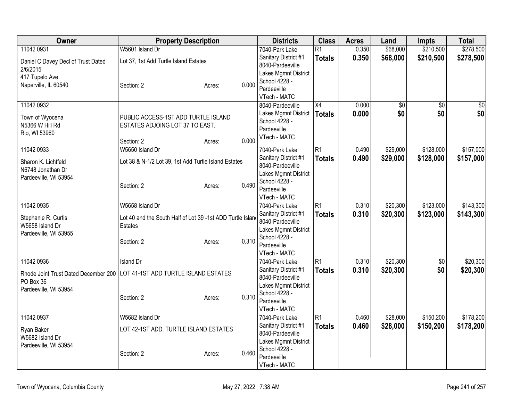| Owner                                | <b>Property Description</b>                               |        |       | <b>Districts</b>                         | <b>Class</b>    | <b>Acres</b> | Land            | <b>Impts</b>    | <b>Total</b> |
|--------------------------------------|-----------------------------------------------------------|--------|-------|------------------------------------------|-----------------|--------------|-----------------|-----------------|--------------|
| 11042 0931                           | W5601 Island Dr                                           |        |       | 7040-Park Lake                           | $\overline{R1}$ | 0.350        | \$68,000        | \$210,500       | \$278,500    |
| Daniel C Davey Decl of Trust Dated   | Lot 37, 1st Add Turtle Island Estates                     |        |       | Sanitary District #1                     | <b>Totals</b>   | 0.350        | \$68,000        | \$210,500       | \$278,500    |
| 2/6/2015                             |                                                           |        |       | 8040-Pardeeville<br>Lakes Mgmnt District |                 |              |                 |                 |              |
| 417 Tupelo Ave                       |                                                           |        |       | School 4228 -                            |                 |              |                 |                 |              |
| Naperville, IL 60540                 | Section: 2                                                | Acres: | 0.000 | Pardeeville                              |                 |              |                 |                 |              |
|                                      |                                                           |        |       | VTech - MATC                             |                 |              |                 |                 |              |
| 11042 0932                           |                                                           |        |       | 8040-Pardeeville                         | $\overline{X4}$ | 0.000        | $\overline{50}$ | $\overline{50}$ | $\sqrt{30}$  |
| Town of Wyocena                      | PUBLIC ACCESS-1ST ADD TURTLE ISLAND                       |        |       | Lakes Mgmnt District                     | <b>Totals</b>   | 0.000        | \$0             | \$0             | \$0          |
| N5366 W Hill Rd                      | ESTATES ADJOING LOT 37 TO EAST.                           |        |       | School 4228 -<br>Pardeeville             |                 |              |                 |                 |              |
| Rio, WI 53960                        |                                                           |        |       | VTech - MATC                             |                 |              |                 |                 |              |
|                                      | Section: 2                                                | Acres: | 0.000 |                                          |                 |              |                 |                 |              |
| 11042 0933                           | W5650 Island Dr                                           |        |       | 7040-Park Lake                           | $\overline{R1}$ | 0.490        | \$29,000        | \$128,000       | \$157,000    |
| Sharon K. Lichtfeld                  | Lot 38 & N-1/2 Lot 39, 1st Add Turtle Island Estates      |        |       | Sanitary District #1<br>8040-Pardeeville | <b>Totals</b>   | 0.490        | \$29,000        | \$128,000       | \$157,000    |
| N6748 Jonathan Dr                    |                                                           |        |       | Lakes Mgmnt District                     |                 |              |                 |                 |              |
| Pardeeville, WI 53954                |                                                           |        |       | School 4228 -                            |                 |              |                 |                 |              |
|                                      | Section: 2                                                | Acres: | 0.490 | Pardeeville                              |                 |              |                 |                 |              |
|                                      |                                                           |        |       | VTech - MATC                             |                 |              |                 |                 |              |
| 11042 0935                           | W5658 Island Dr                                           |        |       | 7040-Park Lake                           | $\overline{R1}$ | 0.310        | \$20,300        | \$123,000       | \$143,300    |
| Stephanie R. Curtis                  | Lot 40 and the South Half of Lot 39 -1st ADD Turtle Islan |        |       | Sanitary District #1<br>8040-Pardeeville | <b>Totals</b>   | 0.310        | \$20,300        | \$123,000       | \$143,300    |
| W5658 Island Dr                      | <b>Estates</b>                                            |        |       | Lakes Mgmnt District                     |                 |              |                 |                 |              |
| Pardeeville, WI 53955                |                                                           |        |       | School 4228 -                            |                 |              |                 |                 |              |
|                                      | Section: 2                                                | Acres: | 0.310 | Pardeeville                              |                 |              |                 |                 |              |
|                                      |                                                           |        |       | VTech - MATC                             |                 |              |                 |                 |              |
| 11042 0936                           | <b>Island Dr</b>                                          |        |       | 7040-Park Lake                           | $\overline{R1}$ | 0.310        | \$20,300        | $\overline{50}$ | \$20,300     |
| Rhode Joint Trust Dated December 200 | LOT 41-1ST ADD TURTLE ISLAND ESTATES                      |        |       | Sanitary District #1                     | <b>Totals</b>   | 0.310        | \$20,300        | \$0             | \$20,300     |
| PO Box 36                            |                                                           |        |       | 8040-Pardeeville<br>Lakes Mgmnt District |                 |              |                 |                 |              |
| Pardeeville, WI 53954                |                                                           |        |       | School 4228 -                            |                 |              |                 |                 |              |
|                                      | Section: 2                                                | Acres: | 0.310 | Pardeeville                              |                 |              |                 |                 |              |
|                                      |                                                           |        |       | VTech - MATC                             |                 |              |                 |                 |              |
| 11042 0937                           | W5682 Island Dr                                           |        |       | 7040-Park Lake                           | R1              | 0.460        | \$28,000        | \$150,200       | \$178,200    |
| Ryan Baker                           | LOT 42-1ST ADD. TURTLE ISLAND ESTATES                     |        |       | Sanitary District #1                     | <b>Totals</b>   | 0.460        | \$28,000        | \$150,200       | \$178,200    |
| W5682 Island Dr                      |                                                           |        |       | 8040-Pardeeville                         |                 |              |                 |                 |              |
| Pardeeville, WI 53954                |                                                           |        |       | Lakes Mgmnt District<br>School 4228 -    |                 |              |                 |                 |              |
|                                      | Section: 2                                                | Acres: | 0.460 | Pardeeville                              |                 |              |                 |                 |              |
|                                      |                                                           |        |       | VTech - MATC                             |                 |              |                 |                 |              |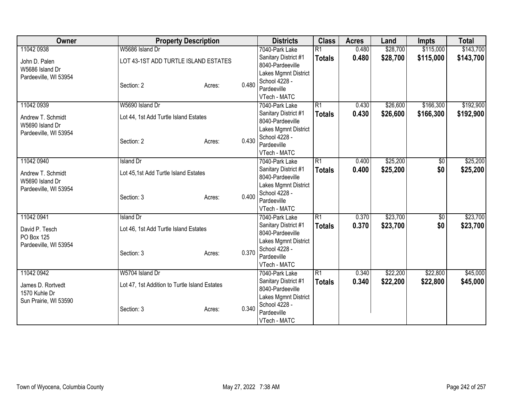| Owner                                    | <b>Property Description</b>                   |                 | <b>Districts</b>                         | <b>Class</b>    | <b>Acres</b> | Land     | <b>Impts</b> | <b>Total</b> |
|------------------------------------------|-----------------------------------------------|-----------------|------------------------------------------|-----------------|--------------|----------|--------------|--------------|
| 11042 0938                               | W5686 Island Dr                               |                 | 7040-Park Lake                           | $\overline{R1}$ | 0.480        | \$28,700 | \$115,000    | \$143,700    |
| John D. Palen                            | LOT 43-1ST ADD TURTLE ISLAND ESTATES          |                 | Sanitary District #1                     | <b>Totals</b>   | 0.480        | \$28,700 | \$115,000    | \$143,700    |
| W5686 Island Dr                          |                                               |                 | 8040-Pardeeville                         |                 |              |          |              |              |
| Pardeeville, WI 53954                    |                                               |                 | Lakes Mgmnt District                     |                 |              |          |              |              |
|                                          | Section: 2                                    | 0.480<br>Acres: | School 4228 -                            |                 |              |          |              |              |
|                                          |                                               |                 | Pardeeville                              |                 |              |          |              |              |
| 11042 0939                               | W5690 Island Dr                               |                 | VTech - MATC<br>7040-Park Lake           | $\overline{R1}$ | 0.430        | \$26,600 | \$166,300    | \$192,900    |
|                                          |                                               |                 |                                          |                 |              |          |              |              |
| Andrew T. Schmidt                        | Lot 44, 1st Add Turtle Island Estates         |                 | Sanitary District #1<br>8040-Pardeeville | <b>Totals</b>   | 0.430        | \$26,600 | \$166,300    | \$192,900    |
| W5690 Island Dr                          |                                               |                 | Lakes Mgmnt District                     |                 |              |          |              |              |
| Pardeeville, WI 53954                    |                                               |                 | School 4228 -                            |                 |              |          |              |              |
|                                          | Section: 2                                    | 0.430<br>Acres: | Pardeeville                              |                 |              |          |              |              |
|                                          |                                               |                 | VTech - MATC                             |                 |              |          |              |              |
| 11042 0940                               | <b>Island Dr</b>                              |                 | 7040-Park Lake                           | $\overline{R1}$ | 0.400        | \$25,200 | \$0          | \$25,200     |
|                                          |                                               |                 | Sanitary District #1                     | <b>Totals</b>   | 0.400        | \$25,200 | \$0          | \$25,200     |
| Andrew T. Schmidt                        | Lot 45,1st Add Turtle Island Estates          |                 | 8040-Pardeeville                         |                 |              |          |              |              |
| W5690 Island Dr<br>Pardeeville, WI 53954 |                                               |                 | Lakes Mgmnt District                     |                 |              |          |              |              |
|                                          | Section: 3                                    | 0.400<br>Acres: | School 4228 -                            |                 |              |          |              |              |
|                                          |                                               |                 | Pardeeville                              |                 |              |          |              |              |
|                                          |                                               |                 | VTech - MATC                             |                 |              |          |              |              |
| 11042 0941                               | <b>Island Dr</b>                              |                 | 7040-Park Lake                           | R1              | 0.370        | \$23,700 | \$0          | \$23,700     |
| David P. Tesch                           | Lot 46, 1st Add Turtle Island Estates         |                 | Sanitary District #1                     | <b>Totals</b>   | 0.370        | \$23,700 | \$0          | \$23,700     |
| PO Box 125                               |                                               |                 | 8040-Pardeeville                         |                 |              |          |              |              |
| Pardeeville, WI 53954                    |                                               |                 | Lakes Mgmnt District                     |                 |              |          |              |              |
|                                          | Section: 3                                    | 0.370<br>Acres: | School 4228 -<br>Pardeeville             |                 |              |          |              |              |
|                                          |                                               |                 | VTech - MATC                             |                 |              |          |              |              |
| 11042 0942                               | W5704 Island Dr                               |                 | 7040-Park Lake                           | $\overline{R1}$ | 0.340        | \$22,200 | \$22,800     | \$45,000     |
|                                          |                                               |                 | Sanitary District #1                     | <b>Totals</b>   | 0.340        | \$22,200 | \$22,800     | \$45,000     |
| James D. Rortvedt                        | Lot 47, 1st Addition to Turtle Island Estates |                 | 8040-Pardeeville                         |                 |              |          |              |              |
| 1570 Kuhle Dr                            |                                               |                 | Lakes Mgmnt District                     |                 |              |          |              |              |
| Sun Prairie, WI 53590                    |                                               |                 | School 4228 -                            |                 |              |          |              |              |
|                                          | Section: 3                                    | 0.340<br>Acres: | Pardeeville                              |                 |              |          |              |              |
|                                          |                                               |                 | VTech - MATC                             |                 |              |          |              |              |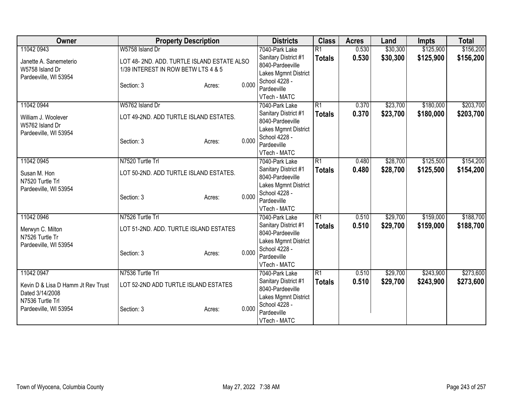| <b>Owner</b>                                                       | <b>Property Description</b>                                                       |        |       | <b>Districts</b>                                                     | <b>Class</b>    | <b>Acres</b> | Land     | <b>Impts</b> | <b>Total</b> |
|--------------------------------------------------------------------|-----------------------------------------------------------------------------------|--------|-------|----------------------------------------------------------------------|-----------------|--------------|----------|--------------|--------------|
| 11042 0943                                                         | W5758 Island Dr                                                                   |        |       | 7040-Park Lake                                                       | $\overline{R1}$ | 0.530        | \$30,300 | \$125,900    | \$156,200    |
| Janette A. Sanemeterio<br>W5758 Island Dr<br>Pardeeville, WI 53954 | LOT 48-2ND. ADD. TURTLE ISLAND ESTATE ALSO<br>1/39 INTEREST IN ROW BETW LTS 4 & 5 |        |       | Sanitary District #1<br>8040-Pardeeville<br>Lakes Mgmnt District     | <b>Totals</b>   | 0.530        | \$30,300 | \$125,900    | \$156,200    |
|                                                                    | Section: 3                                                                        | Acres: | 0.000 | School 4228 -<br>Pardeeville<br>VTech - MATC                         |                 |              |          |              |              |
| 11042 0944                                                         | W5762 Island Dr                                                                   |        |       | 7040-Park Lake                                                       | R1              | 0.370        | \$23,700 | \$180,000    | \$203,700    |
| William J. Woolever<br>W5762 Island Dr                             | LOT 49-2ND. ADD TURTLE ISLAND ESTATES.                                            |        |       | Sanitary District #1<br>8040-Pardeeville                             | <b>Totals</b>   | 0.370        | \$23,700 | \$180,000    | \$203,700    |
| Pardeeville, WI 53954                                              |                                                                                   |        |       | Lakes Mgmnt District<br>School 4228 -                                |                 |              |          |              |              |
|                                                                    | Section: 3                                                                        | Acres: | 0.000 | Pardeeville<br>VTech - MATC                                          |                 |              |          |              |              |
| 11042 0945                                                         | N7520 Turtle Trl                                                                  |        |       | 7040-Park Lake                                                       | R1              | 0.480        | \$28,700 | \$125,500    | \$154,200    |
| Susan M. Hon<br>N7520 Turtle Trl                                   | LOT 50-2ND. ADD TURTLE ISLAND ESTATES.                                            |        |       | Sanitary District #1<br>8040-Pardeeville                             | <b>Totals</b>   | 0.480        | \$28,700 | \$125,500    | \$154,200    |
| Pardeeville, WI 53954                                              | Section: 3                                                                        | Acres: | 0.000 | Lakes Mgmnt District<br>School 4228 -<br>Pardeeville<br>VTech - MATC |                 |              |          |              |              |
| 11042 0946                                                         | N7526 Turtle Trl                                                                  |        |       | 7040-Park Lake                                                       | R1              | 0.510        | \$29,700 | \$159,000    | \$188,700    |
| Merwyn C. Milton<br>N7526 Turtle Tr                                | LOT 51-2ND. ADD. TURTLE ISLAND ESTATES                                            |        |       | Sanitary District #1<br>8040-Pardeeville                             | <b>Totals</b>   | 0.510        | \$29,700 | \$159,000    | \$188,700    |
| Pardeeville, WI 53954                                              | Section: 3                                                                        | Acres: | 0.000 | Lakes Mgmnt District<br>School 4228 -<br>Pardeeville<br>VTech - MATC |                 |              |          |              |              |
| 11042 0947                                                         | N7536 Turtle Trl                                                                  |        |       | 7040-Park Lake                                                       | $\overline{R1}$ | 0.510        | \$29,700 | \$243,900    | \$273,600    |
| Kevin D & Lisa D Hamm Jt Rev Trust<br>Dated 3/14/2008              | LOT 52-2ND ADD TURTLE ISLAND ESTATES                                              |        |       | Sanitary District #1<br>8040-Pardeeville                             | <b>Totals</b>   | 0.510        | \$29,700 | \$243,900    | \$273,600    |
| N7536 Turtle Trl<br>Pardeeville, WI 53954                          | Section: 3                                                                        | Acres: | 0.000 | Lakes Mgmnt District<br>School 4228 -<br>Pardeeville<br>VTech - MATC |                 |              |          |              |              |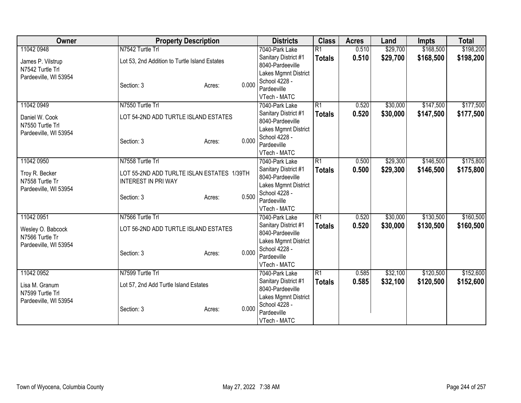| Owner                 | <b>Property Description</b>                   |                 | <b>Districts</b>               | <b>Class</b>    | <b>Acres</b> | Land     | <b>Impts</b> | <b>Total</b> |
|-----------------------|-----------------------------------------------|-----------------|--------------------------------|-----------------|--------------|----------|--------------|--------------|
| 11042 0948            | N7542 Turtle Trl                              |                 | 7040-Park Lake                 | $\overline{R1}$ | 0.510        | \$29,700 | \$168,500    | \$198,200    |
| James P. Vilstrup     | Lot 53, 2nd Addition to Turtle Island Estates |                 | Sanitary District #1           | <b>Totals</b>   | 0.510        | \$29,700 | \$168,500    | \$198,200    |
| N7542 Turtle Trl      |                                               |                 | 8040-Pardeeville               |                 |              |          |              |              |
| Pardeeville, WI 53954 |                                               |                 | Lakes Mgmnt District           |                 |              |          |              |              |
|                       | Section: 3                                    | 0.000<br>Acres: | School 4228 -                  |                 |              |          |              |              |
|                       |                                               |                 | Pardeeville                    |                 |              |          |              |              |
|                       |                                               |                 | VTech - MATC                   |                 |              |          |              |              |
| 11042 0949            | N7550 Turtle Trl                              |                 | 7040-Park Lake                 | $\overline{R1}$ | 0.520        | \$30,000 | \$147,500    | \$177,500    |
| Daniel W. Cook        | LOT 54-2ND ADD TURTLE ISLAND ESTATES          |                 | Sanitary District #1           | <b>Totals</b>   | 0.520        | \$30,000 | \$147,500    | \$177,500    |
| N7550 Turtle Trl      |                                               |                 | 8040-Pardeeville               |                 |              |          |              |              |
| Pardeeville, WI 53954 |                                               |                 | Lakes Mgmnt District           |                 |              |          |              |              |
|                       | Section: 3                                    | 0.000<br>Acres: | School 4228 -<br>Pardeeville   |                 |              |          |              |              |
|                       |                                               |                 |                                |                 |              |          |              |              |
| 11042 0950            | N7558 Turtle Trl                              |                 | VTech - MATC<br>7040-Park Lake | R1              | 0.500        | \$29,300 | \$146,500    | \$175,800    |
|                       |                                               |                 | Sanitary District #1           |                 |              |          |              |              |
| Troy R. Becker        | LOT 55-2ND ADD TURLTE ISLAN ESTATES 1/39TH    |                 | 8040-Pardeeville               | <b>Totals</b>   | 0.500        | \$29,300 | \$146,500    | \$175,800    |
| N7558 Turtle Tr       | <b>INTEREST IN PRI WAY</b>                    |                 | Lakes Mgmnt District           |                 |              |          |              |              |
| Pardeeville, WI 53954 |                                               |                 | School 4228 -                  |                 |              |          |              |              |
|                       | Section: 3                                    | 0.500<br>Acres: | Pardeeville                    |                 |              |          |              |              |
|                       |                                               |                 | VTech - MATC                   |                 |              |          |              |              |
| 11042 0951            | N7566 Turtle Trl                              |                 | 7040-Park Lake                 | $\overline{R1}$ | 0.520        | \$30,000 | \$130,500    | \$160,500    |
|                       |                                               |                 | Sanitary District #1           | <b>Totals</b>   | 0.520        | \$30,000 | \$130,500    | \$160,500    |
| Wesley O. Babcock     | LOT 56-2ND ADD TURTLE ISLAND ESTATES          |                 | 8040-Pardeeville               |                 |              |          |              |              |
| N7566 Turtle Tr       |                                               |                 | Lakes Mgmnt District           |                 |              |          |              |              |
| Pardeeville, WI 53954 |                                               |                 | School 4228 -                  |                 |              |          |              |              |
|                       | Section: 3                                    | 0.000<br>Acres: | Pardeeville                    |                 |              |          |              |              |
|                       |                                               |                 | VTech - MATC                   |                 |              |          |              |              |
| 11042 0952            | N7599 Turtle Trl                              |                 | 7040-Park Lake                 | $\overline{R1}$ | 0.585        | \$32,100 | \$120,500    | \$152,600    |
| Lisa M. Granum        | Lot 57, 2nd Add Turtle Island Estates         |                 | Sanitary District #1           | <b>Totals</b>   | 0.585        | \$32,100 | \$120,500    | \$152,600    |
| N7599 Turtle Trl      |                                               |                 | 8040-Pardeeville               |                 |              |          |              |              |
| Pardeeville, WI 53954 |                                               |                 | Lakes Mgmnt District           |                 |              |          |              |              |
|                       | Section: 3                                    | 0.000<br>Acres: | School 4228 -                  |                 |              |          |              |              |
|                       |                                               |                 | Pardeeville                    |                 |              |          |              |              |
|                       |                                               |                 | VTech - MATC                   |                 |              |          |              |              |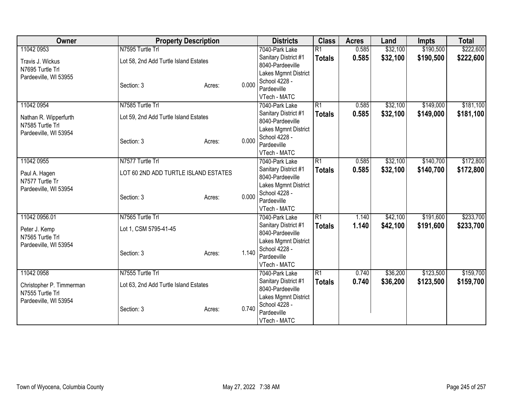| Owner                                     | <b>Property Description</b>           |        |       | <b>Districts</b>                      | <b>Class</b>    | <b>Acres</b> | Land     | <b>Impts</b> | <b>Total</b> |
|-------------------------------------------|---------------------------------------|--------|-------|---------------------------------------|-----------------|--------------|----------|--------------|--------------|
| 11042 0953                                | N7595 Turtle Trl                      |        |       | 7040-Park Lake                        | $\overline{R1}$ | 0.585        | \$32,100 | \$190,500    | \$222,600    |
| Travis J. Wickus                          | Lot 58, 2nd Add Turtle Island Estates |        |       | Sanitary District #1                  | <b>Totals</b>   | 0.585        | \$32,100 | \$190,500    | \$222,600    |
| N7695 Turtle Trl                          |                                       |        |       | 8040-Pardeeville                      |                 |              |          |              |              |
| Pardeeville, WI 53955                     |                                       |        |       | Lakes Mgmnt District                  |                 |              |          |              |              |
|                                           | Section: 3                            | Acres: | 0.000 | School 4228 -                         |                 |              |          |              |              |
|                                           |                                       |        |       | Pardeeville<br>VTech - MATC           |                 |              |          |              |              |
| 11042 0954                                | N7585 Turtle Trl                      |        |       | 7040-Park Lake                        | R1              | 0.585        | \$32,100 | \$149,000    | \$181,100    |
|                                           |                                       |        |       | Sanitary District #1                  |                 | 0.585        | \$32,100 | \$149,000    | \$181,100    |
| Nathan R. Wipperfurth                     | Lot 59, 2nd Add Turtle Island Estates |        |       | 8040-Pardeeville                      | <b>Totals</b>   |              |          |              |              |
| N7585 Turtle Trl                          |                                       |        |       | Lakes Mgmnt District                  |                 |              |          |              |              |
| Pardeeville, WI 53954                     |                                       |        |       | School 4228 -                         |                 |              |          |              |              |
|                                           | Section: 3                            | Acres: | 0.000 | Pardeeville                           |                 |              |          |              |              |
|                                           |                                       |        |       | VTech - MATC                          |                 |              |          |              |              |
| 11042 0955                                | N7577 Turtle Trl                      |        |       | 7040-Park Lake                        | $\overline{R1}$ | 0.585        | \$32,100 | \$140,700    | \$172,800    |
|                                           | LOT 60 2ND ADD TURTLE ISLAND ESTATES  |        |       | Sanitary District #1                  | <b>Totals</b>   | 0.585        | \$32,100 | \$140,700    | \$172,800    |
| Paul A. Hagen<br>N7577 Turtle Tr          |                                       |        |       | 8040-Pardeeville                      |                 |              |          |              |              |
| Pardeeville, WI 53954                     |                                       |        |       | Lakes Mgmnt District                  |                 |              |          |              |              |
|                                           | Section: 3                            | Acres: | 0.000 | School 4228 -                         |                 |              |          |              |              |
|                                           |                                       |        |       | Pardeeville                           |                 |              |          |              |              |
|                                           |                                       |        |       | VTech - MATC                          |                 |              |          |              |              |
| 11042 0956.01                             | N7565 Turtle Trl                      |        |       | 7040-Park Lake                        | R1              | 1.140        | \$42,100 | \$191,600    | \$233,700    |
| Peter J. Kemp                             | Lot 1, CSM 5795-41-45                 |        |       | Sanitary District #1                  | <b>Totals</b>   | 1.140        | \$42,100 | \$191,600    | \$233,700    |
| N7565 Turtle Trl                          |                                       |        |       | 8040-Pardeeville                      |                 |              |          |              |              |
| Pardeeville, WI 53954                     |                                       |        |       | Lakes Mgmnt District<br>School 4228 - |                 |              |          |              |              |
|                                           | Section: 3                            | Acres: | 1.140 | Pardeeville                           |                 |              |          |              |              |
|                                           |                                       |        |       | VTech - MATC                          |                 |              |          |              |              |
| 11042 0958                                | N7555 Turtle Trl                      |        |       | 7040-Park Lake                        | $\overline{R1}$ | 0.740        | \$36,200 | \$123,500    | \$159,700    |
|                                           |                                       |        |       | Sanitary District #1                  | <b>Totals</b>   | 0.740        | \$36,200 | \$123,500    | \$159,700    |
| Christopher P. Timmerman                  | Lot 63, 2nd Add Turtle Island Estates |        |       | 8040-Pardeeville                      |                 |              |          |              |              |
| N7555 Turtle Trl<br>Pardeeville, WI 53954 |                                       |        |       | Lakes Mgmnt District                  |                 |              |          |              |              |
|                                           | Section: 3                            | Acres: | 0.740 | School 4228 -                         |                 |              |          |              |              |
|                                           |                                       |        |       | Pardeeville                           |                 |              |          |              |              |
|                                           |                                       |        |       | VTech - MATC                          |                 |              |          |              |              |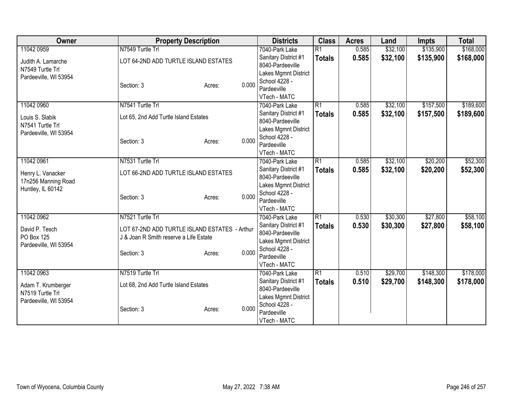| Owner                 | <b>Property Description</b>                   |        |       | <b>Districts</b>                         | <b>Class</b>    | <b>Acres</b> | Land     | <b>Impts</b> | <b>Total</b> |
|-----------------------|-----------------------------------------------|--------|-------|------------------------------------------|-----------------|--------------|----------|--------------|--------------|
| 11042 0959            | N7549 Turtle Trl                              |        |       | 7040-Park Lake                           | $\overline{R1}$ | 0.585        | \$32,100 | \$135,900    | \$168,000    |
| Judith A. Lamarche    | LOT 64-2ND ADD TURTLE ISLAND ESTATES          |        |       | Sanitary District #1                     | <b>Totals</b>   | 0.585        | \$32,100 | \$135,900    | \$168,000    |
| N7549 Turtle Trl      |                                               |        |       | 8040-Pardeeville                         |                 |              |          |              |              |
| Pardeeville, WI 53954 |                                               |        |       | Lakes Mgmnt District                     |                 |              |          |              |              |
|                       | Section: 3                                    | Acres: | 0.000 | School 4228 -                            |                 |              |          |              |              |
|                       |                                               |        |       | Pardeeville                              |                 |              |          |              |              |
|                       |                                               |        |       | VTech - MATC                             |                 |              |          |              |              |
| 11042 0960            | N7541 Turtle Trl                              |        |       | 7040-Park Lake                           | $\overline{R1}$ | 0.585        | \$32,100 | \$157,500    | \$189,600    |
| Louis S. Slabik       | Lot 65, 2nd Add Turtle Island Estates         |        |       | Sanitary District #1<br>8040-Pardeeville | <b>Totals</b>   | 0.585        | \$32,100 | \$157,500    | \$189,600    |
| N7541 Turtle Trl      |                                               |        |       | Lakes Mgmnt District                     |                 |              |          |              |              |
| Pardeeville, WI 53954 |                                               |        |       | School 4228 -                            |                 |              |          |              |              |
|                       | Section: 3                                    | Acres: | 0.000 | Pardeeville                              |                 |              |          |              |              |
|                       |                                               |        |       | VTech - MATC                             |                 |              |          |              |              |
| 11042 0961            | N7531 Turtle Trl                              |        |       | 7040-Park Lake                           | $\overline{R1}$ | 0.585        | \$32,100 | \$20,200     | \$52,300     |
|                       |                                               |        |       | Sanitary District #1                     | <b>Totals</b>   | 0.585        | \$32,100 | \$20,200     | \$52,300     |
| Henry L. Vanacker     | LOT 66-2ND ADD TURTLE ISLAND ESTATES          |        |       | 8040-Pardeeville                         |                 |              |          |              |              |
| 17n256 Manning Road   |                                               |        |       | Lakes Mgmnt District                     |                 |              |          |              |              |
| Huntley, IL 60142     |                                               |        | 0.000 | School 4228 -                            |                 |              |          |              |              |
|                       | Section: 3                                    | Acres: |       | Pardeeville                              |                 |              |          |              |              |
|                       |                                               |        |       | VTech - MATC                             |                 |              |          |              |              |
| 11042 0962            | N7521 Turtle Trl                              |        |       | 7040-Park Lake                           | R1              | 0.530        | \$30,300 | \$27,800     | \$58,100     |
| David P. Tesch        | LOT 67-2ND ADD TURTLE ISLAND ESTATES - Arthur |        |       | Sanitary District #1                     | <b>Totals</b>   | 0.530        | \$30,300 | \$27,800     | \$58,100     |
| PO Box 125            | J & Joan R Smith reserve a Life Estate        |        |       | 8040-Pardeeville                         |                 |              |          |              |              |
| Pardeeville, WI 53954 |                                               |        |       | Lakes Mgmnt District                     |                 |              |          |              |              |
|                       | Section: 3                                    | Acres: | 0.000 | School 4228 -                            |                 |              |          |              |              |
|                       |                                               |        |       | Pardeeville                              |                 |              |          |              |              |
|                       |                                               |        |       | VTech - MATC                             |                 |              |          |              |              |
| 11042 0963            | N7519 Turtle Trl                              |        |       | 7040-Park Lake                           | $\overline{R1}$ | 0.510        | \$29,700 | \$148,300    | \$178,000    |
| Adam T. Krumberger    | Lot 68, 2nd Add Turtle Island Estates         |        |       | Sanitary District #1<br>8040-Pardeeville | <b>Totals</b>   | 0.510        | \$29,700 | \$148,300    | \$178,000    |
| N7519 Turtle Trl      |                                               |        |       | Lakes Mgmnt District                     |                 |              |          |              |              |
| Pardeeville, WI 53954 |                                               |        |       | School 4228 -                            |                 |              |          |              |              |
|                       | Section: 3                                    | Acres: | 0.000 | Pardeeville                              |                 |              |          |              |              |
|                       |                                               |        |       | VTech - MATC                             |                 |              |          |              |              |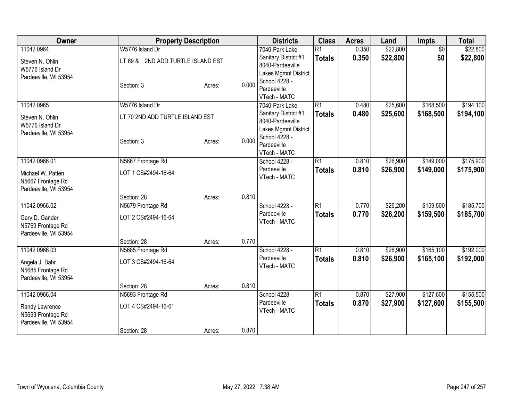| Owner                 | <b>Property Description</b>       |        |       | <b>Districts</b>     | <b>Class</b>    | <b>Acres</b> | Land     | <b>Impts</b>    | <b>Total</b> |
|-----------------------|-----------------------------------|--------|-------|----------------------|-----------------|--------------|----------|-----------------|--------------|
| 11042 0964            | W5776 Island Dr                   |        |       | 7040-Park Lake       | $\overline{R1}$ | 0.350        | \$22,800 | $\overline{50}$ | \$22,800     |
| Steven N. Ohlin       | LT 69 & 2ND ADD TURTLE ISLAND EST |        |       | Sanitary District #1 | <b>Totals</b>   | 0.350        | \$22,800 | \$0             | \$22,800     |
| W5776 Island Dr       |                                   |        |       | 8040-Pardeeville     |                 |              |          |                 |              |
| Pardeeville, WI 53954 |                                   |        |       | Lakes Mgmnt District |                 |              |          |                 |              |
|                       | Section: 3                        | Acres: | 0.000 | School 4228 -        |                 |              |          |                 |              |
|                       |                                   |        |       | Pardeeville          |                 |              |          |                 |              |
|                       |                                   |        |       | VTech - MATC         |                 |              |          |                 |              |
| 11042 0965            | W5776 Island Dr                   |        |       | 7040-Park Lake       | $\overline{R1}$ | 0.480        | \$25,600 | \$168,500       | \$194,100    |
| Steven N. Ohlin       | LT 70 2ND ADD TURTLE ISLAND EST   |        |       | Sanitary District #1 | <b>Totals</b>   | 0.480        | \$25,600 | \$168,500       | \$194,100    |
| W5776 Island Dr       |                                   |        |       | 8040-Pardeeville     |                 |              |          |                 |              |
| Pardeeville, WI 53954 |                                   |        |       | Lakes Mgmnt District |                 |              |          |                 |              |
|                       | Section: 3                        | Acres: | 0.000 | School 4228 -        |                 |              |          |                 |              |
|                       |                                   |        |       | Pardeeville          |                 |              |          |                 |              |
|                       |                                   |        |       | VTech - MATC         |                 |              |          |                 |              |
| 11042 0966.01         | N5667 Frontage Rd                 |        |       | School 4228 -        | $\overline{R1}$ | 0.810        | \$26,900 | \$149,000       | \$175,900    |
| Michael W. Patten     | LOT 1 CS#2494-16-64               |        |       | Pardeeville          | <b>Totals</b>   | 0.810        | \$26,900 | \$149,000       | \$175,900    |
| N5667 Frontage Rd     |                                   |        |       | VTech - MATC         |                 |              |          |                 |              |
| Pardeeville, WI 53954 |                                   |        |       |                      |                 |              |          |                 |              |
|                       | Section: 28                       | Acres: | 0.810 |                      |                 |              |          |                 |              |
| 11042 0966.02         | N5679 Frontage Rd                 |        |       | School 4228 -        | $\overline{R1}$ | 0.770        | \$26,200 | \$159,500       | \$185,700    |
| Gary D. Gander        | LOT 2 CS#2494-16-64               |        |       | Pardeeville          | <b>Totals</b>   | 0.770        | \$26,200 | \$159,500       | \$185,700    |
| N5769 Frontage Rd     |                                   |        |       | VTech - MATC         |                 |              |          |                 |              |
| Pardeeville, WI 53954 |                                   |        |       |                      |                 |              |          |                 |              |
|                       | Section: 28                       | Acres: | 0.770 |                      |                 |              |          |                 |              |
| 11042 0966.03         | N5685 Frontage Rd                 |        |       | School 4228 -        | $\overline{R1}$ | 0.810        | \$26,900 | \$165,100       | \$192,000    |
|                       |                                   |        |       | Pardeeville          | <b>Totals</b>   | 0.810        | \$26,900 | \$165,100       | \$192,000    |
| Angela J. Bahr        | LOT 3 CS#2494-16-64               |        |       | VTech - MATC         |                 |              |          |                 |              |
| N5685 Frontage Rd     |                                   |        |       |                      |                 |              |          |                 |              |
| Pardeeville, WI 53954 |                                   |        |       |                      |                 |              |          |                 |              |
|                       | Section: 28                       | Acres: | 0.810 |                      |                 |              |          |                 |              |
| 11042 0966.04         | N5693 Frontage Rd                 |        |       | School 4228 -        | $\overline{R1}$ | 0.870        | \$27,900 | \$127,600       | \$155,500    |
| Randy Lawrence        | LOT 4 CS#2494-16-61               |        |       | Pardeeville          | <b>Totals</b>   | 0.870        | \$27,900 | \$127,600       | \$155,500    |
| N5693 Frontage Rd     |                                   |        |       | VTech - MATC         |                 |              |          |                 |              |
| Pardeeville, WI 53954 |                                   |        |       |                      |                 |              |          |                 |              |
|                       | Section: 28                       | Acres: | 0.870 |                      |                 |              |          |                 |              |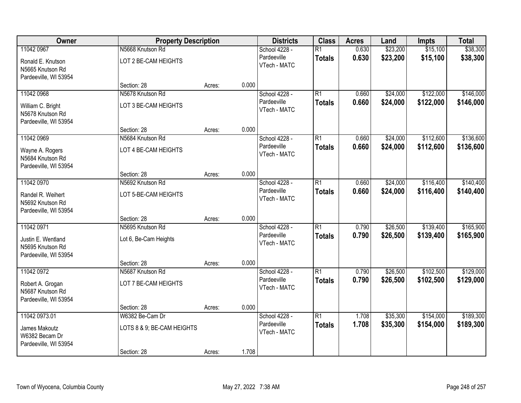| Owner                                                                         | <b>Property Description</b>                                  |        |       | <b>Districts</b>                             | <b>Class</b>                     | <b>Acres</b>   | Land                 | <b>Impts</b>           | <b>Total</b>           |
|-------------------------------------------------------------------------------|--------------------------------------------------------------|--------|-------|----------------------------------------------|----------------------------------|----------------|----------------------|------------------------|------------------------|
| 11042 0967<br>Ronald E. Knutson<br>N5665 Knutson Rd<br>Pardeeville, WI 53954  | N5668 Knutson Rd<br>LOT 2 BE-CAM HEIGHTS                     |        |       | School 4228 -<br>Pardeeville<br>VTech - MATC | $\overline{R1}$<br><b>Totals</b> | 0.630<br>0.630 | \$23,200<br>\$23,200 | \$15,100<br>\$15,100   | \$38,300<br>\$38,300   |
|                                                                               | Section: 28                                                  | Acres: | 0.000 |                                              |                                  |                |                      |                        |                        |
| 11042 0968<br>William C. Bright<br>N5678 Knutson Rd<br>Pardeeville, WI 53954  | N5678 Knutson Rd<br>LOT 3 BE-CAM HEIGHTS                     |        |       | School 4228 -<br>Pardeeville<br>VTech - MATC | $\overline{R1}$<br><b>Totals</b> | 0.660<br>0.660 | \$24,000<br>\$24,000 | \$122,000<br>\$122,000 | \$146,000<br>\$146,000 |
|                                                                               | Section: 28                                                  | Acres: | 0.000 |                                              | $\overline{R1}$                  |                |                      | \$112,600              |                        |
| 11042 0969<br>Wayne A. Rogers<br>N5684 Knutson Rd<br>Pardeeville, WI 53954    | N5684 Knutson Rd<br>LOT 4 BE-CAM HEIGHTS                     |        |       | School 4228 -<br>Pardeeville<br>VTech - MATC | <b>Totals</b>                    | 0.660<br>0.660 | \$24,000<br>\$24,000 | \$112,600              | \$136,600<br>\$136,600 |
|                                                                               | Section: 28                                                  | Acres: | 0.000 |                                              |                                  |                |                      |                        |                        |
| 11042 0970<br>Randel R. Weihert<br>N5692 Knutson Rd<br>Pardeeville, WI 53954  | N5692 Knutson Rd<br>LOT 5-BE-CAM HEIGHTS                     |        |       | School 4228 -<br>Pardeeville<br>VTech - MATC | $\overline{R1}$<br><b>Totals</b> | 0.660<br>0.660 | \$24,000<br>\$24,000 | \$116,400<br>\$116,400 | \$140,400<br>\$140,400 |
|                                                                               | Section: 28                                                  | Acres: | 0.000 |                                              |                                  |                |                      |                        |                        |
| 11042 0971<br>Justin E. Wentland<br>N5695 Knutson Rd<br>Pardeeville, WI 53954 | N5695 Knutson Rd<br>Lot 6, Be-Cam Heights                    |        |       | School 4228 -<br>Pardeeville<br>VTech - MATC | $\overline{R1}$<br><b>Totals</b> | 0.790<br>0.790 | \$26,500<br>\$26,500 | \$139,400<br>\$139,400 | \$165,900<br>\$165,900 |
| 11042 0972                                                                    | Section: 28<br>N5687 Knutson Rd                              | Acres: | 0.000 | School 4228 -                                | $\overline{R1}$                  | 0.790          | \$26,500             | \$102,500              | \$129,000              |
| Robert A. Grogan<br>N5687 Knutson Rd<br>Pardeeville, WI 53954                 | LOT 7 BE-CAM HEIGHTS                                         |        |       | Pardeeville<br>VTech - MATC                  | <b>Totals</b>                    | 0.790          | \$26,500             | \$102,500              | \$129,000              |
|                                                                               | Section: 28                                                  | Acres: | 0.000 |                                              |                                  |                |                      |                        |                        |
| 11042 0973.01<br>James Makoutz<br>W6382 Becam Dr<br>Pardeeville, WI 53954     | W6382 Be-Cam Dr<br>LOTS 8 & 9; BE-CAM HEIGHTS<br>Section: 28 | Acres: | 1.708 | School 4228 -<br>Pardeeville<br>VTech - MATC | $\overline{R1}$<br><b>Totals</b> | 1.708<br>1.708 | \$35,300<br>\$35,300 | \$154,000<br>\$154,000 | \$189,300<br>\$189,300 |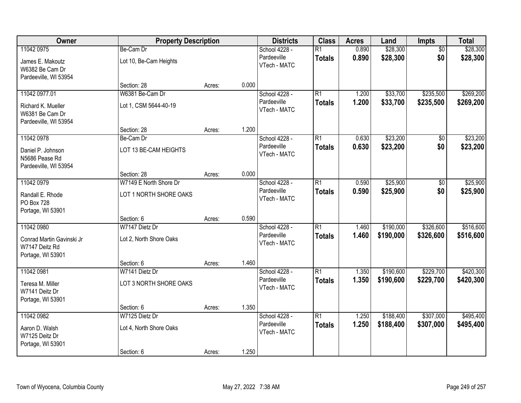| Owner                                                                           | <b>Property Description</b>                             |        |       | <b>Districts</b>                             | <b>Class</b>                     | <b>Acres</b>   | Land                   | Impts                  | <b>Total</b>           |
|---------------------------------------------------------------------------------|---------------------------------------------------------|--------|-------|----------------------------------------------|----------------------------------|----------------|------------------------|------------------------|------------------------|
| 11042 0975<br>James E. Makoutz<br>W6382 Be Cam Dr<br>Pardeeville, WI 53954      | Be-Cam Dr<br>Lot 10, Be-Cam Heights                     |        |       | School 4228 -<br>Pardeeville<br>VTech - MATC | $\overline{R1}$<br><b>Totals</b> | 0.890<br>0.890 | \$28,300<br>\$28,300   | $\overline{50}$<br>\$0 | \$28,300<br>\$28,300   |
|                                                                                 | Section: 28                                             | Acres: | 0.000 |                                              |                                  |                |                        |                        |                        |
| 11042 0977.01<br>Richard K. Mueller<br>W6381 Be Cam Dr<br>Pardeeville, WI 53954 | W6381 Be-Cam Dr<br>Lot 1, CSM 5644-40-19                |        |       | School 4228 -<br>Pardeeville<br>VTech - MATC | $\overline{R1}$<br><b>Totals</b> | 1.200<br>1.200 | \$33,700<br>\$33,700   | \$235,500<br>\$235,500 | \$269,200<br>\$269,200 |
|                                                                                 | Section: 28                                             | Acres: | 1.200 |                                              |                                  |                |                        |                        |                        |
| 11042 0978<br>Daniel P. Johnson<br>N5686 Pease Rd<br>Pardeeville, WI 53954      | Be-Cam Dr<br>LOT 13 BE-CAM HEIGHTS                      |        |       | School 4228 -<br>Pardeeville<br>VTech - MATC | $\overline{R1}$<br><b>Totals</b> | 0.630<br>0.630 | \$23,200<br>\$23,200   | \$0<br>\$0             | \$23,200<br>\$23,200   |
|                                                                                 | Section: 28                                             | Acres: | 0.000 |                                              |                                  |                |                        |                        |                        |
| 11042 0979<br>Randall E. Rhode<br>PO Box 728<br>Portage, WI 53901               | W7149 E North Shore Dr<br>LOT 1 NORTH SHORE OAKS        |        |       | School 4228 -<br>Pardeeville<br>VTech - MATC | $\overline{R1}$<br><b>Totals</b> | 0.590<br>0.590 | \$25,900<br>\$25,900   | \$0<br>\$0             | \$25,900<br>\$25,900   |
|                                                                                 | Section: 6                                              | Acres: | 0.590 |                                              |                                  |                |                        |                        |                        |
| 11042 0980<br>Conrad Martin Gavinski Jr<br>W7147 Deitz Rd<br>Portage, WI 53901  | W7147 Dietz Dr<br>Lot 2, North Shore Oaks               |        |       | School 4228 -<br>Pardeeville<br>VTech - MATC | $\overline{R1}$<br><b>Totals</b> | 1.460<br>1.460 | \$190,000<br>\$190,000 | \$326,600<br>\$326,600 | \$516,600<br>\$516,600 |
|                                                                                 | Section: 6                                              | Acres: | 1.460 |                                              |                                  |                |                        |                        |                        |
| 11042 0981<br>Teresa M. Miller<br>W7141 Deitz Dr<br>Portage, WI 53901           | W7141 Dietz Dr<br>LOT 3 NORTH SHORE OAKS                |        |       | School 4228 -<br>Pardeeville<br>VTech - MATC | $\overline{R1}$<br><b>Totals</b> | 1.350<br>1.350 | \$190,600<br>\$190,600 | \$229,700<br>\$229,700 | \$420,300<br>\$420,300 |
|                                                                                 | Section: 6                                              | Acres: | 1.350 |                                              |                                  |                |                        |                        |                        |
| 11042 0982<br>Aaron D. Walsh<br>W7125 Deitz Dr<br>Portage, WI 53901             | W7125 Dietz Dr<br>Lot 4, North Shore Oaks<br>Section: 6 | Acres: | 1.250 | School 4228 -<br>Pardeeville<br>VTech - MATC | $\overline{R1}$<br><b>Totals</b> | 1.250<br>1.250 | \$188,400<br>\$188,400 | \$307,000<br>\$307,000 | \$495,400<br>\$495,400 |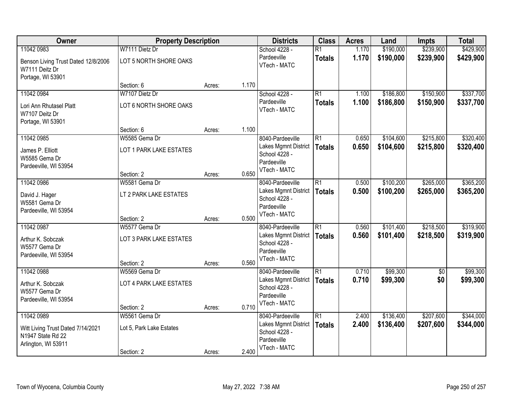| Owner                                                 | <b>Property Description</b> |        |       | <b>Districts</b>                         | <b>Class</b>    | <b>Acres</b> | Land      | <b>Impts</b>    | <b>Total</b> |
|-------------------------------------------------------|-----------------------------|--------|-------|------------------------------------------|-----------------|--------------|-----------|-----------------|--------------|
| 11042 0983                                            | W7111 Dietz Dr              |        |       | School 4228 -                            | $\overline{R1}$ | 1.170        | \$190,000 | \$239,900       | \$429,900    |
| Benson Living Trust Dated 12/8/2006<br>W7111 Deitz Dr | LOT 5 NORTH SHORE OAKS      |        |       | Pardeeville<br>VTech - MATC              | <b>Totals</b>   | 1.170        | \$190,000 | \$239,900       | \$429,900    |
| Portage, WI 53901                                     |                             |        |       |                                          |                 |              |           |                 |              |
|                                                       | Section: 6                  | Acres: | 1.170 |                                          |                 |              |           |                 |              |
| 11042 0984                                            | W7107 Dietz Dr              |        |       | School 4228 -                            | $\overline{R1}$ | 1.100        | \$186,800 | \$150,900       | \$337,700    |
| Lori Ann Rhutasel Platt<br>W7107 Deitz Dr             | LOT 6 NORTH SHORE OAKS      |        |       | Pardeeville<br>VTech - MATC              | <b>Totals</b>   | 1.100        | \$186,800 | \$150,900       | \$337,700    |
| Portage, WI 53901                                     |                             |        |       |                                          |                 |              |           |                 |              |
|                                                       | Section: 6<br>W5585 Gema Dr | Acres: | 1.100 |                                          | R1              |              |           | \$215,800       | \$320,400    |
| 11042 0985                                            |                             |        |       | 8040-Pardeeville<br>Lakes Mgmnt District |                 | 0.650        | \$104,600 |                 |              |
| James P. Elliott                                      | LOT 1 PARK LAKE ESTATES     |        |       | School 4228 -                            | <b>Totals</b>   | 0.650        | \$104,600 | \$215,800       | \$320,400    |
| W5585 Gema Dr                                         |                             |        |       | Pardeeville                              |                 |              |           |                 |              |
| Pardeeville, WI 53954                                 |                             |        |       | VTech - MATC                             |                 |              |           |                 |              |
|                                                       | Section: 2                  | Acres: | 0.650 |                                          |                 |              |           |                 |              |
| 11042 0986                                            | W5581 Gema Dr               |        |       | 8040-Pardeeville                         | $\overline{R1}$ | 0.500        | \$100,200 | \$265,000       | \$365,200    |
| David J. Hager                                        | LT 2 PARK LAKE ESTATES      |        |       | Lakes Mgmnt District<br>School 4228 -    | <b>Totals</b>   | 0.500        | \$100,200 | \$265,000       | \$365,200    |
| W5581 Gema Dr                                         |                             |        |       | Pardeeville                              |                 |              |           |                 |              |
| Pardeeville, WI 53954                                 |                             |        |       | VTech - MATC                             |                 |              |           |                 |              |
|                                                       | Section: 2                  | Acres: | 0.500 |                                          |                 |              |           |                 |              |
| 11042 0987                                            | W5577 Gema Dr               |        |       | 8040-Pardeeville                         | $\overline{R1}$ | 0.560        | \$101,400 | \$218,500       | \$319,900    |
| Arthur K. Sobczak                                     | LOT 3 PARK LAKE ESTATES     |        |       | Lakes Mgmnt District                     | <b>Totals</b>   | 0.560        | \$101,400 | \$218,500       | \$319,900    |
| W5577 Gema Dr                                         |                             |        |       | School 4228 -<br>Pardeeville             |                 |              |           |                 |              |
| Pardeeville, WI 53954                                 |                             |        |       | VTech - MATC                             |                 |              |           |                 |              |
|                                                       | Section: 2                  | Acres: | 0.560 |                                          |                 |              |           |                 |              |
| 11042 0988                                            | W5569 Gema Dr               |        |       | 8040-Pardeeville                         | $\overline{R1}$ | 0.710        | \$99,300  | $\overline{50}$ | \$99,300     |
| Arthur K. Sobczak                                     | LOT 4 PARK LAKE ESTATES     |        |       | Lakes Mgmnt District                     | <b>Totals</b>   | 0.710        | \$99,300  | \$0             | \$99,300     |
| W5577 Gema Dr                                         |                             |        |       | School 4228 -                            |                 |              |           |                 |              |
| Pardeeville, WI 53954                                 |                             |        |       | Pardeeville                              |                 |              |           |                 |              |
|                                                       | Section: 2                  | Acres: | 0.710 | VTech - MATC                             |                 |              |           |                 |              |
| 11042 0989                                            | W5561 Gema Dr               |        |       | 8040-Pardeeville                         | $\overline{R1}$ | 2.400        | \$136,400 | \$207,600       | \$344,000    |
| Witt Living Trust Dated 7/14/2021                     | Lot 5, Park Lake Estates    |        |       | Lakes Mgmnt District                     | <b>Totals</b>   | 2.400        | \$136,400 | \$207,600       | \$344,000    |
| N1947 State Rd 22                                     |                             |        |       | School 4228 -                            |                 |              |           |                 |              |
| Arlington, WI 53911                                   |                             |        |       | Pardeeville                              |                 |              |           |                 |              |
|                                                       | Section: 2                  | Acres: | 2.400 | VTech - MATC                             |                 |              |           |                 |              |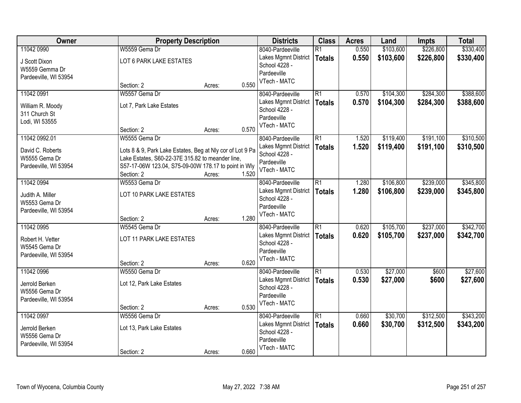| Owner                 | <b>Property Description</b>                               |                 | <b>Districts</b>            | <b>Class</b>    | <b>Acres</b> | Land      | <b>Impts</b> | <b>Total</b> |
|-----------------------|-----------------------------------------------------------|-----------------|-----------------------------|-----------------|--------------|-----------|--------------|--------------|
| 11042 0990            | W5559 Gema Dr                                             |                 | 8040-Pardeeville            | $\overline{R1}$ | 0.550        | \$103,600 | \$226,800    | \$330,400    |
| J Scott Dixon         | LOT 6 PARK LAKE ESTATES                                   |                 | Lakes Mgmnt District        | <b>Totals</b>   | 0.550        | \$103,600 | \$226,800    | \$330,400    |
| W5559 Gemma Dr        |                                                           |                 | School 4228 -               |                 |              |           |              |              |
| Pardeeville, WI 53954 |                                                           |                 | Pardeeville<br>VTech - MATC |                 |              |           |              |              |
|                       | Section: 2                                                | 0.550<br>Acres: |                             |                 |              |           |              |              |
| 11042 0991            | W5557 Gema Dr                                             |                 | 8040-Pardeeville            | $\overline{R1}$ | 0.570        | \$104,300 | \$284,300    | \$388,600    |
| William R. Moody      | Lot 7, Park Lake Estates                                  |                 | Lakes Mgmnt District        | <b>Totals</b>   | 0.570        | \$104,300 | \$284,300    | \$388,600    |
| 311 Church St         |                                                           |                 | School 4228 -               |                 |              |           |              |              |
| Lodi, WI 53555        |                                                           |                 | Pardeeville<br>VTech - MATC |                 |              |           |              |              |
|                       | Section: 2                                                | 0.570<br>Acres: |                             |                 |              |           |              |              |
| 11042 0992.01         | W5555 Gema Dr                                             |                 | 8040-Pardeeville            | $\overline{R1}$ | 1.520        | \$119,400 | \$191,100    | \$310,500    |
| David C. Roberts      | Lots 8 & 9, Park Lake Estates, Beg at Nly cor of Lot 9 Pa |                 | Lakes Mgmnt District        | <b>Totals</b>   | 1.520        | \$119,400 | \$191,100    | \$310,500    |
| W5555 Gema Dr         | Lake Estates, S60-22-37E 315.82 to meander line,          |                 | School 4228 -               |                 |              |           |              |              |
| Pardeeville, WI 53954 | S57-17-06W 123.04, S75-09-00W 178.17 to point in Wly      |                 | Pardeeville<br>VTech - MATC |                 |              |           |              |              |
|                       | Section: 2                                                | 1.520<br>Acres: |                             |                 |              |           |              |              |
| 11042 0994            | W5553 Gema Dr                                             |                 | 8040-Pardeeville            | $\overline{R1}$ | 1.280        | \$106,800 | \$239,000    | \$345,800    |
| Judith A. Miller      | LOT 10 PARK LAKE ESTATES                                  |                 | Lakes Mgmnt District        | <b>Totals</b>   | 1.280        | \$106,800 | \$239,000    | \$345,800    |
| W5553 Gema Dr         |                                                           |                 | School 4228 -               |                 |              |           |              |              |
| Pardeeville, WI 53954 |                                                           |                 | Pardeeville                 |                 |              |           |              |              |
|                       | Section: 2                                                | 1.280<br>Acres: | VTech - MATC                |                 |              |           |              |              |
| 11042 0995            | W5545 Gema Dr                                             |                 | 8040-Pardeeville            | $\overline{R1}$ | 0.620        | \$105,700 | \$237,000    | \$342,700    |
| Robert H. Vetter      | LOT 11 PARK LAKE ESTATES                                  |                 | Lakes Mgmnt District        | <b>Totals</b>   | 0.620        | \$105,700 | \$237,000    | \$342,700    |
| W5545 Gema Dr         |                                                           |                 | School 4228 -               |                 |              |           |              |              |
| Pardeeville, WI 53954 |                                                           |                 | Pardeeville                 |                 |              |           |              |              |
|                       | Section: 2                                                | 0.620<br>Acres: | VTech - MATC                |                 |              |           |              |              |
| 11042 0996            | W5550 Gema Dr                                             |                 | 8040-Pardeeville            | $\overline{R1}$ | 0.530        | \$27,000  | \$600        | \$27,600     |
| Jerrold Berken        | Lot 12, Park Lake Estates                                 |                 | Lakes Mgmnt District        | <b>Totals</b>   | 0.530        | \$27,000  | \$600        | \$27,600     |
| W5556 Gema Dr         |                                                           |                 | School 4228 -               |                 |              |           |              |              |
| Pardeeville, WI 53954 |                                                           |                 | Pardeeville                 |                 |              |           |              |              |
|                       | Section: 2                                                | 0.530<br>Acres: | VTech - MATC                |                 |              |           |              |              |
| 11042 0997            | W5556 Gema Dr                                             |                 | 8040-Pardeeville            | $\overline{R1}$ | 0.660        | \$30,700  | \$312,500    | \$343,200    |
| Jerrold Berken        | Lot 13, Park Lake Estates                                 |                 | Lakes Mgmnt District        | <b>Totals</b>   | 0.660        | \$30,700  | \$312,500    | \$343,200    |
| W5556 Gema Dr         |                                                           |                 | School 4228 -               |                 |              |           |              |              |
| Pardeeville, WI 53954 |                                                           |                 | Pardeeville                 |                 |              |           |              |              |
|                       | Section: 2                                                | 0.660<br>Acres: | VTech - MATC                |                 |              |           |              |              |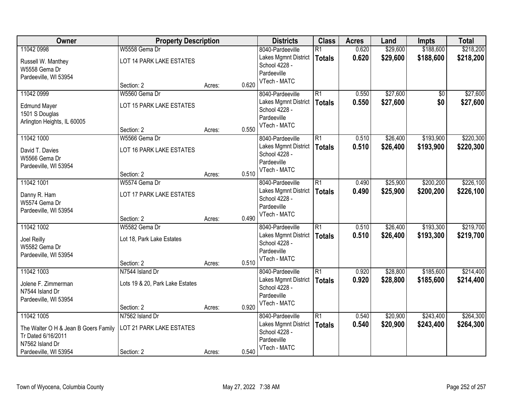| Owner                                 | <b>Property Description</b>     |        |       | <b>Districts</b>                      | <b>Class</b>    | <b>Acres</b> | Land     | <b>Impts</b> | <b>Total</b> |
|---------------------------------------|---------------------------------|--------|-------|---------------------------------------|-----------------|--------------|----------|--------------|--------------|
| 11042 0998                            | W5558 Gema Dr                   |        |       | 8040-Pardeeville                      | $\overline{R1}$ | 0.620        | \$29,600 | \$188,600    | \$218,200    |
| Russell W. Manthey                    | LOT 14 PARK LAKE ESTATES        |        |       | Lakes Mgmnt District                  | <b>Totals</b>   | 0.620        | \$29,600 | \$188,600    | \$218,200    |
| W5558 Gema Dr                         |                                 |        |       | School 4228 -                         |                 |              |          |              |              |
| Pardeeville, WI 53954                 |                                 |        |       | Pardeeville<br>VTech - MATC           |                 |              |          |              |              |
|                                       | Section: 2                      | Acres: | 0.620 |                                       |                 |              |          |              |              |
| 11042 0999                            | W5560 Gema Dr                   |        |       | 8040-Pardeeville                      | $\overline{R1}$ | 0.550        | \$27,600 | \$0          | \$27,600     |
| <b>Edmund Mayer</b>                   | LOT 15 PARK LAKE ESTATES        |        |       | Lakes Mgmnt District                  | <b>Totals</b>   | 0.550        | \$27,600 | \$0          | \$27,600     |
| 1501 S Douglas                        |                                 |        |       | School 4228 -<br>Pardeeville          |                 |              |          |              |              |
| Arlington Heights, IL 60005           |                                 |        |       | VTech - MATC                          |                 |              |          |              |              |
|                                       | Section: 2                      | Acres: | 0.550 |                                       |                 |              |          |              |              |
| 11042 1000                            | W5566 Gema Dr                   |        |       | 8040-Pardeeville                      | $\overline{R1}$ | 0.510        | \$26,400 | \$193,900    | \$220,300    |
| David T. Davies                       | LOT 16 PARK LAKE ESTATES        |        |       | Lakes Mgmnt District<br>School 4228 - | <b>Totals</b>   | 0.510        | \$26,400 | \$193,900    | \$220,300    |
| W5566 Gema Dr                         |                                 |        |       | Pardeeville                           |                 |              |          |              |              |
| Pardeeville, WI 53954                 |                                 |        |       | VTech - MATC                          |                 |              |          |              |              |
|                                       | Section: 2                      | Acres: | 0.510 |                                       |                 |              |          |              |              |
| 11042 1001                            | W5574 Gema Dr                   |        |       | 8040-Pardeeville                      | $\overline{R1}$ | 0.490        | \$25,900 | \$200,200    | \$226,100    |
| Danny R. Ham                          | LOT 17 PARK LAKE ESTATES        |        |       | Lakes Mgmnt District<br>School 4228 - | <b>Totals</b>   | 0.490        | \$25,900 | \$200,200    | \$226,100    |
| W5574 Gema Dr                         |                                 |        |       | Pardeeville                           |                 |              |          |              |              |
| Pardeeville, WI 53954                 |                                 |        |       | VTech - MATC                          |                 |              |          |              |              |
|                                       | Section: 2                      | Acres: | 0.490 |                                       |                 |              |          |              |              |
| 11042 1002                            | W5582 Gema Dr                   |        |       | 8040-Pardeeville                      | $\overline{R1}$ | 0.510        | \$26,400 | \$193,300    | \$219,700    |
| Joel Reilly                           | Lot 18, Park Lake Estates       |        |       | Lakes Mgmnt District<br>School 4228 - | <b>Totals</b>   | 0.510        | \$26,400 | \$193,300    | \$219,700    |
| W5582 Gema Dr                         |                                 |        |       | Pardeeville                           |                 |              |          |              |              |
| Pardeeville, WI 53954                 |                                 |        |       | VTech - MATC                          |                 |              |          |              |              |
| 11042 1003                            | Section: 2<br>N7544 Island Dr   | Acres: | 0.510 | 8040-Pardeeville                      | $\overline{R1}$ | 0.920        | \$28,800 | \$185,600    | \$214,400    |
|                                       |                                 |        |       | Lakes Mgmnt District                  | <b>Totals</b>   | 0.920        | \$28,800 | \$185,600    | \$214,400    |
| Jolene F. Zimmerman                   | Lots 19 & 20, Park Lake Estates |        |       | School 4228 -                         |                 |              |          |              |              |
| N7544 Island Dr                       |                                 |        |       | Pardeeville                           |                 |              |          |              |              |
| Pardeeville, WI 53954                 | Section: 2                      | Acres: | 0.920 | VTech - MATC                          |                 |              |          |              |              |
| 11042 1005                            | N7562 Island Dr                 |        |       | 8040-Pardeeville                      | $\overline{R1}$ | 0.540        | \$20,900 | \$243,400    | \$264,300    |
|                                       |                                 |        |       | Lakes Mgmnt District                  | <b>Totals</b>   | 0.540        | \$20,900 | \$243,400    | \$264,300    |
| The Walter O H & Jean B Goers Family  | LOT 21 PARK LAKE ESTATES        |        |       | School 4228 -                         |                 |              |          |              |              |
| Tr Dated 6/16/2011<br>N7562 Island Dr |                                 |        |       | Pardeeville                           |                 |              |          |              |              |
| Pardeeville, WI 53954                 | Section: 2                      | Acres: | 0.540 | VTech - MATC                          |                 |              |          |              |              |
|                                       |                                 |        |       |                                       |                 |              |          |              |              |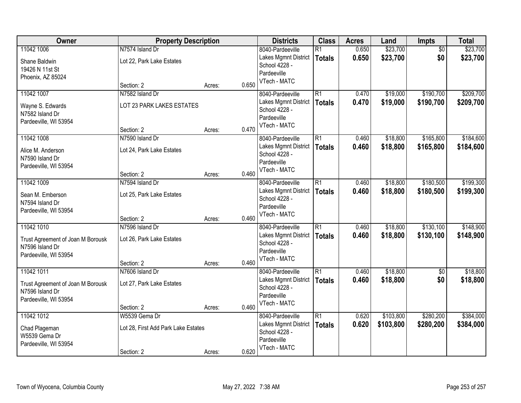| Owner                             | <b>Property Description</b>         |                 | <b>Districts</b>             | <b>Class</b>    | <b>Acres</b> | Land      | Impts           | <b>Total</b> |
|-----------------------------------|-------------------------------------|-----------------|------------------------------|-----------------|--------------|-----------|-----------------|--------------|
| 11042 1006                        | N7574 Island Dr                     |                 | 8040-Pardeeville             | $\overline{R1}$ | 0.650        | \$23,700  | $\overline{50}$ | \$23,700     |
| Shane Baldwin                     | Lot 22, Park Lake Estates           |                 | Lakes Mgmnt District         | <b>Totals</b>   | 0.650        | \$23,700  | \$0             | \$23,700     |
| 19426 N 11st St                   |                                     |                 | School 4228 -                |                 |              |           |                 |              |
| Phoenix, AZ 85024                 |                                     |                 | Pardeeville<br>VTech - MATC  |                 |              |           |                 |              |
|                                   | Section: 2                          | 0.650<br>Acres: |                              |                 |              |           |                 |              |
| 11042 1007                        | N7582 Island Dr                     |                 | 8040-Pardeeville             | $\overline{R1}$ | 0.470        | \$19,000  | \$190,700       | \$209,700    |
| Wayne S. Edwards                  | LOT 23 PARK LAKES ESTATES           |                 | Lakes Mgmnt District         | <b>Totals</b>   | 0.470        | \$19,000  | \$190,700       | \$209,700    |
| N7582 Island Dr                   |                                     |                 | School 4228 -<br>Pardeeville |                 |              |           |                 |              |
| Pardeeville, WI 53954             |                                     |                 | VTech - MATC                 |                 |              |           |                 |              |
|                                   | Section: 2                          | Acres:          | 0.470                        |                 |              |           |                 |              |
| 11042 1008                        | N7590 Island Dr                     |                 | 8040-Pardeeville             | $\overline{R1}$ | 0.460        | \$18,800  | \$165,800       | \$184,600    |
| Alice M. Anderson                 | Lot 24, Park Lake Estates           |                 | Lakes Mgmnt District         | <b>Totals</b>   | 0.460        | \$18,800  | \$165,800       | \$184,600    |
| N7590 Island Dr                   |                                     |                 | School 4228 -<br>Pardeeville |                 |              |           |                 |              |
| Pardeeville, WI 53954             |                                     |                 | VTech - MATC                 |                 |              |           |                 |              |
|                                   | Section: 2                          | Acres:          | 0.460                        |                 |              |           |                 |              |
| 11042 1009                        | N7594 Island Dr                     |                 | 8040-Pardeeville             | $\overline{R1}$ | 0.460        | \$18,800  | \$180,500       | \$199,300    |
| Sean M. Emberson                  | Lot 25, Park Lake Estates           |                 | Lakes Mgmnt District         | <b>Totals</b>   | 0.460        | \$18,800  | \$180,500       | \$199,300    |
| N7594 Island Dr                   |                                     |                 | School 4228 -                |                 |              |           |                 |              |
| Pardeeville, WI 53954             |                                     |                 | Pardeeville<br>VTech - MATC  |                 |              |           |                 |              |
|                                   | Section: 2                          | Acres:          | 0.460                        |                 |              |           |                 |              |
| 11042 1010                        | N7596 Island Dr                     |                 | 8040-Pardeeville             | $\overline{R1}$ | 0.460        | \$18,800  | \$130,100       | \$148,900    |
| Trust Agreement of Joan M Borousk | Lot 26, Park Lake Estates           |                 | Lakes Mgmnt District         | <b>Totals</b>   | 0.460        | \$18,800  | \$130,100       | \$148,900    |
| N7596 Island Dr                   |                                     |                 | School 4228 -                |                 |              |           |                 |              |
| Pardeeville, WI 53954             |                                     |                 | Pardeeville<br>VTech - MATC  |                 |              |           |                 |              |
|                                   | Section: 2                          | 0.460<br>Acres: |                              |                 |              |           |                 |              |
| 11042 1011                        | N7606 Island Dr                     |                 | 8040-Pardeeville             | $\overline{R1}$ | 0.460        | \$18,800  | $\overline{50}$ | \$18,800     |
| Trust Agreement of Joan M Borousk | Lot 27, Park Lake Estates           |                 | Lakes Mgmnt District         | <b>Totals</b>   | 0.460        | \$18,800  | \$0             | \$18,800     |
| N7596 Island Dr                   |                                     |                 | School 4228 -                |                 |              |           |                 |              |
| Pardeeville, WI 53954             |                                     |                 | Pardeeville<br>VTech - MATC  |                 |              |           |                 |              |
|                                   | Section: 2                          | Acres:          | 0.460                        |                 |              |           |                 |              |
| 11042 1012                        | W5539 Gema Dr                       |                 | 8040-Pardeeville             | $\overline{R1}$ | 0.620        | \$103,800 | \$280,200       | \$384,000    |
| Chad Plageman                     | Lot 28, First Add Park Lake Estates |                 | Lakes Mgmnt District         | <b>Totals</b>   | 0.620        | \$103,800 | \$280,200       | \$384,000    |
| W5539 Gema Dr                     |                                     |                 | School 4228 -                |                 |              |           |                 |              |
| Pardeeville, WI 53954             |                                     |                 | Pardeeville<br>VTech - MATC  |                 |              |           |                 |              |
|                                   | Section: 2                          | 0.620<br>Acres: |                              |                 |              |           |                 |              |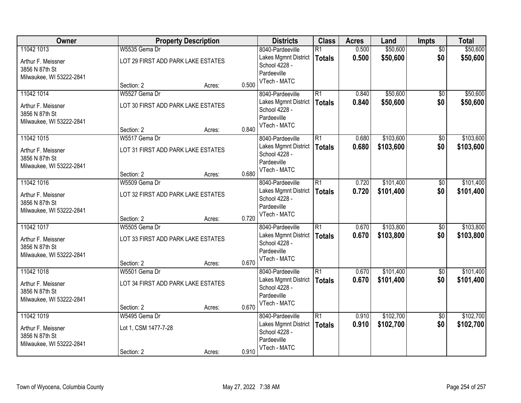| Owner                    |                                    | <b>Property Description</b> |       | <b>Districts</b>             | <b>Class</b>    | <b>Acres</b> | Land      | Impts           | <b>Total</b> |
|--------------------------|------------------------------------|-----------------------------|-------|------------------------------|-----------------|--------------|-----------|-----------------|--------------|
| 11042 1013               | W5535 Gema Dr                      |                             |       | 8040-Pardeeville             | $\overline{R1}$ | 0.500        | \$50,600  | $\overline{60}$ | \$50,600     |
| Arthur F. Meissner       | LOT 29 FIRST ADD PARK LAKE ESTATES |                             |       | Lakes Mgmnt District         | <b>Totals</b>   | 0.500        | \$50,600  | \$0             | \$50,600     |
| 3856 N 87th St           |                                    |                             |       | School 4228 -<br>Pardeeville |                 |              |           |                 |              |
| Milwaukee, WI 53222-2841 |                                    |                             |       | VTech - MATC                 |                 |              |           |                 |              |
|                          | Section: 2                         | Acres:                      | 0.500 |                              |                 |              |           |                 |              |
| 11042 1014               | W5527 Gema Dr                      |                             |       | 8040-Pardeeville             | $\overline{R1}$ | 0.840        | \$50,600  | $\overline{50}$ | \$50,600     |
| Arthur F. Meissner       | LOT 30 FIRST ADD PARK LAKE ESTATES |                             |       | Lakes Mgmnt District         | <b>Totals</b>   | 0.840        | \$50,600  | \$0             | \$50,600     |
| 3856 N 87th St           |                                    |                             |       | School 4228 -<br>Pardeeville |                 |              |           |                 |              |
| Milwaukee, WI 53222-2841 |                                    |                             |       | VTech - MATC                 |                 |              |           |                 |              |
|                          | Section: 2                         | Acres:                      | 0.840 |                              |                 |              |           |                 |              |
| 11042 1015               | W5517 Gema Dr                      |                             |       | 8040-Pardeeville             | $\overline{R1}$ | 0.680        | \$103,600 | \$0             | \$103,600    |
| Arthur F. Meissner       | LOT 31 FIRST ADD PARK LAKE ESTATES |                             |       | Lakes Mgmnt District         | <b>Totals</b>   | 0.680        | \$103,600 | \$0             | \$103,600    |
| 3856 N 87th St           |                                    |                             |       | School 4228 -<br>Pardeeville |                 |              |           |                 |              |
| Milwaukee, WI 53222-2841 |                                    |                             |       | VTech - MATC                 |                 |              |           |                 |              |
|                          | Section: 2                         | Acres:                      | 0.680 |                              |                 |              |           |                 |              |
| 11042 1016               | W5509 Gema Dr                      |                             |       | 8040-Pardeeville             | $\overline{R1}$ | 0.720        | \$101,400 | \$0             | \$101,400    |
| Arthur F. Meissner       | LOT 32 FIRST ADD PARK LAKE ESTATES |                             |       | Lakes Mgmnt District         | <b>Totals</b>   | 0.720        | \$101,400 | \$0             | \$101,400    |
| 3856 N 87th St           |                                    |                             |       | School 4228 -                |                 |              |           |                 |              |
| Milwaukee, WI 53222-2841 |                                    |                             |       | Pardeeville<br>VTech - MATC  |                 |              |           |                 |              |
|                          | Section: 2                         | Acres:                      | 0.720 |                              |                 |              |           |                 |              |
| 11042 1017               | W5505 Gema Dr                      |                             |       | 8040-Pardeeville             | $\overline{R1}$ | 0.670        | \$103,800 | $\overline{50}$ | \$103,800    |
| Arthur F. Meissner       | LOT 33 FIRST ADD PARK LAKE ESTATES |                             |       | Lakes Mgmnt District         | <b>Totals</b>   | 0.670        | \$103,800 | \$0             | \$103,800    |
| 3856 N 87th St           |                                    |                             |       | School 4228 -                |                 |              |           |                 |              |
| Milwaukee, WI 53222-2841 |                                    |                             |       | Pardeeville<br>VTech - MATC  |                 |              |           |                 |              |
|                          | Section: 2                         | Acres:                      | 0.670 |                              |                 |              |           |                 |              |
| 11042 1018               | W5501 Gema Dr                      |                             |       | 8040-Pardeeville             | R1              | 0.670        | \$101,400 | $\overline{60}$ | \$101,400    |
| Arthur F. Meissner       | LOT 34 FIRST ADD PARK LAKE ESTATES |                             |       | Lakes Mgmnt District         | <b>Totals</b>   | 0.670        | \$101,400 | \$0             | \$101,400    |
| 3856 N 87th St           |                                    |                             |       | School 4228 -                |                 |              |           |                 |              |
| Milwaukee, WI 53222-2841 |                                    |                             |       | Pardeeville<br>VTech - MATC  |                 |              |           |                 |              |
|                          | Section: 2                         | Acres:                      | 0.670 |                              |                 |              |           |                 |              |
| 11042 1019               | W5495 Gema Dr                      |                             |       | 8040-Pardeeville             | $\overline{R1}$ | 0.910        | \$102,700 | $\overline{50}$ | \$102,700    |
| Arthur F. Meissner       | Lot 1, CSM 1477-7-28               |                             |       | Lakes Mgmnt District         | <b>Totals</b>   | 0.910        | \$102,700 | \$0             | \$102,700    |
| 3856 N 87th St           |                                    |                             |       | School 4228 -                |                 |              |           |                 |              |
| Milwaukee, WI 53222-2841 |                                    |                             |       | Pardeeville                  |                 |              |           |                 |              |
|                          | Section: 2                         | Acres:                      | 0.910 | VTech - MATC                 |                 |              |           |                 |              |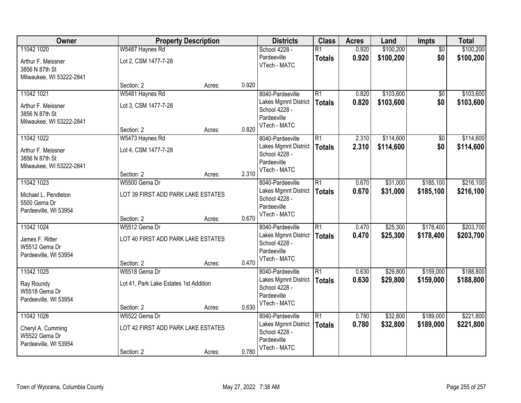| Owner                                |                                        | <b>Property Description</b> |       | <b>Districts</b>                      | <b>Class</b>    | <b>Acres</b> | Land      | Impts           | <b>Total</b> |
|--------------------------------------|----------------------------------------|-----------------------------|-------|---------------------------------------|-----------------|--------------|-----------|-----------------|--------------|
| 11042 1020                           | W5487 Haynes Rd                        |                             |       | School 4228 -                         | $\overline{R1}$ | 0.920        | \$100,200 | $\overline{50}$ | \$100,200    |
| Arthur F. Meissner<br>3856 N 87th St | Lot 2, CSM 1477-7-28                   |                             |       | Pardeeville<br>VTech - MATC           | <b>Totals</b>   | 0.920        | \$100,200 | \$0             | \$100,200    |
| Milwaukee, WI 53222-2841             |                                        |                             |       |                                       |                 |              |           |                 |              |
|                                      | Section: 2                             | Acres:                      | 0.920 |                                       |                 |              |           |                 |              |
| 11042 1021                           | W5481 Haynes Rd                        |                             |       | 8040-Pardeeville                      | $\overline{R1}$ | 0.820        | \$103,600 | $\overline{50}$ | \$103,600    |
| Arthur F. Meissner<br>3856 N 87th St | Lot 3, CSM 1477-7-28                   |                             |       | Lakes Mgmnt District<br>School 4228 - | <b>Totals</b>   | 0.820        | \$103,600 | \$0             | \$103,600    |
| Milwaukee, WI 53222-2841             |                                        |                             |       | Pardeeville<br>VTech - MATC           |                 |              |           |                 |              |
|                                      | Section: 2                             | Acres:                      | 0.820 |                                       |                 |              |           |                 |              |
| 11042 1022                           | W5473 Haynes Rd                        |                             |       | 8040-Pardeeville                      | $\overline{R1}$ | 2.310        | \$114,600 | \$0             | \$114,600    |
| Arthur F. Meissner                   | Lot 4, CSM 1477-7-28                   |                             |       | Lakes Mgmnt District<br>School 4228 - | <b>Totals</b>   | 2.310        | \$114,600 | \$0             | \$114,600    |
| 3856 N 87th St                       |                                        |                             |       | Pardeeville                           |                 |              |           |                 |              |
| Milwaukee, WI 53222-2841             |                                        |                             |       | VTech - MATC                          |                 |              |           |                 |              |
|                                      | Section: 2                             | Acres:                      | 2.310 |                                       |                 |              |           |                 |              |
| 11042 1023                           | W5500 Gema Dr                          |                             |       | 8040-Pardeeville                      | $\overline{R1}$ | 0.670        | \$31,000  | \$185,100       | \$216,100    |
| Michael L. Pendleton                 | LOT 39 FIRST ADD PARK LAKE ESTATES     |                             |       | Lakes Mgmnt District<br>School 4228 - | <b>Totals</b>   | 0.670        | \$31,000  | \$185,100       | \$216,100    |
| 5500 Gema Dr                         |                                        |                             |       | Pardeeville                           |                 |              |           |                 |              |
| Pardeeville, WI 53954                | Section: 2                             | Acres:                      | 0.670 | VTech - MATC                          |                 |              |           |                 |              |
| 11042 1024                           | W5512 Gema Dr                          |                             |       | 8040-Pardeeville                      | $\overline{R1}$ | 0.470        | \$25,300  | \$178,400       | \$203,700    |
|                                      |                                        |                             |       | Lakes Mgmnt District                  | <b>Totals</b>   | 0.470        | \$25,300  | \$178,400       | \$203,700    |
| James F. Ritter                      | LOT 40 FIRST ADD PARK LAKE ESTATES     |                             |       | School 4228 -                         |                 |              |           |                 |              |
| W5512 Gema Dr                        |                                        |                             |       | Pardeeville                           |                 |              |           |                 |              |
| Pardeeville, WI 53954                | Section: 2                             | Acres:                      | 0.470 | VTech - MATC                          |                 |              |           |                 |              |
| 11042 1025                           | W5518 Gema Dr                          |                             |       | 8040-Pardeeville                      | $\overline{R1}$ | 0.630        | \$29,800  | \$159,000       | \$188,800    |
| Ray Roundy                           | Lot 41, Park Lake Estates 1st Addition |                             |       | Lakes Mgmnt District                  | <b>Totals</b>   | 0.630        | \$29,800  | \$159,000       | \$188,800    |
| W5518 Gema Dr                        |                                        |                             |       | School 4228 -                         |                 |              |           |                 |              |
| Pardeeville, WI 53954                |                                        |                             |       | Pardeeville                           |                 |              |           |                 |              |
|                                      | Section: 2                             | Acres:                      | 0.630 | VTech - MATC                          |                 |              |           |                 |              |
| 11042 1026                           | W5522 Gema Dr                          |                             |       | 8040-Pardeeville                      | $\overline{R1}$ | 0.780        | \$32,800  | \$189,000       | \$221,800    |
| Cheryl A. Cumming                    | LOT 42 FIRST ADD PARK LAKE ESTATES     |                             |       | Lakes Mgmnt District                  | <b>Totals</b>   | 0.780        | \$32,800  | \$189,000       | \$221,800    |
| W5522 Gema Dr                        |                                        |                             |       | School 4228 -                         |                 |              |           |                 |              |
| Pardeeville, WI 53954                |                                        |                             |       | Pardeeville<br>VTech - MATC           |                 |              |           |                 |              |
|                                      | Section: 2                             | Acres:                      | 0.780 |                                       |                 |              |           |                 |              |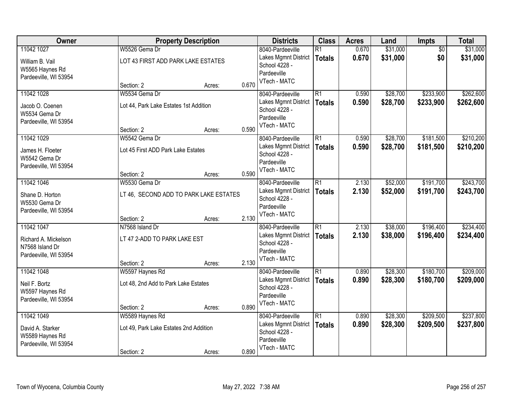| Owner                 |                                        | <b>Property Description</b> |       | <b>Districts</b>            | <b>Class</b>    | <b>Acres</b> | Land     | Impts           | <b>Total</b> |
|-----------------------|----------------------------------------|-----------------------------|-------|-----------------------------|-----------------|--------------|----------|-----------------|--------------|
| 11042 1027            | W5526 Gema Dr                          |                             |       | 8040-Pardeeville            | $\overline{R1}$ | 0.670        | \$31,000 | $\overline{50}$ | \$31,000     |
| William B. Vail       | LOT 43 FIRST ADD PARK LAKE ESTATES     |                             |       | Lakes Mgmnt District        | <b>Totals</b>   | 0.670        | \$31,000 | \$0             | \$31,000     |
| W5565 Haynes Rd       |                                        |                             |       | School 4228 -               |                 |              |          |                 |              |
| Pardeeville, WI 53954 |                                        |                             |       | Pardeeville<br>VTech - MATC |                 |              |          |                 |              |
|                       | Section: 2                             | Acres:                      | 0.670 |                             |                 |              |          |                 |              |
| 11042 1028            | W5534 Gema Dr                          |                             |       | 8040-Pardeeville            | $\overline{R1}$ | 0.590        | \$28,700 | \$233,900       | \$262,600    |
| Jacob O. Coenen       | Lot 44, Park Lake Estates 1st Addition |                             |       | Lakes Mgmnt District        | <b>Totals</b>   | 0.590        | \$28,700 | \$233,900       | \$262,600    |
| W5534 Gema Dr         |                                        |                             |       | School 4228 -               |                 |              |          |                 |              |
| Pardeeville, WI 53954 |                                        |                             |       | Pardeeville                 |                 |              |          |                 |              |
|                       | Section: 2                             | Acres:                      | 0.590 | VTech - MATC                |                 |              |          |                 |              |
| 11042 1029            | W5542 Gema Dr                          |                             |       | 8040-Pardeeville            | $\overline{R1}$ | 0.590        | \$28,700 | \$181,500       | \$210,200    |
| James H. Floeter      | Lot 45 First ADD Park Lake Estates     |                             |       | Lakes Mgmnt District        | <b>Totals</b>   | 0.590        | \$28,700 | \$181,500       | \$210,200    |
| W5542 Gema Dr         |                                        |                             |       | School 4228 -               |                 |              |          |                 |              |
| Pardeeville, WI 53954 |                                        |                             |       | Pardeeville                 |                 |              |          |                 |              |
|                       | Section: 2                             | Acres:                      | 0.590 | VTech - MATC                |                 |              |          |                 |              |
| 11042 1046            | W5530 Gema Dr                          |                             |       | 8040-Pardeeville            | $\overline{R1}$ | 2.130        | \$52,000 | \$191,700       | \$243,700    |
| Shane D. Horton       | LT 46, SECOND ADD TO PARK LAKE ESTATES |                             |       | Lakes Mgmnt District        | <b>Totals</b>   | 2.130        | \$52,000 | \$191,700       | \$243,700    |
| W5530 Gema Dr         |                                        |                             |       | School 4228 -               |                 |              |          |                 |              |
| Pardeeville, WI 53954 |                                        |                             |       | Pardeeville                 |                 |              |          |                 |              |
|                       | Section: 2                             | Acres:                      | 2.130 | VTech - MATC                |                 |              |          |                 |              |
| 11042 1047            | N7568 Island Dr                        |                             |       | 8040-Pardeeville            | $\overline{R1}$ | 2.130        | \$38,000 | \$196,400       | \$234,400    |
| Richard A. Mickelson  | LT 47 2-ADD TO PARK LAKE EST           |                             |       | Lakes Mgmnt District        | <b>Totals</b>   | 2.130        | \$38,000 | \$196,400       | \$234,400    |
| N7568 Island Dr       |                                        |                             |       | School 4228 -               |                 |              |          |                 |              |
| Pardeeville, WI 53954 |                                        |                             |       | Pardeeville                 |                 |              |          |                 |              |
|                       | Section: 2                             | Acres:                      | 2.130 | VTech - MATC                |                 |              |          |                 |              |
| 11042 1048            | W5597 Haynes Rd                        |                             |       | 8040-Pardeeville            | R1              | 0.890        | \$28,300 | \$180,700       | \$209,000    |
| Neil F. Bortz         | Lot 48, 2nd Add to Park Lake Estates   |                             |       | Lakes Mgmnt District        | <b>Totals</b>   | 0.890        | \$28,300 | \$180,700       | \$209,000    |
| W5597 Haynes Rd       |                                        |                             |       | School 4228 -               |                 |              |          |                 |              |
| Pardeeville, WI 53954 |                                        |                             |       | Pardeeville                 |                 |              |          |                 |              |
|                       | Section: 2                             | Acres:                      | 0.890 | VTech - MATC                |                 |              |          |                 |              |
| 11042 1049            | W5589 Haynes Rd                        |                             |       | 8040-Pardeeville            | $\overline{R1}$ | 0.890        | \$28,300 | \$209,500       | \$237,800    |
| David A. Starker      | Lot 49, Park Lake Estates 2nd Addition |                             |       | Lakes Mgmnt District        | <b>Totals</b>   | 0.890        | \$28,300 | \$209,500       | \$237,800    |
| W5589 Haynes Rd       |                                        |                             |       | School 4228 -               |                 |              |          |                 |              |
| Pardeeville, WI 53954 |                                        |                             |       | Pardeeville                 |                 |              |          |                 |              |
|                       | Section: 2                             | Acres:                      | 0.890 | VTech - MATC                |                 |              |          |                 |              |